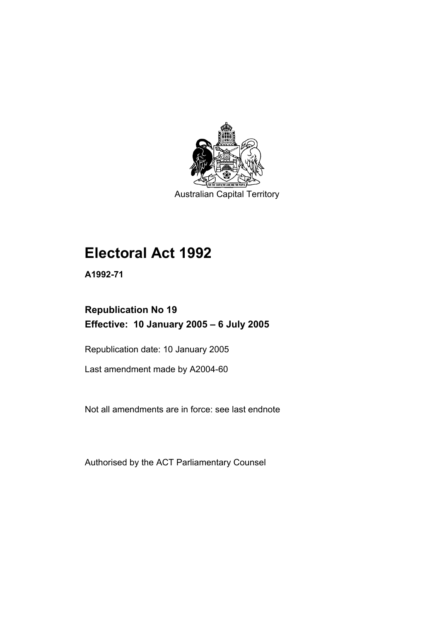

Australian Capital Territory

# **Electoral Act 1992**

**A1992-71** 

## **Republication No 19 Effective: 10 January 2005 – 6 July 2005**

Republication date: 10 January 2005

Last amendment made by A2004-60

Not all amendments are in force: see last endnote

Authorised by the ACT Parliamentary Counsel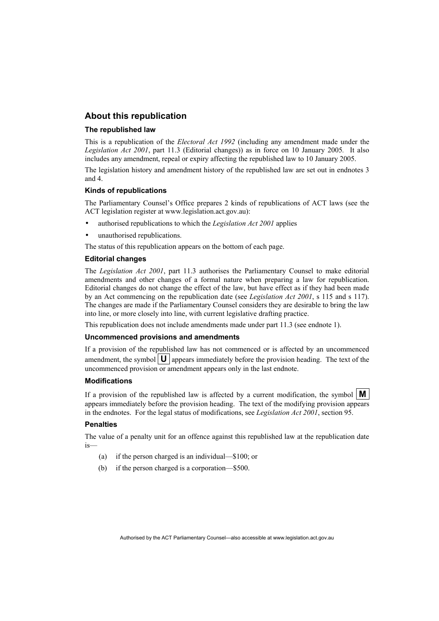### **About this republication**

#### **The republished law**

This is a republication of the *Electoral Act 1992* (including any amendment made under the *Legislation Act 2001*, part 11.3 (Editorial changes)) as in force on 10 January 2005*.* It also includes any amendment, repeal or expiry affecting the republished law to 10 January 2005.

The legislation history and amendment history of the republished law are set out in endnotes 3 and 4.

#### **Kinds of republications**

The Parliamentary Counsel's Office prepares 2 kinds of republications of ACT laws (see the ACT legislation register at www.legislation.act.gov.au):

- authorised republications to which the *Legislation Act 2001* applies
- unauthorised republications.

The status of this republication appears on the bottom of each page.

#### **Editorial changes**

The *Legislation Act 2001*, part 11.3 authorises the Parliamentary Counsel to make editorial amendments and other changes of a formal nature when preparing a law for republication. Editorial changes do not change the effect of the law, but have effect as if they had been made by an Act commencing on the republication date (see *Legislation Act 2001*, s 115 and s 117). The changes are made if the Parliamentary Counsel considers they are desirable to bring the law into line, or more closely into line, with current legislative drafting practice.

This republication does not include amendments made under part 11.3 (see endnote 1).

#### **Uncommenced provisions and amendments**

If a provision of the republished law has not commenced or is affected by an uncommenced amendment, the symbol  $\mathbf{U}$  appears immediately before the provision heading. The text of the uncommenced provision or amendment appears only in the last endnote.

#### **Modifications**

If a provision of the republished law is affected by a current modification, the symbol  $\mathbf{M}$ appears immediately before the provision heading. The text of the modifying provision appears in the endnotes. For the legal status of modifications, see *Legislation Act 2001*, section 95.

#### **Penalties**

The value of a penalty unit for an offence against this republished law at the republication date is—

- (a) if the person charged is an individual—\$100; or
- (b) if the person charged is a corporation—\$500.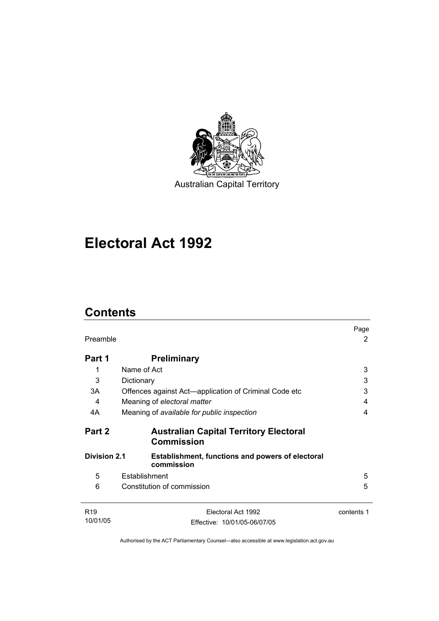

Australian Capital Territory

## **Electoral Act 1992**

## **Contents**

| Preamble                    |                                                                       | Page<br>2  |
|-----------------------------|-----------------------------------------------------------------------|------------|
| Part 1                      | <b>Preliminary</b>                                                    |            |
| 1                           | Name of Act                                                           | 3          |
| 3                           | Dictionary                                                            | 3          |
| 3A                          | Offences against Act—application of Criminal Code etc                 | 3          |
| 4                           | Meaning of electoral matter                                           | 4          |
| 4A                          | Meaning of available for public inspection                            | 4          |
| Part 2                      | <b>Australian Capital Territory Electoral</b><br><b>Commission</b>    |            |
| <b>Division 2.1</b>         | <b>Establishment, functions and powers of electoral</b><br>commission |            |
| 5                           | Establishment                                                         | 5          |
| 6                           | Constitution of commission                                            | 5          |
|                             |                                                                       |            |
| R <sub>19</sub><br>10/01/05 | Electoral Act 1992                                                    | contents 1 |
|                             | Effective: 10/01/05-06/07/05                                          |            |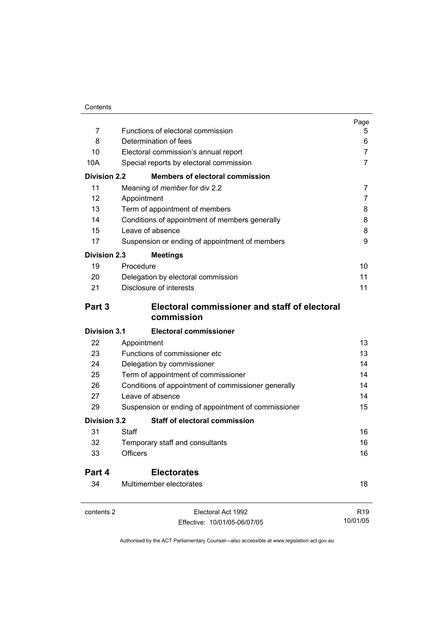|                     |                                                                                 | Page            |
|---------------------|---------------------------------------------------------------------------------|-----------------|
| 7                   | Functions of electoral commission<br>Determination of fees                      | 5               |
| 8<br>10             |                                                                                 | 6<br>7          |
| 10A                 | Electoral commission's annual report<br>Special reports by electoral commission | 7               |
| <b>Division 2.2</b> | <b>Members of electoral commission</b>                                          |                 |
| 11                  |                                                                                 |                 |
|                     | Meaning of <i>member</i> for div 2.2                                            | $\overline{7}$  |
| 12                  | Appointment                                                                     | 7               |
| 13                  | Term of appointment of members                                                  | 8               |
| 14                  | Conditions of appointment of members generally                                  | 8               |
| 15                  | Leave of absence                                                                | 8               |
| 17                  | Suspension or ending of appointment of members                                  | 9               |
| <b>Division 2.3</b> | <b>Meetings</b>                                                                 |                 |
| 19                  | Procedure                                                                       | 10              |
| 20                  | Delegation by electoral commission                                              | 11              |
| 21                  | Disclosure of interests                                                         | 11              |
| Part 3              | Electoral commissioner and staff of electoral<br>commission                     |                 |
| <b>Division 3.1</b> | <b>Electoral commissioner</b>                                                   |                 |
| 22                  | Appointment                                                                     | 13              |
| 23                  | Functions of commissioner etc                                                   | 13              |
| 24                  | Delegation by commissioner                                                      | 14              |
| 25                  | Term of appointment of commissioner                                             | 14              |
| 26                  | Conditions of appointment of commissioner generally                             | 14              |
| 27                  | Leave of absence                                                                | 14              |
| 29                  | Suspension or ending of appointment of commissioner                             | 15              |
| <b>Division 3.2</b> | <b>Staff of electoral commission</b>                                            |                 |
| 31                  | Staff                                                                           | 16              |
| 32                  | Temporary staff and consultants                                                 | 16              |
| 33                  | <b>Officers</b>                                                                 | 16              |
| Part 4              | <b>Electorates</b>                                                              |                 |
| 34                  | Multimember electorates                                                         | 18              |
| contents 2          | Electoral Act 1992                                                              | R <sub>19</sub> |
|                     | Effective: 10/01/05-06/07/05                                                    | 10/01/05        |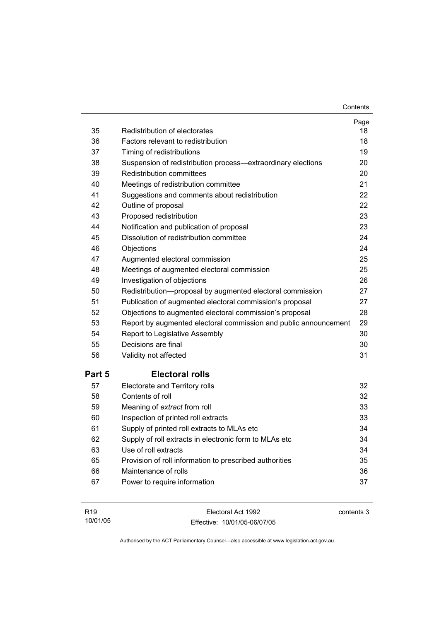**Contents** 

| 35     | Redistribution of electorates                                    | Page<br>18 |
|--------|------------------------------------------------------------------|------------|
| 36     | Factors relevant to redistribution                               | 18         |
| 37     | Timing of redistributions                                        | 19         |
| 38     | Suspension of redistribution process-extraordinary elections     | 20         |
| 39     | Redistribution committees                                        | 20         |
| 40     | Meetings of redistribution committee                             | 21         |
| 41     | Suggestions and comments about redistribution                    | 22         |
| 42     | Outline of proposal                                              | 22         |
| 43     | Proposed redistribution                                          | 23         |
| 44     | Notification and publication of proposal                         | 23         |
| 45     | Dissolution of redistribution committee                          | 24         |
| 46     | Objections                                                       | 24         |
| 47     | Augmented electoral commission                                   | 25         |
| 48     | Meetings of augmented electoral commission                       | 25         |
| 49     | Investigation of objections                                      | 26         |
| 50     | Redistribution-proposal by augmented electoral commission        | 27         |
| 51     | Publication of augmented electoral commission's proposal         | 27         |
| 52     | Objections to augmented electoral commission's proposal          | 28         |
| 53     | Report by augmented electoral commission and public announcement | 29         |
| 54     | Report to Legislative Assembly                                   | 30         |
| 55     | Decisions are final                                              | 30         |
| 56     | Validity not affected                                            | 31         |
| Part 5 | <b>Electoral rolls</b>                                           |            |
| 57     | Electorate and Territory rolls                                   | 32         |
| 58     | Contents of roll                                                 | 32         |
| 59     | Meaning of extract from roll                                     | 33         |
| 60     | Inspection of printed roll extracts                              | 33         |
| 61     | Supply of printed roll extracts to MLAs etc                      | 34         |
| 62     | Supply of roll extracts in electronic form to MLAs etc           | 34         |
| 63     | Use of roll extracts                                             | 34         |
| 65     | Provision of roll information to prescribed authorities          | 35         |
| 66     | Maintenance of rolls                                             | 36         |
| 67     | Power to require information                                     | 37         |

| R <sub>19</sub> | Electoral Act 1992           | contents 3 |
|-----------------|------------------------------|------------|
| 10/01/05        | Effective: 10/01/05-06/07/05 |            |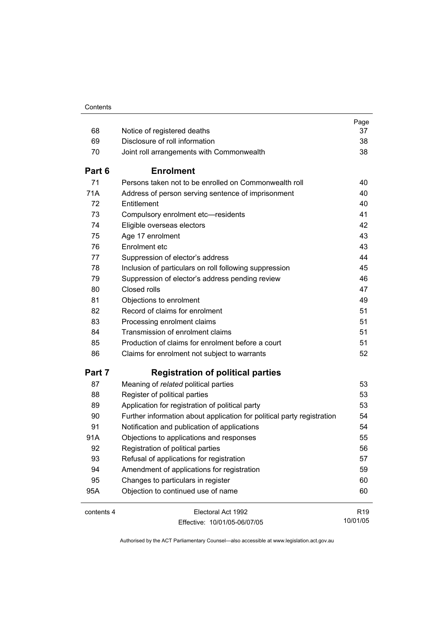| 68         | Notice of registered deaths                                            | Page<br>37      |
|------------|------------------------------------------------------------------------|-----------------|
|            | Disclosure of roll information                                         |                 |
| 69         |                                                                        | 38              |
| 70         | Joint roll arrangements with Commonwealth                              | 38              |
| Part 6     | <b>Enrolment</b>                                                       |                 |
| 71         | Persons taken not to be enrolled on Commonwealth roll                  | 40              |
| 71A        | Address of person serving sentence of imprisonment                     | 40              |
| 72         | Entitlement                                                            | 40              |
| 73         | Compulsory enrolment etc-residents                                     | 41              |
| 74         | Eligible overseas electors                                             | 42              |
| 75         | Age 17 enrolment                                                       | 43              |
| 76         | Enrolment etc                                                          | 43              |
| 77         | Suppression of elector's address                                       | 44              |
| 78         | Inclusion of particulars on roll following suppression                 | 45              |
| 79         | Suppression of elector's address pending review                        | 46              |
| 80         | Closed rolls                                                           | 47              |
| 81         | Objections to enrolment                                                | 49              |
| 82         | Record of claims for enrolment                                         | 51              |
| 83         | Processing enrolment claims                                            | 51              |
| 84         | Transmission of enrolment claims                                       | 51              |
| 85         | Production of claims for enrolment before a court                      | 51              |
| 86         | Claims for enrolment not subject to warrants                           | 52              |
| Part 7     | <b>Registration of political parties</b>                               |                 |
| 87         | Meaning of related political parties                                   | 53              |
| 88         | Register of political parties                                          | 53              |
| 89         | Application for registration of political party                        | 53              |
| 90         | Further information about application for political party registration | 54              |
| 91         | Notification and publication of applications                           | 54              |
| 91A        | Objections to applications and responses                               | 55              |
| 92         | Registration of political parties                                      | 56              |
| 93         | Refusal of applications for registration                               | 57              |
| 94         | Amendment of applications for registration                             | 59              |
| 95         | Changes to particulars in register                                     | 60              |
| 95A        | Objection to continued use of name                                     | 60              |
| contents 4 | Electoral Act 1992                                                     | R <sub>19</sub> |
|            | Effective: 10/01/05-06/07/05                                           | 10/01/05        |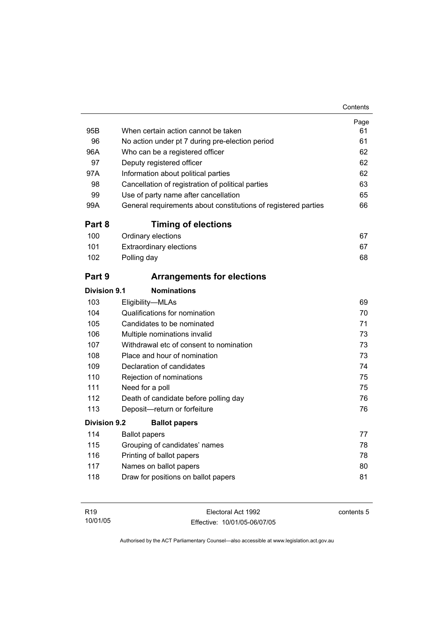| 95B                 | When certain action cannot be taken                            | Page<br>61 |
|---------------------|----------------------------------------------------------------|------------|
| 96                  | No action under pt 7 during pre-election period                | 61         |
| 96A                 | Who can be a registered officer                                | 62         |
| 97                  | Deputy registered officer                                      | 62         |
| 97A                 | Information about political parties                            | 62         |
| 98                  | Cancellation of registration of political parties              | 63         |
| 99                  | Use of party name after cancellation                           | 65         |
| 99A                 | General requirements about constitutions of registered parties | 66         |
| Part 8              | <b>Timing of elections</b>                                     |            |
| 100                 | Ordinary elections                                             | 67         |
| 101                 | <b>Extraordinary elections</b>                                 | 67         |
| 102                 | Polling day                                                    | 68         |
| Part 9              | <b>Arrangements for elections</b>                              |            |
| Division 9.1        | <b>Nominations</b>                                             |            |
| 103                 | Eligibility-MLAs                                               | 69         |
| 104                 | Qualifications for nomination                                  | 70         |
| 105                 | Candidates to be nominated                                     | 71         |
| 106                 | Multiple nominations invalid                                   | 73         |
| 107                 | Withdrawal etc of consent to nomination                        | 73         |
| 108                 | Place and hour of nomination                                   | 73         |
| 109                 | Declaration of candidates                                      | 74         |
| 110                 | Rejection of nominations                                       | 75         |
| 111                 | Need for a poll                                                | 75         |
| 112                 | Death of candidate before polling day                          | 76         |
| 113                 | Deposit-return or forfeiture                                   | 76         |
| <b>Division 9.2</b> | <b>Ballot papers</b>                                           |            |
| 114                 | <b>Ballot papers</b>                                           | 77         |
| 115                 | Grouping of candidates' names                                  | 78         |
| 116                 | Printing of ballot papers                                      | 78         |
| 117                 | Names on ballot papers                                         | 80         |
| 118                 | Draw for positions on ballot papers                            | 81         |

| R <sub>19</sub> | Electoral Act 1992           | contents 5 |
|-----------------|------------------------------|------------|
| 10/01/05        | Effective: 10/01/05-06/07/05 |            |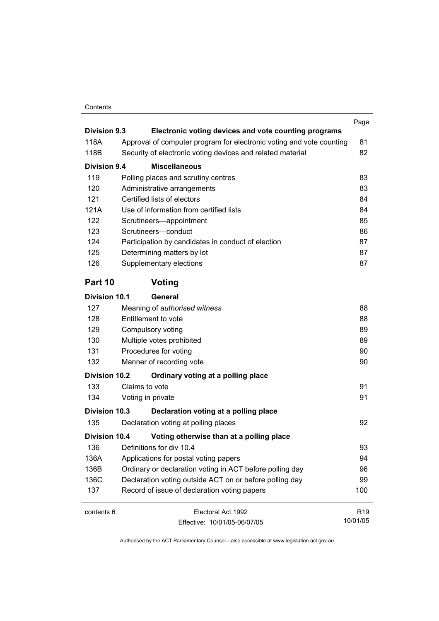#### Contents

| <b>Division 9.3</b>  |                                                                                                                                    | Page            |
|----------------------|------------------------------------------------------------------------------------------------------------------------------------|-----------------|
| 118A                 | Electronic voting devices and vote counting programs                                                                               |                 |
| 118B                 | Approval of computer program for electronic voting and vote counting<br>Security of electronic voting devices and related material | 81<br>82        |
|                      |                                                                                                                                    |                 |
| Division 9.4         | <b>Miscellaneous</b>                                                                                                               |                 |
| 119                  | Polling places and scrutiny centres                                                                                                | 83              |
| 120                  | Administrative arrangements                                                                                                        | 83              |
| 121                  | Certified lists of electors                                                                                                        | 84              |
| 121A                 | Use of information from certified lists                                                                                            | 84              |
| 122                  | Scrutineers-appointment                                                                                                            | 85              |
| 123                  | Scrutineers-conduct                                                                                                                | 86              |
| 124                  | Participation by candidates in conduct of election                                                                                 | 87              |
| 125                  | Determining matters by lot                                                                                                         | 87              |
| 126                  | Supplementary elections                                                                                                            | 87              |
| Part 10              | Voting                                                                                                                             |                 |
| <b>Division 10.1</b> | General                                                                                                                            |                 |
| 127                  | Meaning of authorised witness                                                                                                      | 88              |
| 128                  | Entitlement to vote                                                                                                                | 88              |
| 129                  | Compulsory voting                                                                                                                  | 89              |
| 130                  | Multiple votes prohibited                                                                                                          | 89              |
| 131                  | Procedures for voting                                                                                                              | 90              |
| 132                  | Manner of recording vote                                                                                                           | 90              |
| <b>Division 10.2</b> | Ordinary voting at a polling place                                                                                                 |                 |
| 133                  | Claims to vote                                                                                                                     | 91              |
| 134                  | Voting in private                                                                                                                  | 91              |
| Division 10.3        | Declaration voting at a polling place                                                                                              |                 |
| 135                  | Declaration voting at polling places                                                                                               | 92              |
| <b>Division 10.4</b> | Voting otherwise than at a polling place                                                                                           |                 |
| 136                  | Definitions for div 10.4                                                                                                           | 93              |
| 136A                 | Applications for postal voting papers                                                                                              | 94              |
| 136B                 | Ordinary or declaration voting in ACT before polling day                                                                           | 96              |
| 136C                 | Declaration voting outside ACT on or before polling day                                                                            | 99              |
| 137                  | Record of issue of declaration voting papers                                                                                       | 100             |
| contents 6           | Electoral Act 1992                                                                                                                 | R <sub>19</sub> |
|                      | Fffective: 10/01/05-06/07/05                                                                                                       | 10/01/05        |

Effective: 10/01/05-06/07/05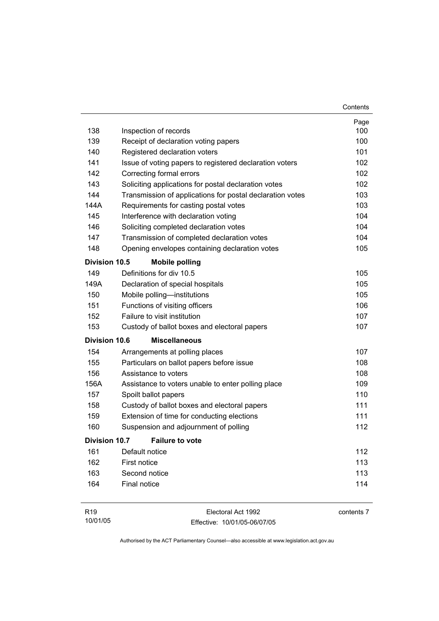|                      |                                                           | Contents |
|----------------------|-----------------------------------------------------------|----------|
|                      |                                                           | Page     |
| 138                  | Inspection of records                                     | 100      |
| 139                  | Receipt of declaration voting papers                      | 100      |
| 140                  | Registered declaration voters                             | 101      |
| 141                  | Issue of voting papers to registered declaration voters   | 102      |
| 142                  | Correcting formal errors                                  | 102      |
| 143                  | Soliciting applications for postal declaration votes      | 102      |
| 144                  | Transmission of applications for postal declaration votes | 103      |
| 144A                 | Requirements for casting postal votes                     | 103      |
| 145                  | Interference with declaration voting                      | 104      |
| 146                  | Soliciting completed declaration votes                    | 104      |
| 147                  | Transmission of completed declaration votes               | 104      |
| 148                  | Opening envelopes containing declaration votes            | 105      |
| <b>Division 10.5</b> | <b>Mobile polling</b>                                     |          |
| 149                  | Definitions for div 10.5                                  | 105      |
| 149A                 | Declaration of special hospitals                          | 105      |
| 150                  | Mobile polling-institutions                               | 105      |
| 151                  | Functions of visiting officers                            | 106      |
| 152                  | Failure to visit institution                              | 107      |
| 153                  | Custody of ballot boxes and electoral papers              | 107      |
| <b>Division 10.6</b> | <b>Miscellaneous</b>                                      |          |
| 154                  | Arrangements at polling places                            | 107      |
| 155                  | Particulars on ballot papers before issue                 | 108      |
| 156                  | Assistance to voters                                      | 108      |
| 156A                 | Assistance to voters unable to enter polling place        | 109      |
| 157                  | Spoilt ballot papers                                      | 110      |
| 158                  | Custody of ballot boxes and electoral papers              | 111      |
| 159                  | Extension of time for conducting elections                | 111      |
| 160                  | Suspension and adjournment of polling                     | 112      |
| <b>Division 10.7</b> | <b>Failure to vote</b>                                    |          |
| 161                  | Default notice                                            | 112      |
| 162                  | First notice                                              | 113      |
| 163                  | Second notice                                             | 113      |
| 164                  | Final notice                                              | 114      |
|                      |                                                           |          |

| R19      | Electoral Act 1992           | contents 7 |
|----------|------------------------------|------------|
| 10/01/05 | Effective: 10/01/05-06/07/05 |            |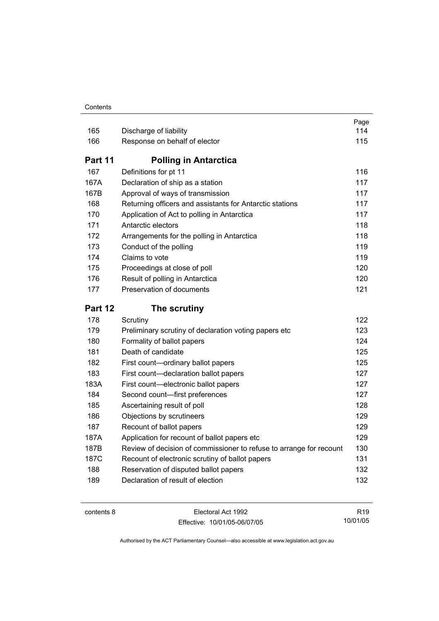#### **Contents**

| 165     | Discharge of liability                                              | Page<br>114 |
|---------|---------------------------------------------------------------------|-------------|
| 166     | Response on behalf of elector                                       | 115         |
| Part 11 | <b>Polling in Antarctica</b>                                        |             |
| 167     | Definitions for pt 11                                               | 116         |
| 167A    | Declaration of ship as a station                                    | 117         |
| 167B    | Approval of ways of transmission                                    | 117         |
| 168     | Returning officers and assistants for Antarctic stations            | 117         |
| 170     | Application of Act to polling in Antarctica                         | 117         |
| 171     | Antarctic electors                                                  | 118         |
| 172     | Arrangements for the polling in Antarctica                          | 118         |
| 173     | Conduct of the polling                                              | 119         |
| 174     | Claims to vote                                                      | 119         |
| 175     | Proceedings at close of poll                                        | 120         |
| 176     | Result of polling in Antarctica                                     | 120         |
| 177     | Preservation of documents                                           | 121         |
|         |                                                                     |             |
| Part 12 | The scrutiny                                                        |             |
| 178     | Scrutiny                                                            | 122         |
| 179     | Preliminary scrutiny of declaration voting papers etc               | 123         |
| 180     | Formality of ballot papers                                          | 124         |
| 181     | Death of candidate                                                  | 125         |
| 182     | First count-ordinary ballot papers                                  | 125         |
| 183     | First count-declaration ballot papers                               | 127         |
| 183A    | First count-electronic ballot papers                                | 127         |
| 184     | Second count-first preferences                                      | 127         |
| 185     | Ascertaining result of poll                                         | 128         |
| 186     | Objections by scrutineers                                           | 129         |
| 187     | Recount of ballot papers                                            | 129         |
| 187A    | Application for recount of ballot papers etc                        | 129         |
| 187B    | Review of decision of commissioner to refuse to arrange for recount | 130         |
| 187C    | Recount of electronic scrutiny of ballot papers                     | 131         |
| 188     | Reservation of disputed ballot papers                               | 132         |

| contents 8 |  |
|------------|--|
|------------|--|

Electoral Act 1992 Effective: 10/01/05-06/07/05

R19 10/01/05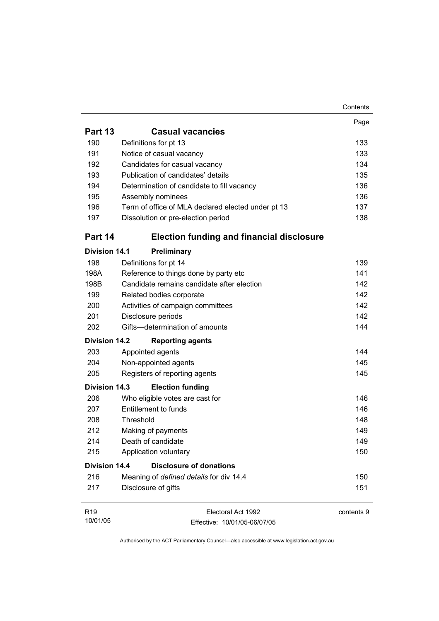|                      |                                                    | Contents   |
|----------------------|----------------------------------------------------|------------|
|                      |                                                    | Page       |
| <b>Part 13</b>       | <b>Casual vacancies</b>                            |            |
| 190                  | Definitions for pt 13                              | 133        |
| 191                  | Notice of casual vacancy                           | 133        |
| 192                  | Candidates for casual vacancy                      | 134        |
| 193                  | Publication of candidates' details                 | 135        |
| 194                  | Determination of candidate to fill vacancy         | 136        |
| 195                  | Assembly nominees                                  | 136        |
| 196                  | Term of office of MLA declared elected under pt 13 | 137        |
| 197                  | Dissolution or pre-election period                 | 138        |
| Part 14              | <b>Election funding and financial disclosure</b>   |            |
| <b>Division 14.1</b> | Preliminary                                        |            |
| 198                  | Definitions for pt 14                              | 139        |
| 198A                 | Reference to things done by party etc              | 141        |
| 198B                 | Candidate remains candidate after election         | 142        |
| 199                  | Related bodies corporate                           | 142        |
| 200                  | Activities of campaign committees                  | 142        |
| 201                  | Disclosure periods                                 | 142        |
| 202                  | Gifts-determination of amounts                     | 144        |
| <b>Division 14.2</b> | <b>Reporting agents</b>                            |            |
| 203                  | Appointed agents                                   | 144        |
| 204                  | Non-appointed agents                               | 145        |
| 205                  | Registers of reporting agents                      | 145        |
| <b>Division 14.3</b> | <b>Election funding</b>                            |            |
| 206                  | Who eligible votes are cast for                    | 146        |
| 207                  | Entitlement to funds                               | 146        |
| 208                  | Threshold                                          | 148        |
| 212                  | Making of payments                                 | 149        |
| 214                  | Death of candidate                                 | 149        |
| 215                  | Application voluntary                              | 150        |
| <b>Division 14.4</b> | <b>Disclosure of donations</b>                     |            |
| 216                  | Meaning of defined details for div 14.4            | 150        |
| 217                  | Disclosure of gifts                                | 151        |
| R <sub>19</sub>      | Electoral Act 1992                                 | contents 9 |
| 10/01/05             | Effective: 10/01/05-06/07/05                       |            |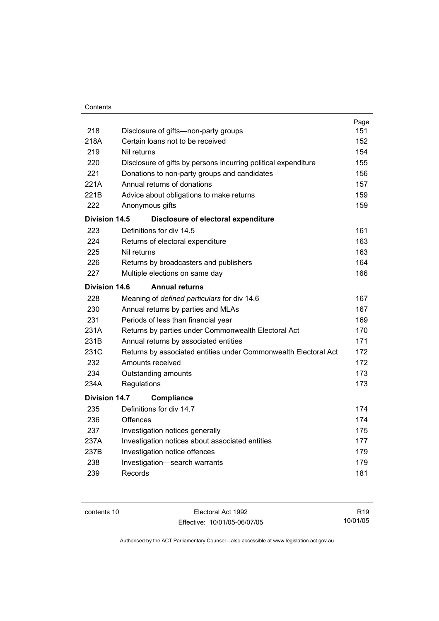|                      |                                                                 | Page |
|----------------------|-----------------------------------------------------------------|------|
| 218                  | Disclosure of gifts—non-party groups                            | 151  |
| 218A                 | Certain loans not to be received                                | 152  |
| 219                  | Nil returns                                                     | 154  |
| 220                  | Disclosure of gifts by persons incurring political expenditure  | 155  |
| 221                  | Donations to non-party groups and candidates                    | 156  |
| 221A                 | Annual returns of donations                                     | 157  |
| 221B                 | Advice about obligations to make returns                        | 159  |
| 222                  | Anonymous gifts                                                 | 159  |
| Division 14.5        | Disclosure of electoral expenditure                             |      |
| 223                  | Definitions for div 14.5                                        | 161  |
| 224                  | Returns of electoral expenditure                                | 163  |
| 225                  | Nil returns                                                     | 163  |
| 226                  | Returns by broadcasters and publishers                          | 164  |
| 227                  | Multiple elections on same day                                  | 166  |
| Division 14.6        | <b>Annual returns</b>                                           |      |
| 228                  | Meaning of defined particulars for div 14.6                     | 167  |
| 230                  | Annual returns by parties and MLAs                              | 167  |
| 231                  | Periods of less than financial year                             | 169  |
| 231A                 | Returns by parties under Commonwealth Electoral Act             | 170  |
| 231B                 | Annual returns by associated entities                           | 171  |
| 231C                 | Returns by associated entities under Commonwealth Electoral Act | 172  |
| 232                  | Amounts received                                                | 172  |
| 234                  | Outstanding amounts                                             | 173  |
| 234A                 | Regulations                                                     | 173  |
| <b>Division 14.7</b> | <b>Compliance</b>                                               |      |
| 235                  | Definitions for div 14.7                                        | 174  |
| 236                  | Offences                                                        | 174  |
| 237                  | Investigation notices generally                                 | 175  |
| 237A                 | Investigation notices about associated entities                 | 177  |
| 237B                 | Investigation notice offences                                   | 179  |
| 238                  | Investigation-search warrants                                   | 179  |
| 239                  | Records                                                         | 181  |
|                      |                                                                 |      |

contents 10 Electoral Act 1992 Effective: 10/01/05-06/07/05

R19 10/01/05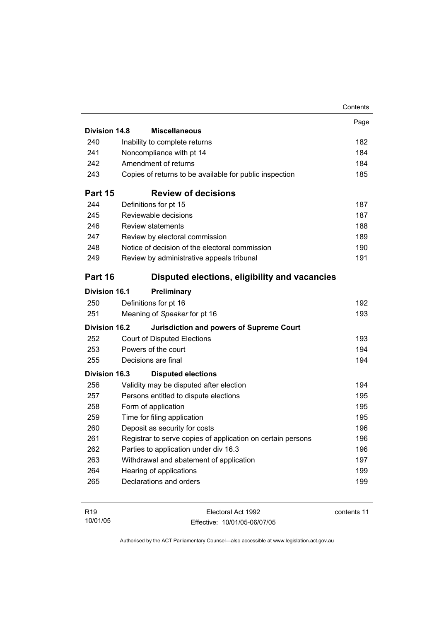|                      |                                                             | Contents |
|----------------------|-------------------------------------------------------------|----------|
|                      |                                                             | Page     |
| <b>Division 14.8</b> | <b>Miscellaneous</b>                                        |          |
| 240                  | Inability to complete returns                               | 182      |
| 241                  | Noncompliance with pt 14                                    | 184      |
| 242                  | Amendment of returns                                        | 184      |
| 243                  | Copies of returns to be available for public inspection     | 185      |
| Part 15              | <b>Review of decisions</b>                                  |          |
| 244                  | Definitions for pt 15                                       | 187      |
| 245                  | Reviewable decisions                                        | 187      |
| 246                  | <b>Review statements</b>                                    | 188      |
| 247                  | Review by electoral commission                              | 189      |
| 248                  | Notice of decision of the electoral commission              | 190      |
| 249                  | Review by administrative appeals tribunal                   | 191      |
| Part 16              | Disputed elections, eligibility and vacancies               |          |
| <b>Division 16.1</b> | Preliminary                                                 |          |
| 250                  | Definitions for pt 16                                       | 192      |
| 251                  | Meaning of Speaker for pt 16                                | 193      |
| <b>Division 16.2</b> | <b>Jurisdiction and powers of Supreme Court</b>             |          |
| 252                  | <b>Court of Disputed Elections</b>                          | 193      |
| 253                  | Powers of the court                                         | 194      |
| 255                  | Decisions are final                                         | 194      |
| <b>Division 16.3</b> | <b>Disputed elections</b>                                   |          |
| 256                  | Validity may be disputed after election                     | 194      |
| 257                  | Persons entitled to dispute elections                       | 195      |
| 258                  | Form of application                                         | 195      |
| 259                  | Time for filing application                                 | 195      |
| 260                  | Deposit as security for costs                               | 196      |
| 261                  | Registrar to serve copies of application on certain persons | 196      |
| 262                  | Parties to application under div 16.3                       | 196      |
| 263                  | Withdrawal and abatement of application                     | 197      |
| 264                  | Hearing of applications                                     | 199      |
| 265                  | Declarations and orders                                     | 199      |
|                      |                                                             |          |

| R <sub>19</sub> | Electoral Act 1992           | contents 11 |
|-----------------|------------------------------|-------------|
| 10/01/05        | Effective: 10/01/05-06/07/05 |             |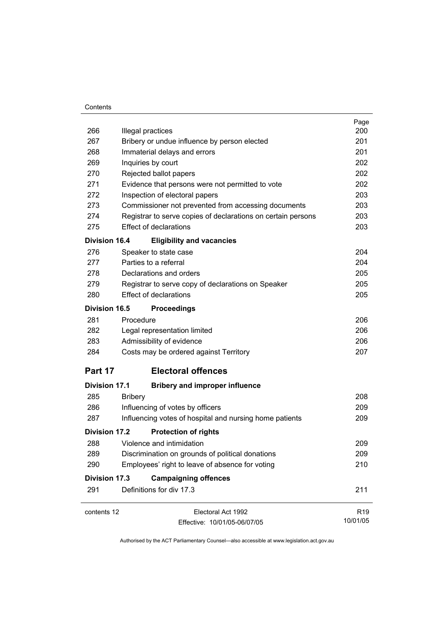#### **Contents**

|                      |                                                              | Page            |
|----------------------|--------------------------------------------------------------|-----------------|
| 266                  | Illegal practices                                            | 200<br>201      |
| 267                  | Bribery or undue influence by person elected                 |                 |
| 268                  | Immaterial delays and errors                                 | 201             |
| 269                  | Inquiries by court                                           | 202             |
| 270                  | Rejected ballot papers                                       | 202             |
| 271                  | Evidence that persons were not permitted to vote             | 202             |
| 272                  | Inspection of electoral papers                               | 203             |
| 273                  | Commissioner not prevented from accessing documents          | 203             |
| 274                  | Registrar to serve copies of declarations on certain persons | 203             |
| 275                  | <b>Effect of declarations</b>                                | 203             |
| <b>Division 16.4</b> | <b>Eligibility and vacancies</b>                             |                 |
| 276                  | Speaker to state case                                        | 204             |
| 277                  | Parties to a referral                                        | 204             |
| 278                  | Declarations and orders                                      | 205             |
| 279                  | Registrar to serve copy of declarations on Speaker           | 205             |
| 280                  | <b>Effect of declarations</b>                                | 205             |
| <b>Division 16.5</b> | <b>Proceedings</b>                                           |                 |
| 281                  | Procedure                                                    | 206             |
| 282                  | Legal representation limited                                 | 206             |
| 283                  | Admissibility of evidence                                    | 206             |
| 284                  | Costs may be ordered against Territory                       | 207             |
| Part 17              | <b>Electoral offences</b>                                    |                 |
| <b>Division 17.1</b> | <b>Bribery and improper influence</b>                        |                 |
| 285                  | <b>Bribery</b>                                               | 208             |
| 286                  | Influencing of votes by officers                             | 209             |
| 287                  | Influencing votes of hospital and nursing home patients      | 209             |
| <b>Division 17.2</b> | <b>Protection of rights</b>                                  |                 |
| 288                  | Violence and intimidation                                    | 209             |
| 289                  | Discrimination on grounds of political donations             | 209             |
| 290                  | Employees' right to leave of absence for voting              | 210             |
| <b>Division 17.3</b> | <b>Campaigning offences</b>                                  |                 |
| 291                  | Definitions for div 17.3                                     | 211             |
|                      |                                                              |                 |
| contents 12          | Electoral Act 1992                                           | R <sub>19</sub> |
|                      | Effective: 10/01/05-06/07/05                                 | 10/01/05        |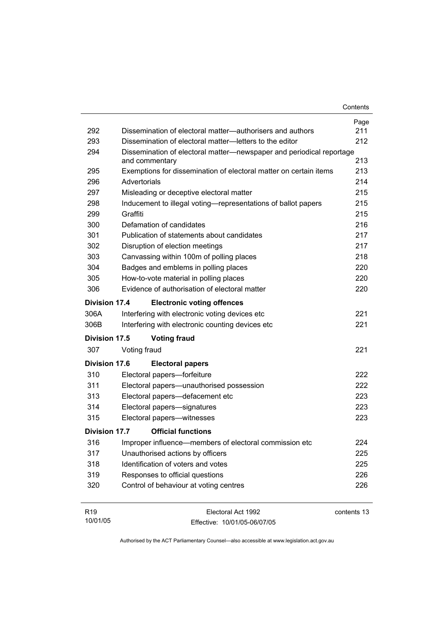| 292                  | Dissemination of electoral matter—authorisers and authors                              | Page<br>211 |
|----------------------|----------------------------------------------------------------------------------------|-------------|
| 293                  | Dissemination of electoral matter-letters to the editor                                | 212         |
| 294                  | Dissemination of electoral matter-newspaper and periodical reportage<br>and commentary | 213         |
| 295                  | Exemptions for dissemination of electoral matter on certain items                      | 213         |
| 296                  | Advertorials                                                                           | 214         |
| 297                  | Misleading or deceptive electoral matter                                               | 215         |
| 298                  | Inducement to illegal voting—representations of ballot papers                          | 215         |
| 299                  | Graffiti                                                                               | 215         |
| 300                  | Defamation of candidates                                                               | 216         |
| 301                  | Publication of statements about candidates                                             | 217         |
| 302                  | Disruption of election meetings                                                        | 217         |
| 303                  | Canvassing within 100m of polling places                                               | 218         |
| 304                  | Badges and emblems in polling places                                                   | 220         |
| 305                  | How-to-vote material in polling places                                                 | 220         |
| 306                  | Evidence of authorisation of electoral matter                                          | 220         |
| Division 17.4        | <b>Electronic voting offences</b>                                                      |             |
| 306A                 | Interfering with electronic voting devices etc                                         | 221         |
| 306B                 | Interfering with electronic counting devices etc                                       | 221         |
| Division 17.5        | <b>Voting fraud</b>                                                                    |             |
| 307                  | Voting fraud                                                                           | 221         |
| <b>Division 17.6</b> | <b>Electoral papers</b>                                                                |             |
| 310                  | Electoral papers-forfeiture                                                            | 222         |
| 311                  | Electoral papers-unauthorised possession                                               | 222         |
| 313                  | Electoral papers-defacement etc                                                        | 223         |
| 314                  | Electoral papers-signatures                                                            | 223         |
| 315                  | Electoral papers-witnesses                                                             | 223         |
| Division 17.7        | <b>Official functions</b>                                                              |             |
| 316                  | Improper influence—members of electoral commission etc                                 | 224         |
| 317                  | Unauthorised actions by officers                                                       | 225         |
| 318                  | Identification of voters and votes                                                     | 225         |
| 319                  | Responses to official questions                                                        | 226         |
| 320                  | Control of behaviour at voting centres                                                 | 226         |
| R <sub>19</sub>      | Electoral Act 1992                                                                     | contents 13 |

Effective: 10/01/05-06/07/05

10/01/05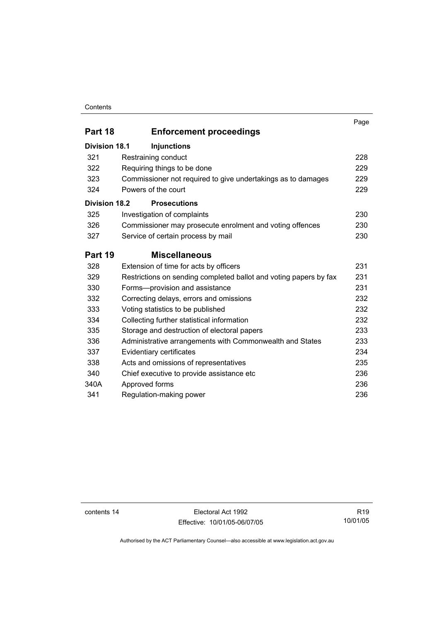#### **Contents**

|                      |                                                                   | Page |
|----------------------|-------------------------------------------------------------------|------|
| Part 18              | <b>Enforcement proceedings</b>                                    |      |
| <b>Division 18.1</b> | <b>Injunctions</b>                                                |      |
| 321                  | Restraining conduct                                               | 228  |
| 322                  | Requiring things to be done                                       | 229  |
| 323                  | Commissioner not required to give undertakings as to damages      | 229  |
| 324                  | Powers of the court                                               | 229  |
| <b>Division 18.2</b> | <b>Prosecutions</b>                                               |      |
| 325                  | Investigation of complaints                                       | 230  |
| 326                  | Commissioner may prosecute enrolment and voting offences          | 230  |
| 327                  | Service of certain process by mail                                | 230  |
| Part 19              | <b>Miscellaneous</b>                                              |      |
| 328                  | Extension of time for acts by officers                            | 231  |
| 329                  | Restrictions on sending completed ballot and voting papers by fax | 231  |
| 330                  | Forms-provision and assistance                                    | 231  |
| 332                  | Correcting delays, errors and omissions                           | 232  |
| 333                  | Voting statistics to be published                                 | 232  |
| 334                  | Collecting further statistical information                        | 232  |
| 335                  | Storage and destruction of electoral papers                       | 233  |
| 336                  | Administrative arrangements with Commonwealth and States          | 233  |
| 337                  | Evidentiary certificates                                          | 234  |
| 338                  | Acts and omissions of representatives                             | 235  |
| 340                  | Chief executive to provide assistance etc                         | 236  |
| 340A                 | Approved forms                                                    | 236  |
| 341                  | Regulation-making power                                           | 236  |

contents 14 Electoral Act 1992 Effective: 10/01/05-06/07/05

R19 10/01/05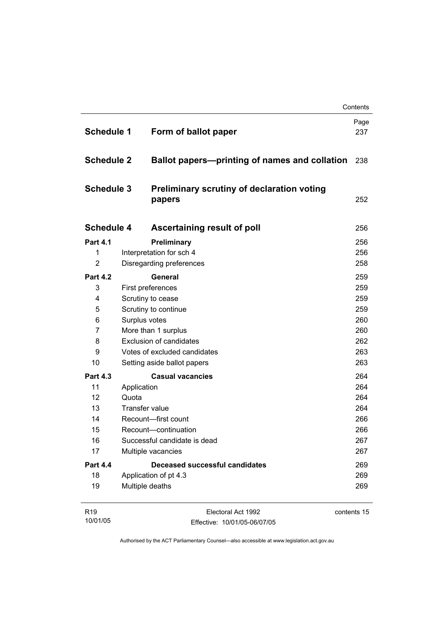|                   |                                                             | Contents    |
|-------------------|-------------------------------------------------------------|-------------|
| <b>Schedule 1</b> | Form of ballot paper                                        | Page<br>237 |
| <b>Schedule 2</b> | Ballot papers-printing of names and collation               | 238         |
| <b>Schedule 3</b> | <b>Preliminary scrutiny of declaration voting</b><br>papers | 252         |
| <b>Schedule 4</b> | Ascertaining result of poll                                 | 256         |
| <b>Part 4.1</b>   | Preliminary                                                 | 256         |
| 1                 | Interpretation for sch 4                                    | 256         |
| $\overline{2}$    | Disregarding preferences                                    | 258         |
| <b>Part 4.2</b>   | <b>General</b>                                              | 259         |
| 3                 | First preferences                                           | 259         |
| 4                 | Scrutiny to cease                                           | 259         |
| 5                 | Scrutiny to continue                                        | 259         |
| 6                 | Surplus votes                                               | 260         |
| $\overline{7}$    | More than 1 surplus                                         | 260         |
| 8                 | <b>Exclusion of candidates</b>                              | 262         |
| 9                 | Votes of excluded candidates                                | 263         |
| 10                | Setting aside ballot papers                                 | 263         |
| <b>Part 4.3</b>   | <b>Casual vacancies</b>                                     | 264         |
| 11                | Application                                                 | 264         |
| $12 \overline{ }$ | Quota                                                       | 264         |
| 13                | Transfer value                                              | 264         |
| 14                | Recount-first count                                         | 266         |
| 15                | Recount-continuation                                        | 266         |
| 16                | Successful candidate is dead                                | 267         |
| 17                | Multiple vacancies                                          | 267         |
| <b>Part 4.4</b>   | <b>Deceased successful candidates</b>                       | 269         |
| 18                | Application of pt 4.3                                       | 269         |
| 19                | Multiple deaths                                             | 269         |
| R <sub>19</sub>   | Electoral Act 1992                                          | contents 15 |

| R <sub>19</sub> | Electoral Act 1992           | contents 15 |
|-----------------|------------------------------|-------------|
| 10/01/05        | Effective: 10/01/05-06/07/05 |             |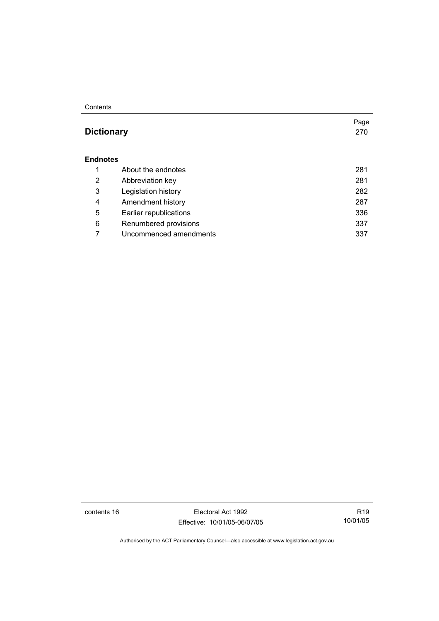#### **Contents**

### **Dictionary** 270

#### **Endnotes**

|   | About the endnotes     | 281 |
|---|------------------------|-----|
| 2 | Abbreviation key       | 281 |
| 3 | Legislation history    | 282 |
| 4 | Amendment history      | 287 |
| 5 | Earlier republications | 336 |
| 6 | Renumbered provisions  | 337 |
|   | Uncommenced amendments | 337 |

contents 16 Electoral Act 1992 Effective: 10/01/05-06/07/05

R19 10/01/05

Page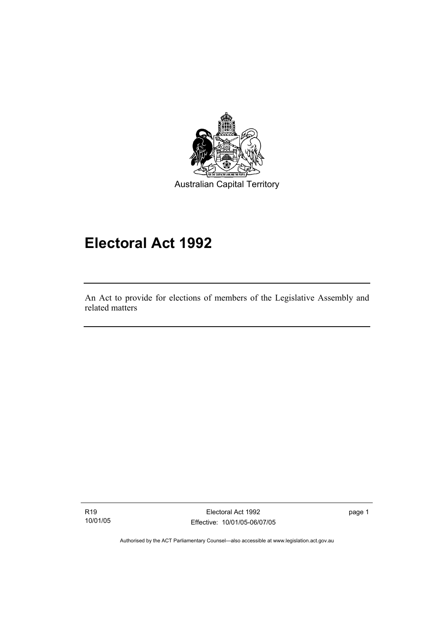

## **Electoral Act 1992**

An Act to provide for elections of members of the Legislative Assembly and related matters

R19 10/01/05

I

Electoral Act 1992 Effective: 10/01/05-06/07/05 page 1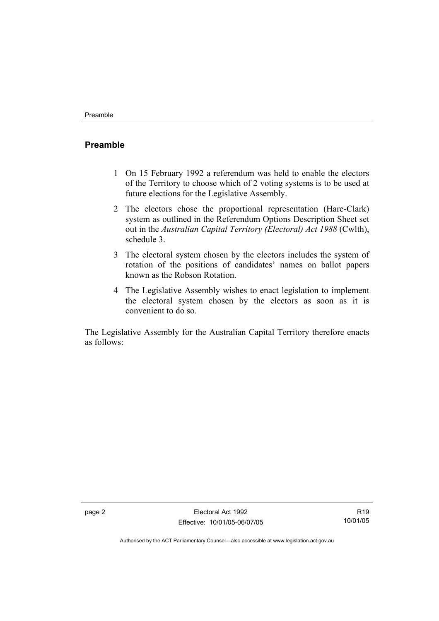### **Preamble**

- 1 On 15 February 1992 a referendum was held to enable the electors of the Territory to choose which of 2 voting systems is to be used at future elections for the Legislative Assembly.
- 2 The electors chose the proportional representation (Hare-Clark) system as outlined in the Referendum Options Description Sheet set out in the *Australian Capital Territory (Electoral) Act 1988* (Cwlth), schedule 3.
- 3 The electoral system chosen by the electors includes the system of rotation of the positions of candidates' names on ballot papers known as the Robson Rotation.
- 4 The Legislative Assembly wishes to enact legislation to implement the electoral system chosen by the electors as soon as it is convenient to do so.

The Legislative Assembly for the Australian Capital Territory therefore enacts as follows: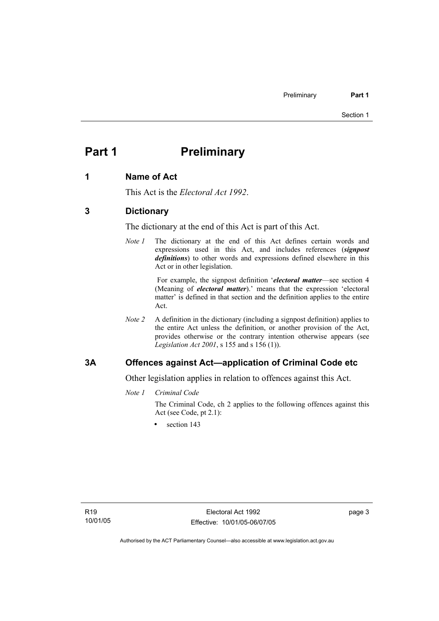## **Part 1** Preliminary

#### **1 Name of Act**

This Act is the *Electoral Act 1992*.

#### **3 Dictionary**

The dictionary at the end of this Act is part of this Act.

*Note 1* The dictionary at the end of this Act defines certain words and expressions used in this Act, and includes references (*signpost definitions*) to other words and expressions defined elsewhere in this Act or in other legislation.

> For example, the signpost definition '*electoral matter*—see section 4 (Meaning of *electoral matter*).' means that the expression 'electoral matter' is defined in that section and the definition applies to the entire Act.

*Note 2* A definition in the dictionary (including a signpost definition) applies to the entire Act unless the definition, or another provision of the Act, provides otherwise or the contrary intention otherwise appears (see *Legislation Act 2001*, s 155 and s 156 (1)).

### **3A Offences against Act—application of Criminal Code etc**

Other legislation applies in relation to offences against this Act.

*Note 1 Criminal Code*

The Criminal Code, ch 2 applies to the following offences against this Act (see Code, pt 2.1):

section 143

page 3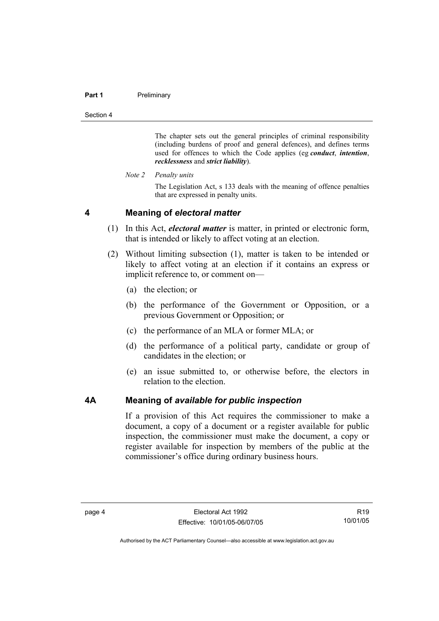#### Part 1 **Preliminary**

Section 4

The chapter sets out the general principles of criminal responsibility (including burdens of proof and general defences), and defines terms used for offences to which the Code applies (eg *conduct*, *intention*, *recklessness* and *strict liability*).

*Note 2 Penalty units* 

The Legislation Act, s 133 deals with the meaning of offence penalties that are expressed in penalty units.

#### **4 Meaning of** *electoral matter*

- (1) In this Act, *electoral matter* is matter, in printed or electronic form, that is intended or likely to affect voting at an election.
- (2) Without limiting subsection (1), matter is taken to be intended or likely to affect voting at an election if it contains an express or implicit reference to, or comment on—
	- (a) the election; or
	- (b) the performance of the Government or Opposition, or a previous Government or Opposition; or
	- (c) the performance of an MLA or former MLA; or
	- (d) the performance of a political party, candidate or group of candidates in the election; or
	- (e) an issue submitted to, or otherwise before, the electors in relation to the election.

#### **4A Meaning of** *available for public inspection*

If a provision of this Act requires the commissioner to make a document, a copy of a document or a register available for public inspection, the commissioner must make the document, a copy or register available for inspection by members of the public at the commissioner's office during ordinary business hours.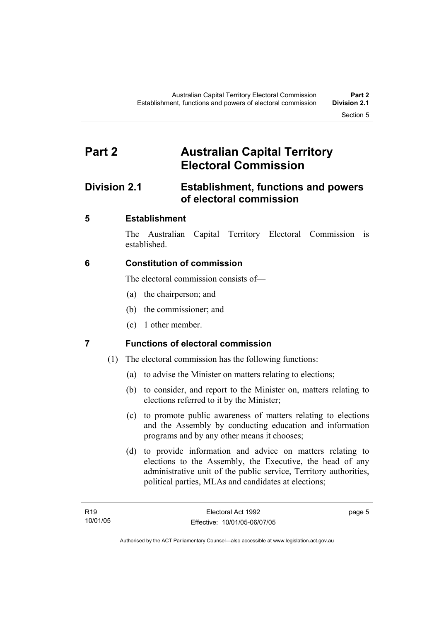## **Part 2 Australian Capital Territory Electoral Commission**

## **Division 2.1 Establishment, functions and powers of electoral commission**

### **5 Establishment**

The Australian Capital Territory Electoral Commission is established.

### **6 Constitution of commission**

The electoral commission consists of—

- (a) the chairperson; and
- (b) the commissioner; and
- (c) 1 other member.

### **7 Functions of electoral commission**

- (1) The electoral commission has the following functions:
	- (a) to advise the Minister on matters relating to elections;
	- (b) to consider, and report to the Minister on, matters relating to elections referred to it by the Minister;
	- (c) to promote public awareness of matters relating to elections and the Assembly by conducting education and information programs and by any other means it chooses;
	- (d) to provide information and advice on matters relating to elections to the Assembly, the Executive, the head of any administrative unit of the public service, Territory authorities, political parties, MLAs and candidates at elections;

page 5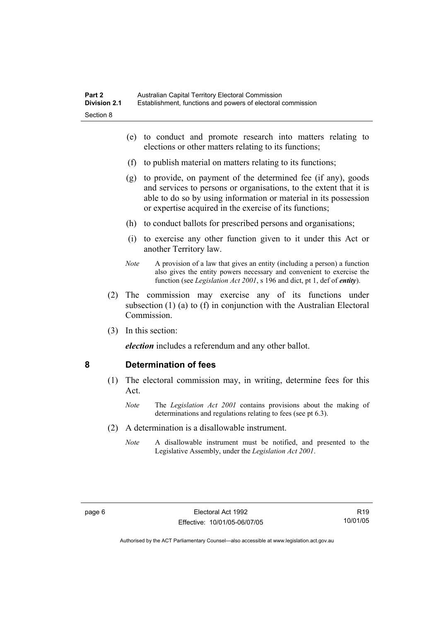- (e) to conduct and promote research into matters relating to elections or other matters relating to its functions;
- (f) to publish material on matters relating to its functions;
- (g) to provide, on payment of the determined fee (if any), goods and services to persons or organisations, to the extent that it is able to do so by using information or material in its possession or expertise acquired in the exercise of its functions;
- (h) to conduct ballots for prescribed persons and organisations;
- (i) to exercise any other function given to it under this Act or another Territory law.
- *Note* A provision of a law that gives an entity (including a person) a function also gives the entity powers necessary and convenient to exercise the function (see *Legislation Act 2001*, s 196 and dict, pt 1, def of *entity*).
- (2) The commission may exercise any of its functions under subsection (1) (a) to (f) in conjunction with the Australian Electoral Commission.
- (3) In this section:

*election* includes a referendum and any other ballot.

#### **8 Determination of fees**

- (1) The electoral commission may, in writing, determine fees for this Act.
	- *Note* The *Legislation Act 2001* contains provisions about the making of determinations and regulations relating to fees (see pt 6.3).
- (2) A determination is a disallowable instrument.
	- *Note* A disallowable instrument must be notified, and presented to the Legislative Assembly, under the *Legislation Act 2001*.

R19 10/01/05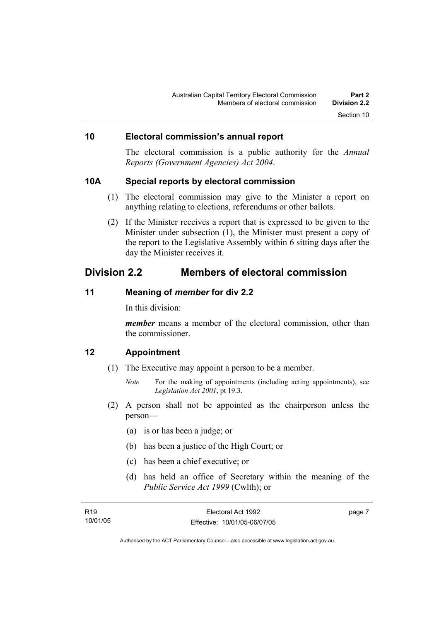### **10 Electoral commission's annual report**

The electoral commission is a public authority for the *Annual Reports (Government Agencies) Act 2004*.

#### **10A Special reports by electoral commission**

- (1) The electoral commission may give to the Minister a report on anything relating to elections, referendums or other ballots.
- (2) If the Minister receives a report that is expressed to be given to the Minister under subsection (1), the Minister must present a copy of the report to the Legislative Assembly within 6 sitting days after the day the Minister receives it.

### **Division 2.2 Members of electoral commission**

### **11 Meaning of** *member* **for div 2.2**

In this division:

*member* means a member of the electoral commission, other than the commissioner.

#### **12 Appointment**

- (1) The Executive may appoint a person to be a member.
	- *Note* For the making of appointments (including acting appointments), see *Legislation Act 2001*, pt 19.3.
- (2) A person shall not be appointed as the chairperson unless the person—
	- (a) is or has been a judge; or
	- (b) has been a justice of the High Court; or
	- (c) has been a chief executive; or
	- (d) has held an office of Secretary within the meaning of the *Public Service Act 1999* (Cwlth); or

| R <sub>19</sub> | Electoral Act 1992           | page 7 |
|-----------------|------------------------------|--------|
| 10/01/05        | Effective: 10/01/05-06/07/05 |        |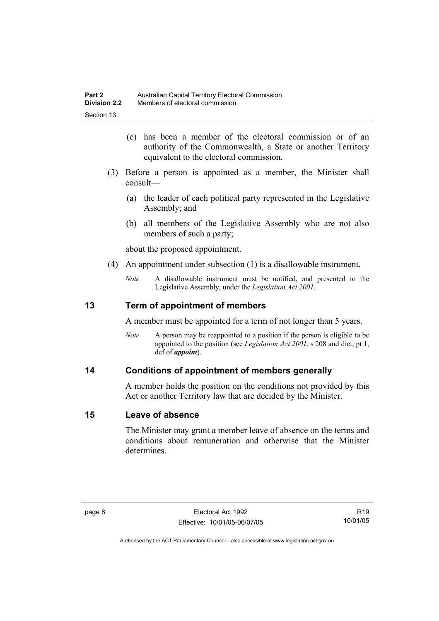- (e) has been a member of the electoral commission or of an authority of the Commonwealth, a State or another Territory equivalent to the electoral commission.
- (3) Before a person is appointed as a member, the Minister shall consult—
	- (a) the leader of each political party represented in the Legislative Assembly; and
	- (b) all members of the Legislative Assembly who are not also members of such a party;

about the proposed appointment.

- (4) An appointment under subsection (1) is a disallowable instrument.
	- *Note* A disallowable instrument must be notified, and presented to the Legislative Assembly, under the *Legislation Act 2001*.

### **13 Term of appointment of members**

A member must be appointed for a term of not longer than 5 years.

*Note* A person may be reappointed to a position if the person is eligible to be appointed to the position (see *Legislation Act 2001*, s 208 and dict, pt 1, def of *appoint*).

#### **14 Conditions of appointment of members generally**

A member holds the position on the conditions not provided by this Act or another Territory law that are decided by the Minister.

#### **15 Leave of absence**

The Minister may grant a member leave of absence on the terms and conditions about remuneration and otherwise that the Minister determines.

R19 10/01/05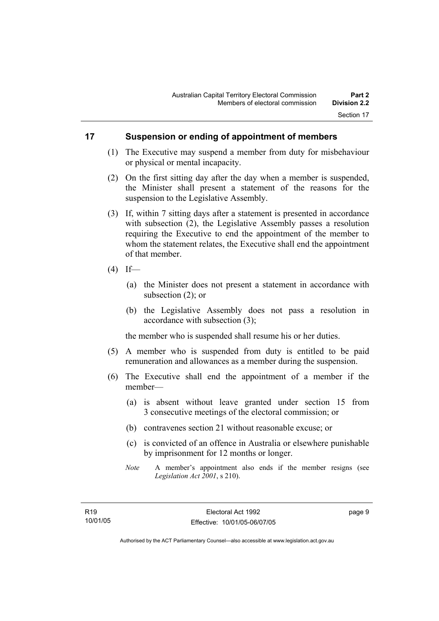### **17 Suspension or ending of appointment of members**

- (1) The Executive may suspend a member from duty for misbehaviour or physical or mental incapacity.
- (2) On the first sitting day after the day when a member is suspended, the Minister shall present a statement of the reasons for the suspension to the Legislative Assembly.
- (3) If, within 7 sitting days after a statement is presented in accordance with subsection (2), the Legislative Assembly passes a resolution requiring the Executive to end the appointment of the member to whom the statement relates, the Executive shall end the appointment of that member.
- $(4)$  If—
	- (a) the Minister does not present a statement in accordance with subsection (2); or
	- (b) the Legislative Assembly does not pass a resolution in accordance with subsection (3);

the member who is suspended shall resume his or her duties.

- (5) A member who is suspended from duty is entitled to be paid remuneration and allowances as a member during the suspension.
- (6) The Executive shall end the appointment of a member if the member—
	- (a) is absent without leave granted under section 15 from 3 consecutive meetings of the electoral commission; or
	- (b) contravenes section 21 without reasonable excuse; or
	- (c) is convicted of an offence in Australia or elsewhere punishable by imprisonment for 12 months or longer.
	- *Note* A member's appointment also ends if the member resigns (see *Legislation Act 2001*, s 210).

page 9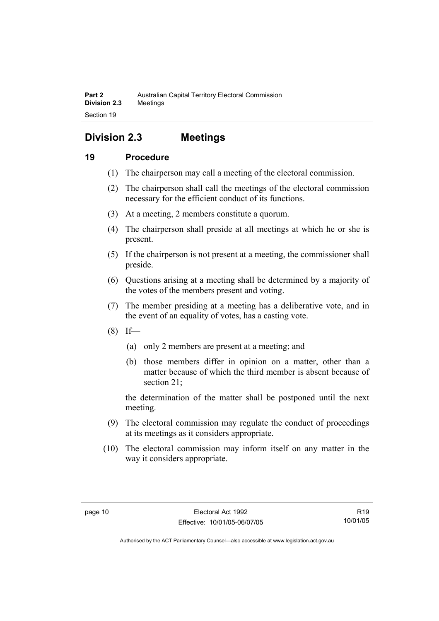## **Division 2.3 Meetings**

### **19 Procedure**

- (1) The chairperson may call a meeting of the electoral commission.
- (2) The chairperson shall call the meetings of the electoral commission necessary for the efficient conduct of its functions.
- (3) At a meeting, 2 members constitute a quorum.
- (4) The chairperson shall preside at all meetings at which he or she is present.
- (5) If the chairperson is not present at a meeting, the commissioner shall preside.
- (6) Questions arising at a meeting shall be determined by a majority of the votes of the members present and voting.
- (7) The member presiding at a meeting has a deliberative vote, and in the event of an equality of votes, has a casting vote.
- $(8)$  If—
	- (a) only 2 members are present at a meeting; and
	- (b) those members differ in opinion on a matter, other than a matter because of which the third member is absent because of section 21;

the determination of the matter shall be postponed until the next meeting.

- (9) The electoral commission may regulate the conduct of proceedings at its meetings as it considers appropriate.
- (10) The electoral commission may inform itself on any matter in the way it considers appropriate.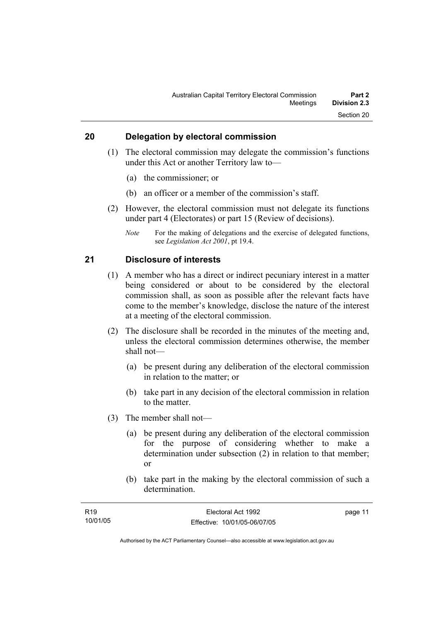### **20 Delegation by electoral commission**

- (1) The electoral commission may delegate the commission's functions under this Act or another Territory law to—
	- (a) the commissioner; or
	- (b) an officer or a member of the commission's staff.
- (2) However, the electoral commission must not delegate its functions under part 4 (Electorates) or part 15 (Review of decisions).
	- *Note* For the making of delegations and the exercise of delegated functions, see *Legislation Act 2001*, pt 19.4.

#### **21 Disclosure of interests**

- (1) A member who has a direct or indirect pecuniary interest in a matter being considered or about to be considered by the electoral commission shall, as soon as possible after the relevant facts have come to the member's knowledge, disclose the nature of the interest at a meeting of the electoral commission.
- (2) The disclosure shall be recorded in the minutes of the meeting and, unless the electoral commission determines otherwise, the member shall not—
	- (a) be present during any deliberation of the electoral commission in relation to the matter; or
	- (b) take part in any decision of the electoral commission in relation to the matter.
- (3) The member shall not—
	- (a) be present during any deliberation of the electoral commission for the purpose of considering whether to make a determination under subsection (2) in relation to that member; or
	- (b) take part in the making by the electoral commission of such a determination.

| R19      | Electoral Act 1992           | page 11 |
|----------|------------------------------|---------|
| 10/01/05 | Effective: 10/01/05-06/07/05 |         |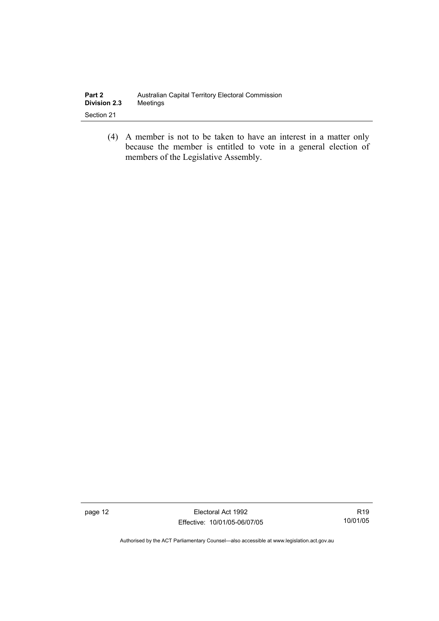| Part 2              | Australian Capital Territory Electoral Commission |
|---------------------|---------------------------------------------------|
| <b>Division 2.3</b> | Meetings                                          |
| Section 21          |                                                   |

 (4) A member is not to be taken to have an interest in a matter only because the member is entitled to vote in a general election of members of the Legislative Assembly.

page 12 **Electoral Act 1992** Effective: 10/01/05-06/07/05

R19 10/01/05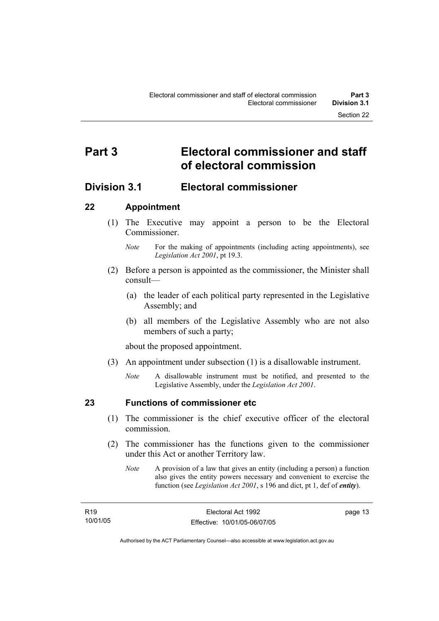## **Part 3 Electoral commissioner and staff of electoral commission**

### **Division 3.1 Electoral commissioner**

### **22 Appointment**

- (1) The Executive may appoint a person to be the Electoral **Commissioner** 
	- *Note* For the making of appointments (including acting appointments), see *Legislation Act 2001*, pt 19.3.
- (2) Before a person is appointed as the commissioner, the Minister shall consult—
	- (a) the leader of each political party represented in the Legislative Assembly; and
	- (b) all members of the Legislative Assembly who are not also members of such a party;

about the proposed appointment.

- (3) An appointment under subsection (1) is a disallowable instrument.
	- *Note* A disallowable instrument must be notified, and presented to the Legislative Assembly, under the *Legislation Act 2001*.

### **23 Functions of commissioner etc**

- (1) The commissioner is the chief executive officer of the electoral commission.
- (2) The commissioner has the functions given to the commissioner under this Act or another Territory law.
	- *Note* A provision of a law that gives an entity (including a person) a function also gives the entity powers necessary and convenient to exercise the function (see *Legislation Act 2001*, s 196 and dict, pt 1, def of *entity*).

| R19      |  |
|----------|--|
| 10/01/05 |  |

page 13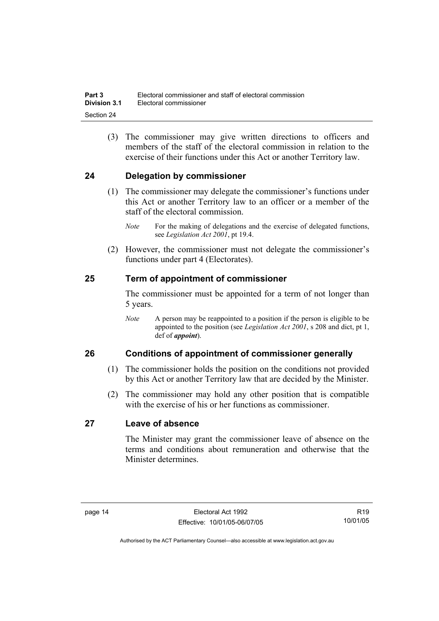(3) The commissioner may give written directions to officers and members of the staff of the electoral commission in relation to the exercise of their functions under this Act or another Territory law.

### **24 Delegation by commissioner**

- (1) The commissioner may delegate the commissioner's functions under this Act or another Territory law to an officer or a member of the staff of the electoral commission.
	- *Note* For the making of delegations and the exercise of delegated functions, see *Legislation Act 2001*, pt 19.4.
- (2) However, the commissioner must not delegate the commissioner's functions under part 4 (Electorates).

### **25 Term of appointment of commissioner**

The commissioner must be appointed for a term of not longer than 5 years.

*Note* A person may be reappointed to a position if the person is eligible to be appointed to the position (see *Legislation Act 2001*, s 208 and dict, pt 1, def of *appoint*).

### **26 Conditions of appointment of commissioner generally**

- (1) The commissioner holds the position on the conditions not provided by this Act or another Territory law that are decided by the Minister.
- (2) The commissioner may hold any other position that is compatible with the exercise of his or her functions as commissioner.

### **27 Leave of absence**

The Minister may grant the commissioner leave of absence on the terms and conditions about remuneration and otherwise that the Minister determines.

R19 10/01/05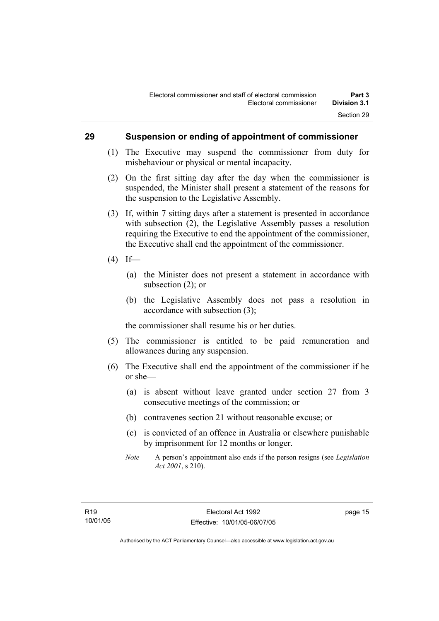### **29 Suspension or ending of appointment of commissioner**

- (1) The Executive may suspend the commissioner from duty for misbehaviour or physical or mental incapacity.
- (2) On the first sitting day after the day when the commissioner is suspended, the Minister shall present a statement of the reasons for the suspension to the Legislative Assembly.
- (3) If, within 7 sitting days after a statement is presented in accordance with subsection (2), the Legislative Assembly passes a resolution requiring the Executive to end the appointment of the commissioner, the Executive shall end the appointment of the commissioner.
- $(4)$  If—
	- (a) the Minister does not present a statement in accordance with subsection (2); or
	- (b) the Legislative Assembly does not pass a resolution in accordance with subsection (3);

the commissioner shall resume his or her duties.

- (5) The commissioner is entitled to be paid remuneration and allowances during any suspension.
- (6) The Executive shall end the appointment of the commissioner if he or she—
	- (a) is absent without leave granted under section 27 from 3 consecutive meetings of the commission; or
	- (b) contravenes section 21 without reasonable excuse; or
	- (c) is convicted of an offence in Australia or elsewhere punishable by imprisonment for 12 months or longer.
	- *Note* A person's appointment also ends if the person resigns (see *Legislation Act 2001*, s 210).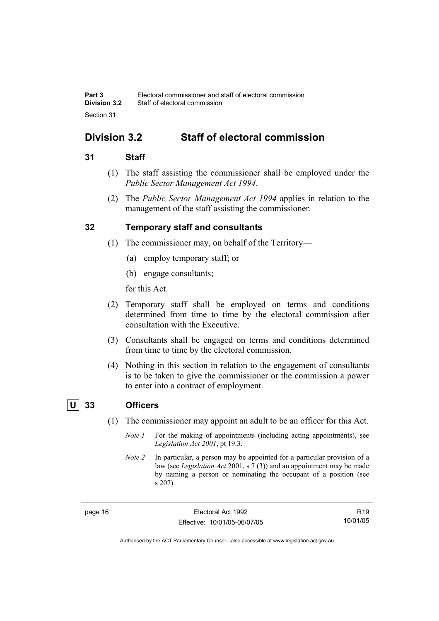## **Division 3.2 Staff of electoral commission**

### **31 Staff**

- (1) The staff assisting the commissioner shall be employed under the *Public Sector Management Act 1994*.
- (2) The *Public Sector Management Act 1994* applies in relation to the management of the staff assisting the commissioner.

### **32 Temporary staff and consultants**

- (1) The commissioner may, on behalf of the Territory—
	- (a) employ temporary staff; or
	- (b) engage consultants;

for this Act.

- (2) Temporary staff shall be employed on terms and conditions determined from time to time by the electoral commission after consultation with the Executive.
- (3) Consultants shall be engaged on terms and conditions determined from time to time by the electoral commission.
- (4) Nothing in this section in relation to the engagement of consultants is to be taken to give the commissioner or the commission a power to enter into a contract of employment.

### **U 33 Officers**

- (1) The commissioner may appoint an adult to be an officer for this Act.
	- *Note 1* For the making of appointments (including acting appointments), see *Legislation Act 2001*, pt 19.3.
	- *Note 2* In particular, a person may be appointed for a particular provision of a law (see *Legislation Act* 2001, s 7 (3)) and an appointment may be made by naming a person or nominating the occupant of a position (see s 207).

page 16 **Electoral Act 1992** Effective: 10/01/05-06/07/05

R19 10/01/05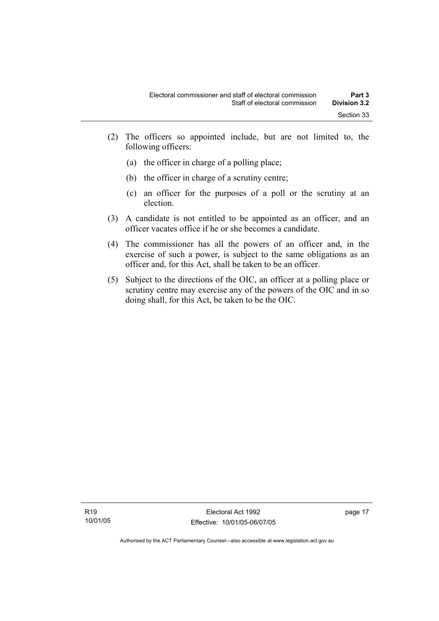- (2) The officers so appointed include, but are not limited to, the following officers:
	- (a) the officer in charge of a polling place;
	- (b) the officer in charge of a scrutiny centre;
	- (c) an officer for the purposes of a poll or the scrutiny at an election.
- (3) A candidate is not entitled to be appointed as an officer, and an officer vacates office if he or she becomes a candidate.
- (4) The commissioner has all the powers of an officer and, in the exercise of such a power, is subject to the same obligations as an officer and, for this Act, shall be taken to be an officer.
- (5) Subject to the directions of the OIC, an officer at a polling place or scrutiny centre may exercise any of the powers of the OIC and in so doing shall, for this Act, be taken to be the OIC.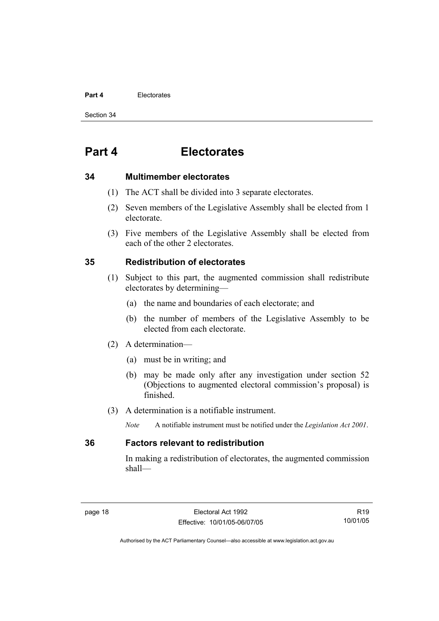#### **Part 4** Electorates

Section 34

## **Part 4 Electorates**

#### **34 Multimember electorates**

- (1) The ACT shall be divided into 3 separate electorates.
- (2) Seven members of the Legislative Assembly shall be elected from 1 electorate.
- (3) Five members of the Legislative Assembly shall be elected from each of the other 2 electorates.

### **35 Redistribution of electorates**

- (1) Subject to this part, the augmented commission shall redistribute electorates by determining—
	- (a) the name and boundaries of each electorate; and
	- (b) the number of members of the Legislative Assembly to be elected from each electorate.
- (2) A determination—
	- (a) must be in writing; and
	- (b) may be made only after any investigation under section 52 (Objections to augmented electoral commission's proposal) is finished.
- (3) A determination is a notifiable instrument.
	- *Note* A notifiable instrument must be notified under the *Legislation Act 2001*.

### **36 Factors relevant to redistribution**

In making a redistribution of electorates, the augmented commission shall—

R19 10/01/05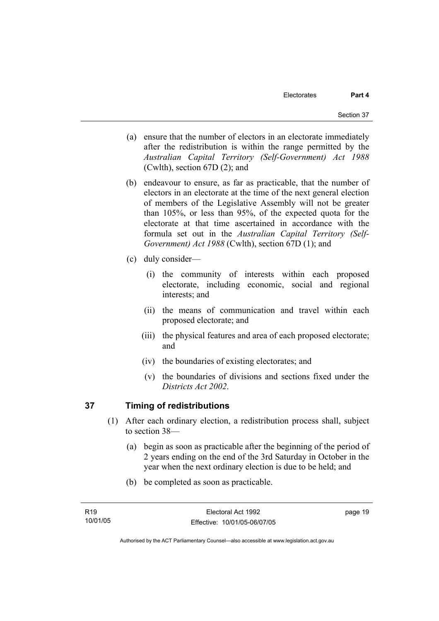- (a) ensure that the number of electors in an electorate immediately after the redistribution is within the range permitted by the *Australian Capital Territory (Self-Government) Act 1988*  (Cwlth), section 67D (2); and
- (b) endeavour to ensure, as far as practicable, that the number of electors in an electorate at the time of the next general election of members of the Legislative Assembly will not be greater than 105%, or less than 95%, of the expected quota for the electorate at that time ascertained in accordance with the formula set out in the *Australian Capital Territory (Self-Government) Act 1988* (Cwlth), section 67D (1); and
- (c) duly consider—
	- (i) the community of interests within each proposed electorate, including economic, social and regional interests; and
	- (ii) the means of communication and travel within each proposed electorate; and
	- (iii) the physical features and area of each proposed electorate; and
	- (iv) the boundaries of existing electorates; and
	- (v) the boundaries of divisions and sections fixed under the *Districts Act 2002*.

### **37 Timing of redistributions**

- (1) After each ordinary election, a redistribution process shall, subject to section 38—
	- (a) begin as soon as practicable after the beginning of the period of 2 years ending on the end of the 3rd Saturday in October in the year when the next ordinary election is due to be held; and
	- (b) be completed as soon as practicable.

page 19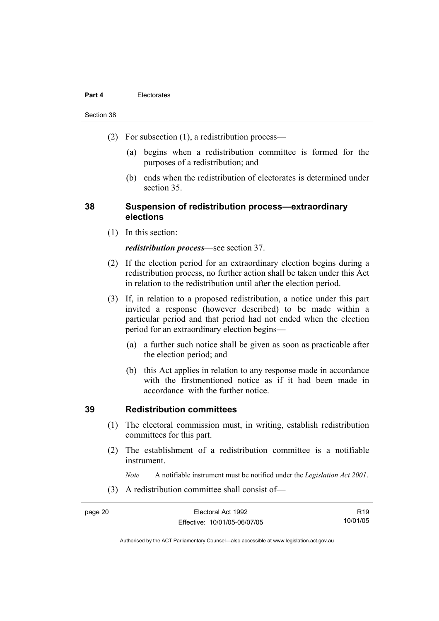#### **Part 4** Electorates

#### Section 38

- (2) For subsection (1), a redistribution process—
	- (a) begins when a redistribution committee is formed for the purposes of a redistribution; and
	- (b) ends when the redistribution of electorates is determined under section 35.

### **38 Suspension of redistribution process—extraordinary elections**

(1) In this section:

#### *redistribution process*—see section 37.

- (2) If the election period for an extraordinary election begins during a redistribution process, no further action shall be taken under this Act in relation to the redistribution until after the election period.
- (3) If, in relation to a proposed redistribution, a notice under this part invited a response (however described) to be made within a particular period and that period had not ended when the election period for an extraordinary election begins—
	- (a) a further such notice shall be given as soon as practicable after the election period; and
	- (b) this Act applies in relation to any response made in accordance with the firstmentioned notice as if it had been made in accordance with the further notice.

### **39 Redistribution committees**

- (1) The electoral commission must, in writing, establish redistribution committees for this part.
- (2) The establishment of a redistribution committee is a notifiable instrument.

*Note* A notifiable instrument must be notified under the *Legislation Act 2001*.

(3) A redistribution committee shall consist of—

page 20 **Electoral Act 1992** Effective: 10/01/05-06/07/05 R19 10/01/05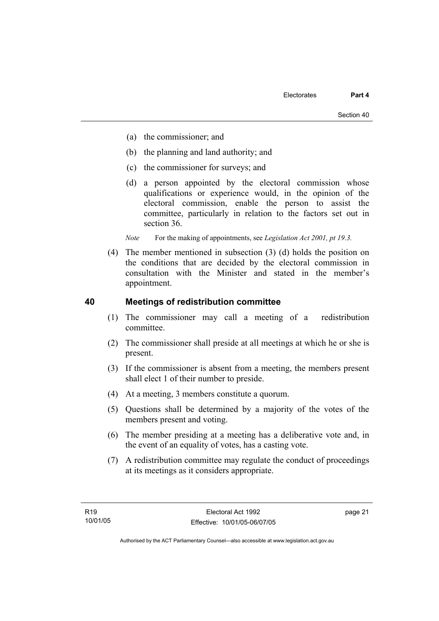- (a) the commissioner; and
- (b) the planning and land authority; and
- (c) the commissioner for surveys; and
- (d) a person appointed by the electoral commission whose qualifications or experience would, in the opinion of the electoral commission, enable the person to assist the committee, particularly in relation to the factors set out in section 36.

*Note* For the making of appointments, see *Legislation Act 2001*, pt 19.3.

 (4) The member mentioned in subsection (3) (d) holds the position on the conditions that are decided by the electoral commission in consultation with the Minister and stated in the member's appointment.

### **40 Meetings of redistribution committee**

- (1) The commissioner may call a meeting of a redistribution committee.
- (2) The commissioner shall preside at all meetings at which he or she is present.
- (3) If the commissioner is absent from a meeting, the members present shall elect 1 of their number to preside.
- (4) At a meeting, 3 members constitute a quorum.
- (5) Questions shall be determined by a majority of the votes of the members present and voting.
- (6) The member presiding at a meeting has a deliberative vote and, in the event of an equality of votes, has a casting vote.
- (7) A redistribution committee may regulate the conduct of proceedings at its meetings as it considers appropriate.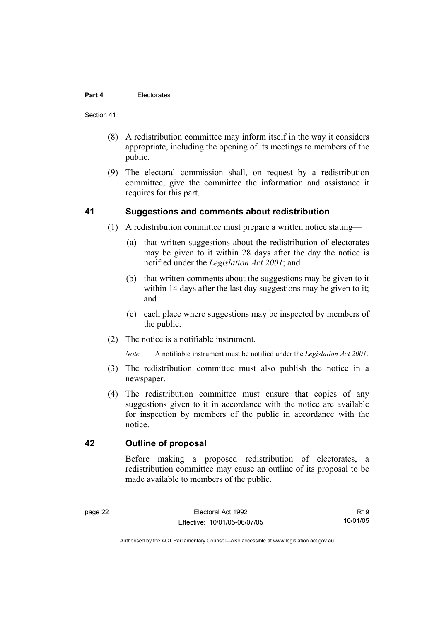#### **Part 4** Electorates

#### Section 41

- (8) A redistribution committee may inform itself in the way it considers appropriate, including the opening of its meetings to members of the public.
- (9) The electoral commission shall, on request by a redistribution committee, give the committee the information and assistance it requires for this part.

#### **41 Suggestions and comments about redistribution**

- (1) A redistribution committee must prepare a written notice stating—
	- (a) that written suggestions about the redistribution of electorates may be given to it within 28 days after the day the notice is notified under the *Legislation Act 2001*; and
	- (b) that written comments about the suggestions may be given to it within 14 days after the last day suggestions may be given to it; and
	- (c) each place where suggestions may be inspected by members of the public.
- (2) The notice is a notifiable instrument.

*Note* A notifiable instrument must be notified under the *Legislation Act 2001*.

- (3) The redistribution committee must also publish the notice in a newspaper.
- (4) The redistribution committee must ensure that copies of any suggestions given to it in accordance with the notice are available for inspection by members of the public in accordance with the notice.

### **42 Outline of proposal**

Before making a proposed redistribution of electorates, a redistribution committee may cause an outline of its proposal to be made available to members of the public.

R19 10/01/05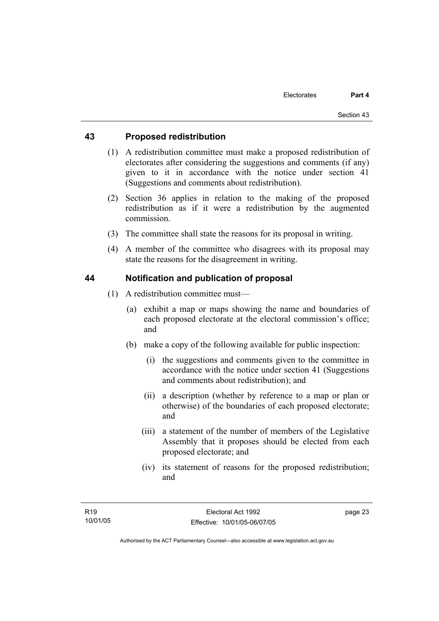### **43 Proposed redistribution**

- (1) A redistribution committee must make a proposed redistribution of electorates after considering the suggestions and comments (if any) given to it in accordance with the notice under section 41 (Suggestions and comments about redistribution).
- (2) Section 36 applies in relation to the making of the proposed redistribution as if it were a redistribution by the augmented commission.
- (3) The committee shall state the reasons for its proposal in writing.
- (4) A member of the committee who disagrees with its proposal may state the reasons for the disagreement in writing.

### **44 Notification and publication of proposal**

- (1) A redistribution committee must—
	- (a) exhibit a map or maps showing the name and boundaries of each proposed electorate at the electoral commission's office; and
	- (b) make a copy of the following available for public inspection:
		- (i) the suggestions and comments given to the committee in accordance with the notice under section 41 (Suggestions and comments about redistribution); and
		- (ii) a description (whether by reference to a map or plan or otherwise) of the boundaries of each proposed electorate; and
		- (iii) a statement of the number of members of the Legislative Assembly that it proposes should be elected from each proposed electorate; and
		- (iv) its statement of reasons for the proposed redistribution; and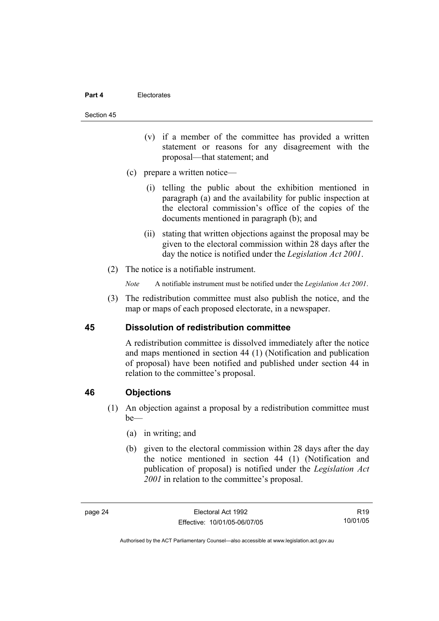#### **Part 4** Electorates

#### Section 45

- (v) if a member of the committee has provided a written statement or reasons for any disagreement with the proposal—that statement; and
- (c) prepare a written notice—
	- (i) telling the public about the exhibition mentioned in paragraph (a) and the availability for public inspection at the electoral commission's office of the copies of the documents mentioned in paragraph (b); and
	- (ii) stating that written objections against the proposal may be given to the electoral commission within 28 days after the day the notice is notified under the *Legislation Act 2001*.
- (2) The notice is a notifiable instrument.
	- *Note* A notifiable instrument must be notified under the *Legislation Act 2001*.
- (3) The redistribution committee must also publish the notice, and the map or maps of each proposed electorate, in a newspaper.

### **45 Dissolution of redistribution committee**

A redistribution committee is dissolved immediately after the notice and maps mentioned in section 44 (1) (Notification and publication of proposal) have been notified and published under section 44 in relation to the committee's proposal.

### **46 Objections**

- (1) An objection against a proposal by a redistribution committee must  $be$ —
	- (a) in writing; and
	- (b) given to the electoral commission within 28 days after the day the notice mentioned in section 44 (1) (Notification and publication of proposal) is notified under the *Legislation Act 2001* in relation to the committee's proposal.

R19 10/01/05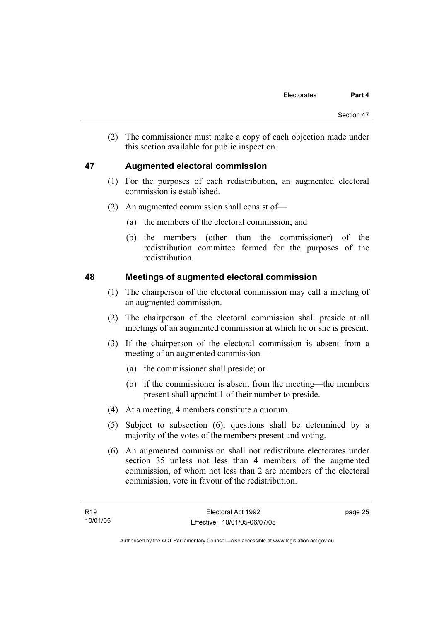(2) The commissioner must make a copy of each objection made under this section available for public inspection.

### **47 Augmented electoral commission**

- (1) For the purposes of each redistribution, an augmented electoral commission is established.
- (2) An augmented commission shall consist of—
	- (a) the members of the electoral commission; and
	- (b) the members (other than the commissioner) of the redistribution committee formed for the purposes of the redistribution.

### **48 Meetings of augmented electoral commission**

- (1) The chairperson of the electoral commission may call a meeting of an augmented commission.
- (2) The chairperson of the electoral commission shall preside at all meetings of an augmented commission at which he or she is present.
- (3) If the chairperson of the electoral commission is absent from a meeting of an augmented commission—
	- (a) the commissioner shall preside; or
	- (b) if the commissioner is absent from the meeting—the members present shall appoint 1 of their number to preside.
- (4) At a meeting, 4 members constitute a quorum.
- (5) Subject to subsection (6), questions shall be determined by a majority of the votes of the members present and voting.
- (6) An augmented commission shall not redistribute electorates under section 35 unless not less than 4 members of the augmented commission, of whom not less than 2 are members of the electoral commission, vote in favour of the redistribution.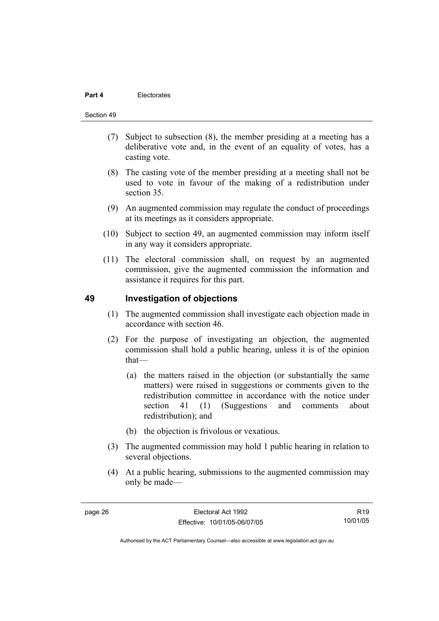#### Section 49

- (7) Subject to subsection (8), the member presiding at a meeting has a deliberative vote and, in the event of an equality of votes, has a casting vote.
- (8) The casting vote of the member presiding at a meeting shall not be used to vote in favour of the making of a redistribution under section 35.
- (9) An augmented commission may regulate the conduct of proceedings at its meetings as it considers appropriate.
- (10) Subject to section 49, an augmented commission may inform itself in any way it considers appropriate.
- (11) The electoral commission shall, on request by an augmented commission, give the augmented commission the information and assistance it requires for this part.

#### **49 Investigation of objections**

- (1) The augmented commission shall investigate each objection made in accordance with section 46.
- (2) For the purpose of investigating an objection, the augmented commission shall hold a public hearing, unless it is of the opinion that—
	- (a) the matters raised in the objection (or substantially the same matters) were raised in suggestions or comments given to the redistribution committee in accordance with the notice under section 41 (1) (Suggestions and comments about redistribution); and
	- (b) the objection is frivolous or vexatious.
- (3) The augmented commission may hold 1 public hearing in relation to several objections.
- (4) At a public hearing, submissions to the augmented commission may only be made—

R19 10/01/05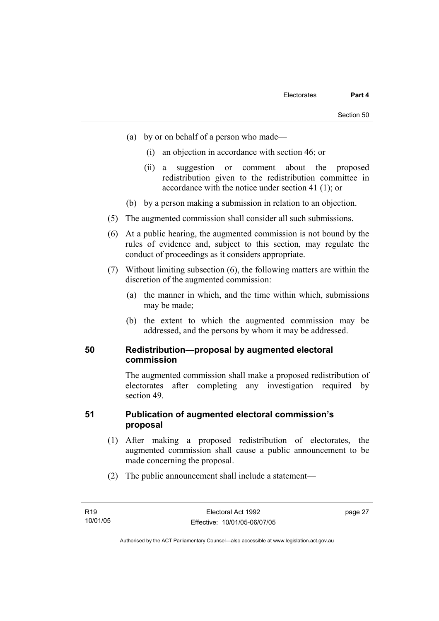- (a) by or on behalf of a person who made—
	- (i) an objection in accordance with section 46; or
	- (ii) a suggestion or comment about the proposed redistribution given to the redistribution committee in accordance with the notice under section 41 (1); or
- (b) by a person making a submission in relation to an objection.
- (5) The augmented commission shall consider all such submissions.
- (6) At a public hearing, the augmented commission is not bound by the rules of evidence and, subject to this section, may regulate the conduct of proceedings as it considers appropriate.
- (7) Without limiting subsection (6), the following matters are within the discretion of the augmented commission:
	- (a) the manner in which, and the time within which, submissions may be made;
	- (b) the extent to which the augmented commission may be addressed, and the persons by whom it may be addressed.

#### **50 Redistribution—proposal by augmented electoral commission**

The augmented commission shall make a proposed redistribution of electorates after completing any investigation required by section 49.

### **51 Publication of augmented electoral commission's proposal**

- (1) After making a proposed redistribution of electorates, the augmented commission shall cause a public announcement to be made concerning the proposal.
- (2) The public announcement shall include a statement—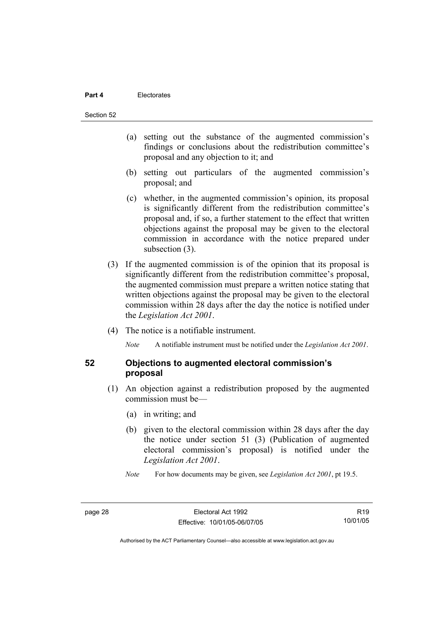#### **Part 4** Electorates

Section 52

- (a) setting out the substance of the augmented commission's findings or conclusions about the redistribution committee's proposal and any objection to it; and
- (b) setting out particulars of the augmented commission's proposal; and
- (c) whether, in the augmented commission's opinion, its proposal is significantly different from the redistribution committee's proposal and, if so, a further statement to the effect that written objections against the proposal may be given to the electoral commission in accordance with the notice prepared under subsection  $(3)$ .
- (3) If the augmented commission is of the opinion that its proposal is significantly different from the redistribution committee's proposal, the augmented commission must prepare a written notice stating that written objections against the proposal may be given to the electoral commission within 28 days after the day the notice is notified under the *Legislation Act 2001*.
- (4) The notice is a notifiable instrument.

*Note* A notifiable instrument must be notified under the *Legislation Act 2001*.

#### **52 Objections to augmented electoral commission's proposal**

- (1) An objection against a redistribution proposed by the augmented commission must be—
	- (a) in writing; and
	- (b) given to the electoral commission within 28 days after the day the notice under section 51 (3) (Publication of augmented electoral commission's proposal) is notified under the *Legislation Act 2001*.
	- *Note* For how documents may be given, see *Legislation Act 2001*, pt 19.5.

R19 10/01/05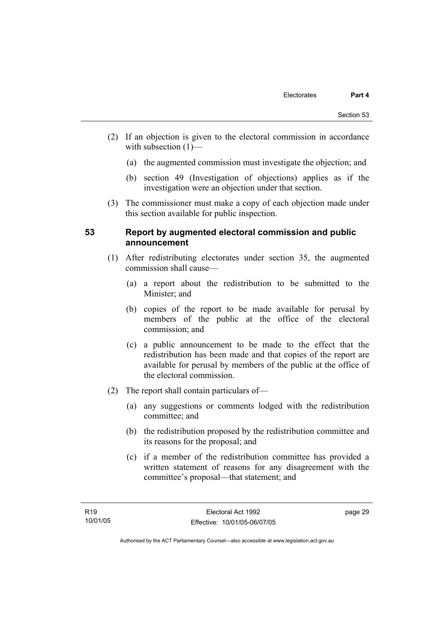- (2) If an objection is given to the electoral commission in accordance with subsection (1)—
	- (a) the augmented commission must investigate the objection; and
	- (b) section 49 (Investigation of objections) applies as if the investigation were an objection under that section.
- (3) The commissioner must make a copy of each objection made under this section available for public inspection.

#### **53 Report by augmented electoral commission and public announcement**

- (1) After redistributing electorates under section 35, the augmented commission shall cause—
	- (a) a report about the redistribution to be submitted to the Minister; and
	- (b) copies of the report to be made available for perusal by members of the public at the office of the electoral commission; and
	- (c) a public announcement to be made to the effect that the redistribution has been made and that copies of the report are available for perusal by members of the public at the office of the electoral commission.
- (2) The report shall contain particulars of—
	- (a) any suggestions or comments lodged with the redistribution committee; and
	- (b) the redistribution proposed by the redistribution committee and its reasons for the proposal; and
	- (c) if a member of the redistribution committee has provided a written statement of reasons for any disagreement with the committee's proposal—that statement; and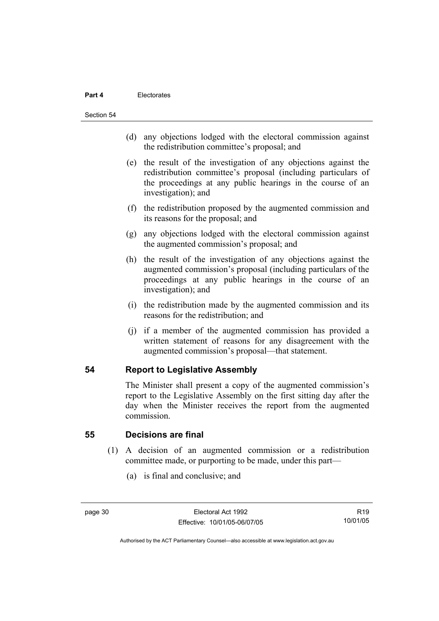#### **Part 4** Electorates

Section 54

- (d) any objections lodged with the electoral commission against the redistribution committee's proposal; and
- (e) the result of the investigation of any objections against the redistribution committee's proposal (including particulars of the proceedings at any public hearings in the course of an investigation); and
- (f) the redistribution proposed by the augmented commission and its reasons for the proposal; and
- (g) any objections lodged with the electoral commission against the augmented commission's proposal; and
- (h) the result of the investigation of any objections against the augmented commission's proposal (including particulars of the proceedings at any public hearings in the course of an investigation); and
- (i) the redistribution made by the augmented commission and its reasons for the redistribution; and
- (j) if a member of the augmented commission has provided a written statement of reasons for any disagreement with the augmented commission's proposal—that statement.

#### **54 Report to Legislative Assembly**

The Minister shall present a copy of the augmented commission's report to the Legislative Assembly on the first sitting day after the day when the Minister receives the report from the augmented commission.

#### **55 Decisions are final**

- (1) A decision of an augmented commission or a redistribution committee made, or purporting to be made, under this part—
	- (a) is final and conclusive; and

R19 10/01/05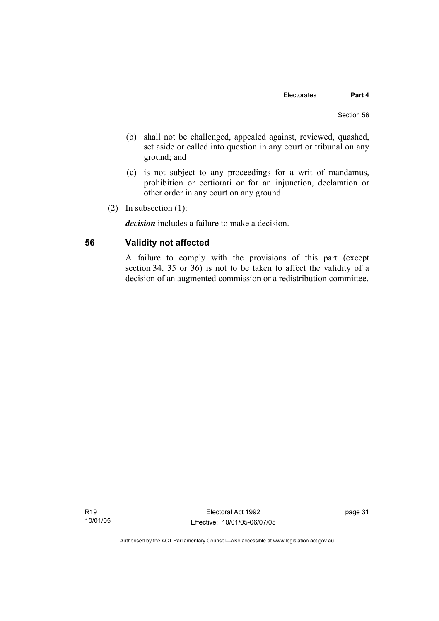- (b) shall not be challenged, appealed against, reviewed, quashed, set aside or called into question in any court or tribunal on any ground; and
- (c) is not subject to any proceedings for a writ of mandamus, prohibition or certiorari or for an injunction, declaration or other order in any court on any ground.
- (2) In subsection (1):

*decision* includes a failure to make a decision.

### **56 Validity not affected**

A failure to comply with the provisions of this part (except section 34, 35 or 36) is not to be taken to affect the validity of a decision of an augmented commission or a redistribution committee.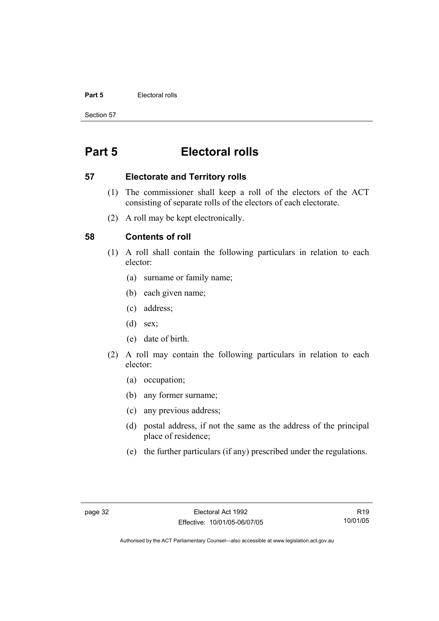#### **Part 5 Electoral rolls**

Section 57

# **Part 5 Electoral rolls**

### **57 Electorate and Territory rolls**

- (1) The commissioner shall keep a roll of the electors of the ACT consisting of separate rolls of the electors of each electorate.
- (2) A roll may be kept electronically.

### **58 Contents of roll**

- (1) A roll shall contain the following particulars in relation to each elector:
	- (a) surname or family name;
	- (b) each given name;
	- (c) address;
	- (d) sex;
	- (e) date of birth.
- (2) A roll may contain the following particulars in relation to each elector:
	- (a) occupation;
	- (b) any former surname;
	- (c) any previous address;
	- (d) postal address, if not the same as the address of the principal place of residence;
	- (e) the further particulars (if any) prescribed under the regulations.

R19 10/01/05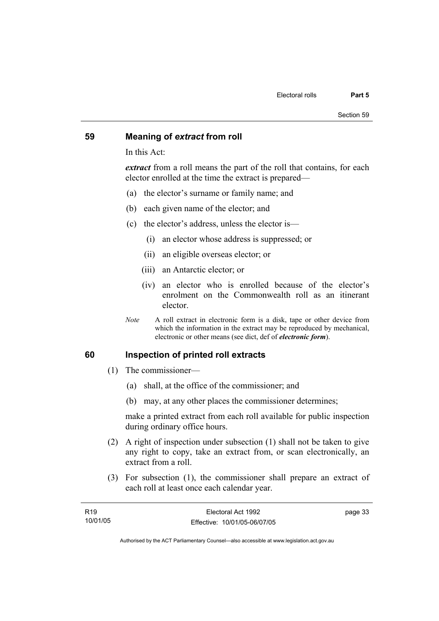#### **59 Meaning of** *extract* **from roll**

In this Act:

*extract* from a roll means the part of the roll that contains, for each elector enrolled at the time the extract is prepared—

- (a) the elector's surname or family name; and
- (b) each given name of the elector; and
- (c) the elector's address, unless the elector is—
	- (i) an elector whose address is suppressed; or
	- (ii) an eligible overseas elector; or
	- (iii) an Antarctic elector; or
	- (iv) an elector who is enrolled because of the elector's enrolment on the Commonwealth roll as an itinerant elector.
- *Note* A roll extract in electronic form is a disk, tape or other device from which the information in the extract may be reproduced by mechanical, electronic or other means (see dict, def of *electronic form*).

#### **60 Inspection of printed roll extracts**

- (1) The commissioner—
	- (a) shall, at the office of the commissioner; and
	- (b) may, at any other places the commissioner determines;

make a printed extract from each roll available for public inspection during ordinary office hours.

- (2) A right of inspection under subsection (1) shall not be taken to give any right to copy, take an extract from, or scan electronically, an extract from a roll.
- (3) For subsection (1), the commissioner shall prepare an extract of each roll at least once each calendar year.

| R <sub>19</sub> | Electoral Act 1992           | page 33 |
|-----------------|------------------------------|---------|
| 10/01/05        | Effective: 10/01/05-06/07/05 |         |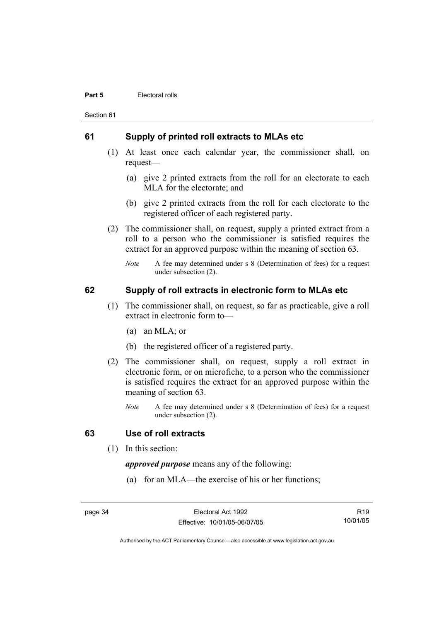#### **Part 5 Electoral rolls**

Section 61

### **61 Supply of printed roll extracts to MLAs etc**

- (1) At least once each calendar year, the commissioner shall, on request—
	- (a) give 2 printed extracts from the roll for an electorate to each MLA for the electorate; and
	- (b) give 2 printed extracts from the roll for each electorate to the registered officer of each registered party.
- (2) The commissioner shall, on request, supply a printed extract from a roll to a person who the commissioner is satisfied requires the extract for an approved purpose within the meaning of section 63.
	- *Note* A fee may determined under s 8 (Determination of fees) for a request under subsection (2).

### **62 Supply of roll extracts in electronic form to MLAs etc**

- (1) The commissioner shall, on request, so far as practicable, give a roll extract in electronic form to—
	- (a) an MLA; or
	- (b) the registered officer of a registered party.
- (2) The commissioner shall, on request, supply a roll extract in electronic form, or on microfiche, to a person who the commissioner is satisfied requires the extract for an approved purpose within the meaning of section 63.
	- *Note* A fee may determined under s 8 (Determination of fees) for a request under subsection (2).

#### **63 Use of roll extracts**

(1) In this section:

*approved purpose* means any of the following:

(a) for an MLA—the exercise of his or her functions;

page 34 Electoral Act 1992 Effective: 10/01/05-06/07/05

R19 10/01/05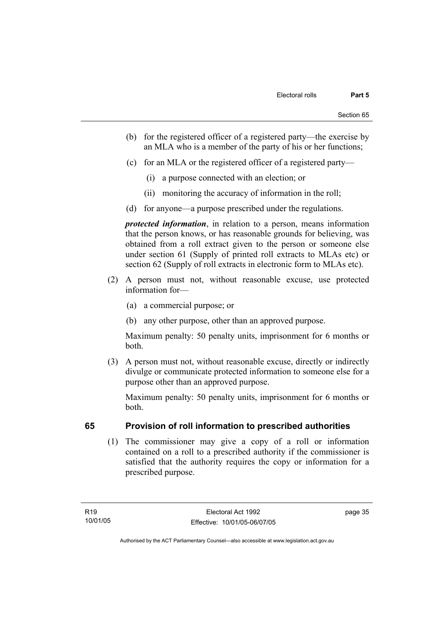- (b) for the registered officer of a registered party—the exercise by an MLA who is a member of the party of his or her functions;
- (c) for an MLA or the registered officer of a registered party—
	- (i) a purpose connected with an election; or
	- (ii) monitoring the accuracy of information in the roll;
- (d) for anyone—a purpose prescribed under the regulations.

*protected information*, in relation to a person, means information that the person knows, or has reasonable grounds for believing, was obtained from a roll extract given to the person or someone else under section 61 (Supply of printed roll extracts to MLAs etc) or section 62 (Supply of roll extracts in electronic form to MLAs etc).

- (2) A person must not, without reasonable excuse, use protected information for—
	- (a) a commercial purpose; or
	- (b) any other purpose, other than an approved purpose.

Maximum penalty: 50 penalty units, imprisonment for 6 months or both.

 (3) A person must not, without reasonable excuse, directly or indirectly divulge or communicate protected information to someone else for a purpose other than an approved purpose.

Maximum penalty: 50 penalty units, imprisonment for 6 months or both.

### **65 Provision of roll information to prescribed authorities**

 (1) The commissioner may give a copy of a roll or information contained on a roll to a prescribed authority if the commissioner is satisfied that the authority requires the copy or information for a prescribed purpose.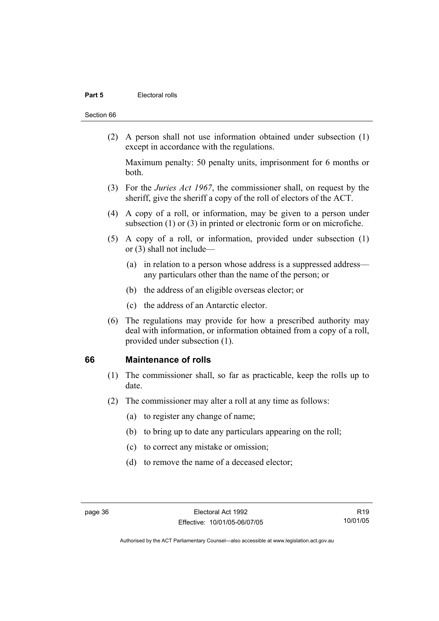#### **Part 5 Electoral rolls**

#### Section 66

 (2) A person shall not use information obtained under subsection (1) except in accordance with the regulations.

Maximum penalty: 50 penalty units, imprisonment for 6 months or both.

- (3) For the *Juries Act 1967*, the commissioner shall, on request by the sheriff, give the sheriff a copy of the roll of electors of the ACT.
- (4) A copy of a roll, or information, may be given to a person under subsection (1) or (3) in printed or electronic form or on microfiche.
- (5) A copy of a roll, or information, provided under subsection (1) or (3) shall not include—
	- (a) in relation to a person whose address is a suppressed address any particulars other than the name of the person; or
	- (b) the address of an eligible overseas elector; or
	- (c) the address of an Antarctic elector.
- (6) The regulations may provide for how a prescribed authority may deal with information, or information obtained from a copy of a roll, provided under subsection (1).

#### **66 Maintenance of rolls**

- (1) The commissioner shall, so far as practicable, keep the rolls up to date.
- (2) The commissioner may alter a roll at any time as follows:
	- (a) to register any change of name;
	- (b) to bring up to date any particulars appearing on the roll;
	- (c) to correct any mistake or omission;
	- (d) to remove the name of a deceased elector;

R19 10/01/05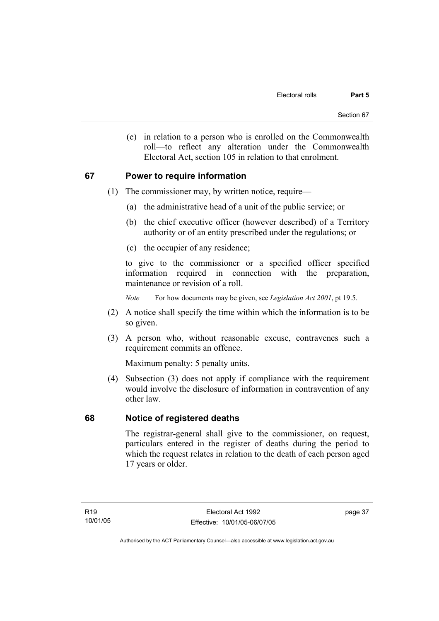(e) in relation to a person who is enrolled on the Commonwealth roll—to reflect any alteration under the Commonwealth Electoral Act, section 105 in relation to that enrolment.

### **67 Power to require information**

- (1) The commissioner may, by written notice, require—
	- (a) the administrative head of a unit of the public service; or
	- (b) the chief executive officer (however described) of a Territory authority or of an entity prescribed under the regulations; or
	- (c) the occupier of any residence;

to give to the commissioner or a specified officer specified information required in connection with the preparation, maintenance or revision of a roll.

*Note* For how documents may be given, see *Legislation Act 2001*, pt 19.5.

- (2) A notice shall specify the time within which the information is to be so given.
- (3) A person who, without reasonable excuse, contravenes such a requirement commits an offence.

Maximum penalty: 5 penalty units.

 (4) Subsection (3) does not apply if compliance with the requirement would involve the disclosure of information in contravention of any other law.

### **68 Notice of registered deaths**

The registrar-general shall give to the commissioner, on request, particulars entered in the register of deaths during the period to which the request relates in relation to the death of each person aged 17 years or older.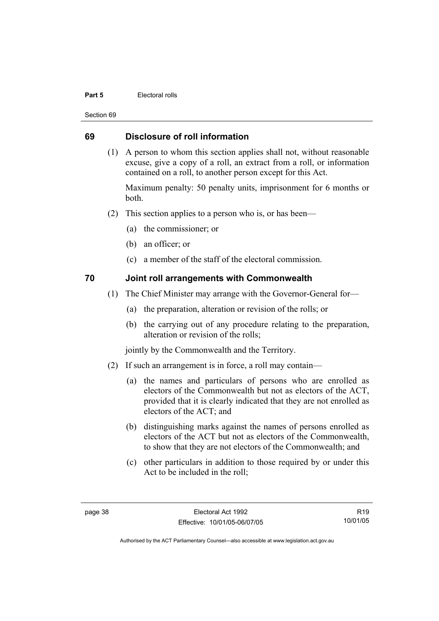#### **Part 5 Electoral rolls**

Section 69

### **69 Disclosure of roll information**

 (1) A person to whom this section applies shall not, without reasonable excuse, give a copy of a roll, an extract from a roll, or information contained on a roll, to another person except for this Act.

Maximum penalty: 50 penalty units, imprisonment for 6 months or both.

- (2) This section applies to a person who is, or has been—
	- (a) the commissioner; or
	- (b) an officer; or
	- (c) a member of the staff of the electoral commission.

### **70 Joint roll arrangements with Commonwealth**

- (1) The Chief Minister may arrange with the Governor-General for—
	- (a) the preparation, alteration or revision of the rolls; or
	- (b) the carrying out of any procedure relating to the preparation, alteration or revision of the rolls;

jointly by the Commonwealth and the Territory.

- (2) If such an arrangement is in force, a roll may contain—
	- (a) the names and particulars of persons who are enrolled as electors of the Commonwealth but not as electors of the ACT, provided that it is clearly indicated that they are not enrolled as electors of the ACT; and
	- (b) distinguishing marks against the names of persons enrolled as electors of the ACT but not as electors of the Commonwealth, to show that they are not electors of the Commonwealth; and
	- (c) other particulars in addition to those required by or under this Act to be included in the roll;

R19 10/01/05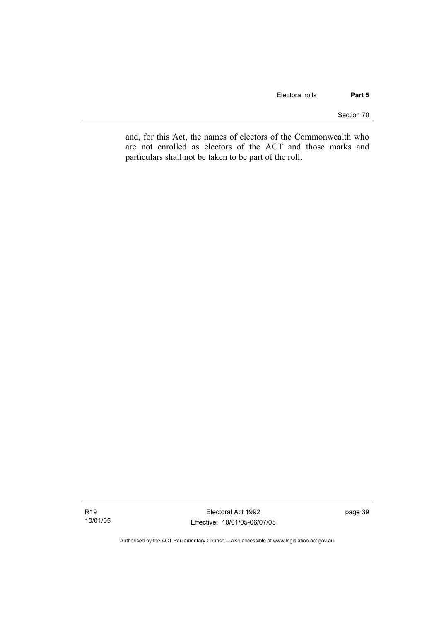Section 70

and, for this Act, the names of electors of the Commonwealth who are not enrolled as electors of the ACT and those marks and particulars shall not be taken to be part of the roll.

Electoral Act 1992 Effective: 10/01/05-06/07/05 page 39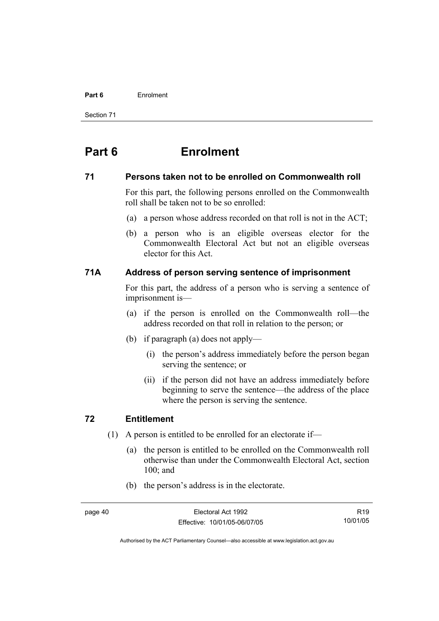#### **Part 6** Enrolment

Section 71

# **Part 6 Enrolment**

#### **71 Persons taken not to be enrolled on Commonwealth roll**

For this part, the following persons enrolled on the Commonwealth roll shall be taken not to be so enrolled:

- (a) a person whose address recorded on that roll is not in the ACT;
- (b) a person who is an eligible overseas elector for the Commonwealth Electoral Act but not an eligible overseas elector for this Act.

### **71A Address of person serving sentence of imprisonment**

For this part, the address of a person who is serving a sentence of imprisonment is—

- (a) if the person is enrolled on the Commonwealth roll—the address recorded on that roll in relation to the person; or
- (b) if paragraph (a) does not apply—
	- (i) the person's address immediately before the person began serving the sentence; or
	- (ii) if the person did not have an address immediately before beginning to serve the sentence—the address of the place where the person is serving the sentence.

### **72 Entitlement**

- (1) A person is entitled to be enrolled for an electorate if—
	- (a) the person is entitled to be enrolled on the Commonwealth roll otherwise than under the Commonwealth Electoral Act, section 100; and
	- (b) the person's address is in the electorate.

R19 10/01/05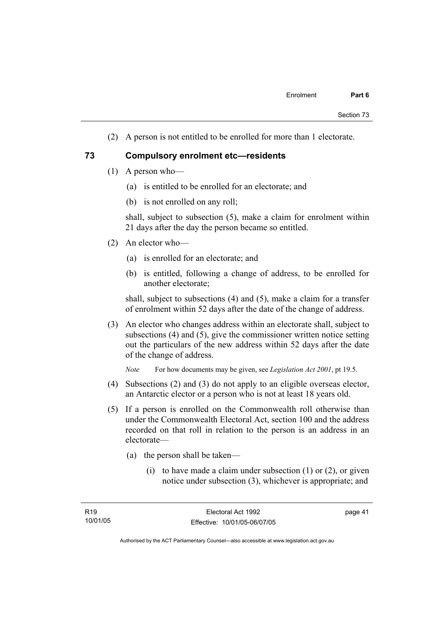(2) A person is not entitled to be enrolled for more than 1 electorate.

#### **73 Compulsory enrolment etc—residents**

- (1) A person who—
	- (a) is entitled to be enrolled for an electorate; and
	- (b) is not enrolled on any roll;

shall, subject to subsection (5), make a claim for enrolment within 21 days after the day the person became so entitled.

- (2) An elector who—
	- (a) is enrolled for an electorate; and
	- (b) is entitled, following a change of address, to be enrolled for another electorate;

shall, subject to subsections (4) and (5), make a claim for a transfer of enrolment within 52 days after the date of the change of address.

 (3) An elector who changes address within an electorate shall, subject to subsections (4) and (5), give the commissioner written notice setting out the particulars of the new address within 52 days after the date of the change of address.

*Note* For how documents may be given, see *Legislation Act 2001*, pt 19.5.

- (4) Subsections (2) and (3) do not apply to an eligible overseas elector, an Antarctic elector or a person who is not at least 18 years old.
- (5) If a person is enrolled on the Commonwealth roll otherwise than under the Commonwealth Electoral Act, section 100 and the address recorded on that roll in relation to the person is an address in an electorate—
	- (a) the person shall be taken—
		- (i) to have made a claim under subsection  $(1)$  or  $(2)$ , or given notice under subsection (3), whichever is appropriate; and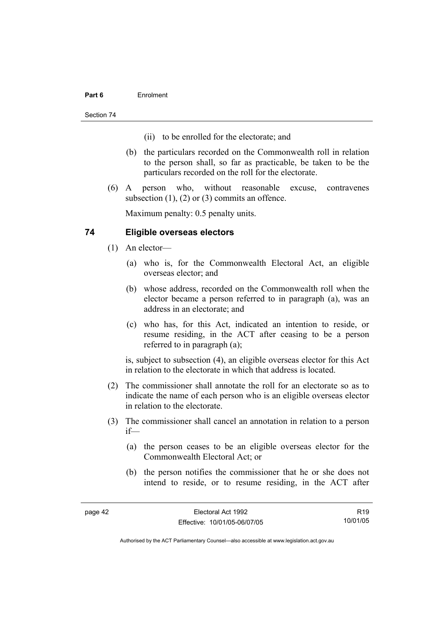#### **Part 6** Enrolment

Section 74

- (ii) to be enrolled for the electorate; and
- (b) the particulars recorded on the Commonwealth roll in relation to the person shall, so far as practicable, be taken to be the particulars recorded on the roll for the electorate.
- (6) A person who, without reasonable excuse, contravenes subsection (1), (2) or (3) commits an offence.

Maximum penalty: 0.5 penalty units.

### **74 Eligible overseas electors**

- (1) An elector—
	- (a) who is, for the Commonwealth Electoral Act, an eligible overseas elector; and
	- (b) whose address, recorded on the Commonwealth roll when the elector became a person referred to in paragraph (a), was an address in an electorate; and
	- (c) who has, for this Act, indicated an intention to reside, or resume residing, in the ACT after ceasing to be a person referred to in paragraph (a);

is, subject to subsection (4), an eligible overseas elector for this Act in relation to the electorate in which that address is located.

- (2) The commissioner shall annotate the roll for an electorate so as to indicate the name of each person who is an eligible overseas elector in relation to the electorate.
- (3) The commissioner shall cancel an annotation in relation to a person if—
	- (a) the person ceases to be an eligible overseas elector for the Commonwealth Electoral Act; or
	- (b) the person notifies the commissioner that he or she does not intend to reside, or to resume residing, in the ACT after

R19 10/01/05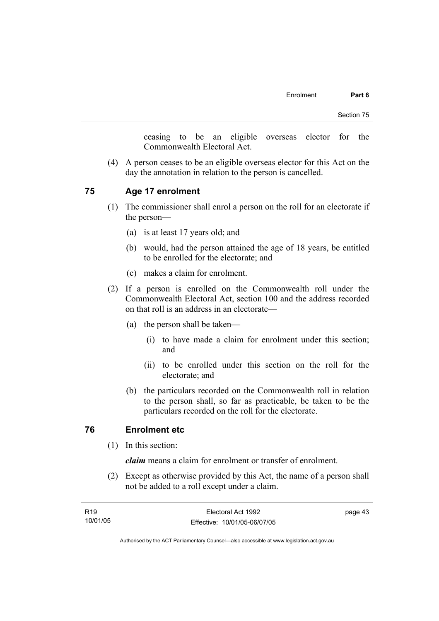ceasing to be an eligible overseas elector for the Commonwealth Electoral Act.

 (4) A person ceases to be an eligible overseas elector for this Act on the day the annotation in relation to the person is cancelled.

### **75 Age 17 enrolment**

- (1) The commissioner shall enrol a person on the roll for an electorate if the person—
	- (a) is at least 17 years old; and
	- (b) would, had the person attained the age of 18 years, be entitled to be enrolled for the electorate; and
	- (c) makes a claim for enrolment.
- (2) If a person is enrolled on the Commonwealth roll under the Commonwealth Electoral Act, section 100 and the address recorded on that roll is an address in an electorate—
	- (a) the person shall be taken—
		- (i) to have made a claim for enrolment under this section; and
		- (ii) to be enrolled under this section on the roll for the electorate; and
	- (b) the particulars recorded on the Commonwealth roll in relation to the person shall, so far as practicable, be taken to be the particulars recorded on the roll for the electorate.

### **76 Enrolment etc**

(1) In this section:

*claim* means a claim for enrolment or transfer of enrolment.

 (2) Except as otherwise provided by this Act, the name of a person shall not be added to a roll except under a claim.

| R19      | Electoral Act 1992           | page 43 |
|----------|------------------------------|---------|
| 10/01/05 | Effective: 10/01/05-06/07/05 |         |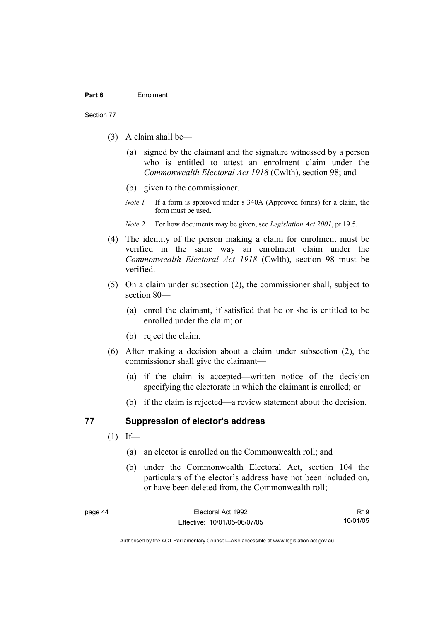#### Section 77

- (3) A claim shall be—
	- (a) signed by the claimant and the signature witnessed by a person who is entitled to attest an enrolment claim under the *Commonwealth Electoral Act 1918* (Cwlth), section 98; and
	- (b) given to the commissioner.
	- *Note 1* If a form is approved under s 340A (Approved forms) for a claim, the form must be used.
	- *Note 2* For how documents may be given, see *Legislation Act 2001*, pt 19.5.
- (4) The identity of the person making a claim for enrolment must be verified in the same way an enrolment claim under the *Commonwealth Electoral Act 1918* (Cwlth), section 98 must be verified.
- (5) On a claim under subsection (2), the commissioner shall, subject to section 80—
	- (a) enrol the claimant, if satisfied that he or she is entitled to be enrolled under the claim; or
	- (b) reject the claim.
- (6) After making a decision about a claim under subsection (2), the commissioner shall give the claimant—
	- (a) if the claim is accepted—written notice of the decision specifying the electorate in which the claimant is enrolled; or
	- (b) if the claim is rejected—a review statement about the decision.

#### **77 Suppression of elector's address**

- $(1)$  If—
	- (a) an elector is enrolled on the Commonwealth roll; and
	- (b) under the Commonwealth Electoral Act, section 104 the particulars of the elector's address have not been included on, or have been deleted from, the Commonwealth roll;

R19 10/01/05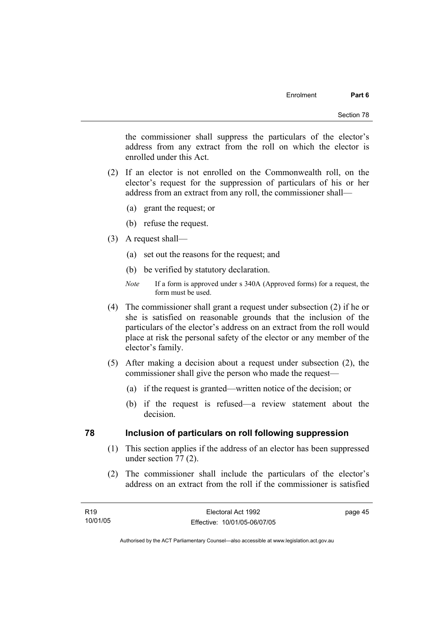page 45

the commissioner shall suppress the particulars of the elector's address from any extract from the roll on which the elector is enrolled under this Act.

- (2) If an elector is not enrolled on the Commonwealth roll, on the elector's request for the suppression of particulars of his or her address from an extract from any roll, the commissioner shall—
	- (a) grant the request; or
	- (b) refuse the request.
- (3) A request shall—
	- (a) set out the reasons for the request; and
	- (b) be verified by statutory declaration.
	- *Note* If a form is approved under s 340A (Approved forms) for a request, the form must be used.
- (4) The commissioner shall grant a request under subsection (2) if he or she is satisfied on reasonable grounds that the inclusion of the particulars of the elector's address on an extract from the roll would place at risk the personal safety of the elector or any member of the elector's family.
- (5) After making a decision about a request under subsection (2), the commissioner shall give the person who made the request—
	- (a) if the request is granted—written notice of the decision; or
	- (b) if the request is refused—a review statement about the decision.

#### **78 Inclusion of particulars on roll following suppression**

- (1) This section applies if the address of an elector has been suppressed under section 77 (2).
- (2) The commissioner shall include the particulars of the elector's address on an extract from the roll if the commissioner is satisfied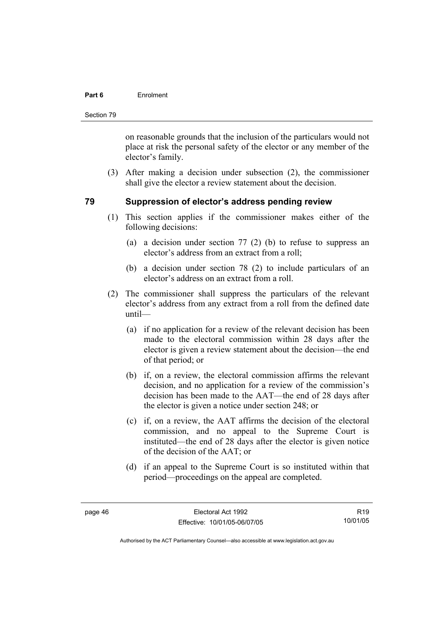#### **Part 6** Enrolment

Section 79

on reasonable grounds that the inclusion of the particulars would not place at risk the personal safety of the elector or any member of the elector's family.

 (3) After making a decision under subsection (2), the commissioner shall give the elector a review statement about the decision.

### **79 Suppression of elector's address pending review**

- (1) This section applies if the commissioner makes either of the following decisions:
	- (a) a decision under section 77 (2) (b) to refuse to suppress an elector's address from an extract from a roll;
	- (b) a decision under section 78 (2) to include particulars of an elector's address on an extract from a roll.
- (2) The commissioner shall suppress the particulars of the relevant elector's address from any extract from a roll from the defined date until—
	- (a) if no application for a review of the relevant decision has been made to the electoral commission within 28 days after the elector is given a review statement about the decision—the end of that period; or
	- (b) if, on a review, the electoral commission affirms the relevant decision, and no application for a review of the commission's decision has been made to the AAT—the end of 28 days after the elector is given a notice under section 248; or
	- (c) if, on a review, the AAT affirms the decision of the electoral commission, and no appeal to the Supreme Court is instituted—the end of 28 days after the elector is given notice of the decision of the AAT; or
	- (d) if an appeal to the Supreme Court is so instituted within that period—proceedings on the appeal are completed.

R19 10/01/05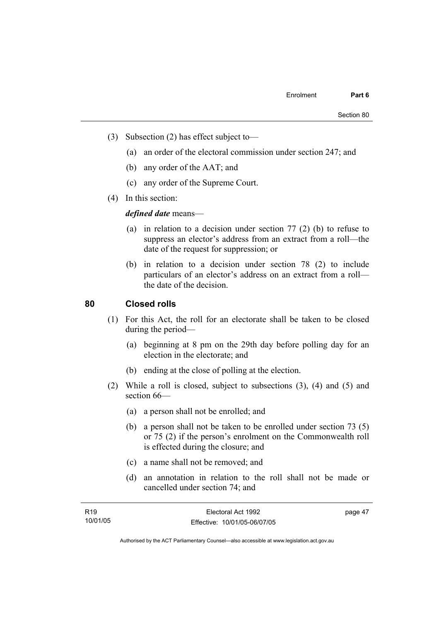- (3) Subsection (2) has effect subject to—
	- (a) an order of the electoral commission under section 247; and
	- (b) any order of the AAT; and
	- (c) any order of the Supreme Court.
- (4) In this section:

*defined date* means—

- (a) in relation to a decision under section 77 (2) (b) to refuse to suppress an elector's address from an extract from a roll—the date of the request for suppression; or
- (b) in relation to a decision under section 78 (2) to include particulars of an elector's address on an extract from a roll the date of the decision.

### **80 Closed rolls**

- (1) For this Act, the roll for an electorate shall be taken to be closed during the period—
	- (a) beginning at 8 pm on the 29th day before polling day for an election in the electorate; and
	- (b) ending at the close of polling at the election.
- (2) While a roll is closed, subject to subsections (3), (4) and (5) and section 66—
	- (a) a person shall not be enrolled; and
	- (b) a person shall not be taken to be enrolled under section 73 (5) or 75 (2) if the person's enrolment on the Commonwealth roll is effected during the closure; and
	- (c) a name shall not be removed; and
	- (d) an annotation in relation to the roll shall not be made or cancelled under section 74; and

| R <sub>19</sub> | Electoral Act 1992           | page 47 |
|-----------------|------------------------------|---------|
| 10/01/05        | Effective: 10/01/05-06/07/05 |         |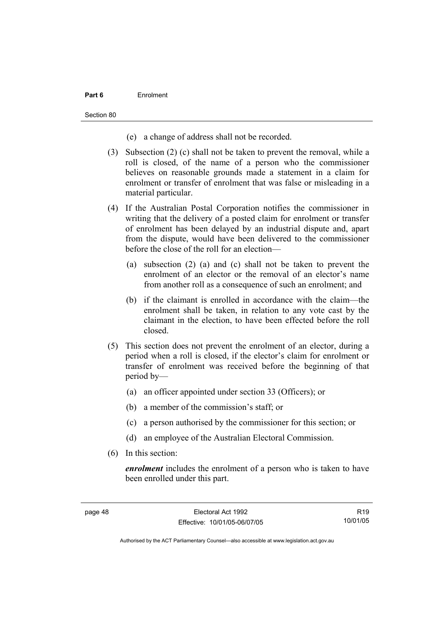#### **Part 6** Enrolment

Section 80

- (e) a change of address shall not be recorded.
- (3) Subsection (2) (c) shall not be taken to prevent the removal, while a roll is closed, of the name of a person who the commissioner believes on reasonable grounds made a statement in a claim for enrolment or transfer of enrolment that was false or misleading in a material particular.
- (4) If the Australian Postal Corporation notifies the commissioner in writing that the delivery of a posted claim for enrolment or transfer of enrolment has been delayed by an industrial dispute and, apart from the dispute, would have been delivered to the commissioner before the close of the roll for an election—
	- (a) subsection (2) (a) and (c) shall not be taken to prevent the enrolment of an elector or the removal of an elector's name from another roll as a consequence of such an enrolment; and
	- (b) if the claimant is enrolled in accordance with the claim—the enrolment shall be taken, in relation to any vote cast by the claimant in the election, to have been effected before the roll closed.
- (5) This section does not prevent the enrolment of an elector, during a period when a roll is closed, if the elector's claim for enrolment or transfer of enrolment was received before the beginning of that period by—
	- (a) an officer appointed under section 33 (Officers); or
	- (b) a member of the commission's staff; or
	- (c) a person authorised by the commissioner for this section; or
	- (d) an employee of the Australian Electoral Commission.
- (6) In this section:

*enrolment* includes the enrolment of a person who is taken to have been enrolled under this part.

R19 10/01/05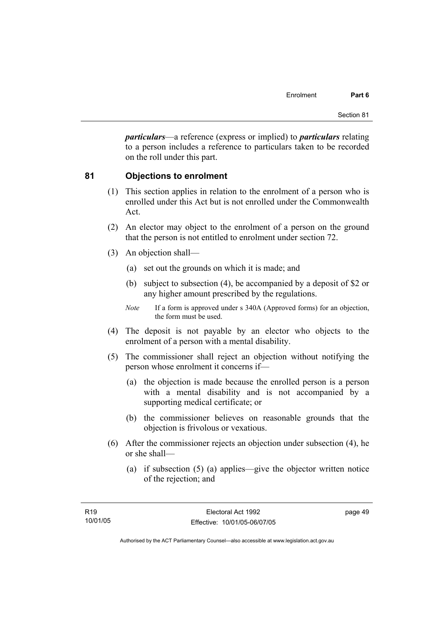*particulars*—a reference (express or implied) to *particulars* relating to a person includes a reference to particulars taken to be recorded on the roll under this part.

### **81 Objections to enrolment**

- (1) This section applies in relation to the enrolment of a person who is enrolled under this Act but is not enrolled under the Commonwealth Act.
- (2) An elector may object to the enrolment of a person on the ground that the person is not entitled to enrolment under section 72.
- (3) An objection shall—
	- (a) set out the grounds on which it is made; and
	- (b) subject to subsection (4), be accompanied by a deposit of \$2 or any higher amount prescribed by the regulations.
	- *Note* If a form is approved under s 340A (Approved forms) for an objection, the form must be used.
- (4) The deposit is not payable by an elector who objects to the enrolment of a person with a mental disability.
- (5) The commissioner shall reject an objection without notifying the person whose enrolment it concerns if—
	- (a) the objection is made because the enrolled person is a person with a mental disability and is not accompanied by a supporting medical certificate; or
	- (b) the commissioner believes on reasonable grounds that the objection is frivolous or vexatious.
- (6) After the commissioner rejects an objection under subsection (4), he or she shall—
	- (a) if subsection (5) (a) applies—give the objector written notice of the rejection; and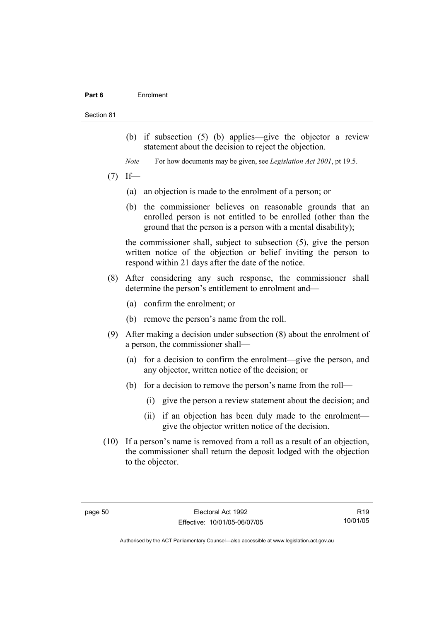#### **Part 6** Enrolment

#### Section 81

- (b) if subsection (5) (b) applies—give the objector a review statement about the decision to reject the objection.
- *Note* For how documents may be given, see *Legislation Act 2001*, pt 19.5.
- $(7)$  If—
	- (a) an objection is made to the enrolment of a person; or
	- (b) the commissioner believes on reasonable grounds that an enrolled person is not entitled to be enrolled (other than the ground that the person is a person with a mental disability);

the commissioner shall, subject to subsection (5), give the person written notice of the objection or belief inviting the person to respond within 21 days after the date of the notice.

- (8) After considering any such response, the commissioner shall determine the person's entitlement to enrolment and—
	- (a) confirm the enrolment; or
	- (b) remove the person's name from the roll.
- (9) After making a decision under subsection (8) about the enrolment of a person, the commissioner shall—
	- (a) for a decision to confirm the enrolment—give the person, and any objector, written notice of the decision; or
	- (b) for a decision to remove the person's name from the roll—
		- (i) give the person a review statement about the decision; and
		- (ii) if an objection has been duly made to the enrolment give the objector written notice of the decision.
- (10) If a person's name is removed from a roll as a result of an objection, the commissioner shall return the deposit lodged with the objection to the objector.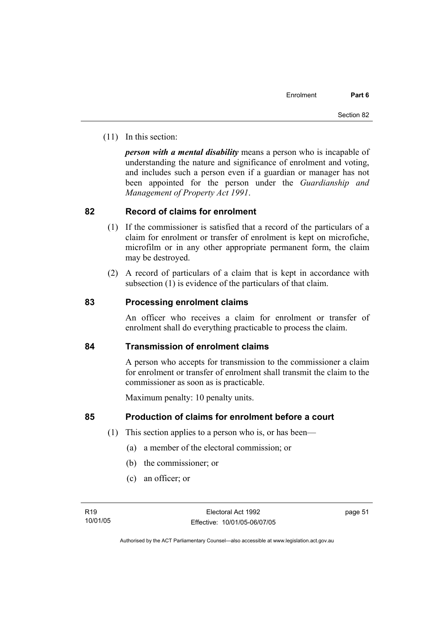(11) In this section:

*person with a mental disability* means a person who is incapable of understanding the nature and significance of enrolment and voting, and includes such a person even if a guardian or manager has not been appointed for the person under the *Guardianship and Management of Property Act 1991*.

### **82 Record of claims for enrolment**

- (1) If the commissioner is satisfied that a record of the particulars of a claim for enrolment or transfer of enrolment is kept on microfiche, microfilm or in any other appropriate permanent form, the claim may be destroyed.
- (2) A record of particulars of a claim that is kept in accordance with subsection (1) is evidence of the particulars of that claim.

### **83 Processing enrolment claims**

An officer who receives a claim for enrolment or transfer of enrolment shall do everything practicable to process the claim.

### **84 Transmission of enrolment claims**

A person who accepts for transmission to the commissioner a claim for enrolment or transfer of enrolment shall transmit the claim to the commissioner as soon as is practicable.

Maximum penalty: 10 penalty units.

### **85 Production of claims for enrolment before a court**

- (1) This section applies to a person who is, or has been—
	- (a) a member of the electoral commission; or
	- (b) the commissioner; or
	- (c) an officer; or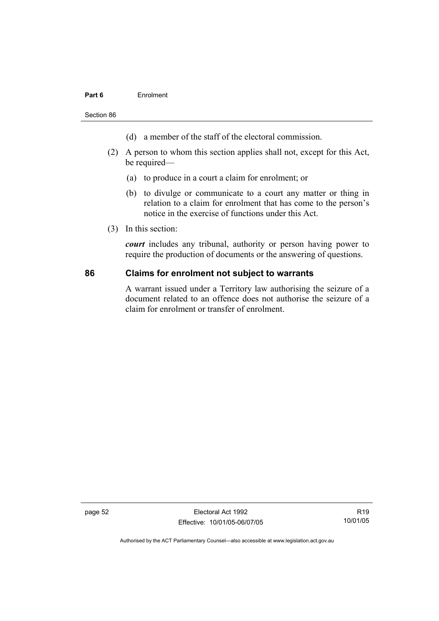#### **Part 6** Enrolment

Section 86

- (d) a member of the staff of the electoral commission.
- (2) A person to whom this section applies shall not, except for this Act, be required—
	- (a) to produce in a court a claim for enrolment; or
	- (b) to divulge or communicate to a court any matter or thing in relation to a claim for enrolment that has come to the person's notice in the exercise of functions under this Act.
- (3) In this section:

*court* includes any tribunal, authority or person having power to require the production of documents or the answering of questions.

#### **86 Claims for enrolment not subject to warrants**

A warrant issued under a Territory law authorising the seizure of a document related to an offence does not authorise the seizure of a claim for enrolment or transfer of enrolment.

page 52 Electoral Act 1992 Effective: 10/01/05-06/07/05

R19 10/01/05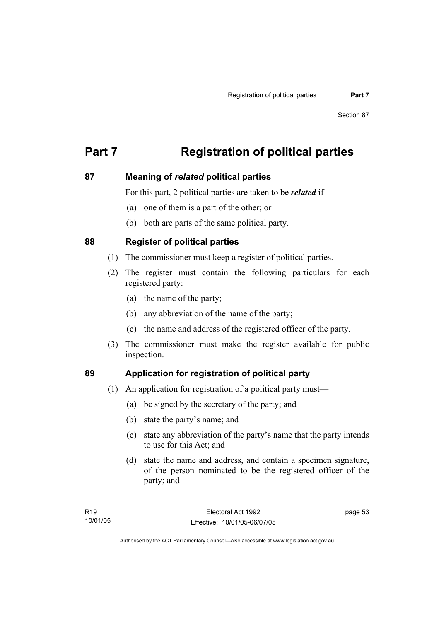# **Part 7 Registration of political parties**

### **87 Meaning of** *related* **political parties**

For this part, 2 political parties are taken to be *related* if—

- (a) one of them is a part of the other; or
- (b) both are parts of the same political party.

### **88 Register of political parties**

- (1) The commissioner must keep a register of political parties.
- (2) The register must contain the following particulars for each registered party:
	- (a) the name of the party;
	- (b) any abbreviation of the name of the party;
	- (c) the name and address of the registered officer of the party.
- (3) The commissioner must make the register available for public inspection.

## **89 Application for registration of political party**

- (1) An application for registration of a political party must—
	- (a) be signed by the secretary of the party; and
	- (b) state the party's name; and
	- (c) state any abbreviation of the party's name that the party intends to use for this Act; and
	- (d) state the name and address, and contain a specimen signature, of the person nominated to be the registered officer of the party; and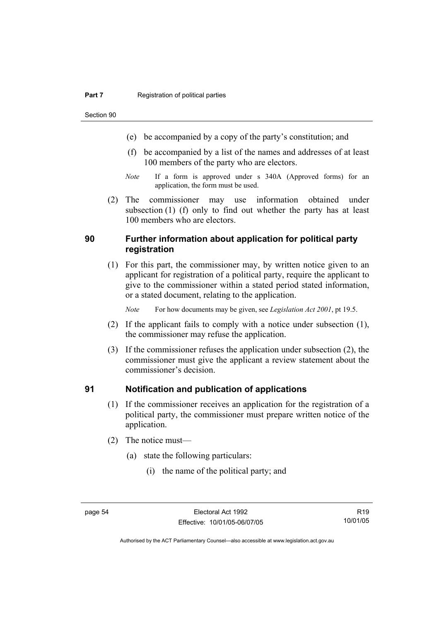Section 90

- (e) be accompanied by a copy of the party's constitution; and
- (f) be accompanied by a list of the names and addresses of at least 100 members of the party who are electors.
- *Note* If a form is approved under s 340A (Approved forms) for an application, the form must be used.
- (2) The commissioner may use information obtained under subsection (1) (f) only to find out whether the party has at least 100 members who are electors.

### **90 Further information about application for political party registration**

 (1) For this part, the commissioner may, by written notice given to an applicant for registration of a political party, require the applicant to give to the commissioner within a stated period stated information, or a stated document, relating to the application.

*Note* For how documents may be given, see *Legislation Act 2001*, pt 19.5.

- (2) If the applicant fails to comply with a notice under subsection (1), the commissioner may refuse the application.
- (3) If the commissioner refuses the application under subsection (2), the commissioner must give the applicant a review statement about the commissioner's decision.

### **91 Notification and publication of applications**

- (1) If the commissioner receives an application for the registration of a political party, the commissioner must prepare written notice of the application.
- (2) The notice must—
	- (a) state the following particulars:
		- (i) the name of the political party; and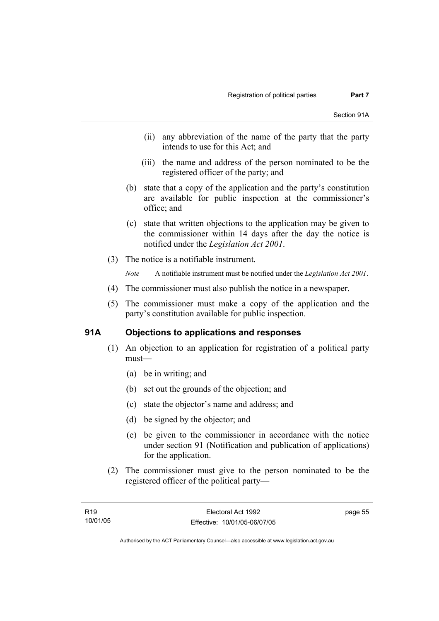- (ii) any abbreviation of the name of the party that the party intends to use for this Act; and
- (iii) the name and address of the person nominated to be the registered officer of the party; and
- (b) state that a copy of the application and the party's constitution are available for public inspection at the commissioner's office; and
- (c) state that written objections to the application may be given to the commissioner within 14 days after the day the notice is notified under the *Legislation Act 2001*.
- (3) The notice is a notifiable instrument.

*Note* A notifiable instrument must be notified under the *Legislation Act 2001*.

- (4) The commissioner must also publish the notice in a newspaper.
- (5) The commissioner must make a copy of the application and the party's constitution available for public inspection.

# **91A Objections to applications and responses**

- (1) An objection to an application for registration of a political party must—
	- (a) be in writing; and
	- (b) set out the grounds of the objection; and
	- (c) state the objector's name and address; and
	- (d) be signed by the objector; and
	- (e) be given to the commissioner in accordance with the notice under section 91 (Notification and publication of applications) for the application.
- (2) The commissioner must give to the person nominated to be the registered officer of the political party—

page 55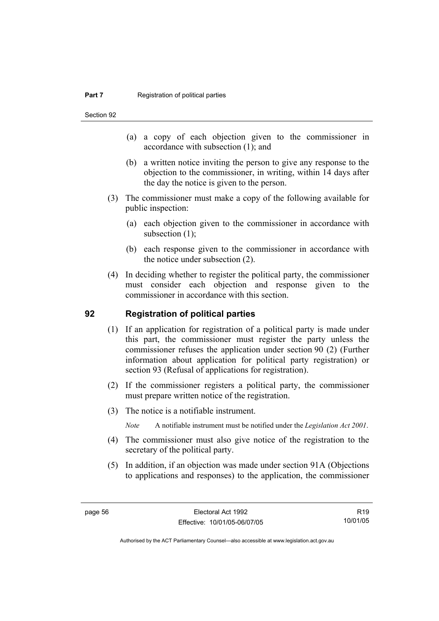Section 92

- (a) a copy of each objection given to the commissioner in accordance with subsection (1); and
- (b) a written notice inviting the person to give any response to the objection to the commissioner, in writing, within 14 days after the day the notice is given to the person.
- (3) The commissioner must make a copy of the following available for public inspection:
	- (a) each objection given to the commissioner in accordance with subsection  $(1)$ ;
	- (b) each response given to the commissioner in accordance with the notice under subsection (2).
- (4) In deciding whether to register the political party, the commissioner must consider each objection and response given to the commissioner in accordance with this section.

#### **92 Registration of political parties**

- (1) If an application for registration of a political party is made under this part, the commissioner must register the party unless the commissioner refuses the application under section 90 (2) (Further information about application for political party registration) or section 93 (Refusal of applications for registration).
- (2) If the commissioner registers a political party, the commissioner must prepare written notice of the registration.
- (3) The notice is a notifiable instrument.
	- *Note* A notifiable instrument must be notified under the *Legislation Act 2001*.
- (4) The commissioner must also give notice of the registration to the secretary of the political party.
- (5) In addition, if an objection was made under section 91A (Objections to applications and responses) to the application, the commissioner

R19 10/01/05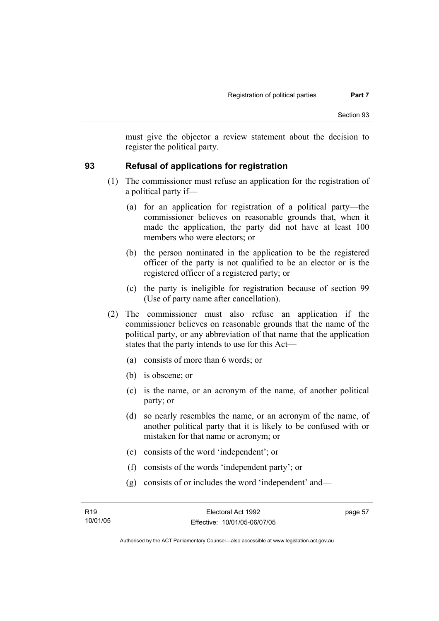must give the objector a review statement about the decision to register the political party.

# **93 Refusal of applications for registration**

- (1) The commissioner must refuse an application for the registration of a political party if—
	- (a) for an application for registration of a political party—the commissioner believes on reasonable grounds that, when it made the application, the party did not have at least 100 members who were electors; or
	- (b) the person nominated in the application to be the registered officer of the party is not qualified to be an elector or is the registered officer of a registered party; or
	- (c) the party is ineligible for registration because of section 99 (Use of party name after cancellation).
- (2) The commissioner must also refuse an application if the commissioner believes on reasonable grounds that the name of the political party, or any abbreviation of that name that the application states that the party intends to use for this Act—
	- (a) consists of more than 6 words; or
	- (b) is obscene; or
	- (c) is the name, or an acronym of the name, of another political party; or
	- (d) so nearly resembles the name, or an acronym of the name, of another political party that it is likely to be confused with or mistaken for that name or acronym; or
	- (e) consists of the word 'independent'; or
	- (f) consists of the words 'independent party'; or
	- (g) consists of or includes the word 'independent' and—

page 57

Authorised by the ACT Parliamentary Counsel—also accessible at www.legislation.act.gov.au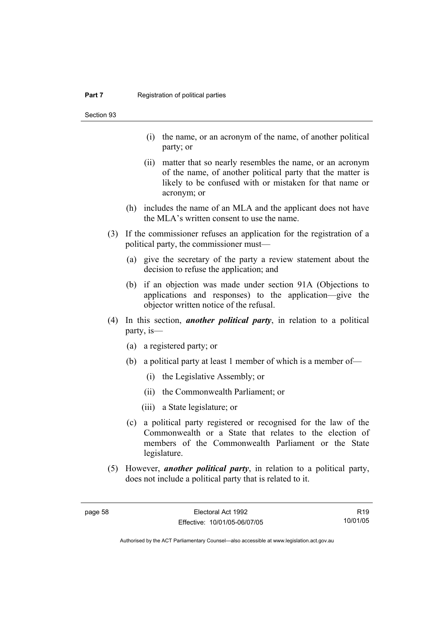Section 93

- (i) the name, or an acronym of the name, of another political party; or
- (ii) matter that so nearly resembles the name, or an acronym of the name, of another political party that the matter is likely to be confused with or mistaken for that name or acronym; or
- (h) includes the name of an MLA and the applicant does not have the MLA's written consent to use the name.
- (3) If the commissioner refuses an application for the registration of a political party, the commissioner must—
	- (a) give the secretary of the party a review statement about the decision to refuse the application; and
	- (b) if an objection was made under section 91A (Objections to applications and responses) to the application—give the objector written notice of the refusal.
- (4) In this section, *another political party*, in relation to a political party, is—
	- (a) a registered party; or
	- (b) a political party at least 1 member of which is a member of—
		- (i) the Legislative Assembly; or
		- (ii) the Commonwealth Parliament; or
		- (iii) a State legislature; or
	- (c) a political party registered or recognised for the law of the Commonwealth or a State that relates to the election of members of the Commonwealth Parliament or the State legislature.
- (5) However, *another political party*, in relation to a political party, does not include a political party that is related to it.

R19 10/01/05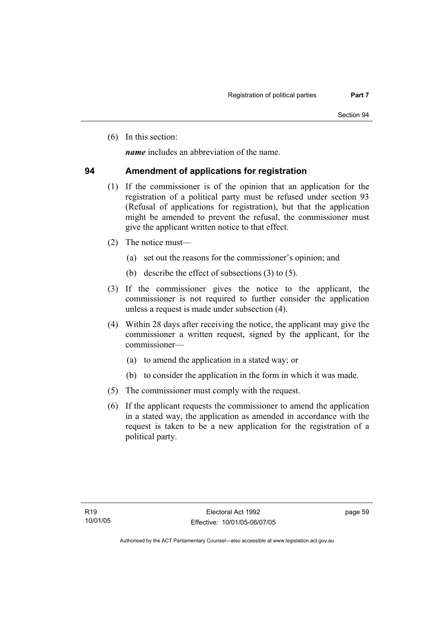(6) In this section:

*name* includes an abbreviation of the name.

### **94 Amendment of applications for registration**

- (1) If the commissioner is of the opinion that an application for the registration of a political party must be refused under section 93 (Refusal of applications for registration), but that the application might be amended to prevent the refusal, the commissioner must give the applicant written notice to that effect.
- (2) The notice must—
	- (a) set out the reasons for the commissioner's opinion; and
	- (b) describe the effect of subsections (3) to (5).
- (3) If the commissioner gives the notice to the applicant, the commissioner is not required to further consider the application unless a request is made under subsection (4).
- (4) Within 28 days after receiving the notice, the applicant may give the commissioner a written request, signed by the applicant, for the commissioner—
	- (a) to amend the application in a stated way; or
	- (b) to consider the application in the form in which it was made.
- (5) The commissioner must comply with the request.
- (6) If the applicant requests the commissioner to amend the application in a stated way, the application as amended in accordance with the request is taken to be a new application for the registration of a political party.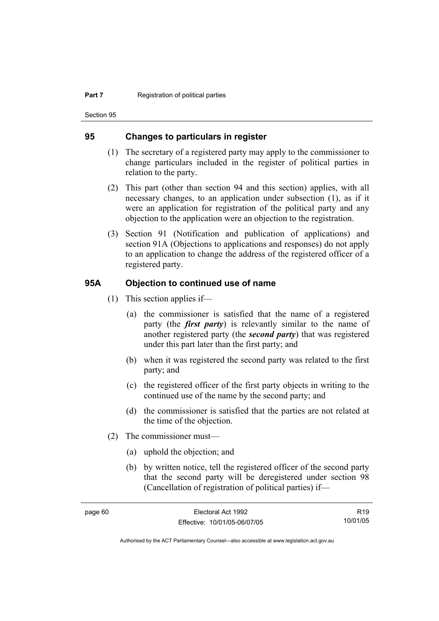Section 95

#### **95 Changes to particulars in register**

- (1) The secretary of a registered party may apply to the commissioner to change particulars included in the register of political parties in relation to the party.
- (2) This part (other than section 94 and this section) applies, with all necessary changes, to an application under subsection (1), as if it were an application for registration of the political party and any objection to the application were an objection to the registration.
- (3) Section 91 (Notification and publication of applications) and section 91A (Objections to applications and responses) do not apply to an application to change the address of the registered officer of a registered party.

#### **95A Objection to continued use of name**

- (1) This section applies if—
	- (a) the commissioner is satisfied that the name of a registered party (the *first party*) is relevantly similar to the name of another registered party (the *second party*) that was registered under this part later than the first party; and
	- (b) when it was registered the second party was related to the first party; and
	- (c) the registered officer of the first party objects in writing to the continued use of the name by the second party; and
	- (d) the commissioner is satisfied that the parties are not related at the time of the objection.
- (2) The commissioner must—
	- (a) uphold the objection; and
	- (b) by written notice, tell the registered officer of the second party that the second party will be deregistered under section 98 (Cancellation of registration of political parties) if—

R19 10/01/05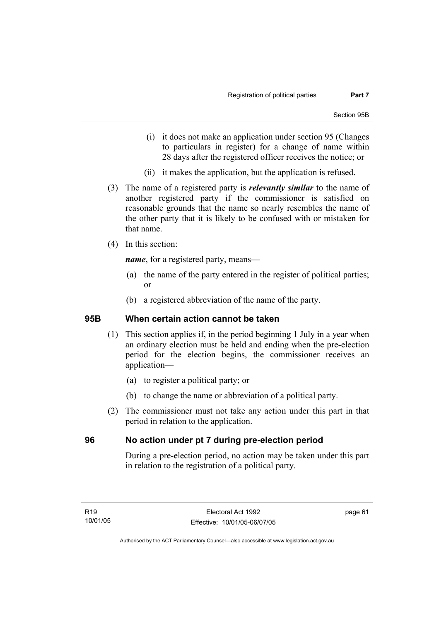- (i) it does not make an application under section 95 (Changes to particulars in register) for a change of name within 28 days after the registered officer receives the notice; or
- (ii) it makes the application, but the application is refused.
- (3) The name of a registered party is *relevantly similar* to the name of another registered party if the commissioner is satisfied on reasonable grounds that the name so nearly resembles the name of the other party that it is likely to be confused with or mistaken for that name.
- (4) In this section:

*name*, for a registered party, means—

- (a) the name of the party entered in the register of political parties; or
- (b) a registered abbreviation of the name of the party.

#### **95B When certain action cannot be taken**

- (1) This section applies if, in the period beginning 1 July in a year when an ordinary election must be held and ending when the pre-election period for the election begins, the commissioner receives an application—
	- (a) to register a political party; or
	- (b) to change the name or abbreviation of a political party.
- (2) The commissioner must not take any action under this part in that period in relation to the application.

#### **96 No action under pt 7 during pre-election period**

During a pre-election period, no action may be taken under this part in relation to the registration of a political party.

page 61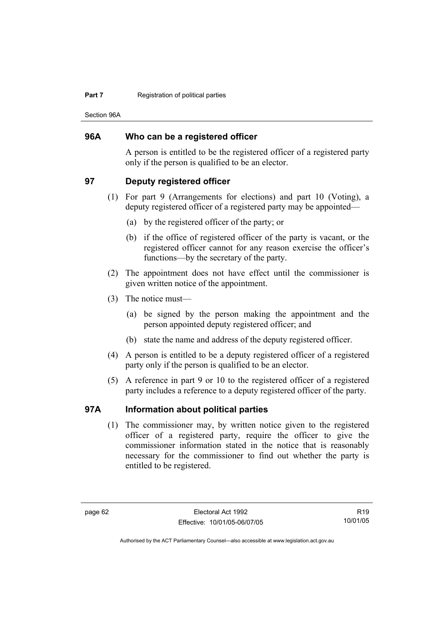#### **Part 7 Registration of political parties**

Section 96A

#### **96A Who can be a registered officer**

A person is entitled to be the registered officer of a registered party only if the person is qualified to be an elector.

#### **97 Deputy registered officer**

- (1) For part 9 (Arrangements for elections) and part 10 (Voting), a deputy registered officer of a registered party may be appointed—
	- (a) by the registered officer of the party; or
	- (b) if the office of registered officer of the party is vacant, or the registered officer cannot for any reason exercise the officer's functions—by the secretary of the party.
- (2) The appointment does not have effect until the commissioner is given written notice of the appointment.
- (3) The notice must—
	- (a) be signed by the person making the appointment and the person appointed deputy registered officer; and
	- (b) state the name and address of the deputy registered officer.
- (4) A person is entitled to be a deputy registered officer of a registered party only if the person is qualified to be an elector.
- (5) A reference in part 9 or 10 to the registered officer of a registered party includes a reference to a deputy registered officer of the party.

# **97A Information about political parties**

 (1) The commissioner may, by written notice given to the registered officer of a registered party, require the officer to give the commissioner information stated in the notice that is reasonably necessary for the commissioner to find out whether the party is entitled to be registered.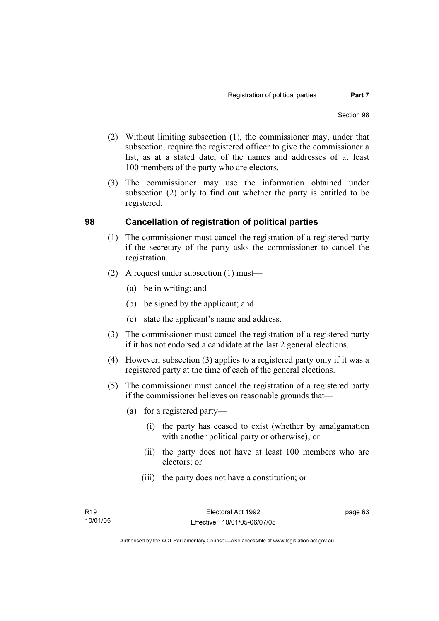- (2) Without limiting subsection (1), the commissioner may, under that subsection, require the registered officer to give the commissioner a list, as at a stated date, of the names and addresses of at least 100 members of the party who are electors.
- (3) The commissioner may use the information obtained under subsection (2) only to find out whether the party is entitled to be registered.

### **98 Cancellation of registration of political parties**

- (1) The commissioner must cancel the registration of a registered party if the secretary of the party asks the commissioner to cancel the registration.
- (2) A request under subsection (1) must—
	- (a) be in writing; and
	- (b) be signed by the applicant; and
	- (c) state the applicant's name and address.
- (3) The commissioner must cancel the registration of a registered party if it has not endorsed a candidate at the last 2 general elections.
- (4) However, subsection (3) applies to a registered party only if it was a registered party at the time of each of the general elections.
- (5) The commissioner must cancel the registration of a registered party if the commissioner believes on reasonable grounds that—
	- (a) for a registered party—
		- (i) the party has ceased to exist (whether by amalgamation with another political party or otherwise); or
		- (ii) the party does not have at least 100 members who are electors; or
		- (iii) the party does not have a constitution; or

page 63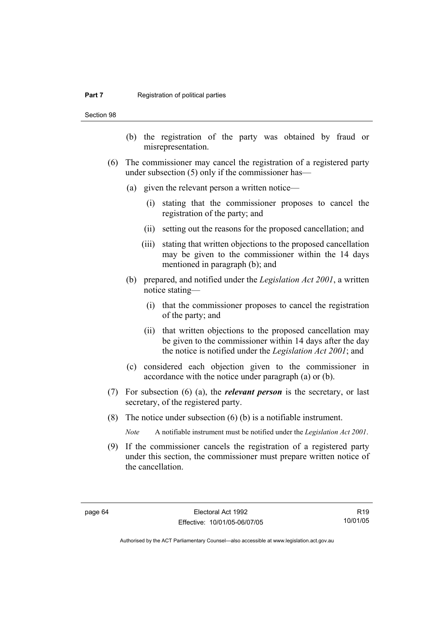#### **Part 7 Registration of political parties**

Section 98

- (b) the registration of the party was obtained by fraud or misrepresentation.
- (6) The commissioner may cancel the registration of a registered party under subsection (5) only if the commissioner has—
	- (a) given the relevant person a written notice—
		- (i) stating that the commissioner proposes to cancel the registration of the party; and
		- (ii) setting out the reasons for the proposed cancellation; and
		- (iii) stating that written objections to the proposed cancellation may be given to the commissioner within the 14 days mentioned in paragraph (b); and
	- (b) prepared, and notified under the *Legislation Act 2001*, a written notice stating—
		- (i) that the commissioner proposes to cancel the registration of the party; and
		- (ii) that written objections to the proposed cancellation may be given to the commissioner within 14 days after the day the notice is notified under the *Legislation Act 2001*; and
	- (c) considered each objection given to the commissioner in accordance with the notice under paragraph (a) or (b).
- (7) For subsection (6) (a), the *relevant person* is the secretary, or last secretary, of the registered party.
- (8) The notice under subsection (6) (b) is a notifiable instrument.

*Note* A notifiable instrument must be notified under the *Legislation Act 2001*.

 (9) If the commissioner cancels the registration of a registered party under this section, the commissioner must prepare written notice of the cancellation.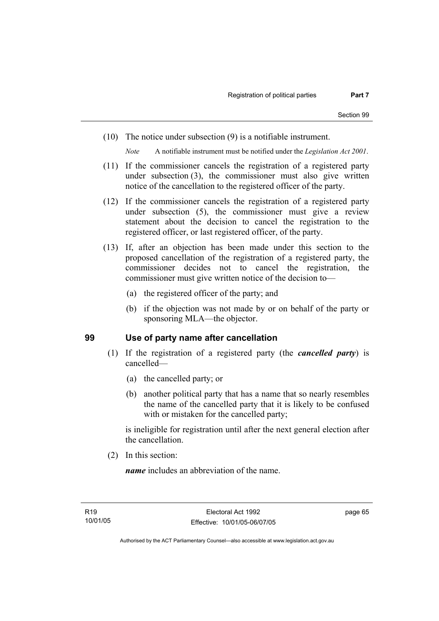(10) The notice under subsection (9) is a notifiable instrument.

*Note* A notifiable instrument must be notified under the *Legislation Act 2001*.

- (11) If the commissioner cancels the registration of a registered party under subsection (3), the commissioner must also give written notice of the cancellation to the registered officer of the party.
- (12) If the commissioner cancels the registration of a registered party under subsection (5), the commissioner must give a review statement about the decision to cancel the registration to the registered officer, or last registered officer, of the party.
- (13) If, after an objection has been made under this section to the proposed cancellation of the registration of a registered party, the commissioner decides not to cancel the registration, the commissioner must give written notice of the decision to—
	- (a) the registered officer of the party; and
	- (b) if the objection was not made by or on behalf of the party or sponsoring MLA—the objector.

#### **99 Use of party name after cancellation**

- (1) If the registration of a registered party (the *cancelled party*) is cancelled—
	- (a) the cancelled party; or
	- (b) another political party that has a name that so nearly resembles the name of the cancelled party that it is likely to be confused with or mistaken for the cancelled party;

is ineligible for registration until after the next general election after the cancellation.

(2) In this section:

*name* includes an abbreviation of the name.

page 65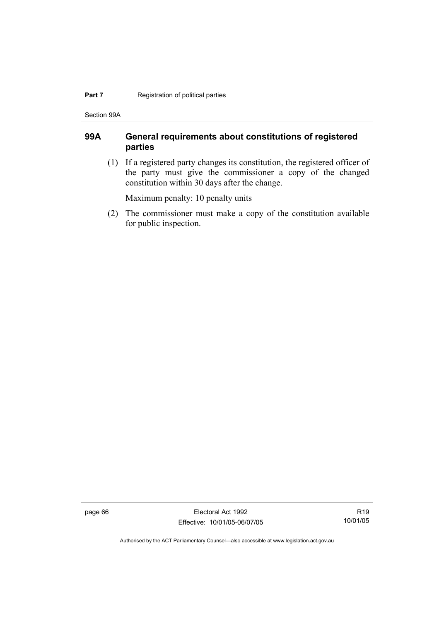#### **Part 7 Registration of political parties**

Section 99A

# **99A General requirements about constitutions of registered parties**

 (1) If a registered party changes its constitution, the registered officer of the party must give the commissioner a copy of the changed constitution within 30 days after the change.

Maximum penalty: 10 penalty units

 (2) The commissioner must make a copy of the constitution available for public inspection.

page 66 Electoral Act 1992 Effective: 10/01/05-06/07/05

R19 10/01/05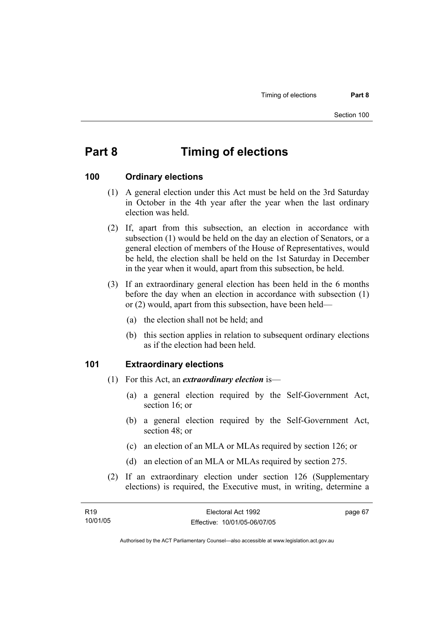# **Part 8 Timing of elections**

#### **100 Ordinary elections**

- (1) A general election under this Act must be held on the 3rd Saturday in October in the 4th year after the year when the last ordinary election was held.
- (2) If, apart from this subsection, an election in accordance with subsection (1) would be held on the day an election of Senators, or a general election of members of the House of Representatives, would be held, the election shall be held on the 1st Saturday in December in the year when it would, apart from this subsection, be held.
- (3) If an extraordinary general election has been held in the 6 months before the day when an election in accordance with subsection (1) or (2) would, apart from this subsection, have been held—
	- (a) the election shall not be held; and
	- (b) this section applies in relation to subsequent ordinary elections as if the election had been held.

#### **101 Extraordinary elections**

- (1) For this Act, an *extraordinary election* is—
	- (a) a general election required by the Self-Government Act, section 16; or
	- (b) a general election required by the Self-Government Act, section 48; or
	- (c) an election of an MLA or MLAs required by section 126; or
	- (d) an election of an MLA or MLAs required by section 275.
- (2) If an extraordinary election under section 126 (Supplementary elections) is required, the Executive must, in writing, determine a

| R <sub>19</sub> | Electoral Act 1992           | page 67 |
|-----------------|------------------------------|---------|
| 10/01/05        | Effective: 10/01/05-06/07/05 |         |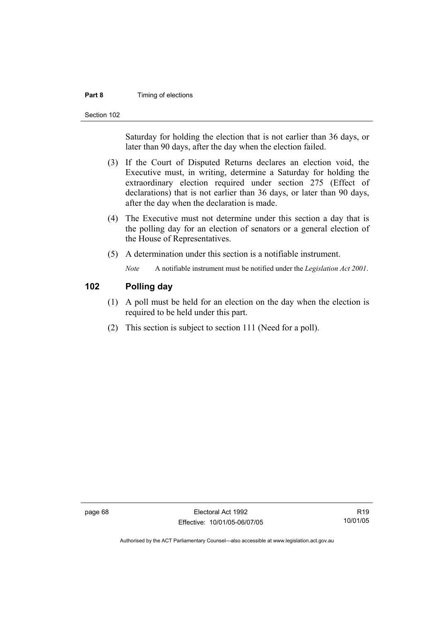#### **Part 8 Timing of elections**

Section 102

Saturday for holding the election that is not earlier than 36 days, or later than 90 days, after the day when the election failed.

- (3) If the Court of Disputed Returns declares an election void, the Executive must, in writing, determine a Saturday for holding the extraordinary election required under section 275 (Effect of declarations) that is not earlier than 36 days, or later than 90 days, after the day when the declaration is made.
- (4) The Executive must not determine under this section a day that is the polling day for an election of senators or a general election of the House of Representatives.
- (5) A determination under this section is a notifiable instrument.

*Note* A notifiable instrument must be notified under the *Legislation Act 2001*.

# **102 Polling day**

- (1) A poll must be held for an election on the day when the election is required to be held under this part.
- (2) This section is subject to section 111 (Need for a poll).

page 68 Electoral Act 1992 Effective: 10/01/05-06/07/05

R19 10/01/05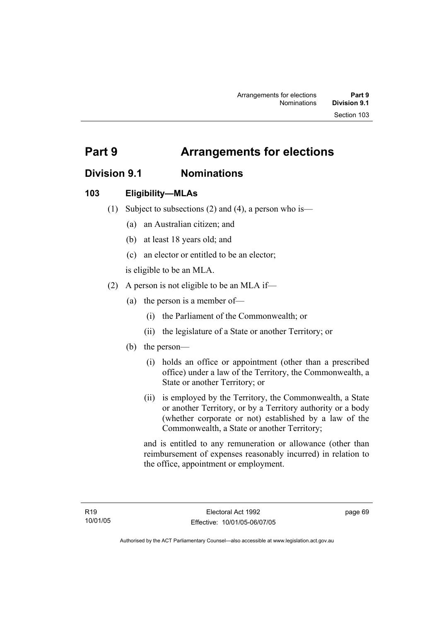# **Division 9.1 Nominations**

# **103 Eligibility—MLAs**

- (1) Subject to subsections (2) and (4), a person who is—
	- (a) an Australian citizen; and
	- (b) at least 18 years old; and
	- (c) an elector or entitled to be an elector;

is eligible to be an MLA.

- (2) A person is not eligible to be an MLA if—
	- (a) the person is a member of—
		- (i) the Parliament of the Commonwealth; or
		- (ii) the legislature of a State or another Territory; or
	- (b) the person—
		- (i) holds an office or appointment (other than a prescribed office) under a law of the Territory, the Commonwealth, a State or another Territory; or
		- (ii) is employed by the Territory, the Commonwealth, a State or another Territory, or by a Territory authority or a body (whether corporate or not) established by a law of the Commonwealth, a State or another Territory;

and is entitled to any remuneration or allowance (other than reimbursement of expenses reasonably incurred) in relation to the office, appointment or employment.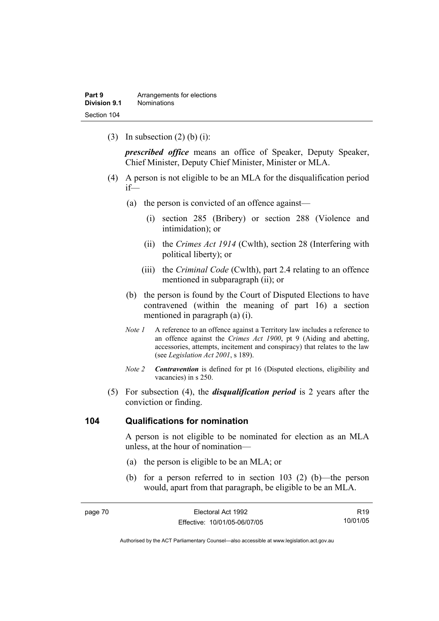(3) In subsection  $(2)$  (b) (i):

*prescribed office* means an office of Speaker, Deputy Speaker, Chief Minister, Deputy Chief Minister, Minister or MLA.

- (4) A person is not eligible to be an MLA for the disqualification period if—
	- (a) the person is convicted of an offence against—
		- (i) section 285 (Bribery) or section 288 (Violence and intimidation); or
		- (ii) the *Crimes Act 1914* (Cwlth), section 28 (Interfering with political liberty); or
		- (iii) the *Criminal Code* (Cwlth), part 2.4 relating to an offence mentioned in subparagraph (ii); or
	- (b) the person is found by the Court of Disputed Elections to have contravened (within the meaning of part 16) a section mentioned in paragraph (a) (i).
	- *Note 1* A reference to an offence against a Territory law includes a reference to an offence against the *Crimes Act 1900*, pt 9 (Aiding and abetting, accessories, attempts, incitement and conspiracy) that relates to the law (see *Legislation Act 2001*, s 189).
	- *Note 2 Contravention* is defined for pt 16 (Disputed elections, eligibility and vacancies) in s 250.
- (5) For subsection (4), the *disqualification period* is 2 years after the conviction or finding.

#### **104 Qualifications for nomination**

A person is not eligible to be nominated for election as an MLA unless, at the hour of nomination—

- (a) the person is eligible to be an MLA; or
- (b) for a person referred to in section 103 (2) (b)—the person would, apart from that paragraph, be eligible to be an MLA.

| page 70 | Electoral Act 1992           | R <sub>19</sub> |
|---------|------------------------------|-----------------|
|         | Effective: 10/01/05-06/07/05 | 10/01/05        |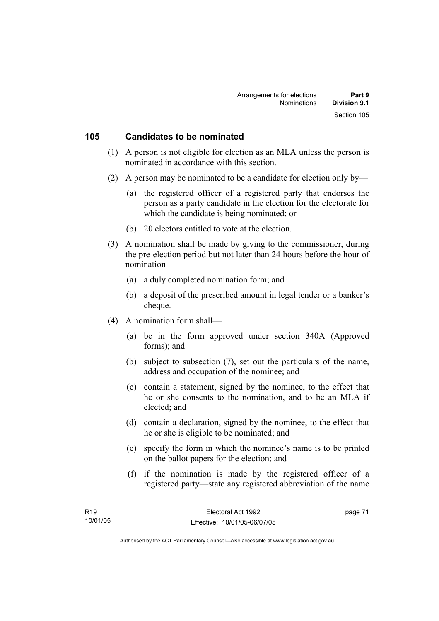#### **105 Candidates to be nominated**

- (1) A person is not eligible for election as an MLA unless the person is nominated in accordance with this section.
- (2) A person may be nominated to be a candidate for election only by—
	- (a) the registered officer of a registered party that endorses the person as a party candidate in the election for the electorate for which the candidate is being nominated; or
	- (b) 20 electors entitled to vote at the election.
- (3) A nomination shall be made by giving to the commissioner, during the pre-election period but not later than 24 hours before the hour of nomination—
	- (a) a duly completed nomination form; and
	- (b) a deposit of the prescribed amount in legal tender or a banker's cheque.
- (4) A nomination form shall—
	- (a) be in the form approved under section 340A (Approved forms); and
	- (b) subject to subsection (7), set out the particulars of the name, address and occupation of the nominee; and
	- (c) contain a statement, signed by the nominee, to the effect that he or she consents to the nomination, and to be an MLA if elected; and
	- (d) contain a declaration, signed by the nominee, to the effect that he or she is eligible to be nominated; and
	- (e) specify the form in which the nominee's name is to be printed on the ballot papers for the election; and
	- (f) if the nomination is made by the registered officer of a registered party—state any registered abbreviation of the name

page 71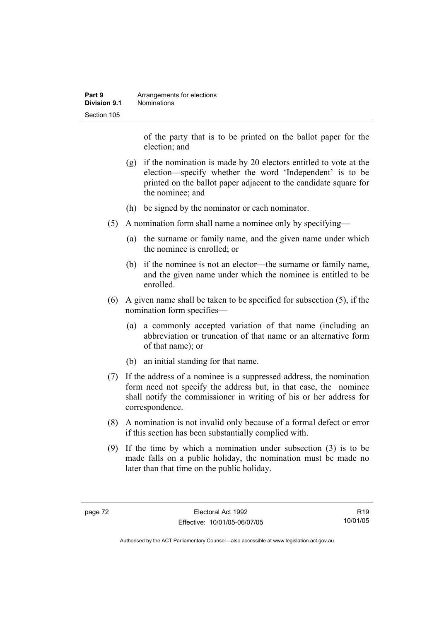| Part 9       | Arrangements for elections |
|--------------|----------------------------|
| Division 9.1 | <b>Nominations</b>         |
| Section 105  |                            |

of the party that is to be printed on the ballot paper for the election; and

- (g) if the nomination is made by 20 electors entitled to vote at the election—specify whether the word 'Independent' is to be printed on the ballot paper adjacent to the candidate square for the nominee; and
- (h) be signed by the nominator or each nominator.
- (5) A nomination form shall name a nominee only by specifying—
	- (a) the surname or family name, and the given name under which the nominee is enrolled; or
	- (b) if the nominee is not an elector—the surname or family name, and the given name under which the nominee is entitled to be enrolled.
- (6) A given name shall be taken to be specified for subsection (5), if the nomination form specifies—
	- (a) a commonly accepted variation of that name (including an abbreviation or truncation of that name or an alternative form of that name); or
	- (b) an initial standing for that name.
- (7) If the address of a nominee is a suppressed address, the nomination form need not specify the address but, in that case, the nominee shall notify the commissioner in writing of his or her address for correspondence.
- (8) A nomination is not invalid only because of a formal defect or error if this section has been substantially complied with.
- (9) If the time by which a nomination under subsection (3) is to be made falls on a public holiday, the nomination must be made no later than that time on the public holiday.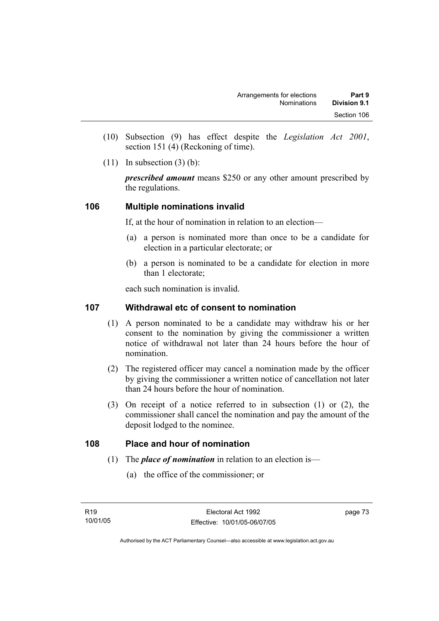- (10) Subsection (9) has effect despite the *Legislation Act 2001*, section 151 (4) (Reckoning of time).
- $(11)$  In subsection  $(3)$  (b):

*prescribed amount* means \$250 or any other amount prescribed by the regulations.

# **106 Multiple nominations invalid**

If, at the hour of nomination in relation to an election—

- (a) a person is nominated more than once to be a candidate for election in a particular electorate; or
- (b) a person is nominated to be a candidate for election in more than 1 electorate;

each such nomination is invalid.

## **107 Withdrawal etc of consent to nomination**

- (1) A person nominated to be a candidate may withdraw his or her consent to the nomination by giving the commissioner a written notice of withdrawal not later than 24 hours before the hour of nomination.
- (2) The registered officer may cancel a nomination made by the officer by giving the commissioner a written notice of cancellation not later than 24 hours before the hour of nomination.
- (3) On receipt of a notice referred to in subsection (1) or (2), the commissioner shall cancel the nomination and pay the amount of the deposit lodged to the nominee.

#### **108 Place and hour of nomination**

- (1) The *place of nomination* in relation to an election is—
	- (a) the office of the commissioner; or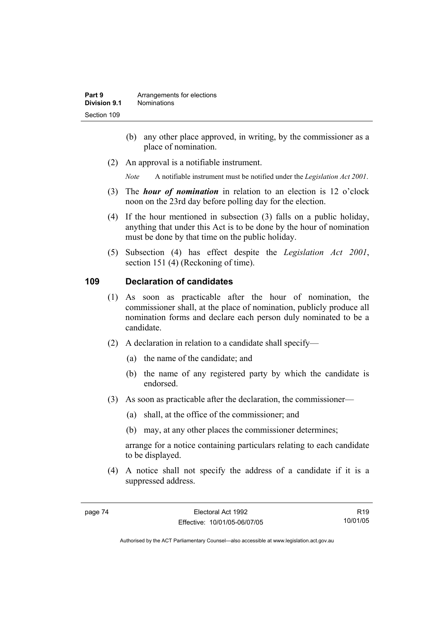- (b) any other place approved, in writing, by the commissioner as a place of nomination.
- (2) An approval is a notifiable instrument.

*Note* A notifiable instrument must be notified under the *Legislation Act 2001*.

- (3) The *hour of nomination* in relation to an election is 12 o'clock noon on the 23rd day before polling day for the election.
- (4) If the hour mentioned in subsection (3) falls on a public holiday, anything that under this Act is to be done by the hour of nomination must be done by that time on the public holiday.
- (5) Subsection (4) has effect despite the *Legislation Act 2001*, section 151 (4) (Reckoning of time).

# **109 Declaration of candidates**

- (1) As soon as practicable after the hour of nomination, the commissioner shall, at the place of nomination, publicly produce all nomination forms and declare each person duly nominated to be a candidate.
- (2) A declaration in relation to a candidate shall specify—
	- (a) the name of the candidate; and
	- (b) the name of any registered party by which the candidate is endorsed.
- (3) As soon as practicable after the declaration, the commissioner—
	- (a) shall, at the office of the commissioner; and
	- (b) may, at any other places the commissioner determines;

arrange for a notice containing particulars relating to each candidate to be displayed.

 (4) A notice shall not specify the address of a candidate if it is a suppressed address.

R19 10/01/05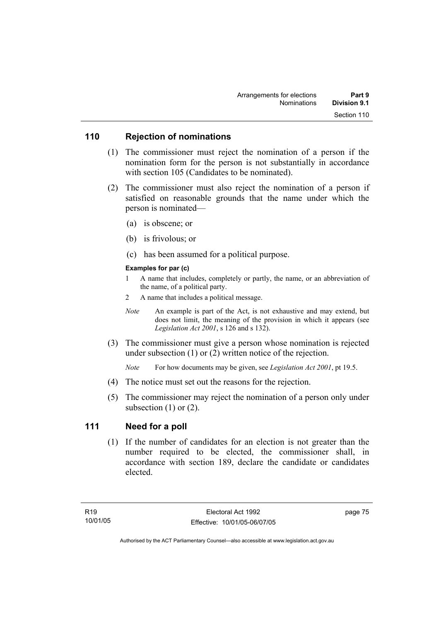### **110 Rejection of nominations**

- (1) The commissioner must reject the nomination of a person if the nomination form for the person is not substantially in accordance with section 105 (Candidates to be nominated).
- (2) The commissioner must also reject the nomination of a person if satisfied on reasonable grounds that the name under which the person is nominated—
	- (a) is obscene; or
	- (b) is frivolous; or
	- (c) has been assumed for a political purpose.

#### **Examples for par (c)**

- 1 A name that includes, completely or partly, the name, or an abbreviation of the name, of a political party.
- 2 A name that includes a political message.
- *Note* An example is part of the Act, is not exhaustive and may extend, but does not limit, the meaning of the provision in which it appears (see *Legislation Act 2001*, s 126 and s 132).
- (3) The commissioner must give a person whose nomination is rejected under subsection (1) or (2) written notice of the rejection.

*Note* For how documents may be given, see *Legislation Act 2001*, pt 19.5.

- (4) The notice must set out the reasons for the rejection.
- (5) The commissioner may reject the nomination of a person only under subsection  $(1)$  or  $(2)$ .

# **111 Need for a poll**

 (1) If the number of candidates for an election is not greater than the number required to be elected, the commissioner shall, in accordance with section 189, declare the candidate or candidates elected.

page 75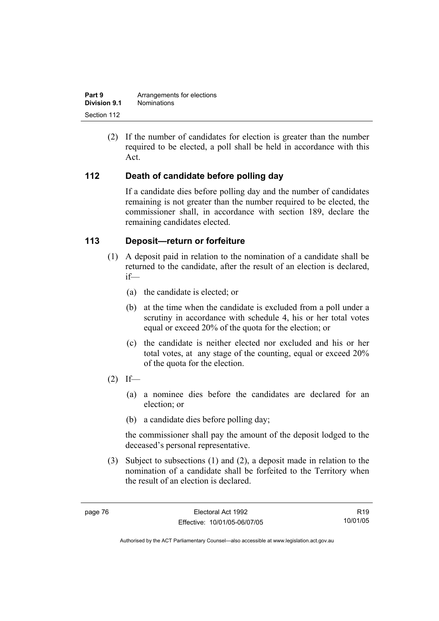| Part 9       | Arrangements for elections |
|--------------|----------------------------|
| Division 9.1 | <b>Nominations</b>         |
| Section 112  |                            |

 (2) If the number of candidates for election is greater than the number required to be elected, a poll shall be held in accordance with this Act.

# **112 Death of candidate before polling day**

If a candidate dies before polling day and the number of candidates remaining is not greater than the number required to be elected, the commissioner shall, in accordance with section 189, declare the remaining candidates elected.

### **113 Deposit—return or forfeiture**

- (1) A deposit paid in relation to the nomination of a candidate shall be returned to the candidate, after the result of an election is declared, if—
	- (a) the candidate is elected; or
	- (b) at the time when the candidate is excluded from a poll under a scrutiny in accordance with schedule 4, his or her total votes equal or exceed 20% of the quota for the election; or
	- (c) the candidate is neither elected nor excluded and his or her total votes, at any stage of the counting, equal or exceed 20% of the quota for the election.
- $(2)$  If—
	- (a) a nominee dies before the candidates are declared for an election; or
	- (b) a candidate dies before polling day;

the commissioner shall pay the amount of the deposit lodged to the deceased's personal representative.

 (3) Subject to subsections (1) and (2), a deposit made in relation to the nomination of a candidate shall be forfeited to the Territory when the result of an election is declared.

R19 10/01/05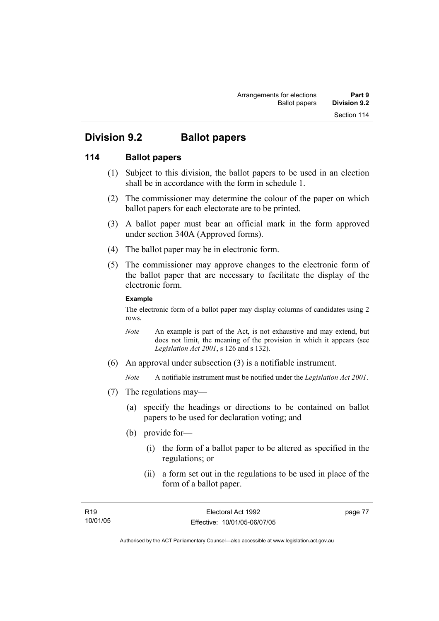# **Division 9.2 Ballot papers**

# **114 Ballot papers**

- (1) Subject to this division, the ballot papers to be used in an election shall be in accordance with the form in schedule 1.
- (2) The commissioner may determine the colour of the paper on which ballot papers for each electorate are to be printed.
- (3) A ballot paper must bear an official mark in the form approved under section 340A (Approved forms).
- (4) The ballot paper may be in electronic form.
- (5) The commissioner may approve changes to the electronic form of the ballot paper that are necessary to facilitate the display of the electronic form.

#### **Example**

The electronic form of a ballot paper may display columns of candidates using 2 rows.

- *Note* An example is part of the Act, is not exhaustive and may extend, but does not limit, the meaning of the provision in which it appears (see *Legislation Act 2001*, s 126 and s 132).
- (6) An approval under subsection (3) is a notifiable instrument.

*Note* A notifiable instrument must be notified under the *Legislation Act 2001*.

- (7) The regulations may—
	- (a) specify the headings or directions to be contained on ballot papers to be used for declaration voting; and
	- (b) provide for—
		- (i) the form of a ballot paper to be altered as specified in the regulations; or
		- (ii) a form set out in the regulations to be used in place of the form of a ballot paper.

page 77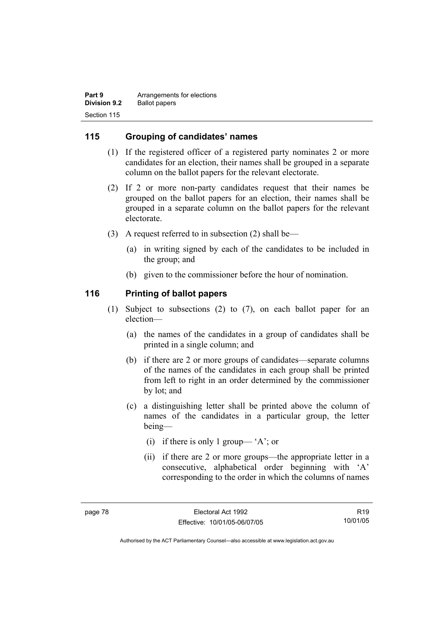| Part 9              | Arrangements for elections |
|---------------------|----------------------------|
| <b>Division 9.2</b> | <b>Ballot papers</b>       |
| Section 115         |                            |

## **115 Grouping of candidates' names**

- (1) If the registered officer of a registered party nominates 2 or more candidates for an election, their names shall be grouped in a separate column on the ballot papers for the relevant electorate.
- (2) If 2 or more non-party candidates request that their names be grouped on the ballot papers for an election, their names shall be grouped in a separate column on the ballot papers for the relevant electorate.
- (3) A request referred to in subsection (2) shall be—
	- (a) in writing signed by each of the candidates to be included in the group; and
	- (b) given to the commissioner before the hour of nomination.

#### **116 Printing of ballot papers**

- (1) Subject to subsections (2) to (7), on each ballot paper for an election—
	- (a) the names of the candidates in a group of candidates shall be printed in a single column; and
	- (b) if there are 2 or more groups of candidates—separate columns of the names of the candidates in each group shall be printed from left to right in an order determined by the commissioner by lot; and
	- (c) a distinguishing letter shall be printed above the column of names of the candidates in a particular group, the letter being—
		- (i) if there is only 1 group— 'A'; or
		- (ii) if there are 2 or more groups—the appropriate letter in a consecutive, alphabetical order beginning with 'A' corresponding to the order in which the columns of names

R19 10/01/05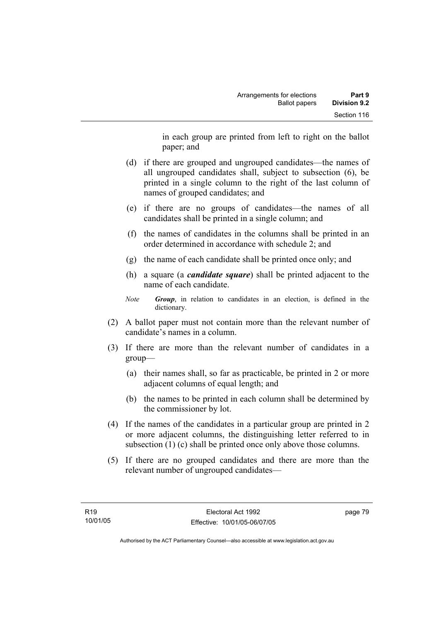in each group are printed from left to right on the ballot paper; and

- (d) if there are grouped and ungrouped candidates—the names of all ungrouped candidates shall, subject to subsection (6), be printed in a single column to the right of the last column of names of grouped candidates; and
- (e) if there are no groups of candidates—the names of all candidates shall be printed in a single column; and
- (f) the names of candidates in the columns shall be printed in an order determined in accordance with schedule 2; and
- (g) the name of each candidate shall be printed once only; and
- (h) a square (a *candidate square*) shall be printed adjacent to the name of each candidate.
- *Note Group*, in relation to candidates in an election, is defined in the dictionary.
- (2) A ballot paper must not contain more than the relevant number of candidate's names in a column.
- (3) If there are more than the relevant number of candidates in a group—
	- (a) their names shall, so far as practicable, be printed in 2 or more adjacent columns of equal length; and
	- (b) the names to be printed in each column shall be determined by the commissioner by lot.
- (4) If the names of the candidates in a particular group are printed in 2 or more adjacent columns, the distinguishing letter referred to in subsection (1) (c) shall be printed once only above those columns.
- (5) If there are no grouped candidates and there are more than the relevant number of ungrouped candidates—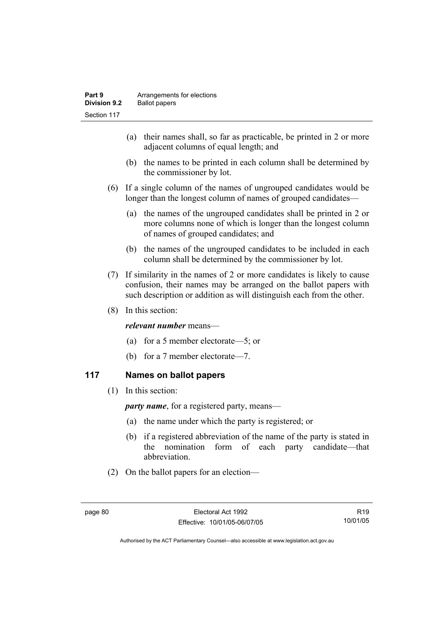- (a) their names shall, so far as practicable, be printed in 2 or more adjacent columns of equal length; and
- (b) the names to be printed in each column shall be determined by the commissioner by lot.
- (6) If a single column of the names of ungrouped candidates would be longer than the longest column of names of grouped candidates—
	- (a) the names of the ungrouped candidates shall be printed in 2 or more columns none of which is longer than the longest column of names of grouped candidates; and
	- (b) the names of the ungrouped candidates to be included in each column shall be determined by the commissioner by lot.
- (7) If similarity in the names of 2 or more candidates is likely to cause confusion, their names may be arranged on the ballot papers with such description or addition as will distinguish each from the other.
- (8) In this section:

#### *relevant number* means—

- (a) for a 5 member electorate—5; or
- (b) for a 7 member electorate—7.

# **117 Names on ballot papers**

(1) In this section:

*party name*, for a registered party, means—

- (a) the name under which the party is registered; or
- (b) if a registered abbreviation of the name of the party is stated in the nomination form of each party candidate—that abbreviation.
- (2) On the ballot papers for an election—

R19 10/01/05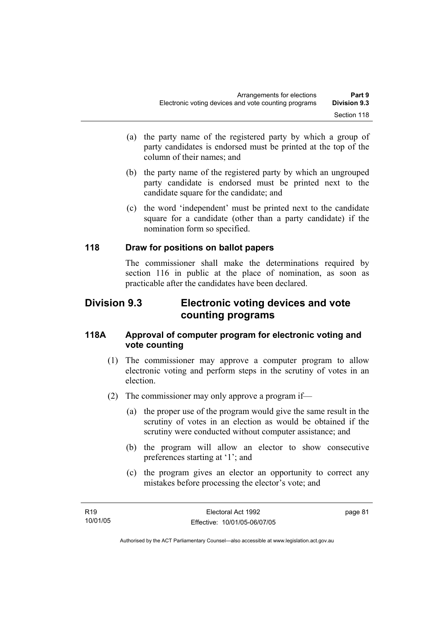- (a) the party name of the registered party by which a group of party candidates is endorsed must be printed at the top of the column of their names; and
- (b) the party name of the registered party by which an ungrouped party candidate is endorsed must be printed next to the candidate square for the candidate; and
- (c) the word 'independent' must be printed next to the candidate square for a candidate (other than a party candidate) if the nomination form so specified.

# **118 Draw for positions on ballot papers**

The commissioner shall make the determinations required by section 116 in public at the place of nomination, as soon as practicable after the candidates have been declared.

# **Division 9.3 Electronic voting devices and vote counting programs**

## **118A Approval of computer program for electronic voting and vote counting**

- (1) The commissioner may approve a computer program to allow electronic voting and perform steps in the scrutiny of votes in an election.
- (2) The commissioner may only approve a program if—
	- (a) the proper use of the program would give the same result in the scrutiny of votes in an election as would be obtained if the scrutiny were conducted without computer assistance; and
	- (b) the program will allow an elector to show consecutive preferences starting at '1'; and
	- (c) the program gives an elector an opportunity to correct any mistakes before processing the elector's vote; and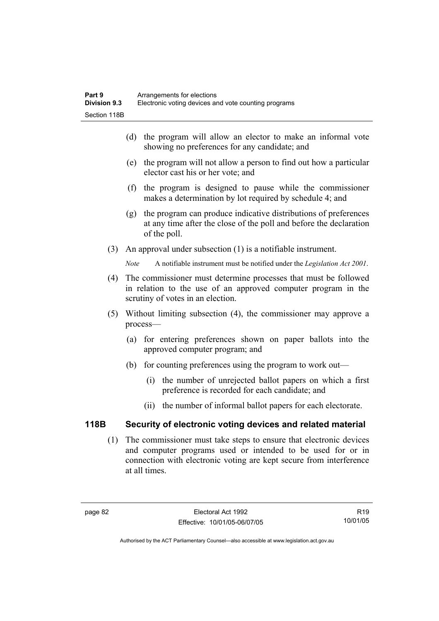- (d) the program will allow an elector to make an informal vote showing no preferences for any candidate; and
- (e) the program will not allow a person to find out how a particular elector cast his or her vote; and
- (f) the program is designed to pause while the commissioner makes a determination by lot required by schedule 4; and
- (g) the program can produce indicative distributions of preferences at any time after the close of the poll and before the declaration of the poll.
- (3) An approval under subsection (1) is a notifiable instrument.

*Note* A notifiable instrument must be notified under the *Legislation Act 2001*.

- (4) The commissioner must determine processes that must be followed in relation to the use of an approved computer program in the scrutiny of votes in an election.
- (5) Without limiting subsection (4), the commissioner may approve a process—
	- (a) for entering preferences shown on paper ballots into the approved computer program; and
	- (b) for counting preferences using the program to work out—
		- (i) the number of unrejected ballot papers on which a first preference is recorded for each candidate; and
		- (ii) the number of informal ballot papers for each electorate.

# **118B Security of electronic voting devices and related material**

 (1) The commissioner must take steps to ensure that electronic devices and computer programs used or intended to be used for or in connection with electronic voting are kept secure from interference at all times.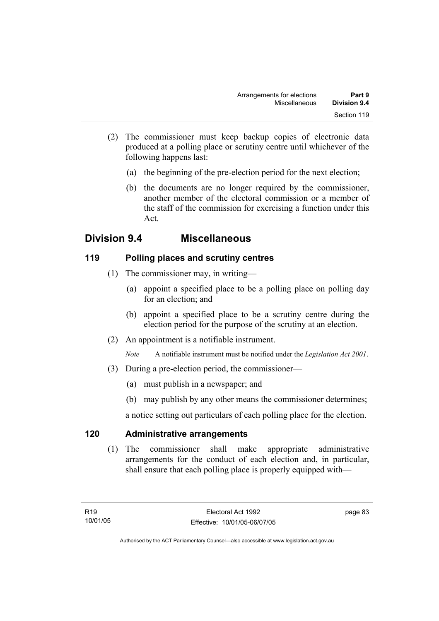- (2) The commissioner must keep backup copies of electronic data produced at a polling place or scrutiny centre until whichever of the following happens last:
	- (a) the beginning of the pre-election period for the next election;
	- (b) the documents are no longer required by the commissioner, another member of the electoral commission or a member of the staff of the commission for exercising a function under this Act.

# **Division 9.4 Miscellaneous**

# **119 Polling places and scrutiny centres**

- (1) The commissioner may, in writing—
	- (a) appoint a specified place to be a polling place on polling day for an election; and
	- (b) appoint a specified place to be a scrutiny centre during the election period for the purpose of the scrutiny at an election.
- (2) An appointment is a notifiable instrument.

*Note* A notifiable instrument must be notified under the *Legislation Act 2001*.

- (3) During a pre-election period, the commissioner—
	- (a) must publish in a newspaper; and
	- (b) may publish by any other means the commissioner determines;

a notice setting out particulars of each polling place for the election.

# **120 Administrative arrangements**

 (1) The commissioner shall make appropriate administrative arrangements for the conduct of each election and, in particular, shall ensure that each polling place is properly equipped with—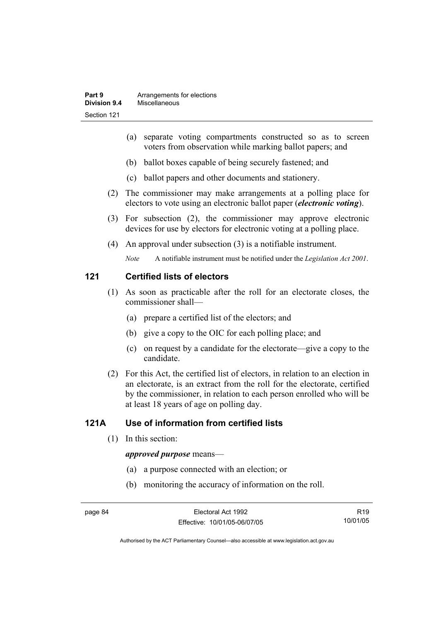- (a) separate voting compartments constructed so as to screen voters from observation while marking ballot papers; and
- (b) ballot boxes capable of being securely fastened; and
- (c) ballot papers and other documents and stationery.
- (2) The commissioner may make arrangements at a polling place for electors to vote using an electronic ballot paper (*electronic voting*).
- (3) For subsection (2), the commissioner may approve electronic devices for use by electors for electronic voting at a polling place.
- (4) An approval under subsection (3) is a notifiable instrument.

*Note* A notifiable instrument must be notified under the *Legislation Act 2001*.

#### **121 Certified lists of electors**

- (1) As soon as practicable after the roll for an electorate closes, the commissioner shall—
	- (a) prepare a certified list of the electors; and
	- (b) give a copy to the OIC for each polling place; and
	- (c) on request by a candidate for the electorate—give a copy to the candidate.
- (2) For this Act, the certified list of electors, in relation to an election in an electorate, is an extract from the roll for the electorate, certified by the commissioner, in relation to each person enrolled who will be at least 18 years of age on polling day.

# **121A Use of information from certified lists**

(1) In this section:

#### *approved purpose* means—

- (a) a purpose connected with an election; or
- (b) monitoring the accuracy of information on the roll.

R19 10/01/05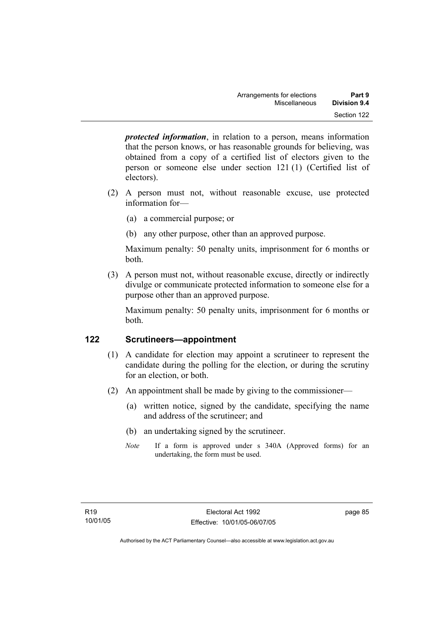*protected information*, in relation to a person, means information that the person knows, or has reasonable grounds for believing, was obtained from a copy of a certified list of electors given to the person or someone else under section 121 (1) (Certified list of electors).

- (2) A person must not, without reasonable excuse, use protected information for—
	- (a) a commercial purpose; or
	- (b) any other purpose, other than an approved purpose.

Maximum penalty: 50 penalty units, imprisonment for 6 months or both.

 (3) A person must not, without reasonable excuse, directly or indirectly divulge or communicate protected information to someone else for a purpose other than an approved purpose.

Maximum penalty: 50 penalty units, imprisonment for 6 months or both.

# **122 Scrutineers—appointment**

- (1) A candidate for election may appoint a scrutineer to represent the candidate during the polling for the election, or during the scrutiny for an election, or both.
- (2) An appointment shall be made by giving to the commissioner—
	- (a) written notice, signed by the candidate, specifying the name and address of the scrutineer; and
	- (b) an undertaking signed by the scrutineer.
	- *Note* If a form is approved under s 340A (Approved forms) for an undertaking, the form must be used.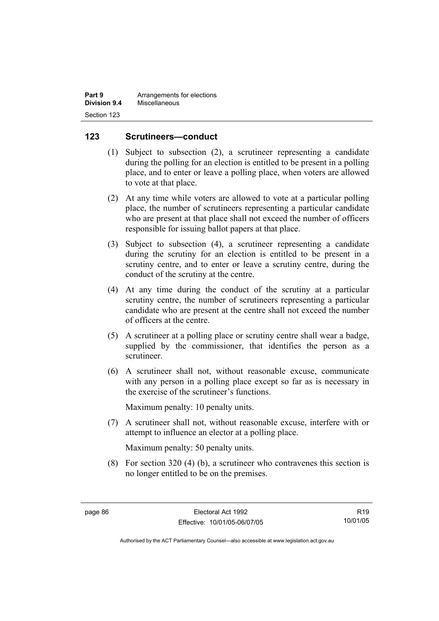| Part 9       | Arrangements for elections |
|--------------|----------------------------|
| Division 9.4 | Miscellaneous              |
| Section 123  |                            |

#### **123 Scrutineers—conduct**

- (1) Subject to subsection (2), a scrutineer representing a candidate during the polling for an election is entitled to be present in a polling place, and to enter or leave a polling place, when voters are allowed to vote at that place.
- (2) At any time while voters are allowed to vote at a particular polling place, the number of scrutineers representing a particular candidate who are present at that place shall not exceed the number of officers responsible for issuing ballot papers at that place.
- (3) Subject to subsection (4), a scrutineer representing a candidate during the scrutiny for an election is entitled to be present in a scrutiny centre, and to enter or leave a scrutiny centre, during the conduct of the scrutiny at the centre.
- (4) At any time during the conduct of the scrutiny at a particular scrutiny centre, the number of scrutineers representing a particular candidate who are present at the centre shall not exceed the number of officers at the centre.
- (5) A scrutineer at a polling place or scrutiny centre shall wear a badge, supplied by the commissioner, that identifies the person as a scrutineer.
- (6) A scrutineer shall not, without reasonable excuse, communicate with any person in a polling place except so far as is necessary in the exercise of the scrutineer's functions.

Maximum penalty: 10 penalty units.

 (7) A scrutineer shall not, without reasonable excuse, interfere with or attempt to influence an elector at a polling place.

Maximum penalty: 50 penalty units.

 (8) For section 320 (4) (b), a scrutineer who contravenes this section is no longer entitled to be on the premises.

R19 10/01/05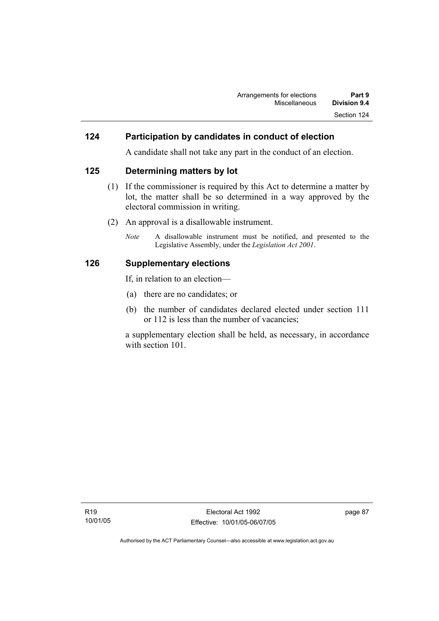#### **124 Participation by candidates in conduct of election**

A candidate shall not take any part in the conduct of an election.

#### **125 Determining matters by lot**

- (1) If the commissioner is required by this Act to determine a matter by lot, the matter shall be so determined in a way approved by the electoral commission in writing.
- (2) An approval is a disallowable instrument.
	- *Note* A disallowable instrument must be notified, and presented to the Legislative Assembly, under the *Legislation Act 2001*.

#### **126 Supplementary elections**

If, in relation to an election—

- (a) there are no candidates; or
- (b) the number of candidates declared elected under section 111 or 112 is less than the number of vacancies;

a supplementary election shall be held, as necessary, in accordance with section 101.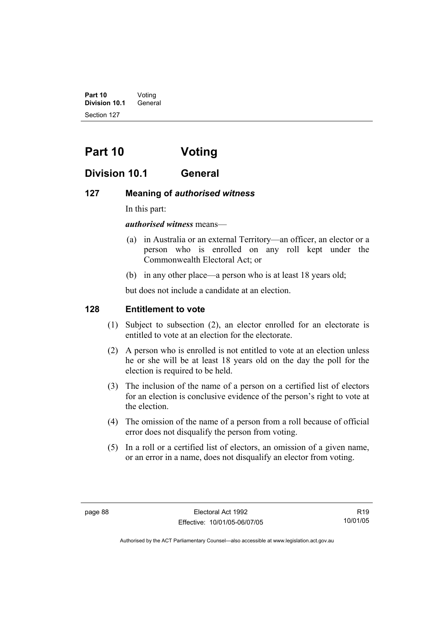**Part 10** Voting **Division 10.1** General Section 127

# **Part 10 Voting**

# **Division 10.1 General**

### **127 Meaning of** *authorised witness*

In this part:

#### *authorised witness* means—

- (a) in Australia or an external Territory—an officer, an elector or a person who is enrolled on any roll kept under the Commonwealth Electoral Act; or
- (b) in any other place—a person who is at least 18 years old;

but does not include a candidate at an election.

# **128 Entitlement to vote**

- (1) Subject to subsection (2), an elector enrolled for an electorate is entitled to vote at an election for the electorate.
- (2) A person who is enrolled is not entitled to vote at an election unless he or she will be at least 18 years old on the day the poll for the election is required to be held.
- (3) The inclusion of the name of a person on a certified list of electors for an election is conclusive evidence of the person's right to vote at the election.
- (4) The omission of the name of a person from a roll because of official error does not disqualify the person from voting.
- (5) In a roll or a certified list of electors, an omission of a given name, or an error in a name, does not disqualify an elector from voting.

R19 10/01/05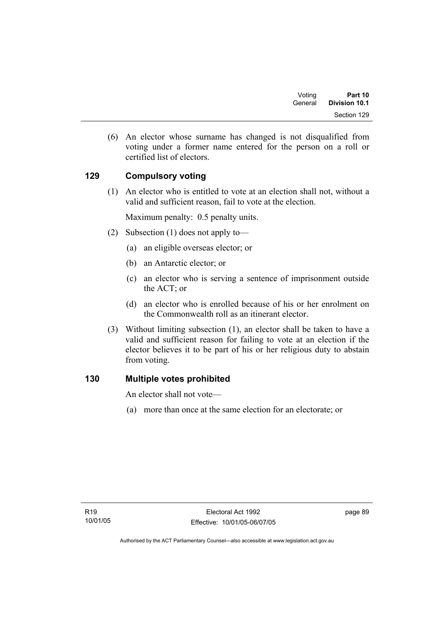| Voting  | Part 10       |
|---------|---------------|
| General | Division 10.1 |
|         | Section 129   |

 (6) An elector whose surname has changed is not disqualified from voting under a former name entered for the person on a roll or certified list of electors.

# **129 Compulsory voting**

 (1) An elector who is entitled to vote at an election shall not, without a valid and sufficient reason, fail to vote at the election.

Maximum penalty: 0.5 penalty units.

- (2) Subsection (1) does not apply to—
	- (a) an eligible overseas elector; or
	- (b) an Antarctic elector; or
	- (c) an elector who is serving a sentence of imprisonment outside the ACT; or
	- (d) an elector who is enrolled because of his or her enrolment on the Commonwealth roll as an itinerant elector.
- (3) Without limiting subsection (1), an elector shall be taken to have a valid and sufficient reason for failing to vote at an election if the elector believes it to be part of his or her religious duty to abstain from voting.

# **130 Multiple votes prohibited**

An elector shall not vote—

(a) more than once at the same election for an electorate; or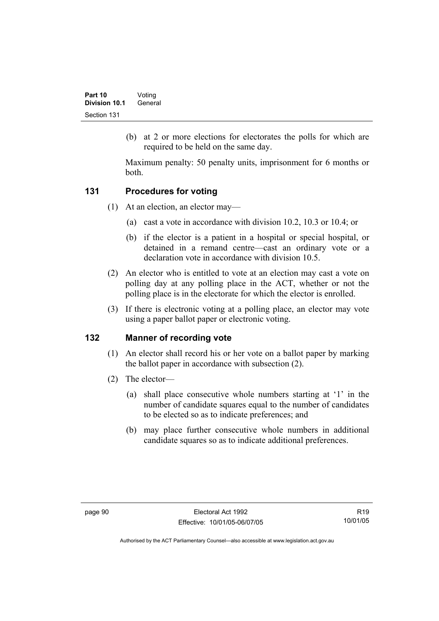(b) at 2 or more elections for electorates the polls for which are required to be held on the same day.

Maximum penalty: 50 penalty units, imprisonment for 6 months or both.

# **131 Procedures for voting**

- (1) At an election, an elector may—
	- (a) cast a vote in accordance with division 10.2, 10.3 or 10.4; or
	- (b) if the elector is a patient in a hospital or special hospital, or detained in a remand centre—cast an ordinary vote or a declaration vote in accordance with division 10.5.
- (2) An elector who is entitled to vote at an election may cast a vote on polling day at any polling place in the ACT, whether or not the polling place is in the electorate for which the elector is enrolled.
- (3) If there is electronic voting at a polling place, an elector may vote using a paper ballot paper or electronic voting.

# **132 Manner of recording vote**

- (1) An elector shall record his or her vote on a ballot paper by marking the ballot paper in accordance with subsection (2).
- (2) The elector—
	- (a) shall place consecutive whole numbers starting at '1' in the number of candidate squares equal to the number of candidates to be elected so as to indicate preferences; and
	- (b) may place further consecutive whole numbers in additional candidate squares so as to indicate additional preferences.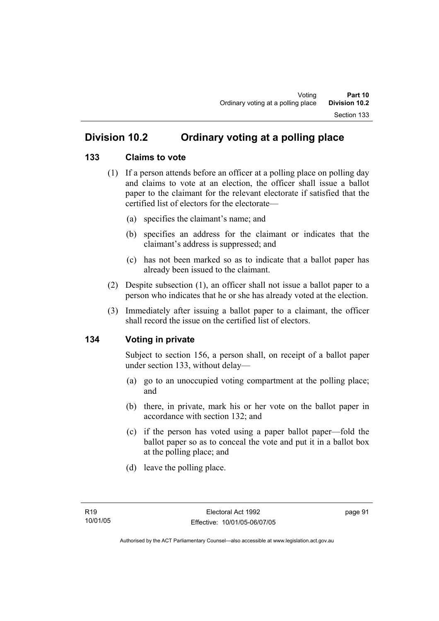# **Division 10.2 Ordinary voting at a polling place**

### **133 Claims to vote**

- (1) If a person attends before an officer at a polling place on polling day and claims to vote at an election, the officer shall issue a ballot paper to the claimant for the relevant electorate if satisfied that the certified list of electors for the electorate—
	- (a) specifies the claimant's name; and
	- (b) specifies an address for the claimant or indicates that the claimant's address is suppressed; and
	- (c) has not been marked so as to indicate that a ballot paper has already been issued to the claimant.
- (2) Despite subsection (1), an officer shall not issue a ballot paper to a person who indicates that he or she has already voted at the election.
- (3) Immediately after issuing a ballot paper to a claimant, the officer shall record the issue on the certified list of electors.

### **134 Voting in private**

Subject to section 156, a person shall, on receipt of a ballot paper under section 133, without delay—

- (a) go to an unoccupied voting compartment at the polling place; and
- (b) there, in private, mark his or her vote on the ballot paper in accordance with section 132; and
- (c) if the person has voted using a paper ballot paper—fold the ballot paper so as to conceal the vote and put it in a ballot box at the polling place; and
- (d) leave the polling place.

page 91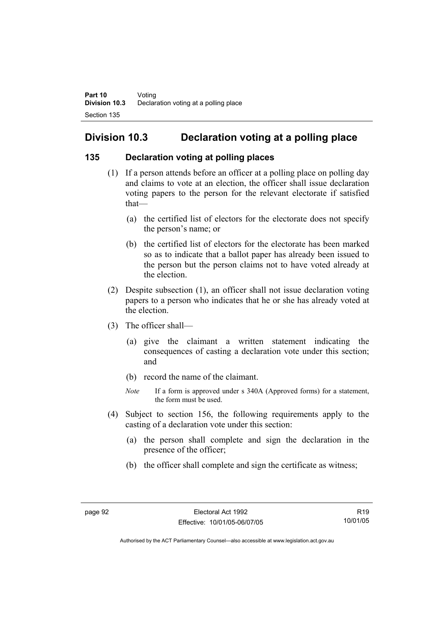# **Division 10.3 Declaration voting at a polling place**

### **135 Declaration voting at polling places**

- (1) If a person attends before an officer at a polling place on polling day and claims to vote at an election, the officer shall issue declaration voting papers to the person for the relevant electorate if satisfied that—
	- (a) the certified list of electors for the electorate does not specify the person's name; or
	- (b) the certified list of electors for the electorate has been marked so as to indicate that a ballot paper has already been issued to the person but the person claims not to have voted already at the election.
- (2) Despite subsection (1), an officer shall not issue declaration voting papers to a person who indicates that he or she has already voted at the election.
- (3) The officer shall—
	- (a) give the claimant a written statement indicating the consequences of casting a declaration vote under this section; and
	- (b) record the name of the claimant.
	- *Note* If a form is approved under s 340A (Approved forms) for a statement, the form must be used.
- (4) Subject to section 156, the following requirements apply to the casting of a declaration vote under this section:
	- (a) the person shall complete and sign the declaration in the presence of the officer;
	- (b) the officer shall complete and sign the certificate as witness;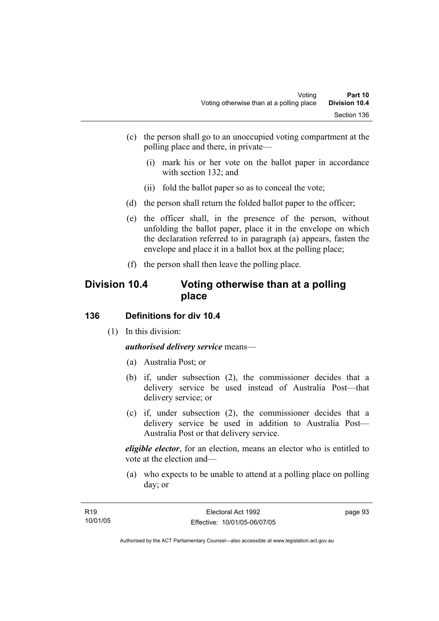- (c) the person shall go to an unoccupied voting compartment at the polling place and there, in private—
	- (i) mark his or her vote on the ballot paper in accordance with section 132; and
	- (ii) fold the ballot paper so as to conceal the vote;
- (d) the person shall return the folded ballot paper to the officer;
- (e) the officer shall, in the presence of the person, without unfolding the ballot paper, place it in the envelope on which the declaration referred to in paragraph (a) appears, fasten the envelope and place it in a ballot box at the polling place;
- (f) the person shall then leave the polling place.

## **Division 10.4 Voting otherwise than at a polling place**

### **136 Definitions for div 10.4**

(1) In this division:

*authorised delivery service* means—

- (a) Australia Post; or
- (b) if, under subsection (2), the commissioner decides that a delivery service be used instead of Australia Post—that delivery service; or
- (c) if, under subsection (2), the commissioner decides that a delivery service be used in addition to Australia Post— Australia Post or that delivery service.

*eligible elector*, for an election, means an elector who is entitled to vote at the election and—

 (a) who expects to be unable to attend at a polling place on polling day; or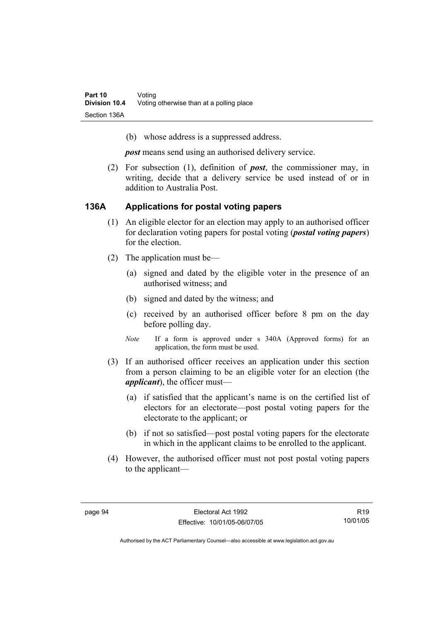(b) whose address is a suppressed address.

*post* means send using an authorised delivery service.

 (2) For subsection (1), definition of *post*, the commissioner may, in writing, decide that a delivery service be used instead of or in addition to Australia Post.

#### **136A Applications for postal voting papers**

- (1) An eligible elector for an election may apply to an authorised officer for declaration voting papers for postal voting (*postal voting papers*) for the election.
- (2) The application must be—
	- (a) signed and dated by the eligible voter in the presence of an authorised witness; and
	- (b) signed and dated by the witness; and
	- (c) received by an authorised officer before 8 pm on the day before polling day.
	- *Note* If a form is approved under s 340A (Approved forms) for an application, the form must be used.
- (3) If an authorised officer receives an application under this section from a person claiming to be an eligible voter for an election (the *applicant*), the officer must—
	- (a) if satisfied that the applicant's name is on the certified list of electors for an electorate—post postal voting papers for the electorate to the applicant; or
	- (b) if not so satisfied—post postal voting papers for the electorate in which in the applicant claims to be enrolled to the applicant.
- (4) However, the authorised officer must not post postal voting papers to the applicant—

R19 10/01/05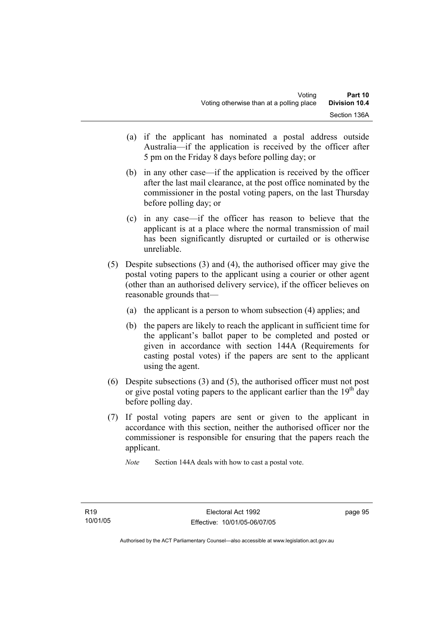- (a) if the applicant has nominated a postal address outside Australia—if the application is received by the officer after 5 pm on the Friday 8 days before polling day; or
- (b) in any other case—if the application is received by the officer after the last mail clearance, at the post office nominated by the commissioner in the postal voting papers, on the last Thursday before polling day; or
- (c) in any case—if the officer has reason to believe that the applicant is at a place where the normal transmission of mail has been significantly disrupted or curtailed or is otherwise unreliable.
- (5) Despite subsections (3) and (4), the authorised officer may give the postal voting papers to the applicant using a courier or other agent (other than an authorised delivery service), if the officer believes on reasonable grounds that—
	- (a) the applicant is a person to whom subsection (4) applies; and
	- (b) the papers are likely to reach the applicant in sufficient time for the applicant's ballot paper to be completed and posted or given in accordance with section 144A (Requirements for casting postal votes) if the papers are sent to the applicant using the agent.
- (6) Despite subsections (3) and (5), the authorised officer must not post or give postal voting papers to the applicant earlier than the  $19<sup>th</sup>$  day before polling day.
- (7) If postal voting papers are sent or given to the applicant in accordance with this section, neither the authorised officer nor the commissioner is responsible for ensuring that the papers reach the applicant.

*Note* Section 144A deals with how to cast a postal vote.

page 95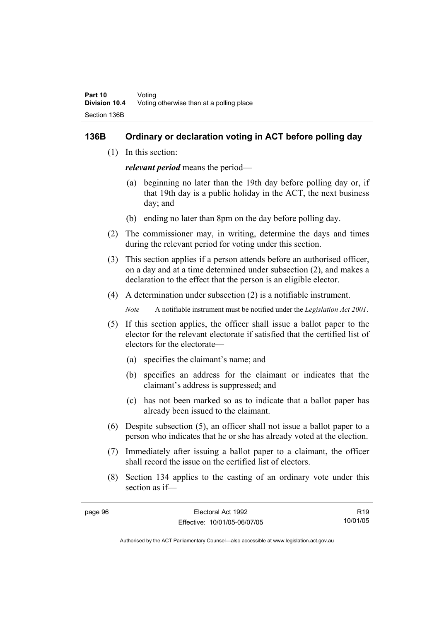#### **136B Ordinary or declaration voting in ACT before polling day**

(1) In this section:

*relevant period* means the period—

- (a) beginning no later than the 19th day before polling day or, if that 19th day is a public holiday in the ACT, the next business day; and
- (b) ending no later than 8pm on the day before polling day.
- (2) The commissioner may, in writing, determine the days and times during the relevant period for voting under this section.
- (3) This section applies if a person attends before an authorised officer, on a day and at a time determined under subsection (2), and makes a declaration to the effect that the person is an eligible elector.
- (4) A determination under subsection (2) is a notifiable instrument.

*Note* A notifiable instrument must be notified under the *Legislation Act 2001*.

- (5) If this section applies, the officer shall issue a ballot paper to the elector for the relevant electorate if satisfied that the certified list of electors for the electorate—
	- (a) specifies the claimant's name; and
	- (b) specifies an address for the claimant or indicates that the claimant's address is suppressed; and
	- (c) has not been marked so as to indicate that a ballot paper has already been issued to the claimant.
- (6) Despite subsection (5), an officer shall not issue a ballot paper to a person who indicates that he or she has already voted at the election.
- (7) Immediately after issuing a ballot paper to a claimant, the officer shall record the issue on the certified list of electors.
- (8) Section 134 applies to the casting of an ordinary vote under this section as if—

| page 96 | Electoral Act 1992           | R <sub>19</sub> |
|---------|------------------------------|-----------------|
|         | Effective: 10/01/05-06/07/05 | 10/01/05        |
|         |                              |                 |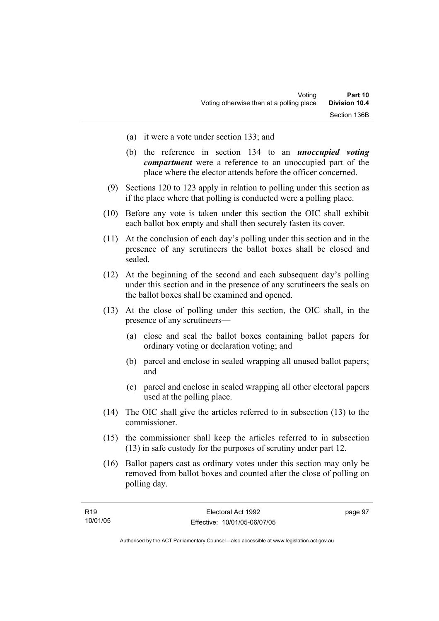- (a) it were a vote under section 133; and
- (b) the reference in section 134 to an *unoccupied voting compartment* were a reference to an unoccupied part of the place where the elector attends before the officer concerned.
- (9) Sections 120 to 123 apply in relation to polling under this section as if the place where that polling is conducted were a polling place.
- (10) Before any vote is taken under this section the OIC shall exhibit each ballot box empty and shall then securely fasten its cover.
- (11) At the conclusion of each day's polling under this section and in the presence of any scrutineers the ballot boxes shall be closed and sealed.
- (12) At the beginning of the second and each subsequent day's polling under this section and in the presence of any scrutineers the seals on the ballot boxes shall be examined and opened.
- (13) At the close of polling under this section, the OIC shall, in the presence of any scrutineers—
	- (a) close and seal the ballot boxes containing ballot papers for ordinary voting or declaration voting; and
	- (b) parcel and enclose in sealed wrapping all unused ballot papers; and
	- (c) parcel and enclose in sealed wrapping all other electoral papers used at the polling place.
- (14) The OIC shall give the articles referred to in subsection (13) to the commissioner.
- (15) the commissioner shall keep the articles referred to in subsection (13) in safe custody for the purposes of scrutiny under part 12.
- (16) Ballot papers cast as ordinary votes under this section may only be removed from ballot boxes and counted after the close of polling on polling day.

| R <sub>19</sub> | Electoral Act 1992           | page 97 |
|-----------------|------------------------------|---------|
| 10/01/05        | Effective: 10/01/05-06/07/05 |         |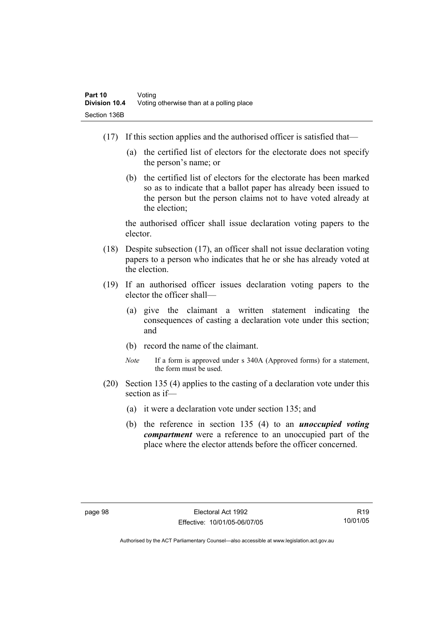- (17) If this section applies and the authorised officer is satisfied that—
	- (a) the certified list of electors for the electorate does not specify the person's name; or
	- (b) the certified list of electors for the electorate has been marked so as to indicate that a ballot paper has already been issued to the person but the person claims not to have voted already at the election;

the authorised officer shall issue declaration voting papers to the elector.

- (18) Despite subsection (17), an officer shall not issue declaration voting papers to a person who indicates that he or she has already voted at the election.
- (19) If an authorised officer issues declaration voting papers to the elector the officer shall—
	- (a) give the claimant a written statement indicating the consequences of casting a declaration vote under this section; and
	- (b) record the name of the claimant.
	- *Note* If a form is approved under s 340A (Approved forms) for a statement, the form must be used.
- (20) Section 135 (4) applies to the casting of a declaration vote under this section as if—
	- (a) it were a declaration vote under section 135; and
	- (b) the reference in section 135 (4) to an *unoccupied voting compartment* were a reference to an unoccupied part of the place where the elector attends before the officer concerned.

R19 10/01/05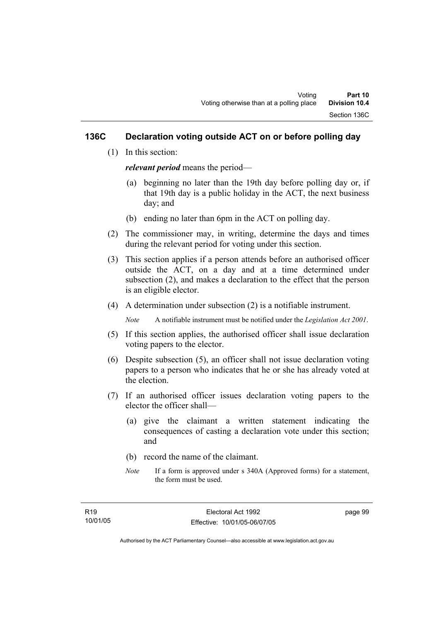### **136C Declaration voting outside ACT on or before polling day**

(1) In this section:

*relevant period* means the period—

- (a) beginning no later than the 19th day before polling day or, if that 19th day is a public holiday in the ACT, the next business day; and
- (b) ending no later than 6pm in the ACT on polling day.
- (2) The commissioner may, in writing, determine the days and times during the relevant period for voting under this section.
- (3) This section applies if a person attends before an authorised officer outside the ACT, on a day and at a time determined under subsection (2), and makes a declaration to the effect that the person is an eligible elector.
- (4) A determination under subsection (2) is a notifiable instrument.

*Note* A notifiable instrument must be notified under the *Legislation Act 2001*.

- (5) If this section applies, the authorised officer shall issue declaration voting papers to the elector.
- (6) Despite subsection (5), an officer shall not issue declaration voting papers to a person who indicates that he or she has already voted at the election.
- (7) If an authorised officer issues declaration voting papers to the elector the officer shall—
	- (a) give the claimant a written statement indicating the consequences of casting a declaration vote under this section; and
	- (b) record the name of the claimant.
	- *Note* If a form is approved under s 340A (Approved forms) for a statement, the form must be used.

page 99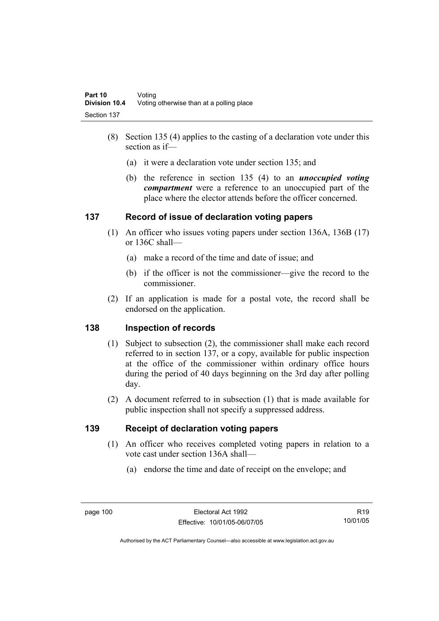- (8) Section 135 (4) applies to the casting of a declaration vote under this section as if—
	- (a) it were a declaration vote under section 135; and
	- (b) the reference in section 135 (4) to an *unoccupied voting compartment* were a reference to an unoccupied part of the place where the elector attends before the officer concerned.

### **137 Record of issue of declaration voting papers**

- (1) An officer who issues voting papers under section 136A, 136B (17) or 136C shall—
	- (a) make a record of the time and date of issue; and
	- (b) if the officer is not the commissioner—give the record to the commissioner.
- (2) If an application is made for a postal vote, the record shall be endorsed on the application.

### **138 Inspection of records**

- (1) Subject to subsection (2), the commissioner shall make each record referred to in section 137, or a copy, available for public inspection at the office of the commissioner within ordinary office hours during the period of 40 days beginning on the 3rd day after polling day.
- (2) A document referred to in subsection (1) that is made available for public inspection shall not specify a suppressed address.

### **139 Receipt of declaration voting papers**

- (1) An officer who receives completed voting papers in relation to a vote cast under section 136A shall—
	- (a) endorse the time and date of receipt on the envelope; and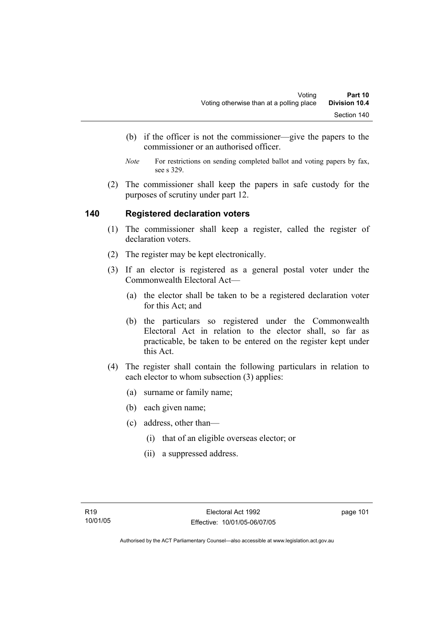- (b) if the officer is not the commissioner—give the papers to the commissioner or an authorised officer.
- *Note* For restrictions on sending completed ballot and voting papers by fax, see s 329.
- (2) The commissioner shall keep the papers in safe custody for the purposes of scrutiny under part 12.

#### **140 Registered declaration voters**

- (1) The commissioner shall keep a register, called the register of declaration voters.
- (2) The register may be kept electronically.
- (3) If an elector is registered as a general postal voter under the Commonwealth Electoral Act—
	- (a) the elector shall be taken to be a registered declaration voter for this Act; and
	- (b) the particulars so registered under the Commonwealth Electoral Act in relation to the elector shall, so far as practicable, be taken to be entered on the register kept under this Act.
- (4) The register shall contain the following particulars in relation to each elector to whom subsection (3) applies:
	- (a) surname or family name;
	- (b) each given name;
	- (c) address, other than—
		- (i) that of an eligible overseas elector; or
		- (ii) a suppressed address.

page 101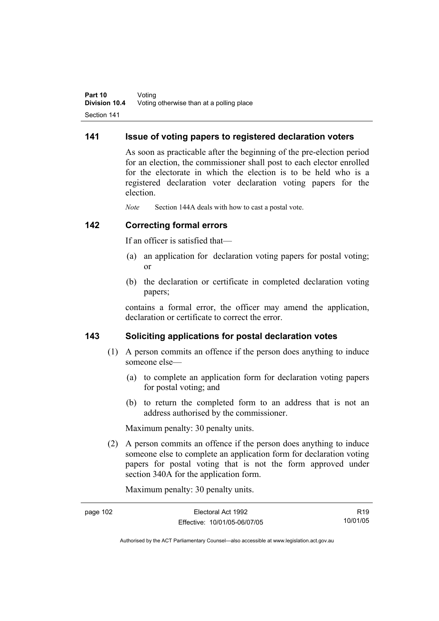#### **141 Issue of voting papers to registered declaration voters**

As soon as practicable after the beginning of the pre-election period for an election, the commissioner shall post to each elector enrolled for the electorate in which the election is to be held who is a registered declaration voter declaration voting papers for the election.

*Note* Section 144A deals with how to cast a postal vote.

#### **142 Correcting formal errors**

If an officer is satisfied that—

- (a) an application for declaration voting papers for postal voting; or
- (b) the declaration or certificate in completed declaration voting papers;

contains a formal error, the officer may amend the application, declaration or certificate to correct the error.

#### **143 Soliciting applications for postal declaration votes**

- (1) A person commits an offence if the person does anything to induce someone else—
	- (a) to complete an application form for declaration voting papers for postal voting; and
	- (b) to return the completed form to an address that is not an address authorised by the commissioner.

Maximum penalty: 30 penalty units.

 (2) A person commits an offence if the person does anything to induce someone else to complete an application form for declaration voting papers for postal voting that is not the form approved under section 340A for the application form.

Maximum penalty: 30 penalty units.

| page 102 | Electoral Act 1992           | R <sub>19</sub> |
|----------|------------------------------|-----------------|
|          | Effective: 10/01/05-06/07/05 | 10/01/05        |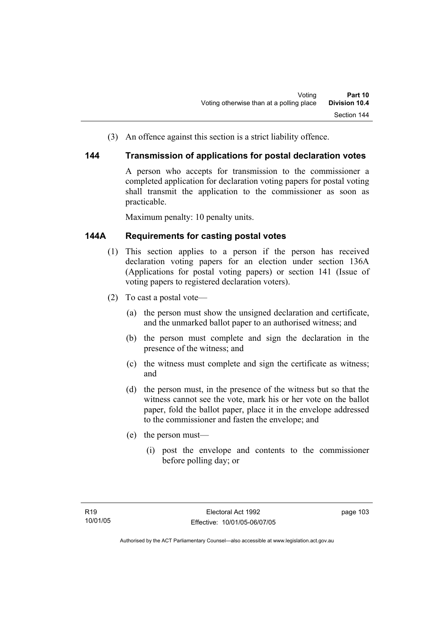(3) An offence against this section is a strict liability offence.

#### **144 Transmission of applications for postal declaration votes**

A person who accepts for transmission to the commissioner a completed application for declaration voting papers for postal voting shall transmit the application to the commissioner as soon as practicable.

Maximum penalty: 10 penalty units.

### **144A Requirements for casting postal votes**

- (1) This section applies to a person if the person has received declaration voting papers for an election under section 136A (Applications for postal voting papers) or section 141 (Issue of voting papers to registered declaration voters).
- (2) To cast a postal vote—
	- (a) the person must show the unsigned declaration and certificate, and the unmarked ballot paper to an authorised witness; and
	- (b) the person must complete and sign the declaration in the presence of the witness; and
	- (c) the witness must complete and sign the certificate as witness; and
	- (d) the person must, in the presence of the witness but so that the witness cannot see the vote, mark his or her vote on the ballot paper, fold the ballot paper, place it in the envelope addressed to the commissioner and fasten the envelope; and
	- (e) the person must—
		- (i) post the envelope and contents to the commissioner before polling day; or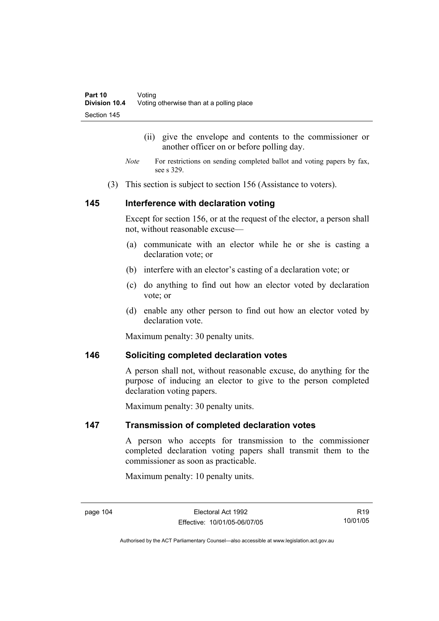- (ii) give the envelope and contents to the commissioner or another officer on or before polling day.
- *Note* For restrictions on sending completed ballot and voting papers by fax, see s 329.
- (3) This section is subject to section 156 (Assistance to voters).

#### **145 Interference with declaration voting**

Except for section 156, or at the request of the elector, a person shall not, without reasonable excuse—

- (a) communicate with an elector while he or she is casting a declaration vote; or
- (b) interfere with an elector's casting of a declaration vote; or
- (c) do anything to find out how an elector voted by declaration vote; or
- (d) enable any other person to find out how an elector voted by declaration vote

Maximum penalty: 30 penalty units.

#### **146 Soliciting completed declaration votes**

A person shall not, without reasonable excuse, do anything for the purpose of inducing an elector to give to the person completed declaration voting papers.

Maximum penalty: 30 penalty units.

#### **147 Transmission of completed declaration votes**

A person who accepts for transmission to the commissioner completed declaration voting papers shall transmit them to the commissioner as soon as practicable.

Maximum penalty: 10 penalty units.

R19 10/01/05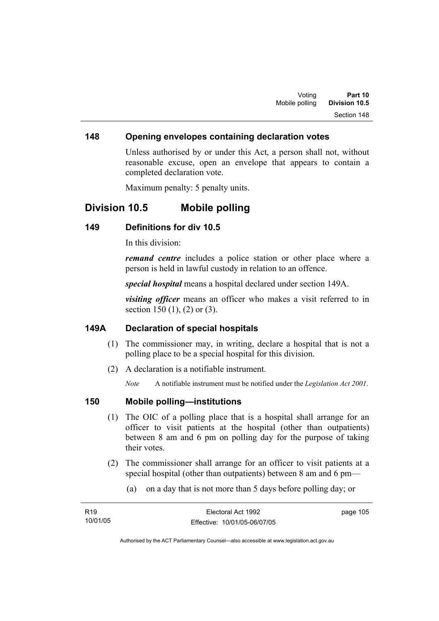#### **148 Opening envelopes containing declaration votes**

Unless authorised by or under this Act, a person shall not, without reasonable excuse, open an envelope that appears to contain a completed declaration vote.

Maximum penalty: 5 penalty units.

## **Division 10.5 Mobile polling**

#### **149 Definitions for div 10.5**

In this division:

*remand centre* includes a police station or other place where a person is held in lawful custody in relation to an offence.

*special hospital* means a hospital declared under section 149A.

*visiting officer* means an officer who makes a visit referred to in section 150 (1), (2) or (3).

#### **149A Declaration of special hospitals**

- (1) The commissioner may, in writing, declare a hospital that is not a polling place to be a special hospital for this division.
- (2) A declaration is a notifiable instrument.

*Note* A notifiable instrument must be notified under the *Legislation Act 2001*.

#### **150 Mobile polling—institutions**

- (1) The OIC of a polling place that is a hospital shall arrange for an officer to visit patients at the hospital (other than outpatients) between 8 am and 6 pm on polling day for the purpose of taking their votes.
- (2) The commissioner shall arrange for an officer to visit patients at a special hospital (other than outpatients) between 8 am and 6 pm—
	- (a) on a day that is not more than 5 days before polling day; or

| R <sub>19</sub> | Electoral Act 1992           | page 105 |
|-----------------|------------------------------|----------|
| 10/01/05        | Effective: 10/01/05-06/07/05 |          |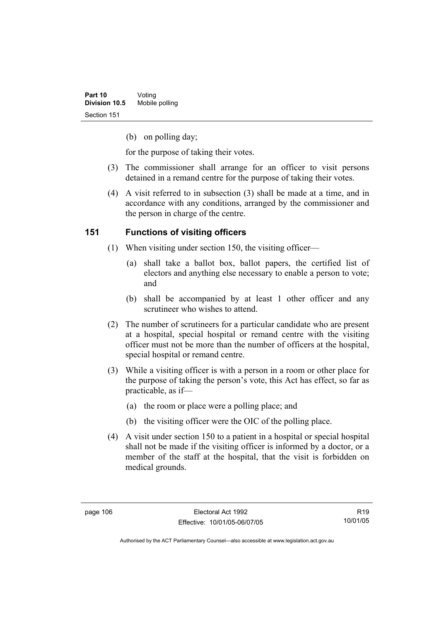(b) on polling day;

for the purpose of taking their votes.

- (3) The commissioner shall arrange for an officer to visit persons detained in a remand centre for the purpose of taking their votes.
- (4) A visit referred to in subsection (3) shall be made at a time, and in accordance with any conditions, arranged by the commissioner and the person in charge of the centre.

### **151 Functions of visiting officers**

- (1) When visiting under section 150, the visiting officer—
	- (a) shall take a ballot box, ballot papers, the certified list of electors and anything else necessary to enable a person to vote; and
	- (b) shall be accompanied by at least 1 other officer and any scrutineer who wishes to attend.
- (2) The number of scrutineers for a particular candidate who are present at a hospital, special hospital or remand centre with the visiting officer must not be more than the number of officers at the hospital, special hospital or remand centre.
- (3) While a visiting officer is with a person in a room or other place for the purpose of taking the person's vote, this Act has effect, so far as practicable, as if—
	- (a) the room or place were a polling place; and
	- (b) the visiting officer were the OIC of the polling place.
- (4) A visit under section 150 to a patient in a hospital or special hospital shall not be made if the visiting officer is informed by a doctor, or a member of the staff at the hospital, that the visit is forbidden on medical grounds.

R19 10/01/05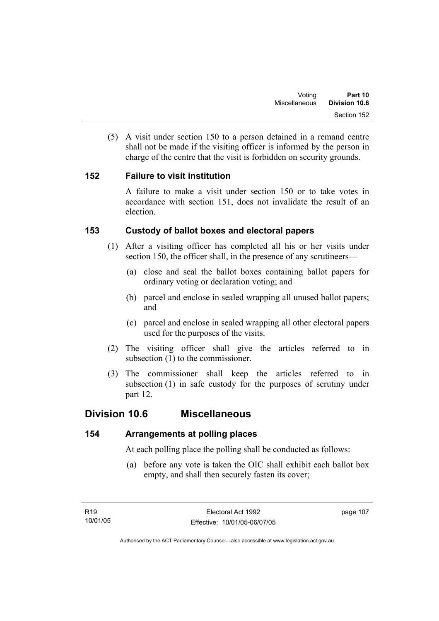(5) A visit under section 150 to a person detained in a remand centre shall not be made if the visiting officer is informed by the person in charge of the centre that the visit is forbidden on security grounds.

### **152 Failure to visit institution**

A failure to make a visit under section 150 or to take votes in accordance with section 151, does not invalidate the result of an election.

### **153 Custody of ballot boxes and electoral papers**

- (1) After a visiting officer has completed all his or her visits under section 150, the officer shall, in the presence of any scrutineers—
	- (a) close and seal the ballot boxes containing ballot papers for ordinary voting or declaration voting; and
	- (b) parcel and enclose in sealed wrapping all unused ballot papers; and
	- (c) parcel and enclose in sealed wrapping all other electoral papers used for the purposes of the visits.
- (2) The visiting officer shall give the articles referred to in subsection (1) to the commissioner.
- (3) The commissioner shall keep the articles referred to in subsection (1) in safe custody for the purposes of scrutiny under part 12.

## **Division 10.6 Miscellaneous**

### **154 Arrangements at polling places**

At each polling place the polling shall be conducted as follows:

 (a) before any vote is taken the OIC shall exhibit each ballot box empty, and shall then securely fasten its cover;

page 107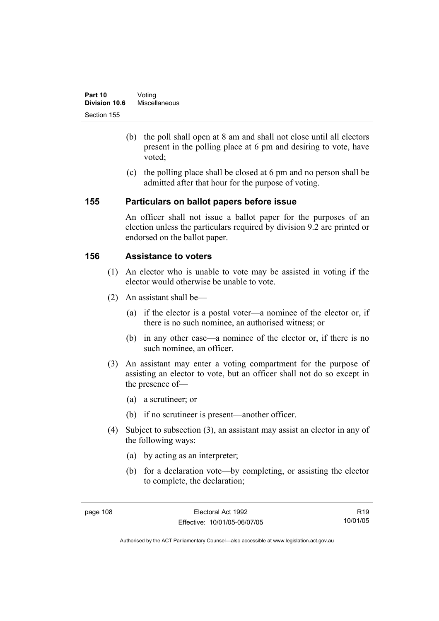- (b) the poll shall open at 8 am and shall not close until all electors present in the polling place at 6 pm and desiring to vote, have voted;
- (c) the polling place shall be closed at 6 pm and no person shall be admitted after that hour for the purpose of voting.

#### **155 Particulars on ballot papers before issue**

An officer shall not issue a ballot paper for the purposes of an election unless the particulars required by division 9.2 are printed or endorsed on the ballot paper.

### **156 Assistance to voters**

- (1) An elector who is unable to vote may be assisted in voting if the elector would otherwise be unable to vote.
- (2) An assistant shall be—
	- (a) if the elector is a postal voter—a nominee of the elector or, if there is no such nominee, an authorised witness; or
	- (b) in any other case—a nominee of the elector or, if there is no such nominee, an officer.
- (3) An assistant may enter a voting compartment for the purpose of assisting an elector to vote, but an officer shall not do so except in the presence of—
	- (a) a scrutineer; or
	- (b) if no scrutineer is present—another officer.
- (4) Subject to subsection (3), an assistant may assist an elector in any of the following ways:
	- (a) by acting as an interpreter;
	- (b) for a declaration vote—by completing, or assisting the elector to complete, the declaration;

R19 10/01/05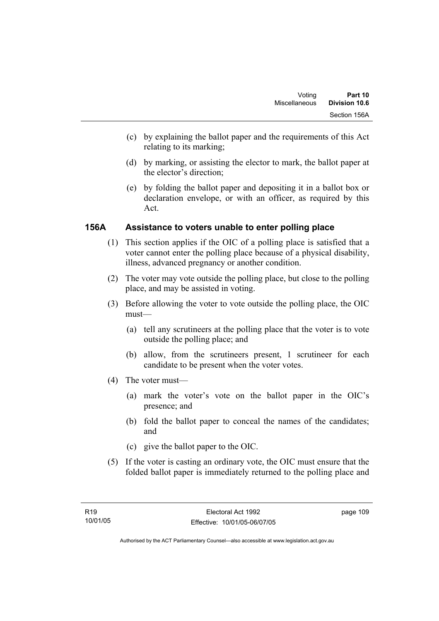- (c) by explaining the ballot paper and the requirements of this Act relating to its marking;
- (d) by marking, or assisting the elector to mark, the ballot paper at the elector's direction;
- (e) by folding the ballot paper and depositing it in a ballot box or declaration envelope, or with an officer, as required by this Act.

### **156A Assistance to voters unable to enter polling place**

- (1) This section applies if the OIC of a polling place is satisfied that a voter cannot enter the polling place because of a physical disability, illness, advanced pregnancy or another condition.
- (2) The voter may vote outside the polling place, but close to the polling place, and may be assisted in voting.
- (3) Before allowing the voter to vote outside the polling place, the OIC must—
	- (a) tell any scrutineers at the polling place that the voter is to vote outside the polling place; and
	- (b) allow, from the scrutineers present, 1 scrutineer for each candidate to be present when the voter votes.
- (4) The voter must—
	- (a) mark the voter's vote on the ballot paper in the OIC's presence; and
	- (b) fold the ballot paper to conceal the names of the candidates; and
	- (c) give the ballot paper to the OIC.
- (5) If the voter is casting an ordinary vote, the OIC must ensure that the folded ballot paper is immediately returned to the polling place and

page 109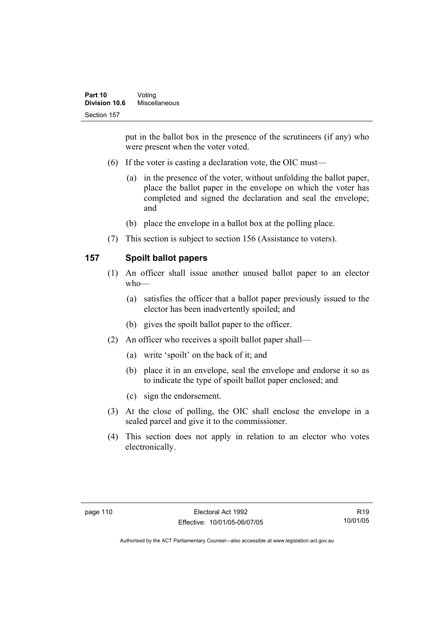put in the ballot box in the presence of the scrutineers (if any) who were present when the voter voted.

- (6) If the voter is casting a declaration vote, the OIC must—
	- (a) in the presence of the voter, without unfolding the ballot paper, place the ballot paper in the envelope on which the voter has completed and signed the declaration and seal the envelope; and
	- (b) place the envelope in a ballot box at the polling place.
- (7) This section is subject to section 156 (Assistance to voters).

### **157 Spoilt ballot papers**

- (1) An officer shall issue another unused ballot paper to an elector who—
	- (a) satisfies the officer that a ballot paper previously issued to the elector has been inadvertently spoiled; and
	- (b) gives the spoilt ballot paper to the officer.
- (2) An officer who receives a spoilt ballot paper shall—
	- (a) write 'spoilt' on the back of it; and
	- (b) place it in an envelope, seal the envelope and endorse it so as to indicate the type of spoilt ballot paper enclosed; and
	- (c) sign the endorsement.
- (3) At the close of polling, the OIC shall enclose the envelope in a sealed parcel and give it to the commissioner.
- (4) This section does not apply in relation to an elector who votes electronically.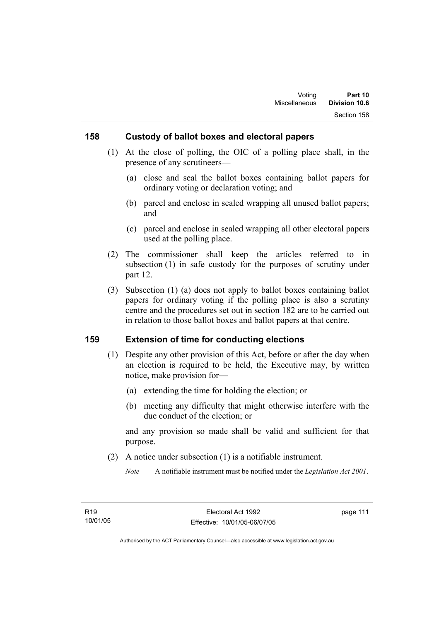### **158 Custody of ballot boxes and electoral papers**

- (1) At the close of polling, the OIC of a polling place shall, in the presence of any scrutineers—
	- (a) close and seal the ballot boxes containing ballot papers for ordinary voting or declaration voting; and
	- (b) parcel and enclose in sealed wrapping all unused ballot papers; and
	- (c) parcel and enclose in sealed wrapping all other electoral papers used at the polling place.
- (2) The commissioner shall keep the articles referred to in subsection (1) in safe custody for the purposes of scrutiny under part 12.
- (3) Subsection (1) (a) does not apply to ballot boxes containing ballot papers for ordinary voting if the polling place is also a scrutiny centre and the procedures set out in section 182 are to be carried out in relation to those ballot boxes and ballot papers at that centre.

#### **159 Extension of time for conducting elections**

- (1) Despite any other provision of this Act, before or after the day when an election is required to be held, the Executive may, by written notice, make provision for—
	- (a) extending the time for holding the election; or
	- (b) meeting any difficulty that might otherwise interfere with the due conduct of the election; or

and any provision so made shall be valid and sufficient for that purpose.

(2) A notice under subsection (1) is a notifiable instrument.

*Note* A notifiable instrument must be notified under the *Legislation Act 2001*.

page 111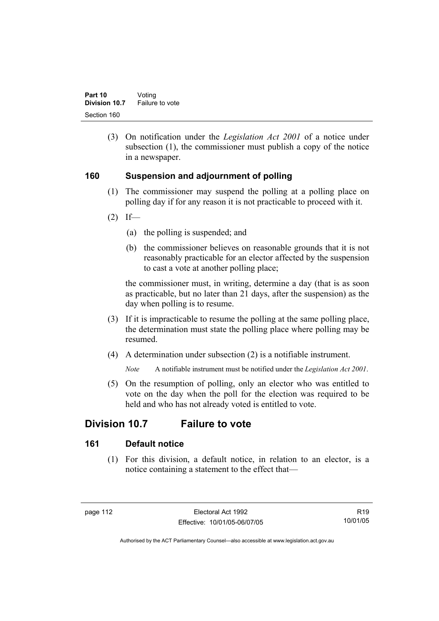(3) On notification under the *Legislation Act 2001* of a notice under subsection (1), the commissioner must publish a copy of the notice in a newspaper.

### **160 Suspension and adjournment of polling**

- (1) The commissioner may suspend the polling at a polling place on polling day if for any reason it is not practicable to proceed with it.
- $(2)$  If—
	- (a) the polling is suspended; and
	- (b) the commissioner believes on reasonable grounds that it is not reasonably practicable for an elector affected by the suspension to cast a vote at another polling place;

the commissioner must, in writing, determine a day (that is as soon as practicable, but no later than 21 days, after the suspension) as the day when polling is to resume.

- (3) If it is impracticable to resume the polling at the same polling place, the determination must state the polling place where polling may be resumed.
- (4) A determination under subsection (2) is a notifiable instrument.

*Note* A notifiable instrument must be notified under the *Legislation Act 2001*.

 (5) On the resumption of polling, only an elector who was entitled to vote on the day when the poll for the election was required to be held and who has not already voted is entitled to vote.

# **Division 10.7 Failure to vote**

### **161 Default notice**

 (1) For this division, a default notice, in relation to an elector, is a notice containing a statement to the effect that—

R19 10/01/05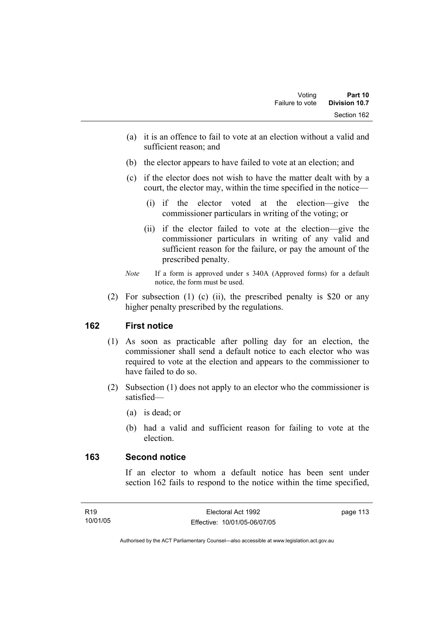- (a) it is an offence to fail to vote at an election without a valid and sufficient reason; and
- (b) the elector appears to have failed to vote at an election; and
- (c) if the elector does not wish to have the matter dealt with by a court, the elector may, within the time specified in the notice—
	- (i) if the elector voted at the election—give the commissioner particulars in writing of the voting; or
	- (ii) if the elector failed to vote at the election—give the commissioner particulars in writing of any valid and sufficient reason for the failure, or pay the amount of the prescribed penalty.
- *Note* If a form is approved under s 340A (Approved forms) for a default notice, the form must be used.
- (2) For subsection (1) (c) (ii), the prescribed penalty is \$20 or any higher penalty prescribed by the regulations.

### **162 First notice**

- (1) As soon as practicable after polling day for an election, the commissioner shall send a default notice to each elector who was required to vote at the election and appears to the commissioner to have failed to do so.
- (2) Subsection (1) does not apply to an elector who the commissioner is satisfied—
	- (a) is dead; or
	- (b) had a valid and sufficient reason for failing to vote at the election.

#### **163 Second notice**

If an elector to whom a default notice has been sent under section 162 fails to respond to the notice within the time specified,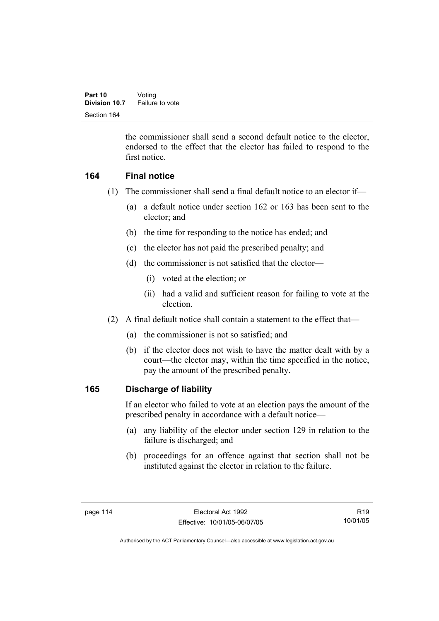the commissioner shall send a second default notice to the elector, endorsed to the effect that the elector has failed to respond to the first notice.

### **164 Final notice**

- (1) The commissioner shall send a final default notice to an elector if—
	- (a) a default notice under section 162 or 163 has been sent to the elector; and
	- (b) the time for responding to the notice has ended; and
	- (c) the elector has not paid the prescribed penalty; and
	- (d) the commissioner is not satisfied that the elector—
		- (i) voted at the election; or
		- (ii) had a valid and sufficient reason for failing to vote at the election.
- (2) A final default notice shall contain a statement to the effect that—
	- (a) the commissioner is not so satisfied; and
	- (b) if the elector does not wish to have the matter dealt with by a court—the elector may, within the time specified in the notice, pay the amount of the prescribed penalty.

### **165 Discharge of liability**

If an elector who failed to vote at an election pays the amount of the prescribed penalty in accordance with a default notice—

- (a) any liability of the elector under section 129 in relation to the failure is discharged; and
- (b) proceedings for an offence against that section shall not be instituted against the elector in relation to the failure.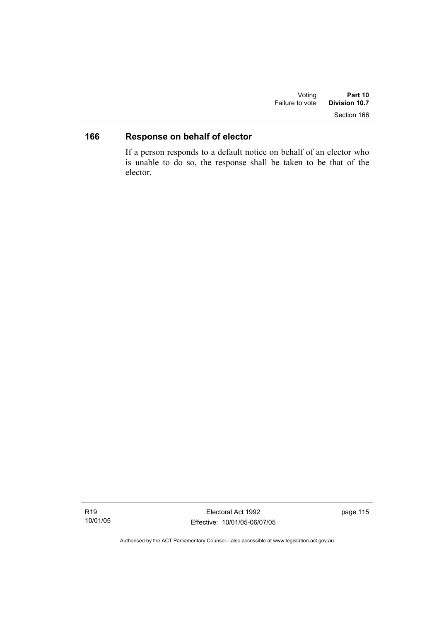| Voting          | Part 10       |
|-----------------|---------------|
| Failure to vote | Division 10.7 |
|                 | Section 166   |

# **166 Response on behalf of elector**

If a person responds to a default notice on behalf of an elector who is unable to do so, the response shall be taken to be that of the elector.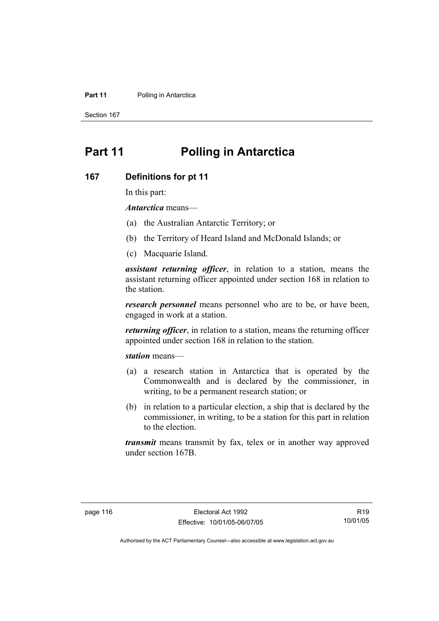#### **Part 11** Polling in Antarctica

Section 167

# **Part 11 Polling in Antarctica**

#### **167 Definitions for pt 11**

In this part:

*Antarctica* means—

- (a) the Australian Antarctic Territory; or
- (b) the Territory of Heard Island and McDonald Islands; or
- (c) Macquarie Island.

*assistant returning officer*, in relation to a station, means the assistant returning officer appointed under section 168 in relation to the station.

*research personnel* means personnel who are to be, or have been, engaged in work at a station.

*returning officer*, in relation to a station, means the returning officer appointed under section 168 in relation to the station.

*station* means—

- (a) a research station in Antarctica that is operated by the Commonwealth and is declared by the commissioner, in writing, to be a permanent research station; or
- (b) in relation to a particular election, a ship that is declared by the commissioner, in writing, to be a station for this part in relation to the election.

*transmit* means transmit by fax, telex or in another way approved under section 167B.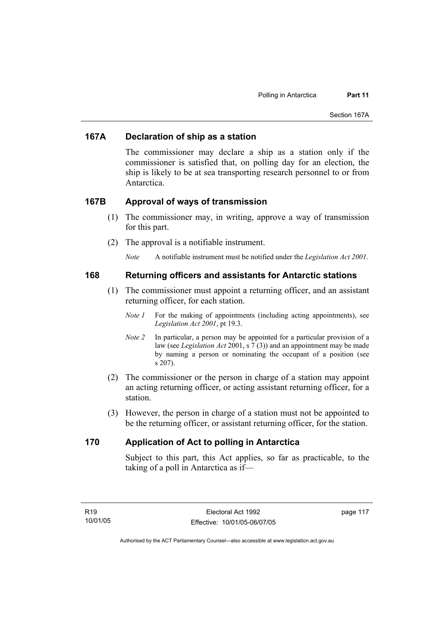#### **167A Declaration of ship as a station**

The commissioner may declare a ship as a station only if the commissioner is satisfied that, on polling day for an election, the ship is likely to be at sea transporting research personnel to or from Antarctica.

#### **167B Approval of ways of transmission**

- (1) The commissioner may, in writing, approve a way of transmission for this part.
- (2) The approval is a notifiable instrument.
	- *Note* A notifiable instrument must be notified under the *Legislation Act 2001*.

#### **168 Returning officers and assistants for Antarctic stations**

- (1) The commissioner must appoint a returning officer, and an assistant returning officer, for each station.
	- *Note 1* For the making of appointments (including acting appointments), see *Legislation Act 2001*, pt 19.3.
	- *Note 2* In particular, a person may be appointed for a particular provision of a law (see *Legislation Act* 2001, s 7 (3)) and an appointment may be made by naming a person or nominating the occupant of a position (see s 207).
- (2) The commissioner or the person in charge of a station may appoint an acting returning officer, or acting assistant returning officer, for a station.
- (3) However, the person in charge of a station must not be appointed to be the returning officer, or assistant returning officer, for the station.

#### **170 Application of Act to polling in Antarctica**

Subject to this part, this Act applies, so far as practicable, to the taking of a poll in Antarctica as if—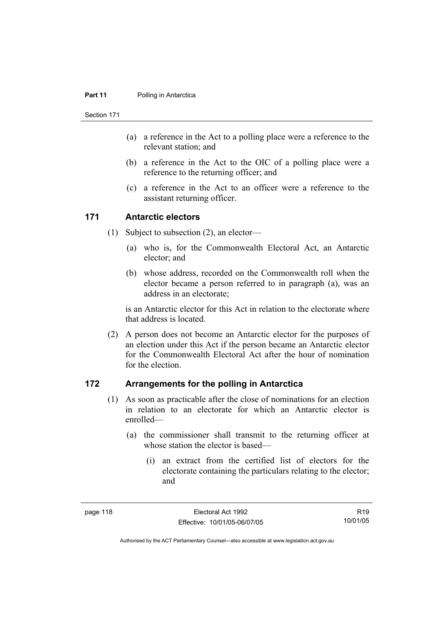#### **Part 11** Polling in Antarctica

Section 171

- (a) a reference in the Act to a polling place were a reference to the relevant station; and
- (b) a reference in the Act to the OIC of a polling place were a reference to the returning officer; and
- (c) a reference in the Act to an officer were a reference to the assistant returning officer.

#### **171 Antarctic electors**

- (1) Subject to subsection (2), an elector—
	- (a) who is, for the Commonwealth Electoral Act, an Antarctic elector; and
	- (b) whose address, recorded on the Commonwealth roll when the elector became a person referred to in paragraph (a), was an address in an electorate;

is an Antarctic elector for this Act in relation to the electorate where that address is located.

 (2) A person does not become an Antarctic elector for the purposes of an election under this Act if the person became an Antarctic elector for the Commonwealth Electoral Act after the hour of nomination for the election.

### **172 Arrangements for the polling in Antarctica**

- (1) As soon as practicable after the close of nominations for an election in relation to an electorate for which an Antarctic elector is enrolled—
	- (a) the commissioner shall transmit to the returning officer at whose station the elector is based—
		- (i) an extract from the certified list of electors for the electorate containing the particulars relating to the elector; and

R19 10/01/05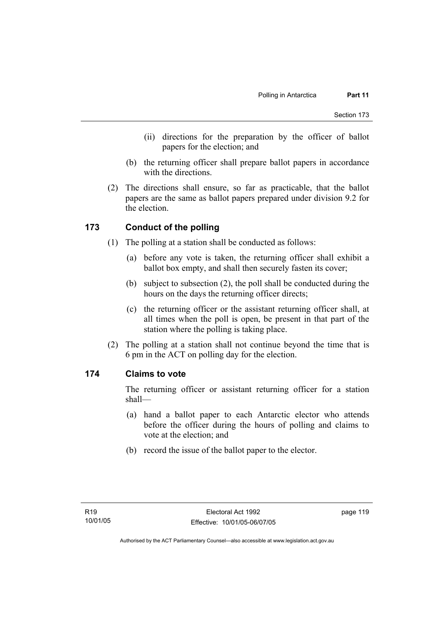- (ii) directions for the preparation by the officer of ballot papers for the election; and
- (b) the returning officer shall prepare ballot papers in accordance with the directions.
- (2) The directions shall ensure, so far as practicable, that the ballot papers are the same as ballot papers prepared under division 9.2 for the election.

### **173 Conduct of the polling**

- (1) The polling at a station shall be conducted as follows:
	- (a) before any vote is taken, the returning officer shall exhibit a ballot box empty, and shall then securely fasten its cover;
	- (b) subject to subsection (2), the poll shall be conducted during the hours on the days the returning officer directs;
	- (c) the returning officer or the assistant returning officer shall, at all times when the poll is open, be present in that part of the station where the polling is taking place.
- (2) The polling at a station shall not continue beyond the time that is 6 pm in the ACT on polling day for the election.

#### **174 Claims to vote**

The returning officer or assistant returning officer for a station shall—

- (a) hand a ballot paper to each Antarctic elector who attends before the officer during the hours of polling and claims to vote at the election; and
- (b) record the issue of the ballot paper to the elector.

page 119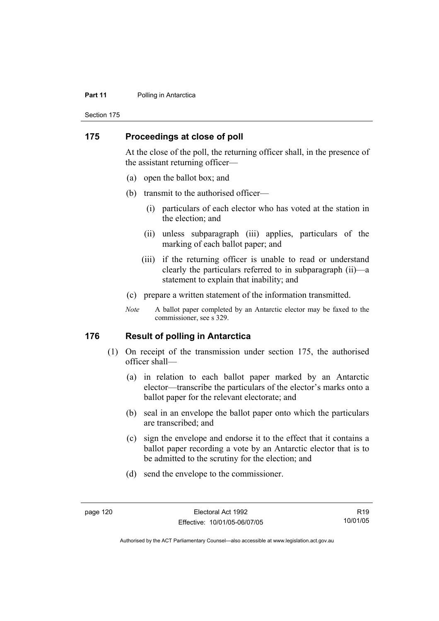#### **Part 11** Polling in Antarctica

Section 175

#### **175 Proceedings at close of poll**

At the close of the poll, the returning officer shall, in the presence of the assistant returning officer—

- (a) open the ballot box; and
- (b) transmit to the authorised officer—
	- (i) particulars of each elector who has voted at the station in the election; and
	- (ii) unless subparagraph (iii) applies, particulars of the marking of each ballot paper; and
	- (iii) if the returning officer is unable to read or understand clearly the particulars referred to in subparagraph (ii)—a statement to explain that inability; and
- (c) prepare a written statement of the information transmitted.
- *Note* A ballot paper completed by an Antarctic elector may be faxed to the commissioner, see s 329.

#### **176 Result of polling in Antarctica**

- (1) On receipt of the transmission under section 175, the authorised officer shall—
	- (a) in relation to each ballot paper marked by an Antarctic elector—transcribe the particulars of the elector's marks onto a ballot paper for the relevant electorate; and
	- (b) seal in an envelope the ballot paper onto which the particulars are transcribed; and
	- (c) sign the envelope and endorse it to the effect that it contains a ballot paper recording a vote by an Antarctic elector that is to be admitted to the scrutiny for the election; and
	- (d) send the envelope to the commissioner.

R19 10/01/05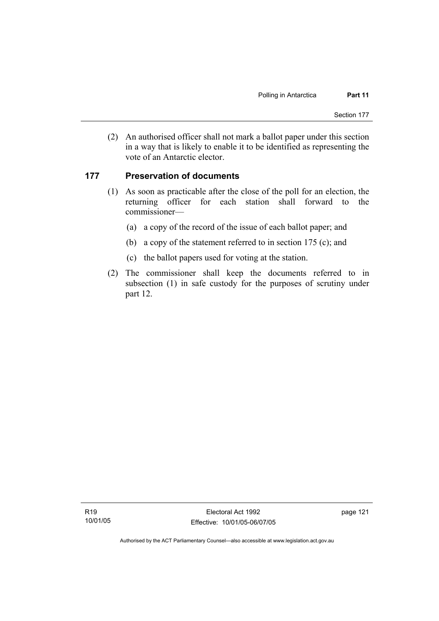(2) An authorised officer shall not mark a ballot paper under this section in a way that is likely to enable it to be identified as representing the vote of an Antarctic elector.

#### **177 Preservation of documents**

- (1) As soon as practicable after the close of the poll for an election, the returning officer for each station shall forward to the commissioner—
	- (a) a copy of the record of the issue of each ballot paper; and
	- (b) a copy of the statement referred to in section 175 (c); and
	- (c) the ballot papers used for voting at the station.
- (2) The commissioner shall keep the documents referred to in subsection (1) in safe custody for the purposes of scrutiny under part 12.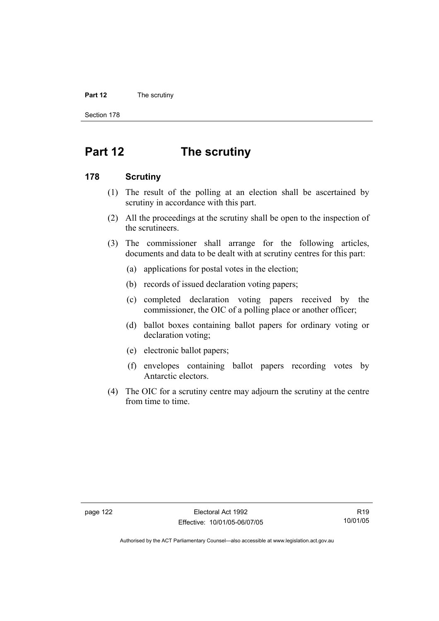#### **Part 12** The scrutiny

Section 178

# **Part 12 The scrutiny**

#### **178 Scrutiny**

- (1) The result of the polling at an election shall be ascertained by scrutiny in accordance with this part.
- (2) All the proceedings at the scrutiny shall be open to the inspection of the scrutineers.
- (3) The commissioner shall arrange for the following articles, documents and data to be dealt with at scrutiny centres for this part:
	- (a) applications for postal votes in the election;
	- (b) records of issued declaration voting papers;
	- (c) completed declaration voting papers received by the commissioner, the OIC of a polling place or another officer;
	- (d) ballot boxes containing ballot papers for ordinary voting or declaration voting;
	- (e) electronic ballot papers;
	- (f) envelopes containing ballot papers recording votes by Antarctic electors.
- (4) The OIC for a scrutiny centre may adjourn the scrutiny at the centre from time to time.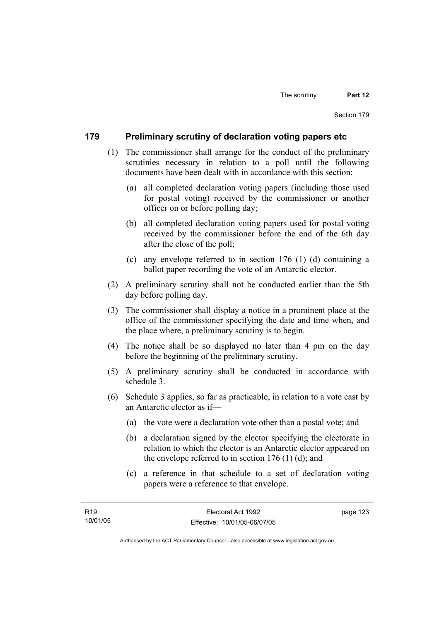#### **179 Preliminary scrutiny of declaration voting papers etc**

- (1) The commissioner shall arrange for the conduct of the preliminary scrutinies necessary in relation to a poll until the following documents have been dealt with in accordance with this section:
	- (a) all completed declaration voting papers (including those used for postal voting) received by the commissioner or another officer on or before polling day;
	- (b) all completed declaration voting papers used for postal voting received by the commissioner before the end of the 6th day after the close of the poll;
	- (c) any envelope referred to in section 176 (1) (d) containing a ballot paper recording the vote of an Antarctic elector.
- (2) A preliminary scrutiny shall not be conducted earlier than the 5th day before polling day.
- (3) The commissioner shall display a notice in a prominent place at the office of the commissioner specifying the date and time when, and the place where, a preliminary scrutiny is to begin.
- (4) The notice shall be so displayed no later than 4 pm on the day before the beginning of the preliminary scrutiny.
- (5) A preliminary scrutiny shall be conducted in accordance with schedule 3.
- (6) Schedule 3 applies, so far as practicable, in relation to a vote cast by an Antarctic elector as if—
	- (a) the vote were a declaration vote other than a postal vote; and
	- (b) a declaration signed by the elector specifying the electorate in relation to which the elector is an Antarctic elector appeared on the envelope referred to in section  $176$  (1) (d); and
	- (c) a reference in that schedule to a set of declaration voting papers were a reference to that envelope.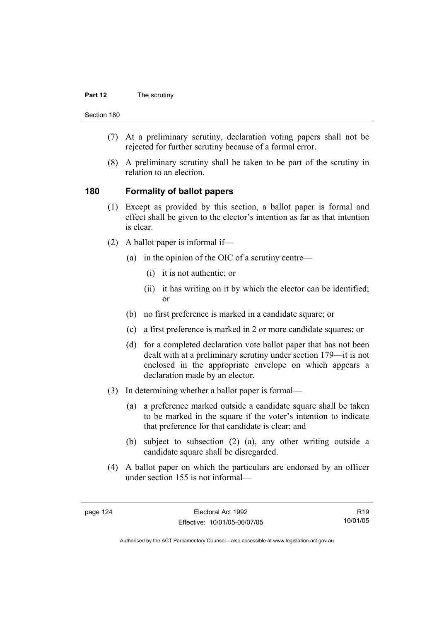#### **Part 12** The scrutiny

Section 180

- (7) At a preliminary scrutiny, declaration voting papers shall not be rejected for further scrutiny because of a formal error.
- (8) A preliminary scrutiny shall be taken to be part of the scrutiny in relation to an election.

#### **180 Formality of ballot papers**

- (1) Except as provided by this section, a ballot paper is formal and effect shall be given to the elector's intention as far as that intention is clear.
- (2) A ballot paper is informal if—
	- (a) in the opinion of the OIC of a scrutiny centre—
		- (i) it is not authentic; or
		- (ii) it has writing on it by which the elector can be identified; or
	- (b) no first preference is marked in a candidate square; or
	- (c) a first preference is marked in 2 or more candidate squares; or
	- (d) for a completed declaration vote ballot paper that has not been dealt with at a preliminary scrutiny under section 179—it is not enclosed in the appropriate envelope on which appears a declaration made by an elector.
- (3) In determining whether a ballot paper is formal—
	- (a) a preference marked outside a candidate square shall be taken to be marked in the square if the voter's intention to indicate that preference for that candidate is clear; and
	- (b) subject to subsection (2) (a), any other writing outside a candidate square shall be disregarded.
- (4) A ballot paper on which the particulars are endorsed by an officer under section 155 is not informal—

R19 10/01/05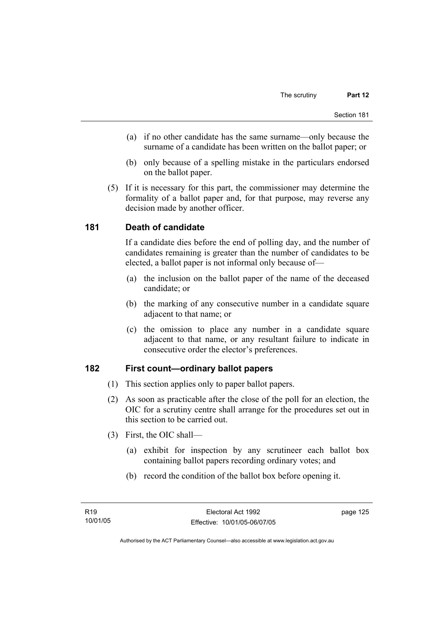- (a) if no other candidate has the same surname—only because the surname of a candidate has been written on the ballot paper; or
- (b) only because of a spelling mistake in the particulars endorsed on the ballot paper.
- (5) If it is necessary for this part, the commissioner may determine the formality of a ballot paper and, for that purpose, may reverse any decision made by another officer.

### **181 Death of candidate**

If a candidate dies before the end of polling day, and the number of candidates remaining is greater than the number of candidates to be elected, a ballot paper is not informal only because of—

- (a) the inclusion on the ballot paper of the name of the deceased candidate; or
- (b) the marking of any consecutive number in a candidate square adjacent to that name; or
- (c) the omission to place any number in a candidate square adjacent to that name, or any resultant failure to indicate in consecutive order the elector's preferences.

### **182 First count—ordinary ballot papers**

- (1) This section applies only to paper ballot papers.
- (2) As soon as practicable after the close of the poll for an election, the OIC for a scrutiny centre shall arrange for the procedures set out in this section to be carried out.
- (3) First, the OIC shall—
	- (a) exhibit for inspection by any scrutineer each ballot box containing ballot papers recording ordinary votes; and
	- (b) record the condition of the ballot box before opening it.

page 125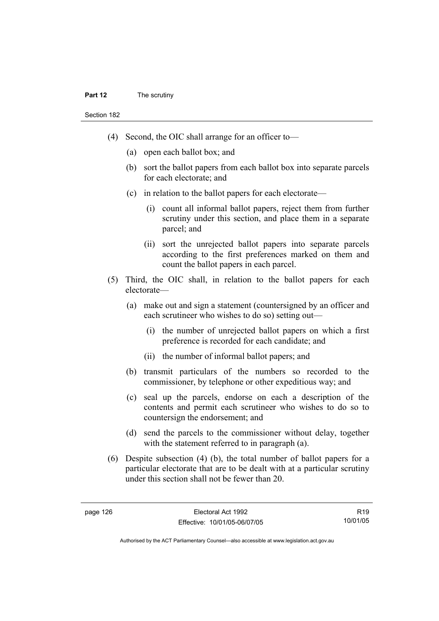#### **Part 12** The scrutiny

Section 182

- (4) Second, the OIC shall arrange for an officer to—
	- (a) open each ballot box; and
	- (b) sort the ballot papers from each ballot box into separate parcels for each electorate; and
	- (c) in relation to the ballot papers for each electorate—
		- (i) count all informal ballot papers, reject them from further scrutiny under this section, and place them in a separate parcel; and
		- (ii) sort the unrejected ballot papers into separate parcels according to the first preferences marked on them and count the ballot papers in each parcel.
- (5) Third, the OIC shall, in relation to the ballot papers for each electorate—
	- (a) make out and sign a statement (countersigned by an officer and each scrutineer who wishes to do so) setting out—
		- (i) the number of unrejected ballot papers on which a first preference is recorded for each candidate; and
		- (ii) the number of informal ballot papers; and
	- (b) transmit particulars of the numbers so recorded to the commissioner, by telephone or other expeditious way; and
	- (c) seal up the parcels, endorse on each a description of the contents and permit each scrutineer who wishes to do so to countersign the endorsement; and
	- (d) send the parcels to the commissioner without delay, together with the statement referred to in paragraph (a).
- (6) Despite subsection (4) (b), the total number of ballot papers for a particular electorate that are to be dealt with at a particular scrutiny under this section shall not be fewer than 20.

R19 10/01/05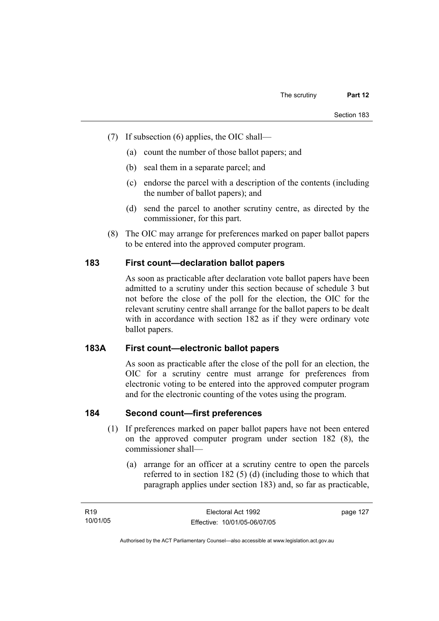- (7) If subsection (6) applies, the OIC shall—
	- (a) count the number of those ballot papers; and
	- (b) seal them in a separate parcel; and
	- (c) endorse the parcel with a description of the contents (including the number of ballot papers); and
	- (d) send the parcel to another scrutiny centre, as directed by the commissioner, for this part.
- (8) The OIC may arrange for preferences marked on paper ballot papers to be entered into the approved computer program.

### **183 First count—declaration ballot papers**

As soon as practicable after declaration vote ballot papers have been admitted to a scrutiny under this section because of schedule 3 but not before the close of the poll for the election, the OIC for the relevant scrutiny centre shall arrange for the ballot papers to be dealt with in accordance with section 182 as if they were ordinary vote ballot papers.

#### **183A First count—electronic ballot papers**

As soon as practicable after the close of the poll for an election, the OIC for a scrutiny centre must arrange for preferences from electronic voting to be entered into the approved computer program and for the electronic counting of the votes using the program.

## **184 Second count—first preferences**

- (1) If preferences marked on paper ballot papers have not been entered on the approved computer program under section 182 (8), the commissioner shall—
	- (a) arrange for an officer at a scrutiny centre to open the parcels referred to in section 182 (5) (d) (including those to which that paragraph applies under section 183) and, so far as practicable,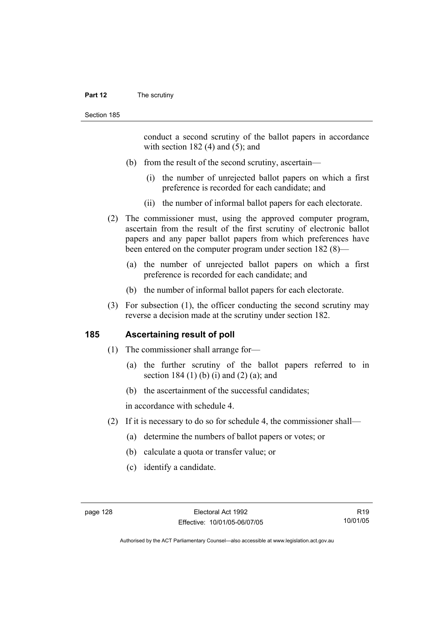#### **Part 12** The scrutiny

conduct a second scrutiny of the ballot papers in accordance with section  $182$  (4) and (5); and

- (b) from the result of the second scrutiny, ascertain—
	- (i) the number of unrejected ballot papers on which a first preference is recorded for each candidate; and
	- (ii) the number of informal ballot papers for each electorate.
- (2) The commissioner must, using the approved computer program, ascertain from the result of the first scrutiny of electronic ballot papers and any paper ballot papers from which preferences have been entered on the computer program under section 182 (8)—
	- (a) the number of unrejected ballot papers on which a first preference is recorded for each candidate; and
	- (b) the number of informal ballot papers for each electorate.
- (3) For subsection (1), the officer conducting the second scrutiny may reverse a decision made at the scrutiny under section 182.

#### **185 Ascertaining result of poll**

- (1) The commissioner shall arrange for—
	- (a) the further scrutiny of the ballot papers referred to in section 184 $(1)$  (b) (i) and  $(2)$  (a); and
	- (b) the ascertainment of the successful candidates;

in accordance with schedule 4.

- (2) If it is necessary to do so for schedule 4, the commissioner shall—
	- (a) determine the numbers of ballot papers or votes; or
	- (b) calculate a quota or transfer value; or
	- (c) identify a candidate.

R19 10/01/05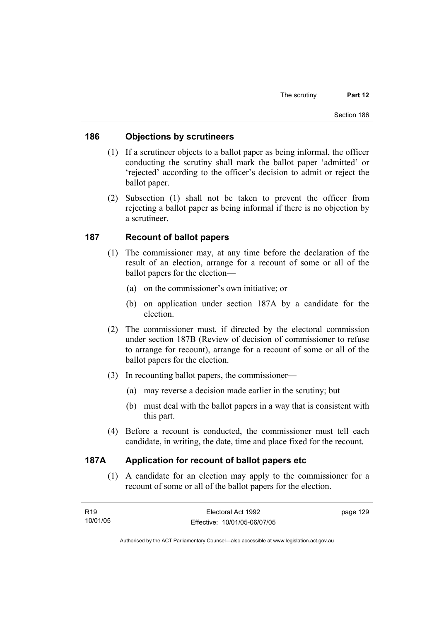### **186 Objections by scrutineers**

- (1) If a scrutineer objects to a ballot paper as being informal, the officer conducting the scrutiny shall mark the ballot paper 'admitted' or 'rejected' according to the officer's decision to admit or reject the ballot paper.
- (2) Subsection (1) shall not be taken to prevent the officer from rejecting a ballot paper as being informal if there is no objection by a scrutineer.

### **187 Recount of ballot papers**

- (1) The commissioner may, at any time before the declaration of the result of an election, arrange for a recount of some or all of the ballot papers for the election—
	- (a) on the commissioner's own initiative; or
	- (b) on application under section 187A by a candidate for the election.
- (2) The commissioner must, if directed by the electoral commission under section 187B (Review of decision of commissioner to refuse to arrange for recount), arrange for a recount of some or all of the ballot papers for the election.
- (3) In recounting ballot papers, the commissioner—
	- (a) may reverse a decision made earlier in the scrutiny; but
	- (b) must deal with the ballot papers in a way that is consistent with this part.
- (4) Before a recount is conducted, the commissioner must tell each candidate, in writing, the date, time and place fixed for the recount.

#### **187A Application for recount of ballot papers etc**

 (1) A candidate for an election may apply to the commissioner for a recount of some or all of the ballot papers for the election.

| R19      | Electoral Act 1992           | page 129 |
|----------|------------------------------|----------|
| 10/01/05 | Effective: 10/01/05-06/07/05 |          |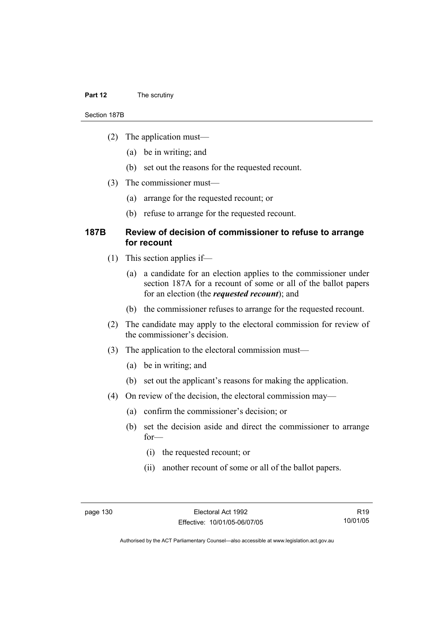#### **Part 12** The scrutiny

#### Section 187B

- (2) The application must—
	- (a) be in writing; and
	- (b) set out the reasons for the requested recount.
- (3) The commissioner must—
	- (a) arrange for the requested recount; or
	- (b) refuse to arrange for the requested recount.

#### **187B Review of decision of commissioner to refuse to arrange for recount**

- (1) This section applies if—
	- (a) a candidate for an election applies to the commissioner under section 187A for a recount of some or all of the ballot papers for an election (the *requested recount*); and
	- (b) the commissioner refuses to arrange for the requested recount.
- (2) The candidate may apply to the electoral commission for review of the commissioner's decision.
- (3) The application to the electoral commission must—
	- (a) be in writing; and
	- (b) set out the applicant's reasons for making the application.
- (4) On review of the decision, the electoral commission may—
	- (a) confirm the commissioner's decision; or
	- (b) set the decision aside and direct the commissioner to arrange for—
		- (i) the requested recount; or
		- (ii) another recount of some or all of the ballot papers.

R19 10/01/05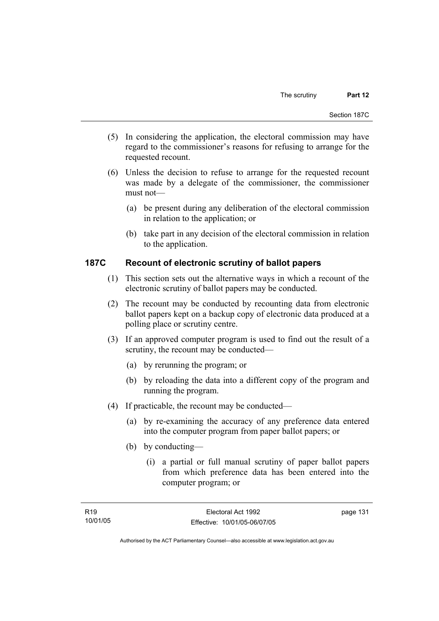- (5) In considering the application, the electoral commission may have regard to the commissioner's reasons for refusing to arrange for the requested recount.
- (6) Unless the decision to refuse to arrange for the requested recount was made by a delegate of the commissioner, the commissioner must not—
	- (a) be present during any deliberation of the electoral commission in relation to the application; or
	- (b) take part in any decision of the electoral commission in relation to the application.

## **187C Recount of electronic scrutiny of ballot papers**

- (1) This section sets out the alternative ways in which a recount of the electronic scrutiny of ballot papers may be conducted.
- (2) The recount may be conducted by recounting data from electronic ballot papers kept on a backup copy of electronic data produced at a polling place or scrutiny centre.
- (3) If an approved computer program is used to find out the result of a scrutiny, the recount may be conducted—
	- (a) by rerunning the program; or
	- (b) by reloading the data into a different copy of the program and running the program.
- (4) If practicable, the recount may be conducted—
	- (a) by re-examining the accuracy of any preference data entered into the computer program from paper ballot papers; or
	- (b) by conducting—
		- (i) a partial or full manual scrutiny of paper ballot papers from which preference data has been entered into the computer program; or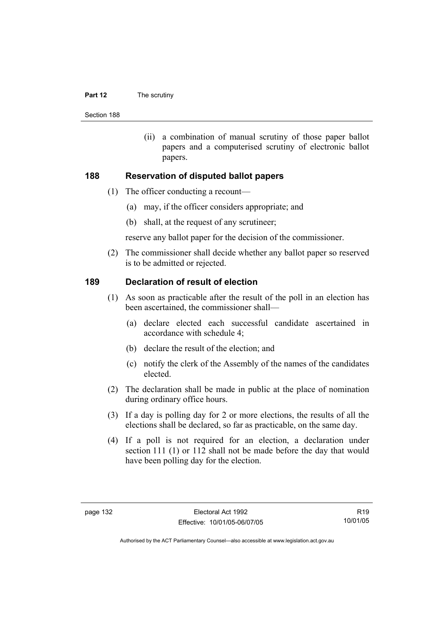#### **Part 12** The scrutiny

Section 188

 (ii) a combination of manual scrutiny of those paper ballot papers and a computerised scrutiny of electronic ballot papers.

#### **188 Reservation of disputed ballot papers**

- (1) The officer conducting a recount—
	- (a) may, if the officer considers appropriate; and
	- (b) shall, at the request of any scrutineer;

reserve any ballot paper for the decision of the commissioner.

 (2) The commissioner shall decide whether any ballot paper so reserved is to be admitted or rejected.

#### **189 Declaration of result of election**

- (1) As soon as practicable after the result of the poll in an election has been ascertained, the commissioner shall—
	- (a) declare elected each successful candidate ascertained in accordance with schedule 4;
	- (b) declare the result of the election; and
	- (c) notify the clerk of the Assembly of the names of the candidates elected.
- (2) The declaration shall be made in public at the place of nomination during ordinary office hours.
- (3) If a day is polling day for 2 or more elections, the results of all the elections shall be declared, so far as practicable, on the same day.
- (4) If a poll is not required for an election, a declaration under section 111 (1) or 112 shall not be made before the day that would have been polling day for the election.

R19 10/01/05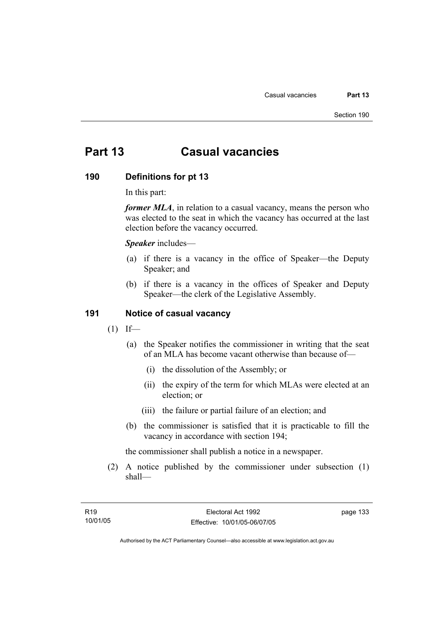# **Part 13 Casual vacancies**

#### **190 Definitions for pt 13**

In this part:

*former MLA*, in relation to a casual vacancy, means the person who was elected to the seat in which the vacancy has occurred at the last election before the vacancy occurred.

*Speaker* includes—

- (a) if there is a vacancy in the office of Speaker—the Deputy Speaker; and
- (b) if there is a vacancy in the offices of Speaker and Deputy Speaker—the clerk of the Legislative Assembly.

#### **191 Notice of casual vacancy**

- $(1)$  If—
	- (a) the Speaker notifies the commissioner in writing that the seat of an MLA has become vacant otherwise than because of—
		- (i) the dissolution of the Assembly; or
		- (ii) the expiry of the term for which MLAs were elected at an election; or
		- (iii) the failure or partial failure of an election; and
	- (b) the commissioner is satisfied that it is practicable to fill the vacancy in accordance with section 194;

the commissioner shall publish a notice in a newspaper.

 (2) A notice published by the commissioner under subsection (1) shall—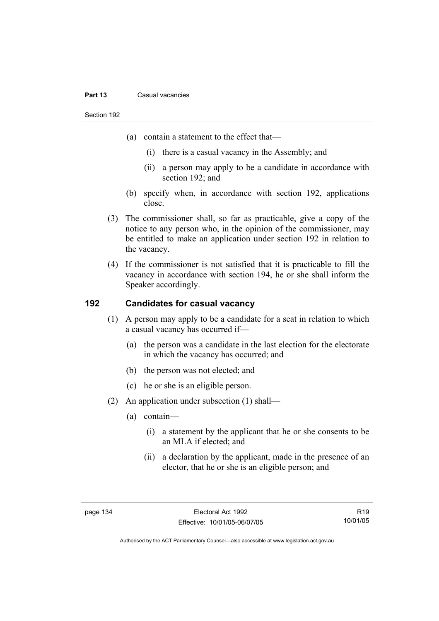#### **Part 13** Casual vacancies

Section 192

- (a) contain a statement to the effect that—
	- (i) there is a casual vacancy in the Assembly; and
	- (ii) a person may apply to be a candidate in accordance with section 192; and
- (b) specify when, in accordance with section 192, applications close.
- (3) The commissioner shall, so far as practicable, give a copy of the notice to any person who, in the opinion of the commissioner, may be entitled to make an application under section 192 in relation to the vacancy.
- (4) If the commissioner is not satisfied that it is practicable to fill the vacancy in accordance with section 194, he or she shall inform the Speaker accordingly.

### **192 Candidates for casual vacancy**

- (1) A person may apply to be a candidate for a seat in relation to which a casual vacancy has occurred if—
	- (a) the person was a candidate in the last election for the electorate in which the vacancy has occurred; and
	- (b) the person was not elected; and
	- (c) he or she is an eligible person.
- (2) An application under subsection (1) shall—
	- (a) contain—
		- (i) a statement by the applicant that he or she consents to be an MLA if elected; and
		- (ii) a declaration by the applicant, made in the presence of an elector, that he or she is an eligible person; and

R19 10/01/05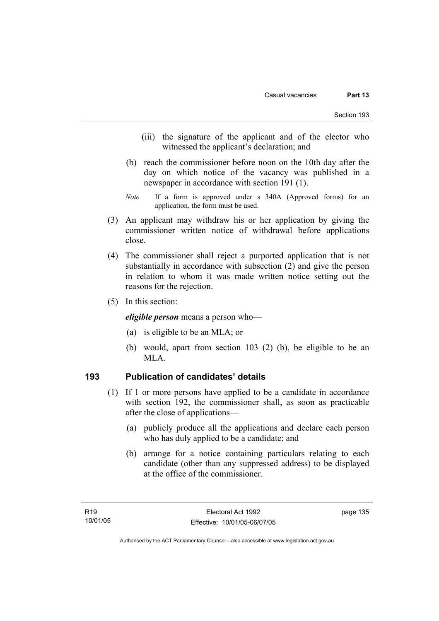- (iii) the signature of the applicant and of the elector who witnessed the applicant's declaration; and
- (b) reach the commissioner before noon on the 10th day after the day on which notice of the vacancy was published in a newspaper in accordance with section 191 (1).
- *Note* If a form is approved under s 340A (Approved forms) for an application, the form must be used.
- (3) An applicant may withdraw his or her application by giving the commissioner written notice of withdrawal before applications close.
- (4) The commissioner shall reject a purported application that is not substantially in accordance with subsection (2) and give the person in relation to whom it was made written notice setting out the reasons for the rejection.
- (5) In this section:

*eligible person* means a person who—

- (a) is eligible to be an MLA; or
- (b) would, apart from section 103 (2) (b), be eligible to be an MLA.

### **193 Publication of candidates' details**

- (1) If 1 or more persons have applied to be a candidate in accordance with section 192, the commissioner shall, as soon as practicable after the close of applications—
	- (a) publicly produce all the applications and declare each person who has duly applied to be a candidate; and
	- (b) arrange for a notice containing particulars relating to each candidate (other than any suppressed address) to be displayed at the office of the commissioner.

Authorised by the ACT Parliamentary Counsel—also accessible at www.legislation.act.gov.au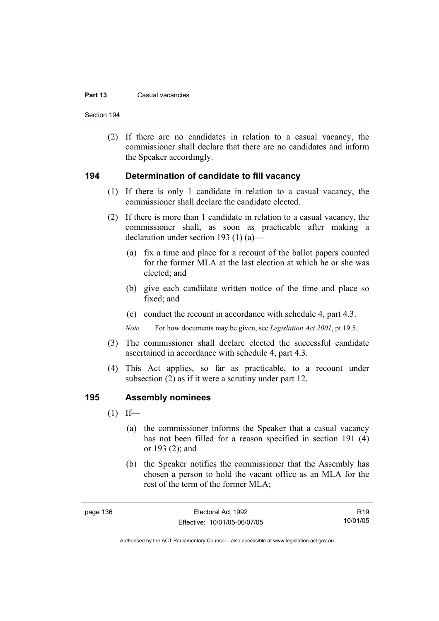#### **Part 13** Casual vacancies

Section 194

 (2) If there are no candidates in relation to a casual vacancy, the commissioner shall declare that there are no candidates and inform the Speaker accordingly.

#### **194 Determination of candidate to fill vacancy**

- (1) If there is only 1 candidate in relation to a casual vacancy, the commissioner shall declare the candidate elected.
- (2) If there is more than 1 candidate in relation to a casual vacancy, the commissioner shall, as soon as practicable after making a declaration under section 193 (1) (a)—
	- (a) fix a time and place for a recount of the ballot papers counted for the former MLA at the last election at which he or she was elected; and
	- (b) give each candidate written notice of the time and place so fixed; and
	- (c) conduct the recount in accordance with schedule 4, part 4.3.

*Note* For how documents may be given, see *Legislation Act 2001*, pt 19.5.

- (3) The commissioner shall declare elected the successful candidate ascertained in accordance with schedule 4, part 4.3.
- (4) This Act applies, so far as practicable, to a recount under subsection (2) as if it were a scrutiny under part 12.

#### **195 Assembly nominees**

- $(1)$  If—
	- (a) the commissioner informs the Speaker that a casual vacancy has not been filled for a reason specified in section 191 (4) or 193 (2); and
	- (b) the Speaker notifies the commissioner that the Assembly has chosen a person to hold the vacant office as an MLA for the rest of the term of the former MLA;

R19 10/01/05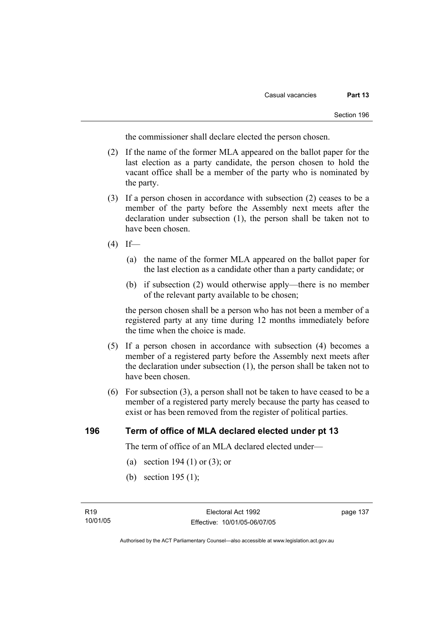the commissioner shall declare elected the person chosen.

- (2) If the name of the former MLA appeared on the ballot paper for the last election as a party candidate, the person chosen to hold the vacant office shall be a member of the party who is nominated by the party.
- (3) If a person chosen in accordance with subsection (2) ceases to be a member of the party before the Assembly next meets after the declaration under subsection (1), the person shall be taken not to have been chosen.
- $(4)$  If—
	- (a) the name of the former MLA appeared on the ballot paper for the last election as a candidate other than a party candidate; or
	- (b) if subsection (2) would otherwise apply—there is no member of the relevant party available to be chosen;

the person chosen shall be a person who has not been a member of a registered party at any time during 12 months immediately before the time when the choice is made.

- (5) If a person chosen in accordance with subsection (4) becomes a member of a registered party before the Assembly next meets after the declaration under subsection (1), the person shall be taken not to have been chosen.
- (6) For subsection (3), a person shall not be taken to have ceased to be a member of a registered party merely because the party has ceased to exist or has been removed from the register of political parties.

#### **196 Term of office of MLA declared elected under pt 13**

The term of office of an MLA declared elected under—

- (a) section 194 (1) or (3); or
- (b) section 195 (1);

Authorised by the ACT Parliamentary Counsel—also accessible at www.legislation.act.gov.au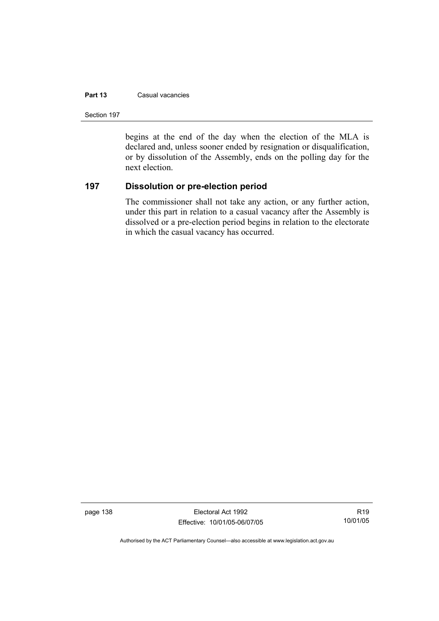#### **Part 13** Casual vacancies

Section 197

begins at the end of the day when the election of the MLA is declared and, unless sooner ended by resignation or disqualification, or by dissolution of the Assembly, ends on the polling day for the next election.

### **197 Dissolution or pre-election period**

The commissioner shall not take any action, or any further action, under this part in relation to a casual vacancy after the Assembly is dissolved or a pre-election period begins in relation to the electorate in which the casual vacancy has occurred.

page 138 Electoral Act 1992 Effective: 10/01/05-06/07/05

R19 10/01/05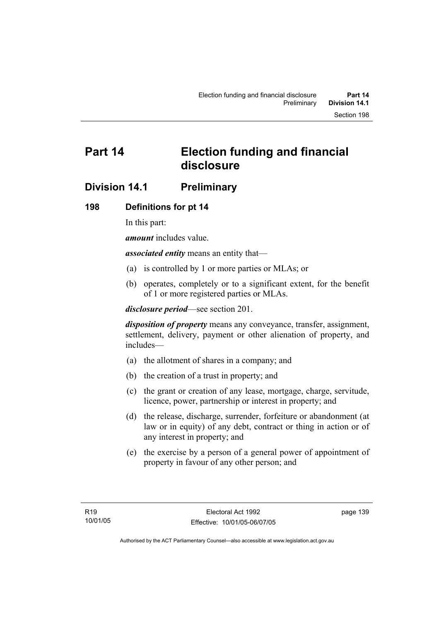# **Part 14 Election funding and financial disclosure**

# **Division 14.1 Preliminary**

## **198 Definitions for pt 14**

In this part:

*amount* includes value.

*associated entity* means an entity that—

- (a) is controlled by 1 or more parties or MLAs; or
- (b) operates, completely or to a significant extent, for the benefit of 1 or more registered parties or MLAs.

*disclosure period*—see section 201.

*disposition of property* means any conveyance, transfer, assignment, settlement, delivery, payment or other alienation of property, and includes—

- (a) the allotment of shares in a company; and
- (b) the creation of a trust in property; and
- (c) the grant or creation of any lease, mortgage, charge, servitude, licence, power, partnership or interest in property; and
- (d) the release, discharge, surrender, forfeiture or abandonment (at law or in equity) of any debt, contract or thing in action or of any interest in property; and
- (e) the exercise by a person of a general power of appointment of property in favour of any other person; and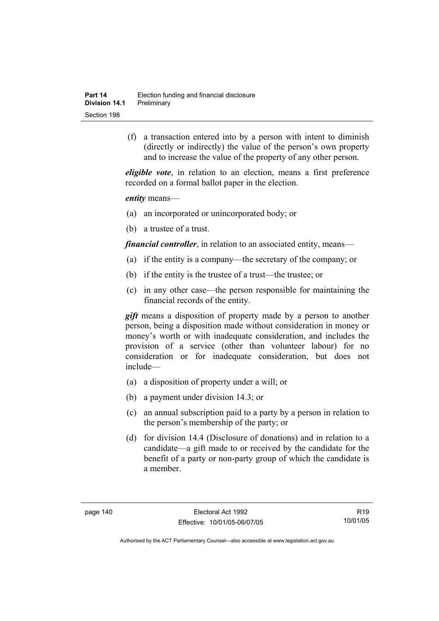(f) a transaction entered into by a person with intent to diminish (directly or indirectly) the value of the person's own property and to increase the value of the property of any other person.

*eligible vote*, in relation to an election, means a first preference recorded on a formal ballot paper in the election.

*entity* means—

- (a) an incorporated or unincorporated body; or
- (b) a trustee of a trust.

*financial controller*, in relation to an associated entity, means—

- (a) if the entity is a company—the secretary of the company; or
- (b) if the entity is the trustee of a trust—the trustee; or
- (c) in any other case—the person responsible for maintaining the financial records of the entity.

*gift* means a disposition of property made by a person to another person, being a disposition made without consideration in money or money's worth or with inadequate consideration, and includes the provision of a service (other than volunteer labour) for no consideration or for inadequate consideration, but does not include—

- (a) a disposition of property under a will; or
- (b) a payment under division 14.3; or
- (c) an annual subscription paid to a party by a person in relation to the person's membership of the party; or
- (d) for division 14.4 (Disclosure of donations) and in relation to a candidate—a gift made to or received by the candidate for the benefit of a party or non-party group of which the candidate is a member.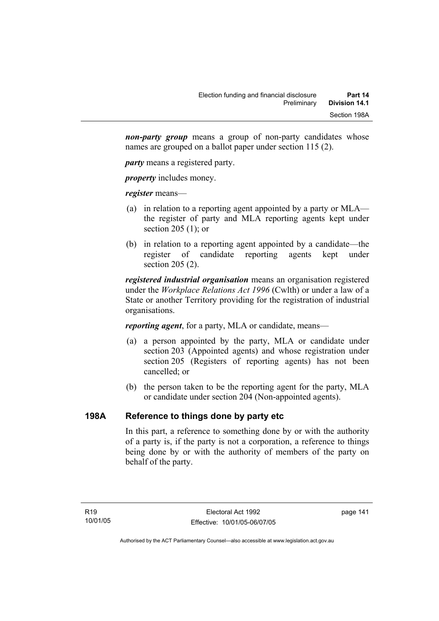*non-party group* means a group of non-party candidates whose names are grouped on a ballot paper under section 115 (2).

*party* means a registered party.

*property* includes money.

*register* means—

- (a) in relation to a reporting agent appointed by a party or MLA the register of party and MLA reporting agents kept under section 205 (1); or
- (b) in relation to a reporting agent appointed by a candidate—the register of candidate reporting agents kept under section 205 (2).

*registered industrial organisation* means an organisation registered under the *Workplace Relations Act 1996* (Cwlth) or under a law of a State or another Territory providing for the registration of industrial organisations.

*reporting agent*, for a party, MLA or candidate, means—

- (a) a person appointed by the party, MLA or candidate under section 203 (Appointed agents) and whose registration under section 205 (Registers of reporting agents) has not been cancelled; or
- (b) the person taken to be the reporting agent for the party, MLA or candidate under section 204 (Non-appointed agents).

## **198A Reference to things done by party etc**

In this part, a reference to something done by or with the authority of a party is, if the party is not a corporation, a reference to things being done by or with the authority of members of the party on behalf of the party.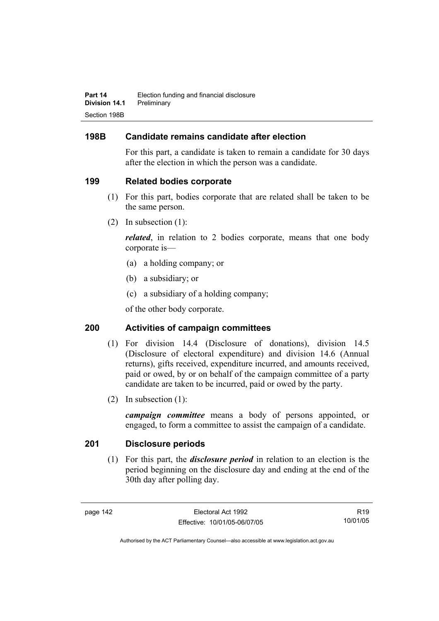## **198B Candidate remains candidate after election**

For this part, a candidate is taken to remain a candidate for 30 days after the election in which the person was a candidate.

## **199 Related bodies corporate**

- (1) For this part, bodies corporate that are related shall be taken to be the same person.
- (2) In subsection (1):

*related*, in relation to 2 bodies corporate, means that one body corporate is—

- (a) a holding company; or
- (b) a subsidiary; or
- (c) a subsidiary of a holding company;

of the other body corporate.

## **200 Activities of campaign committees**

- (1) For division 14.4 (Disclosure of donations), division 14.5 (Disclosure of electoral expenditure) and division 14.6 (Annual returns), gifts received, expenditure incurred, and amounts received, paid or owed, by or on behalf of the campaign committee of a party candidate are taken to be incurred, paid or owed by the party.
- (2) In subsection (1):

*campaign committee* means a body of persons appointed, or engaged, to form a committee to assist the campaign of a candidate.

## **201 Disclosure periods**

 (1) For this part, the *disclosure period* in relation to an election is the period beginning on the disclosure day and ending at the end of the 30th day after polling day.

R19 10/01/05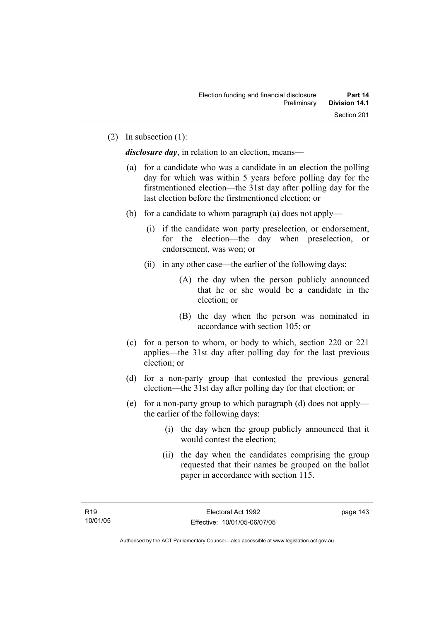(2) In subsection (1):

*disclosure day*, in relation to an election, means—

- (a) for a candidate who was a candidate in an election the polling day for which was within 5 years before polling day for the firstmentioned election—the 31st day after polling day for the last election before the firstmentioned election; or
- (b) for a candidate to whom paragraph (a) does not apply—
	- (i) if the candidate won party preselection, or endorsement, for the election—the day when preselection, or endorsement, was won; or
	- (ii) in any other case—the earlier of the following days:
		- (A) the day when the person publicly announced that he or she would be a candidate in the election; or
		- (B) the day when the person was nominated in accordance with section 105; or
- (c) for a person to whom, or body to which, section 220 or 221 applies—the 31st day after polling day for the last previous election; or
- (d) for a non-party group that contested the previous general election—the 31st day after polling day for that election; or
- (e) for a non-party group to which paragraph (d) does not apply the earlier of the following days:
	- (i) the day when the group publicly announced that it would contest the election;
	- (ii) the day when the candidates comprising the group requested that their names be grouped on the ballot paper in accordance with section 115.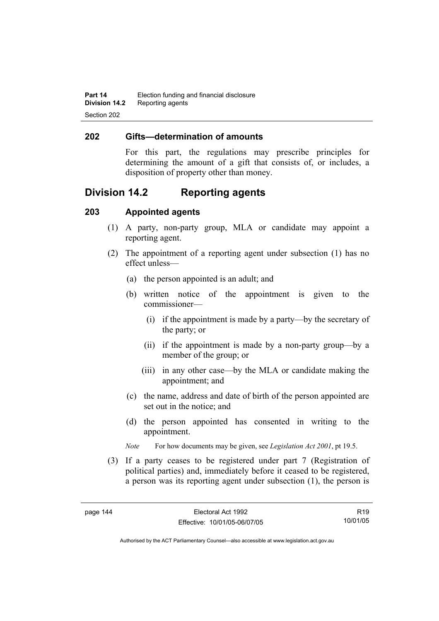#### **202 Gifts—determination of amounts**

For this part, the regulations may prescribe principles for determining the amount of a gift that consists of, or includes, a disposition of property other than money.

# **Division 14.2 Reporting agents**

### **203 Appointed agents**

- (1) A party, non-party group, MLA or candidate may appoint a reporting agent.
- (2) The appointment of a reporting agent under subsection (1) has no effect unless—
	- (a) the person appointed is an adult; and
	- (b) written notice of the appointment is given to the commissioner—
		- (i) if the appointment is made by a party—by the secretary of the party; or
		- (ii) if the appointment is made by a non-party group—by a member of the group; or
		- (iii) in any other case—by the MLA or candidate making the appointment; and
	- (c) the name, address and date of birth of the person appointed are set out in the notice; and
	- (d) the person appointed has consented in writing to the appointment.
	- *Note* For how documents may be given, see *Legislation Act 2001*, pt 19.5.
- (3) If a party ceases to be registered under part 7 (Registration of political parties) and, immediately before it ceased to be registered, a person was its reporting agent under subsection (1), the person is

R19 10/01/05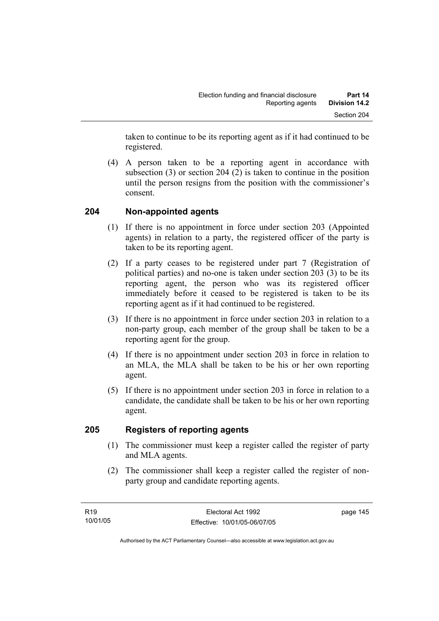taken to continue to be its reporting agent as if it had continued to be registered.

 (4) A person taken to be a reporting agent in accordance with subsection (3) or section 204 (2) is taken to continue in the position until the person resigns from the position with the commissioner's consent.

## **204 Non-appointed agents**

- (1) If there is no appointment in force under section 203 (Appointed agents) in relation to a party, the registered officer of the party is taken to be its reporting agent.
- (2) If a party ceases to be registered under part 7 (Registration of political parties) and no-one is taken under section 203 (3) to be its reporting agent, the person who was its registered officer immediately before it ceased to be registered is taken to be its reporting agent as if it had continued to be registered.
- (3) If there is no appointment in force under section 203 in relation to a non-party group, each member of the group shall be taken to be a reporting agent for the group.
- (4) If there is no appointment under section 203 in force in relation to an MLA, the MLA shall be taken to be his or her own reporting agent.
- (5) If there is no appointment under section 203 in force in relation to a candidate, the candidate shall be taken to be his or her own reporting agent.

## **205 Registers of reporting agents**

- (1) The commissioner must keep a register called the register of party and MLA agents.
- (2) The commissioner shall keep a register called the register of nonparty group and candidate reporting agents.

page 145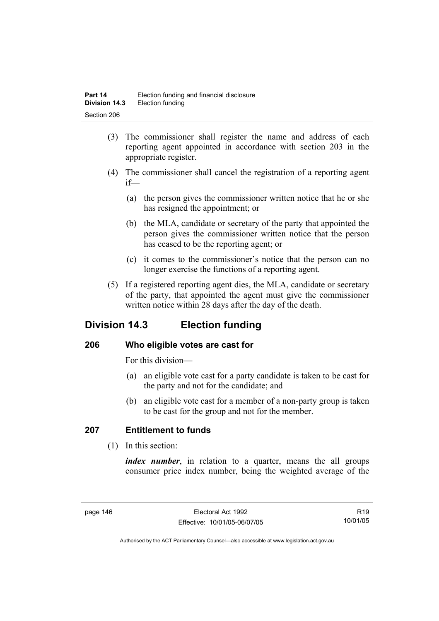- (3) The commissioner shall register the name and address of each reporting agent appointed in accordance with section 203 in the appropriate register.
- (4) The commissioner shall cancel the registration of a reporting agent if—
	- (a) the person gives the commissioner written notice that he or she has resigned the appointment; or
	- (b) the MLA, candidate or secretary of the party that appointed the person gives the commissioner written notice that the person has ceased to be the reporting agent; or
	- (c) it comes to the commissioner's notice that the person can no longer exercise the functions of a reporting agent.
- (5) If a registered reporting agent dies, the MLA, candidate or secretary of the party, that appointed the agent must give the commissioner written notice within 28 days after the day of the death.

# **Division 14.3 Election funding**

## **206 Who eligible votes are cast for**

For this division—

- (a) an eligible vote cast for a party candidate is taken to be cast for the party and not for the candidate; and
- (b) an eligible vote cast for a member of a non-party group is taken to be cast for the group and not for the member.

## **207 Entitlement to funds**

(1) In this section:

*index number*, in relation to a quarter, means the all groups consumer price index number, being the weighted average of the

R19 10/01/05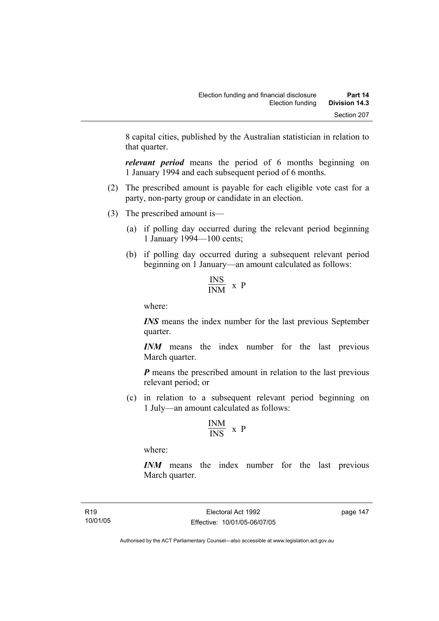8 capital cities, published by the Australian statistician in relation to that quarter.

*relevant period* means the period of 6 months beginning on 1 January 1994 and each subsequent period of 6 months.

- (2) The prescribed amount is payable for each eligible vote cast for a party, non-party group or candidate in an election.
- (3) The prescribed amount is—
	- (a) if polling day occurred during the relevant period beginning 1 January 1994—100 cents;
	- (b) if polling day occurred during a subsequent relevant period beginning on 1 January—an amount calculated as follows:

$$
\frac{\text{INS}}{\text{INM}} \times P
$$

where:

*INS* means the index number for the last previous September quarter.

*INM* means the index number for the last previous March quarter.

*P* means the prescribed amount in relation to the last previous relevant period; or

 (c) in relation to a subsequent relevant period beginning on 1 July—an amount calculated as follows:

$$
\frac{INM}{INS} \ x \ P
$$

where:

*INM* means the index number for the last previous March quarter.

R19 10/01/05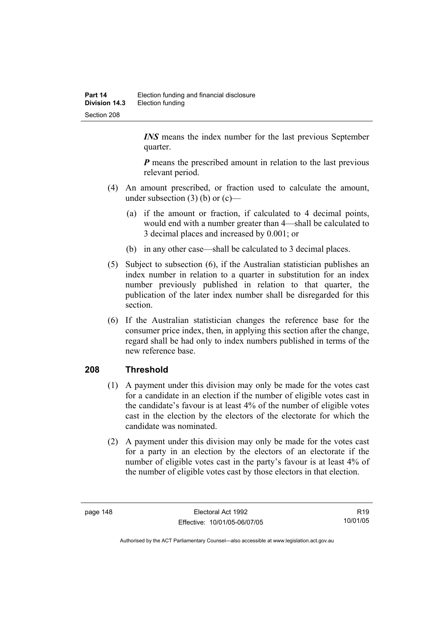*INS* means the index number for the last previous September quarter.

*P* means the prescribed amount in relation to the last previous relevant period.

- (4) An amount prescribed, or fraction used to calculate the amount, under subsection  $(3)$  (b) or  $(c)$ —
	- (a) if the amount or fraction, if calculated to 4 decimal points, would end with a number greater than 4—shall be calculated to 3 decimal places and increased by 0.001; or
	- (b) in any other case—shall be calculated to 3 decimal places.
- (5) Subject to subsection (6), if the Australian statistician publishes an index number in relation to a quarter in substitution for an index number previously published in relation to that quarter, the publication of the later index number shall be disregarded for this section.
- (6) If the Australian statistician changes the reference base for the consumer price index, then, in applying this section after the change, regard shall be had only to index numbers published in terms of the new reference base.

## **208 Threshold**

- (1) A payment under this division may only be made for the votes cast for a candidate in an election if the number of eligible votes cast in the candidate's favour is at least 4% of the number of eligible votes cast in the election by the electors of the electorate for which the candidate was nominated.
- (2) A payment under this division may only be made for the votes cast for a party in an election by the electors of an electorate if the number of eligible votes cast in the party's favour is at least 4% of the number of eligible votes cast by those electors in that election.

R19 10/01/05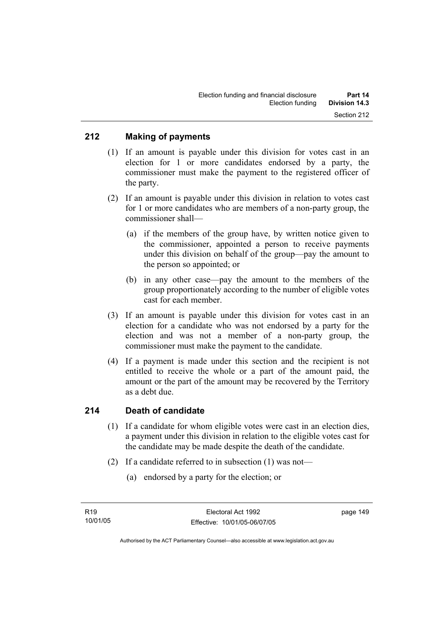### **212 Making of payments**

- (1) If an amount is payable under this division for votes cast in an election for 1 or more candidates endorsed by a party, the commissioner must make the payment to the registered officer of the party.
- (2) If an amount is payable under this division in relation to votes cast for 1 or more candidates who are members of a non-party group, the commissioner shall—
	- (a) if the members of the group have, by written notice given to the commissioner, appointed a person to receive payments under this division on behalf of the group—pay the amount to the person so appointed; or
	- (b) in any other case—pay the amount to the members of the group proportionately according to the number of eligible votes cast for each member.
- (3) If an amount is payable under this division for votes cast in an election for a candidate who was not endorsed by a party for the election and was not a member of a non-party group, the commissioner must make the payment to the candidate.
- (4) If a payment is made under this section and the recipient is not entitled to receive the whole or a part of the amount paid, the amount or the part of the amount may be recovered by the Territory as a debt due.

#### **214 Death of candidate**

- (1) If a candidate for whom eligible votes were cast in an election dies, a payment under this division in relation to the eligible votes cast for the candidate may be made despite the death of the candidate.
- (2) If a candidate referred to in subsection (1) was not—
	- (a) endorsed by a party for the election; or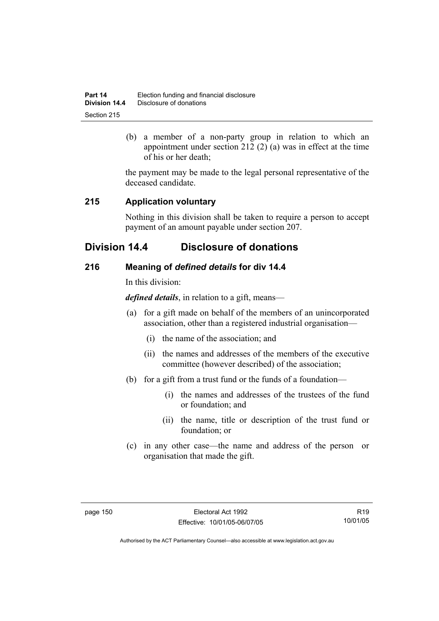| Part 14       | Election funding and financial disclosure |
|---------------|-------------------------------------------|
| Division 14.4 | Disclosure of donations                   |
| Section 215   |                                           |

 (b) a member of a non-party group in relation to which an appointment under section 212 (2) (a) was in effect at the time of his or her death;

the payment may be made to the legal personal representative of the deceased candidate.

### **215 Application voluntary**

Nothing in this division shall be taken to require a person to accept payment of an amount payable under section 207.

## **Division 14.4 Disclosure of donations**

### **216 Meaning of** *defined details* **for div 14.4**

In this division:

*defined details*, in relation to a gift, means—

- (a) for a gift made on behalf of the members of an unincorporated association, other than a registered industrial organisation—
	- (i) the name of the association; and
	- (ii) the names and addresses of the members of the executive committee (however described) of the association;
- (b) for a gift from a trust fund or the funds of a foundation—
	- (i) the names and addresses of the trustees of the fund or foundation; and
	- (ii) the name, title or description of the trust fund or foundation; or
- (c) in any other case—the name and address of the person or organisation that made the gift.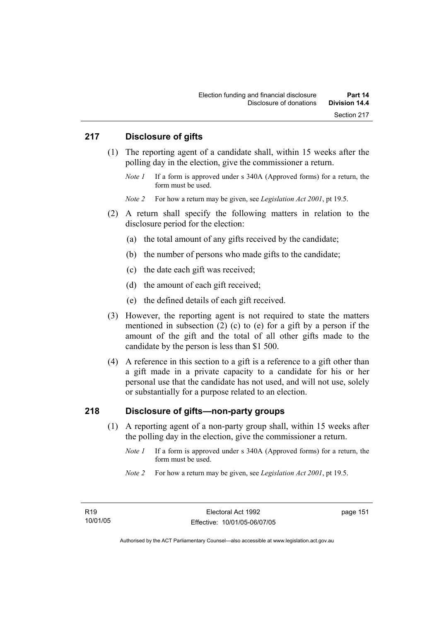### **217 Disclosure of gifts**

- (1) The reporting agent of a candidate shall, within 15 weeks after the polling day in the election, give the commissioner a return.
	- *Note 1* If a form is approved under s 340A (Approved forms) for a return, the form must be used.

*Note 2* For how a return may be given, see *Legislation Act 2001*, pt 19.5.

- (2) A return shall specify the following matters in relation to the disclosure period for the election:
	- (a) the total amount of any gifts received by the candidate;
	- (b) the number of persons who made gifts to the candidate;
	- (c) the date each gift was received;
	- (d) the amount of each gift received;
	- (e) the defined details of each gift received.
- (3) However, the reporting agent is not required to state the matters mentioned in subsection (2) (c) to (e) for a gift by a person if the amount of the gift and the total of all other gifts made to the candidate by the person is less than \$1 500.
- (4) A reference in this section to a gift is a reference to a gift other than a gift made in a private capacity to a candidate for his or her personal use that the candidate has not used, and will not use, solely or substantially for a purpose related to an election.

### **218 Disclosure of gifts—non-party groups**

- (1) A reporting agent of a non-party group shall, within 15 weeks after the polling day in the election, give the commissioner a return.
	- *Note 1* If a form is approved under s 340A (Approved forms) for a return, the form must be used.
	- *Note 2* For how a return may be given, see *Legislation Act 2001*, pt 19.5.

page 151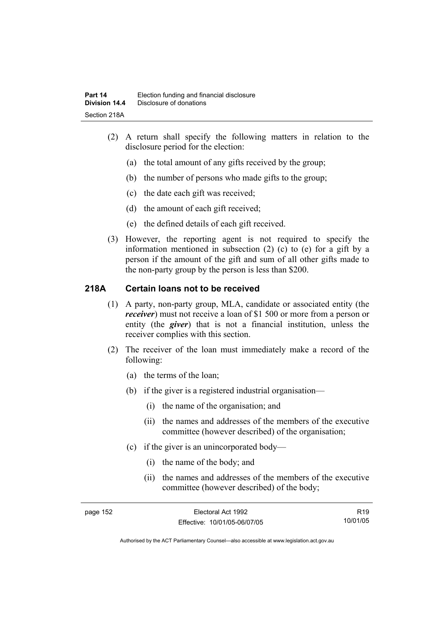- (2) A return shall specify the following matters in relation to the disclosure period for the election:
	- (a) the total amount of any gifts received by the group;
	- (b) the number of persons who made gifts to the group;
	- (c) the date each gift was received;
	- (d) the amount of each gift received;
	- (e) the defined details of each gift received.
- (3) However, the reporting agent is not required to specify the information mentioned in subsection (2) (c) to (e) for a gift by a person if the amount of the gift and sum of all other gifts made to the non-party group by the person is less than \$200.

### **218A Certain loans not to be received**

- (1) A party, non-party group, MLA, candidate or associated entity (the *receiver*) must not receive a loan of \$1 500 or more from a person or entity (the *giver*) that is not a financial institution, unless the receiver complies with this section.
- (2) The receiver of the loan must immediately make a record of the following:
	- (a) the terms of the loan;
	- (b) if the giver is a registered industrial organisation—
		- (i) the name of the organisation; and
		- (ii) the names and addresses of the members of the executive committee (however described) of the organisation;
	- (c) if the giver is an unincorporated body—
		- (i) the name of the body; and
		- (ii) the names and addresses of the members of the executive committee (however described) of the body;

R19 10/01/05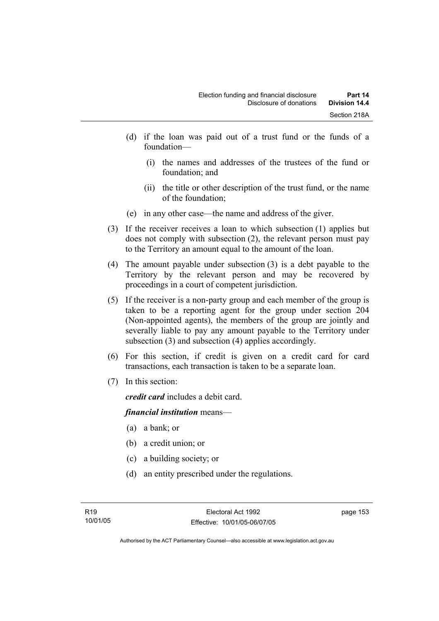- (d) if the loan was paid out of a trust fund or the funds of a foundation—
	- (i) the names and addresses of the trustees of the fund or foundation; and
	- (ii) the title or other description of the trust fund, or the name of the foundation;
- (e) in any other case—the name and address of the giver.
- (3) If the receiver receives a loan to which subsection (1) applies but does not comply with subsection (2), the relevant person must pay to the Territory an amount equal to the amount of the loan.
- (4) The amount payable under subsection (3) is a debt payable to the Territory by the relevant person and may be recovered by proceedings in a court of competent jurisdiction.
- (5) If the receiver is a non-party group and each member of the group is taken to be a reporting agent for the group under section 204 (Non-appointed agents), the members of the group are jointly and severally liable to pay any amount payable to the Territory under subsection (3) and subsection (4) applies accordingly.
- (6) For this section, if credit is given on a credit card for card transactions, each transaction is taken to be a separate loan.
- (7) In this section:

*credit card* includes a debit card.

#### *financial institution* means—

- (a) a bank; or
- (b) a credit union; or
- (c) a building society; or
- (d) an entity prescribed under the regulations.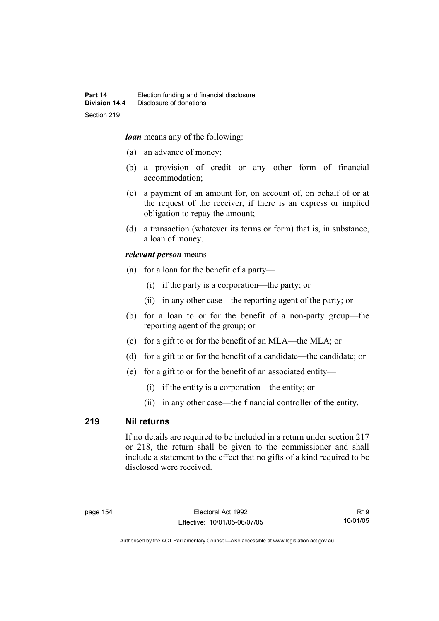*loan* means any of the following:

- (a) an advance of money;
- (b) a provision of credit or any other form of financial accommodation;
- (c) a payment of an amount for, on account of, on behalf of or at the request of the receiver, if there is an express or implied obligation to repay the amount;
- (d) a transaction (whatever its terms or form) that is, in substance, a loan of money.

#### *relevant person* means—

- (a) for a loan for the benefit of a party—
	- (i) if the party is a corporation—the party; or
	- (ii) in any other case—the reporting agent of the party; or
- (b) for a loan to or for the benefit of a non-party group—the reporting agent of the group; or
- (c) for a gift to or for the benefit of an MLA—the MLA; or
- (d) for a gift to or for the benefit of a candidate—the candidate; or
- (e) for a gift to or for the benefit of an associated entity—
	- (i) if the entity is a corporation—the entity; or
	- (ii) in any other case—the financial controller of the entity.

#### **219 Nil returns**

If no details are required to be included in a return under section 217 or 218, the return shall be given to the commissioner and shall include a statement to the effect that no gifts of a kind required to be disclosed were received.

R19 10/01/05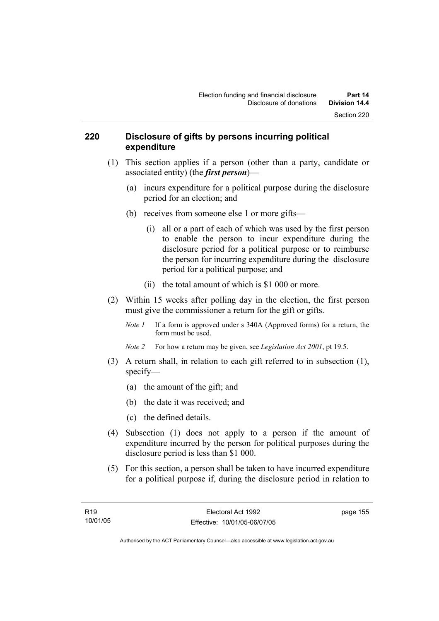#### **220 Disclosure of gifts by persons incurring political expenditure**

- (1) This section applies if a person (other than a party, candidate or associated entity) (the *first person*)—
	- (a) incurs expenditure for a political purpose during the disclosure period for an election; and
	- (b) receives from someone else 1 or more gifts—
		- (i) all or a part of each of which was used by the first person to enable the person to incur expenditure during the disclosure period for a political purpose or to reimburse the person for incurring expenditure during the disclosure period for a political purpose; and
		- (ii) the total amount of which is \$1 000 or more.
- (2) Within 15 weeks after polling day in the election, the first person must give the commissioner a return for the gift or gifts.
	- *Note 1* If a form is approved under s 340A (Approved forms) for a return, the form must be used.
	- *Note 2* For how a return may be given, see *Legislation Act 2001*, pt 19.5.
- (3) A return shall, in relation to each gift referred to in subsection (1), specify—
	- (a) the amount of the gift; and
	- (b) the date it was received; and
	- (c) the defined details.
- (4) Subsection (1) does not apply to a person if the amount of expenditure incurred by the person for political purposes during the disclosure period is less than \$1 000.
- (5) For this section, a person shall be taken to have incurred expenditure for a political purpose if, during the disclosure period in relation to

page 155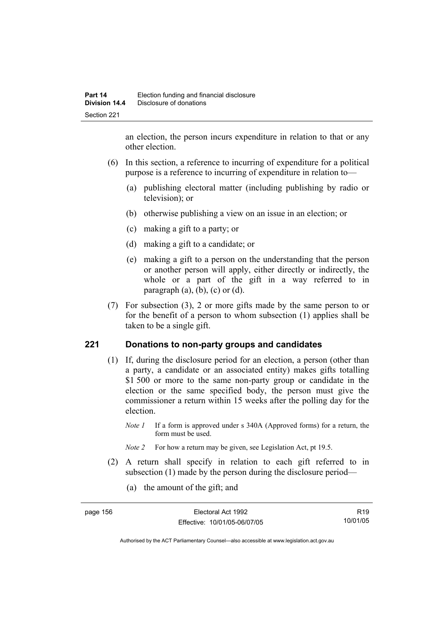an election, the person incurs expenditure in relation to that or any other election.

- (6) In this section, a reference to incurring of expenditure for a political purpose is a reference to incurring of expenditure in relation to—
	- (a) publishing electoral matter (including publishing by radio or television); or
	- (b) otherwise publishing a view on an issue in an election; or
	- (c) making a gift to a party; or
	- (d) making a gift to a candidate; or
	- (e) making a gift to a person on the understanding that the person or another person will apply, either directly or indirectly, the whole or a part of the gift in a way referred to in paragraph  $(a)$ ,  $(b)$ ,  $(c)$  or  $(d)$ .
- (7) For subsection (3), 2 or more gifts made by the same person to or for the benefit of a person to whom subsection (1) applies shall be taken to be a single gift.

## **221 Donations to non-party groups and candidates**

- (1) If, during the disclosure period for an election, a person (other than a party, a candidate or an associated entity) makes gifts totalling \$1,500 or more to the same non-party group or candidate in the election or the same specified body, the person must give the commissioner a return within 15 weeks after the polling day for the election.
	- *Note 1* If a form is approved under s 340A (Approved forms) for a return, the form must be used.
	- *Note 2* For how a return may be given, see Legislation Act, pt 19.5.
- (2) A return shall specify in relation to each gift referred to in subsection (1) made by the person during the disclosure period—
	- (a) the amount of the gift; and

| page 156 | Electoral Act 1992           | R <sub>19</sub> |
|----------|------------------------------|-----------------|
|          | Effective: 10/01/05-06/07/05 | 10/01/05        |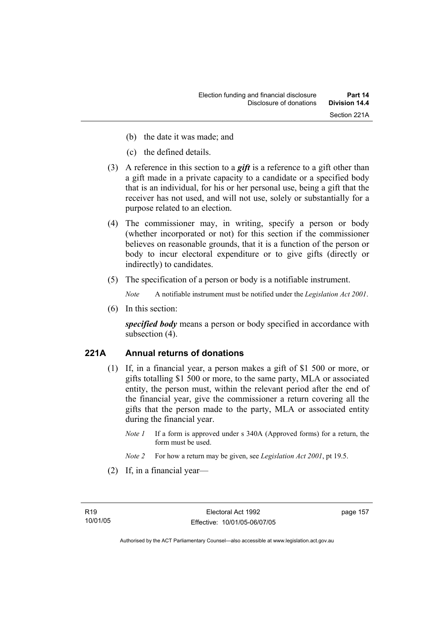- (b) the date it was made; and
- (c) the defined details.
- (3) A reference in this section to a *gift* is a reference to a gift other than a gift made in a private capacity to a candidate or a specified body that is an individual, for his or her personal use, being a gift that the receiver has not used, and will not use, solely or substantially for a purpose related to an election.
- (4) The commissioner may, in writing, specify a person or body (whether incorporated or not) for this section if the commissioner believes on reasonable grounds, that it is a function of the person or body to incur electoral expenditure or to give gifts (directly or indirectly) to candidates.
- (5) The specification of a person or body is a notifiable instrument.

*Note* A notifiable instrument must be notified under the *Legislation Act 2001*.

(6) In this section:

*specified body* means a person or body specified in accordance with subsection (4).

### **221A Annual returns of donations**

- (1) If, in a financial year, a person makes a gift of \$1 500 or more, or gifts totalling \$1 500 or more, to the same party, MLA or associated entity, the person must, within the relevant period after the end of the financial year, give the commissioner a return covering all the gifts that the person made to the party, MLA or associated entity during the financial year.
	- *Note 1* If a form is approved under s 340A (Approved forms) for a return, the form must be used.
	- *Note 2* For how a return may be given, see *Legislation Act 2001*, pt 19.5.
- (2) If, in a financial year—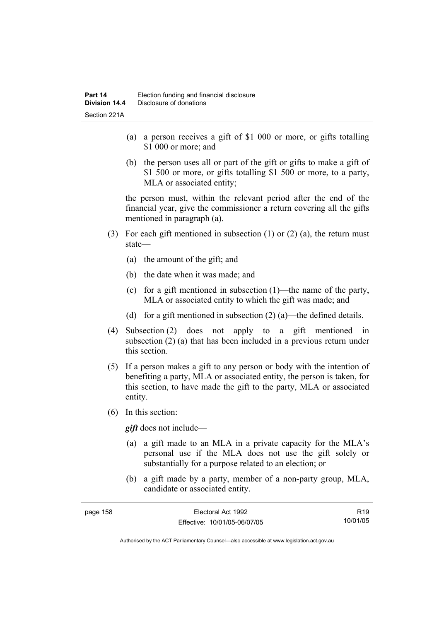- (a) a person receives a gift of \$1 000 or more, or gifts totalling \$1 000 or more; and
- (b) the person uses all or part of the gift or gifts to make a gift of \$1 500 or more, or gifts totalling \$1 500 or more, to a party, MLA or associated entity;

the person must, within the relevant period after the end of the financial year, give the commissioner a return covering all the gifts mentioned in paragraph (a).

- (3) For each gift mentioned in subsection (1) or (2) (a), the return must state—
	- (a) the amount of the gift; and
	- (b) the date when it was made; and
	- (c) for a gift mentioned in subsection (1)—the name of the party, MLA or associated entity to which the gift was made; and
	- (d) for a gift mentioned in subsection  $(2)$  (a)—the defined details.
- (4) Subsection (2) does not apply to a gift mentioned in subsection (2) (a) that has been included in a previous return under this section.
- (5) If a person makes a gift to any person or body with the intention of benefiting a party, MLA or associated entity, the person is taken, for this section, to have made the gift to the party, MLA or associated entity.
- (6) In this section:

*gift* does not include—

- (a) a gift made to an MLA in a private capacity for the MLA's personal use if the MLA does not use the gift solely or substantially for a purpose related to an election; or
- (b) a gift made by a party, member of a non-party group, MLA, candidate or associated entity.

| page 158 | Electoral Act 1992           | R <sub>19</sub> |
|----------|------------------------------|-----------------|
|          | Effective: 10/01/05-06/07/05 | 10/01/05        |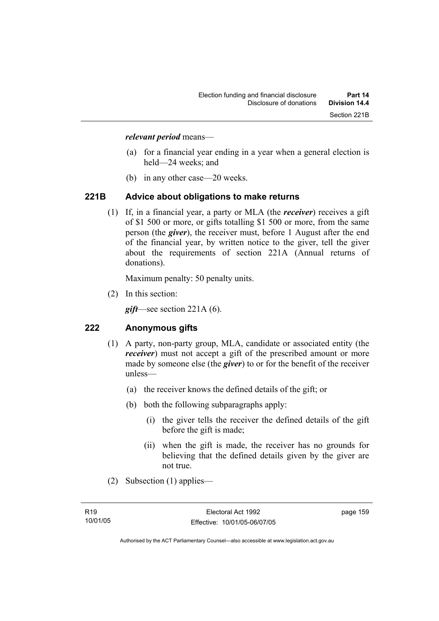#### *relevant period* means—

- (a) for a financial year ending in a year when a general election is held—24 weeks; and
- (b) in any other case—20 weeks.

#### **221B Advice about obligations to make returns**

 (1) If, in a financial year, a party or MLA (the *receiver*) receives a gift of \$1 500 or more, or gifts totalling \$1 500 or more, from the same person (the *giver*), the receiver must, before 1 August after the end of the financial year, by written notice to the giver, tell the giver about the requirements of section 221A (Annual returns of donations).

Maximum penalty: 50 penalty units.

(2) In this section:

*gift*—see section 221A (6).

### **222 Anonymous gifts**

- (1) A party, non-party group, MLA, candidate or associated entity (the *receiver*) must not accept a gift of the prescribed amount or more made by someone else (the *giver*) to or for the benefit of the receiver unless—
	- (a) the receiver knows the defined details of the gift; or
	- (b) both the following subparagraphs apply:
		- (i) the giver tells the receiver the defined details of the gift before the gift is made;
		- (ii) when the gift is made, the receiver has no grounds for believing that the defined details given by the giver are not true.
- (2) Subsection (1) applies—

page 159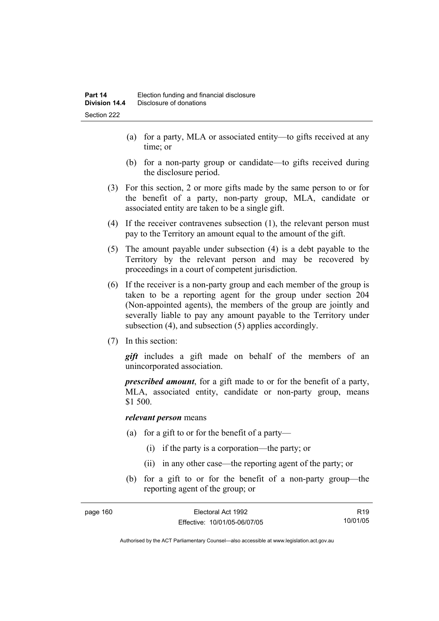- (a) for a party, MLA or associated entity—to gifts received at any time; or
- (b) for a non-party group or candidate—to gifts received during the disclosure period.
- (3) For this section, 2 or more gifts made by the same person to or for the benefit of a party, non-party group, MLA, candidate or associated entity are taken to be a single gift.
- (4) If the receiver contravenes subsection (1), the relevant person must pay to the Territory an amount equal to the amount of the gift.
- (5) The amount payable under subsection (4) is a debt payable to the Territory by the relevant person and may be recovered by proceedings in a court of competent jurisdiction.
- (6) If the receiver is a non-party group and each member of the group is taken to be a reporting agent for the group under section 204 (Non-appointed agents), the members of the group are jointly and severally liable to pay any amount payable to the Territory under subsection (4), and subsection (5) applies accordingly.
- (7) In this section:

*gift* includes a gift made on behalf of the members of an unincorporated association.

*prescribed amount*, for a gift made to or for the benefit of a party, MLA, associated entity, candidate or non-party group, means \$1 500.

#### *relevant person* means

- (a) for a gift to or for the benefit of a party—
	- (i) if the party is a corporation—the party; or
	- (ii) in any other case—the reporting agent of the party; or
- (b) for a gift to or for the benefit of a non-party group—the reporting agent of the group; or

| page 160 | Electoral Act 1992           | R <sub>19</sub> |
|----------|------------------------------|-----------------|
|          | Effective: 10/01/05-06/07/05 | 10/01/05        |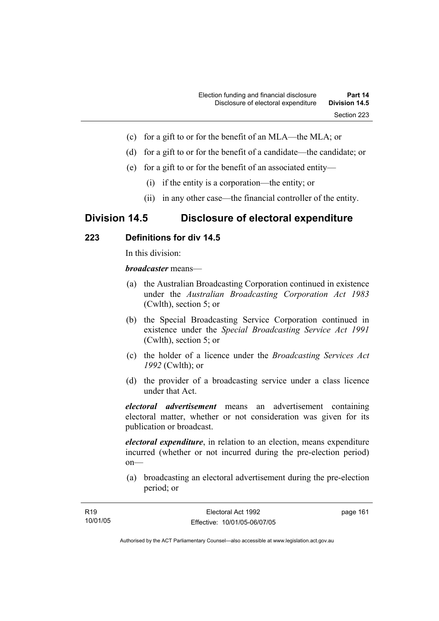- (c) for a gift to or for the benefit of an MLA—the MLA; or
- (d) for a gift to or for the benefit of a candidate—the candidate; or
- (e) for a gift to or for the benefit of an associated entity—
	- (i) if the entity is a corporation—the entity; or
	- (ii) in any other case—the financial controller of the entity.

## **Division 14.5 Disclosure of electoral expenditure**

### **223 Definitions for div 14.5**

In this division:

*broadcaster* means—

- (a) the Australian Broadcasting Corporation continued in existence under the *Australian Broadcasting Corporation Act 1983* (Cwlth), section 5; or
- (b) the Special Broadcasting Service Corporation continued in existence under the *Special Broadcasting Service Act 1991*  (Cwlth), section 5; or
- (c) the holder of a licence under the *Broadcasting Services Act 1992* (Cwlth); or
- (d) the provider of a broadcasting service under a class licence under that Act.

*electoral advertisement* means an advertisement containing electoral matter, whether or not consideration was given for its publication or broadcast.

*electoral expenditure*, in relation to an election, means expenditure incurred (whether or not incurred during the pre-election period) on—

 (a) broadcasting an electoral advertisement during the pre-election period; or

| R19      | Electoral Act 1992           | page 161 |
|----------|------------------------------|----------|
| 10/01/05 | Effective: 10/01/05-06/07/05 |          |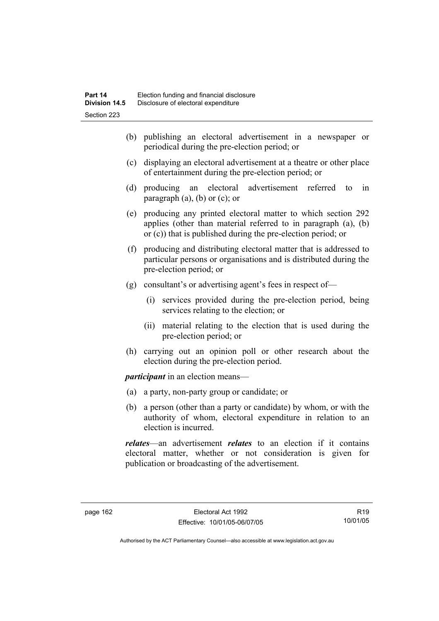- (b) publishing an electoral advertisement in a newspaper or periodical during the pre-election period; or
- (c) displaying an electoral advertisement at a theatre or other place of entertainment during the pre-election period; or
- (d) producing an electoral advertisement referred to in paragraph  $(a)$ ,  $(b)$  or  $(c)$ ; or
- (e) producing any printed electoral matter to which section 292 applies (other than material referred to in paragraph (a), (b) or (c)) that is published during the pre-election period; or
- (f) producing and distributing electoral matter that is addressed to particular persons or organisations and is distributed during the pre-election period; or
- (g) consultant's or advertising agent's fees in respect of—
	- (i) services provided during the pre-election period, being services relating to the election; or
	- (ii) material relating to the election that is used during the pre-election period; or
- (h) carrying out an opinion poll or other research about the election during the pre-election period.

*participant* in an election means—

- (a) a party, non-party group or candidate; or
- (b) a person (other than a party or candidate) by whom, or with the authority of whom, electoral expenditure in relation to an election is incurred.

*relates*—an advertisement *relates* to an election if it contains electoral matter, whether or not consideration is given for publication or broadcasting of the advertisement.

R19 10/01/05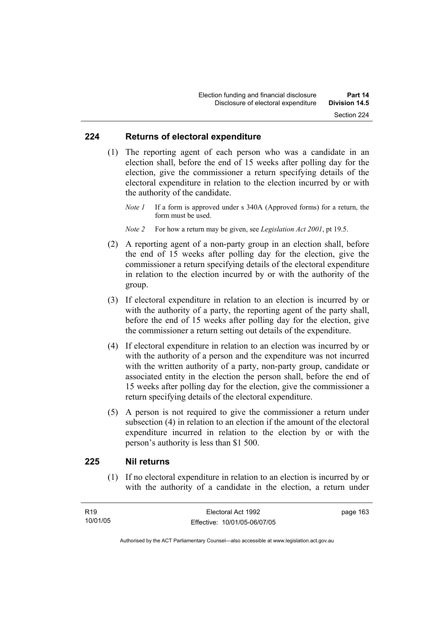#### **224 Returns of electoral expenditure**

 (1) The reporting agent of each person who was a candidate in an election shall, before the end of 15 weeks after polling day for the election, give the commissioner a return specifying details of the electoral expenditure in relation to the election incurred by or with the authority of the candidate.

*Note 1* If a form is approved under s 340A (Approved forms) for a return, the form must be used.

*Note 2* For how a return may be given, see *Legislation Act 2001*, pt 19.5.

- (2) A reporting agent of a non-party group in an election shall, before the end of 15 weeks after polling day for the election, give the commissioner a return specifying details of the electoral expenditure in relation to the election incurred by or with the authority of the group.
- (3) If electoral expenditure in relation to an election is incurred by or with the authority of a party, the reporting agent of the party shall, before the end of 15 weeks after polling day for the election, give the commissioner a return setting out details of the expenditure.
- (4) If electoral expenditure in relation to an election was incurred by or with the authority of a person and the expenditure was not incurred with the written authority of a party, non-party group, candidate or associated entity in the election the person shall, before the end of 15 weeks after polling day for the election, give the commissioner a return specifying details of the electoral expenditure.
- (5) A person is not required to give the commissioner a return under subsection (4) in relation to an election if the amount of the electoral expenditure incurred in relation to the election by or with the person's authority is less than \$1 500.

# **225 Nil returns**

 (1) If no electoral expenditure in relation to an election is incurred by or with the authority of a candidate in the election, a return under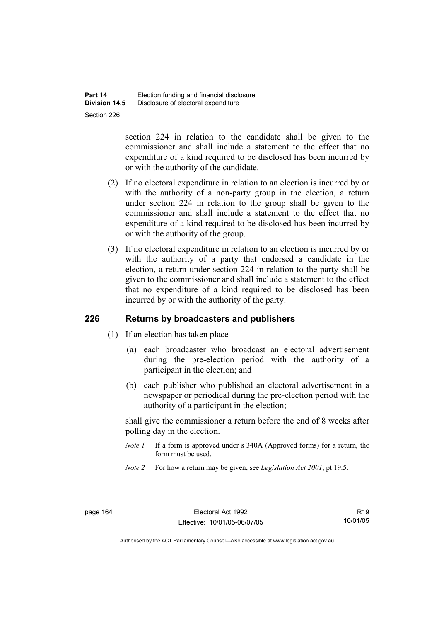section 224 in relation to the candidate shall be given to the commissioner and shall include a statement to the effect that no expenditure of a kind required to be disclosed has been incurred by or with the authority of the candidate.

- (2) If no electoral expenditure in relation to an election is incurred by or with the authority of a non-party group in the election, a return under section 224 in relation to the group shall be given to the commissioner and shall include a statement to the effect that no expenditure of a kind required to be disclosed has been incurred by or with the authority of the group.
- (3) If no electoral expenditure in relation to an election is incurred by or with the authority of a party that endorsed a candidate in the election, a return under section 224 in relation to the party shall be given to the commissioner and shall include a statement to the effect that no expenditure of a kind required to be disclosed has been incurred by or with the authority of the party.

# **226 Returns by broadcasters and publishers**

- (1) If an election has taken place—
	- (a) each broadcaster who broadcast an electoral advertisement during the pre-election period with the authority of a participant in the election; and
	- (b) each publisher who published an electoral advertisement in a newspaper or periodical during the pre-election period with the authority of a participant in the election;

shall give the commissioner a return before the end of 8 weeks after polling day in the election.

- *Note 1* If a form is approved under s 340A (Approved forms) for a return, the form must be used.
- *Note 2* For how a return may be given, see *Legislation Act 2001*, pt 19.5.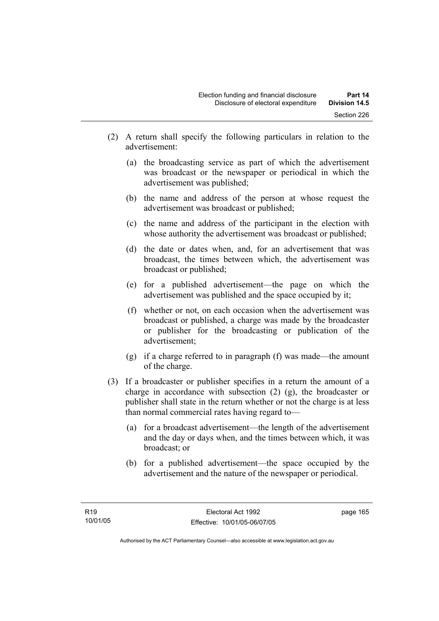- (2) A return shall specify the following particulars in relation to the advertisement:
	- (a) the broadcasting service as part of which the advertisement was broadcast or the newspaper or periodical in which the advertisement was published;
	- (b) the name and address of the person at whose request the advertisement was broadcast or published;
	- (c) the name and address of the participant in the election with whose authority the advertisement was broadcast or published;
	- (d) the date or dates when, and, for an advertisement that was broadcast, the times between which, the advertisement was broadcast or published;
	- (e) for a published advertisement—the page on which the advertisement was published and the space occupied by it;
	- (f) whether or not, on each occasion when the advertisement was broadcast or published, a charge was made by the broadcaster or publisher for the broadcasting or publication of the advertisement;
	- (g) if a charge referred to in paragraph (f) was made—the amount of the charge.
- (3) If a broadcaster or publisher specifies in a return the amount of a charge in accordance with subsection (2) (g), the broadcaster or publisher shall state in the return whether or not the charge is at less than normal commercial rates having regard to—
	- (a) for a broadcast advertisement—the length of the advertisement and the day or days when, and the times between which, it was broadcast; or
	- (b) for a published advertisement—the space occupied by the advertisement and the nature of the newspaper or periodical.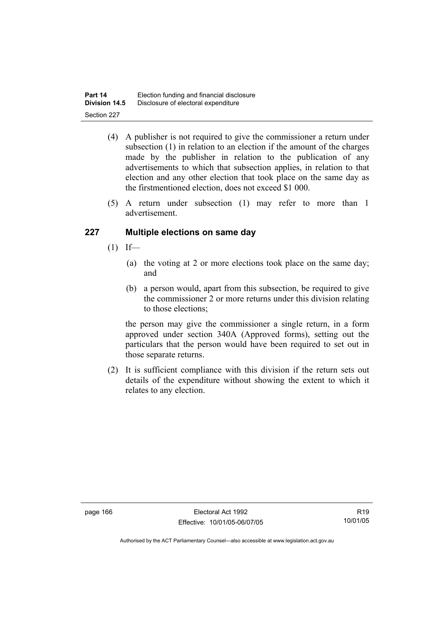| Part 14              | Election funding and financial disclosure |
|----------------------|-------------------------------------------|
| <b>Division 14.5</b> | Disclosure of electoral expenditure       |
| Section 227          |                                           |

- (4) A publisher is not required to give the commissioner a return under subsection (1) in relation to an election if the amount of the charges made by the publisher in relation to the publication of any advertisements to which that subsection applies, in relation to that election and any other election that took place on the same day as the firstmentioned election, does not exceed \$1 000.
- (5) A return under subsection (1) may refer to more than 1 advertisement.

# **227 Multiple elections on same day**

- $(1)$  If—
	- (a) the voting at 2 or more elections took place on the same day; and
	- (b) a person would, apart from this subsection, be required to give the commissioner 2 or more returns under this division relating to those elections;

the person may give the commissioner a single return, in a form approved under section 340A (Approved forms), setting out the particulars that the person would have been required to set out in those separate returns.

 (2) It is sufficient compliance with this division if the return sets out details of the expenditure without showing the extent to which it relates to any election.

R19 10/01/05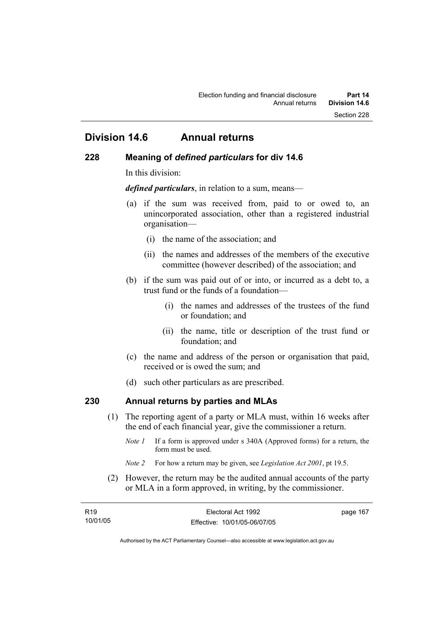# **Division 14.6 Annual returns**

## **228 Meaning of** *defined particulars* **for div 14.6**

In this division:

*defined particulars*, in relation to a sum, means—

- (a) if the sum was received from, paid to or owed to, an unincorporated association, other than a registered industrial organisation—
	- (i) the name of the association; and
	- (ii) the names and addresses of the members of the executive committee (however described) of the association; and
- (b) if the sum was paid out of or into, or incurred as a debt to, a trust fund or the funds of a foundation—
	- (i) the names and addresses of the trustees of the fund or foundation; and
	- (ii) the name, title or description of the trust fund or foundation; and
- (c) the name and address of the person or organisation that paid, received or is owed the sum; and
- (d) such other particulars as are prescribed.

# **230 Annual returns by parties and MLAs**

- (1) The reporting agent of a party or MLA must, within 16 weeks after the end of each financial year, give the commissioner a return.
	- *Note 1* If a form is approved under s 340A (Approved forms) for a return, the form must be used.
	- *Note 2* For how a return may be given, see *Legislation Act 2001*, pt 19.5.
- (2) However, the return may be the audited annual accounts of the party or MLA in a form approved, in writing, by the commissioner.

| R <sub>19</sub> | Electoral Act 1992           | page 167 |
|-----------------|------------------------------|----------|
| 10/01/05        | Effective: 10/01/05-06/07/05 |          |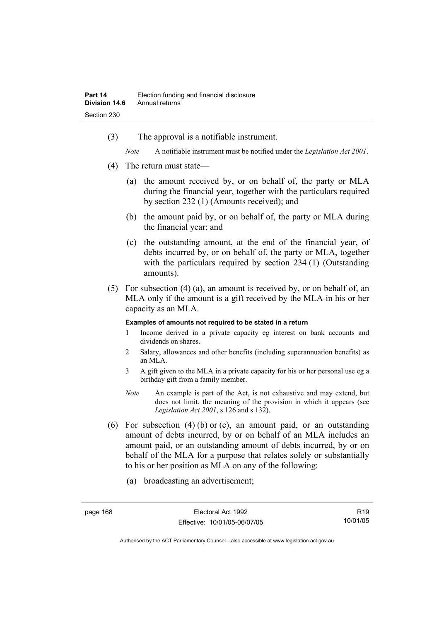(3) The approval is a notifiable instrument.

*Note* A notifiable instrument must be notified under the *Legislation Act 2001*.

- (4) The return must state—
	- (a) the amount received by, or on behalf of, the party or MLA during the financial year, together with the particulars required by section 232 (1) (Amounts received); and
	- (b) the amount paid by, or on behalf of, the party or MLA during the financial year; and
	- (c) the outstanding amount, at the end of the financial year, of debts incurred by, or on behalf of, the party or MLA, together with the particulars required by section 234 (1) (Outstanding amounts).
- (5) For subsection (4) (a), an amount is received by, or on behalf of, an MLA only if the amount is a gift received by the MLA in his or her capacity as an MLA.

#### **Examples of amounts not required to be stated in a return**

- 1 Income derived in a private capacity eg interest on bank accounts and dividends on shares.
- 2 Salary, allowances and other benefits (including superannuation benefits) as an MLA.
- 3 A gift given to the MLA in a private capacity for his or her personal use eg a birthday gift from a family member.
- *Note* An example is part of the Act, is not exhaustive and may extend, but does not limit, the meaning of the provision in which it appears (see *Legislation Act 2001*, s 126 and s 132).
- (6) For subsection (4) (b) or (c), an amount paid, or an outstanding amount of debts incurred, by or on behalf of an MLA includes an amount paid, or an outstanding amount of debts incurred, by or on behalf of the MLA for a purpose that relates solely or substantially to his or her position as MLA on any of the following:
	- (a) broadcasting an advertisement;

R19 10/01/05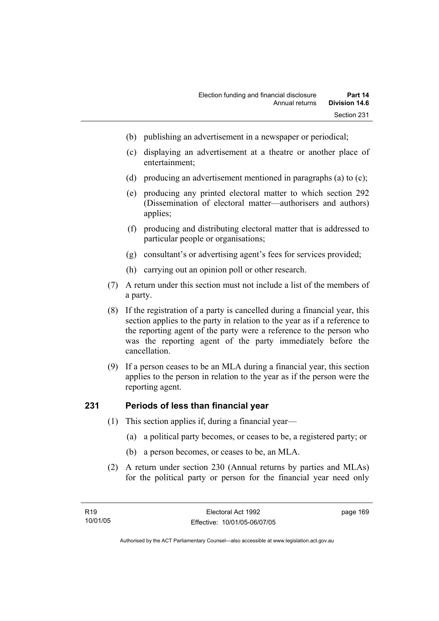- (b) publishing an advertisement in a newspaper or periodical;
- (c) displaying an advertisement at a theatre or another place of entertainment;
- (d) producing an advertisement mentioned in paragraphs (a) to (c);
- (e) producing any printed electoral matter to which section 292 (Dissemination of electoral matter—authorisers and authors) applies;
- (f) producing and distributing electoral matter that is addressed to particular people or organisations;
- (g) consultant's or advertising agent's fees for services provided;
- (h) carrying out an opinion poll or other research.
- (7) A return under this section must not include a list of the members of a party.
- (8) If the registration of a party is cancelled during a financial year, this section applies to the party in relation to the year as if a reference to the reporting agent of the party were a reference to the person who was the reporting agent of the party immediately before the cancellation.
- (9) If a person ceases to be an MLA during a financial year, this section applies to the person in relation to the year as if the person were the reporting agent.

# **231 Periods of less than financial year**

- (1) This section applies if, during a financial year—
	- (a) a political party becomes, or ceases to be, a registered party; or
	- (b) a person becomes, or ceases to be, an MLA.
- (2) A return under section 230 (Annual returns by parties and MLAs) for the political party or person for the financial year need only

page 169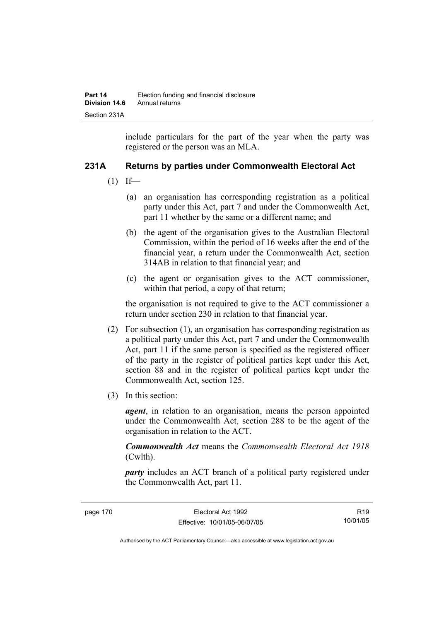include particulars for the part of the year when the party was registered or the person was an MLA.

# **231A Returns by parties under Commonwealth Electoral Act**

- $(1)$  If—
	- (a) an organisation has corresponding registration as a political party under this Act, part 7 and under the Commonwealth Act, part 11 whether by the same or a different name; and
	- (b) the agent of the organisation gives to the Australian Electoral Commission, within the period of 16 weeks after the end of the financial year, a return under the Commonwealth Act, section 314AB in relation to that financial year; and
	- (c) the agent or organisation gives to the ACT commissioner, within that period, a copy of that return;

the organisation is not required to give to the ACT commissioner a return under section 230 in relation to that financial year.

- (2) For subsection (1), an organisation has corresponding registration as a political party under this Act, part 7 and under the Commonwealth Act, part 11 if the same person is specified as the registered officer of the party in the register of political parties kept under this Act, section 88 and in the register of political parties kept under the Commonwealth Act, section 125.
- (3) In this section:

*agent*, in relation to an organisation, means the person appointed under the Commonwealth Act, section 288 to be the agent of the organisation in relation to the ACT.

*Commonwealth Act* means the *Commonwealth Electoral Act 1918* (Cwlth).

*party* includes an ACT branch of a political party registered under the Commonwealth Act, part 11.

R19 10/01/05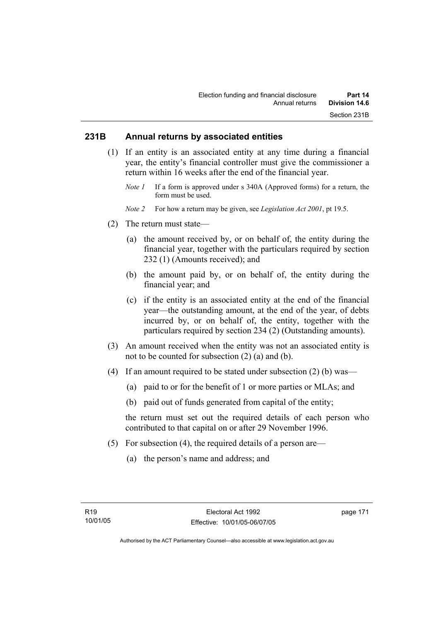# **231B Annual returns by associated entities**

- (1) If an entity is an associated entity at any time during a financial year, the entity's financial controller must give the commissioner a return within 16 weeks after the end of the financial year.
	- *Note 1* If a form is approved under s 340A (Approved forms) for a return, the form must be used.
	- *Note 2* For how a return may be given, see *Legislation Act 2001*, pt 19.5.
- (2) The return must state—
	- (a) the amount received by, or on behalf of, the entity during the financial year, together with the particulars required by section 232 (1) (Amounts received); and
	- (b) the amount paid by, or on behalf of, the entity during the financial year; and
	- (c) if the entity is an associated entity at the end of the financial year—the outstanding amount, at the end of the year, of debts incurred by, or on behalf of, the entity, together with the particulars required by section 234 (2) (Outstanding amounts).
- (3) An amount received when the entity was not an associated entity is not to be counted for subsection (2) (a) and (b).
- (4) If an amount required to be stated under subsection (2) (b) was—
	- (a) paid to or for the benefit of 1 or more parties or MLAs; and
	- (b) paid out of funds generated from capital of the entity;

the return must set out the required details of each person who contributed to that capital on or after 29 November 1996.

- (5) For subsection (4), the required details of a person are—
	- (a) the person's name and address; and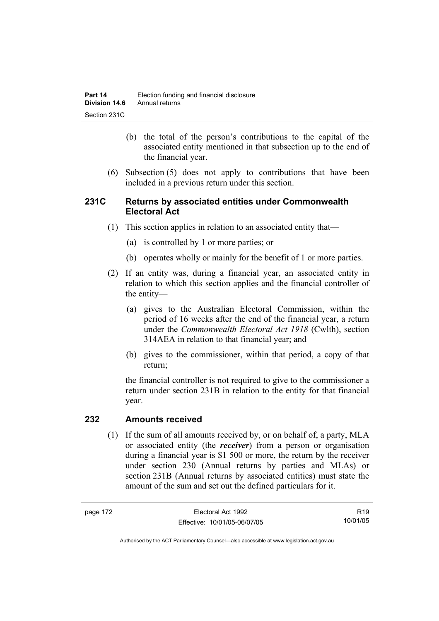- (b) the total of the person's contributions to the capital of the associated entity mentioned in that subsection up to the end of the financial year.
- (6) Subsection (5) does not apply to contributions that have been included in a previous return under this section.

# **231C Returns by associated entities under Commonwealth Electoral Act**

- (1) This section applies in relation to an associated entity that—
	- (a) is controlled by 1 or more parties; or
	- (b) operates wholly or mainly for the benefit of 1 or more parties.
- (2) If an entity was, during a financial year, an associated entity in relation to which this section applies and the financial controller of the entity—
	- (a) gives to the Australian Electoral Commission, within the period of 16 weeks after the end of the financial year, a return under the *Commonwealth Electoral Act 1918* (Cwlth), section 314AEA in relation to that financial year; and
	- (b) gives to the commissioner, within that period, a copy of that return;

the financial controller is not required to give to the commissioner a return under section 231B in relation to the entity for that financial year.

# **232 Amounts received**

 (1) If the sum of all amounts received by, or on behalf of, a party, MLA or associated entity (the *receiver*) from a person or organisation during a financial year is \$1 500 or more, the return by the receiver under section 230 (Annual returns by parties and MLAs) or section 231B (Annual returns by associated entities) must state the amount of the sum and set out the defined particulars for it.

R19 10/01/05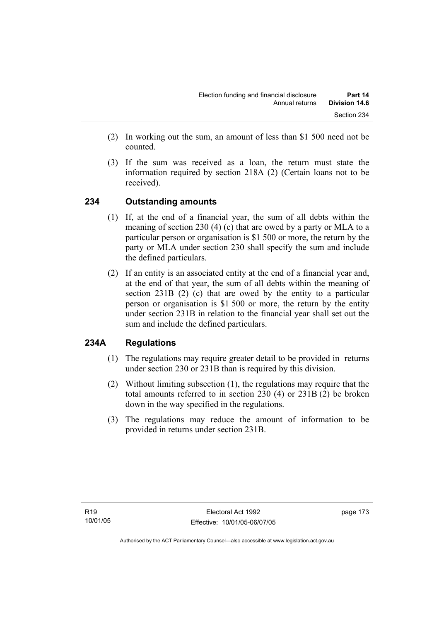- (2) In working out the sum, an amount of less than \$1 500 need not be counted.
- (3) If the sum was received as a loan, the return must state the information required by section 218A (2) (Certain loans not to be received).

# **234 Outstanding amounts**

- (1) If, at the end of a financial year, the sum of all debts within the meaning of section 230 (4) (c) that are owed by a party or MLA to a particular person or organisation is \$1 500 or more, the return by the party or MLA under section 230 shall specify the sum and include the defined particulars.
- (2) If an entity is an associated entity at the end of a financial year and, at the end of that year, the sum of all debts within the meaning of section 231B (2) (c) that are owed by the entity to a particular person or organisation is \$1 500 or more, the return by the entity under section 231B in relation to the financial year shall set out the sum and include the defined particulars.

# **234A Regulations**

- (1) The regulations may require greater detail to be provided in returns under section 230 or 231B than is required by this division.
- (2) Without limiting subsection (1), the regulations may require that the total amounts referred to in section 230 (4) or 231B (2) be broken down in the way specified in the regulations.
- (3) The regulations may reduce the amount of information to be provided in returns under section 231B.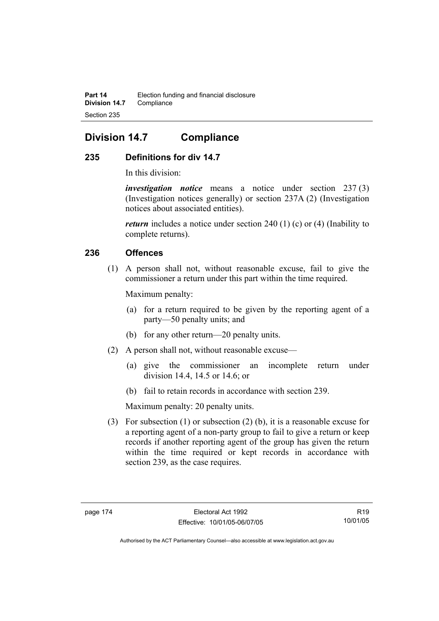# **Division 14.7 Compliance**

# **235 Definitions for div 14.7**

In this division:

*investigation notice* means a notice under section 237 (3) (Investigation notices generally) or section 237A (2) (Investigation notices about associated entities).

*return* includes a notice under section 240 (1) (c) or (4) (Inability to complete returns).

# **236 Offences**

 (1) A person shall not, without reasonable excuse, fail to give the commissioner a return under this part within the time required.

Maximum penalty:

- (a) for a return required to be given by the reporting agent of a party—50 penalty units; and
- (b) for any other return—20 penalty units.
- (2) A person shall not, without reasonable excuse—
	- (a) give the commissioner an incomplete return under division 14.4, 14.5 or 14.6; or
	- (b) fail to retain records in accordance with section 239.

Maximum penalty: 20 penalty units.

 (3) For subsection (1) or subsection (2) (b), it is a reasonable excuse for a reporting agent of a non-party group to fail to give a return or keep records if another reporting agent of the group has given the return within the time required or kept records in accordance with section 239, as the case requires.

R19 10/01/05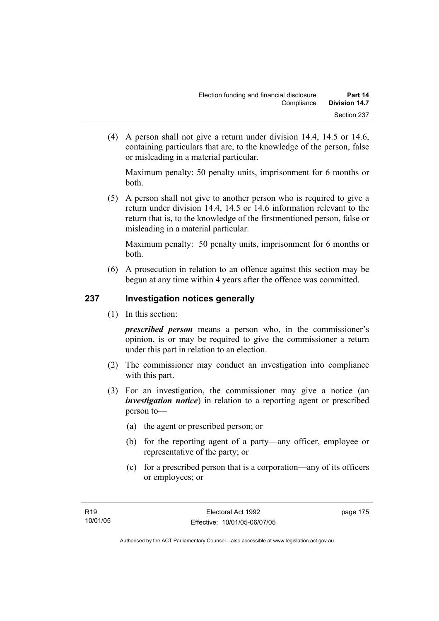(4) A person shall not give a return under division 14.4, 14.5 or 14.6, containing particulars that are, to the knowledge of the person, false or misleading in a material particular.

Maximum penalty: 50 penalty units, imprisonment for 6 months or both.

 (5) A person shall not give to another person who is required to give a return under division 14.4, 14.5 or 14.6 information relevant to the return that is, to the knowledge of the firstmentioned person, false or misleading in a material particular.

Maximum penalty: 50 penalty units, imprisonment for 6 months or both.

 (6) A prosecution in relation to an offence against this section may be begun at any time within 4 years after the offence was committed.

# **237 Investigation notices generally**

(1) In this section:

*prescribed person* means a person who, in the commissioner's opinion, is or may be required to give the commissioner a return under this part in relation to an election.

- (2) The commissioner may conduct an investigation into compliance with this part.
- (3) For an investigation, the commissioner may give a notice (an *investigation notice*) in relation to a reporting agent or prescribed person to—
	- (a) the agent or prescribed person; or
	- (b) for the reporting agent of a party—any officer, employee or representative of the party; or
	- (c) for a prescribed person that is a corporation—any of its officers or employees; or

page 175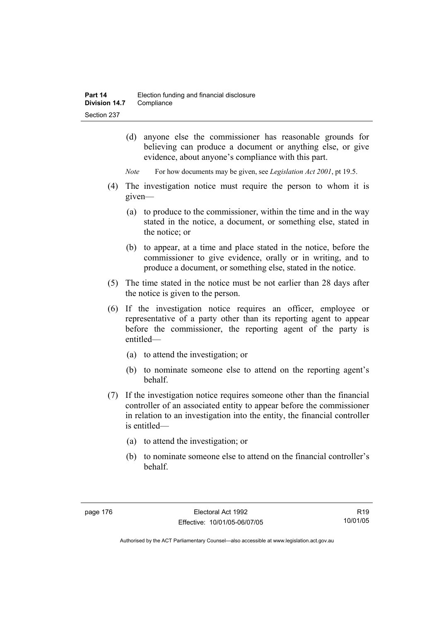- (d) anyone else the commissioner has reasonable grounds for believing can produce a document or anything else, or give evidence, about anyone's compliance with this part.
- *Note* For how documents may be given, see *Legislation Act 2001*, pt 19.5.
- (4) The investigation notice must require the person to whom it is given—
	- (a) to produce to the commissioner, within the time and in the way stated in the notice, a document, or something else, stated in the notice; or
	- (b) to appear, at a time and place stated in the notice, before the commissioner to give evidence, orally or in writing, and to produce a document, or something else, stated in the notice.
- (5) The time stated in the notice must be not earlier than 28 days after the notice is given to the person.
- (6) If the investigation notice requires an officer, employee or representative of a party other than its reporting agent to appear before the commissioner, the reporting agent of the party is entitled—
	- (a) to attend the investigation; or
	- (b) to nominate someone else to attend on the reporting agent's behalf.
- (7) If the investigation notice requires someone other than the financial controller of an associated entity to appear before the commissioner in relation to an investigation into the entity, the financial controller is entitled—
	- (a) to attend the investigation; or
	- (b) to nominate someone else to attend on the financial controller's behalf.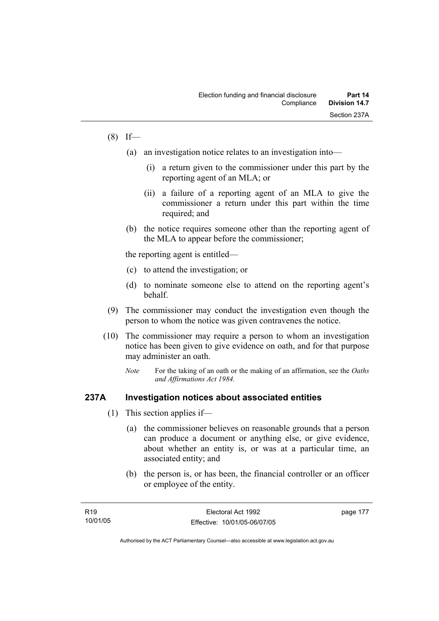# $(8)$  If—

- (a) an investigation notice relates to an investigation into—
	- (i) a return given to the commissioner under this part by the reporting agent of an MLA; or
	- (ii) a failure of a reporting agent of an MLA to give the commissioner a return under this part within the time required; and
- (b) the notice requires someone other than the reporting agent of the MLA to appear before the commissioner;

the reporting agent is entitled—

- (c) to attend the investigation; or
- (d) to nominate someone else to attend on the reporting agent's behalf.
- (9) The commissioner may conduct the investigation even though the person to whom the notice was given contravenes the notice.
- (10) The commissioner may require a person to whom an investigation notice has been given to give evidence on oath, and for that purpose may administer an oath.
	- *Note* For the taking of an oath or the making of an affirmation, see the *Oaths and Affirmations Act 1984.*

### **237A Investigation notices about associated entities**

- (1) This section applies if—
	- (a) the commissioner believes on reasonable grounds that a person can produce a document or anything else, or give evidence, about whether an entity is, or was at a particular time, an associated entity; and
	- (b) the person is, or has been, the financial controller or an officer or employee of the entity.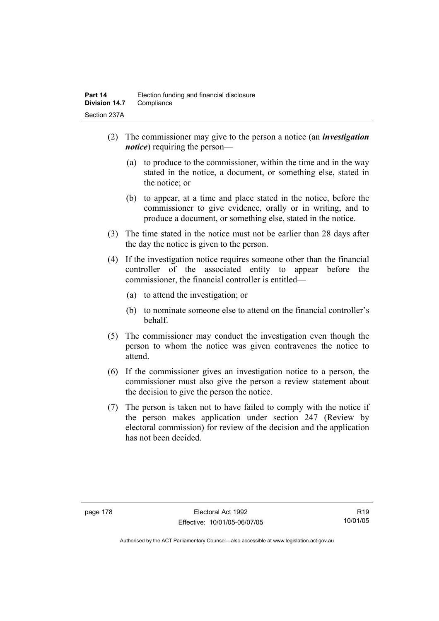- (2) The commissioner may give to the person a notice (an *investigation notice*) requiring the person—
	- (a) to produce to the commissioner, within the time and in the way stated in the notice, a document, or something else, stated in the notice; or
	- (b) to appear, at a time and place stated in the notice, before the commissioner to give evidence, orally or in writing, and to produce a document, or something else, stated in the notice.
- (3) The time stated in the notice must not be earlier than 28 days after the day the notice is given to the person.
- (4) If the investigation notice requires someone other than the financial controller of the associated entity to appear before the commissioner, the financial controller is entitled—
	- (a) to attend the investigation; or
	- (b) to nominate someone else to attend on the financial controller's behalf.
- (5) The commissioner may conduct the investigation even though the person to whom the notice was given contravenes the notice to attend.
- (6) If the commissioner gives an investigation notice to a person, the commissioner must also give the person a review statement about the decision to give the person the notice.
- (7) The person is taken not to have failed to comply with the notice if the person makes application under section 247 (Review by electoral commission) for review of the decision and the application has not been decided.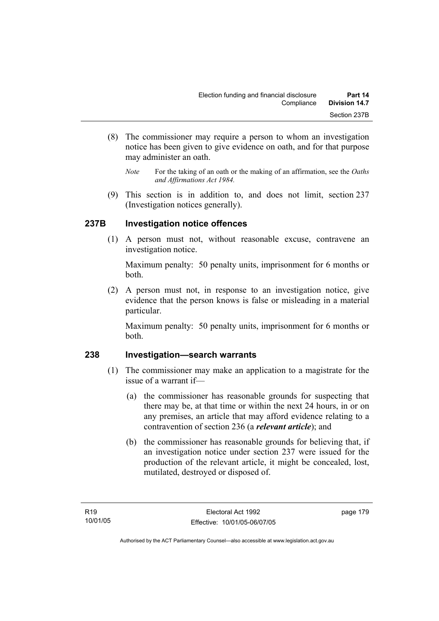- (8) The commissioner may require a person to whom an investigation notice has been given to give evidence on oath, and for that purpose may administer an oath.
	- *Note* For the taking of an oath or the making of an affirmation, see the *Oaths and Affirmations Act 1984.*
- (9) This section is in addition to, and does not limit, section 237 (Investigation notices generally).

# **237B Investigation notice offences**

 (1) A person must not, without reasonable excuse, contravene an investigation notice.

Maximum penalty: 50 penalty units, imprisonment for 6 months or both.

 (2) A person must not, in response to an investigation notice, give evidence that the person knows is false or misleading in a material particular.

Maximum penalty: 50 penalty units, imprisonment for 6 months or both.

# **238 Investigation—search warrants**

- (1) The commissioner may make an application to a magistrate for the issue of a warrant if—
	- (a) the commissioner has reasonable grounds for suspecting that there may be, at that time or within the next 24 hours, in or on any premises, an article that may afford evidence relating to a contravention of section 236 (a *relevant article*); and
	- (b) the commissioner has reasonable grounds for believing that, if an investigation notice under section 237 were issued for the production of the relevant article, it might be concealed, lost, mutilated, destroyed or disposed of.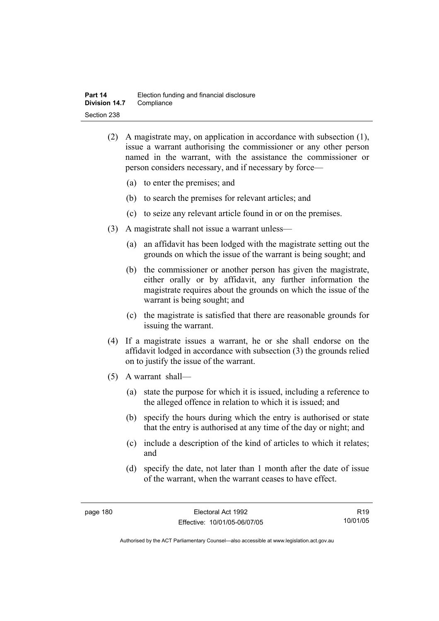- (2) A magistrate may, on application in accordance with subsection (1), issue a warrant authorising the commissioner or any other person named in the warrant, with the assistance the commissioner or person considers necessary, and if necessary by force—
	- (a) to enter the premises; and
	- (b) to search the premises for relevant articles; and
	- (c) to seize any relevant article found in or on the premises.
- (3) A magistrate shall not issue a warrant unless—
	- (a) an affidavit has been lodged with the magistrate setting out the grounds on which the issue of the warrant is being sought; and
	- (b) the commissioner or another person has given the magistrate, either orally or by affidavit, any further information the magistrate requires about the grounds on which the issue of the warrant is being sought; and
	- (c) the magistrate is satisfied that there are reasonable grounds for issuing the warrant.
- (4) If a magistrate issues a warrant, he or she shall endorse on the affidavit lodged in accordance with subsection (3) the grounds relied on to justify the issue of the warrant.
- (5) A warrant shall—
	- (a) state the purpose for which it is issued, including a reference to the alleged offence in relation to which it is issued; and
	- (b) specify the hours during which the entry is authorised or state that the entry is authorised at any time of the day or night; and
	- (c) include a description of the kind of articles to which it relates; and
	- (d) specify the date, not later than 1 month after the date of issue of the warrant, when the warrant ceases to have effect.

R19 10/01/05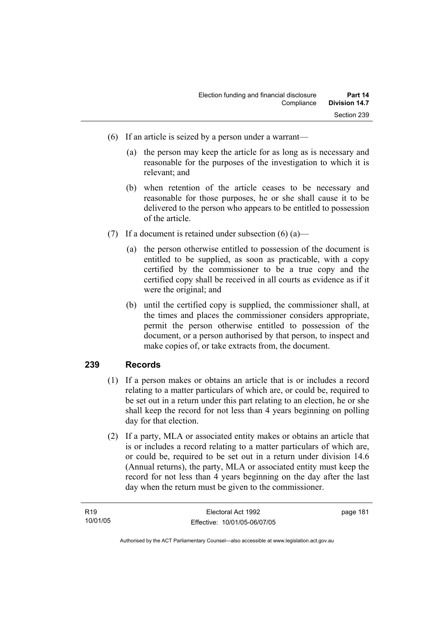- (6) If an article is seized by a person under a warrant—
	- (a) the person may keep the article for as long as is necessary and reasonable for the purposes of the investigation to which it is relevant; and
	- (b) when retention of the article ceases to be necessary and reasonable for those purposes, he or she shall cause it to be delivered to the person who appears to be entitled to possession of the article.
- (7) If a document is retained under subsection  $(6)$  (a)—
	- (a) the person otherwise entitled to possession of the document is entitled to be supplied, as soon as practicable, with a copy certified by the commissioner to be a true copy and the certified copy shall be received in all courts as evidence as if it were the original; and
	- (b) until the certified copy is supplied, the commissioner shall, at the times and places the commissioner considers appropriate, permit the person otherwise entitled to possession of the document, or a person authorised by that person, to inspect and make copies of, or take extracts from, the document.

# **239 Records**

- (1) If a person makes or obtains an article that is or includes a record relating to a matter particulars of which are, or could be, required to be set out in a return under this part relating to an election, he or she shall keep the record for not less than 4 years beginning on polling day for that election.
- (2) If a party, MLA or associated entity makes or obtains an article that is or includes a record relating to a matter particulars of which are, or could be, required to be set out in a return under division 14.6 (Annual returns), the party, MLA or associated entity must keep the record for not less than 4 years beginning on the day after the last day when the return must be given to the commissioner.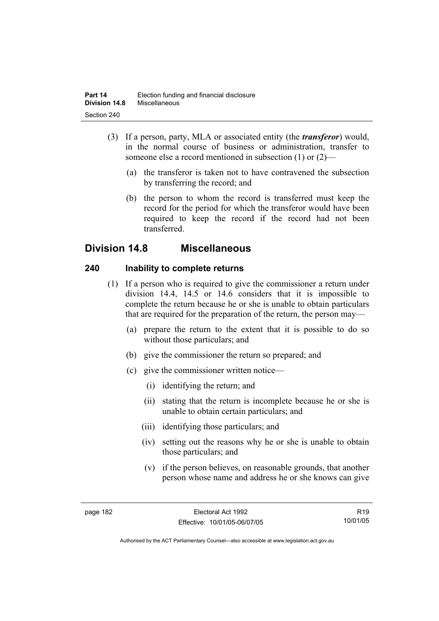- (3) If a person, party, MLA or associated entity (the *transferor*) would, in the normal course of business or administration, transfer to someone else a record mentioned in subsection (1) or (2)—
	- (a) the transferor is taken not to have contravened the subsection by transferring the record; and
	- (b) the person to whom the record is transferred must keep the record for the period for which the transferor would have been required to keep the record if the record had not been transferred.

# **Division 14.8 Miscellaneous**

# **240 Inability to complete returns**

- (1) If a person who is required to give the commissioner a return under division 14.4, 14.5 or 14.6 considers that it is impossible to complete the return because he or she is unable to obtain particulars that are required for the preparation of the return, the person may—
	- (a) prepare the return to the extent that it is possible to do so without those particulars; and
	- (b) give the commissioner the return so prepared; and
	- (c) give the commissioner written notice—
		- (i) identifying the return; and
		- (ii) stating that the return is incomplete because he or she is unable to obtain certain particulars; and
		- (iii) identifying those particulars; and
		- (iv) setting out the reasons why he or she is unable to obtain those particulars; and
		- (v) if the person believes, on reasonable grounds, that another person whose name and address he or she knows can give

R19 10/01/05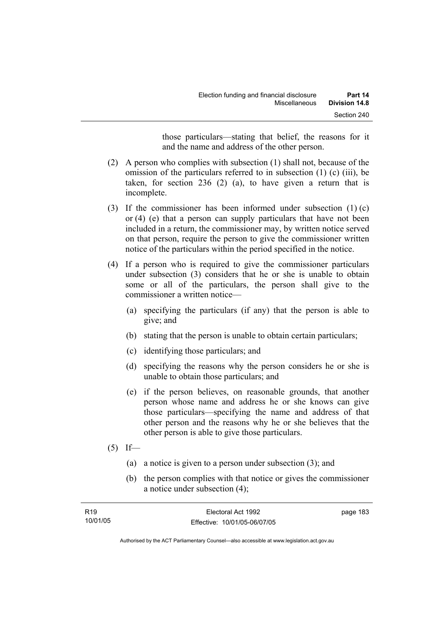those particulars—stating that belief, the reasons for it and the name and address of the other person.

- (2) A person who complies with subsection (1) shall not, because of the omission of the particulars referred to in subsection (1) (c) (iii), be taken, for section 236 (2) (a), to have given a return that is incomplete.
- (3) If the commissioner has been informed under subsection (1) (c) or (4) (e) that a person can supply particulars that have not been included in a return, the commissioner may, by written notice served on that person, require the person to give the commissioner written notice of the particulars within the period specified in the notice.
- (4) If a person who is required to give the commissioner particulars under subsection (3) considers that he or she is unable to obtain some or all of the particulars, the person shall give to the commissioner a written notice—
	- (a) specifying the particulars (if any) that the person is able to give; and
	- (b) stating that the person is unable to obtain certain particulars;
	- (c) identifying those particulars; and
	- (d) specifying the reasons why the person considers he or she is unable to obtain those particulars; and
	- (e) if the person believes, on reasonable grounds, that another person whose name and address he or she knows can give those particulars—specifying the name and address of that other person and the reasons why he or she believes that the other person is able to give those particulars.
- $(5)$  If—
	- (a) a notice is given to a person under subsection (3); and
	- (b) the person complies with that notice or gives the commissioner a notice under subsection (4);

| R <sub>19</sub> | Electoral Act 1992           | page 183 |
|-----------------|------------------------------|----------|
| 10/01/05        | Effective: 10/01/05-06/07/05 |          |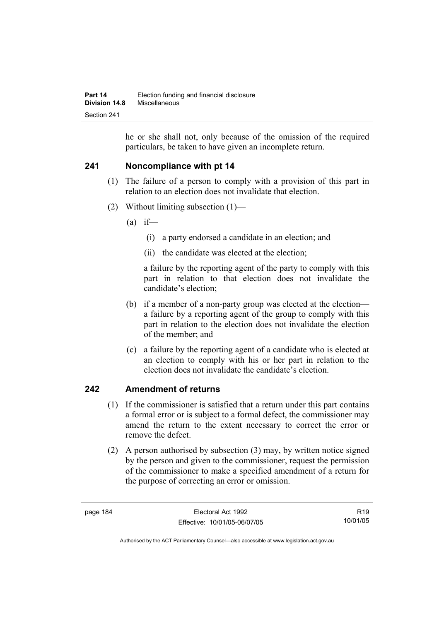he or she shall not, only because of the omission of the required particulars, be taken to have given an incomplete return.

# **241 Noncompliance with pt 14**

- (1) The failure of a person to comply with a provision of this part in relation to an election does not invalidate that election.
- (2) Without limiting subsection (1)—
	- $(a)$  if—
		- (i) a party endorsed a candidate in an election; and
		- (ii) the candidate was elected at the election;

a failure by the reporting agent of the party to comply with this part in relation to that election does not invalidate the candidate's election;

- (b) if a member of a non-party group was elected at the election a failure by a reporting agent of the group to comply with this part in relation to the election does not invalidate the election of the member; and
- (c) a failure by the reporting agent of a candidate who is elected at an election to comply with his or her part in relation to the election does not invalidate the candidate's election.

# **242 Amendment of returns**

- (1) If the commissioner is satisfied that a return under this part contains a formal error or is subject to a formal defect, the commissioner may amend the return to the extent necessary to correct the error or remove the defect.
- (2) A person authorised by subsection (3) may, by written notice signed by the person and given to the commissioner, request the permission of the commissioner to make a specified amendment of a return for the purpose of correcting an error or omission.

R19 10/01/05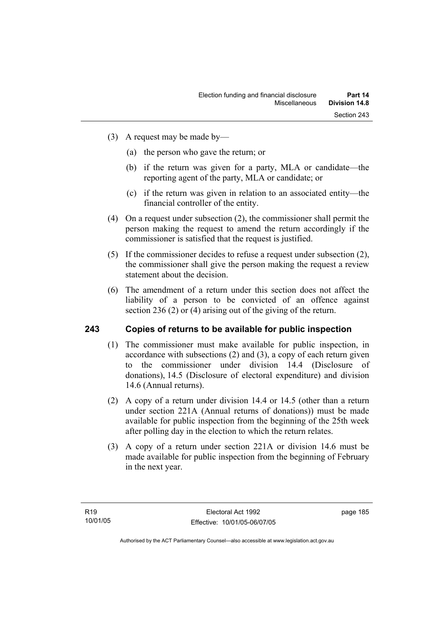- (3) A request may be made by—
	- (a) the person who gave the return; or
	- (b) if the return was given for a party, MLA or candidate—the reporting agent of the party, MLA or candidate; or
	- (c) if the return was given in relation to an associated entity—the financial controller of the entity.
- (4) On a request under subsection (2), the commissioner shall permit the person making the request to amend the return accordingly if the commissioner is satisfied that the request is justified.
- (5) If the commissioner decides to refuse a request under subsection (2), the commissioner shall give the person making the request a review statement about the decision.
- (6) The amendment of a return under this section does not affect the liability of a person to be convicted of an offence against section 236 (2) or (4) arising out of the giving of the return.

# **243 Copies of returns to be available for public inspection**

- (1) The commissioner must make available for public inspection, in accordance with subsections (2) and (3), a copy of each return given to the commissioner under division 14.4 (Disclosure of donations), 14.5 (Disclosure of electoral expenditure) and division 14.6 (Annual returns).
- (2) A copy of a return under division 14.4 or 14.5 (other than a return under section 221A (Annual returns of donations)) must be made available for public inspection from the beginning of the 25th week after polling day in the election to which the return relates.
- (3) A copy of a return under section 221A or division 14.6 must be made available for public inspection from the beginning of February in the next year.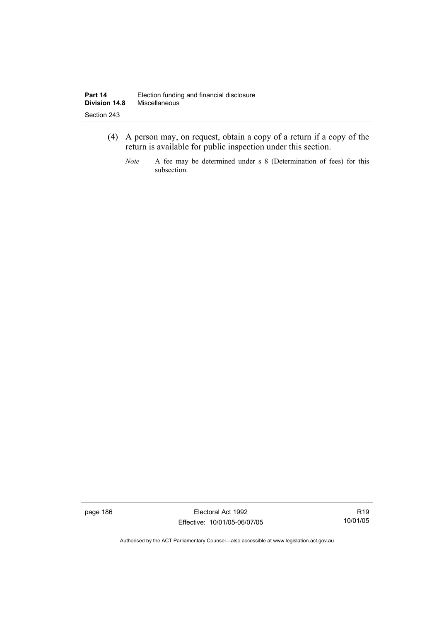- (4) A person may, on request, obtain a copy of a return if a copy of the return is available for public inspection under this section.
	- *Note* A fee may be determined under s 8 (Determination of fees) for this subsection.

page 186 Electoral Act 1992 Effective: 10/01/05-06/07/05

R19 10/01/05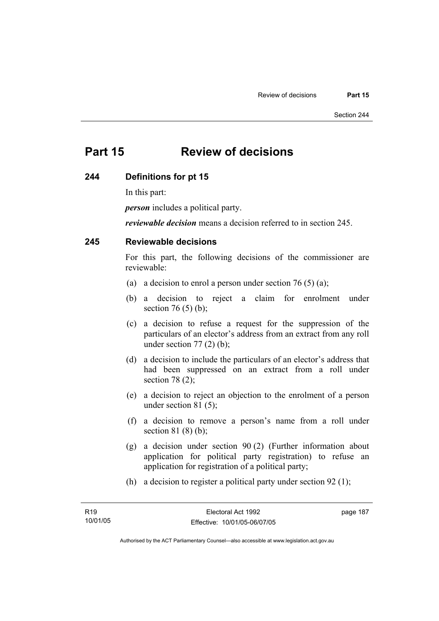# **Part 15 Review of decisions**

#### **244 Definitions for pt 15**

In this part:

*person* includes a political party.

*reviewable decision* means a decision referred to in section 245.

# **245 Reviewable decisions**

For this part, the following decisions of the commissioner are reviewable:

- (a) a decision to enrol a person under section 76 (5) (a);
- (b) a decision to reject a claim for enrolment under section 76 $(5)$  $(b)$ ;
- (c) a decision to refuse a request for the suppression of the particulars of an elector's address from an extract from any roll under section  $77(2)$  (b);
- (d) a decision to include the particulars of an elector's address that had been suppressed on an extract from a roll under section 78 (2);
- (e) a decision to reject an objection to the enrolment of a person under section 81 (5);
- (f) a decision to remove a person's name from a roll under section 81 (8) (b);
- (g) a decision under section 90 (2) (Further information about application for political party registration) to refuse an application for registration of a political party;
- (h) a decision to register a political party under section 92 (1);

page 187

Authorised by the ACT Parliamentary Counsel—also accessible at www.legislation.act.gov.au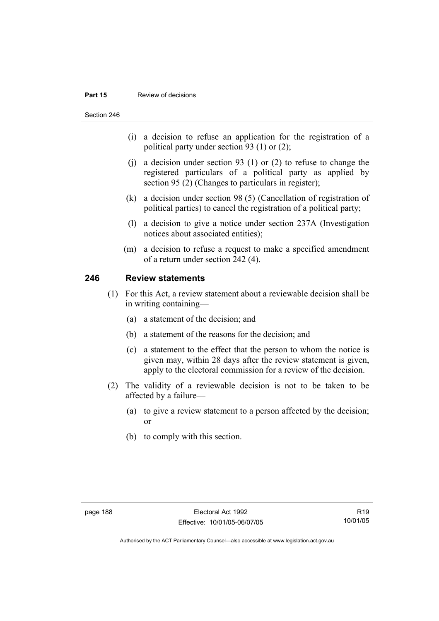#### **Part 15 Review of decisions**

Section 246

- (i) a decision to refuse an application for the registration of a political party under section 93 (1) or (2);
- (j) a decision under section 93 (1) or (2) to refuse to change the registered particulars of a political party as applied by section 95 (2) (Changes to particulars in register);
- (k) a decision under section 98 (5) (Cancellation of registration of political parties) to cancel the registration of a political party;
- (l) a decision to give a notice under section 237A (Investigation notices about associated entities);
- (m) a decision to refuse a request to make a specified amendment of a return under section 242 (4).

# **246 Review statements**

- (1) For this Act, a review statement about a reviewable decision shall be in writing containing—
	- (a) a statement of the decision; and
	- (b) a statement of the reasons for the decision; and
	- (c) a statement to the effect that the person to whom the notice is given may, within 28 days after the review statement is given, apply to the electoral commission for a review of the decision.
- (2) The validity of a reviewable decision is not to be taken to be affected by a failure—
	- (a) to give a review statement to a person affected by the decision; or
	- (b) to comply with this section.

R19 10/01/05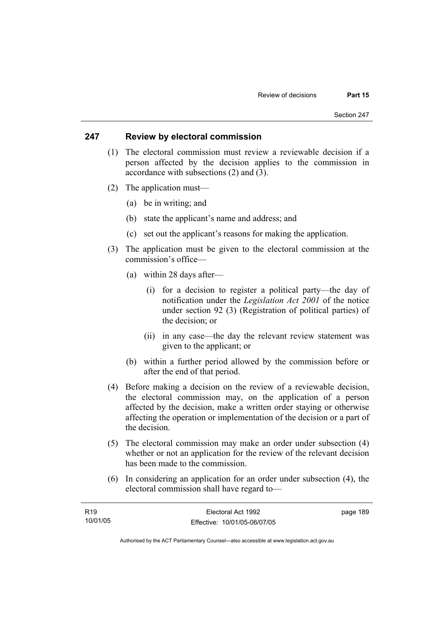### **247 Review by electoral commission**

- (1) The electoral commission must review a reviewable decision if a person affected by the decision applies to the commission in accordance with subsections (2) and (3).
- (2) The application must—
	- (a) be in writing; and
	- (b) state the applicant's name and address; and
	- (c) set out the applicant's reasons for making the application.
- (3) The application must be given to the electoral commission at the commission's office—
	- (a) within 28 days after—
		- (i) for a decision to register a political party—the day of notification under the *Legislation Act 2001* of the notice under section 92 (3) (Registration of political parties) of the decision; or
		- (ii) in any case—the day the relevant review statement was given to the applicant; or
	- (b) within a further period allowed by the commission before or after the end of that period.
- (4) Before making a decision on the review of a reviewable decision, the electoral commission may, on the application of a person affected by the decision, make a written order staying or otherwise affecting the operation or implementation of the decision or a part of the decision.
- (5) The electoral commission may make an order under subsection (4) whether or not an application for the review of the relevant decision has been made to the commission.
- (6) In considering an application for an order under subsection (4), the electoral commission shall have regard to—

| R <sub>19</sub> | Electoral Act 1992           | page 189 |
|-----------------|------------------------------|----------|
| 10/01/05        | Effective: 10/01/05-06/07/05 |          |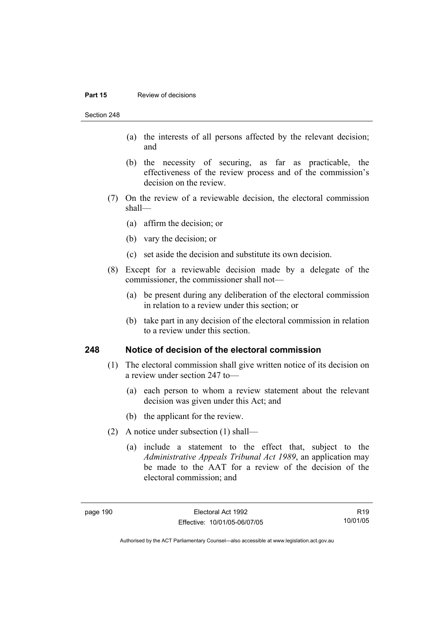#### **Part 15 Review of decisions**

Section 248

- (a) the interests of all persons affected by the relevant decision; and
- (b) the necessity of securing, as far as practicable, the effectiveness of the review process and of the commission's decision on the review.
- (7) On the review of a reviewable decision, the electoral commission shall—
	- (a) affirm the decision; or
	- (b) vary the decision; or
	- (c) set aside the decision and substitute its own decision.
- (8) Except for a reviewable decision made by a delegate of the commissioner, the commissioner shall not—
	- (a) be present during any deliberation of the electoral commission in relation to a review under this section; or
	- (b) take part in any decision of the electoral commission in relation to a review under this section.

#### **248 Notice of decision of the electoral commission**

- (1) The electoral commission shall give written notice of its decision on a review under section 247 to—
	- (a) each person to whom a review statement about the relevant decision was given under this Act; and
	- (b) the applicant for the review.
- (2) A notice under subsection (1) shall—
	- (a) include a statement to the effect that, subject to the *Administrative Appeals Tribunal Act 1989*, an application may be made to the AAT for a review of the decision of the electoral commission; and

R19 10/01/05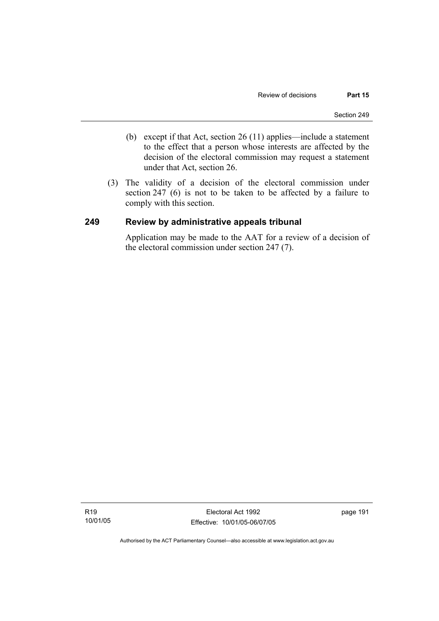- (b) except if that Act, section 26 (11) applies—include a statement to the effect that a person whose interests are affected by the decision of the electoral commission may request a statement under that Act, section 26.
- (3) The validity of a decision of the electoral commission under section 247 (6) is not to be taken to be affected by a failure to comply with this section.

# **249 Review by administrative appeals tribunal**

Application may be made to the AAT for a review of a decision of the electoral commission under section 247 (7).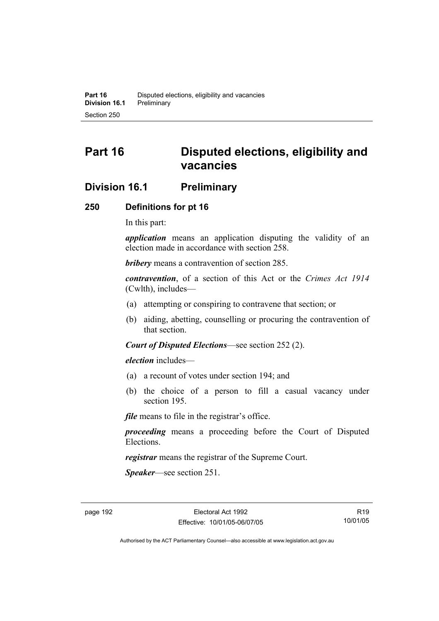# **Part 16 Disputed elections, eligibility and vacancies**

# **Division 16.1 Preliminary**

# **250 Definitions for pt 16**

In this part:

*application* means an application disputing the validity of an election made in accordance with section 258.

*bribery* means a contravention of section 285.

*contravention*, of a section of this Act or the *Crimes Act 1914* (Cwlth), includes—

- (a) attempting or conspiring to contravene that section; or
- (b) aiding, abetting, counselling or procuring the contravention of that section.

*Court of Disputed Elections*—see section 252 (2).

*election* includes—

- (a) a recount of votes under section 194; and
- (b) the choice of a person to fill a casual vacancy under section 195.

*file* means to file in the registrar's office.

*proceeding* means a proceeding before the Court of Disputed Elections.

*registrar* means the registrar of the Supreme Court.

*Speaker*—see section 251.

R19 10/01/05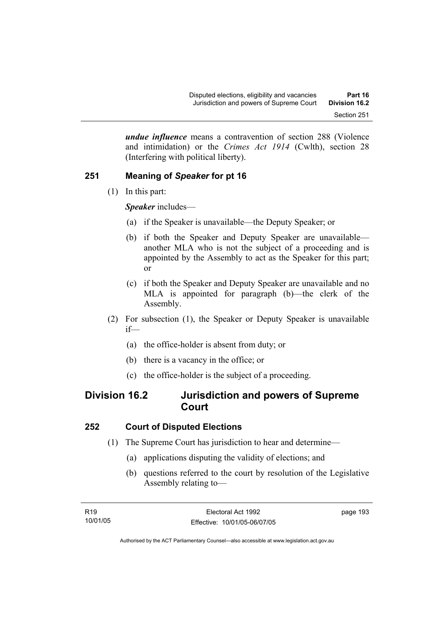*undue influence* means a contravention of section 288 (Violence and intimidation) or the *Crimes Act 1914* (Cwlth), section 28 (Interfering with political liberty).

# **251 Meaning of** *Speaker* **for pt 16**

(1) In this part:

*Speaker* includes—

- (a) if the Speaker is unavailable—the Deputy Speaker; or
- (b) if both the Speaker and Deputy Speaker are unavailable another MLA who is not the subject of a proceeding and is appointed by the Assembly to act as the Speaker for this part; or
- (c) if both the Speaker and Deputy Speaker are unavailable and no MLA is appointed for paragraph (b)—the clerk of the Assembly.
- (2) For subsection (1), the Speaker or Deputy Speaker is unavailable if—
	- (a) the office-holder is absent from duty; or
	- (b) there is a vacancy in the office; or
	- (c) the office-holder is the subject of a proceeding.

# **Division 16.2 Jurisdiction and powers of Supreme Court**

# **252 Court of Disputed Elections**

- (1) The Supreme Court has jurisdiction to hear and determine—
	- (a) applications disputing the validity of elections; and
	- (b) questions referred to the court by resolution of the Legislative Assembly relating to—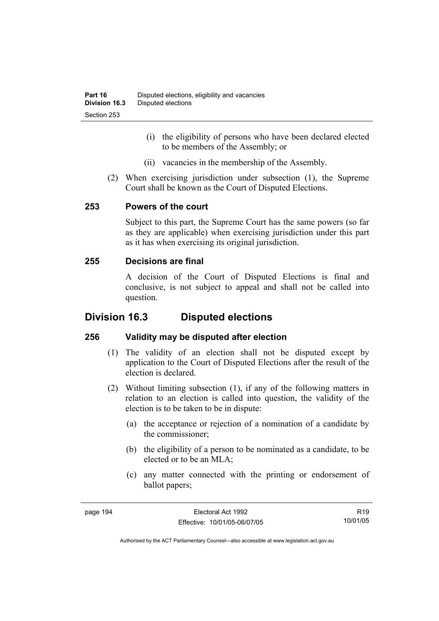- (i) the eligibility of persons who have been declared elected to be members of the Assembly; or
- (ii) vacancies in the membership of the Assembly.
- (2) When exercising jurisdiction under subsection (1), the Supreme Court shall be known as the Court of Disputed Elections.

# **253 Powers of the court**

Subject to this part, the Supreme Court has the same powers (so far as they are applicable) when exercising jurisdiction under this part as it has when exercising its original jurisdiction.

# **255 Decisions are final**

A decision of the Court of Disputed Elections is final and conclusive, is not subject to appeal and shall not be called into question.

# **Division 16.3 Disputed elections**

# **256 Validity may be disputed after election**

- (1) The validity of an election shall not be disputed except by application to the Court of Disputed Elections after the result of the election is declared.
- (2) Without limiting subsection (1), if any of the following matters in relation to an election is called into question, the validity of the election is to be taken to be in dispute:
	- (a) the acceptance or rejection of a nomination of a candidate by the commissioner;
	- (b) the eligibility of a person to be nominated as a candidate, to be elected or to be an MLA;
	- (c) any matter connected with the printing or endorsement of ballot papers;

R19 10/01/05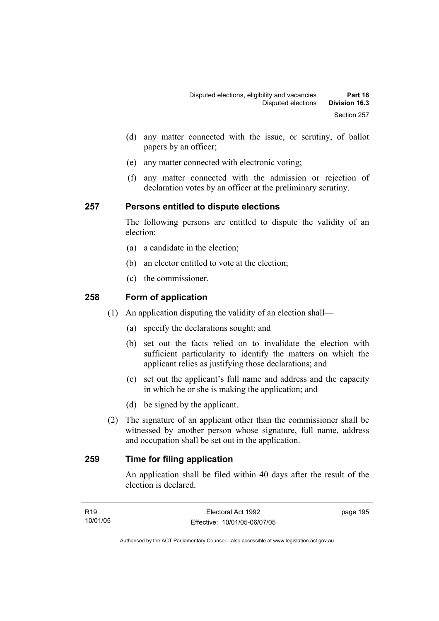- (d) any matter connected with the issue, or scrutiny, of ballot papers by an officer;
- (e) any matter connected with electronic voting;
- (f) any matter connected with the admission or rejection of declaration votes by an officer at the preliminary scrutiny.

# **257 Persons entitled to dispute elections**

The following persons are entitled to dispute the validity of an election:

- (a) a candidate in the election;
- (b) an elector entitled to vote at the election;
- (c) the commissioner.

# **258 Form of application**

- (1) An application disputing the validity of an election shall—
	- (a) specify the declarations sought; and
	- (b) set out the facts relied on to invalidate the election with sufficient particularity to identify the matters on which the applicant relies as justifying those declarations; and
	- (c) set out the applicant's full name and address and the capacity in which he or she is making the application; and
	- (d) be signed by the applicant.
- (2) The signature of an applicant other than the commissioner shall be witnessed by another person whose signature, full name, address and occupation shall be set out in the application.

# **259 Time for filing application**

An application shall be filed within 40 days after the result of the election is declared.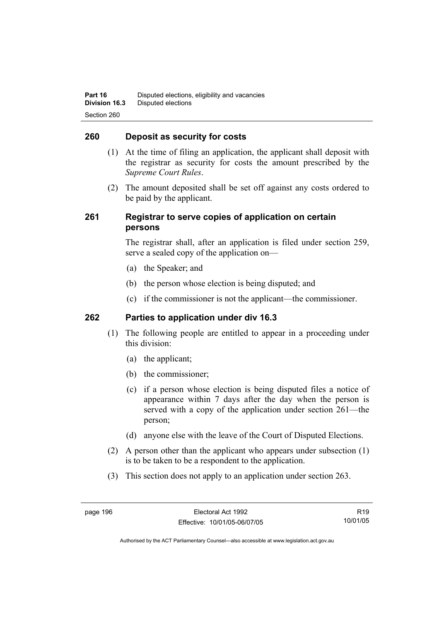# **260 Deposit as security for costs**

- (1) At the time of filing an application, the applicant shall deposit with the registrar as security for costs the amount prescribed by the *Supreme Court Rules*.
- (2) The amount deposited shall be set off against any costs ordered to be paid by the applicant.

# **261 Registrar to serve copies of application on certain persons**

The registrar shall, after an application is filed under section 259, serve a sealed copy of the application on—

- (a) the Speaker; and
- (b) the person whose election is being disputed; and
- (c) if the commissioner is not the applicant—the commissioner.

# **262 Parties to application under div 16.3**

- (1) The following people are entitled to appear in a proceeding under this division:
	- (a) the applicant;
	- (b) the commissioner;
	- (c) if a person whose election is being disputed files a notice of appearance within 7 days after the day when the person is served with a copy of the application under section 261—the person;
	- (d) anyone else with the leave of the Court of Disputed Elections.
- (2) A person other than the applicant who appears under subsection (1) is to be taken to be a respondent to the application.
- (3) This section does not apply to an application under section 263.

R19 10/01/05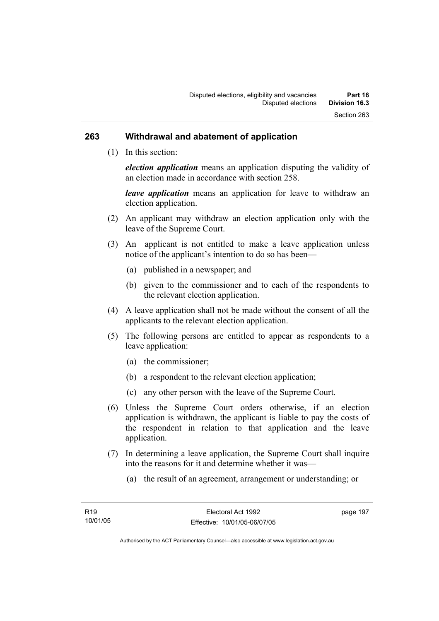#### **263 Withdrawal and abatement of application**

(1) In this section:

*election application* means an application disputing the validity of an election made in accordance with section 258.

*leave application* means an application for leave to withdraw an election application.

- (2) An applicant may withdraw an election application only with the leave of the Supreme Court.
- (3) An applicant is not entitled to make a leave application unless notice of the applicant's intention to do so has been—
	- (a) published in a newspaper; and
	- (b) given to the commissioner and to each of the respondents to the relevant election application.
- (4) A leave application shall not be made without the consent of all the applicants to the relevant election application.
- (5) The following persons are entitled to appear as respondents to a leave application:
	- (a) the commissioner;
	- (b) a respondent to the relevant election application;
	- (c) any other person with the leave of the Supreme Court.
- (6) Unless the Supreme Court orders otherwise, if an election application is withdrawn, the applicant is liable to pay the costs of the respondent in relation to that application and the leave application.
- (7) In determining a leave application, the Supreme Court shall inquire into the reasons for it and determine whether it was—
	- (a) the result of an agreement, arrangement or understanding; or

page 197

Authorised by the ACT Parliamentary Counsel—also accessible at www.legislation.act.gov.au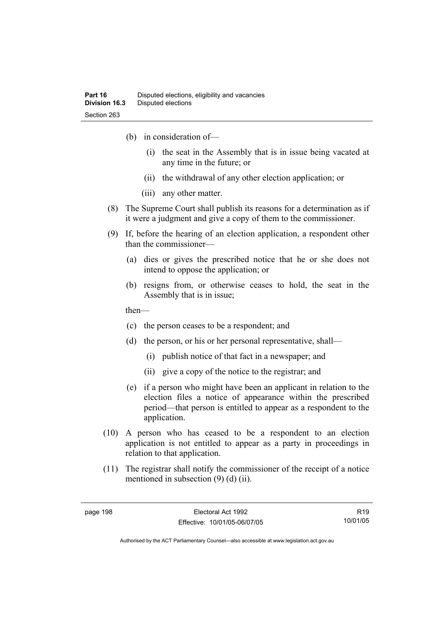- (b) in consideration of—
	- (i) the seat in the Assembly that is in issue being vacated at any time in the future; or
	- (ii) the withdrawal of any other election application; or
	- (iii) any other matter.
- (8) The Supreme Court shall publish its reasons for a determination as if it were a judgment and give a copy of them to the commissioner.
- (9) If, before the hearing of an election application, a respondent other than the commissioner—
	- (a) dies or gives the prescribed notice that he or she does not intend to oppose the application; or
	- (b) resigns from, or otherwise ceases to hold, the seat in the Assembly that is in issue;

then—

- (c) the person ceases to be a respondent; and
- (d) the person, or his or her personal representative, shall—
	- (i) publish notice of that fact in a newspaper; and
	- (ii) give a copy of the notice to the registrar; and
- (e) if a person who might have been an applicant in relation to the election files a notice of appearance within the prescribed period—that person is entitled to appear as a respondent to the application.
- (10) A person who has ceased to be a respondent to an election application is not entitled to appear as a party in proceedings in relation to that application.
- (11) The registrar shall notify the commissioner of the receipt of a notice mentioned in subsection (9) (d) (ii).

R19 10/01/05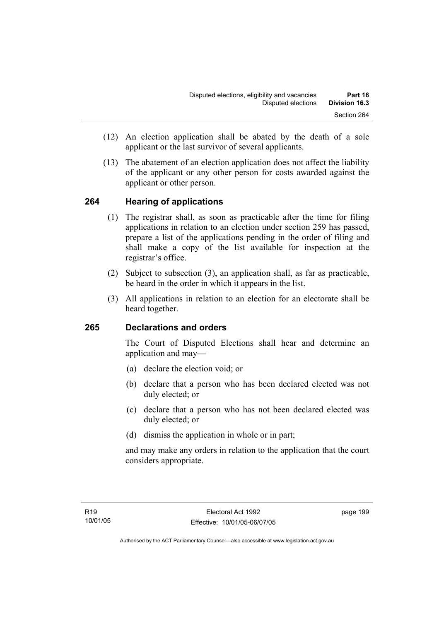- (12) An election application shall be abated by the death of a sole applicant or the last survivor of several applicants.
- (13) The abatement of an election application does not affect the liability of the applicant or any other person for costs awarded against the applicant or other person.

## **264 Hearing of applications**

- (1) The registrar shall, as soon as practicable after the time for filing applications in relation to an election under section 259 has passed, prepare a list of the applications pending in the order of filing and shall make a copy of the list available for inspection at the registrar's office.
- (2) Subject to subsection (3), an application shall, as far as practicable, be heard in the order in which it appears in the list.
- (3) All applications in relation to an election for an electorate shall be heard together.

## **265 Declarations and orders**

The Court of Disputed Elections shall hear and determine an application and may—

- (a) declare the election void; or
- (b) declare that a person who has been declared elected was not duly elected; or
- (c) declare that a person who has not been declared elected was duly elected; or
- (d) dismiss the application in whole or in part;

and may make any orders in relation to the application that the court considers appropriate.

page 199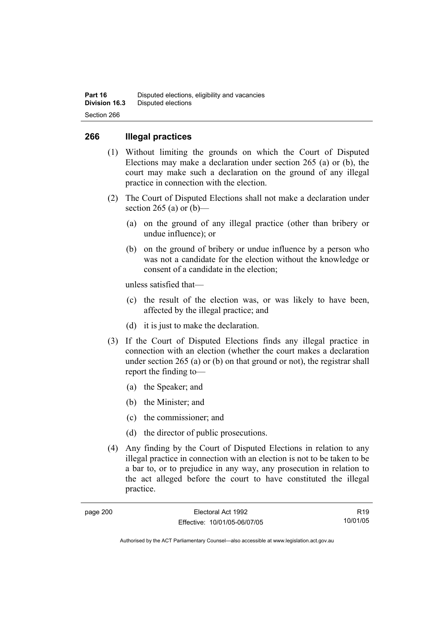### **266 Illegal practices**

- (1) Without limiting the grounds on which the Court of Disputed Elections may make a declaration under section 265 (a) or (b), the court may make such a declaration on the ground of any illegal practice in connection with the election.
- (2) The Court of Disputed Elections shall not make a declaration under section 265 (a) or  $(b)$ —
	- (a) on the ground of any illegal practice (other than bribery or undue influence); or
	- (b) on the ground of bribery or undue influence by a person who was not a candidate for the election without the knowledge or consent of a candidate in the election;

unless satisfied that—

- (c) the result of the election was, or was likely to have been, affected by the illegal practice; and
- (d) it is just to make the declaration.
- (3) If the Court of Disputed Elections finds any illegal practice in connection with an election (whether the court makes a declaration under section 265 (a) or (b) on that ground or not), the registrar shall report the finding to—
	- (a) the Speaker; and
	- (b) the Minister; and
	- (c) the commissioner; and
	- (d) the director of public prosecutions.
- (4) Any finding by the Court of Disputed Elections in relation to any illegal practice in connection with an election is not to be taken to be a bar to, or to prejudice in any way, any prosecution in relation to the act alleged before the court to have constituted the illegal practice.

| page | 200 |
|------|-----|
|------|-----|

R19 10/01/05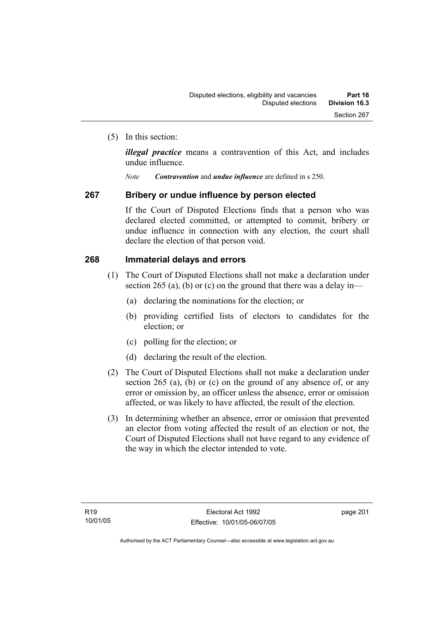(5) In this section:

*illegal practice* means a contravention of this Act, and includes undue influence.

*Note Contravention* and *undue influence* are defined in s 250.

#### **267 Bribery or undue influence by person elected**

If the Court of Disputed Elections finds that a person who was declared elected committed, or attempted to commit, bribery or undue influence in connection with any election, the court shall declare the election of that person void.

#### **268 Immaterial delays and errors**

- (1) The Court of Disputed Elections shall not make a declaration under section 265 (a), (b) or (c) on the ground that there was a delay in—
	- (a) declaring the nominations for the election; or
	- (b) providing certified lists of electors to candidates for the election; or
	- (c) polling for the election; or
	- (d) declaring the result of the election.
- (2) The Court of Disputed Elections shall not make a declaration under section 265 (a), (b) or (c) on the ground of any absence of, or any error or omission by, an officer unless the absence, error or omission affected, or was likely to have affected, the result of the election.
- (3) In determining whether an absence, error or omission that prevented an elector from voting affected the result of an election or not, the Court of Disputed Elections shall not have regard to any evidence of the way in which the elector intended to vote.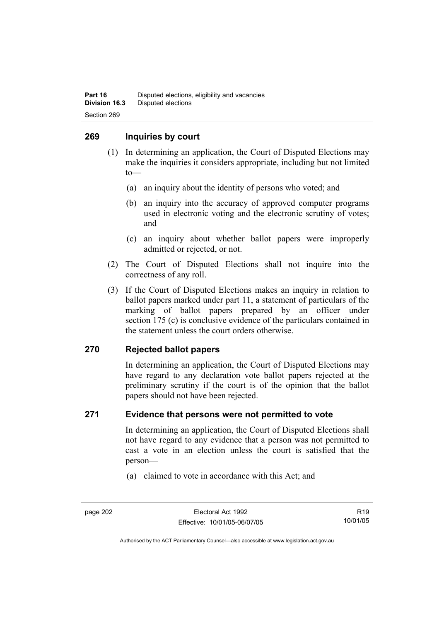#### **269 Inquiries by court**

- (1) In determining an application, the Court of Disputed Elections may make the inquiries it considers appropriate, including but not limited to—
	- (a) an inquiry about the identity of persons who voted; and
	- (b) an inquiry into the accuracy of approved computer programs used in electronic voting and the electronic scrutiny of votes; and
	- (c) an inquiry about whether ballot papers were improperly admitted or rejected, or not.
- (2) The Court of Disputed Elections shall not inquire into the correctness of any roll.
- (3) If the Court of Disputed Elections makes an inquiry in relation to ballot papers marked under part 11, a statement of particulars of the marking of ballot papers prepared by an officer under section 175 (c) is conclusive evidence of the particulars contained in the statement unless the court orders otherwise.

## **270 Rejected ballot papers**

In determining an application, the Court of Disputed Elections may have regard to any declaration vote ballot papers rejected at the preliminary scrutiny if the court is of the opinion that the ballot papers should not have been rejected.

#### **271 Evidence that persons were not permitted to vote**

In determining an application, the Court of Disputed Elections shall not have regard to any evidence that a person was not permitted to cast a vote in an election unless the court is satisfied that the person—

(a) claimed to vote in accordance with this Act; and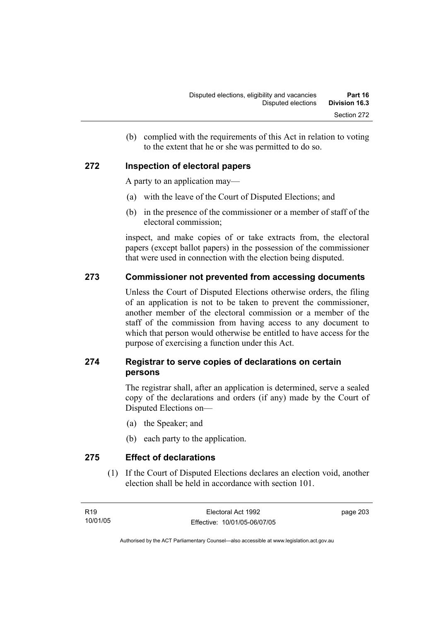(b) complied with the requirements of this Act in relation to voting to the extent that he or she was permitted to do so.

## **272 Inspection of electoral papers**

A party to an application may—

- (a) with the leave of the Court of Disputed Elections; and
- (b) in the presence of the commissioner or a member of staff of the electoral commission;

inspect, and make copies of or take extracts from, the electoral papers (except ballot papers) in the possession of the commissioner that were used in connection with the election being disputed.

## **273 Commissioner not prevented from accessing documents**

Unless the Court of Disputed Elections otherwise orders, the filing of an application is not to be taken to prevent the commissioner, another member of the electoral commission or a member of the staff of the commission from having access to any document to which that person would otherwise be entitled to have access for the purpose of exercising a function under this Act.

## **274 Registrar to serve copies of declarations on certain persons**

The registrar shall, after an application is determined, serve a sealed copy of the declarations and orders (if any) made by the Court of Disputed Elections on—

- (a) the Speaker; and
- (b) each party to the application.

**275 Effect of declarations** 

 (1) If the Court of Disputed Elections declares an election void, another election shall be held in accordance with section 101.

page 203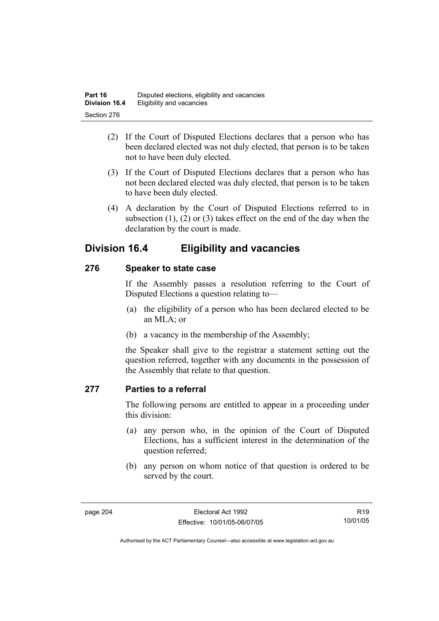- (2) If the Court of Disputed Elections declares that a person who has been declared elected was not duly elected, that person is to be taken not to have been duly elected.
- (3) If the Court of Disputed Elections declares that a person who has not been declared elected was duly elected, that person is to be taken to have been duly elected.
- (4) A declaration by the Court of Disputed Elections referred to in subsection (1), (2) or (3) takes effect on the end of the day when the declaration by the court is made.

## **Division 16.4 Eligibility and vacancies**

## **276 Speaker to state case**

If the Assembly passes a resolution referring to the Court of Disputed Elections a question relating to—

- (a) the eligibility of a person who has been declared elected to be an MLA; or
- (b) a vacancy in the membership of the Assembly;

the Speaker shall give to the registrar a statement setting out the question referred, together with any documents in the possession of the Assembly that relate to that question.

## **277 Parties to a referral**

The following persons are entitled to appear in a proceeding under this division:

- (a) any person who, in the opinion of the Court of Disputed Elections, has a sufficient interest in the determination of the question referred;
- (b) any person on whom notice of that question is ordered to be served by the court.

R19 10/01/05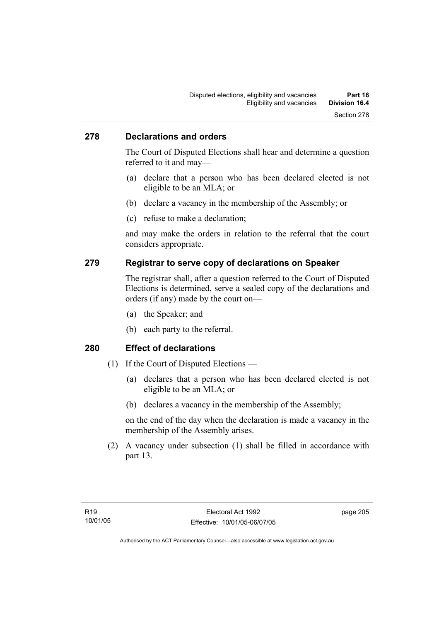#### **278 Declarations and orders**

The Court of Disputed Elections shall hear and determine a question referred to it and may—

- (a) declare that a person who has been declared elected is not eligible to be an MLA; or
- (b) declare a vacancy in the membership of the Assembly; or
- (c) refuse to make a declaration;

and may make the orders in relation to the referral that the court considers appropriate.

#### **279 Registrar to serve copy of declarations on Speaker**

The registrar shall, after a question referred to the Court of Disputed Elections is determined, serve a sealed copy of the declarations and orders (if any) made by the court on—

- (a) the Speaker; and
- (b) each party to the referral.

#### **280 Effect of declarations**

- (1) If the Court of Disputed Elections
	- (a) declares that a person who has been declared elected is not eligible to be an MLA; or
	- (b) declares a vacancy in the membership of the Assembly;

on the end of the day when the declaration is made a vacancy in the membership of the Assembly arises.

 (2) A vacancy under subsection (1) shall be filled in accordance with part 13.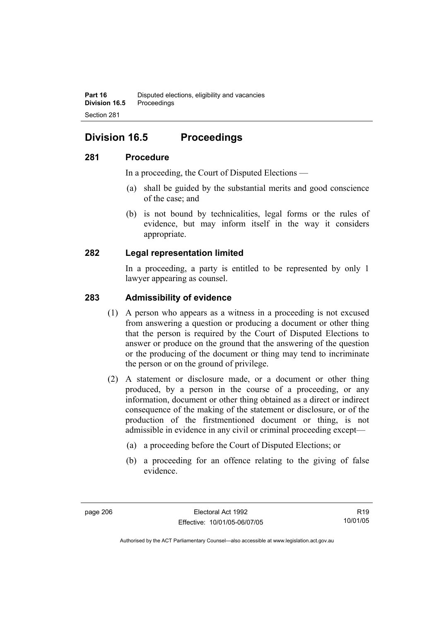## **Division 16.5 Proceedings**

### **281 Procedure**

In a proceeding, the Court of Disputed Elections —

- (a) shall be guided by the substantial merits and good conscience of the case; and
- (b) is not bound by technicalities, legal forms or the rules of evidence, but may inform itself in the way it considers appropriate.

## **282 Legal representation limited**

In a proceeding, a party is entitled to be represented by only 1 lawyer appearing as counsel.

### **283 Admissibility of evidence**

- (1) A person who appears as a witness in a proceeding is not excused from answering a question or producing a document or other thing that the person is required by the Court of Disputed Elections to answer or produce on the ground that the answering of the question or the producing of the document or thing may tend to incriminate the person or on the ground of privilege.
- (2) A statement or disclosure made, or a document or other thing produced, by a person in the course of a proceeding, or any information, document or other thing obtained as a direct or indirect consequence of the making of the statement or disclosure, or of the production of the firstmentioned document or thing, is not admissible in evidence in any civil or criminal proceeding except—
	- (a) a proceeding before the Court of Disputed Elections; or
	- (b) a proceeding for an offence relating to the giving of false evidence.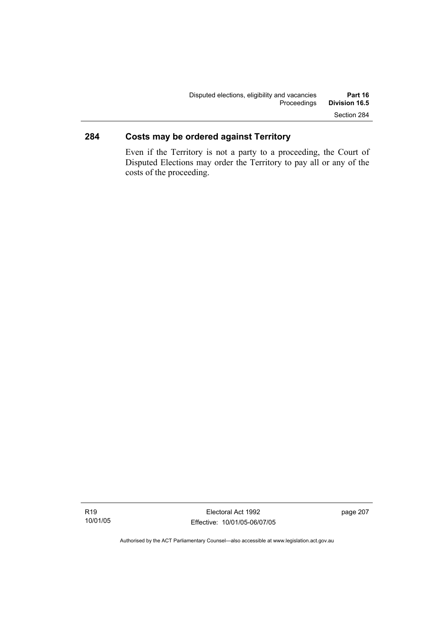## **284 Costs may be ordered against Territory**

Even if the Territory is not a party to a proceeding, the Court of Disputed Elections may order the Territory to pay all or any of the costs of the proceeding.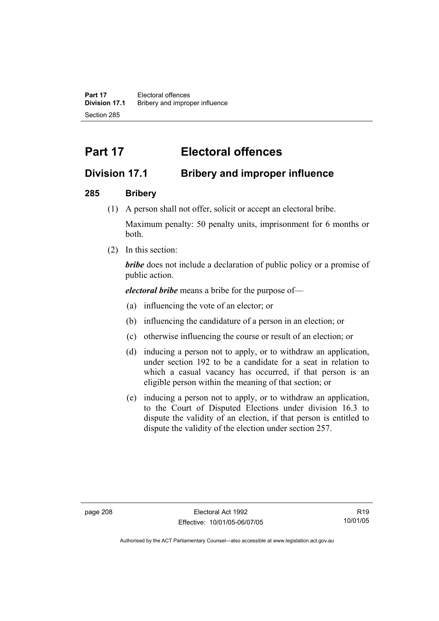**Part 17** Electoral offences **Division 17.1** Bribery and improper influence Section 285

# **Part 17 Electoral offences**

## **Division 17.1 Bribery and improper influence**

## **285 Bribery**

(1) A person shall not offer, solicit or accept an electoral bribe.

Maximum penalty: 50 penalty units, imprisonment for 6 months or both.

(2) In this section:

*bribe* does not include a declaration of public policy or a promise of public action.

*electoral bribe* means a bribe for the purpose of—

- (a) influencing the vote of an elector; or
- (b) influencing the candidature of a person in an election; or
- (c) otherwise influencing the course or result of an election; or
- (d) inducing a person not to apply, or to withdraw an application, under section 192 to be a candidate for a seat in relation to which a casual vacancy has occurred, if that person is an eligible person within the meaning of that section; or
- (e) inducing a person not to apply, or to withdraw an application, to the Court of Disputed Elections under division 16.3 to dispute the validity of an election, if that person is entitled to dispute the validity of the election under section 257.

R19 10/01/05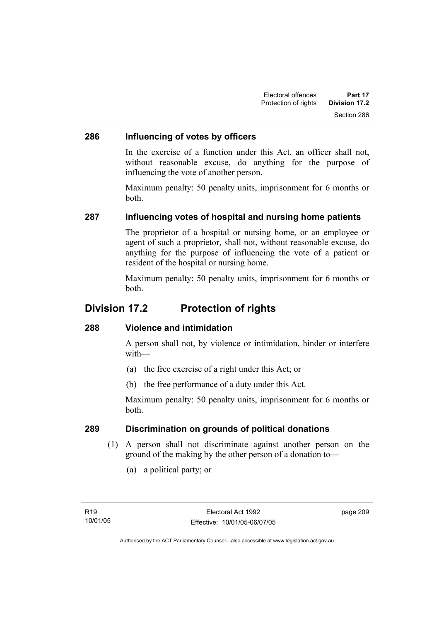## **286 Influencing of votes by officers**

In the exercise of a function under this Act, an officer shall not, without reasonable excuse, do anything for the purpose of influencing the vote of another person.

Maximum penalty: 50 penalty units, imprisonment for 6 months or both.

## **287 Influencing votes of hospital and nursing home patients**

The proprietor of a hospital or nursing home, or an employee or agent of such a proprietor, shall not, without reasonable excuse, do anything for the purpose of influencing the vote of a patient or resident of the hospital or nursing home.

Maximum penalty: 50 penalty units, imprisonment for 6 months or both.

## **Division 17.2 Protection of rights**

#### **288 Violence and intimidation**

A person shall not, by violence or intimidation, hinder or interfere with—

- (a) the free exercise of a right under this Act; or
- (b) the free performance of a duty under this Act.

Maximum penalty: 50 penalty units, imprisonment for 6 months or both.

#### **289 Discrimination on grounds of political donations**

- (1) A person shall not discriminate against another person on the ground of the making by the other person of a donation to—
	- (a) a political party; or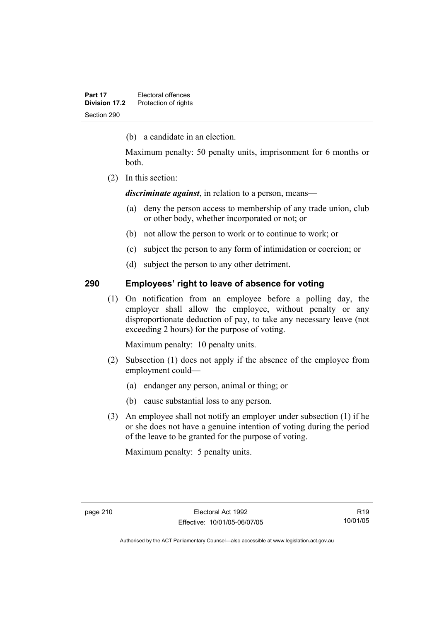(b) a candidate in an election.

Maximum penalty: 50 penalty units, imprisonment for 6 months or both.

(2) In this section:

*discriminate against*, in relation to a person, means—

- (a) deny the person access to membership of any trade union, club or other body, whether incorporated or not; or
- (b) not allow the person to work or to continue to work; or
- (c) subject the person to any form of intimidation or coercion; or
- (d) subject the person to any other detriment.

## **290 Employees' right to leave of absence for voting**

 (1) On notification from an employee before a polling day, the employer shall allow the employee, without penalty or any disproportionate deduction of pay, to take any necessary leave (not exceeding 2 hours) for the purpose of voting.

Maximum penalty: 10 penalty units.

- (2) Subsection (1) does not apply if the absence of the employee from employment could—
	- (a) endanger any person, animal or thing; or
	- (b) cause substantial loss to any person.
- (3) An employee shall not notify an employer under subsection (1) if he or she does not have a genuine intention of voting during the period of the leave to be granted for the purpose of voting.

Maximum penalty: 5 penalty units.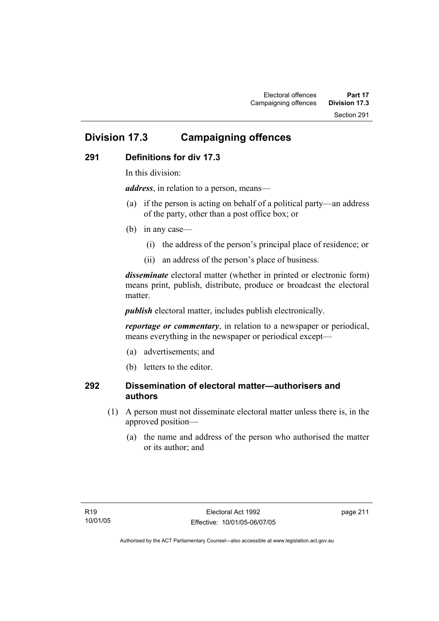## **Division 17.3 Campaigning offences**

## **291 Definitions for div 17.3**

In this division:

*address*, in relation to a person, means—

- (a) if the person is acting on behalf of a political party—an address of the party, other than a post office box; or
- (b) in any case—
	- (i) the address of the person's principal place of residence; or
	- (ii) an address of the person's place of business.

*disseminate* electoral matter (whether in printed or electronic form) means print, publish, distribute, produce or broadcast the electoral matter

*publish* electoral matter, includes publish electronically.

*reportage or commentary*, in relation to a newspaper or periodical, means everything in the newspaper or periodical except—

- (a) advertisements; and
- (b) letters to the editor.

## **292 Dissemination of electoral matter—authorisers and authors**

- (1) A person must not disseminate electoral matter unless there is, in the approved position—
	- (a) the name and address of the person who authorised the matter or its author; and

page 211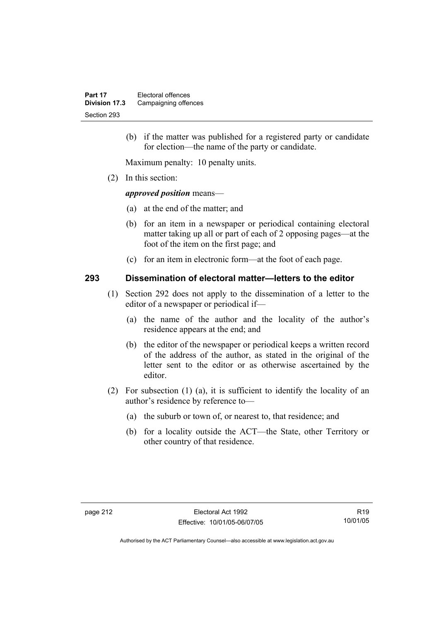(b) if the matter was published for a registered party or candidate for election—the name of the party or candidate.

Maximum penalty: 10 penalty units.

(2) In this section:

#### *approved position* means—

- (a) at the end of the matter; and
- (b) for an item in a newspaper or periodical containing electoral matter taking up all or part of each of 2 opposing pages—at the foot of the item on the first page; and
- (c) for an item in electronic form—at the foot of each page.

#### **293 Dissemination of electoral matter—letters to the editor**

- (1) Section 292 does not apply to the dissemination of a letter to the editor of a newspaper or periodical if—
	- (a) the name of the author and the locality of the author's residence appears at the end; and
	- (b) the editor of the newspaper or periodical keeps a written record of the address of the author, as stated in the original of the letter sent to the editor or as otherwise ascertained by the editor.
- (2) For subsection (1) (a), it is sufficient to identify the locality of an author's residence by reference to—
	- (a) the suburb or town of, or nearest to, that residence; and
	- (b) for a locality outside the ACT—the State, other Territory or other country of that residence.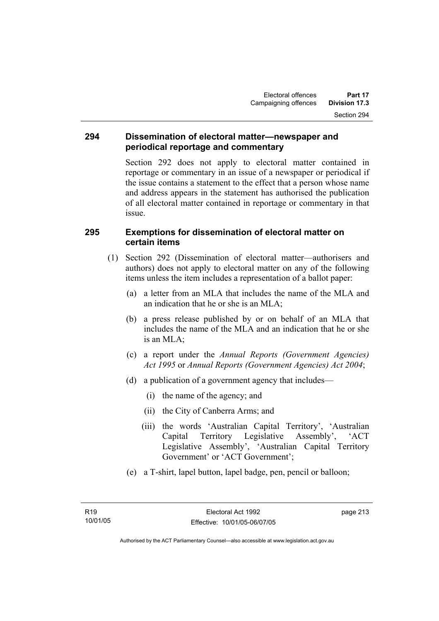#### **294 Dissemination of electoral matter—newspaper and periodical reportage and commentary**

Section 292 does not apply to electoral matter contained in reportage or commentary in an issue of a newspaper or periodical if the issue contains a statement to the effect that a person whose name and address appears in the statement has authorised the publication of all electoral matter contained in reportage or commentary in that issue.

### **295 Exemptions for dissemination of electoral matter on certain items**

- (1) Section 292 (Dissemination of electoral matter—authorisers and authors) does not apply to electoral matter on any of the following items unless the item includes a representation of a ballot paper:
	- (a) a letter from an MLA that includes the name of the MLA and an indication that he or she is an MLA;
	- (b) a press release published by or on behalf of an MLA that includes the name of the MLA and an indication that he or she is an MLA;
	- (c) a report under the *Annual Reports (Government Agencies) Act 1995* or *Annual Reports (Government Agencies) Act 2004*;
	- (d) a publication of a government agency that includes—
		- (i) the name of the agency; and
		- (ii) the City of Canberra Arms; and
		- (iii) the words 'Australian Capital Territory', 'Australian Capital Territory Legislative Assembly', 'ACT Legislative Assembly', 'Australian Capital Territory Government' or 'ACT Government';
	- (e) a T-shirt, lapel button, lapel badge, pen, pencil or balloon;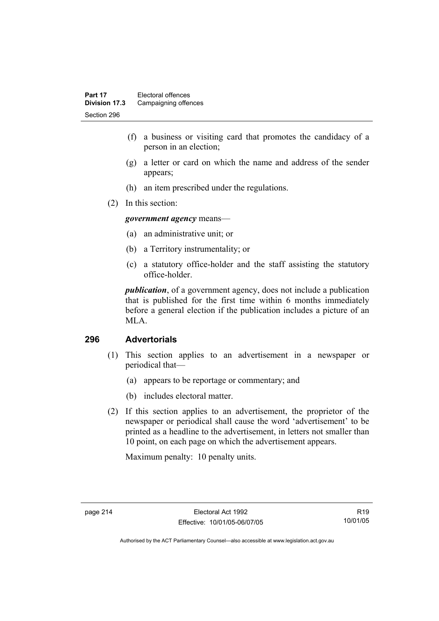- (f) a business or visiting card that promotes the candidacy of a person in an election;
- (g) a letter or card on which the name and address of the sender appears;
- (h) an item prescribed under the regulations.
- (2) In this section:

*government agency* means—

- (a) an administrative unit; or
- (b) a Territory instrumentality; or
- (c) a statutory office-holder and the staff assisting the statutory office-holder.

*publication*, of a government agency, does not include a publication that is published for the first time within 6 months immediately before a general election if the publication includes a picture of an MLA.

#### **296 Advertorials**

- (1) This section applies to an advertisement in a newspaper or periodical that—
	- (a) appears to be reportage or commentary; and
	- (b) includes electoral matter.
- (2) If this section applies to an advertisement, the proprietor of the newspaper or periodical shall cause the word 'advertisement' to be printed as a headline to the advertisement, in letters not smaller than 10 point, on each page on which the advertisement appears.

Maximum penalty: 10 penalty units.

R19 10/01/05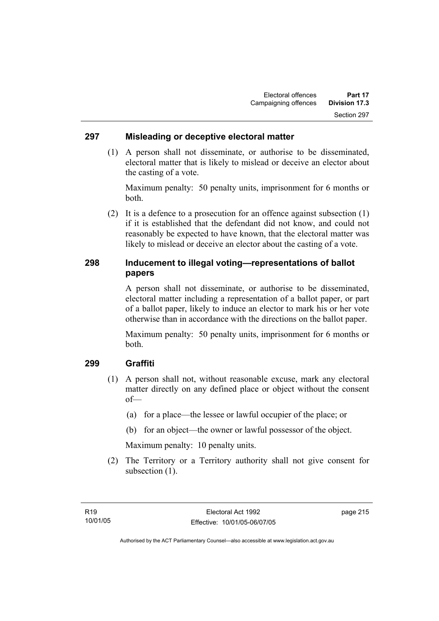#### **297 Misleading or deceptive electoral matter**

 (1) A person shall not disseminate, or authorise to be disseminated, electoral matter that is likely to mislead or deceive an elector about the casting of a vote.

Maximum penalty: 50 penalty units, imprisonment for 6 months or both.

 (2) It is a defence to a prosecution for an offence against subsection (1) if it is established that the defendant did not know, and could not reasonably be expected to have known, that the electoral matter was likely to mislead or deceive an elector about the casting of a vote.

## **298 Inducement to illegal voting—representations of ballot papers**

A person shall not disseminate, or authorise to be disseminated, electoral matter including a representation of a ballot paper, or part of a ballot paper, likely to induce an elector to mark his or her vote otherwise than in accordance with the directions on the ballot paper.

Maximum penalty: 50 penalty units, imprisonment for 6 months or both.

#### **299 Graffiti**

- (1) A person shall not, without reasonable excuse, mark any electoral matter directly on any defined place or object without the consent of—
	- (a) for a place—the lessee or lawful occupier of the place; or
	- (b) for an object—the owner or lawful possessor of the object.

Maximum penalty: 10 penalty units.

 (2) The Territory or a Territory authority shall not give consent for subsection  $(1)$ .

page 215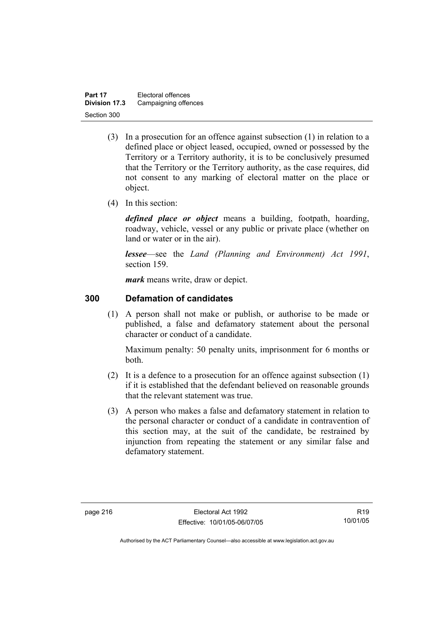| Part 17       | Electoral offences   |
|---------------|----------------------|
| Division 17.3 | Campaigning offences |
| Section 300   |                      |

- (3) In a prosecution for an offence against subsection (1) in relation to a defined place or object leased, occupied, owned or possessed by the Territory or a Territory authority, it is to be conclusively presumed that the Territory or the Territory authority, as the case requires, did not consent to any marking of electoral matter on the place or object.
- (4) In this section:

*defined place or object* means a building, footpath, hoarding, roadway, vehicle, vessel or any public or private place (whether on land or water or in the air).

*lessee*—see the *Land (Planning and Environment) Act 1991*, section 159.

*mark* means write, draw or depict.

#### **300 Defamation of candidates**

 (1) A person shall not make or publish, or authorise to be made or published, a false and defamatory statement about the personal character or conduct of a candidate.

Maximum penalty: 50 penalty units, imprisonment for 6 months or both.

- (2) It is a defence to a prosecution for an offence against subsection (1) if it is established that the defendant believed on reasonable grounds that the relevant statement was true.
- (3) A person who makes a false and defamatory statement in relation to the personal character or conduct of a candidate in contravention of this section may, at the suit of the candidate, be restrained by injunction from repeating the statement or any similar false and defamatory statement.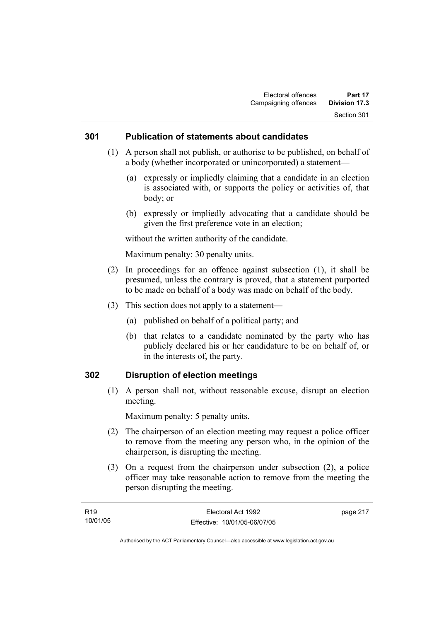#### **301 Publication of statements about candidates**

- (1) A person shall not publish, or authorise to be published, on behalf of a body (whether incorporated or unincorporated) a statement—
	- (a) expressly or impliedly claiming that a candidate in an election is associated with, or supports the policy or activities of, that body; or
	- (b) expressly or impliedly advocating that a candidate should be given the first preference vote in an election;

without the written authority of the candidate.

Maximum penalty: 30 penalty units.

- (2) In proceedings for an offence against subsection (1), it shall be presumed, unless the contrary is proved, that a statement purported to be made on behalf of a body was made on behalf of the body.
- (3) This section does not apply to a statement—
	- (a) published on behalf of a political party; and
	- (b) that relates to a candidate nominated by the party who has publicly declared his or her candidature to be on behalf of, or in the interests of, the party.

#### **302 Disruption of election meetings**

 (1) A person shall not, without reasonable excuse, disrupt an election meeting.

Maximum penalty: 5 penalty units.

- (2) The chairperson of an election meeting may request a police officer to remove from the meeting any person who, in the opinion of the chairperson, is disrupting the meeting.
- (3) On a request from the chairperson under subsection (2), a police officer may take reasonable action to remove from the meeting the person disrupting the meeting.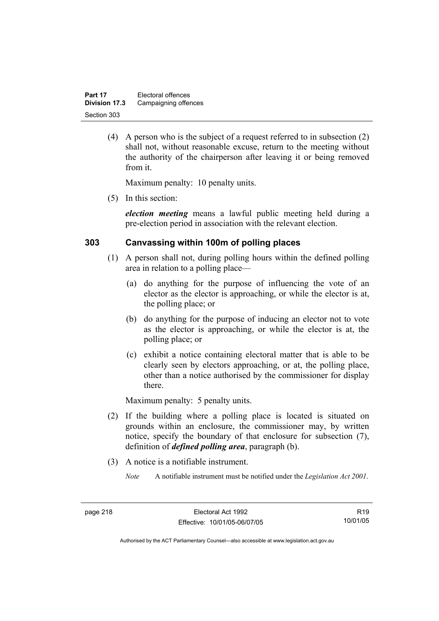| Part 17       | Electoral offences   |
|---------------|----------------------|
| Division 17.3 | Campaigning offences |
| Section 303   |                      |

 (4) A person who is the subject of a request referred to in subsection (2) shall not, without reasonable excuse, return to the meeting without the authority of the chairperson after leaving it or being removed from it.

Maximum penalty: 10 penalty units.

(5) In this section:

*election meeting* means a lawful public meeting held during a pre-election period in association with the relevant election.

#### **303 Canvassing within 100m of polling places**

- (1) A person shall not, during polling hours within the defined polling area in relation to a polling place—
	- (a) do anything for the purpose of influencing the vote of an elector as the elector is approaching, or while the elector is at, the polling place; or
	- (b) do anything for the purpose of inducing an elector not to vote as the elector is approaching, or while the elector is at, the polling place; or
	- (c) exhibit a notice containing electoral matter that is able to be clearly seen by electors approaching, or at, the polling place, other than a notice authorised by the commissioner for display there.

Maximum penalty: 5 penalty units.

- (2) If the building where a polling place is located is situated on grounds within an enclosure, the commissioner may, by written notice, specify the boundary of that enclosure for subsection (7), definition of *defined polling area*, paragraph (b).
- (3) A notice is a notifiable instrument.
	- *Note* A notifiable instrument must be notified under the *Legislation Act 2001*.

R19 10/01/05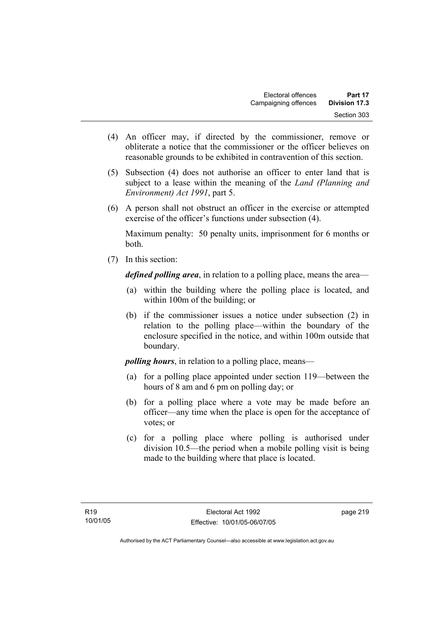- (4) An officer may, if directed by the commissioner, remove or obliterate a notice that the commissioner or the officer believes on reasonable grounds to be exhibited in contravention of this section.
- (5) Subsection (4) does not authorise an officer to enter land that is subject to a lease within the meaning of the *Land (Planning and Environment) Act 1991*, part 5.
- (6) A person shall not obstruct an officer in the exercise or attempted exercise of the officer's functions under subsection (4).

Maximum penalty: 50 penalty units, imprisonment for 6 months or both.

(7) In this section:

*defined polling area*, in relation to a polling place, means the area—

- (a) within the building where the polling place is located, and within 100m of the building; or
- (b) if the commissioner issues a notice under subsection (2) in relation to the polling place—within the boundary of the enclosure specified in the notice, and within 100m outside that boundary.

*polling hours*, in relation to a polling place, means—

- (a) for a polling place appointed under section 119—between the hours of 8 am and 6 pm on polling day; or
- (b) for a polling place where a vote may be made before an officer—any time when the place is open for the acceptance of votes; or
- (c) for a polling place where polling is authorised under division 10.5—the period when a mobile polling visit is being made to the building where that place is located.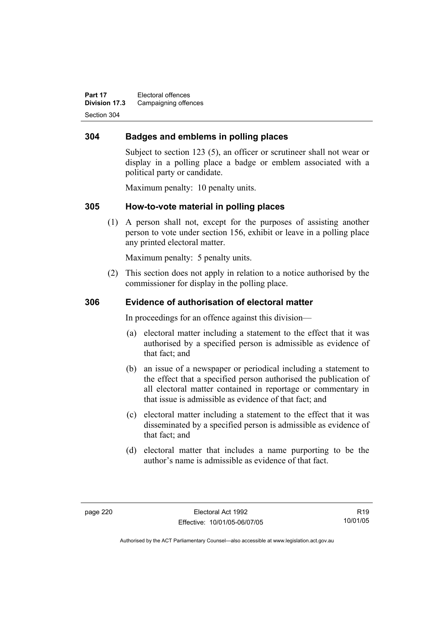**Part 17** Electoral offences **Division 17.3** Campaigning offences Section 304

## **304 Badges and emblems in polling places**

Subject to section 123 (5), an officer or scrutineer shall not wear or display in a polling place a badge or emblem associated with a political party or candidate.

Maximum penalty: 10 penalty units.

### **305 How-to-vote material in polling places**

 (1) A person shall not, except for the purposes of assisting another person to vote under section 156, exhibit or leave in a polling place any printed electoral matter.

Maximum penalty: 5 penalty units.

 (2) This section does not apply in relation to a notice authorised by the commissioner for display in the polling place.

#### **306 Evidence of authorisation of electoral matter**

In proceedings for an offence against this division—

- (a) electoral matter including a statement to the effect that it was authorised by a specified person is admissible as evidence of that fact; and
- (b) an issue of a newspaper or periodical including a statement to the effect that a specified person authorised the publication of all electoral matter contained in reportage or commentary in that issue is admissible as evidence of that fact; and
- (c) electoral matter including a statement to the effect that it was disseminated by a specified person is admissible as evidence of that fact; and
- (d) electoral matter that includes a name purporting to be the author's name is admissible as evidence of that fact.

R19 10/01/05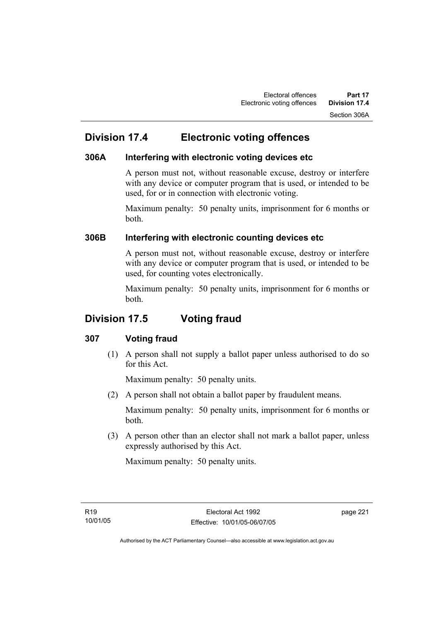## **Division 17.4 Electronic voting offences**

## **306A Interfering with electronic voting devices etc**

A person must not, without reasonable excuse, destroy or interfere with any device or computer program that is used, or intended to be used, for or in connection with electronic voting.

Maximum penalty: 50 penalty units, imprisonment for 6 months or both.

## **306B Interfering with electronic counting devices etc**

A person must not, without reasonable excuse, destroy or interfere with any device or computer program that is used, or intended to be used, for counting votes electronically.

Maximum penalty: 50 penalty units, imprisonment for 6 months or both.

## **Division 17.5 Voting fraud**

## **307 Voting fraud**

 (1) A person shall not supply a ballot paper unless authorised to do so for this Act.

Maximum penalty: 50 penalty units.

(2) A person shall not obtain a ballot paper by fraudulent means.

Maximum penalty: 50 penalty units, imprisonment for 6 months or both.

 (3) A person other than an elector shall not mark a ballot paper, unless expressly authorised by this Act.

Maximum penalty: 50 penalty units.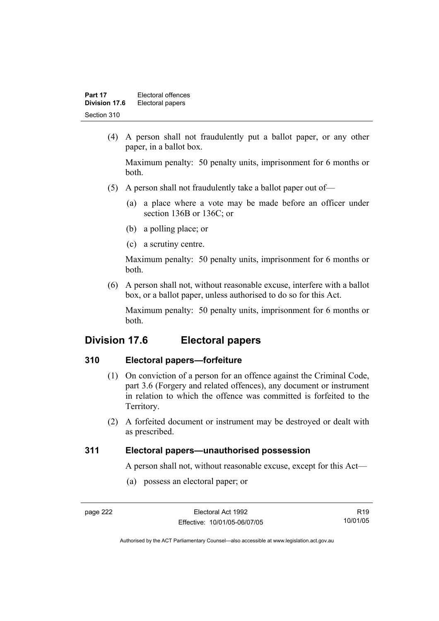| Part 17       | Electoral offences |
|---------------|--------------------|
| Division 17.6 | Electoral papers   |
| Section 310   |                    |

 (4) A person shall not fraudulently put a ballot paper, or any other paper, in a ballot box.

Maximum penalty: 50 penalty units, imprisonment for 6 months or both.

- (5) A person shall not fraudulently take a ballot paper out of—
	- (a) a place where a vote may be made before an officer under section 136B or 136C; or
	- (b) a polling place; or
	- (c) a scrutiny centre.

Maximum penalty: 50 penalty units, imprisonment for 6 months or both.

 (6) A person shall not, without reasonable excuse, interfere with a ballot box, or a ballot paper, unless authorised to do so for this Act.

Maximum penalty: 50 penalty units, imprisonment for 6 months or both.

## **Division 17.6 Electoral papers**

### **310 Electoral papers—forfeiture**

- (1) On conviction of a person for an offence against the Criminal Code, part 3.6 (Forgery and related offences), any document or instrument in relation to which the offence was committed is forfeited to the Territory.
- (2) A forfeited document or instrument may be destroyed or dealt with as prescribed.

## **311 Electoral papers—unauthorised possession**

A person shall not, without reasonable excuse, except for this Act—

(a) possess an electoral paper; or

R19 10/01/05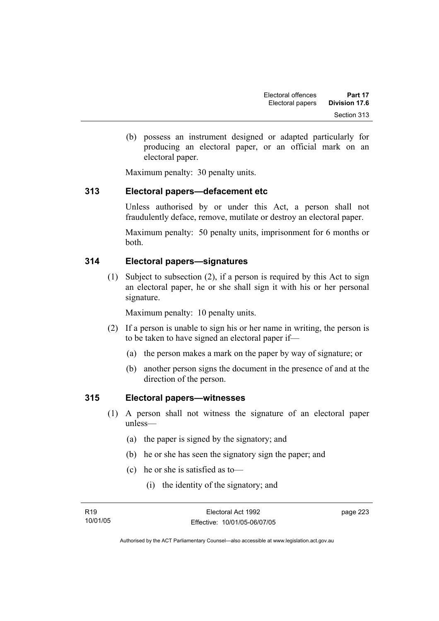(b) possess an instrument designed or adapted particularly for producing an electoral paper, or an official mark on an electoral paper.

Maximum penalty: 30 penalty units.

## **313 Electoral papers—defacement etc**

Unless authorised by or under this Act, a person shall not fraudulently deface, remove, mutilate or destroy an electoral paper.

Maximum penalty: 50 penalty units, imprisonment for 6 months or both.

### **314 Electoral papers—signatures**

 (1) Subject to subsection (2), if a person is required by this Act to sign an electoral paper, he or she shall sign it with his or her personal signature.

Maximum penalty: 10 penalty units.

- (2) If a person is unable to sign his or her name in writing, the person is to be taken to have signed an electoral paper if—
	- (a) the person makes a mark on the paper by way of signature; or
	- (b) another person signs the document in the presence of and at the direction of the person.

#### **315 Electoral papers—witnesses**

- (1) A person shall not witness the signature of an electoral paper unless—
	- (a) the paper is signed by the signatory; and
	- (b) he or she has seen the signatory sign the paper; and
	- (c) he or she is satisfied as to—
		- (i) the identity of the signatory; and

page 223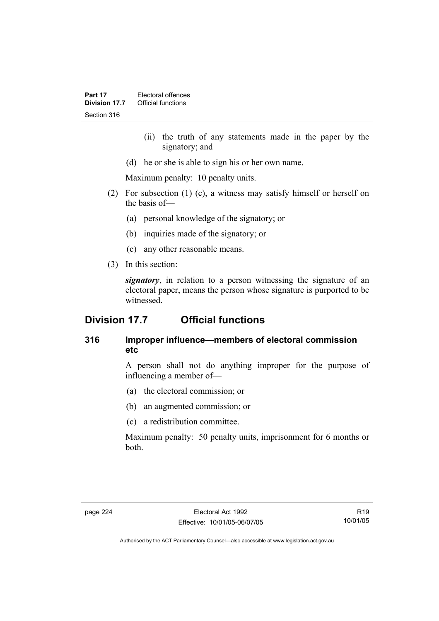- (ii) the truth of any statements made in the paper by the signatory; and
- (d) he or she is able to sign his or her own name.

Maximum penalty: 10 penalty units.

- (2) For subsection (1) (c), a witness may satisfy himself or herself on the basis of—
	- (a) personal knowledge of the signatory; or
	- (b) inquiries made of the signatory; or
	- (c) any other reasonable means.
- (3) In this section:

*signatory*, in relation to a person witnessing the signature of an electoral paper, means the person whose signature is purported to be witnessed.

## **Division 17.7 Official functions**

## **316 Improper influence—members of electoral commission etc**

A person shall not do anything improper for the purpose of influencing a member of—

- (a) the electoral commission; or
- (b) an augmented commission; or
- (c) a redistribution committee.

Maximum penalty: 50 penalty units, imprisonment for 6 months or both.

R19 10/01/05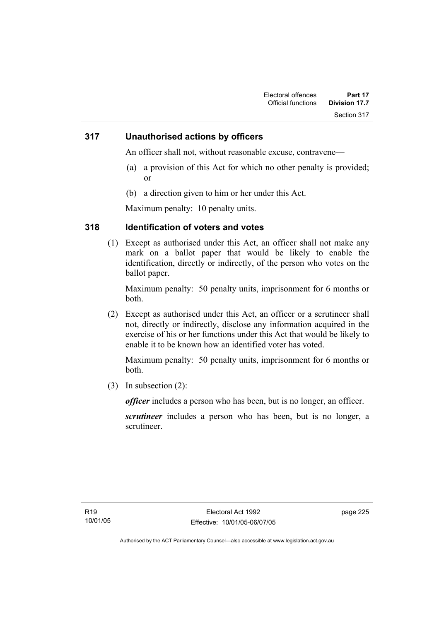#### **317 Unauthorised actions by officers**

An officer shall not, without reasonable excuse, contravene—

- (a) a provision of this Act for which no other penalty is provided; or
- (b) a direction given to him or her under this Act.

Maximum penalty: 10 penalty units.

### **318 Identification of voters and votes**

 (1) Except as authorised under this Act, an officer shall not make any mark on a ballot paper that would be likely to enable the identification, directly or indirectly, of the person who votes on the ballot paper.

Maximum penalty: 50 penalty units, imprisonment for 6 months or both.

 (2) Except as authorised under this Act, an officer or a scrutineer shall not, directly or indirectly, disclose any information acquired in the exercise of his or her functions under this Act that would be likely to enable it to be known how an identified voter has voted.

Maximum penalty: 50 penalty units, imprisonment for 6 months or both.

(3) In subsection (2):

*officer* includes a person who has been, but is no longer, an officer.

*scrutineer* includes a person who has been, but is no longer, a scrutineer.

page 225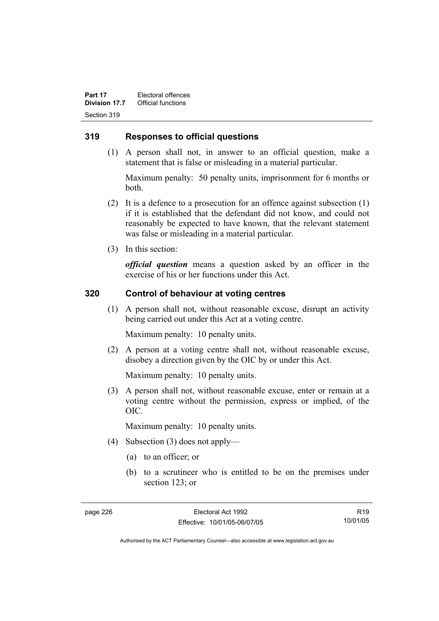**Part 17 Electoral offences**<br>**Division 17.7 Official functions Official functions** Section 319

#### **319 Responses to official questions**

 (1) A person shall not, in answer to an official question, make a statement that is false or misleading in a material particular.

Maximum penalty: 50 penalty units, imprisonment for 6 months or both.

- (2) It is a defence to a prosecution for an offence against subsection (1) if it is established that the defendant did not know, and could not reasonably be expected to have known, that the relevant statement was false or misleading in a material particular.
- (3) In this section:

*official question* means a question asked by an officer in the exercise of his or her functions under this Act.

#### **320 Control of behaviour at voting centres**

 (1) A person shall not, without reasonable excuse, disrupt an activity being carried out under this Act at a voting centre.

Maximum penalty: 10 penalty units.

 (2) A person at a voting centre shall not, without reasonable excuse, disobey a direction given by the OIC by or under this Act.

Maximum penalty: 10 penalty units.

 (3) A person shall not, without reasonable excuse, enter or remain at a voting centre without the permission, express or implied, of the OIC.

Maximum penalty: 10 penalty units.

- (4) Subsection (3) does not apply—
	- (a) to an officer; or
	- (b) to a scrutineer who is entitled to be on the premises under section 123; or

R19 10/01/05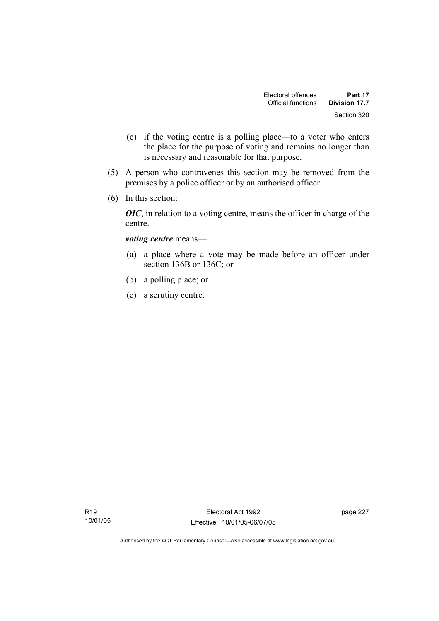- (c) if the voting centre is a polling place—to a voter who enters the place for the purpose of voting and remains no longer than is necessary and reasonable for that purpose.
- (5) A person who contravenes this section may be removed from the premises by a police officer or by an authorised officer.
- (6) In this section:

*OIC*, in relation to a voting centre, means the officer in charge of the centre.

#### *voting centre* means—

- (a) a place where a vote may be made before an officer under section 136B or 136C; or
- (b) a polling place; or
- (c) a scrutiny centre.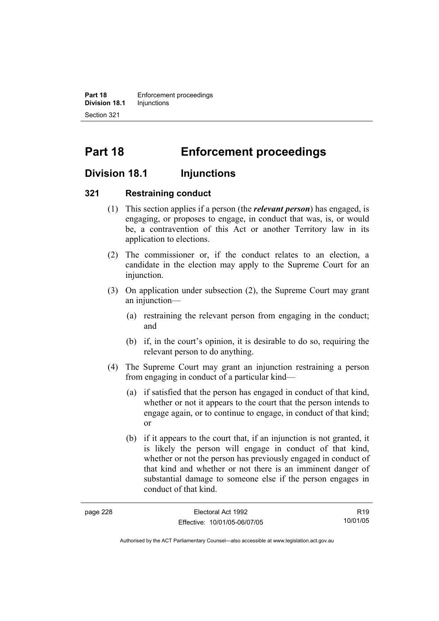**Part 18 Enforcement proceedings Division 18.1** Injunctions Section 321

# **Part 18 Enforcement proceedings**

## **Division 18.1 Injunctions**

#### **321 Restraining conduct**

- (1) This section applies if a person (the *relevant person*) has engaged, is engaging, or proposes to engage, in conduct that was, is, or would be, a contravention of this Act or another Territory law in its application to elections.
- (2) The commissioner or, if the conduct relates to an election, a candidate in the election may apply to the Supreme Court for an injunction.
- (3) On application under subsection (2), the Supreme Court may grant an injunction—
	- (a) restraining the relevant person from engaging in the conduct; and
	- (b) if, in the court's opinion, it is desirable to do so, requiring the relevant person to do anything.
- (4) The Supreme Court may grant an injunction restraining a person from engaging in conduct of a particular kind—
	- (a) if satisfied that the person has engaged in conduct of that kind, whether or not it appears to the court that the person intends to engage again, or to continue to engage, in conduct of that kind; or
	- (b) if it appears to the court that, if an injunction is not granted, it is likely the person will engage in conduct of that kind, whether or not the person has previously engaged in conduct of that kind and whether or not there is an imminent danger of substantial damage to someone else if the person engages in conduct of that kind.

| page 228 | Electoral Act 1992           | R <sub>19</sub> |
|----------|------------------------------|-----------------|
|          | Effective: 10/01/05-06/07/05 | 10/01/05        |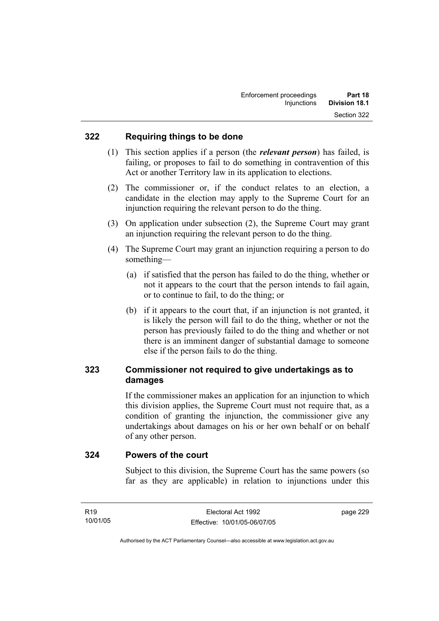#### **322 Requiring things to be done**

- (1) This section applies if a person (the *relevant person*) has failed, is failing, or proposes to fail to do something in contravention of this Act or another Territory law in its application to elections.
- (2) The commissioner or, if the conduct relates to an election, a candidate in the election may apply to the Supreme Court for an injunction requiring the relevant person to do the thing.
- (3) On application under subsection (2), the Supreme Court may grant an injunction requiring the relevant person to do the thing.
- (4) The Supreme Court may grant an injunction requiring a person to do something—
	- (a) if satisfied that the person has failed to do the thing, whether or not it appears to the court that the person intends to fail again, or to continue to fail, to do the thing; or
	- (b) if it appears to the court that, if an injunction is not granted, it is likely the person will fail to do the thing, whether or not the person has previously failed to do the thing and whether or not there is an imminent danger of substantial damage to someone else if the person fails to do the thing.

## **323 Commissioner not required to give undertakings as to damages**

If the commissioner makes an application for an injunction to which this division applies, the Supreme Court must not require that, as a condition of granting the injunction, the commissioner give any undertakings about damages on his or her own behalf or on behalf of any other person.

#### **324 Powers of the court**

Subject to this division, the Supreme Court has the same powers (so far as they are applicable) in relation to injunctions under this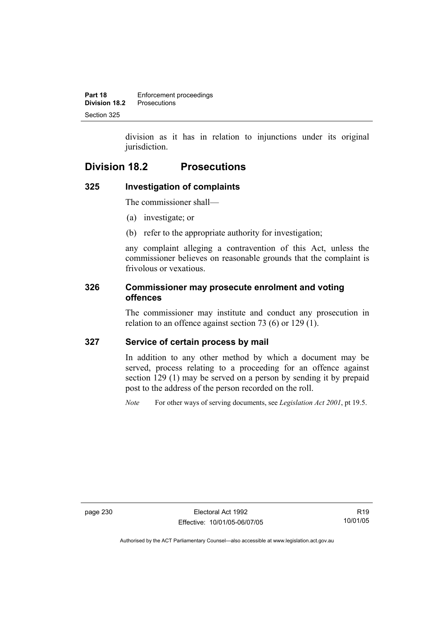division as it has in relation to injunctions under its original jurisdiction.

## **Division 18.2 Prosecutions**

## **325 Investigation of complaints**

The commissioner shall—

- (a) investigate; or
- (b) refer to the appropriate authority for investigation;

any complaint alleging a contravention of this Act, unless the commissioner believes on reasonable grounds that the complaint is frivolous or vexatious.

## **326 Commissioner may prosecute enrolment and voting offences**

The commissioner may institute and conduct any prosecution in relation to an offence against section 73 (6) or 129 (1).

## **327 Service of certain process by mail**

In addition to any other method by which a document may be served, process relating to a proceeding for an offence against section 129 (1) may be served on a person by sending it by prepaid post to the address of the person recorded on the roll.

*Note* For other ways of serving documents, see *Legislation Act 2001*, pt 19.5.

page 230 Electoral Act 1992 Effective: 10/01/05-06/07/05

R19 10/01/05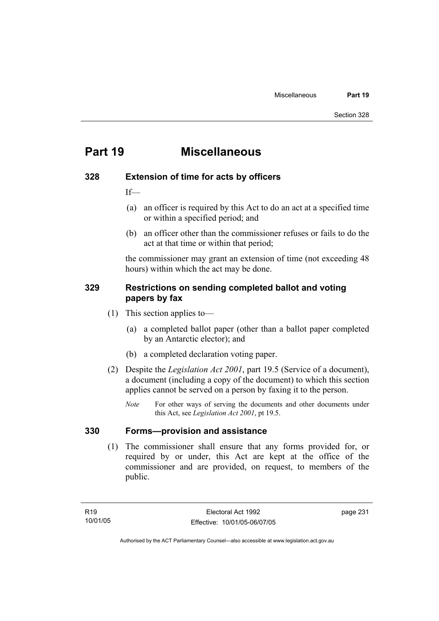## **Part 19 Miscellaneous**

#### **328 Extension of time for acts by officers**

If—

- (a) an officer is required by this Act to do an act at a specified time or within a specified period; and
- (b) an officer other than the commissioner refuses or fails to do the act at that time or within that period;

the commissioner may grant an extension of time (not exceeding 48 hours) within which the act may be done.

### **329 Restrictions on sending completed ballot and voting papers by fax**

- (1) This section applies to—
	- (a) a completed ballot paper (other than a ballot paper completed by an Antarctic elector); and
	- (b) a completed declaration voting paper.
- (2) Despite the *Legislation Act 2001*, part 19.5 (Service of a document), a document (including a copy of the document) to which this section applies cannot be served on a person by faxing it to the person.
	- *Note* For other ways of serving the documents and other documents under this Act, see *Legislation Act 2001*, pt 19.5.

### **330 Forms—provision and assistance**

 (1) The commissioner shall ensure that any forms provided for, or required by or under, this Act are kept at the office of the commissioner and are provided, on request, to members of the public.

page 231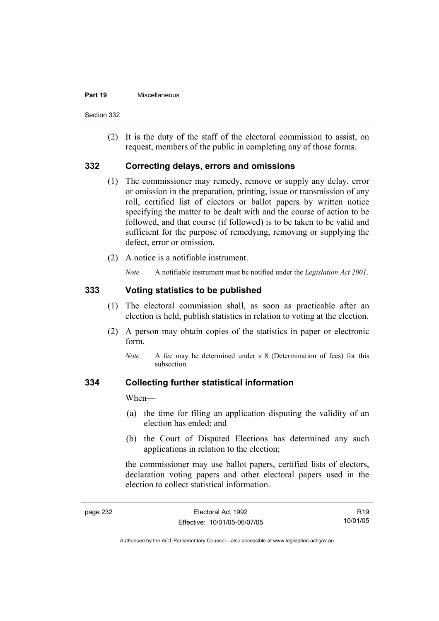#### **Part 19** Miscellaneous

Section 332

 (2) It is the duty of the staff of the electoral commission to assist, on request, members of the public in completing any of those forms.

#### **332 Correcting delays, errors and omissions**

- (1) The commissioner may remedy, remove or supply any delay, error or omission in the preparation, printing, issue or transmission of any roll, certified list of electors or ballot papers by written notice specifying the matter to be dealt with and the course of action to be followed, and that course (if followed) is to be taken to be valid and sufficient for the purpose of remedying, removing or supplying the defect, error or omission.
- (2) A notice is a notifiable instrument.

*Note* A notifiable instrument must be notified under the *Legislation Act 2001*.

#### **333 Voting statistics to be published**

- (1) The electoral commission shall, as soon as practicable after an election is held, publish statistics in relation to voting at the election.
- (2) A person may obtain copies of the statistics in paper or electronic form.
	- *Note* A fee may be determined under s 8 (Determination of fees) for this subsection.

#### **334 Collecting further statistical information**

When—

- (a) the time for filing an application disputing the validity of an election has ended; and
- (b) the Court of Disputed Elections has determined any such applications in relation to the election;

the commissioner may use ballot papers, certified lists of electors, declaration voting papers and other electoral papers used in the election to collect statistical information.

R19 10/01/05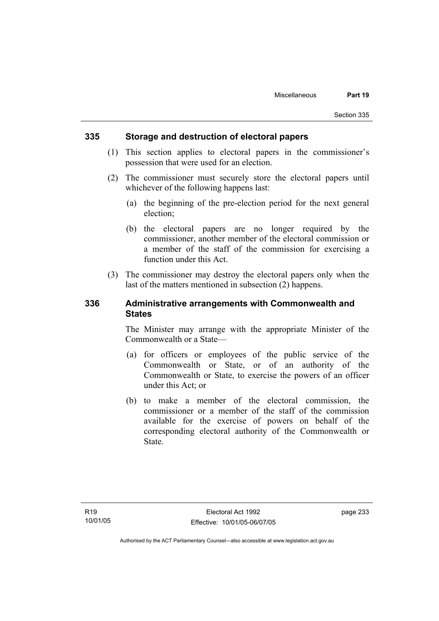#### **335 Storage and destruction of electoral papers**

- (1) This section applies to electoral papers in the commissioner's possession that were used for an election.
- (2) The commissioner must securely store the electoral papers until whichever of the following happens last:
	- (a) the beginning of the pre-election period for the next general election;
	- (b) the electoral papers are no longer required by the commissioner, another member of the electoral commission or a member of the staff of the commission for exercising a function under this Act.
- (3) The commissioner may destroy the electoral papers only when the last of the matters mentioned in subsection (2) happens.

#### **336 Administrative arrangements with Commonwealth and States**

The Minister may arrange with the appropriate Minister of the Commonwealth or a State—

- (a) for officers or employees of the public service of the Commonwealth or State, or of an authority of the Commonwealth or State, to exercise the powers of an officer under this Act; or
- (b) to make a member of the electoral commission, the commissioner or a member of the staff of the commission available for the exercise of powers on behalf of the corresponding electoral authority of the Commonwealth or State.

page 233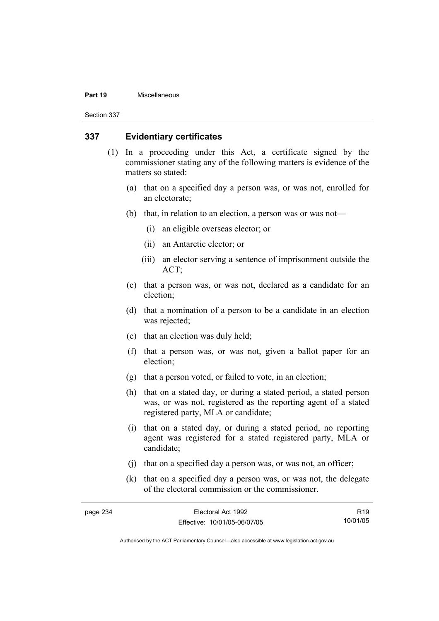#### **Part 19** Miscellaneous

Section 337

#### **337 Evidentiary certificates**

- (1) In a proceeding under this Act, a certificate signed by the commissioner stating any of the following matters is evidence of the matters so stated:
	- (a) that on a specified day a person was, or was not, enrolled for an electorate;
	- (b) that, in relation to an election, a person was or was not—
		- (i) an eligible overseas elector; or
		- (ii) an Antarctic elector; or
		- (iii) an elector serving a sentence of imprisonment outside the ACT;
	- (c) that a person was, or was not, declared as a candidate for an election;
	- (d) that a nomination of a person to be a candidate in an election was rejected;
	- (e) that an election was duly held;
	- (f) that a person was, or was not, given a ballot paper for an election;
	- (g) that a person voted, or failed to vote, in an election;
	- (h) that on a stated day, or during a stated period, a stated person was, or was not, registered as the reporting agent of a stated registered party, MLA or candidate;
	- (i) that on a stated day, or during a stated period, no reporting agent was registered for a stated registered party, MLA or candidate;
	- (j) that on a specified day a person was, or was not, an officer;
	- (k) that on a specified day a person was, or was not, the delegate of the electoral commission or the commissioner.

| page 234 | Electoral Act 1992           | R <sub>19</sub> |
|----------|------------------------------|-----------------|
|          | Effective: 10/01/05-06/07/05 | 10/01/05        |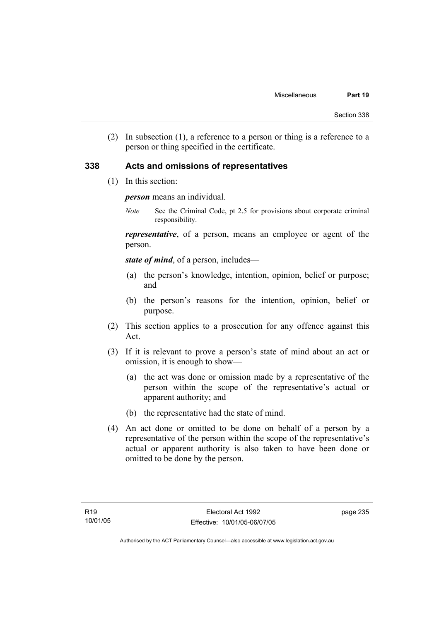(2) In subsection (1), a reference to a person or thing is a reference to a person or thing specified in the certificate.

#### **338 Acts and omissions of representatives**

(1) In this section:

*person* means an individual.

*Note* See the Criminal Code, pt 2.5 for provisions about corporate criminal responsibility.

*representative*, of a person, means an employee or agent of the person.

*state of mind*, of a person, includes—

- (a) the person's knowledge, intention, opinion, belief or purpose; and
- (b) the person's reasons for the intention, opinion, belief or purpose.
- (2) This section applies to a prosecution for any offence against this Act.
- (3) If it is relevant to prove a person's state of mind about an act or omission, it is enough to show—
	- (a) the act was done or omission made by a representative of the person within the scope of the representative's actual or apparent authority; and
	- (b) the representative had the state of mind.
- (4) An act done or omitted to be done on behalf of a person by a representative of the person within the scope of the representative's actual or apparent authority is also taken to have been done or omitted to be done by the person.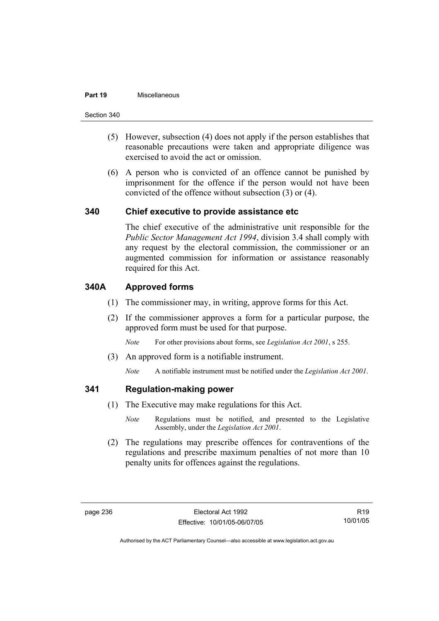#### **Part 19** Miscellaneous

Section 340

- (5) However, subsection (4) does not apply if the person establishes that reasonable precautions were taken and appropriate diligence was exercised to avoid the act or omission.
- (6) A person who is convicted of an offence cannot be punished by imprisonment for the offence if the person would not have been convicted of the offence without subsection (3) or (4).

#### **340 Chief executive to provide assistance etc**

The chief executive of the administrative unit responsible for the *Public Sector Management Act 1994*, division 3.4 shall comply with any request by the electoral commission, the commissioner or an augmented commission for information or assistance reasonably required for this Act.

### **340A Approved forms**

- (1) The commissioner may, in writing, approve forms for this Act.
- (2) If the commissioner approves a form for a particular purpose, the approved form must be used for that purpose.

*Note* For other provisions about forms, see *Legislation Act 2001*, s 255.

(3) An approved form is a notifiable instrument.

*Note* A notifiable instrument must be notified under the *Legislation Act 2001*.

#### **341 Regulation-making power**

- (1) The Executive may make regulations for this Act.
	- *Note* Regulations must be notified, and presented to the Legislative Assembly, under the *Legislation Act 2001*.
- (2) The regulations may prescribe offences for contraventions of the regulations and prescribe maximum penalties of not more than 10 penalty units for offences against the regulations.

R19 10/01/05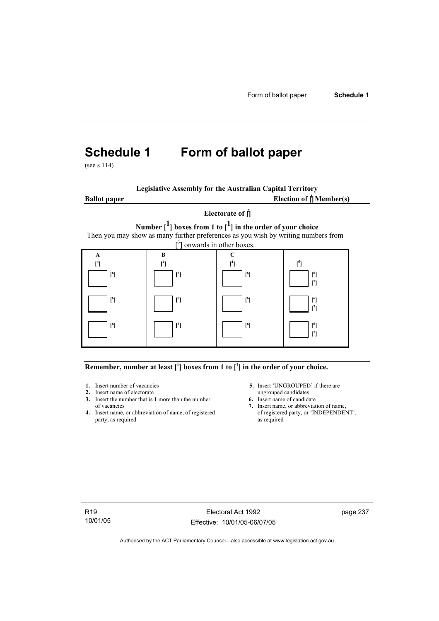# **Schedule 1 Form of ballot paper**

(see s 114)

|  | <b>Legislative Assembly for the Australian Capital Territory</b> |
|--|------------------------------------------------------------------|
|  |                                                                  |

**Ballot** paper Election of  $\mathbf{\hat{a}}$  Member(s) **Electorate of [ 2 ] Number [1] boxes from 1 to [1] in the order of your choice**  Then you may show as many further preferences as you wish by writing numbers from  $\left[ \begin{smallmatrix} 3 \end{smallmatrix} \right]$  onwards in other boxes. **A**   $[$ <sup>4</sup> $]$  **B [ 4 ] C [ 4 ] [ 5**  $[1]$   $[1]$   $[1]$   $[1]$   $[1]$   $[1]$  **[ 6 ] [ 6 ] [ 6 ] [ 6 ] [ 7 ] [ 6 ] [ 6 ] [ 6 ] [ 6 ] [ 7 ] [ 6 ] [ 6 ] [ 6 ] [ 6 ] [ 7 ]** 

#### Remember, number at least  $\begin{bmatrix} 1 \end{bmatrix}$  boxes from 1 to  $\begin{bmatrix} 1 \end{bmatrix}$  in the order of your choice.

- 
- **2.** Insert name of electorate ungrouped candidates<br> **3.** Insert the number that is 1 more than the number<br> **6.** Insert name of candidate **3.** Insert the number that is 1 more than the number
- **4.** Insert name, or abbreviation of name, of registered party, as required as required
- **1.** Insert number of vacancies **5.** Insert 'UNGROUPED' if there are **2.** Insert name of electorate **1.** Insert name of electorate
	-
	- of vacancies **7.** Insert name, or abbreviation of name,  $\frac{1}{2}$  Insert name, or abbreviation of name, of registered party, or 'INDEPENDENT',

R19 10/01/05

Electoral Act 1992 Effective: 10/01/05-06/07/05 page 237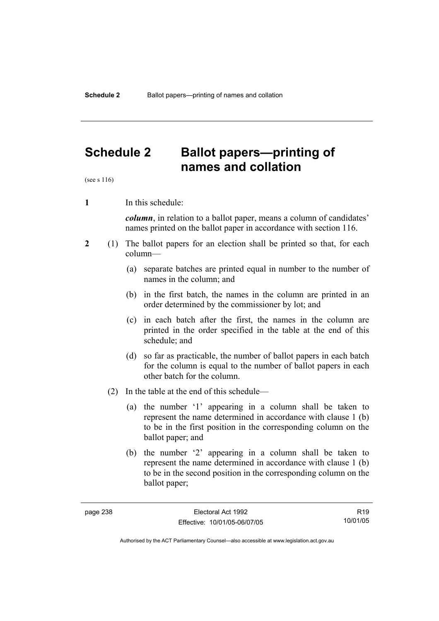## **Schedule 2 Ballot papers—printing of names and collation**

(see s 116)

**1** In this schedule:

*column*, in relation to a ballot paper, means a column of candidates' names printed on the ballot paper in accordance with section 116.

- **2** (1) The ballot papers for an election shall be printed so that, for each column—
	- (a) separate batches are printed equal in number to the number of names in the column; and
	- (b) in the first batch, the names in the column are printed in an order determined by the commissioner by lot; and
	- (c) in each batch after the first, the names in the column are printed in the order specified in the table at the end of this schedule; and
	- (d) so far as practicable, the number of ballot papers in each batch for the column is equal to the number of ballot papers in each other batch for the column.
	- (2) In the table at the end of this schedule—
		- (a) the number '1' appearing in a column shall be taken to represent the name determined in accordance with clause 1 (b) to be in the first position in the corresponding column on the ballot paper; and
		- (b) the number '2' appearing in a column shall be taken to represent the name determined in accordance with clause 1 (b) to be in the second position in the corresponding column on the ballot paper;

R19 10/01/05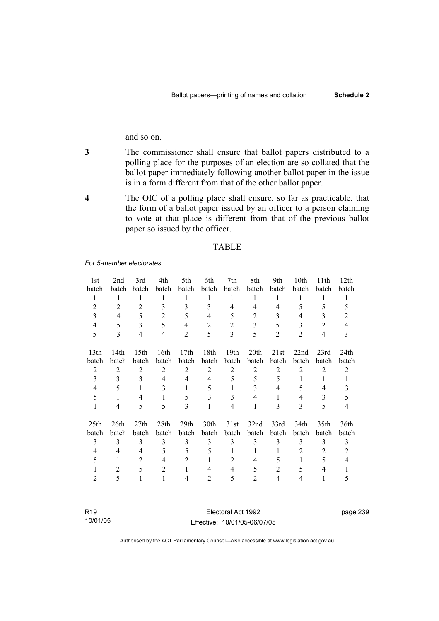and so on.

- **3** The commissioner shall ensure that ballot papers distributed to a polling place for the purposes of an election are so collated that the ballot paper immediately following another ballot paper in the issue is in a form different from that of the other ballot paper.
- **4** The OIC of a polling place shall ensure, so far as practicable, that the form of a ballot paper issued by an officer to a person claiming to vote at that place is different from that of the previous ballot paper so issued by the officer.

#### TABLE

*For 5-member electorates*

| 1st              | 2nd              | 3rd              | 4th            | 5th              | 6th            | 7th              | 8th            | 9th            | 10th           | 11 <sup>th</sup> | 12th             |
|------------------|------------------|------------------|----------------|------------------|----------------|------------------|----------------|----------------|----------------|------------------|------------------|
| batch            | batch            | batch            | batch          | batch            | batch          | batch            | batch          | batch          | batch          | batch            | batch            |
| $\mathbf{1}$     | $\mathbf{1}$     | 1                | 1              | 1                | 1              | 1                | 1              | 1              | 1              | 1                | 1                |
| $\overline{2}$   | $\overline{2}$   | $\overline{2}$   | 3              | 3                | 3              | $\overline{4}$   | $\overline{4}$ | $\overline{4}$ | 5              | 5                | 5                |
| 3                | $\overline{4}$   | 5                | $\overline{2}$ | 5                | $\overline{4}$ | 5                | 2              | 3              | 4              | 3                | $\overline{2}$   |
| $\overline{4}$   | 5                | 3                | 5              | $\overline{4}$   | $\overline{2}$ | $\overline{2}$   | $\overline{3}$ | 5              | 3              | $\overline{2}$   | $\overline{4}$   |
| 5                | 3                | $\overline{4}$   | $\overline{4}$ | $\overline{2}$   | 5              | 3                | 5              | $\overline{2}$ | $\overline{2}$ | $\overline{4}$   | 3                |
| 13 <sub>th</sub> | 14 <sub>th</sub> | 15 <sup>th</sup> | 16th           | 17 <sub>th</sub> | 18th           | 19 <sub>th</sub> | 20th           | 21st           | 22nd           | 23rd             | 24 <sub>th</sub> |
| batch            | batch            | batch            | batch          | batch            | batch          | batch            | batch          | batch          | batch          | batch            | batch            |
| $\overline{2}$   | $\overline{2}$   | $\overline{2}$   | 2              | $\overline{2}$   | $\overline{2}$ | $\overline{2}$   | 2              | $\overline{2}$ | $\overline{2}$ | $\overline{2}$   | 2                |
| 3                | 3                | 3                | 4              | 4                | 4              | 5                | 5              | 5              | 1              | 1                | $\mathbf{1}$     |
| 4                | 5                | $\mathbf{1}$     | 3              | 1                | 5              | 1                | 3              | 4              | 5              | 4                | 3                |
| 5                | $\mathbf{1}$     | $\overline{4}$   | $\mathbf{1}$   | 5                | 3              | 3                | $\overline{4}$ | 1              | $\overline{4}$ | 3                | 5                |
| $\mathbf{1}$     | 4                | 5                | 5              | 3                | 1              | $\overline{4}$   | 1              | 3              | 3              | 5                | $\overline{4}$   |
| 25 <sub>th</sub> | 26th             | 27th             | 28th           | 29 <sub>th</sub> | 30th           | 31st             | 32nd           | 33rd           | 34th           | 35th             | 36th             |
| batch            | batch            | batch            | batch          | batch            | batch          | batch            | batch          | batch          | batch          | batch            | batch            |
| $\overline{3}$   | 3                | 3                | 3              | 3                | 3              | 3                | 3              | 3              | 3              | 3                | 3                |
| 4                | 4                | 4                | 5              | 5                | 5              | 1                | 1              | 1              | $\overline{2}$ | $\overline{2}$   | $\overline{2}$   |
| 5                | 1                | $\overline{c}$   | $\overline{4}$ | $\overline{2}$   | 1              | $\overline{2}$   | 4              | 5              | $\mathbf{1}$   | 5                | 4                |
| 1                | $\overline{2}$   | 5                | $\overline{2}$ | $\mathbf{1}$     | 4              | 4                | 5              | $\overline{2}$ | 5              | 4                |                  |
| 2                | 5                | $\mathbf{1}$     | $\mathbf{1}$   | 4                | $\overline{2}$ | 5                | 2              | $\overline{4}$ | 4              | 1                | 5                |
|                  |                  |                  |                |                  |                |                  |                |                |                |                  |                  |

| R <sub>19</sub> | Electoral Act 1992           |
|-----------------|------------------------------|
| 10/01/05        | Effective: 10/01/05-06/07/05 |

Authorised by the ACT Parliamentary Counsel—also accessible at www.legislation.act.gov.au

page 239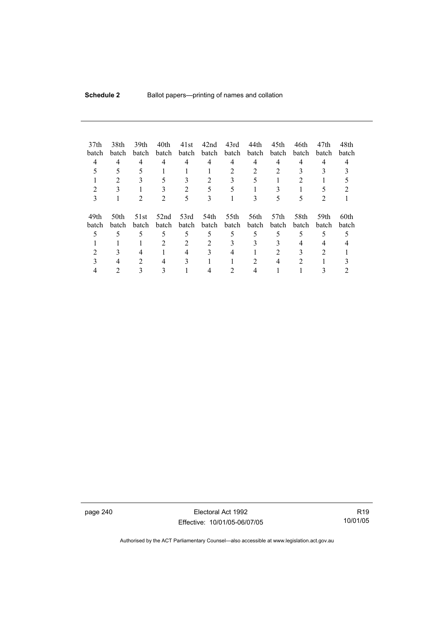| 37 <sub>th</sub><br>batch<br>4<br>3 | 38th<br>batch<br>4   | 39th<br>batch<br>4 | 40th<br>batch<br>4 | 41st<br>batch<br>4<br>2 | 42nd<br>batch<br>4<br>5<br>3 | 43rd<br>batch<br>4<br>2 | 44th<br>batch<br>4<br>2 | 45th<br>batch<br>4<br>5   | 46th<br>batch<br>4 | 47th<br><b>batch</b><br>4 | 48th<br>batch |
|-------------------------------------|----------------------|--------------------|--------------------|-------------------------|------------------------------|-------------------------|-------------------------|---------------------------|--------------------|---------------------------|---------------|
| 49th<br>batch                       | 50th<br><b>batch</b> | 51st<br>batch      | 52nd<br>batch      | 53rd<br>batch           | 54th<br>batch                | 55th<br>batch           | 56th<br>batch           | 57 <sub>th</sub><br>batch | 58th<br>batch      | 59th<br><b>batch</b>      | 60th<br>batch |
|                                     |                      | 5                  | 5                  | 5                       | 5                            | 5                       | 5                       | 5                         | 5                  | 5                         |               |
|                                     |                      |                    | 2                  | 2                       | 2                            | 3                       | 3                       |                           | 4                  |                           |               |
|                                     |                      |                    |                    | 4                       |                              |                         |                         |                           |                    |                           |               |
|                                     |                      | 2                  | 4                  | 3                       |                              |                         |                         | 4                         | 2                  |                           |               |
|                                     |                      |                    |                    |                         |                              |                         |                         |                           |                    |                           |               |

page 240 Electoral Act 1992 Effective: 10/01/05-06/07/05

R19 10/01/05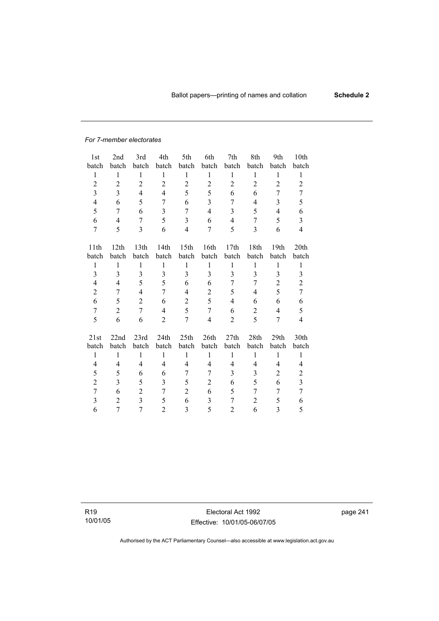#### *For 7-member electorates*

| 1st            | 2nd              | 3rd            | 4th            | 5th              | 6th                     | 7th            | 8th            | 9th                     | 10th                    |
|----------------|------------------|----------------|----------------|------------------|-------------------------|----------------|----------------|-------------------------|-------------------------|
| batch          | batch            | batch          | batch          | batch            | batch                   | batch          | batch          | batch                   | batch                   |
| $\mathbf{1}$   | $\mathbf{1}$     | 1              | 1              | $\mathbf{1}$     | $\mathbf{1}$            | $\mathbf{1}$   | $\mathbf{1}$   | 1                       | 1                       |
| $\overline{c}$ | $\boldsymbol{2}$ | $\overline{c}$ | $\overline{c}$ | $\overline{2}$   | $\overline{c}$          | $\overline{2}$ | $\overline{c}$ | $\overline{2}$          | $\overline{2}$          |
| 3              | 3                | $\overline{4}$ | $\overline{4}$ | 5                | 5                       | 6              | 6              | 7                       | 7                       |
| $\overline{4}$ | 6                | 5              | 7              | 6                | 3                       | 7              | 4              | 3                       | 5                       |
| 5              | 7                | 6              | 3              | $\overline{7}$   | $\overline{\mathbf{4}}$ | 3              | 5              | $\overline{\mathbf{4}}$ | 6                       |
| 6              | 4                | 7              | 5              | $\overline{3}$   | 6                       | $\overline{4}$ | 7              | 5                       | 3                       |
| 7              | 5                | 3              | 6              | $\overline{4}$   | 7                       | 5              | 3              | 6                       | $\overline{4}$          |
|                |                  |                |                |                  |                         |                |                |                         |                         |
| 11th           | 12 <sup>th</sup> | 13th           | 14th           | 15 <sup>th</sup> | 16th                    | 17th           | 18th           | 19th                    | 20th                    |
| batch          | batch            | batch          | batch          | batch            | batch                   | batch          | batch          | batch                   | batch                   |
| 1              | $\mathbf{1}$     | 1              | $\mathbf{1}$   | $\mathbf{1}$     | 1                       | $\mathbf{1}$   | 1              | $\mathbf{1}$            | 1                       |
| 3              | 3                | 3              | 3              | 3                | 3                       | 3              | 3              | 3                       | 3                       |
| 4              | 4                | 5              | 5              | 6                | 6                       | 7              | 7              | $\overline{2}$          | $\overline{c}$          |
| $\overline{2}$ | 7                | $\overline{4}$ | 7              | 4                | $\overline{c}$          | 5              | 4              | 5                       | $\tau$                  |
| 6              | 5                | $\overline{2}$ | 6              | $\overline{2}$   | 5                       | $\overline{4}$ | 6              | 6                       | 6                       |
| $\overline{7}$ | $\sqrt{2}$       | $\overline{7}$ | $\overline{4}$ | 5                | $\overline{7}$          | 6              | $\overline{c}$ | $\overline{\mathbf{4}}$ | 5                       |
| 5              | 6                | 6              | $\overline{2}$ | 7                | $\overline{\mathbf{4}}$ | $\overline{2}$ | 5              | $\overline{7}$          | 4                       |
|                |                  |                |                |                  |                         |                |                |                         |                         |
| 21st           | 22nd             | 23rd           | 24th           | 25th             | 26th                    | 27th           | 28th           | 29th                    | 30th                    |
| batch          | batch            | batch          | batch          | batch            | batch                   | batch          | batch          | batch                   | batch                   |
| $\mathbf{1}$   | $\mathbf{1}$     | $\mathbf{1}$   | $\mathbf{1}$   | $\mathbf{1}$     | $\mathbf{1}$            | $\mathbf{1}$   | $\mathbf{1}$   | $\mathbf{1}$            | $\mathbf{1}$            |
| 4              | $\overline{4}$   | $\overline{4}$ | $\overline{4}$ | 4                | $\overline{4}$          | $\overline{4}$ | 4              | $\overline{4}$          | 4                       |
| 5              | 5                | 6              | 6              | 7                | $\overline{7}$          | 3              | 3              | $\overline{2}$          | $\overline{2}$          |
| $\overline{c}$ | 3                | 5              | 3              | 5                | $\overline{c}$          | 6              | 5              | 6                       | $\overline{\mathbf{3}}$ |
| $\overline{7}$ | 6                | $\overline{2}$ | 7              | $\overline{2}$   | 6                       | 5              | 7              | 7                       | $\overline{7}$          |
| 3              | $\overline{2}$   | $\overline{3}$ | 5              | 6                | 3                       | $\overline{7}$ | $\overline{2}$ | 5                       | 6                       |
| 6              | 7                | $\overline{7}$ | $\overline{2}$ | 3                | 5                       | 2              | 6              | 3                       | 5                       |

R19 10/01/05

Electoral Act 1992 Effective: 10/01/05-06/07/05 page 241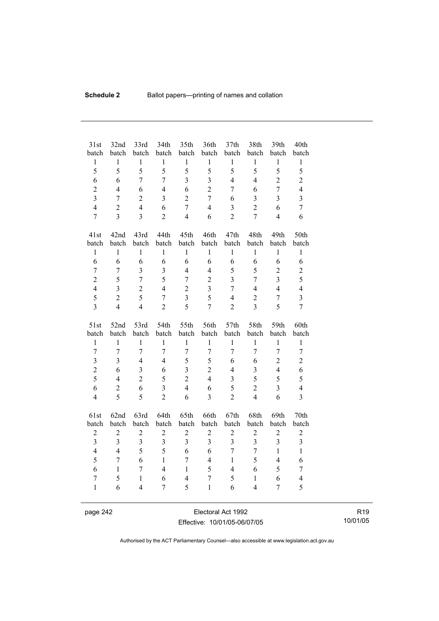| 31st<br>batch           | 32nd<br>batch    | 33rd<br>batch           | 34th<br>batch           | 35th<br>batch            | 36th<br>batch           | 37 <sub>th</sub><br>batch | 38th<br>batch  | 39th<br>batch  | 40th<br>batch           |
|-------------------------|------------------|-------------------------|-------------------------|--------------------------|-------------------------|---------------------------|----------------|----------------|-------------------------|
| $\,1$                   | $\mathbf{1}$     | $\,1$                   | $\mathbf 1$             | $\mathbf{1}$             | $\mathbf{1}$            | $\mathbf{1}$              | $\mathbf{1}$   | $\mathbf{1}$   | $\,1$                   |
| 5                       | 5                | 5                       | 5                       | 5                        | 5                       | 5                         | 5              | 5              | 5                       |
| 6                       | 6                | $\overline{7}$          | $\overline{7}$          | $\overline{3}$           | $\overline{3}$          | $\overline{4}$            | $\overline{4}$ | $\overline{2}$ | $\overline{2}$          |
| $\overline{2}$          | $\overline{4}$   | 6                       | $\overline{4}$          | 6                        | $\overline{2}$          | $\overline{7}$            | 6              | $\overline{7}$ | $\overline{4}$          |
| $\overline{3}$          | $\overline{7}$   | $\overline{2}$          | $\overline{3}$          | $\overline{2}$           | $\overline{7}$          | 6                         | 3              | 3              | $\overline{\mathbf{3}}$ |
| $\overline{4}$          | $\overline{2}$   | $\overline{4}$          | 6                       | $\overline{7}$           | $\overline{4}$          | $\overline{3}$            | $\overline{2}$ | 6              | $\overline{7}$          |
| $\overline{7}$          | $\overline{3}$   | $\overline{3}$          | $\overline{2}$          | $\overline{4}$           | 6                       | $\overline{2}$            | $\overline{7}$ | $\overline{4}$ | 6                       |
|                         |                  |                         |                         |                          |                         |                           |                |                |                         |
| 41st                    | 42nd             | 43rd                    | 44th                    | 45th                     | 46th                    | 47th                      | 48th           | 49th           | 50th                    |
| batch                   | batch            | batch                   | batch                   | batch                    | batch                   | batch                     | batch          | batch          | batch                   |
| $\mathbf{1}$            | $\mathbf{1}$     | $\mathbf{1}$            | $\mathbf{1}$            | $\mathbf{1}$             | $\mathbf{1}$            | $\mathbf{1}$              | $\mathbf{1}$   | $\mathbf{1}$   | $\mathbf{1}$            |
| 6                       | 6                | 6                       | 6                       | 6                        | 6                       | 6                         | 6              | 6              | 6                       |
| $\overline{7}$          | $\tau$           | $\overline{3}$          | $\overline{3}$          | $\overline{4}$           | $\overline{4}$          | 5                         | 5              | $\overline{2}$ | $\overline{c}$          |
| $\overline{2}$          | 5                | $\overline{7}$          | 5                       | $\overline{7}$           | $\overline{2}$          | $\overline{3}$            | $\overline{7}$ | $\overline{3}$ | 5                       |
| $\overline{4}$          | $\overline{3}$   | $\overline{c}$          | $\overline{4}$          | $\overline{c}$           | $\overline{\mathbf{3}}$ | $\overline{7}$            | $\overline{4}$ | $\overline{4}$ | $\overline{4}$          |
| 5                       | $\overline{2}$   | 5                       | $\overline{7}$          | $\overline{3}$           | 5                       | $\overline{4}$            | $\sqrt{2}$     | $\overline{7}$ | $\overline{3}$          |
| $\overline{3}$          | $\overline{4}$   | $\overline{4}$          | $\overline{2}$          | 5                        | $\overline{7}$          | $\overline{2}$            | 3              | 5              | $\overline{7}$          |
|                         |                  |                         |                         |                          |                         |                           |                |                |                         |
|                         |                  |                         |                         |                          |                         |                           |                |                |                         |
| 51st                    | 52nd             | 53rd                    | 54th                    | 55th                     | 56th                    | 57th                      | 58th           | 59th           | 60th                    |
| batch                   | batch            | batch                   | batch                   | batch                    | batch                   | batch                     | batch          | batch          | batch                   |
| $\mathbf{1}$            | $\mathbf{1}$     | $\mathbf{1}$            | $\mathbf{1}$            | $\mathbf{1}$             | $\mathbf{1}$            | $\mathbf{1}$              | $\mathbf{1}$   | $\mathbf{1}$   | $\mathbf{1}$            |
| $\overline{7}$          | $\overline{7}$   | $\overline{7}$          | $\overline{7}$          | $\overline{7}$           | $\overline{7}$          | $\overline{7}$            | $\overline{7}$ | $\overline{7}$ | $\tau$                  |
| $\overline{\mathbf{3}}$ | $\overline{3}$   | $\overline{4}$          | $\overline{4}$          | 5                        | 5                       | 6                         | 6              | $\overline{c}$ | $\overline{c}$          |
| $\overline{c}$          | 6                | 3                       | 6                       | $\overline{3}$           | $\overline{2}$          | $\overline{4}$            | 3              | $\overline{4}$ | 6                       |
| 5                       | $\overline{4}$   | $\overline{2}$          | 5                       | $\overline{2}$           | $\overline{4}$          | 3                         | 5              | 5              | 5                       |
| 6                       | $\overline{2}$   | 6                       | $\overline{3}$          | $\overline{4}$           | 6                       | 5                         | $\overline{2}$ | $\overline{3}$ | $\overline{4}$          |
| $\overline{4}$          | 5                | 5                       | $\overline{2}$          | 6                        | 3                       | $\overline{2}$            | $\overline{4}$ | 6              | $\overline{\mathbf{3}}$ |
|                         |                  |                         |                         |                          |                         |                           |                |                |                         |
| 61st                    | 62nd             | 63rd                    | 64th                    | 65th                     | 66th                    | 67th                      | 68th           | 69th           | 70th                    |
| batch                   | batch            | batch                   | batch                   | batch                    | batch                   | batch                     | batch          | batch          | batch                   |
| $\sqrt{2}$              | $\boldsymbol{2}$ | $\overline{c}$          | $\sqrt{2}$              | $\overline{c}$           | $\boldsymbol{2}$        | $\overline{c}$            | $\overline{c}$ | $\overline{c}$ | $\sqrt{2}$              |
| $\overline{3}$          | $\overline{3}$   | $\overline{\mathbf{3}}$ | $\overline{\mathbf{3}}$ | $\overline{3}$           | 3                       | $\overline{3}$            | $\overline{3}$ | 3              | $\overline{\mathbf{3}}$ |
| $\overline{4}$          | $\overline{4}$   | 5                       | 5                       | 6                        | 6                       | $\overline{7}$            | $\overline{7}$ | $\mathbf{1}$   | $\mathbf{1}$            |
| 5                       | $\overline{7}$   | 6                       | $\mathbf{1}$            | $\overline{7}$           | $\overline{4}$          | $\mathbf{1}$              | 5              | $\overline{4}$ | 6                       |
| 6                       | $\mathbf{1}$     | 7                       | $\overline{4}$          | $\mathbf{1}$             | 5                       | $\overline{4}$            | 6              | 5              | 7                       |
| $\tau$                  | 5                | $\mathbf{1}$            | 6                       | $\overline{\mathcal{L}}$ | $\overline{7}$          | 5                         | $\mathbf{1}$   | 6              | $\overline{\mathbf{4}}$ |
| $\mathbf{1}$            | 6                | 4                       | $\overline{7}$          | 5                        | $\mathbf{1}$            | 6                         | $\overline{4}$ | $\overline{7}$ | 5                       |

page 242 Electoral Act 1992 Effective: 10/01/05-06/07/05

R19 10/01/05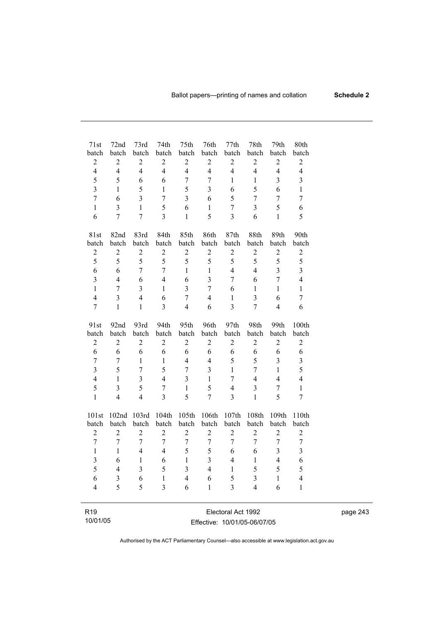| 71st<br>batch           | 72nd<br>batch           | 73rd<br>batch            | 74th<br>batch           | 75th<br>batch            | 76th<br>batch           | 77th<br>batch           | 78th<br>batch  | 79th<br>batch       | 80th<br>batch                |
|-------------------------|-------------------------|--------------------------|-------------------------|--------------------------|-------------------------|-------------------------|----------------|---------------------|------------------------------|
| $\overline{c}$          | $\overline{c}$          | $\boldsymbol{2}$         | $\overline{c}$          | $\boldsymbol{2}$         | $\overline{2}$          | $\boldsymbol{2}$        | $\overline{c}$ | $\overline{2}$      | $\overline{c}$               |
| $\overline{4}$          | $\overline{4}$          | $\overline{4}$           | $\overline{4}$          | $\overline{4}$           | $\overline{4}$          | $\overline{4}$          | $\overline{4}$ | $\overline{4}$      | $\overline{4}$               |
| 5                       | 5                       | 6                        | 6                       | $\overline{7}$           | $\overline{7}$          | $\mathbf{1}$            | $\mathbf{1}$   | 3                   | $\overline{\mathbf{3}}$      |
| $\overline{\mathbf{3}}$ | $\mathbf{1}$            | 5                        | $\mathbf{1}$            | 5                        | $\overline{3}$          | 6                       | 5              | 6                   | $\mathbf{1}$                 |
| $\overline{7}$          | 6                       | $\overline{3}$           | $\overline{7}$          | $\overline{3}$           | 6                       | 5                       | $\overline{7}$ | $\overline{7}$      | $\overline{7}$               |
| $\mathbf{1}$            | $\overline{\mathbf{3}}$ | $\mathbf{1}$             | 5                       | 6                        | $\mathbf{1}$            | $\overline{7}$          | $\overline{3}$ | 5                   | 6                            |
| 6                       | $\overline{7}$          | $\overline{7}$           | $\overline{3}$          | $\mathbf{1}$             | 5                       | $\overline{3}$          | 6              | $\mathbf{1}$        | 5                            |
|                         |                         |                          |                         |                          |                         |                         |                |                     |                              |
| 81st                    | 82nd                    | 83rd                     | 84th                    | 85th                     | 86th                    | 87th                    | 88th           | 89th                | 90th                         |
| batch                   | batch                   | batch                    | batch                   | batch                    | batch                   | batch                   | batch          | batch               | batch                        |
| $\sqrt{2}$              | $\boldsymbol{2}$        | $\sqrt{2}$               | $\overline{c}$          | $\boldsymbol{2}$         | $\overline{2}$          | $\overline{c}$          | $\overline{c}$ | $\overline{2}$      | $\overline{c}$               |
| 5                       | 5                       | 5                        | 5                       | 5                        | 5                       | 5                       | 5              | 5                   | 5                            |
| 6                       | 6                       | $\overline{7}$           | $\overline{7}$          | $\mathbf{1}$             | $\mathbf{1}$            | $\overline{4}$          | $\overline{4}$ | $\overline{3}$      | $\overline{\mathbf{3}}$      |
| $\overline{\mathbf{3}}$ | $\overline{4}$          | 6                        | $\overline{4}$          | 6                        | $\overline{3}$          | 7                       | 6              | $\overline{7}$      | $\overline{4}$               |
| $\mathbf{1}$            | $\overline{7}$          | 3                        | $\mathbf{1}$            | $\overline{\mathbf{3}}$  | $\overline{7}$          | 6                       | $\mathbf{1}$   | $\mathbf{1}$        | $\,1$                        |
| $\overline{4}$          | $\overline{3}$          | $\overline{4}$           | 6                       | $\overline{7}$           | $\overline{4}$          | $\mathbf{1}$            | $\overline{3}$ | 6                   | $\overline{7}$               |
| $\overline{7}$          | $\mathbf{1}$            | $\mathbf{1}$             | $\overline{\mathbf{3}}$ | $\overline{\mathcal{L}}$ | 6                       | $\overline{\mathbf{3}}$ | $\overline{7}$ | $\overline{4}$      | 6                            |
|                         |                         |                          |                         |                          |                         |                         |                |                     |                              |
| 91st                    | 92nd                    | 93rd                     | 94th                    | 95th                     | 96th                    | 97th                    | 98th           | 99th                | 100th                        |
| batch                   | batch                   | batch                    | batch                   | batch                    | batch                   | batch                   | batch          | batch               | batch                        |
| $\sqrt{2}$              | $\sqrt{2}$              | $\mathbf{2}$             | $\overline{c}$          | $\overline{c}$           | $\overline{2}$          | $\sqrt{2}$              | $\overline{2}$ | $\boldsymbol{2}$    | $\sqrt{2}$                   |
| 6<br>$\overline{7}$     | 6<br>$\overline{7}$     | 6                        | 6<br>$\mathbf{1}$       | 6<br>$\overline{4}$      | 6<br>$\overline{4}$     | 6<br>5                  | 6<br>5         | 6<br>$\overline{3}$ | 6                            |
| $\overline{\mathbf{3}}$ | 5                       | 1<br>7                   | 5                       | $\overline{7}$           | $\overline{\mathbf{3}}$ | $\mathbf{1}$            | $\overline{7}$ | $\mathbf{1}$        | $\overline{\mathbf{3}}$<br>5 |
| $\overline{4}$          | $\mathbf{1}$            | $\overline{3}$           | $\overline{4}$          | $\overline{\mathbf{3}}$  | $\mathbf{1}$            | $\overline{7}$          | $\overline{4}$ | $\overline{4}$      | $\overline{4}$               |
| 5                       | $\overline{3}$          | 5                        | $\overline{7}$          | $\mathbf{1}$             | 5                       | $\overline{4}$          | $\overline{3}$ | $\overline{7}$      | $\mathbf{1}$                 |
| $\mathbf{1}$            | $\overline{4}$          | $\overline{\mathcal{A}}$ | $\overline{3}$          | 5                        | $\overline{7}$          | 3                       | $\mathbf{1}$   | 5                   | $\overline{7}$               |
|                         |                         |                          |                         |                          |                         |                         |                |                     |                              |
| 101st                   | 102nd                   | 103rd                    | 104th                   | 105th                    | 106th                   | 107th                   | 108th          | 109th               | 110th                        |
| batch                   | batch                   | batch                    | batch                   | batch                    | batch                   | batch                   | batch          | batch               | batch                        |
| $\overline{2}$          | $\overline{2}$          | $\overline{2}$           | $\overline{2}$          | $\overline{2}$           | $\overline{2}$          | $\overline{2}$          | $\overline{2}$ | $\overline{2}$      | $\overline{c}$               |
| $\overline{7}$          | $\overline{7}$          | 7                        | $\overline{7}$          | $\boldsymbol{7}$         | $\boldsymbol{7}$        | $\overline{7}$          | $\overline{7}$ | $\boldsymbol{7}$    | $\sqrt{ }$                   |
| $\mathbf{1}$            | 1                       | $\overline{4}$           | $\overline{4}$          | 5                        | 5                       | 6                       | 6              | 3                   | $\overline{\mathbf{3}}$      |
| $\overline{\mathbf{3}}$ | 6                       | $\mathbf{1}$             | 6                       | $\mathbf{1}$             | $\overline{\mathbf{3}}$ | $\overline{4}$          | $\mathbf{1}$   | $\overline{4}$      | 6                            |
| 5                       | $\overline{4}$          | $\overline{\mathbf{3}}$  | 5                       | $\overline{3}$           | $\overline{4}$          | $\mathbf{1}$            | 5              | 5                   | 5                            |
| 6                       | 3                       | 6                        | $\mathbf{1}$            | $\overline{4}$           | 6                       | 5                       | 3              | $\mathbf{1}$        | $\overline{4}$               |
| $\overline{4}$          | 5                       | 5                        | $\overline{\mathbf{3}}$ | 6                        | $\mathbf{1}$            | $\overline{3}$          | $\overline{4}$ | 6                   | $\mathbf{1}$                 |
|                         |                         |                          |                         |                          |                         |                         |                |                     |                              |
| R <sub>19</sub>         |                         |                          |                         |                          |                         | Electoral Act 1992      |                |                     |                              |

| .        |  |
|----------|--|
| 10/01/05 |  |

Electoral Act 1992 Effective: 10/01/05-06/07/05 page 243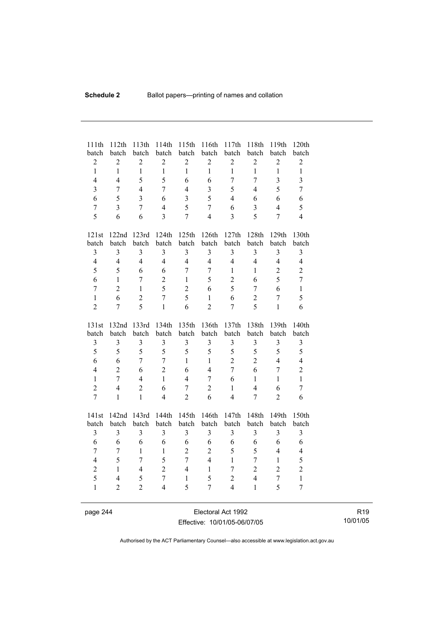| 111th<br>batch   | 112th<br>batch | 113th<br>batch          | 114th<br>batch          | 115th<br>batch          | 116th<br>batch | 117th<br>batch          | 118th<br>batch          | 119th<br>batch          | 120th<br>batch          |
|------------------|----------------|-------------------------|-------------------------|-------------------------|----------------|-------------------------|-------------------------|-------------------------|-------------------------|
| $\boldsymbol{2}$ | $\overline{2}$ | $\overline{2}$          | $\overline{2}$          | $\overline{2}$          | $\overline{2}$ | $\overline{c}$          | $\boldsymbol{2}$        | $\sqrt{2}$              | $\overline{c}$          |
| $\mathbf{1}$     | $\mathbf{1}$   | $\mathbf{1}$            | $\mathbf{1}$            | $\mathbf{1}$            | $\mathbf{1}$   | $\mathbf{1}$            | $\mathbf{1}$            | $\mathbf{1}$            | $\mathbf{1}$            |
| $\overline{4}$   | $\overline{4}$ | 5                       | 5                       | 6                       | 6              | $\overline{7}$          | $\overline{7}$          | $\overline{3}$          | $\overline{\mathbf{3}}$ |
| $\overline{3}$   | $\overline{7}$ | $\overline{4}$          | $\overline{7}$          | $\overline{4}$          | 3              | 5                       | $\overline{4}$          | 5                       | $\overline{7}$          |
| 6                | 5              | $\overline{\mathbf{3}}$ | 6                       | $\overline{\mathbf{3}}$ | 5              | $\overline{4}$          | 6                       | 6                       | 6                       |
| $\boldsymbol{7}$ | 3              | $\overline{7}$          | $\overline{4}$          | 5                       | $\overline{7}$ | 6                       | $\overline{3}$          | $\overline{4}$          | 5                       |
| 5                | 6              | 6                       | $\overline{3}$          | $\overline{7}$          | $\overline{4}$ | $\overline{3}$          | 5                       | $\overline{7}$          | $\overline{4}$          |
| 121st            | 122nd          | 123rd                   | 124th                   | 125th                   | 126th          | 127th                   | 128th                   | 129th                   | 130th                   |
| batch            | batch          | batch                   | batch                   | batch                   | batch          | batch                   | batch                   | batch                   | batch                   |
| $\mathfrak{Z}$   | $\overline{3}$ | $\overline{\mathbf{3}}$ | 3                       | 3                       | 3              | $\overline{\mathbf{3}}$ | 3                       | 3                       | 3                       |
| $\overline{4}$   | $\overline{4}$ | $\overline{4}$          | $\overline{4}$          | $\overline{4}$          | $\overline{4}$ | $\overline{4}$          | $\overline{4}$          | $\overline{4}$          | $\overline{4}$          |
| 5                | 5              | 6                       | 6                       | $\overline{7}$          | 7              | $\mathbf{1}$            | $\mathbf{1}$            | $\overline{2}$          | $\overline{c}$          |
| 6                | $\mathbf{1}$   | $\overline{7}$          | $\overline{2}$          | $\mathbf{1}$            | 5              | $\overline{2}$          | 6                       | 5                       | $\overline{7}$          |
| $\overline{7}$   | $\overline{2}$ | $\mathbf{1}$            | 5                       | $\overline{c}$          | 6              | 5                       | $\overline{7}$          | 6                       | $\mathbf{1}$            |
| $\mathbf{1}$     | 6              | $\overline{2}$          | $\overline{7}$          | 5                       | $\mathbf{1}$   | 6                       | $\overline{2}$          | $\overline{7}$          | 5                       |
| $\overline{2}$   | $\overline{7}$ | 5                       | $\mathbf{1}$            | 6                       | $\overline{2}$ | $\overline{7}$          | 5                       | $\mathbf{1}$            | 6                       |
|                  |                |                         |                         |                         |                |                         |                         |                         |                         |
| 131st            | 132nd          | 133rd                   | 134th                   | 135th                   | 136th          | 137th                   | 138th                   | 139th                   | 140th                   |
| batch            | batch          | batch                   | batch                   | batch                   | batch          | batch                   | batch                   | batch                   | batch                   |
| 3                | $\overline{3}$ | $\overline{\mathbf{3}}$ | $\overline{\mathbf{3}}$ | $\overline{3}$          | 3              | $\overline{\mathbf{3}}$ | $\overline{\mathbf{3}}$ | $\overline{\mathbf{3}}$ | 3                       |
| 5                | 5              | 5                       | 5                       | 5                       | 5              | 5                       | 5                       | 5                       | 5                       |
| 6                | 6              | $\overline{7}$          | $\overline{7}$          | $\mathbf{1}$            | $\mathbf{1}$   | $\overline{2}$          | $\overline{2}$          | $\overline{4}$          | $\overline{4}$          |
| $\overline{4}$   | $\overline{2}$ | 6                       | $\overline{2}$          | 6                       | $\overline{4}$ | $\overline{7}$          | 6                       | $\overline{7}$          | $\overline{2}$          |
| $\mathbf{1}$     | $\overline{7}$ | $\overline{4}$          | $\mathbf{1}$            | $\overline{4}$          | $\overline{7}$ | 6                       | $\mathbf{1}$            | $\mathbf{1}$            | $\mathbf{1}$            |
| $\overline{2}$   | $\overline{4}$ | $\overline{2}$          | 6                       | $\overline{7}$          | $\overline{2}$ | $\mathbf{1}$            | $\overline{4}$          | 6                       | $\boldsymbol{7}$        |
| $\overline{7}$   | $\mathbf{1}$   | $\mathbf{1}$            | $\overline{4}$          | $\overline{2}$          | 6              | $\overline{4}$          | $\overline{7}$          | $\overline{2}$          | 6                       |
| 141st            | 142nd          | 143rd                   | 144th                   | 145th                   | 146th          | 147th                   | 148th                   | 149th                   | 150th                   |
| batch            | batch          | batch                   | batch                   | batch                   | batch          | batch                   | batch                   | batch                   | batch                   |
| 3                | $\mathfrak{Z}$ | 3                       | 3                       | 3                       | 3              | 3                       | $\overline{3}$          | 3                       | 3                       |
| 6                | 6              | 6                       | 6                       | 6                       | 6              | 6                       | 6                       | 6                       | 6                       |
| $\overline{7}$   | $\overline{7}$ | $\mathbf{1}$            | $\mathbf{1}$            | $\overline{c}$          | $\overline{c}$ | 5                       | 5                       | $\overline{4}$          | $\overline{\mathbf{4}}$ |
| $\overline{4}$   | 5              | $\overline{7}$          | 5                       | $\overline{7}$          | $\overline{4}$ | $\mathbf{1}$            | 7                       | $\mathbf{1}$            | 5                       |
| $\sqrt{2}$       | $\mathbf{1}$   | $\overline{4}$          | $\overline{2}$          | $\overline{4}$          | $\mathbf{1}$   | $\overline{7}$          | $\overline{2}$          | $\overline{2}$          | $\overline{2}$          |
| 5                | $\overline{4}$ | 5                       | $\overline{7}$          | $\mathbf{1}$            | 5              | $\overline{c}$          | $\overline{4}$          | $\overline{7}$          | $\mathbf{1}$            |
| $\mathbf{1}$     | $\overline{2}$ | $\overline{2}$          | $\overline{4}$          | 5                       | $\overline{7}$ | $\overline{4}$          | $\mathbf{1}$            | 5                       | $\overline{7}$          |

page 244 Electoral Act 1992 Effective: 10/01/05-06/07/05

R19 10/01/05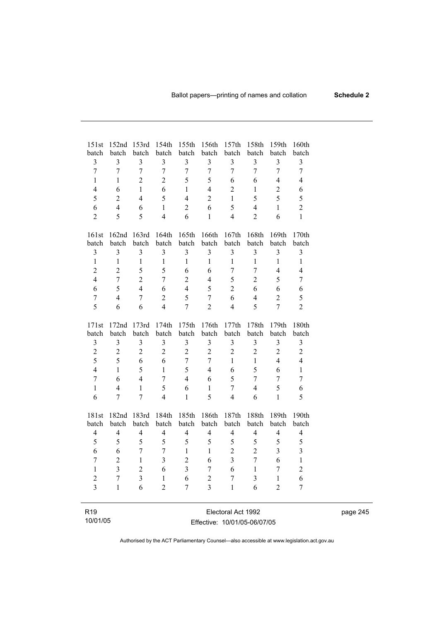| 151st                    | 152 <sub>nd</sub> | 153rd                   | 154th                    | 155th          | 156th                   | 157th                    | 158th          | 159th          | 160th                   |
|--------------------------|-------------------|-------------------------|--------------------------|----------------|-------------------------|--------------------------|----------------|----------------|-------------------------|
| batch                    | batch             | batch                   | batch                    | batch          | batch                   | batch                    | batch          | batch          | batch                   |
| 3                        | $\overline{3}$    | 3                       | 3                        | 3              | $\overline{\mathbf{3}}$ | $\mathfrak{Z}$           | 3              | 3              | 3                       |
| $\overline{7}$           | $\overline{7}$    | $\overline{7}$          | $\overline{7}$           | $\overline{7}$ | $\overline{7}$          | $\overline{7}$           | $\overline{7}$ | $\overline{7}$ | $\overline{7}$          |
| $\mathbf{1}$             | 1                 | $\overline{2}$          | $\overline{2}$           | 5              | 5                       | 6                        | 6              | $\overline{4}$ | $\overline{4}$          |
| $\overline{4}$           | 6                 | 1                       | 6                        | $\mathbf{1}$   | $\overline{4}$          | $\overline{2}$           | $\mathbf{1}$   | $\overline{2}$ | 6                       |
| 5                        | $\overline{2}$    | $\overline{4}$          | 5                        | 4              | $\overline{2}$          | $\mathbf{1}$             | 5              | 5              | 5                       |
| 6                        | $\overline{4}$    | 6                       | $\mathbf{1}$             | $\overline{2}$ | 6                       | 5                        | $\overline{4}$ | $\mathbf{1}$   | $\overline{c}$          |
| $\overline{2}$           | 5                 | 5                       | $\overline{4}$           | 6              | $\mathbf{1}$            | $\overline{4}$           | $\overline{2}$ | 6              | $\mathbf{1}$            |
| 161st                    | 162nd             | 163rd                   | 164th                    | 165th          | 166th                   | 167th                    | 168th          | 169th          | 170th                   |
| batch                    | batch             | batch                   | batch                    | batch          | batch                   | batch                    | batch          | batch          | batch                   |
| 3                        | $\mathfrak{Z}$    | 3                       | 3                        | 3              | 3                       | 3                        | $\overline{3}$ | $\mathfrak{Z}$ | 3                       |
| $\mathbf{1}$             | $\mathbf{1}$      | $\mathbf{1}$            | $\mathbf{1}$             | $\mathbf{1}$   | $\mathbf{1}$            | $\mathbf{1}$             | $\mathbf{1}$   | $\mathbf{1}$   | $\mathbf{1}$            |
| $\overline{2}$           | $\overline{2}$    | 5                       | 5                        | 6              | 6                       | $\overline{7}$           | $\overline{7}$ | 4              | $\overline{4}$          |
| $\overline{4}$           | $\overline{7}$    | $\overline{2}$          | $\tau$                   | $\overline{2}$ | $\overline{4}$          | 5                        | $\overline{2}$ | 5              | $\overline{7}$          |
| 6                        | 5                 | $\overline{4}$          | 6                        | $\overline{4}$ | 5                       | $\overline{2}$           | 6              | 6              | 6                       |
| $\overline{7}$           | $\overline{4}$    | $\overline{7}$          | $\overline{2}$           | 5              | $\overline{7}$          | 6                        | $\overline{4}$ | $\overline{2}$ | 5                       |
| 5                        | 6                 | 6                       | $\overline{4}$           | $\overline{7}$ | $\overline{2}$          | $\overline{4}$           | 5              | $\overline{7}$ | $\overline{2}$          |
| 171st                    | 172nd             | 173rd                   | 174th                    | 175th          | 176th                   | 177th                    | 178th          | 179th          | 180th                   |
| batch                    | batch             | batch                   | batch                    | batch          | batch                   | batch                    | batch          | batch          | batch                   |
| $\overline{3}$           | $\overline{3}$    | 3                       | $\overline{3}$           | 3              | $\overline{3}$          | $\overline{3}$           | $\overline{3}$ | 3              | $\overline{3}$          |
| $\overline{c}$           | $\overline{c}$    | $\overline{2}$          | $\overline{2}$           | $\overline{2}$ | $\overline{2}$          | $\overline{2}$           | $\overline{2}$ | $\overline{2}$ | $\overline{c}$          |
| 5                        | 5                 | 6                       | 6                        | $\overline{7}$ | $\overline{7}$          | $\mathbf{1}$             | $\mathbf{1}$   | $\overline{4}$ | $\overline{4}$          |
| $\overline{4}$           | $\mathbf{1}$      | 5                       | $\mathbf{1}$             | 5              | $\overline{4}$          | 6                        | 5              | 6              | $\mathbf{1}$            |
| $\overline{7}$           | 6                 | $\overline{4}$          | $\overline{7}$           | $\overline{4}$ | 6                       | 5                        | $\overline{7}$ | $\overline{7}$ | $\overline{7}$          |
| $\mathbf{1}$             | $\overline{4}$    | $\mathbf{1}$            | 5                        | 6              | $\mathbf{1}$            | $\overline{7}$           | $\overline{4}$ | 5              | 6                       |
| 6                        | $\overline{7}$    | 7                       | 4                        | 1              | 5                       | $\overline{4}$           | 6              | 1              | 5                       |
| 181st                    | 182nd             | 183rd                   | 184th                    | 185th          | 186th                   | 187th                    | 188th          | 189th          | 190th                   |
| batch                    | batch             | batch                   | batch                    | batch          | batch                   | batch                    | batch          | batch          | batch                   |
| $\overline{\mathcal{L}}$ | $\overline{4}$    | $\overline{4}$          | $\overline{\mathcal{L}}$ | $\overline{4}$ | $\overline{4}$          | $\overline{\mathcal{L}}$ | $\overline{4}$ | $\overline{4}$ | $\overline{4}$          |
| 5                        | 5                 | 5                       | 5                        | 5              | 5                       | 5                        | 5              | 5              | 5                       |
| 6                        | 6                 | $\overline{7}$          | $\overline{7}$           | $\mathbf{1}$   | $\mathbf{1}$            | $\overline{2}$           | $\overline{2}$ | $\overline{3}$ | $\overline{\mathbf{3}}$ |
| $\overline{7}$           | $\overline{2}$    | $\mathbf{1}$            | $\overline{3}$           | $\overline{2}$ | 6                       | $\overline{\mathbf{3}}$  | $\overline{7}$ | 6              | $\mathbf{1}$            |
| $\mathbf{1}$             | $\overline{3}$    | $\overline{2}$          | 6                        | $\overline{3}$ | $\overline{7}$          | 6                        | $\mathbf{1}$   | $\overline{7}$ | $\overline{c}$          |
| $\overline{2}$           | $\overline{7}$    | $\overline{\mathbf{3}}$ | 1                        | 6              | $\overline{c}$          | $\overline{7}$           | 3              | $\mathbf{1}$   | 6                       |
| $\overline{3}$           | $\mathbf{1}$      | 6                       | $\overline{2}$           | 7              | $\overline{3}$          | 1                        | 6              | $\overline{2}$ | $\overline{7}$          |
|                          |                   |                         |                          |                |                         |                          |                |                |                         |
| R <sub>19</sub>          |                   |                         |                          |                |                         | Electoral Act 1992       |                |                |                         |

#### Effective: 10/01/05-06/07/05

10/01/05

page 245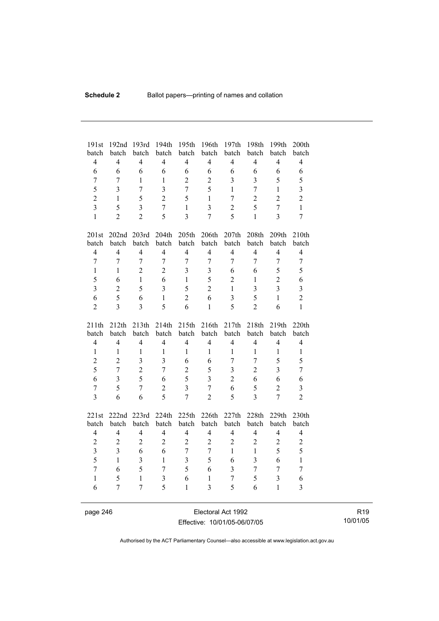| 191st            | 192nd          | 193rd          | 194th                   | 195th                   | 196th                   | 197th                   | 198th          | 199th            | 200th                   |
|------------------|----------------|----------------|-------------------------|-------------------------|-------------------------|-------------------------|----------------|------------------|-------------------------|
| batch            | batch          | batch          | batch                   | batch                   | batch                   | batch                   | batch          | batch            | batch                   |
| $\overline{4}$   | $\overline{4}$ | $\overline{4}$ | $\overline{4}$          | $\overline{4}$          | $\overline{4}$          | $\overline{4}$          | $\overline{4}$ | $\overline{4}$   | $\overline{4}$          |
| 6                | 6              | 6              | 6                       | 6                       | 6                       | 6                       | 6              | 6                | 6                       |
| $\tau$           | 7              | $\mathbf{1}$   | $\mathbf{1}$            | $\overline{c}$          | $\overline{2}$          | $\overline{3}$          | $\overline{3}$ | 5                | 5                       |
| 5                | $\overline{3}$ | $\overline{7}$ | $\overline{3}$          | $\overline{7}$          | 5                       | $\mathbf{1}$            | $\overline{7}$ | $\mathbf{1}$     | $\overline{\mathbf{3}}$ |
| $\overline{2}$   | $\mathbf{1}$   | 5              | $\overline{2}$          | 5                       | $\mathbf{1}$            | $\tau$                  | $\overline{2}$ | $\overline{2}$   | $\overline{c}$          |
| $\overline{3}$   | 5              | $\overline{3}$ | $\overline{7}$          | $\mathbf{1}$            | $\overline{\mathbf{3}}$ | $\overline{c}$          | 5              | $\overline{7}$   | $\mathbf{1}$            |
| $\mathbf{1}$     | $\overline{2}$ | $\overline{2}$ | 5                       | $\overline{3}$          | $\overline{7}$          | 5                       | $\mathbf{1}$   | $\overline{3}$   | $\boldsymbol{7}$        |
| 201st            |                | 202nd 203rd    | 204th                   | 205th                   | 206th                   | 207th                   | 208th          | 209th            | 210th                   |
| batch            | batch          | batch          | batch                   | batch                   | batch                   | batch                   | batch          | batch            | batch                   |
| $\overline{4}$   | $\overline{4}$ | $\overline{4}$ | $\overline{4}$          | $\overline{4}$          | $\overline{4}$          | $\overline{4}$          | $\overline{4}$ | $\overline{4}$   | $\overline{\mathbf{4}}$ |
| $\tau$           | $\overline{7}$ | $\overline{7}$ | $\overline{7}$          | $\overline{7}$          | $\overline{7}$          | 7                       | $\overline{7}$ | $\overline{7}$   | $\tau$                  |
| $\mathbf{1}$     | $\mathbf{1}$   | $\overline{2}$ | $\overline{2}$          | $\overline{3}$          | 3                       | 6                       | 6              | 5                | 5                       |
| 5                | 6              | $\mathbf{1}$   | 6                       | $\mathbf{1}$            | 5                       | $\overline{2}$          | $\mathbf{1}$   | $\overline{2}$   | 6                       |
| $\overline{3}$   | $\overline{2}$ | 5              | $\overline{3}$          | 5                       | $\overline{2}$          | $\mathbf{1}$            | $\overline{3}$ | $\overline{3}$   | $\overline{\mathbf{3}}$ |
| 6                | 5              | 6              | $\mathbf{1}$            | $\overline{2}$          | 6                       | $\overline{\mathbf{3}}$ | 5              | $\mathbf{1}$     | $\overline{2}$          |
| $\overline{2}$   | $\overline{3}$ | $\overline{3}$ | 5                       | 6                       | $\mathbf{1}$            | 5                       | $\overline{2}$ | 6                | $\mathbf{1}$            |
|                  |                |                |                         |                         |                         |                         |                |                  |                         |
| 211th            | 212th          | 213th          | 214th                   | 215th                   | 216th                   | 217th                   | 218th          | 219th            | 220th                   |
| batch            | batch          | batch          | batch                   | batch                   | batch                   | batch                   | batch          | batch            | batch                   |
| $\overline{4}$   | $\overline{4}$ | $\overline{4}$ | $\overline{4}$          | $\overline{4}$          | $\overline{4}$          | $\overline{4}$          | $\overline{4}$ | $\overline{4}$   | $\overline{4}$          |
| $\mathbf{1}$     | $\mathbf{1}$   | $\mathbf{1}$   | $\mathbf{1}$            | $\mathbf{1}$            | $\mathbf{1}$            | $\mathbf{1}$            | $\mathbf{1}$   | $\mathbf{1}$     | $\mathbf{1}$            |
| $\overline{c}$   | $\overline{2}$ | $\overline{3}$ | $\overline{3}$          | 6                       | 6                       | $\overline{7}$          | $\overline{7}$ | 5                | 5                       |
| 5                | $\overline{7}$ | $\overline{c}$ | $\overline{7}$          | $\overline{c}$          | 5                       | $\overline{3}$          | $\overline{2}$ | $\overline{3}$   | $\overline{7}$          |
| 6                | $\overline{3}$ | 5              | 6                       | 5                       | $\overline{3}$          | $\overline{c}$          | 6              | 6                | 6                       |
| $\boldsymbol{7}$ | 5              | $\overline{7}$ | $\overline{2}$          | $\overline{3}$          | $\overline{7}$          | 6                       | 5              | $\overline{2}$   | 3                       |
| $\overline{3}$   | 6              | 6              | 5                       | $\overline{7}$          | $\overline{2}$          | 5                       | $\overline{3}$ | $\overline{7}$   | $\overline{2}$          |
|                  | 222nd          |                |                         |                         |                         |                         | 228th          | 229th            | 230th                   |
| 221st<br>batch   | batch          | 223rd<br>batch | 224th<br>batch          | 225th<br>batch          | 226th<br>batch          | 227th<br>batch          | batch          | batch            | batch                   |
| $\overline{4}$   | $\overline{4}$ | $\overline{4}$ | $\overline{4}$          | $\overline{4}$          | $\overline{4}$          | $\overline{4}$          | $\overline{4}$ | $\overline{4}$   | $\overline{4}$          |
| $\overline{c}$   | $\overline{2}$ | $\overline{2}$ | $\overline{2}$          | $\overline{2}$          | $\overline{2}$          | $\overline{c}$          | $\overline{2}$ | $\overline{2}$   | $\overline{c}$          |
| $\overline{3}$   | $\overline{3}$ | 6              | 6                       | $\overline{7}$          | $\overline{7}$          | $\mathbf{1}$            | $\mathbf{1}$   | 5                | 5                       |
| 5                | $\mathbf{1}$   | $\overline{3}$ | $\mathbf{1}$            | $\overline{\mathbf{3}}$ | 5                       | 6                       | $\overline{3}$ | 6                | $\mathbf{1}$            |
| $\overline{7}$   | 6              | 5              | $\overline{7}$          | 5                       | 6                       | $\mathfrak{Z}$          | $\overline{7}$ | $\boldsymbol{7}$ | $\boldsymbol{7}$        |
| $\mathbf{1}$     | 5              | $\mathbf{1}$   | $\overline{\mathbf{3}}$ | 6                       | $\mathbf{1}$            | $\overline{7}$          | 5              | 3                | 6                       |
| 6                | $\overline{7}$ | $\overline{7}$ | 5                       | $\mathbf{1}$            | $\overline{3}$          | 5                       | 6              | $\mathbf{1}$     | $\overline{3}$          |

page 246 Electoral Act 1992 Effective: 10/01/05-06/07/05

R19 10/01/05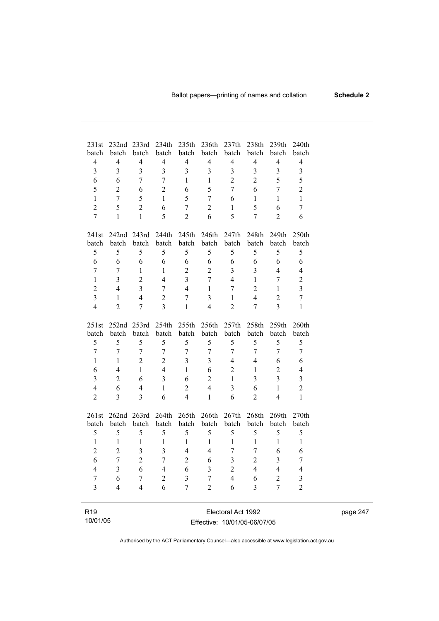| 231st<br>batch          | 232nd<br>batch           | 233rd<br>batch   | 234th<br>batch          | 235th<br>batch   | 236th<br>batch   | 237th<br>batch          | 238th<br>batch   | 239th<br>batch          | 240th<br>batch          |
|-------------------------|--------------------------|------------------|-------------------------|------------------|------------------|-------------------------|------------------|-------------------------|-------------------------|
| $\overline{4}$          | $\overline{4}$           | $\overline{4}$   | $\overline{4}$          | $\overline{4}$   | $\overline{4}$   | $\overline{4}$          | $\overline{4}$   | $\overline{4}$          | $\overline{4}$          |
| $\overline{3}$          | 3                        | 3                | $\overline{3}$          | 3                | $\overline{3}$   | $\overline{3}$          | 3                | $\overline{3}$          | $\mathfrak{Z}$          |
| 6                       | 6                        | $\overline{7}$   | $\overline{7}$          | $\mathbf{1}$     | 1                | $\overline{2}$          | $\overline{2}$   | 5                       | 5                       |
| 5                       | $\overline{2}$           | 6                | $\overline{2}$          | 6                | 5                | $\overline{7}$          | 6                | $\overline{7}$          | $\overline{2}$          |
| $\mathbf{1}$            | $\overline{7}$           | 5                | $\mathbf{1}$            | 5                | $\overline{7}$   | 6                       | $\mathbf{1}$     | $\mathbf{1}$            | $\mathbf{1}$            |
| $\overline{2}$          | 5                        | $\overline{2}$   | 6                       | $\overline{7}$   | $\overline{2}$   | $\mathbf{1}$            | 5                | 6                       | $\overline{7}$          |
| $\overline{7}$          | $\mathbf{1}$             | $\mathbf{1}$     | 5                       | $\overline{2}$   | 6                | 5                       | $\overline{7}$   | $\overline{2}$          | 6                       |
|                         |                          |                  |                         |                  |                  |                         |                  |                         |                         |
| 241st                   | 242nd                    | 243rd            | 244th                   | 245th            | 246th            | 247th                   | 248th            | 249th                   | 250th                   |
| batch                   | batch                    | batch            | batch                   | batch            | batch            | batch                   | batch            | batch                   | batch                   |
| 5                       | 5                        | 5                | 5                       | 5                | 5                | 5                       | 5                | 5                       | 5                       |
| 6                       | 6                        | 6                | 6                       | 6                | 6                | 6                       | 6                | 6                       | 6                       |
| $\overline{7}$          | $\overline{7}$           | 1                | $\mathbf{1}$            | $\boldsymbol{2}$ | $\overline{2}$   | $\overline{3}$          | $\overline{3}$   | $\overline{4}$          | $\overline{4}$          |
| $\mathbf{1}$            | $\overline{3}$           | $\overline{2}$   | $\overline{4}$          | $\overline{3}$   | $\overline{7}$   | $\overline{4}$          | $\mathbf{1}$     | $\overline{7}$          | $\overline{c}$          |
| $\overline{2}$          | $\overline{4}$           | $\overline{3}$   | $\overline{7}$          | $\overline{4}$   | $\mathbf{1}$     | $\boldsymbol{7}$        | $\overline{2}$   | $\mathbf{1}$            | $\overline{\mathbf{3}}$ |
| $\overline{3}$          | $\mathbf{1}$             | $\overline{4}$   | $\overline{2}$          | $\boldsymbol{7}$ | 3                | $\mathbf{1}$            | $\overline{4}$   | $\overline{2}$          | $\overline{7}$          |
| $\overline{4}$          | $\overline{2}$           | $\overline{7}$   | $\overline{3}$          | $\mathbf{1}$     | $\overline{4}$   | $\overline{2}$          | $\overline{7}$   | $\overline{3}$          | $\mathbf{1}$            |
| 251st                   | 252nd                    | 253rd            | 254th                   | 255th            | 256th            | 257th                   | 258th            | 259th                   | 260th                   |
| batch                   | batch                    | batch            | batch                   | batch            | batch            | batch                   | batch            | batch                   | batch                   |
| 5                       | 5                        | 5                | 5                       | 5                | 5                | 5                       | 5                | 5                       | 5                       |
| $\overline{7}$          | $\overline{7}$           | $\overline{7}$   | $\overline{7}$          | $\overline{7}$   | $\overline{7}$   | $\overline{7}$          | $\overline{7}$   | $\overline{7}$          | $\overline{7}$          |
| $\mathbf{1}$            | $\mathbf{1}$             | $\overline{2}$   | $\overline{2}$          | $\overline{3}$   | $\overline{3}$   | $\overline{4}$          | $\overline{4}$   | 6                       | 6                       |
| 6                       | $\overline{4}$           | $\mathbf{1}$     | $\overline{4}$          | $\mathbf{1}$     | 6                | $\overline{2}$          | $\mathbf{1}$     | $\overline{2}$          | $\overline{4}$          |
| $\overline{\mathbf{3}}$ | $\overline{2}$           | 6                | $\overline{\mathbf{3}}$ | 6                | $\overline{2}$   | $\mathbf{1}$            | $\overline{3}$   | $\overline{3}$          | $\overline{\mathbf{3}}$ |
| $\overline{4}$          | 6                        | $\overline{4}$   | $\,1$                   | $\overline{2}$   | $\overline{4}$   | $\overline{\mathbf{3}}$ | 6                | $\mathbf{1}$            | $\sqrt{2}$              |
| $\overline{2}$          | $\overline{3}$           | $\overline{3}$   | 6                       | $\overline{4}$   | $\mathbf{1}$     | 6                       | $\overline{2}$   | $\overline{4}$          | $\mathbf{1}$            |
| 261st                   | 262nd                    | 263rd            | 264th                   | 265th            | 266th            | 267th                   | 268th            | 269th                   | 270th                   |
| batch                   | batch                    | batch            | batch                   | batch            | batch            | batch                   | batch            | batch                   | batch                   |
| 5                       | 5                        | 5                | 5                       | 5                | 5                | 5                       | 5                | 5                       | 5                       |
| $\mathbf{1}$            | $\,1$                    | 1                | $\,1$                   | $\mathbf{1}$     | $\mathbf{1}$     | $\mathbf{1}$            | $\mathbf{1}$     | $\mathbf{1}$            | $\mathbf{1}$            |
| $\overline{2}$          | $\overline{2}$           | $\mathfrak{Z}$   | $\overline{\mathbf{3}}$ | $\overline{4}$   | $\overline{4}$   | $\overline{7}$          | $\boldsymbol{7}$ | 6                       | 6                       |
| 6                       | $\overline{7}$           | $\overline{2}$   | $\overline{7}$          | $\overline{2}$   | 6                | $\overline{3}$          | $\overline{2}$   | $\overline{\mathbf{3}}$ | $\overline{7}$          |
| $\overline{4}$          | $\overline{\mathbf{3}}$  | 6                | $\overline{4}$          | 6                | 3                | $\overline{2}$          | $\overline{4}$   | $\overline{4}$          | $\overline{4}$          |
| $\overline{7}$          | 6                        | $\boldsymbol{7}$ | $\overline{c}$          | $\mathfrak{Z}$   | $\boldsymbol{7}$ | $\overline{4}$          | 6                | $\overline{c}$          | $\mathfrak{Z}$          |
| $\overline{\mathbf{3}}$ | $\overline{\mathcal{L}}$ | $\overline{4}$   | 6                       | $\overline{7}$   | $\overline{2}$   | 6                       | $\mathfrak{Z}$   | $\overline{7}$          | $\sqrt{2}$              |
|                         |                          |                  |                         |                  |                  |                         |                  |                         |                         |
| R <sub>19</sub>         |                          |                  |                         |                  |                  | Electoral Act 1992      |                  |                         |                         |

10/01/05

i.

Electoral Act 1992 Effective: 10/01/05-06/07/05 page 247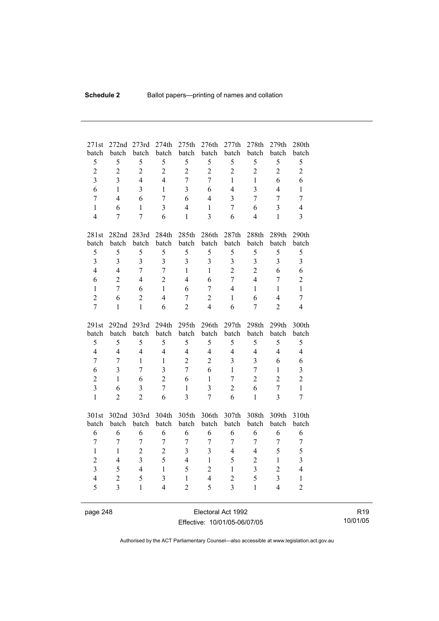| 271st<br>batch                 | 272nd<br>batch      | 273rd<br>batch                 | 274th<br>batch      | 275th<br>batch   | 276th<br>batch          | 277th<br>batch          | 278th<br>batch      | 279th<br>batch                 | 280th<br>batch          |
|--------------------------------|---------------------|--------------------------------|---------------------|------------------|-------------------------|-------------------------|---------------------|--------------------------------|-------------------------|
| 5                              | 5                   | 5                              | 5                   | 5                | 5                       | 5                       | 5                   | 5                              | 5                       |
| $\overline{c}$                 | $\overline{2}$      | $\overline{c}$                 | $\overline{2}$      | $\overline{c}$   | $\overline{2}$          | $\overline{2}$          | $\overline{2}$      | $\overline{2}$                 | $\overline{2}$          |
| $\overline{\mathbf{3}}$        | $\overline{3}$      | $\overline{4}$                 | $\overline{4}$      | $\overline{7}$   | $\overline{7}$          | $\mathbf{1}$            | $\mathbf{1}$        | 6                              | 6                       |
| 6                              | $\mathbf{1}$        | $\overline{\mathbf{3}}$        | $\mathbf{1}$        | $\overline{3}$   | 6                       | $\overline{4}$          | $\overline{3}$      | $\overline{4}$                 | $\mathbf{1}$            |
| $\overline{7}$                 | $\overline{4}$      | 6                              | $\overline{7}$      | 6                |                         | $\overline{3}$          | $\overline{7}$      | $\overline{7}$                 |                         |
|                                |                     |                                |                     | $\overline{4}$   | $\overline{4}$          |                         |                     |                                | $\overline{7}$          |
| $\mathbf{1}$<br>$\overline{4}$ | 6<br>$\overline{7}$ | $\mathbf{1}$<br>$\overline{7}$ | $\overline{3}$<br>6 | $\mathbf{1}$     | $\mathbf{1}$            | $\overline{7}$<br>6     | 6<br>$\overline{4}$ | $\overline{3}$<br>$\mathbf{1}$ | $\overline{4}$          |
|                                |                     |                                |                     |                  | 3                       |                         |                     |                                | 3                       |
| 281st                          |                     | 282nd 283rd                    | 284th               | 285th            | 286th                   | 287th                   | 288th               | 289th                          | 290th                   |
| batch                          | batch               | batch                          | batch               | batch            | batch                   | batch                   | batch               | batch                          | batch                   |
| 5                              | 5                   | 5                              | 5                   | 5                | 5                       | 5                       | 5                   | 5                              | 5                       |
| $\overline{3}$                 | $\overline{3}$      | $\overline{3}$                 | $\overline{3}$      | $\overline{3}$   | $\overline{3}$          | $\overline{\mathbf{3}}$ | 3                   | $\overline{3}$                 | $\overline{\mathbf{3}}$ |
| $\overline{4}$                 | $\overline{4}$      | $\overline{7}$                 | $\overline{7}$      | $\mathbf{1}$     | $\mathbf{1}$            | $\overline{2}$          | $\overline{2}$      | 6                              | 6                       |
| 6                              | $\overline{2}$      | $\overline{4}$                 | $\overline{2}$      | $\overline{4}$   | 6                       | $\overline{7}$          | $\overline{4}$      | $\overline{7}$                 | $\overline{c}$          |
| $\mathbf{1}$                   | $\overline{7}$      | 6                              | $\mathbf{1}$        | 6                | $\overline{7}$          | $\overline{4}$          | $\mathbf{1}$        | $\mathbf{1}$                   | $\mathbf{1}$            |
| $\overline{2}$                 | 6                   | $\overline{c}$                 | $\overline{4}$      | $\overline{7}$   | $\overline{c}$          | $\mathbf{1}$            | 6                   | $\overline{4}$                 | $\overline{7}$          |
| $\overline{7}$                 | $\mathbf{1}$        | $\mathbf{1}$                   | 6                   | $\overline{2}$   | $\overline{4}$          | 6                       | $\overline{7}$      | $\overline{2}$                 | 4                       |
|                                |                     |                                |                     |                  |                         |                         |                     |                                |                         |
|                                |                     |                                |                     |                  |                         |                         |                     |                                |                         |
| 291st                          | 292 <sub>nd</sub>   | 293rd                          | 294th               | 295th            | 296th                   | 297th                   | 298th               | 299th                          | 300th                   |
| batch                          | batch               | batch                          | batch               | batch            | batch                   | batch                   | batch               | batch                          | batch                   |
| 5                              | 5                   | 5                              | 5                   | 5                | 5                       | 5                       | 5                   | 5                              | 5                       |
| $\overline{4}$                 | $\overline{4}$      | $\overline{4}$                 | $\overline{4}$      | $\overline{4}$   | $\overline{4}$          | $\overline{4}$          | $\overline{4}$      | $\overline{4}$                 | $\overline{4}$          |
| $\overline{7}$                 | 7                   | $\mathbf{1}$                   | $\mathbf{1}$        | $\overline{2}$   | $\overline{2}$          | $\overline{3}$          | 3                   | 6                              | 6                       |
| 6                              | $\overline{3}$      | $\overline{7}$                 | $\overline{3}$      | $\overline{7}$   | 6                       | $\mathbf{1}$            | $\overline{7}$      | $\mathbf{1}$                   | $\overline{\mathbf{3}}$ |
| $\overline{2}$                 | $\mathbf{1}$        | 6                              | $\overline{2}$      | 6                | $\mathbf{1}$            | 7                       | $\overline{2}$      | $\overline{2}$                 | $\overline{2}$          |
| $\overline{3}$                 | 6                   | 3                              | $\overline{7}$      | $\mathbf{1}$     | $\overline{\mathbf{3}}$ | $\overline{2}$          | 6                   | $\overline{7}$                 | $\mathbf{1}$            |
| $\mathbf{1}$                   | $\overline{2}$      | $\overline{2}$                 | 6                   | $\overline{3}$   | $\overline{7}$          | 6                       | $\mathbf{1}$        | $\overline{3}$                 | $\boldsymbol{7}$        |
|                                |                     |                                |                     |                  |                         |                         |                     |                                |                         |
| 301st                          | 302nd 303rd         |                                | 304th               | 305th            | 306th                   | 307th                   | 308th               | 309th                          | 310th                   |
| batch                          | batch               | batch                          | batch               | batch            | batch                   | batch                   | batch               | batch                          | batch                   |
| 6                              | 6                   | 6                              | 6                   | 6                | 6                       | 6                       | 6                   | 6                              | 6                       |
| $\boldsymbol{7}$               | $\tau$              | $\overline{7}$                 | $\tau$              | $\boldsymbol{7}$ | $\boldsymbol{7}$        | 7                       | $\overline{7}$      | $\tau$                         | $\tau$                  |
| $\mathbf{1}$                   | $\mathbf{1}$        | $\overline{2}$                 | $\overline{2}$      | $\overline{3}$   | 3                       | $\overline{4}$          | $\overline{4}$      | 5                              | 5                       |
| $\overline{2}$                 | $\overline{4}$      | $\overline{3}$                 | 5                   | $\overline{4}$   | $\mathbf{1}$            | 5                       | $\overline{2}$      | $\mathbf{1}$                   | $\overline{\mathbf{3}}$ |
| $\overline{\mathbf{3}}$        | 5                   | $\overline{4}$                 | $\mathbf{1}$        | 5                | $\overline{2}$          | $\mathbf{1}$            | $\overline{3}$      | $\overline{2}$                 | $\overline{4}$          |
| $\overline{4}$                 | $\overline{2}$      | 5                              | $\overline{3}$      | $\mathbf{1}$     | $\overline{4}$          | $\overline{c}$          | 5                   | 3                              | $\mathbf{1}$            |
| 5                              | $\overline{3}$      | $\mathbf{1}$                   | $\overline{4}$      | $\overline{2}$   | 5                       | $\overline{3}$          | $\mathbf{1}$        | $\overline{4}$                 | $\overline{2}$          |

page 248 Electoral Act 1992 Effective: 10/01/05-06/07/05

R19 10/01/05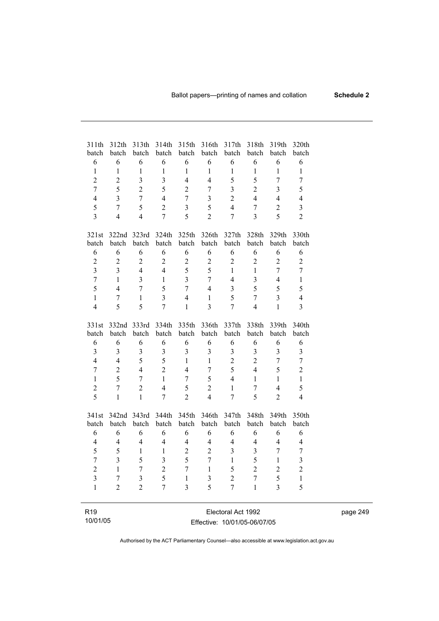| 311th<br>batch                   | 312th<br>batch                   | 313th<br>batch          | 314th<br>batch          | 315th<br>batch                 | 316th<br>batch          | 317th<br>batch               | 318th<br>batch          | 319th<br>batch      | 320th<br>batch          |
|----------------------------------|----------------------------------|-------------------------|-------------------------|--------------------------------|-------------------------|------------------------------|-------------------------|---------------------|-------------------------|
| 6                                | 6                                | 6                       | 6                       | 6                              | 6                       | 6                            | 6                       | 6                   | 6                       |
| $\mathbf{1}$                     | $\mathbf{1}$                     | $\mathbf{1}$            | $\mathbf{1}$            | $\mathbf{1}$                   | $\mathbf{1}$            | $\mathbf{1}$                 | $\mathbf{1}$            | $\mathbf{1}$        | $\mathbf{1}$            |
| $\overline{2}$                   | $\overline{2}$                   | $\overline{3}$          | $\overline{3}$          | $\overline{4}$                 | $\overline{4}$          | 5                            | 5                       | $\overline{7}$      | $\overline{7}$          |
| $\overline{7}$                   | 5                                | $\overline{2}$          | 5                       | $\overline{2}$                 | 7                       | $\overline{3}$               | $\overline{2}$          | $\overline{3}$      | 5                       |
| $\overline{4}$                   | $\overline{3}$                   | $\overline{7}$          | $\overline{4}$          | $\overline{7}$                 | 3                       | $\overline{2}$               | $\overline{4}$          | $\overline{4}$      | $\overline{4}$          |
| 5                                | $\overline{7}$                   | 5                       | $\overline{2}$          | $\overline{3}$                 | 5                       | $\overline{4}$               | $\overline{7}$          | $\overline{c}$      | $\overline{\mathbf{3}}$ |
| $\overline{3}$                   | $\overline{4}$                   | $\overline{4}$          | $\overline{7}$          | 5                              | $\overline{2}$          | $\overline{7}$               | $\overline{3}$          | 5                   | $\overline{2}$          |
|                                  |                                  |                         |                         |                                |                         |                              |                         |                     |                         |
| 321st                            | 322nd                            | 323rd                   | 324th                   | 325th                          | 326th                   | 327th                        | 328th                   | 329th               | 330th                   |
| batch                            | batch                            | batch                   | batch                   | batch                          | batch                   | batch                        | batch                   | batch               | batch                   |
| 6                                | 6                                | 6                       | 6                       | 6                              | 6                       | 6                            | 6                       | 6                   | 6                       |
| $\overline{2}$                   | $\overline{2}$                   | $\overline{2}$          | $\overline{2}$          | $\overline{2}$                 | $\overline{2}$          | $\overline{2}$               | $\overline{2}$          | $\overline{2}$      | $\overline{2}$          |
| $\overline{\mathbf{3}}$          | $\overline{3}$                   | $\overline{4}$          | $\overline{4}$          | 5                              | 5                       | $\mathbf{1}$                 | $\mathbf{1}$            | $\overline{7}$      | $\overline{7}$          |
| $\overline{7}$                   | $\mathbf{1}$                     | $\overline{3}$          | $\mathbf{1}$            | $\overline{3}$                 | $\overline{7}$          | $\overline{4}$               | $\overline{3}$          | $\overline{4}$      | $\mathbf{1}$            |
| 5                                | $\overline{4}$                   | $\overline{7}$          | 5                       | $\overline{7}$                 | $\overline{4}$          | $\overline{3}$               | 5                       | 5                   | 5                       |
| $\mathbf{1}$                     | $\overline{7}$                   | $\mathbf{1}$            | $\overline{3}$          | $\overline{4}$                 | $\mathbf{1}$            | 5                            | $\overline{7}$          | $\overline{3}$      | $\overline{4}$          |
| $\overline{4}$                   | 5                                | 5                       | $\overline{7}$          | $\mathbf{1}$                   | $\overline{3}$          | $\overline{7}$               | $\overline{4}$          | $\mathbf{1}$        | $\overline{3}$          |
|                                  |                                  |                         |                         |                                |                         |                              |                         |                     |                         |
| 331st                            | 332nd                            | 333rd                   | 334th                   | 335th                          | 336th                   | 337th                        | 338th                   | 339th               | 340th                   |
| batch                            | batch                            | batch                   | batch                   | batch                          | batch                   | batch                        | batch                   | batch               | batch                   |
| 6                                | 6                                | 6                       | 6<br>$\overline{3}$     | 6<br>$\overline{3}$            | 6                       | 6<br>$\overline{\mathbf{3}}$ | 6                       | 6                   | 6                       |
| $\overline{3}$<br>$\overline{4}$ | $\overline{3}$<br>$\overline{4}$ | 3<br>5                  | 5                       |                                | 3                       | $\overline{2}$               | 3<br>$\overline{2}$     | 3                   | $\overline{\mathbf{3}}$ |
|                                  |                                  | $\overline{4}$          | $\overline{2}$          | $\mathbf{1}$<br>$\overline{4}$ | $\mathbf{1}$            | 5                            | $\overline{4}$          | $\overline{7}$<br>5 | $\overline{7}$          |
| $\overline{7}$                   | $\overline{2}$                   |                         |                         |                                | $\overline{7}$          | $\overline{4}$               |                         |                     | $\overline{2}$          |
| $\mathbf{1}$                     | 5                                | $\overline{7}$          | $\mathbf{1}$            | $\overline{7}$                 | 5                       |                              | $\mathbf{1}$            | $\mathbf{1}$        | $\mathbf{1}$            |
| $\overline{c}$                   | $\overline{7}$                   | $\overline{2}$          | $\overline{4}$          | 5                              | $\overline{2}$          | 1                            | 7                       | $\overline{4}$      | 5                       |
| $\overline{5}$                   | $\mathbf{1}$                     | $\mathbf{1}$            | $\overline{7}$          | $\overline{2}$                 | $\overline{\mathbf{4}}$ | $\overline{7}$               | $\overline{5}$          | $\overline{2}$      | $\overline{4}$          |
| 341st                            | 342nd                            | 343rd                   | 344th                   | 345th                          | 346th                   | 347th                        | 348th                   | 349th               | 350th                   |
| batch                            | batch                            | batch                   | batch                   | batch                          | batch                   | batch                        | batch                   | batch               | batch                   |
| 6                                | 6                                | 6                       | 6                       | 6                              | 6                       | 6                            | 6                       | 6                   | 6                       |
| $\overline{4}$                   | $\overline{4}$                   | $\overline{4}$          | $\overline{4}$          | $\overline{4}$                 | $\overline{4}$          | $\overline{4}$               | $\overline{4}$          | 4                   | $\overline{4}$          |
| 5                                | 5                                | $\mathbf{1}$            | $\mathbf{1}$            | $\overline{2}$                 | $\overline{2}$          | $\overline{\mathbf{3}}$      | $\overline{\mathbf{3}}$ | $\overline{7}$      | $\sqrt{ }$              |
| $\overline{7}$                   | $\overline{3}$                   | 5                       | $\overline{\mathbf{3}}$ | 5                              | $\overline{7}$          | $\mathbf{1}$                 | 5                       | $\mathbf{1}$        | $\overline{\mathbf{3}}$ |
| $\overline{2}$                   | $\mathbf{1}$                     | $\boldsymbol{7}$        | $\overline{c}$          | $\overline{7}$                 | $\mathbf{1}$            | 5                            | $\overline{2}$          | $\overline{2}$      | $\overline{c}$          |
| $\overline{\mathbf{3}}$          | $\overline{7}$                   | $\overline{\mathbf{3}}$ | 5                       | $\mathbf{1}$                   | 3                       | $\overline{2}$               | $\overline{7}$          | 5                   | $\,1$                   |
| $\mathbf{1}$                     | $\overline{2}$                   | $\overline{2}$          | $\overline{7}$          | $\overline{3}$                 | 5                       | $\overline{7}$               | $\mathbf{1}$            | $\overline{3}$      | 5                       |
|                                  |                                  |                         |                         |                                |                         |                              |                         |                     |                         |
| R <sub>19</sub>                  |                                  |                         |                         |                                |                         | Electoral Act 1992           |                         |                     |                         |

10/01/05

Electoral Act 1992 Effective: 10/01/05-06/07/05 page 249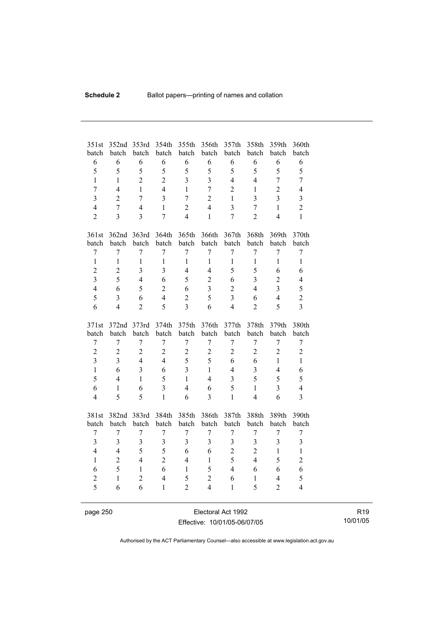| 351st<br>batch   | 352nd<br>batch          | 353rd<br>batch          | 354th<br>batch | 355th<br>batch   | 356th<br>batch   | 357th<br>batch          | 358th<br>batch | 359th<br>batch | 360th<br>batch          |
|------------------|-------------------------|-------------------------|----------------|------------------|------------------|-------------------------|----------------|----------------|-------------------------|
| 6                | 6                       | 6                       | 6              | 6                | 6                | 6                       | 6              | 6              | 6                       |
| 5                | 5                       | 5                       | 5              | 5                | 5                | 5                       | 5              | 5              | 5                       |
| $\mathbf{1}$     | $\mathbf{1}$            | $\overline{2}$          | $\overline{2}$ | $\overline{3}$   | $\overline{3}$   | $\overline{4}$          | $\overline{4}$ | $\overline{7}$ | $\overline{7}$          |
| $\overline{7}$   | $\overline{4}$          | $\mathbf{1}$            | $\overline{4}$ | $\mathbf{1}$     | $\overline{7}$   | $\overline{2}$          | $\mathbf{1}$   | $\overline{2}$ | $\overline{4}$          |
| $\overline{3}$   | $\overline{2}$          | 7                       | 3              | $\overline{7}$   | $\overline{2}$   | $\mathbf{1}$            | 3              | $\overline{3}$ | 3                       |
| $\overline{4}$   | $\overline{7}$          | $\overline{4}$          | $\mathbf{1}$   | $\overline{2}$   | $\overline{4}$   | $\overline{3}$          | $\overline{7}$ | $\mathbf{1}$   | $\overline{2}$          |
| $\overline{2}$   | $\overline{3}$          | $\overline{3}$          | $\overline{7}$ | $\overline{4}$   | $\mathbf{1}$     | $\overline{7}$          | $\overline{2}$ | $\overline{4}$ | $\mathbf{1}$            |
|                  |                         |                         |                |                  |                  |                         |                |                |                         |
| 361st            |                         | 362nd 363rd             | 364th          | 365th            | 366th            | 367th                   | 368th          | 369th          | 370th                   |
| batch            | batch                   | batch                   | batch          | batch            | batch            | batch                   | batch          | batch          | batch                   |
| $\overline{7}$   | $\overline{7}$          | $\overline{7}$          | $\overline{7}$ | $\overline{7}$   | $\overline{7}$   | $\overline{7}$          | $\overline{7}$ | $\overline{7}$ | $\overline{7}$          |
| $\mathbf{1}$     | $\mathbf{1}$            | $\mathbf{1}$            | $\mathbf{1}$   | $\mathbf{1}$     | $\mathbf{1}$     | $\mathbf{1}$            | $\mathbf{1}$   | $\mathbf{1}$   | $\mathbf{1}$            |
| $\overline{2}$   | $\overline{2}$          | $\overline{3}$          | 3              | $\overline{4}$   | $\overline{4}$   | 5                       | 5              | 6              | 6                       |
| $\overline{3}$   | 5                       | $\overline{4}$          | 6              | 5                | $\overline{2}$   | 6                       | $\overline{3}$ | $\overline{2}$ | 4                       |
| $\overline{4}$   | 6                       | 5                       | $\overline{2}$ | 6                | 3                | $\overline{2}$          | $\overline{4}$ | $\overline{3}$ | 5                       |
| 5                | $\overline{3}$          | 6                       | $\overline{4}$ | $\overline{2}$   | 5                | $\overline{3}$          | 6              | $\overline{4}$ | $\overline{c}$          |
| 6                | $\overline{4}$          | $\overline{2}$          | 5              | 3                | 6                | $\overline{4}$          | $\overline{2}$ | 5              | $\overline{3}$          |
|                  |                         |                         |                |                  |                  |                         |                |                |                         |
|                  |                         |                         |                |                  |                  |                         |                |                |                         |
| 371st            | 372nd                   | 373rd                   | 374th          | 375th            | 376th            | 377th                   | 378th          | 379th          | 380th                   |
| batch            | batch                   | batch                   | batch          | batch            | batch            | batch                   | batch          | batch          | batch                   |
| $\boldsymbol{7}$ | $\overline{7}$          | $\overline{7}$          | 7              | $\boldsymbol{7}$ | $\boldsymbol{7}$ | $\boldsymbol{7}$        | 7              | $\overline{7}$ | $\overline{7}$          |
| $\boldsymbol{2}$ | $\overline{2}$          | $\overline{c}$          | $\overline{2}$ | $\boldsymbol{2}$ | $\overline{2}$   | $\overline{2}$          | $\overline{2}$ | $\overline{2}$ | $\overline{c}$          |
| $\overline{3}$   | $\overline{3}$          | $\overline{4}$          | $\overline{4}$ | 5                | 5                | 6                       | 6              | $\mathbf{1}$   | $\mathbf{1}$            |
| $\mathbf{1}$     | 6                       | $\overline{\mathbf{3}}$ | 6              | $\overline{3}$   | $\mathbf{1}$     | $\overline{4}$          | 3              | $\overline{4}$ | 6                       |
| 5                | $\overline{4}$          | $\mathbf{1}$            | 5              | $\mathbf{1}$     | $\overline{4}$   | $\overline{\mathbf{3}}$ | 5              | 5              | 5                       |
| 6                | $\mathbf{1}$            | 6                       | $\overline{3}$ | $\overline{4}$   | 6                | 5                       | $\mathbf{1}$   | $\overline{3}$ | $\overline{4}$          |
| $\overline{4}$   | 5                       | 5                       | $\mathbf{1}$   | 6                | $\overline{3}$   | $\mathbf{1}$            | $\overline{4}$ | 6              | $\overline{\mathbf{3}}$ |
|                  |                         |                         |                |                  |                  |                         |                |                |                         |
| 381st            | 382nd                   | 383rd                   | 384th          | 385th            | 386th            | 387th                   | 388th          | 389th          | 390th                   |
| batch            | batch                   | batch                   | batch          | batch            | batch            | batch                   | batch          | batch          | batch                   |
| 7                | 7                       | 7                       | $\overline{7}$ | 7                | 7                | $\boldsymbol{7}$        | $\sqrt{ }$     | 7              | 7                       |
| $\overline{3}$   | $\overline{3}$          | $\overline{\mathbf{3}}$ | $\overline{3}$ | $\overline{3}$   | $\overline{3}$   | $\overline{3}$          | 3              | $\overline{3}$ | $\overline{\mathbf{3}}$ |
| $\overline{4}$   | $\overline{\mathbf{4}}$ | 5                       | 5              | 6                | 6                | $\overline{2}$          | $\overline{2}$ | $\mathbf{1}$   | $\mathbf{1}$            |
| $\mathbf{1}$     | $\overline{2}$          | $\overline{4}$          | $\overline{2}$ | $\overline{4}$   | $\mathbf{1}$     | 5                       | $\overline{4}$ | 5              | $\overline{c}$          |
| 6                | 5                       | $\mathbf{1}$            | 6              | $\mathbf{1}$     | 5                | $\overline{4}$          | 6              | 6              | 6                       |
| $\overline{c}$   | $\mathbf{1}$            | $\overline{2}$          | $\overline{4}$ | 5                | $\overline{2}$   | 6                       | $\mathbf{1}$   | $\overline{4}$ | 5                       |
| 5                | 6                       | 6                       | $\mathbf{1}$   | $\overline{2}$   | $\overline{4}$   | $\mathbf{1}$            | 5              | $\overline{2}$ | $\overline{4}$          |

page 250 **Electoral Act 1992** Effective: 10/01/05-06/07/05

R19 10/01/05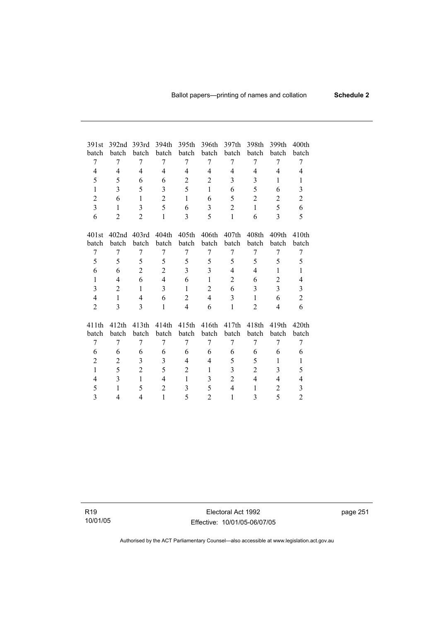| 391st          | 392 <sub>nd</sub> | 393rd             | 394th          | 395th          | 396th          | 397th          | 398th             | 399th             | 400 <sub>th</sub>       |
|----------------|-------------------|-------------------|----------------|----------------|----------------|----------------|-------------------|-------------------|-------------------------|
| batch          | batch             | batch             | batch          | batch          | batch          | batch          | batch             | batch             | batch                   |
| 7              | 7                 | 7                 | 7              | 7              | 7              | 7              | 7                 | 7                 | 7                       |
| $\overline{4}$ | 4                 | $\overline{4}$    | $\overline{4}$ | 4              | $\overline{4}$ | $\overline{4}$ | $\overline{4}$    | $\overline{4}$    | 4                       |
| 5              | 5                 | 6                 | 6              | $\overline{2}$ | $\overline{2}$ | 3              | 3                 | 1                 | $\mathbf{1}$            |
| $\mathbf{1}$   | 3                 | 5                 | 3              | 5              | $\mathbf{1}$   | 6              | 5                 | 6                 | $\mathfrak{Z}$          |
| $\overline{2}$ | 6                 | $\mathbf{1}$      | $\overline{2}$ | $\mathbf{1}$   | 6              | 5              | $\overline{2}$    | $\overline{2}$    | $\overline{2}$          |
| 3              | $\mathbf{1}$      | 3                 | 5              | 6              | 3              | 2              | 1                 | 5                 | 6                       |
| 6              | $\overline{2}$    | $\overline{2}$    | $\mathbf{1}$   | 3              | 5              | 1              | 6                 | $\mathcal{E}$     | 5                       |
|                |                   |                   |                |                |                |                |                   |                   |                         |
| 401st          | 402 <sub>nd</sub> | 403rd             | 404th          | 405th          | 406th          | 407th          | 408 <sub>th</sub> | 409 <sub>th</sub> | 410 <sub>th</sub>       |
| batch          | batch             | batch             | batch          | batch          | batch          | batch          | batch             | batch             | batch                   |
| 7              | 7                 | 7                 | 7              | 7              | 7              | 7              | 7                 | 7                 | 7                       |
| 5              | 5                 | 5                 | 5              | 5              | 5              | 5              | 5                 | 5                 | 5                       |
| 6              | 6                 | $\overline{2}$    | $\overline{2}$ | 3              | 3              | $\overline{4}$ | $\overline{4}$    | 1                 | 1                       |
| $\mathbf{1}$   | 4                 | 6                 | $\overline{4}$ | 6              | $\mathbf{1}$   | $\overline{2}$ | 6                 | $\overline{2}$    | 4                       |
| $\overline{3}$ | $\overline{2}$    | $\mathbf{1}$      | $\overline{3}$ | $\mathbf{1}$   | $\overline{2}$ | 6              | 3                 | $\overline{3}$    | $\overline{\mathbf{3}}$ |
| $\overline{4}$ | $\mathbf{1}$      | $\overline{4}$    | 6              | $\overline{2}$ | $\overline{4}$ | 3              | $\mathbf{1}$      | 6                 | $\overline{2}$          |
| $\overline{2}$ | 3                 | 3                 | $\mathbf{1}$   | $\overline{4}$ | 6              | 1              | $\overline{2}$    | 4                 | 6                       |
|                |                   |                   |                |                |                |                |                   |                   |                         |
| 411th          | 412 <sub>th</sub> | 413 <sub>th</sub> | 414th          | 415th          | 416th          | 417th          | 418th             | 419th             | 420 <sub>th</sub>       |
| batch          | batch             | batch             | batch          | batch          | batch          | batch          | batch             | batch             | batch                   |
| 7              | 7                 | 7                 | 7              | 7              | 7              | 7              | 7                 | 7                 | 7                       |
| 6              | 6                 | 6                 | 6              | 6              | 6              | 6              | 6                 | 6                 | 6                       |
| $\overline{2}$ | $\overline{c}$    | 3                 | 3              | $\overline{4}$ | $\overline{4}$ | 5              | 5                 | 1                 | 1                       |
| $\mathbf{1}$   | 5                 | $\overline{2}$    | 5              | 2              | $\mathbf{1}$   | 3              | $\overline{c}$    | 3                 | 5                       |
| 4              | 3                 | 1                 | 4              | 1              | 3              | $\overline{2}$ | $\overline{4}$    | 4                 | 4                       |
| 5              | $\mathbf{1}$      | 5                 | $\overline{2}$ | 3              | 5              | $\overline{4}$ | $\mathbf{1}$      | $\overline{2}$    | 3                       |
| 3              | 4                 | 4                 | $\mathbf{1}$   | 5              | $\overline{2}$ | 1              | 3                 | 5                 | $\overline{2}$          |

R19 10/01/05

Electoral Act 1992 Effective: 10/01/05-06/07/05 page 251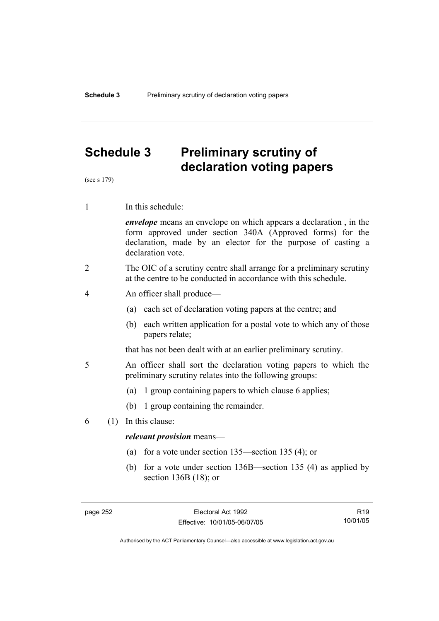## **Schedule 3 Preliminary scrutiny of declaration voting papers**

(see s 179)

1 In this schedule:

*envelope* means an envelope on which appears a declaration , in the form approved under section 340A (Approved forms) for the declaration, made by an elector for the purpose of casting a declaration vote.

- 2 The OIC of a scrutiny centre shall arrange for a preliminary scrutiny at the centre to be conducted in accordance with this schedule.
- 4 An officer shall produce—
	- (a) each set of declaration voting papers at the centre; and
	- (b) each written application for a postal vote to which any of those papers relate;

that has not been dealt with at an earlier preliminary scrutiny.

- 5 An officer shall sort the declaration voting papers to which the preliminary scrutiny relates into the following groups:
	- (a) 1 group containing papers to which clause 6 applies;
	- (b) 1 group containing the remainder.
- 6 (1) In this clause:

#### *relevant provision* means—

- (a) for a vote under section 135—section 135 (4); or
- (b) for a vote under section 136B—section 135 (4) as applied by section 136B (18); or

R19 10/01/05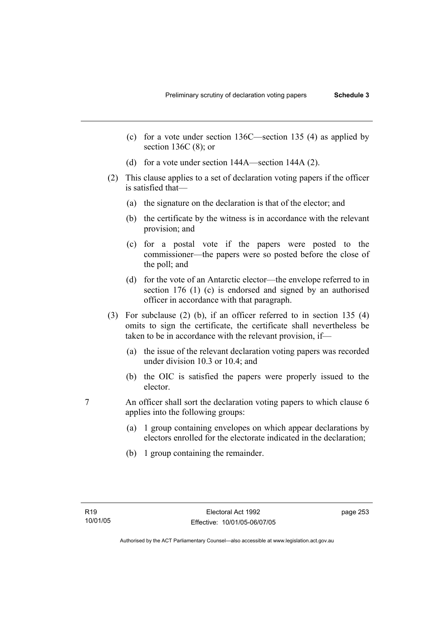- (c) for a vote under section 136C—section 135 (4) as applied by section 136C (8); or
- (d) for a vote under section 144A—section 144A (2).
- (2) This clause applies to a set of declaration voting papers if the officer is satisfied that—
	- (a) the signature on the declaration is that of the elector; and
	- (b) the certificate by the witness is in accordance with the relevant provision; and
	- (c) for a postal vote if the papers were posted to the commissioner—the papers were so posted before the close of the poll; and
	- (d) for the vote of an Antarctic elector—the envelope referred to in section 176 (1) (c) is endorsed and signed by an authorised officer in accordance with that paragraph.
- (3) For subclause (2) (b), if an officer referred to in section 135 (4) omits to sign the certificate, the certificate shall nevertheless be taken to be in accordance with the relevant provision, if—
	- (a) the issue of the relevant declaration voting papers was recorded under division 10.3 or 10.4; and
	- (b) the OIC is satisfied the papers were properly issued to the elector.
- 7 An officer shall sort the declaration voting papers to which clause 6 applies into the following groups:
	- (a) 1 group containing envelopes on which appear declarations by electors enrolled for the electorate indicated in the declaration;
	- (b) 1 group containing the remainder.

page 253

Authorised by the ACT Parliamentary Counsel—also accessible at www.legislation.act.gov.au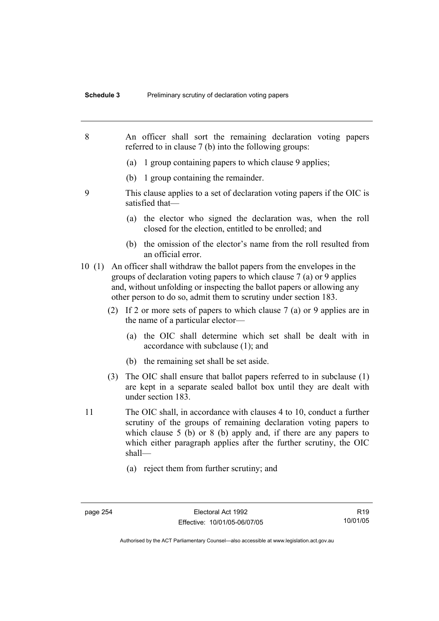- 8 An officer shall sort the remaining declaration voting papers referred to in clause 7 (b) into the following groups: (a) 1 group containing papers to which clause 9 applies; (b) 1 group containing the remainder. 9 This clause applies to a set of declaration voting papers if the OIC is satisfied that— (a) the elector who signed the declaration was, when the roll closed for the election, entitled to be enrolled; and (b) the omission of the elector's name from the roll resulted from an official error. 10 (1) An officer shall withdraw the ballot papers from the envelopes in the groups of declaration voting papers to which clause 7 (a) or 9 applies and, without unfolding or inspecting the ballot papers or allowing any other person to do so, admit them to scrutiny under section 183. (2) If 2 or more sets of papers to which clause 7 (a) or 9 applies are in the name of a particular elector— (a) the OIC shall determine which set shall be dealt with in accordance with subclause (1); and (b) the remaining set shall be set aside. (3) The OIC shall ensure that ballot papers referred to in subclause (1) are kept in a separate sealed ballot box until they are dealt with under section 183. 11 The OIC shall, in accordance with clauses 4 to 10, conduct a further scrutiny of the groups of remaining declaration voting papers to which clause 5 (b) or 8 (b) apply and, if there are any papers to which either paragraph applies after the further scrutiny, the OIC shall— (a) reject them from further scrutiny; and
	-

R19 10/01/05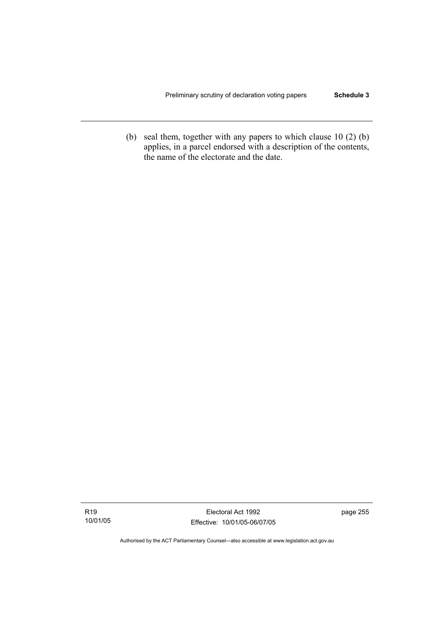(b) seal them, together with any papers to which clause 10 (2) (b) applies, in a parcel endorsed with a description of the contents, the name of the electorate and the date.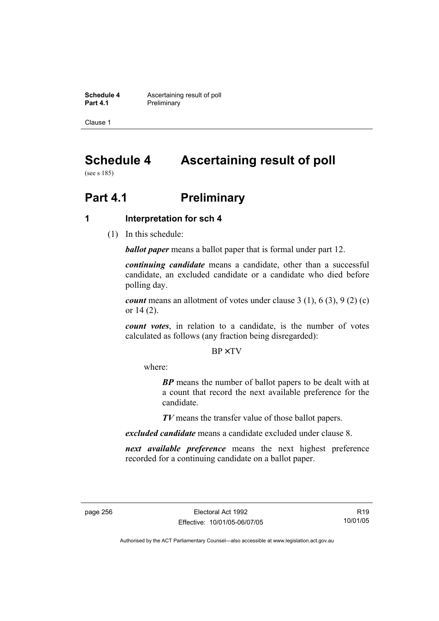**Schedule 4 Ascertaining result of poll**<br>**Part 4.1 Preliminary Preliminary** 

Clause 1

# **Schedule 4 Ascertaining result of poll**

(see s 185)

# **Part 4.1** Preliminary

### **1 Interpretation for sch 4**

(1) In this schedule:

*ballot paper* means a ballot paper that is formal under part 12.

*continuing candidate* means a candidate, other than a successful candidate, an excluded candidate or a candidate who died before polling day.

*count* means an allotment of votes under clause 3 (1), 6 (3), 9 (2) (c) or 14 (2).

*count votes*, in relation to a candidate, is the number of votes calculated as follows (any fraction being disregarded):

BP× TV

where:

*BP* means the number of ballot papers to be dealt with at a count that record the next available preference for the candidate.

*TV* means the transfer value of those ballot papers.

*excluded candidate* means a candidate excluded under clause 8.

*next available preference* means the next highest preference recorded for a continuing candidate on a ballot paper.

R19 10/01/05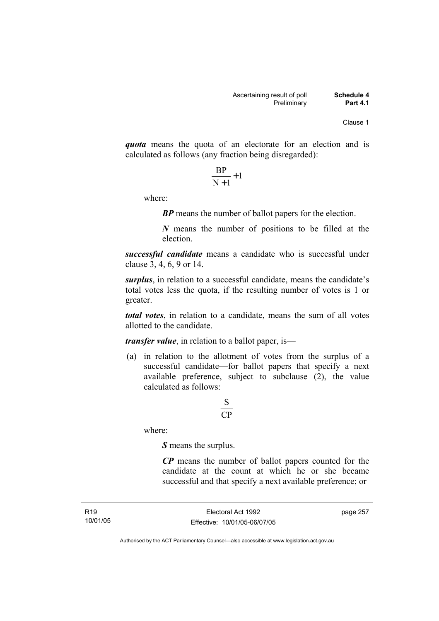*quota* means the quota of an electorate for an election and is calculated as follows (any fraction being disregarded):

$$
\frac{\text{BP}}{\text{N}+1}+1
$$

where:

*BP* means the number of ballot papers for the election.

*N* means the number of positions to be filled at the election.

*successful candidate* means a candidate who is successful under clause 3, 4, 6, 9 or 14.

*surplus*, in relation to a successful candidate, means the candidate's total votes less the quota, if the resulting number of votes is 1 or greater.

*total votes*, in relation to a candidate, means the sum of all votes allotted to the candidate.

*transfer value*, in relation to a ballot paper, is—

 (a) in relation to the allotment of votes from the surplus of a successful candidate—for ballot papers that specify a next available preference, subject to subclause  $(2)$ , the value calculated as follows:

## CP S

where:

*S* means the surplus.

*CP* means the number of ballot papers counted for the candidate at the count at which he or she became successful and that specify a next available preference; or

page 257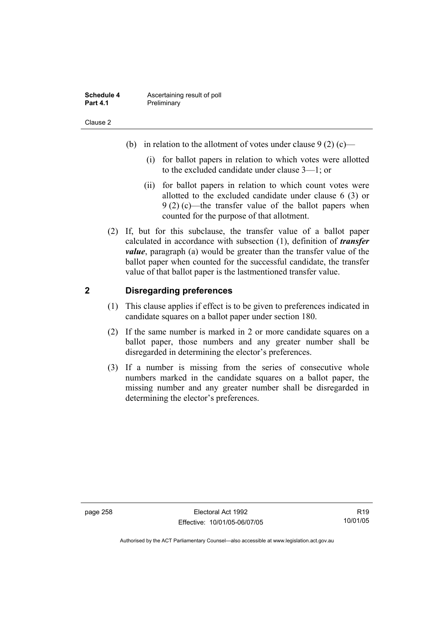| Schedule 4      | Ascertaining result of poll |
|-----------------|-----------------------------|
| <b>Part 4.1</b> | Preliminary                 |

- (b) in relation to the allotment of votes under clause  $9(2)$  (c)—
	- (i) for ballot papers in relation to which votes were allotted to the excluded candidate under clause 3—1; or
	- (ii) for ballot papers in relation to which count votes were allotted to the excluded candidate under clause 6 (3) or 9 (2) (c)—the transfer value of the ballot papers when counted for the purpose of that allotment.
- (2) If, but for this subclause, the transfer value of a ballot paper calculated in accordance with subsection (1), definition of *transfer value*, paragraph (a) would be greater than the transfer value of the ballot paper when counted for the successful candidate, the transfer value of that ballot paper is the lastmentioned transfer value.

### **2 Disregarding preferences**

- (1) This clause applies if effect is to be given to preferences indicated in candidate squares on a ballot paper under section 180.
- (2) If the same number is marked in 2 or more candidate squares on a ballot paper, those numbers and any greater number shall be disregarded in determining the elector's preferences.
- (3) If a number is missing from the series of consecutive whole numbers marked in the candidate squares on a ballot paper, the missing number and any greater number shall be disregarded in determining the elector's preferences.

page 258 Electoral Act 1992 Effective: 10/01/05-06/07/05

R19 10/01/05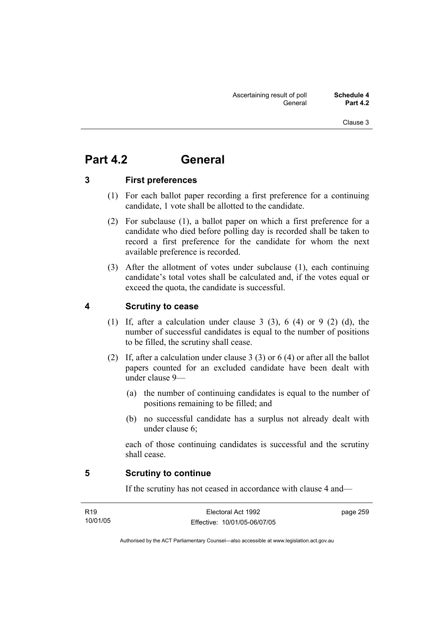## **Part 4.2 General**

### **3 First preferences**

- (1) For each ballot paper recording a first preference for a continuing candidate, 1 vote shall be allotted to the candidate.
- (2) For subclause (1), a ballot paper on which a first preference for a candidate who died before polling day is recorded shall be taken to record a first preference for the candidate for whom the next available preference is recorded.
- (3) After the allotment of votes under subclause (1), each continuing candidate's total votes shall be calculated and, if the votes equal or exceed the quota, the candidate is successful.

### **4 Scrutiny to cease**

- (1) If, after a calculation under clause 3 (3), 6 (4) or 9 (2) (d), the number of successful candidates is equal to the number of positions to be filled, the scrutiny shall cease.
- (2) If, after a calculation under clause 3 (3) or 6 (4) or after all the ballot papers counted for an excluded candidate have been dealt with under clause 9—
	- (a) the number of continuing candidates is equal to the number of positions remaining to be filled; and
	- (b) no successful candidate has a surplus not already dealt with under clause 6;

each of those continuing candidates is successful and the scrutiny shall cease.

#### **5 Scrutiny to continue**

If the scrutiny has not ceased in accordance with clause 4 and—

| R <sub>19</sub> | Electoral Act 1992           | page 259 |
|-----------------|------------------------------|----------|
| 10/01/05        | Effective: 10/01/05-06/07/05 |          |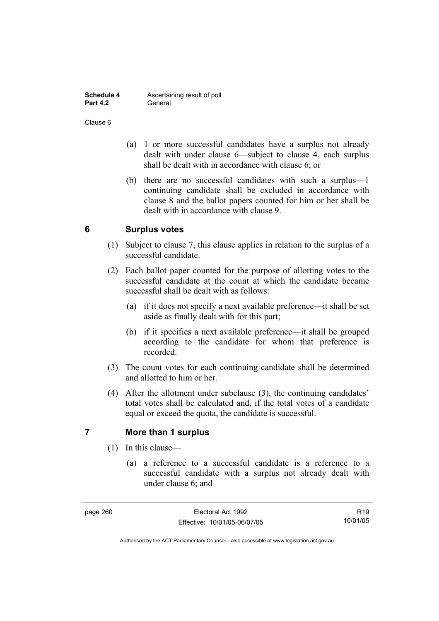| Schedule 4      | Ascertaining result of poll |
|-----------------|-----------------------------|
| <b>Part 4.2</b> | General                     |

- (a) 1 or more successful candidates have a surplus not already dealt with under clause 6—subject to clause 4, each surplus shall be dealt with in accordance with clause 6; or
- (b) there are no successful candidates with such a surplus—1 continuing candidate shall be excluded in accordance with clause 8 and the ballot papers counted for him or her shall be dealt with in accordance with clause 9.

## **6 Surplus votes**

- (1) Subject to clause 7, this clause applies in relation to the surplus of a successful candidate.
- (2) Each ballot paper counted for the purpose of allotting votes to the successful candidate at the count at which the candidate became successful shall be dealt with as follows:
	- (a) if it does not specify a next available preference—it shall be set aside as finally dealt with for this part;
	- (b) if it specifies a next available preference—it shall be grouped according to the candidate for whom that preference is recorded.
- (3) The count votes for each continuing candidate shall be determined and allotted to him or her.
- (4) After the allotment under subclause (3), the continuing candidates' total votes shall be calculated and, if the total votes of a candidate equal or exceed the quota, the candidate is successful.

## **7 More than 1 surplus**

- (1) In this clause—
	- (a) a reference to a successful candidate is a reference to a successful candidate with a surplus not already dealt with under clause 6; and

R19 10/01/05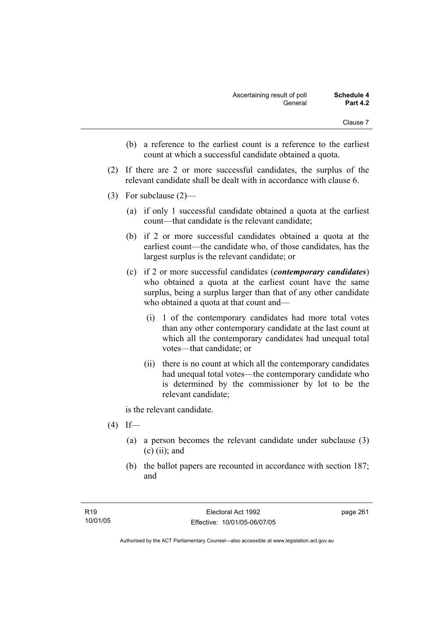- (b) a reference to the earliest count is a reference to the earliest count at which a successful candidate obtained a quota.
- (2) If there are 2 or more successful candidates, the surplus of the relevant candidate shall be dealt with in accordance with clause 6.
- (3) For subclause (2)—
	- (a) if only 1 successful candidate obtained a quota at the earliest count—that candidate is the relevant candidate;
	- (b) if 2 or more successful candidates obtained a quota at the earliest count—the candidate who, of those candidates, has the largest surplus is the relevant candidate; or
	- (c) if 2 or more successful candidates (*contemporary candidates*) who obtained a quota at the earliest count have the same surplus, being a surplus larger than that of any other candidate who obtained a quota at that count and—
		- (i) 1 of the contemporary candidates had more total votes than any other contemporary candidate at the last count at which all the contemporary candidates had unequal total votes—that candidate; or
		- (ii) there is no count at which all the contemporary candidates had unequal total votes—the contemporary candidate who is determined by the commissioner by lot to be the relevant candidate;

is the relevant candidate.

- $(4)$  If—
	- (a) a person becomes the relevant candidate under subclause (3)  $(c)$  (ii); and
	- (b) the ballot papers are recounted in accordance with section 187; and

page 261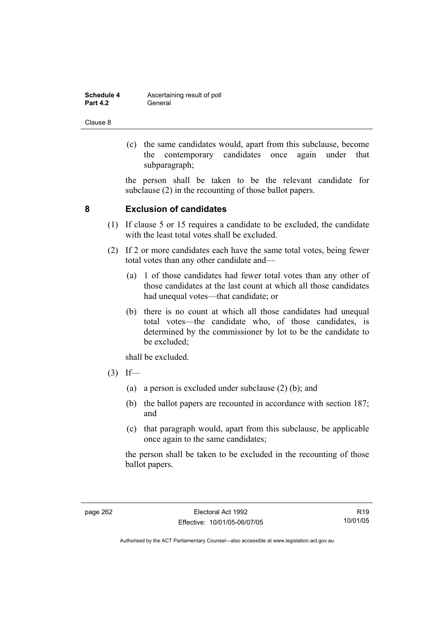| Schedule 4      | Ascertaining result of poll |
|-----------------|-----------------------------|
| <b>Part 4.2</b> | General                     |

 (c) the same candidates would, apart from this subclause, become the contemporary candidates once again under that subparagraph;

the person shall be taken to be the relevant candidate for subclause (2) in the recounting of those ballot papers.

### **8 Exclusion of candidates**

- (1) If clause 5 or 15 requires a candidate to be excluded, the candidate with the least total votes shall be excluded.
- (2) If 2 or more candidates each have the same total votes, being fewer total votes than any other candidate and—
	- (a) 1 of those candidates had fewer total votes than any other of those candidates at the last count at which all those candidates had unequal votes—that candidate; or
	- (b) there is no count at which all those candidates had unequal total votes—the candidate who, of those candidates, is determined by the commissioner by lot to be the candidate to be excluded;

shall be excluded.

- $(3)$  If—
	- (a) a person is excluded under subclause (2) (b); and
	- (b) the ballot papers are recounted in accordance with section 187; and
	- (c) that paragraph would, apart from this subclause, be applicable once again to the same candidates;

the person shall be taken to be excluded in the recounting of those ballot papers.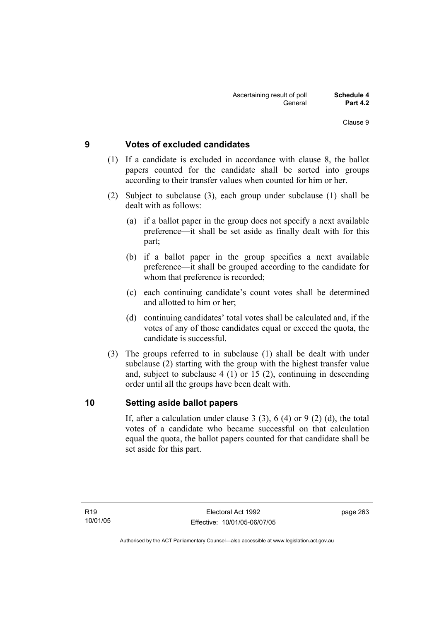### **9 Votes of excluded candidates**

- (1) If a candidate is excluded in accordance with clause 8, the ballot papers counted for the candidate shall be sorted into groups according to their transfer values when counted for him or her.
- (2) Subject to subclause (3), each group under subclause (1) shall be dealt with as follows:
	- (a) if a ballot paper in the group does not specify a next available preference—it shall be set aside as finally dealt with for this part;
	- (b) if a ballot paper in the group specifies a next available preference—it shall be grouped according to the candidate for whom that preference is recorded;
	- (c) each continuing candidate's count votes shall be determined and allotted to him or her;
	- (d) continuing candidates' total votes shall be calculated and, if the votes of any of those candidates equal or exceed the quota, the candidate is successful.
- (3) The groups referred to in subclause (1) shall be dealt with under subclause (2) starting with the group with the highest transfer value and, subject to subclause 4 (1) or 15 (2), continuing in descending order until all the groups have been dealt with.

#### **10 Setting aside ballot papers**

If, after a calculation under clause 3 (3), 6 (4) or 9 (2) (d), the total votes of a candidate who became successful on that calculation equal the quota, the ballot papers counted for that candidate shall be set aside for this part.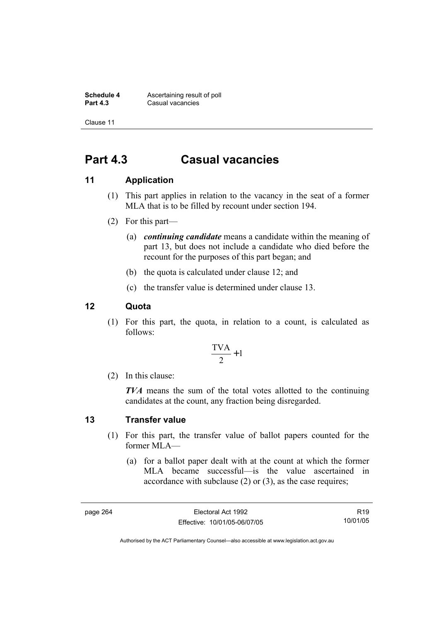**Schedule 4 Ascertaining result of poll**<br>**Part 4.3 Casual vacancies Casual vacancies** 

Clause 11

## **Part 4.3 Casual vacancies**

## **11 Application**

- (1) This part applies in relation to the vacancy in the seat of a former MLA that is to be filled by recount under section 194.
- (2) For this part—
	- (a) *continuing candidate* means a candidate within the meaning of part 13, but does not include a candidate who died before the recount for the purposes of this part began; and
	- (b) the quota is calculated under clause 12; and
	- (c) the transfer value is determined under clause 13.

### **12 Quota**

 (1) For this part, the quota, in relation to a count, is calculated as follows:

$$
\frac{\text{TVA}}{2} + 1
$$

(2) In this clause:

*TVA* means the sum of the total votes allotted to the continuing candidates at the count, any fraction being disregarded.

#### **13 Transfer value**

- (1) For this part, the transfer value of ballot papers counted for the former MLA—
	- (a) for a ballot paper dealt with at the count at which the former MLA became successful—is the value ascertained in accordance with subclause (2) or (3), as the case requires;

R19 10/01/05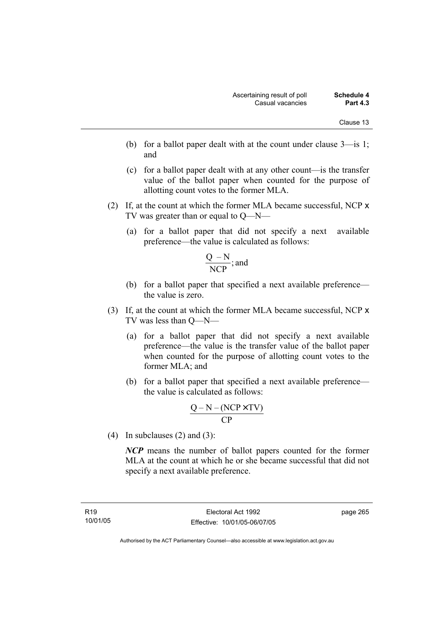- (b) for a ballot paper dealt with at the count under clause 3—is 1; and
- (c) for a ballot paper dealt with at any other count—is the transfer value of the ballot paper when counted for the purpose of allotting count votes to the former MLA.
- (2) If, at the count at which the former MLA became successful, NCP x TV was greater than or equal to Q—N—
	- (a) for a ballot paper that did not specify a next available preference—the value is calculated as follows:

$$
\frac{Q-N}{NCP}
$$
; and

- (b) for a ballot paper that specified a next available preference the value is zero.
- (3) If, at the count at which the former MLA became successful, NCP x TV was less than Q—N—
	- (a) for a ballot paper that did not specify a next available preference—the value is the transfer value of the ballot paper when counted for the purpose of allotting count votes to the former MLA; and
	- (b) for a ballot paper that specified a next available preference the value is calculated as follows:

$$
\frac{Q-N-(NCP \times TV)}{CP}
$$

(4) In subclauses (2) and (3):

*NCP* means the number of ballot papers counted for the former MLA at the count at which he or she became successful that did not specify a next available preference.

page 265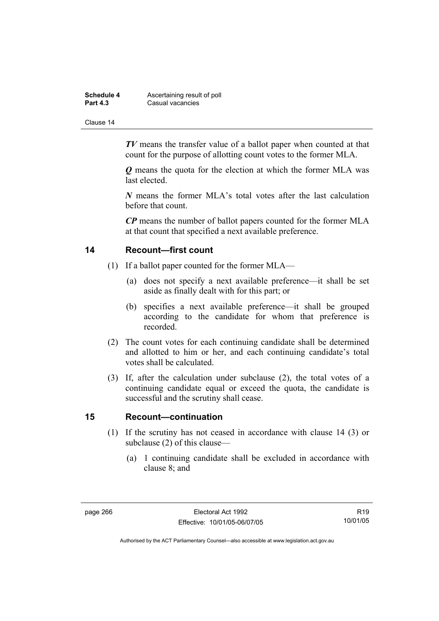| Schedule 4      | Ascertaining result of poll |
|-----------------|-----------------------------|
| <b>Part 4.3</b> | Casual vacancies            |

*TV* means the transfer value of a ballot paper when counted at that count for the purpose of allotting count votes to the former MLA.

*Q* means the quota for the election at which the former MLA was last elected.

*N* means the former MLA's total votes after the last calculation before that count.

*CP* means the number of ballot papers counted for the former MLA at that count that specified a next available preference.

#### **14 Recount—first count**

- (1) If a ballot paper counted for the former MLA—
	- (a) does not specify a next available preference—it shall be set aside as finally dealt with for this part; or
	- (b) specifies a next available preference—it shall be grouped according to the candidate for whom that preference is recorded.
- (2) The count votes for each continuing candidate shall be determined and allotted to him or her, and each continuing candidate's total votes shall be calculated.
- (3) If, after the calculation under subclause (2), the total votes of a continuing candidate equal or exceed the quota, the candidate is successful and the scrutiny shall cease.

#### **15 Recount—continuation**

- (1) If the scrutiny has not ceased in accordance with clause 14 (3) or subclause (2) of this clause—
	- (a) 1 continuing candidate shall be excluded in accordance with clause 8; and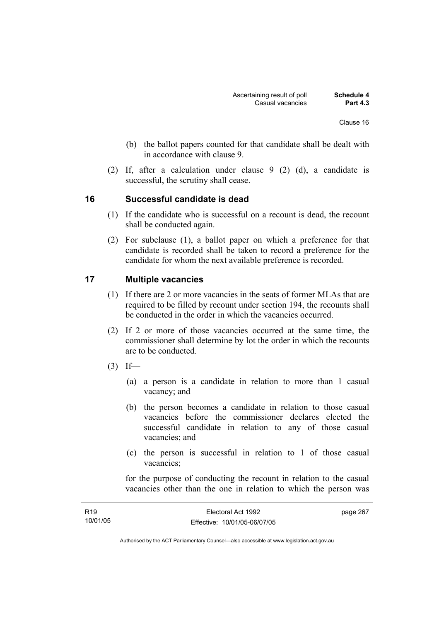- (b) the ballot papers counted for that candidate shall be dealt with in accordance with clause 9.
- (2) If, after a calculation under clause 9 (2) (d), a candidate is successful, the scrutiny shall cease.

### **16 Successful candidate is dead**

- (1) If the candidate who is successful on a recount is dead, the recount shall be conducted again.
- (2) For subclause (1), a ballot paper on which a preference for that candidate is recorded shall be taken to record a preference for the candidate for whom the next available preference is recorded.

### **17 Multiple vacancies**

- (1) If there are 2 or more vacancies in the seats of former MLAs that are required to be filled by recount under section 194, the recounts shall be conducted in the order in which the vacancies occurred.
- (2) If 2 or more of those vacancies occurred at the same time, the commissioner shall determine by lot the order in which the recounts are to be conducted.
- $(3)$  If—
	- (a) a person is a candidate in relation to more than 1 casual vacancy; and
	- (b) the person becomes a candidate in relation to those casual vacancies before the commissioner declares elected the successful candidate in relation to any of those casual vacancies; and
	- (c) the person is successful in relation to 1 of those casual vacancies;

for the purpose of conducting the recount in relation to the casual vacancies other than the one in relation to which the person was

| R <sub>19</sub> | Electoral Act 1992           | page 267 |
|-----------------|------------------------------|----------|
| 10/01/05        | Effective: 10/01/05-06/07/05 |          |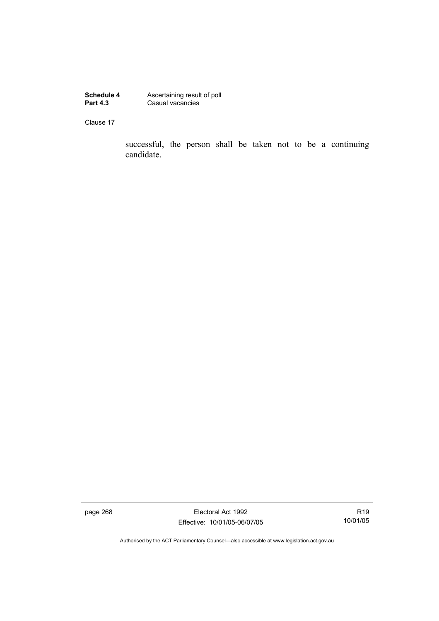**Schedule 4 Ascertaining result of poll Part 4.3 Casual vacancies** 

Clause 17

successful, the person shall be taken not to be a continuing candidate.

page 268 Electoral Act 1992 Effective: 10/01/05-06/07/05

R19 10/01/05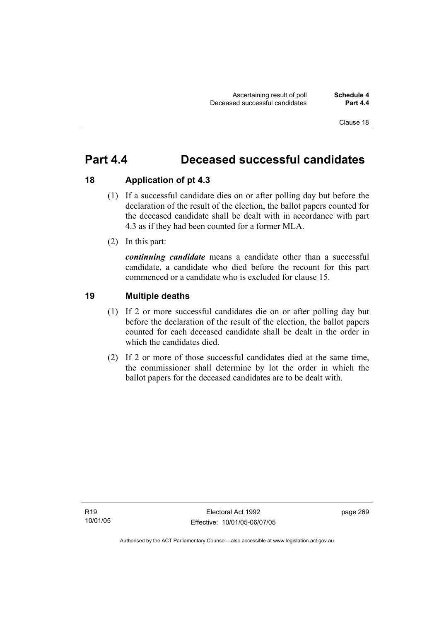## **Part 4.4 Deceased successful candidates**

## **18 Application of pt 4.3**

- (1) If a successful candidate dies on or after polling day but before the declaration of the result of the election, the ballot papers counted for the deceased candidate shall be dealt with in accordance with part 4.3 as if they had been counted for a former MLA.
- (2) In this part:

*continuing candidate* means a candidate other than a successful candidate, a candidate who died before the recount for this part commenced or a candidate who is excluded for clause 15.

## **19 Multiple deaths**

- (1) If 2 or more successful candidates die on or after polling day but before the declaration of the result of the election, the ballot papers counted for each deceased candidate shall be dealt in the order in which the candidates died.
- (2) If 2 or more of those successful candidates died at the same time, the commissioner shall determine by lot the order in which the ballot papers for the deceased candidates are to be dealt with.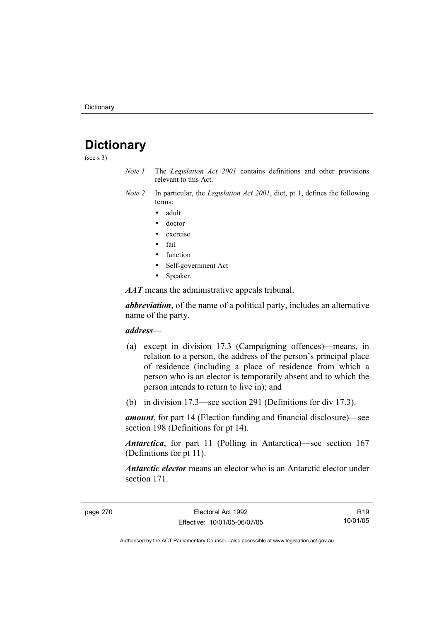## **Dictionary**

(see s 3)

- *Note 1* The *Legislation Act 2001* contains definitions and other provisions relevant to this Act.
- *Note 2* In particular, the *Legislation Act 2001*, dict, pt 1, defines the following terms:
	- adult
	- doctor
	- exercise
	- fail
	- function
	- Self-government Act
	- Speaker.

*AAT* means the administrative appeals tribunal.

*abbreviation*, of the name of a political party, includes an alternative name of the party.

#### *address*—

- (a) except in division 17.3 (Campaigning offences)—means, in relation to a person, the address of the person's principal place of residence (including a place of residence from which a person who is an elector is temporarily absent and to which the person intends to return to live in); and
- (b) in division 17.3—see section 291 (Definitions for div 17.3).

*amount*, for part 14 (Election funding and financial disclosure)—see section 198 (Definitions for pt 14).

*Antarctica*, for part 11 (Polling in Antarctica)—see section 167 (Definitions for pt 11).

*Antarctic elector* means an elector who is an Antarctic elector under section 171.

R19 10/01/05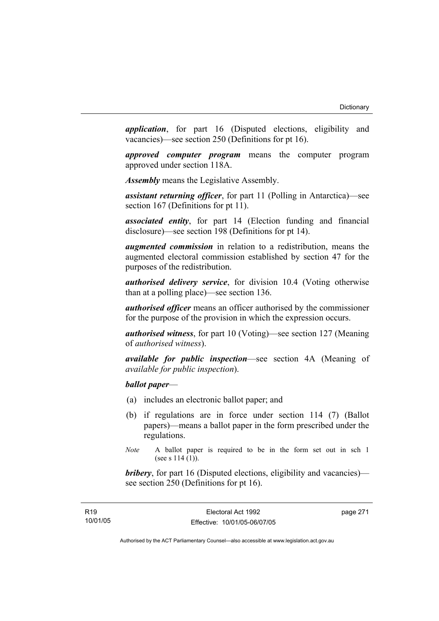*application*, for part 16 (Disputed elections, eligibility and vacancies)—see section 250 (Definitions for pt 16).

*approved computer program* means the computer program approved under section 118A.

*Assembly* means the Legislative Assembly.

*assistant returning officer*, for part 11 (Polling in Antarctica)—see section 167 (Definitions for pt 11).

*associated entity*, for part 14 (Election funding and financial disclosure)—see section 198 (Definitions for pt 14).

*augmented commission* in relation to a redistribution, means the augmented electoral commission established by section 47 for the purposes of the redistribution.

*authorised delivery service*, for division 10.4 (Voting otherwise than at a polling place)—see section 136.

*authorised officer* means an officer authorised by the commissioner for the purpose of the provision in which the expression occurs.

*authorised witness*, for part 10 (Voting)—see section 127 (Meaning of *authorised witness*).

*available for public inspection*—see section 4A (Meaning of *available for public inspection*).

## *ballot paper*—

- (a) includes an electronic ballot paper; and
- (b) if regulations are in force under section 114 (7) (Ballot papers)—means a ballot paper in the form prescribed under the regulations.
- *Note* A ballot paper is required to be in the form set out in sch 1 (see s  $114(1)$ ).

*bribery*, for part 16 (Disputed elections, eligibility and vacancies) see section 250 (Definitions for pt 16).

page 271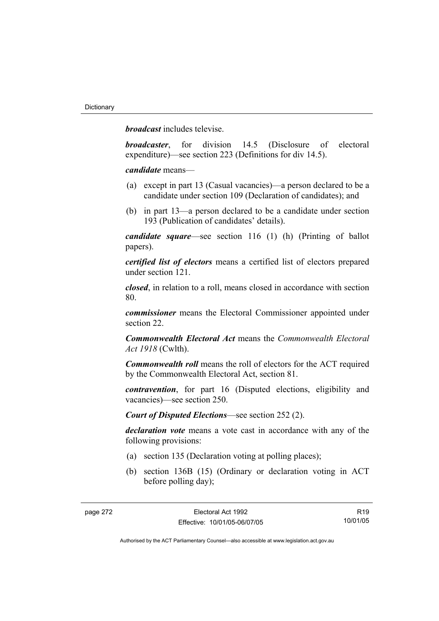*broadcast* includes televise.

*broadcaster*, for division 14.5 (Disclosure of electoral expenditure)—see section 223 (Definitions for div 14.5).

*candidate* means—

- (a) except in part 13 (Casual vacancies)—a person declared to be a candidate under section 109 (Declaration of candidates); and
- (b) in part 13—a person declared to be a candidate under section 193 (Publication of candidates' details).

*candidate square*—see section 116 (1) (h) (Printing of ballot papers).

*certified list of electors* means a certified list of electors prepared under section 121.

*closed*, in relation to a roll, means closed in accordance with section 80.

*commissioner* means the Electoral Commissioner appointed under section 22.

*Commonwealth Electoral Act* means the *Commonwealth Electoral Act 1918* (Cwlth).

*Commonwealth roll* means the roll of electors for the ACT required by the Commonwealth Electoral Act, section 81.

*contravention*, for part 16 (Disputed elections, eligibility and vacancies)—see section 250.

*Court of Disputed Elections*—see section 252 (2).

*declaration vote* means a vote cast in accordance with any of the following provisions:

- (a) section 135 (Declaration voting at polling places);
- (b) section 136B (15) (Ordinary or declaration voting in ACT before polling day);

R19 10/01/05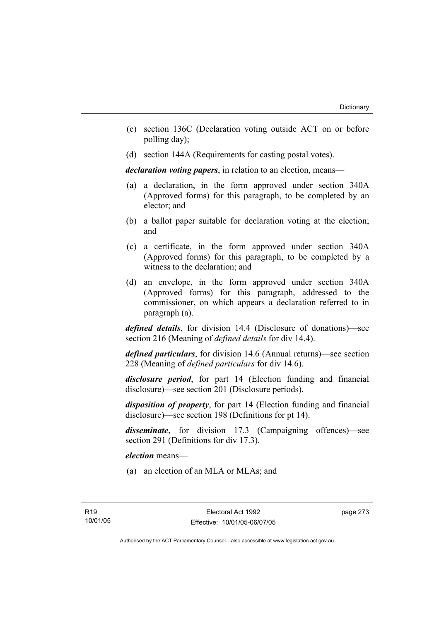- (c) section 136C (Declaration voting outside ACT on or before polling day);
- (d) section 144A (Requirements for casting postal votes).

*declaration voting papers*, in relation to an election, means—

- (a) a declaration, in the form approved under section 340A (Approved forms) for this paragraph, to be completed by an elector; and
- (b) a ballot paper suitable for declaration voting at the election; and
- (c) a certificate, in the form approved under section 340A (Approved forms) for this paragraph, to be completed by a witness to the declaration; and
- (d) an envelope, in the form approved under section 340A (Approved forms) for this paragraph, addressed to the commissioner, on which appears a declaration referred to in paragraph (a).

*defined details*, for division 14.4 (Disclosure of donations)—see section 216 (Meaning of *defined details* for div 14.4).

*defined particulars*, for division 14.6 (Annual returns)—see section 228 (Meaning of *defined particulars* for div 14.6).

*disclosure period*, for part 14 (Election funding and financial disclosure)—see section 201 (Disclosure periods).

*disposition of property*, for part 14 (Election funding and financial disclosure)—see section 198 (Definitions for pt 14).

*disseminate*, for division 17.3 (Campaigning offences)—see section 291 (Definitions for div 17.3).

*election* means—

(a) an election of an MLA or MLAs; and

page 273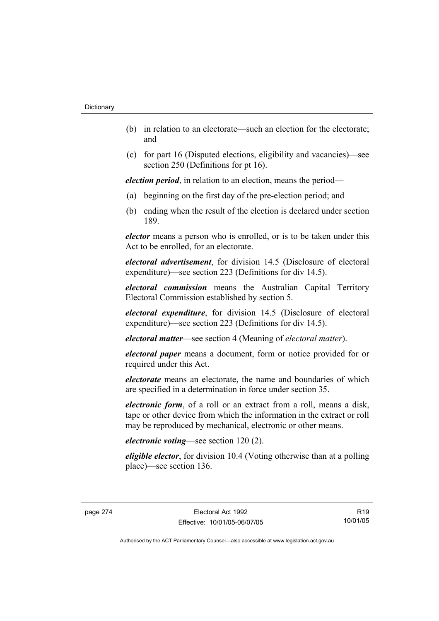- (b) in relation to an electorate—such an election for the electorate; and
- (c) for part 16 (Disputed elections, eligibility and vacancies)—see section 250 (Definitions for pt 16).

*election period*, in relation to an election, means the period—

- (a) beginning on the first day of the pre-election period; and
- (b) ending when the result of the election is declared under section 189.

*elector* means a person who is enrolled, or is to be taken under this Act to be enrolled, for an electorate.

*electoral advertisement*, for division 14.5 (Disclosure of electoral expenditure)—see section 223 (Definitions for div 14.5).

*electoral commission* means the Australian Capital Territory Electoral Commission established by section 5.

*electoral expenditure*, for division 14.5 (Disclosure of electoral expenditure)—see section 223 (Definitions for div 14.5).

*electoral matter*—see section 4 (Meaning of *electoral matter*).

*electoral paper* means a document, form or notice provided for or required under this Act.

*electorate* means an electorate, the name and boundaries of which are specified in a determination in force under section 35.

*electronic form*, of a roll or an extract from a roll, means a disk, tape or other device from which the information in the extract or roll may be reproduced by mechanical, electronic or other means.

## *electronic voting*—see section 120 (2).

*eligible elector*, for division 10.4 (Voting otherwise than at a polling place)—see section 136.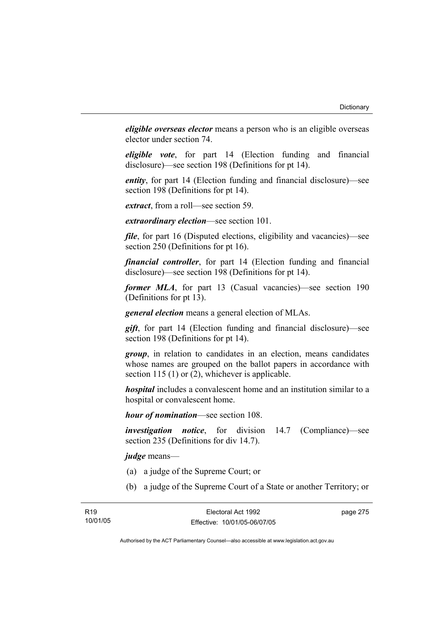*eligible overseas elector* means a person who is an eligible overseas elector under section 74.

*eligible vote*, for part 14 (Election funding and financial disclosure)—see section 198 (Definitions for pt 14).

*entity*, for part 14 (Election funding and financial disclosure)—see section 198 (Definitions for pt 14).

*extract*, from a roll—see section 59.

*extraordinary election*—see section 101.

*file*, for part 16 (Disputed elections, eligibility and vacancies)—see section 250 (Definitions for pt 16).

*financial controller*, for part 14 (Election funding and financial disclosure)—see section 198 (Definitions for pt 14).

*former MLA*, for part 13 (Casual vacancies)—see section 190 (Definitions for pt 13).

*general election* means a general election of MLAs.

*gift*, for part 14 (Election funding and financial disclosure)—see section 198 (Definitions for pt 14).

*group*, in relation to candidates in an election, means candidates whose names are grouped on the ballot papers in accordance with section 115 (1) or (2), whichever is applicable.

*hospital* includes a convalescent home and an institution similar to a hospital or convalescent home.

*hour of nomination*—see section 108.

*investigation notice*, for division 14.7 (Compliance)—see section 235 (Definitions for div 14.7).

*judge* means—

- (a) a judge of the Supreme Court; or
- (b) a judge of the Supreme Court of a State or another Territory; or

page 275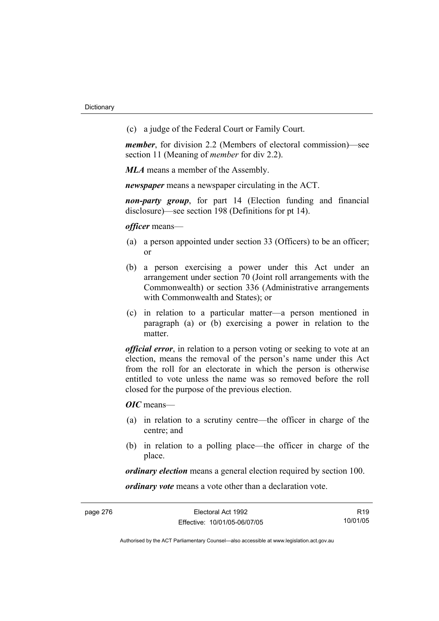(c) a judge of the Federal Court or Family Court.

*member*, for division 2.2 (Members of electoral commission)—see section 11 (Meaning of *member* for div 2.2).

*MLA* means a member of the Assembly.

*newspaper* means a newspaper circulating in the ACT.

*non-party group*, for part 14 (Election funding and financial disclosure)—see section 198 (Definitions for pt 14).

*officer* means—

- (a) a person appointed under section 33 (Officers) to be an officer; or
- (b) a person exercising a power under this Act under an arrangement under section 70 (Joint roll arrangements with the Commonwealth) or section 336 (Administrative arrangements with Commonwealth and States); or
- (c) in relation to a particular matter—a person mentioned in paragraph (a) or (b) exercising a power in relation to the matter.

*official error*, in relation to a person voting or seeking to vote at an election, means the removal of the person's name under this Act from the roll for an electorate in which the person is otherwise entitled to vote unless the name was so removed before the roll closed for the purpose of the previous election.

*OIC* means—

- (a) in relation to a scrutiny centre—the officer in charge of the centre; and
- (b) in relation to a polling place—the officer in charge of the place.

*ordinary election* means a general election required by section 100.

*ordinary vote* means a vote other than a declaration vote.

R19 10/01/05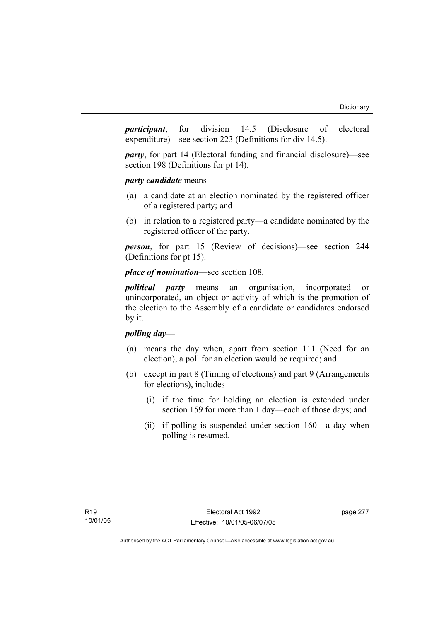*participant*, for division 14.5 (Disclosure of electoral expenditure)—see section 223 (Definitions for div 14.5).

*party*, for part 14 (Electoral funding and financial disclosure)—see section 198 (Definitions for pt 14).

*party candidate* means—

- (a) a candidate at an election nominated by the registered officer of a registered party; and
- (b) in relation to a registered party—a candidate nominated by the registered officer of the party.

*person*, for part 15 (Review of decisions)—see section 244 (Definitions for pt 15).

## *place of nomination*—see section 108.

*political party* means an organisation, incorporated or unincorporated, an object or activity of which is the promotion of the election to the Assembly of a candidate or candidates endorsed by it.

## *polling day*—

- (a) means the day when, apart from section 111 (Need for an election), a poll for an election would be required; and
- (b) except in part 8 (Timing of elections) and part 9 (Arrangements for elections), includes—
	- (i) if the time for holding an election is extended under section 159 for more than 1 day—each of those days; and
	- (ii) if polling is suspended under section 160—a day when polling is resumed.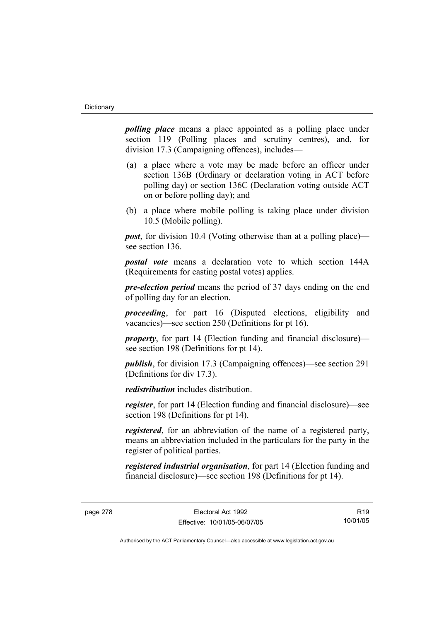*polling place* means a place appointed as a polling place under section 119 (Polling places and scrutiny centres), and, for division 17.3 (Campaigning offences), includes—

- (a) a place where a vote may be made before an officer under section 136B (Ordinary or declaration voting in ACT before polling day) or section 136C (Declaration voting outside ACT on or before polling day); and
- (b) a place where mobile polling is taking place under division 10.5 (Mobile polling).

*post*, for division 10.4 (Voting otherwise than at a polling place) see section 136.

*postal vote* means a declaration vote to which section 144A (Requirements for casting postal votes) applies.

*pre-election period* means the period of 37 days ending on the end of polling day for an election.

*proceeding*, for part 16 (Disputed elections, eligibility and vacancies)—see section 250 (Definitions for pt 16).

*property*, for part 14 (Election funding and financial disclosure) see section 198 (Definitions for pt 14).

*publish*, for division 17.3 (Campaigning offences)—see section 291 (Definitions for div 17.3).

*redistribution* includes distribution.

*register*, for part 14 (Election funding and financial disclosure)—see section 198 (Definitions for pt 14).

*registered*, for an abbreviation of the name of a registered party, means an abbreviation included in the particulars for the party in the register of political parties.

*registered industrial organisation*, for part 14 (Election funding and financial disclosure)—see section 198 (Definitions for pt 14).

R19 10/01/05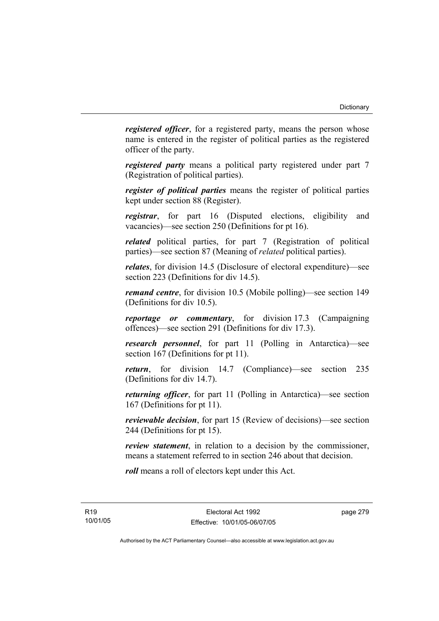*registered officer*, for a registered party, means the person whose name is entered in the register of political parties as the registered officer of the party.

*registered party* means a political party registered under part 7 (Registration of political parties).

*register of political parties* means the register of political parties kept under section 88 (Register).

*registrar*, for part 16 (Disputed elections, eligibility and vacancies)—see section 250 (Definitions for pt 16).

*related* political parties, for part 7 (Registration of political parties)—see section 87 (Meaning of *related* political parties).

*relates*, for division 14.5 (Disclosure of electoral expenditure)—see section 223 (Definitions for div 14.5).

*remand centre*, for division 10.5 (Mobile polling)—see section 149 (Definitions for div 10.5).

*reportage or commentary*, for division 17.3 (Campaigning offences)—see section 291 (Definitions for div 17.3).

*research personnel*, for part 11 (Polling in Antarctica)—see section 167 (Definitions for pt 11).

*return*, for division 14.7 (Compliance)—see section 235 (Definitions for div 14.7).

*returning officer*, for part 11 (Polling in Antarctica)—see section 167 (Definitions for pt 11).

*reviewable decision*, for part 15 (Review of decisions)—see section 244 (Definitions for pt 15).

*review statement*, in relation to a decision by the commissioner, means a statement referred to in section 246 about that decision.

*roll* means a roll of electors kept under this Act.

R19 10/01/05 page 279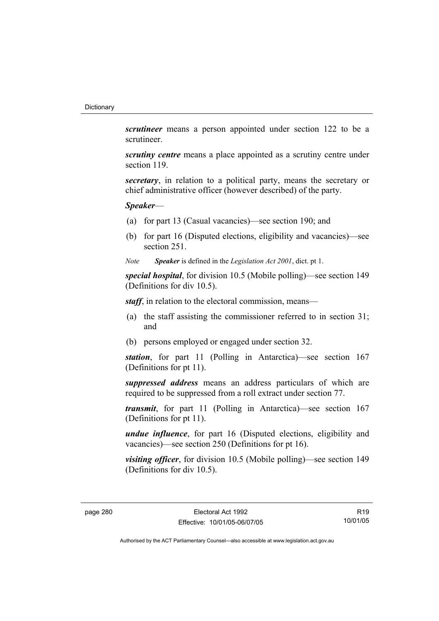*scrutineer* means a person appointed under section 122 to be a scrutineer.

*scrutiny centre* means a place appointed as a scrutiny centre under section 119.

*secretary*, in relation to a political party, means the secretary or chief administrative officer (however described) of the party.

## *Speaker*—

- (a) for part 13 (Casual vacancies)—see section 190; and
- (b) for part 16 (Disputed elections, eligibility and vacancies)—see section 251.
- *Note Speaker* is defined in the *Legislation Act 2001*, dict. pt 1.

*special hospital*, for division 10.5 (Mobile polling)—see section 149 (Definitions for div 10.5).

*staff*, in relation to the electoral commission, means—

- (a) the staff assisting the commissioner referred to in section 31; and
- (b) persons employed or engaged under section 32.

*station*, for part 11 (Polling in Antarctica)—see section 167 (Definitions for pt 11).

*suppressed address* means an address particulars of which are required to be suppressed from a roll extract under section 77.

*transmit*, for part 11 (Polling in Antarctica)—see section 167 (Definitions for pt 11).

*undue influence*, for part 16 (Disputed elections, eligibility and vacancies)—see section 250 (Definitions for pt 16).

*visiting officer*, for division 10.5 (Mobile polling)—see section 149 (Definitions for div 10.5).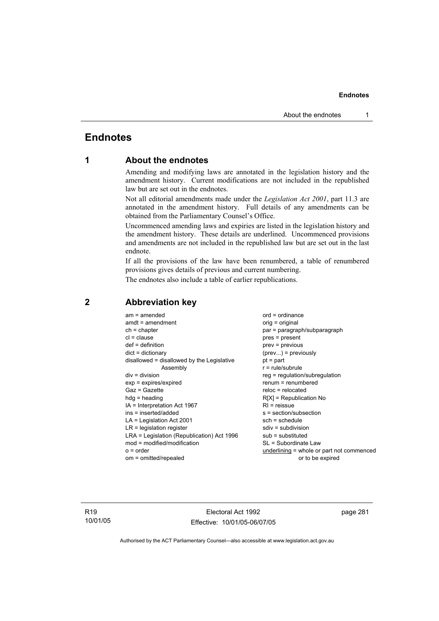## **Endnotes**

## **1 About the endnotes**

Amending and modifying laws are annotated in the legislation history and the amendment history. Current modifications are not included in the republished law but are set out in the endnotes.

Not all editorial amendments made under the *Legislation Act 2001*, part 11.3 are annotated in the amendment history. Full details of any amendments can be obtained from the Parliamentary Counsel's Office.

Uncommenced amending laws and expiries are listed in the legislation history and the amendment history. These details are underlined. Uncommenced provisions and amendments are not included in the republished law but are set out in the last endnote.

If all the provisions of the law have been renumbered, a table of renumbered provisions gives details of previous and current numbering.

The endnotes also include a table of earlier republications.

| $am = amended$                             | $ord = ordinance$                         |
|--------------------------------------------|-------------------------------------------|
| $amdt = amendment$                         | orig = original                           |
| $ch = chapter$                             | par = paragraph/subparagraph              |
| $cl = clause$                              | $pres = present$                          |
| $def = definition$                         | $prev = previous$                         |
| $dict = dictionary$                        | $(\text{prev})$ = previously              |
| disallowed = disallowed by the Legislative | $pt = part$                               |
| Assembly                                   | $r = rule/subrule$                        |
| $div = division$                           | $reg = regulation/subregulation$          |
| $exp = expires/expired$                    | $renum = renumbered$                      |
| $Gaz = Gazette$                            | $reloc = relocated$                       |
| $hdg = heading$                            | $R[X]$ = Republication No                 |
| $IA = Interpretation Act 1967$             | $RI =$ reissue                            |
| $ins = inserted/added$                     | s = section/subsection                    |
| $LA =$ Legislation Act 2001                | $sch = schedule$                          |
| $LR =$ legislation register                | $sdiv = subdivision$                      |
| LRA = Legislation (Republication) Act 1996 | $sub =$ substituted                       |
| $mod = modified/modification$              | SL = Subordinate Law                      |
| $o = order$                                | underlining = whole or part not commenced |
| om = omitted/repealed                      | or to be expired                          |
|                                            |                                           |

## **2 Abbreviation key**

R19 10/01/05

Electoral Act 1992 Effective: 10/01/05-06/07/05 page 281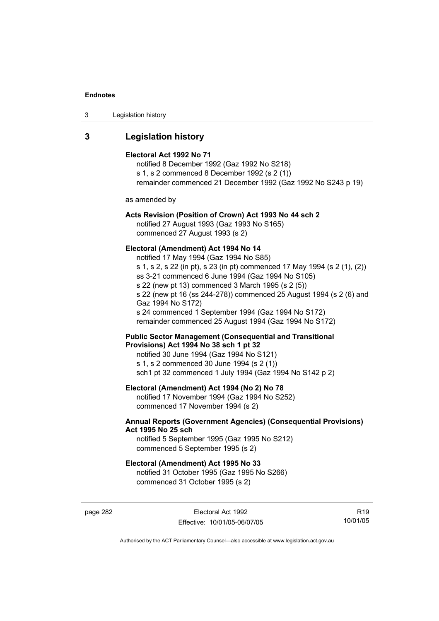| Legislation history<br>-3 |  |
|---------------------------|--|
|---------------------------|--|

## **3 Legislation history**

#### **Electoral Act 1992 No 71**

notified 8 December 1992 (Gaz 1992 No S218) s 1, s 2 commenced 8 December 1992 (s 2 (1)) remainder commenced 21 December 1992 (Gaz 1992 No S243 p 19)

as amended by

## **Acts Revision (Position of Crown) Act 1993 No 44 sch 2**

notified 27 August 1993 (Gaz 1993 No S165) commenced 27 August 1993 (s 2)

#### **Electoral (Amendment) Act 1994 No 14**

notified 17 May 1994 (Gaz 1994 No S85) s 1, s 2, s 22 (in pt), s 23 (in pt) commenced 17 May 1994 (s 2 (1), (2)) ss 3-21 commenced 6 June 1994 (Gaz 1994 No S105) s 22 (new pt 13) commenced 3 March 1995 (s 2 (5)) s 22 (new pt 16 (ss 244-278)) commenced 25 August 1994 (s 2 (6) and Gaz 1994 No S172) s 24 commenced 1 September 1994 (Gaz 1994 No S172) remainder commenced 25 August 1994 (Gaz 1994 No S172)

#### **Public Sector Management (Consequential and Transitional Provisions) Act 1994 No 38 sch 1 pt 32**

notified 30 June 1994 (Gaz 1994 No S121) s 1, s 2 commenced 30 June 1994 (s 2 (1)) sch1 pt 32 commenced 1 July 1994 (Gaz 1994 No S142 p 2)

### **Electoral (Amendment) Act 1994 (No 2) No 78**

notified 17 November 1994 (Gaz 1994 No S252) commenced 17 November 1994 (s 2)

## **Annual Reports (Government Agencies) (Consequential Provisions) Act 1995 No 25 sch**

notified 5 September 1995 (Gaz 1995 No S212) commenced 5 September 1995 (s 2)

#### **Electoral (Amendment) Act 1995 No 33**

notified 31 October 1995 (Gaz 1995 No S266) commenced 31 October 1995 (s 2)

page 282 Electoral Act 1992 Effective: 10/01/05-06/07/05

R19 10/01/05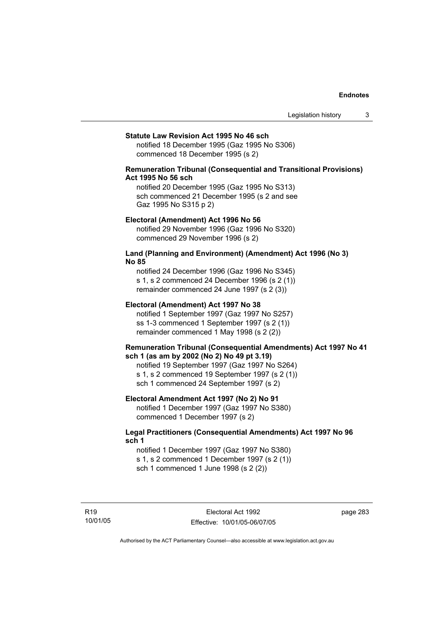#### **Statute Law Revision Act 1995 No 46 sch**

notified 18 December 1995 (Gaz 1995 No S306) commenced 18 December 1995 (s 2)

## **Remuneration Tribunal (Consequential and Transitional Provisions) Act 1995 No 56 sch**

notified 20 December 1995 (Gaz 1995 No S313) sch commenced 21 December 1995 (s 2 and see Gaz 1995 No S315 p 2)

#### **Electoral (Amendment) Act 1996 No 56**

notified 29 November 1996 (Gaz 1996 No S320) commenced 29 November 1996 (s 2)

#### **Land (Planning and Environment) (Amendment) Act 1996 (No 3) No 85**

notified 24 December 1996 (Gaz 1996 No S345) s 1, s 2 commenced 24 December 1996 (s 2 (1)) remainder commenced 24 June 1997 (s 2 (3))

#### **Electoral (Amendment) Act 1997 No 38**

notified 1 September 1997 (Gaz 1997 No S257) ss 1-3 commenced 1 September 1997 (s 2 (1)) remainder commenced 1 May 1998 (s 2 (2))

#### **Remuneration Tribunal (Consequential Amendments) Act 1997 No 41 sch 1 (as am by 2002 (No 2) No 49 pt 3.19)**

notified 19 September 1997 (Gaz 1997 No S264) s 1, s 2 commenced 19 September 1997 (s 2 (1)) sch 1 commenced 24 September 1997 (s 2)

#### **Electoral Amendment Act 1997 (No 2) No 91**

notified 1 December 1997 (Gaz 1997 No S380) commenced 1 December 1997 (s 2)

#### **Legal Practitioners (Consequential Amendments) Act 1997 No 96 sch 1**

notified 1 December 1997 (Gaz 1997 No S380) s 1, s 2 commenced 1 December 1997 (s 2 (1)) sch 1 commenced 1 June 1998 (s 2 (2))

R19 10/01/05 page 283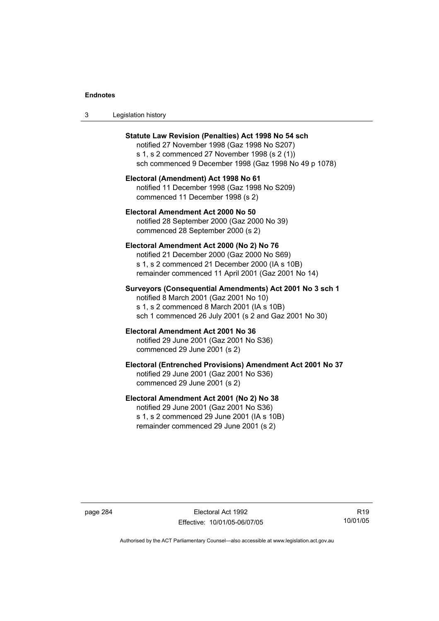| -3 | Legislation history |  |
|----|---------------------|--|
|----|---------------------|--|

| Statute Law Revision (Penalties) Act 1998 No 54 sch<br>notified 27 November 1998 (Gaz 1998 No S207)<br>s 1, s 2 commenced 27 November 1998 (s 2 (1))<br>sch commenced 9 December 1998 (Gaz 1998 No 49 p 1078) |
|---------------------------------------------------------------------------------------------------------------------------------------------------------------------------------------------------------------|
| Electoral (Amendment) Act 1998 No 61<br>notified 11 December 1998 (Gaz 1998 No S209)<br>commenced 11 December 1998 (s 2)                                                                                      |
| Electoral Amendment Act 2000 No 50<br>notified 28 September 2000 (Gaz 2000 No 39)<br>commenced 28 September 2000 (s 2)                                                                                        |
| Electoral Amendment Act 2000 (No 2) No 76<br>notified 21 December 2000 (Gaz 2000 No S69)<br>s 1, s 2 commenced 21 December 2000 (IA s 10B)<br>remainder commenced 11 April 2001 (Gaz 2001 No 14)              |
| Surveyors (Consequential Amendments) Act 2001 No 3 sch 1<br>notified 8 March 2001 (Gaz 2001 No 10)<br>s 1, s 2 commenced 8 March 2001 (IA s 10B)<br>sch 1 commenced 26 July 2001 (s 2 and Gaz 2001 No 30)     |
| Electoral Amendment Act 2001 No 36<br>notified 29 June 2001 (Gaz 2001 No S36)<br>commenced 29 June 2001 (s 2)                                                                                                 |
| Electoral (Entrenched Provisions) Amendment Act 2001 No 37<br>notified 29 June 2001 (Gaz 2001 No S36)<br>commenced 29 June 2001 (s 2)                                                                         |
| Electoral Amendment Act 2001 (No 2) No 38<br>notified 29 June 2001 (Gaz 2001 No S36)<br>s 1, s 2 commenced 29 June 2001 (IA s 10B)<br>remainder commenced 29 June 2001 (s 2)                                  |

page 284 Electoral Act 1992 Effective: 10/01/05-06/07/05

R19 10/01/05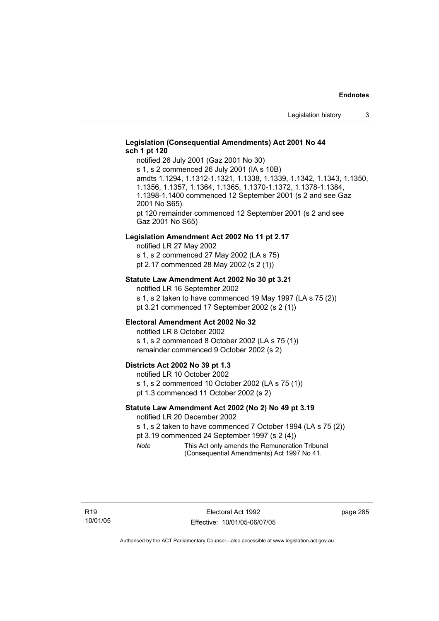## **Legislation (Consequential Amendments) Act 2001 No 44 sch 1 pt 120**

notified 26 July 2001 (Gaz 2001 No 30) s 1, s 2 commenced 26 July 2001 (IA s 10B) amdts 1.1294, 1.1312-1.1321, 1.1338, 1.1339, 1.1342, 1.1343, 1.1350, 1.1356, 1.1357, 1.1364, 1.1365, 1.1370-1.1372, 1.1378-1.1384, 1.1398-1.1400 commenced 12 September 2001 (s 2 and see Gaz 2001 No S65) pt 120 remainder commenced 12 September 2001 (s 2 and see Gaz 2001 No S65)

#### **Legislation Amendment Act 2002 No 11 pt 2.17**

notified LR 27 May 2002 s 1, s 2 commenced 27 May 2002 (LA s 75) pt 2.17 commenced 28 May 2002 (s 2 (1))

#### **Statute Law Amendment Act 2002 No 30 pt 3.21**

notified LR 16 September 2002 s 1, s 2 taken to have commenced 19 May 1997 (LA s 75 (2)) pt 3.21 commenced 17 September 2002 (s 2 (1))

### **Electoral Amendment Act 2002 No 32**

notified LR 8 October 2002 s 1, s 2 commenced 8 October 2002 (LA s 75 (1)) remainder commenced 9 October 2002 (s 2)

#### **Districts Act 2002 No 39 pt 1.3**

notified LR 10 October 2002 s 1, s 2 commenced 10 October 2002 (LA s 75 (1)) pt 1.3 commenced 11 October 2002 (s 2)

#### **Statute Law Amendment Act 2002 (No 2) No 49 pt 3.19**

notified LR 20 December 2002

s 1, s 2 taken to have commenced 7 October 1994 (LA s 75 (2))

pt 3.19 commenced 24 September 1997 (s 2 (4))

*Note* This Act only amends the Remuneration Tribunal (Consequential Amendments) Act 1997 No 41.

page 285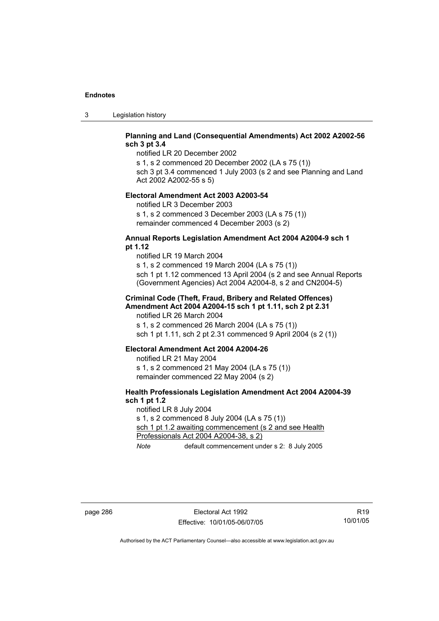3 Legislation history

## **Planning and Land (Consequential Amendments) Act 2002 A2002-56 sch 3 pt 3.4**

notified LR 20 December 2002

s 1, s 2 commenced 20 December 2002 (LA s 75 (1)) sch 3 pt 3.4 commenced 1 July 2003 (s 2 and see Planning and Land

Act 2002 A2002-55 s 5)

## **Electoral Amendment Act 2003 A2003-54**

notified LR 3 December 2003 s 1, s 2 commenced 3 December 2003 (LA s 75 (1)) remainder commenced 4 December 2003 (s 2)

### **Annual Reports Legislation Amendment Act 2004 A2004-9 sch 1 pt 1.12**

notified LR 19 March 2004 s 1, s 2 commenced 19 March 2004 (LA s 75 (1)) sch 1 pt 1.12 commenced 13 April 2004 (s 2 and see Annual Reports (Government Agencies) Act 2004 A2004-8, s 2 and CN2004-5)

#### **Criminal Code (Theft, Fraud, Bribery and Related Offences) Amendment Act 2004 A2004-15 sch 1 pt 1.11, sch 2 pt 2.31**

notified LR 26 March 2004 s 1, s 2 commenced 26 March 2004 (LA s 75 (1)) sch 1 pt 1.11, sch 2 pt 2.31 commenced 9 April 2004 (s 2 (1))

#### **Electoral Amendment Act 2004 A2004-26**

notified LR 21 May 2004 s 1, s 2 commenced 21 May 2004 (LA s 75 (1)) remainder commenced 22 May 2004 (s 2)

## **Health Professionals Legislation Amendment Act 2004 A2004-39 sch 1 pt 1.2**

notified LR 8 July 2004 s 1, s 2 commenced 8 July 2004 (LA s 75 (1)) sch 1 pt 1.2 awaiting commencement (s 2 and see Health Professionals Act 2004 A2004-38, s 2) *Note* default commencement under s 2: 8 July 2005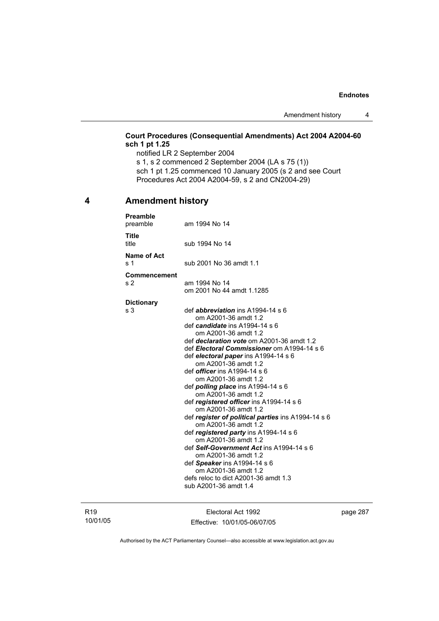## **Court Procedures (Consequential Amendments) Act 2004 A2004-60 sch 1 pt 1.25**

notified LR 2 September 2004 s 1, s 2 commenced 2 September 2004 (LA s 75 (1)) sch 1 pt 1.25 commenced 10 January 2005 (s 2 and see Court Procedures Act 2004 A2004-59, s 2 and CN2004-29)

## **4 Amendment history**

| <b>Preamble</b><br>preamble           | am 1994 No 14                                                                                                                                                                                                                                                                                                                                                                                                                                                                                                                                                                                                                                                                                                                                                                                                                             |
|---------------------------------------|-------------------------------------------------------------------------------------------------------------------------------------------------------------------------------------------------------------------------------------------------------------------------------------------------------------------------------------------------------------------------------------------------------------------------------------------------------------------------------------------------------------------------------------------------------------------------------------------------------------------------------------------------------------------------------------------------------------------------------------------------------------------------------------------------------------------------------------------|
| <b>Title</b><br>title                 | sub 1994 No 14                                                                                                                                                                                                                                                                                                                                                                                                                                                                                                                                                                                                                                                                                                                                                                                                                            |
| Name of Act<br>s <sub>1</sub>         | sub 2001 No 36 amdt 1.1                                                                                                                                                                                                                                                                                                                                                                                                                                                                                                                                                                                                                                                                                                                                                                                                                   |
| <b>Commencement</b><br>s <sub>2</sub> | am 1994 No 14<br>om 2001 No 44 amdt 1.1285                                                                                                                                                                                                                                                                                                                                                                                                                                                                                                                                                                                                                                                                                                                                                                                                |
| <b>Dictionary</b><br>s 3              | def <i>abbreviation</i> ins $A1994-14 s6$<br>om A2001-36 amdt 1.2<br>def candidate ins A1994-14 s 6<br>om A2001-36 amdt 1.2<br>def declaration vote om A2001-36 amdt 1.2<br>def Electoral Commissioner om A1994-14 s 6<br>def electoral paper ins A1994-14 s 6<br>om A2001-36 amdt 1.2<br>def <i>officer</i> ins A1994-14 s 6<br>om A2001-36 amdt 1.2<br>def <i>polling place</i> ins A1994-14 s 6<br>om A2001-36 amdt 1.2<br>def registered officer ins A1994-14 s 6<br>om A2001-36 amdt 1.2<br>def register of political parties ins A1994-14 s 6<br>om A2001-36 amdt 1.2<br>def registered party ins A1994-14 s 6<br>om A2001-36 amdt 1.2<br>def Self-Government Act ins A1994-14 s 6<br>om A2001-36 amdt 1.2<br>def Speaker ins A1994-14 s 6<br>om A2001-36 amdt 1.2<br>defs reloc to dict A2001-36 amdt 1.3<br>sub A2001-36 amdt 1.4 |

R19 10/01/05

Electoral Act 1992 Effective: 10/01/05-06/07/05 page 287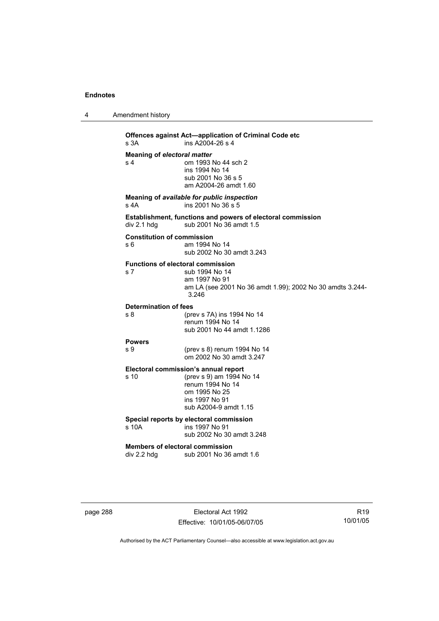4 Amendment history

**Offences against Act—application of Criminal Code etc**<br>s 3A **ins A2004-26 s 4**  $ins A2004-26 s 4$ **Meaning of** *electoral matter*<br>s 4 0m 1993 om 1993 No 44 sch 2 ins 1994 No 14 sub 2001 No 36 s 5 am A2004-26 amdt 1.60 **Meaning of** *available for public inspection* s 4A ins 2001 No 36 s 5 **Establishment, functions and powers of electoral commission**  div 2.1 hdg sub 2001 No 36 amdt 1.5 **Constitution of commission**  s 6 am 1994 No 14 sub 2002 No 30 amdt 3.243 **Functions of electoral commission**  s 7 sub 1994 No 14 am 1997 No 91 am LA (see 2001 No 36 amdt 1.99); 2002 No 30 amdts 3.244- 3.246 **Determination of fees**  s 8 (prev s 7A) ins 1994 No 14 renum 1994 No 14 sub 2001 No 44 amdt 1.1286 **Powers**  s 9 (prev s 8) renum 1994 No 14 om 2002 No 30 amdt 3.247 **Electoral commission's annual report**  (prev s 9) am 1994 No 14 renum 1994 No 14 om 1995 No 25 ins 1997 No 91 sub A2004-9 amdt 1.15 **Special reports by electoral commission**  s 10A ins 1997 No 91 sub 2002 No 30 amdt 3.248 **Members of electoral commission**  div 2.2 hdg sub 2001 No 36 amdt 1.6

page 288 Electoral Act 1992 Effective: 10/01/05-06/07/05

R19 10/01/05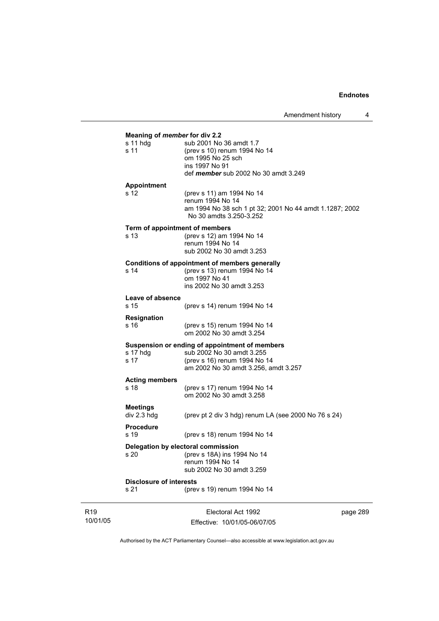| Meaning of member for div 2.2<br>s 11 hdg | sub 2001 No 36 amdt 1.7                                                            |
|-------------------------------------------|------------------------------------------------------------------------------------|
| s <sub>11</sub>                           | (prev s 10) renum 1994 No 14                                                       |
|                                           | om 1995 No 25 sch                                                                  |
|                                           | ins 1997 No 91                                                                     |
|                                           | def member sub 2002 No 30 amdt 3.249                                               |
| <b>Appointment</b>                        |                                                                                    |
| s 12                                      | (prev s 11) am 1994 No 14                                                          |
|                                           | renum 1994 No 14                                                                   |
|                                           | am 1994 No 38 sch 1 pt 32; 2001 No 44 amdt 1.1287; 2002<br>No 30 amdts 3.250-3.252 |
|                                           | Term of appointment of members                                                     |
| s <sub>13</sub>                           | (prev s 12) am 1994 No 14                                                          |
|                                           | renum 1994 No 14                                                                   |
|                                           | sub 2002 No 30 amdt 3.253                                                          |
|                                           | Conditions of appointment of members generally                                     |
| s 14                                      | (prev s 13) renum 1994 No 14                                                       |
|                                           | om 1997 No 41                                                                      |
|                                           | ins 2002 No 30 amdt 3.253                                                          |
| Leave of absence                          |                                                                                    |
| s 15                                      | (prev s 14) renum 1994 No 14                                                       |
| Resignation                               |                                                                                    |
| s 16                                      | (prev s 15) renum 1994 No 14<br>om 2002 No 30 amdt 3.254                           |
|                                           |                                                                                    |
| s 17 hdg                                  | Suspension or ending of appointment of members<br>sub 2002 No 30 amdt 3.255        |
| s 17                                      | (prev s 16) renum 1994 No 14                                                       |
|                                           | am 2002 No 30 amdt 3.256, amdt 3.257                                               |
| <b>Acting members</b>                     |                                                                                    |
| s 18                                      | (prev s 17) renum 1994 No 14                                                       |
|                                           | om 2002 No 30 amdt 3.258                                                           |
| <b>Meetings</b>                           |                                                                                    |
| div 2.3 hdg                               | (prev pt 2 div 3 hdg) renum LA (see 2000 No $76$ s $24$ )                          |
| <b>Procedure</b>                          |                                                                                    |
| s 19                                      | (prev s 18) renum 1994 No 14                                                       |
|                                           | Delegation by electoral commission                                                 |
| s <sub>20</sub>                           | (prev s 18A) ins 1994 No 14                                                        |
|                                           | renum 1994 No 14                                                                   |
|                                           | sub 2002 No 30 amdt 3.259                                                          |
| <b>Disclosure of interests</b>            |                                                                                    |
| s 21                                      | (prev s 19) renum 1994 No 14                                                       |

R19 10/01/05

Electoral Act 1992 Effective: 10/01/05-06/07/05 page 289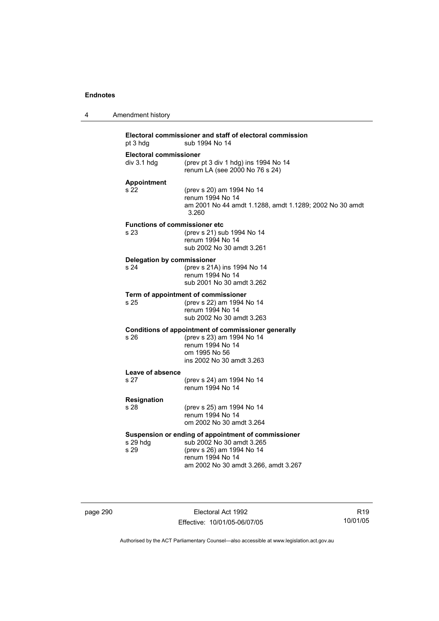| 4 | Amendment history                                       |                                                                                                                                                                           |
|---|---------------------------------------------------------|---------------------------------------------------------------------------------------------------------------------------------------------------------------------------|
|   | pt 3 hdg                                                | Electoral commissioner and staff of electoral commission<br>sub 1994 No 14                                                                                                |
|   | <b>Electoral commissioner</b><br>div 3.1 hdg            | (prev pt 3 div 1 hdg) ins 1994 No 14<br>renum LA (see 2000 No 76 s 24)                                                                                                    |
|   | <b>Appointment</b><br>s 22                              | (prev s 20) am 1994 No 14<br>renum 1994 No 14<br>am 2001 No 44 amdt 1.1288, amdt 1.1289; 2002 No 30 amdt<br>3.260                                                         |
|   | <b>Functions of commissioner etc</b><br>s <sub>23</sub> | (prev s 21) sub 1994 No 14<br>renum 1994 No 14<br>sub 2002 No 30 amdt 3.261                                                                                               |
|   | <b>Delegation by commissioner</b><br>s 24               | (prev s 21A) ins 1994 No 14<br>renum 1994 No 14<br>sub 2001 No 30 amdt 3.262                                                                                              |
|   | s 25                                                    | Term of appointment of commissioner<br>(prev s 22) am 1994 No 14<br>renum 1994 No 14<br>sub 2002 No 30 amdt 3.263                                                         |
|   | s 26                                                    | Conditions of appointment of commissioner generally<br>(prev s 23) am 1994 No 14<br>renum 1994 No 14<br>om 1995 No 56<br>ins 2002 No 30 amdt 3.263                        |
|   | Leave of absence                                        |                                                                                                                                                                           |
|   | s 27                                                    | (prev s 24) am 1994 No 14<br>renum 1994 No 14                                                                                                                             |
|   | Resignation                                             |                                                                                                                                                                           |
|   | s 28                                                    | (prev s 25) am 1994 No 14<br>renum 1994 No 14<br>om 2002 No 30 amdt 3.264                                                                                                 |
|   | s 29 hdg<br>s 29                                        | Suspension or ending of appointment of commissioner<br>sub 2002 No 30 amdt 3.265<br>(prev s 26) am 1994 No 14<br>renum 1994 No 14<br>am 2002 No 30 amdt 3.266, amdt 3.267 |

page 290 **Electoral Act 1992** Effective: 10/01/05-06/07/05

R19 10/01/05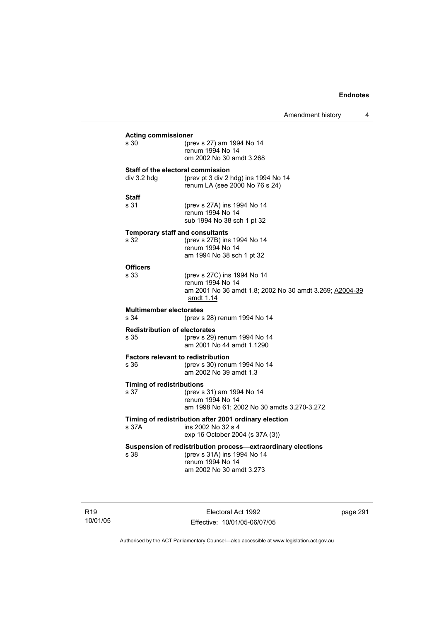|                                                   |                                                                                                                                             | Amendment history | 4 |
|---------------------------------------------------|---------------------------------------------------------------------------------------------------------------------------------------------|-------------------|---|
| <b>Acting commissioner</b><br>s 30                | (prev s 27) am 1994 No 14<br>renum 1994 No 14<br>om 2002 No 30 amdt 3.268                                                                   |                   |   |
| Staff of the electoral commission<br>div 3.2 hdg  | (prev pt 3 div 2 hdg) ins 1994 No 14<br>renum LA (see 2000 No 76 s 24)                                                                      |                   |   |
| Staff<br>s 31                                     | (prev s 27A) ins 1994 No 14<br>renum 1994 No 14<br>sub 1994 No 38 sch 1 pt 32                                                               |                   |   |
| <b>Temporary staff and consultants</b><br>s 32    | (prev s 27B) ins 1994 No 14<br>renum 1994 No 14<br>am 1994 No 38 sch 1 pt 32                                                                |                   |   |
| <b>Officers</b><br>s 33                           | (prev s 27C) ins 1994 No 14<br>renum 1994 No 14<br>am 2001 No 36 amdt 1.8; 2002 No 30 amdt 3.269; A2004-39<br>amdt 1.14                     |                   |   |
| <b>Multimember electorates</b><br>s 34            | (prev s 28) renum 1994 No 14                                                                                                                |                   |   |
| <b>Redistribution of electorates</b><br>s 35      | (prev s 29) renum 1994 No 14<br>am 2001 No 44 amdt 1.1290                                                                                   |                   |   |
| <b>Factors relevant to redistribution</b><br>s 36 | (prev s 30) renum 1994 No 14<br>am 2002 No 39 amdt 1.3                                                                                      |                   |   |
| <b>Timing of redistributions</b><br>s 37          | (prev s 31) am 1994 No 14<br>renum 1994 No 14<br>am 1998 No 61; 2002 No 30 amdts 3.270-3.272                                                |                   |   |
| s 37A                                             | Timing of redistribution after 2001 ordinary election<br>ins 2002 No 32 s 4<br>exp 16 October 2004 (s 37A (3))                              |                   |   |
| s 38                                              | Suspension of redistribution process-extraordinary elections<br>(prev s 31A) ins 1994 No 14<br>renum 1994 No 14<br>am 2002 No 30 amdt 3.273 |                   |   |

R19 10/01/05

Electoral Act 1992 Effective: 10/01/05-06/07/05 page 291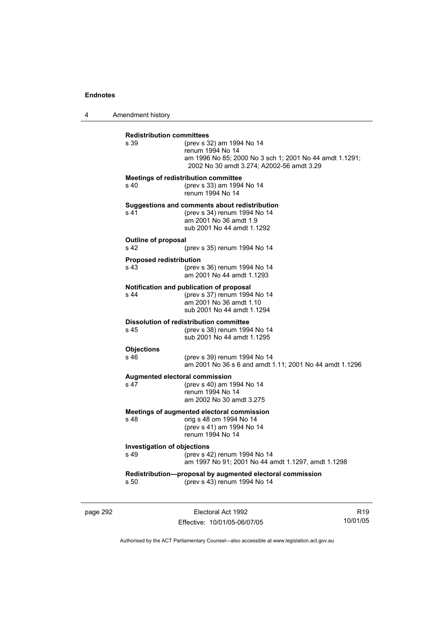4 Amendment history

| <b>Redistribution committees</b><br>s 39              | (prev s 32) am 1994 No 14<br>renum 1994 No 14<br>am 1996 No 85; 2000 No 3 sch 1; 2001 No 44 amdt 1.1291;<br>2002 No 30 amdt 3.274; A2002-56 amdt 3.29 |
|-------------------------------------------------------|-------------------------------------------------------------------------------------------------------------------------------------------------------|
| s 40                                                  | <b>Meetings of redistribution committee</b><br>(prev s 33) am 1994 No 14<br>renum 1994 No 14                                                          |
| s <sub>41</sub>                                       | Suggestions and comments about redistribution<br>(prev s 34) renum 1994 No 14<br>am 2001 No 36 amdt 1.9<br>sub 2001 No 44 amdt 1.1292                 |
| Outline of proposal<br>s <sub>42</sub>                | (prev s 35) renum 1994 No 14                                                                                                                          |
| <b>Proposed redistribution</b><br>s 43                | (prev s 36) renum 1994 No 14<br>am 2001 No 44 amdt 1.1293                                                                                             |
| s <sub>44</sub>                                       | Notification and publication of proposal<br>(prev s 37) renum 1994 No 14<br>am 2001 No 36 amdt 1.10<br>sub 2001 No 44 amdt 1.1294                     |
| s 45                                                  | <b>Dissolution of redistribution committee</b><br>(prev s 38) renum 1994 No 14<br>sub 2001 No 44 amdt 1.1295                                          |
| <b>Objections</b><br>$s$ 46                           | (prev s 39) renum 1994 No 14<br>am 2001 No 36 s 6 and amdt 1.11; 2001 No 44 amdt 1.1296                                                               |
| s <sub>47</sub>                                       | Augmented electoral commission<br>(prev s 40) am 1994 No 14<br>renum 1994 No 14<br>am 2002 No 30 amdt 3.275                                           |
| s 48                                                  | Meetings of augmented electoral commission<br>orig s 48 om 1994 No 14<br>(prev s 41) am 1994 No 14<br>renum 1994 No 14                                |
| <b>Investigation of objections</b><br>s <sub>49</sub> | (prev s 42) renum 1994 No 14<br>am 1997 No 91; 2001 No 44 amdt 1.1297, amdt 1.1298                                                                    |
| s 50                                                  | Redistribution-proposal by augmented electoral commission<br>(prev s 43) renum 1994 No 14                                                             |

page 292 **Electoral Act 1992** Effective: 10/01/05-06/07/05

R19 10/01/05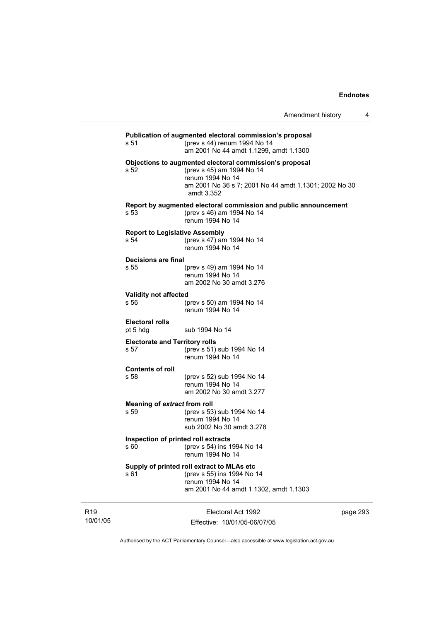|                                               | Publication of augmented electoral commission's proposal                                                                                                                        |
|-----------------------------------------------|---------------------------------------------------------------------------------------------------------------------------------------------------------------------------------|
| s 51                                          | (prev s 44) renum 1994 No 14<br>am 2001 No 44 amdt 1.1299, amdt 1.1300                                                                                                          |
| s 52                                          | Objections to augmented electoral commission's proposal<br>(prev s 45) am 1994 No 14<br>renum 1994 No 14<br>am 2001 No 36 s 7; 2001 No 44 amdt 1.1301; 2002 No 30<br>amdt 3.352 |
| s 53                                          | Report by augmented electoral commission and public announcement<br>(prev s 46) am 1994 No 14<br>renum 1994 No 14                                                               |
| <b>Report to Legislative Assembly</b><br>s 54 | (prev s 47) am 1994 No 14<br>renum 1994 No 14                                                                                                                                   |
| Decisions are final<br>s 55                   | (prev s 49) am 1994 No 14<br>renum 1994 No 14<br>am 2002 No 30 amdt 3.276                                                                                                       |
| <b>Validity not affected</b><br>s 56          | (prev s 50) am 1994 No 14<br>renum 1994 No 14                                                                                                                                   |
| <b>Electoral rolls</b><br>pt 5 hdg            | sub 1994 No 14                                                                                                                                                                  |
| <b>Electorate and Territory rolls</b><br>s 57 | (prev s 51) sub 1994 No 14<br>renum 1994 No 14                                                                                                                                  |
| <b>Contents of roll</b><br>s 58               | (prev s 52) sub 1994 No 14<br>renum 1994 No 14<br>am 2002 No 30 amdt 3.277                                                                                                      |
| Meaning of extract from roll<br>s 59          | (prev s 53) sub 1994 No 14<br>renum 1994 No 14<br>sub 2002 No 30 amdt 3.278                                                                                                     |
| Inspection of printed roll extracts<br>s 60   | (prev s 54) ins 1994 No 14<br>renum 1994 No 14                                                                                                                                  |
| s 61                                          | Supply of printed roll extract to MLAs etc<br>(prev s 55) ins 1994 No 14<br>renum 1994 No 14<br>am 2001 No 44 amdt 1.1302, amdt 1.1303                                          |
|                                               |                                                                                                                                                                                 |

R19 10/01/05

Electoral Act 1992 Effective: 10/01/05-06/07/05 page 293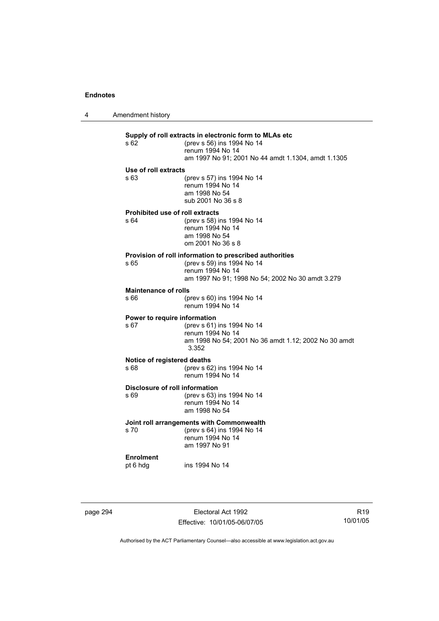4 Amendment history

## **Supply of roll extracts in electronic form to MLAs etc**  (prev s 56) ins 1994 No 14 renum 1994 No 14 am 1997 No 91; 2001 No 44 amdt 1.1304, amdt 1.1305 **Use of roll extracts**  s 63 (prev s 57) ins 1994 No 14 renum 1994 No 14 am 1998 No 54 sub 2001 No 36 s 8 **Prohibited use of roll extracts**  s 64 (prev s 58) ins 1994 No 14 renum 1994 No 14 am 1998 No 54 om 2001 No 36 s 8 **Provision of roll information to prescribed authorities**<br>  $\frac{65}{20}$  (prev s 59) ins 1994 No 14 (prev s 59) ins 1994 No 14 renum 1994 No 14 am 1997 No 91; 1998 No 54; 2002 No 30 amdt 3.279 **Maintenance of rolls**  s 66 (prev s 60) ins 1994 No 14 renum 1994 No 14 **Power to require information**  s 67 (prev s 61) ins 1994 No 14 renum 1994 No 14 am 1998 No 54; 2001 No 36 amdt 1.12; 2002 No 30 amdt 3.352 **Notice of registered deaths**  s 68 (prev s 62) ins 1994 No 14 renum 1994 No 14 **Disclosure of roll information**  s 69 (prev s 63) ins 1994 No 14 renum 1994 No 14 am 1998 No 54 **Joint roll arrangements with Commonwealth**  s 70 (prev s 64) ins 1994 No 14 renum 1994 No 14 am 1997 No 91 **Enrolment**  pt 6 hdg ins 1994 No 14

page 294 **Electoral Act 1992** Effective: 10/01/05-06/07/05

R19 10/01/05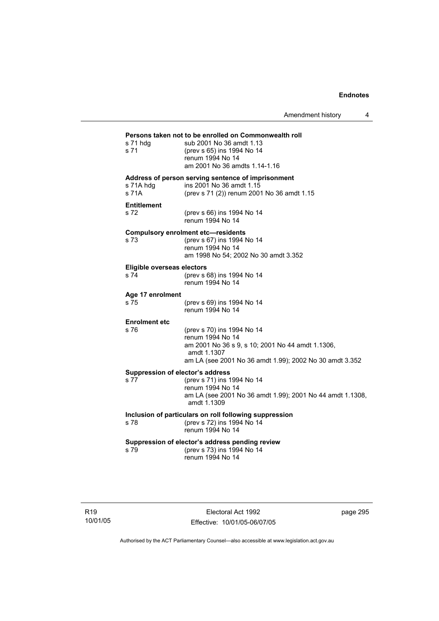Amendment history 4

## **Persons taken not to be enrolled on Commonwealth roll**  s 71 hdg sub 2001 No 36 amdt 1.13 s 71 (prev s 65) ins 1994 No 14 renum 1994 No 14 am 2001 No 36 amdts 1.14-1.16 **Address of person serving sentence of imprisonment**  s 71A hdg ins 2001 No 36 amdt 1.15<br>s 71A (prev s 71 (2)) renum 200 (prev s 71 (2)) renum 2001 No 36 amdt 1.15 **Entitlement**  s 72 (prev s 66) ins 1994 No 14 renum 1994 No 14 **Compulsory enrolment etc—residents**  (prev s 67) ins 1994 No 14 renum 1994 No 14 am 1998 No 54; 2002 No 30 amdt 3.352 **Eligible overseas electors**  s 74 (prev s 68) ins 1994 No 14 renum 1994 No 14 **Age 17 enrolment**  (prev s 69) ins 1994 No 14 renum 1994 No 14 **Enrolment etc**  (prev s 70) ins 1994 No 14 renum 1994 No 14 am 2001 No 36 s 9, s 10; 2001 No 44 amdt 1.1306, amdt 1.1307 am LA (see 2001 No 36 amdt 1.99); 2002 No 30 amdt 3.352 **Suppression of elector's address**  s 77 (prev s 71) ins 1994 No 14 renum 1994 No 14 am LA (see 2001 No 36 amdt 1.99); 2001 No 44 amdt 1.1308, amdt 1.1309 **Inclusion of particulars on roll following suppression**  s 78 (prev s 72) ins 1994 No 14 renum 1994 No 14 **Suppression of elector's address pending review**  s 79 (prev s 73) ins 1994 No 14 renum 1994 No 14

Electoral Act 1992 Effective: 10/01/05-06/07/05 page 295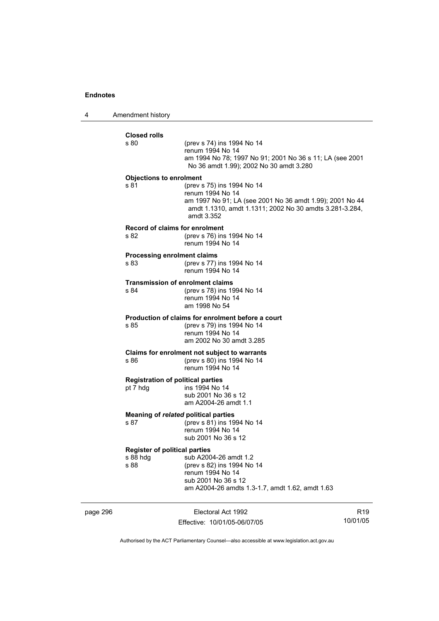4 Amendment history

| <b>Closed rolls</b><br>s 80          | (prev s 74) ins 1994 No 14                                                                                                        |
|--------------------------------------|-----------------------------------------------------------------------------------------------------------------------------------|
|                                      | renum 1994 No 14                                                                                                                  |
|                                      | am 1994 No 78; 1997 No 91; 2001 No 36 s 11; LA (see 2001<br>No 36 amdt 1.99); 2002 No 30 amdt 3.280                               |
| <b>Objections to enrolment</b>       |                                                                                                                                   |
| s 81                                 | (prev s 75) ins 1994 No 14<br>renum 1994 No 14                                                                                    |
|                                      | am 1997 No 91; LA (see 2001 No 36 amdt 1.99); 2001 No 44<br>amdt 1.1310, amdt 1.1311; 2002 No 30 amdts 3.281-3.284,<br>amdt 3.352 |
|                                      | <b>Record of claims for enrolment</b>                                                                                             |
| s 82                                 | (prev s 76) ins 1994 No 14<br>renum 1994 No 14                                                                                    |
| <b>Processing enrolment claims</b>   |                                                                                                                                   |
| s 83                                 | (prev s 77) ins 1994 No 14<br>renum 1994 No 14                                                                                    |
|                                      | <b>Transmission of enrolment claims</b>                                                                                           |
| s 84                                 | (prev s 78) ins 1994 No 14<br>renum 1994 No 14                                                                                    |
|                                      | am 1998 No 54                                                                                                                     |
|                                      | Production of claims for enrolment before a court                                                                                 |
| s 85                                 | (prev s 79) ins 1994 No 14<br>renum 1994 No 14                                                                                    |
|                                      | am 2002 No 30 amdt 3.285                                                                                                          |
|                                      | Claims for enrolment not subject to warrants                                                                                      |
| s 86                                 | (prev s 80) ins 1994 No 14<br>renum 1994 No 14                                                                                    |
|                                      | <b>Registration of political parties</b>                                                                                          |
| pt 7 hdg                             | ins 1994 No 14<br>sub 2001 No 36 s 12                                                                                             |
|                                      | am A2004-26 amdt 1.1                                                                                                              |
|                                      | Meaning of related political parties                                                                                              |
| s 87                                 | (prev s 81) ins 1994 No 14<br>renum 1994 No 14                                                                                    |
|                                      | sub 2001 No 36 s 12                                                                                                               |
| <b>Register of political parties</b> |                                                                                                                                   |
| s 88 hdg<br>s 88                     | sub A2004-26 amdt 1.2<br>(prev s 82) ins 1994 No 14                                                                               |
|                                      | renum 1994 No 14                                                                                                                  |
|                                      | sub 2001 No 36 s 12                                                                                                               |
|                                      | am A2004-26 amdts 1.3-1.7, amdt 1.62, amdt 1.63                                                                                   |

page 296 Electoral Act 1992 Effective: 10/01/05-06/07/05

R19 10/01/05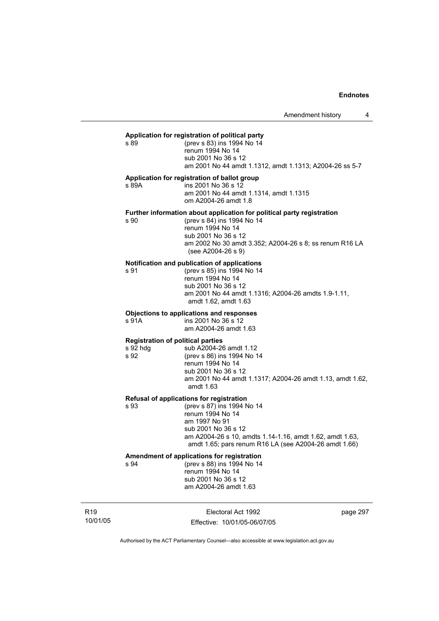#### **Application for registration of political party**

s 89 (prev s 83) ins 1994 No 14 renum 1994 No 14 sub 2001 No 36 s 12 am 2001 No 44 amdt 1.1312, amdt 1.1313; A2004-26 ss 5-7

## **Application for registration of ballot group**

s 89A ins 2001 No 36 s 12 am 2001 No 44 amdt 1.1314, amdt 1.1315 om A2004-26 amdt 1.8

#### **Further information about application for political party registration**

s 90 (prev s 84) ins 1994 No 14 renum 1994 No 14 sub 2001 No 36 s 12 am 2002 No 30 amdt 3.352; A2004-26 s 8; ss renum R16 LA (see A2004-26 s 9)

#### **Notification and publication of applications**

s 91 (prev s 85) ins 1994 No 14 renum 1994 No 14 sub 2001 No 36 s 12 am 2001 No 44 amdt 1.1316; A2004-26 amdts 1.9-1.11, amdt 1.62, amdt 1.63

#### **Objections to applications and responses**

s 91A ins 2001 No 36 s 12 am A2004-26 amdt 1.63

#### **Registration of political parties**

s 92 hdg sub A2004-26 amdt 1.12 s 92 (prev s 86) ins 1994 No 14 renum 1994 No 14 sub 2001 No 36 s 12 am 2001 No 44 amdt 1.1317; A2004-26 amdt 1.13, amdt 1.62, amdt 1.63

#### **Refusal of applications for registration**

s 93 (prev s 87) ins 1994 No 14 renum 1994 No 14 am 1997 No 91 sub 2001 No 36 s 12 am A2004-26 s 10, amdts 1.14-1.16, amdt 1.62, amdt 1.63, amdt 1.65; pars renum R16 LA (see A2004-26 amdt 1.66)

# **Amendment of applications for registration**

s 94 (prev s 88) ins 1994 No 14 renum 1994 No 14 sub 2001 No 36 s 12 am A2004-26 amdt 1.63

R19 10/01/05

Electoral Act 1992 Effective: 10/01/05-06/07/05 page 297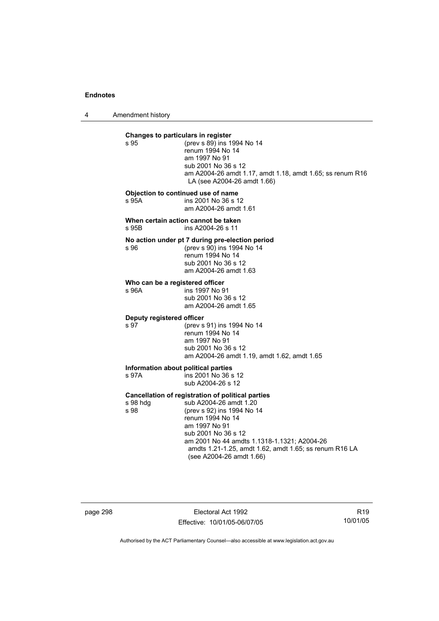4 Amendment history

**Changes to particulars in register**<br>**s** 95 (prev s 89) ins 1 (prev s 89) ins 1994 No 14 renum 1994 No 14 am 1997 No 91 sub 2001 No 36 s 12 am A2004-26 amdt 1.17, amdt 1.18, amdt 1.65; ss renum R16 LA (see A2004-26 amdt 1.66) **Objection to continued use of name**  s 95A ins 2001 No 36 s 12 am A2004-26 amdt 1.61 **When certain action cannot be taken**  s 95B ins A2004-26 s 11 **No action under pt 7 during pre-election period**  s 96 (prev s 90) ins 1994 No 14 renum 1994 No 14 sub 2001 No 36 s 12 am A2004-26 amdt 1.63 **Who can be a registered officer**<br>s 96A **ins 1997** No 9 ins 1997 No 91 sub 2001 No 36 s 12 am A2004-26 amdt 1.65 **Deputy registered officer**  s 97 (prev s 91) ins 1994 No 14 renum 1994 No 14 am 1997 No 91 sub 2001 No 36 s 12 am A2004-26 amdt 1.19, amdt 1.62, amdt 1.65 **Information about political parties**<br>s 97A **Ins** 2001 No 36 s  $ins 2001$  No 36 s 12 sub A2004-26 s 12 **Cancellation of registration of political parties**  s 98 hdg sub A2004-26 amdt 1.20<br>s 98 (prev s 92) ins 1994 No 1 (prev s 92) ins 1994 No 14 renum 1994 No 14 am 1997 No 91 sub 2001 No 36 s 12 am 2001 No 44 amdts 1.1318-1.1321; A2004-26 amdts 1.21-1.25, amdt 1.62, amdt 1.65; ss renum R16 LA (see A2004-26 amdt 1.66)

page 298 Electoral Act 1992 Effective: 10/01/05-06/07/05

R19 10/01/05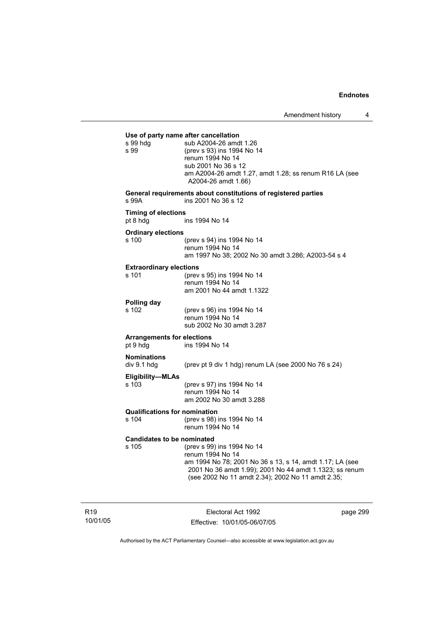| s 99 hdg<br>s 99                              | Use of party name after cancellation<br>sub A2004-26 amdt 1.26<br>(prev s 93) ins 1994 No 14<br>renum 1994 No 14<br>sub 2001 No 36 s 12<br>am A2004-26 amdt 1.27, amdt 1.28; ss renum R16 LA (see<br>A2004-26 amdt 1.66)   |
|-----------------------------------------------|----------------------------------------------------------------------------------------------------------------------------------------------------------------------------------------------------------------------------|
| s 99A                                         | General requirements about constitutions of registered parties<br>ins 2001 No 36 s 12                                                                                                                                      |
| <b>Timing of elections</b><br>pt 8 hdg        | ins 1994 No 14                                                                                                                                                                                                             |
| <b>Ordinary elections</b><br>s 100            | (prev s 94) ins 1994 No 14<br>renum 1994 No 14<br>am 1997 No 38; 2002 No 30 amdt 3.286; A2003-54 s 4                                                                                                                       |
| <b>Extraordinary elections</b><br>s 101       | (prev s 95) ins 1994 No 14<br>renum 1994 No 14<br>am 2001 No 44 amdt 1.1322                                                                                                                                                |
| Polling day<br>s 102                          | (prev s 96) ins 1994 No 14<br>renum 1994 No 14<br>sub 2002 No 30 amdt 3.287                                                                                                                                                |
| <b>Arrangements for elections</b><br>pt 9 hdg | ins 1994 No 14                                                                                                                                                                                                             |
| <b>Nominations</b><br>div 9.1 hdg             | (prev pt 9 div 1 hdg) renum LA (see 2000 No 76 s 24)                                                                                                                                                                       |
| Eligibility-MLAs<br>s 103                     | (prev s 97) ins 1994 No 14<br>renum 1994 No 14<br>am 2002 No 30 amdt 3.288                                                                                                                                                 |
| <b>Qualifications for nomination</b><br>s 104 | (prev s 98) ins 1994 No 14<br>renum 1994 No 14                                                                                                                                                                             |
| <b>Candidates to be nominated</b><br>s 105    | (prev s 99) ins 1994 No 14<br>renum 1994 No 14<br>am 1994 No 78; 2001 No 36 s 13, s 14, amdt 1.17; LA (see<br>2001 No 36 amdt 1.99); 2001 No 44 amdt 1.1323; ss renum<br>(see 2002 No 11 amdt 2.34); 2002 No 11 amdt 2.35; |

R19 10/01/05

Electoral Act 1992 Effective: 10/01/05-06/07/05 page 299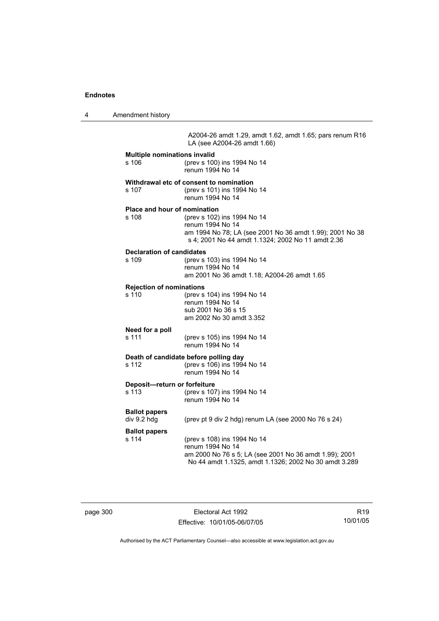4 Amendment history

A2004-26 amdt 1.29, amdt 1.62, amdt 1.65; pars renum R16 LA (see A2004-26 amdt 1.66)

| <b>Multiple nominations invalid</b><br>s 106 | (prev s 100) ins 1994 No 14<br>renum 1994 No 14                                                                                                                    |
|----------------------------------------------|--------------------------------------------------------------------------------------------------------------------------------------------------------------------|
| s 107                                        | Withdrawal etc of consent to nomination<br>(prev s 101) ins 1994 No 14<br>renum 1994 No 14                                                                         |
| Place and hour of nomination<br>s 108        | (prev s 102) ins 1994 No 14<br>renum 1994 No 14<br>am 1994 No 78; LA (see 2001 No 36 amdt 1.99); 2001 No 38<br>s 4; 2001 No 44 amdt 1.1324; 2002 No 11 amdt 2.36   |
| <b>Declaration of candidates</b><br>s 109    | (prev s 103) ins 1994 No 14<br>renum 1994 No 14<br>am 2001 No 36 amdt 1.18; A2004-26 amdt 1.65                                                                     |
| <b>Rejection of nominations</b><br>s 110     | (prev s 104) ins 1994 No 14<br>renum 1994 No 14<br>sub 2001 No 36 s 15<br>am 2002 No 30 amdt 3.352                                                                 |
| Need for a poll<br>s 111                     | (prev s 105) ins 1994 No 14<br>renum 1994 No 14                                                                                                                    |
| s 112                                        | Death of candidate before polling day<br>(prev s 106) ins 1994 No 14<br>renum 1994 No 14                                                                           |
| Deposit-return or forfeiture<br>s 113        | (prev s 107) ins 1994 No 14<br>renum 1994 No 14                                                                                                                    |
| <b>Ballot papers</b><br>div 9.2 hdg          | (prev pt 9 div 2 hdg) renum LA (see 2000 No 76 s 24)                                                                                                               |
| <b>Ballot papers</b><br>s 114                | (prev s 108) ins 1994 No 14<br>renum 1994 No 14<br>am 2000 No 76 s 5; LA (see 2001 No 36 amdt 1.99); 2001<br>No 44 amdt 1.1325, amdt 1.1326; 2002 No 30 amdt 3.289 |

page 300 Electoral Act 1992 Effective: 10/01/05-06/07/05

R19 10/01/05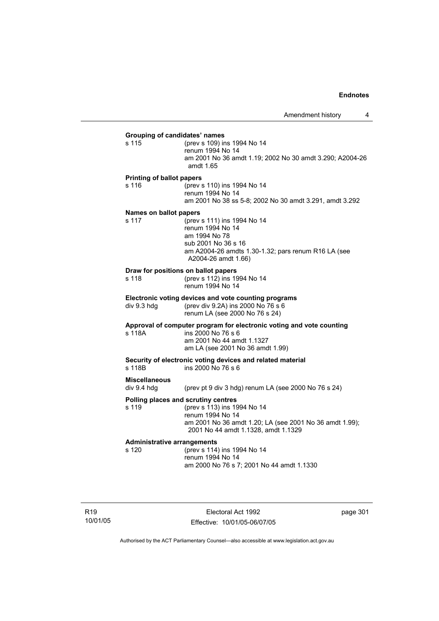## **Grouping of candidates' names** s 115 (prev s 109) ins 1994 No 14 renum 1994 No 14 am 2001 No 36 amdt 1.19; 2002 No 30 amdt 3.290; A2004-26 amdt 1.65 **Printing of ballot papers** s 116 (prev s 110) ins 1994 No 14 renum 1994 No 14 am 2001 No 38 ss 5-8; 2002 No 30 amdt 3.291, amdt 3.292 **Names on ballot papers** s 117 (prev s 111) ins 1994 No 14 renum 1994 No 14 am 1994 No 78 sub 2001 No 36 s 16 am A2004-26 amdts 1.30-1.32; pars renum R16 LA (see A2004-26 amdt 1.66) **Draw for positions on ballot papers** s 118 (prev s 112) ins 1994 No 14 renum 1994 No 14 **Electronic voting devices and vote counting programs** div 9.3 hdg (prev div 9.2A) ins 2000 No 76 s 6 renum LA (see 2000 No 76 s 24) **Approval of computer program for electronic voting and vote counting** s 118A ins 2000 No 76 s 6 am 2001 No 44 amdt 1.1327 am LA (see 2001 No 36 amdt 1.99) **Security of electronic voting devices and related material**  s 118B ins 2000 No 76 s 6 **Miscellaneous**  div 9.4 hdg (prev pt 9 div 3 hdg) renum LA (see 2000 No 76 s 24) **Polling places and scrutiny centres**  s 119 (prev s 113) ins 1994 No 14 renum 1994 No 14 am 2001 No 36 amdt 1.20; LA (see 2001 No 36 amdt 1.99); 2001 No 44 amdt 1.1328, amdt 1.1329 **Administrative arrangements** (prev s 114) ins 1994 No 14 renum 1994 No 14 am 2000 No 76 s 7; 2001 No 44 amdt 1.1330

R19 10/01/05

Electoral Act 1992 Effective: 10/01/05-06/07/05 page 301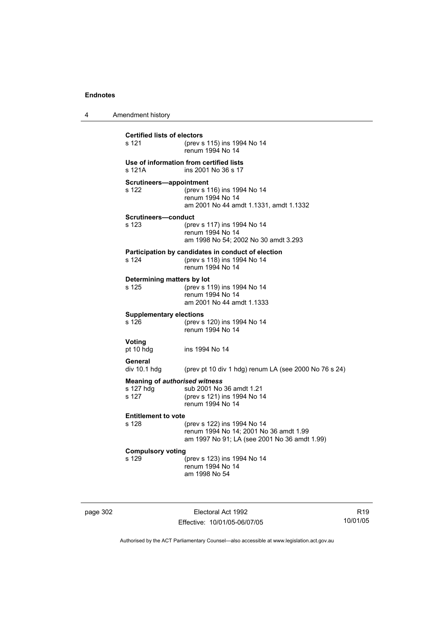| 4 | Amendment history                                          |                                                                                                                       |
|---|------------------------------------------------------------|-----------------------------------------------------------------------------------------------------------------------|
|   | <b>Certified lists of electors</b><br>s 121                | (prev s 115) ins 1994 No 14<br>renum 1994 No 14                                                                       |
|   | s 121A                                                     | Use of information from certified lists<br>ins 2001 No 36 s 17                                                        |
|   | Scrutineers-appointment<br>s 122                           | (prev s 116) ins 1994 No 14<br>renum 1994 No 14<br>am 2001 No 44 amdt 1.1331, amdt 1.1332                             |
|   | Scrutineers-conduct<br>s 123                               | (prev s 117) ins 1994 No 14<br>renum 1994 No 14<br>am 1998 No 54; 2002 No 30 amdt 3.293                               |
|   | s 124                                                      | Participation by candidates in conduct of election<br>(prev s 118) ins 1994 No 14<br>renum 1994 No 14                 |
|   | Determining matters by lot<br>s 125                        | (prev s 119) ins 1994 No 14<br>renum 1994 No 14<br>am 2001 No 44 amdt 1.1333                                          |
|   | <b>Supplementary elections</b><br>s 126                    | (prev s 120) ins 1994 No 14<br>renum 1994 No 14                                                                       |
|   | Voting<br>pt 10 hdg                                        | ins 1994 No 14                                                                                                        |
|   | General<br>$div 10.1 h$ div                                | (prev pt 10 div 1 hdg) renum LA (see 2000 No $76$ s $24$ )                                                            |
|   | <b>Meaning of authorised witness</b><br>s 127 hdg<br>s 127 | sub 2001 No 36 amdt 1.21<br>(prev s 121) ins 1994 No 14<br>renum 1994 No 14                                           |
|   | <b>Entitlement to vote</b><br>s 128                        | (prev s 122) ins 1994 No 14<br>renum 1994 No 14; 2001 No 36 amdt 1.99<br>am 1997 No 91; LA (see 2001 No 36 amdt 1.99) |
|   | <b>Compulsory voting</b><br>s 129                          | (prev s 123) ins 1994 No 14<br>renum 1994 No 14<br>am 1998 No 54                                                      |

page 302 Electoral Act 1992 Effective: 10/01/05-06/07/05

R19 10/01/05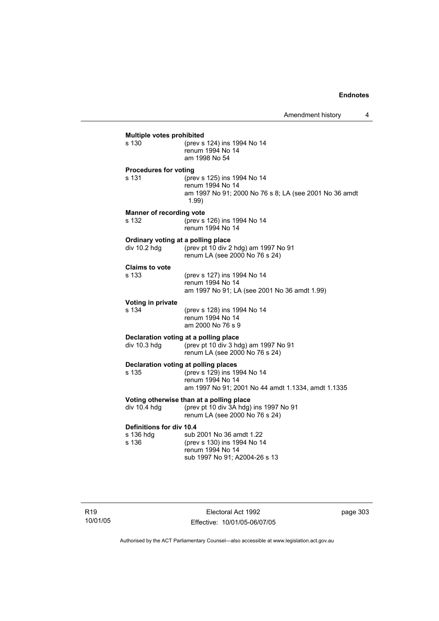| s 130                           | <b>Multiple votes prohibited</b><br>(prev s 124) ins 1994 No 14                                                    |
|---------------------------------|--------------------------------------------------------------------------------------------------------------------|
|                                 | renum 1994 No 14<br>am 1998 No 54                                                                                  |
| <b>Procedures for voting</b>    |                                                                                                                    |
| s 131                           | (prev s 125) ins 1994 No 14<br>renum 1994 No 14<br>am 1997 No 91; 2000 No 76 s 8; LA (see 2001 No 36 amdt<br>1.99) |
| <b>Manner of recording vote</b> |                                                                                                                    |
| s 132                           | (prev s 126) ins 1994 No 14<br>renum 1994 No 14                                                                    |
|                                 | Ordinary voting at a polling place                                                                                 |
| div 10.2 hdg                    | (prev pt 10 div 2 hdg) am 1997 No 91<br>renum LA (see 2000 No 76 s 24)                                             |
| <b>Claims to vote</b>           |                                                                                                                    |
| s 133                           | (prev s 127) ins 1994 No 14<br>renum 1994 No 14                                                                    |
|                                 | am 1997 No 91; LA (see 2001 No 36 amdt 1.99)                                                                       |
| Voting in private               |                                                                                                                    |
| s 134                           | (prev s 128) ins 1994 No 14                                                                                        |
|                                 | renum 1994 No 14<br>am 2000 No 76 s 9                                                                              |
|                                 |                                                                                                                    |
| div 10.3 hdg                    | Declaration voting at a polling place<br>(prev pt 10 div 3 hdg) am 1997 No 91                                      |
|                                 | renum LA (see 2000 No 76 s 24)                                                                                     |
|                                 | Declaration voting at polling places                                                                               |
| s 135                           | (prev s 129) ins 1994 No 14<br>renum 1994 No 14                                                                    |
|                                 | am 1997 No 91; 2001 No 44 amdt 1.1334, amdt 1.1335                                                                 |
|                                 | Voting otherwise than at a polling place                                                                           |
| div $10.4$ hdg                  | (prev pt 10 div 3A hdg) ins 1997 No 91<br>renum LA (see 2000 No 76 s 24)                                           |
| Definitions for div 10.4        |                                                                                                                    |
| s 136 hdg<br>s 136              | sub 2001 No 36 amdt 1.22                                                                                           |
|                                 | (prev s 130) ins 1994 No 14<br>renum 1994 No 14                                                                    |
|                                 |                                                                                                                    |

Electoral Act 1992 Effective: 10/01/05-06/07/05 page 303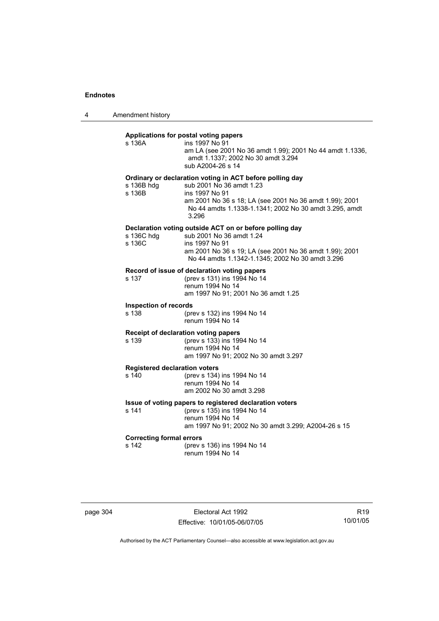4 Amendment history

## **Applications for postal voting papers**

| s 136A                                        | Applications for postal voting papers<br>ins 1997 No 91<br>am LA (see 2001 No 36 amdt 1.99); 2001 No 44 amdt 1.1336,<br>amdt 1.1337; 2002 No 30 amdt 3.294<br>sub A2004-26 s 14                                                      |
|-----------------------------------------------|--------------------------------------------------------------------------------------------------------------------------------------------------------------------------------------------------------------------------------------|
| s 136B hdg<br>s 136B                          | Ordinary or declaration voting in ACT before polling day<br>sub 2001 No 36 amdt 1.23<br>ins 1997 No 91<br>am 2001 No 36 s 18; LA (see 2001 No 36 amdt 1.99); 2001<br>No 44 amdts 1.1338-1.1341; 2002 No 30 amdt 3.295, amdt<br>3.296 |
| s 136C hdg<br>s 136C                          | Declaration voting outside ACT on or before polling day<br>sub 2001 No 36 amdt 1.24<br>ins 1997 No 91<br>am 2001 No 36 s 19; LA (see 2001 No 36 amdt 1.99); 2001<br>No 44 amdts 1.1342-1.1345; 2002 No 30 amdt 3.296                 |
| s 137                                         | Record of issue of declaration voting papers<br>(prev s 131) ins 1994 No 14<br>renum 1994 No 14<br>am 1997 No 91; 2001 No 36 amdt 1.25                                                                                               |
| <b>Inspection of records</b><br>s 138         | (prev s 132) ins 1994 No 14<br>renum 1994 No 14                                                                                                                                                                                      |
| s 139                                         | Receipt of declaration voting papers<br>(prev s 133) ins 1994 No 14<br>renum 1994 No 14<br>am 1997 No 91; 2002 No 30 amdt 3.297                                                                                                      |
| <b>Registered declaration voters</b><br>s 140 | (prev s 134) ins 1994 No 14<br>renum 1994 No 14<br>am 2002 No 30 amdt 3.298                                                                                                                                                          |
| s 141                                         | Issue of voting papers to registered declaration voters<br>(prev s 135) ins 1994 No 14<br>renum 1994 No 14<br>am 1997 No 91; 2002 No 30 amdt 3.299; A2004-26 s 15                                                                    |
| <b>Correcting formal errors</b><br>s 142      | (prev s 136) ins 1994 No 14<br>renum 1994 No 14                                                                                                                                                                                      |

page 304 Electoral Act 1992 Effective: 10/01/05-06/07/05

R19 10/01/05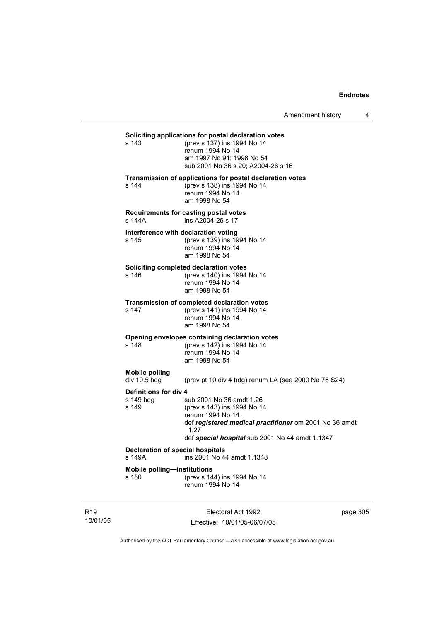Amendment history 4

## **Soliciting applications for postal declaration votes**<br>s 143 (prev s 137) ins 1994 No 14

(prev s 137) ins 1994 No 14 renum 1994 No 14 am 1997 No 91; 1998 No 54 sub 2001 No 36 s 20; A2004-26 s 16

#### **Transmission of applications for postal declaration votes**

s 144 (prev s 138) ins 1994 No 14 renum 1994 No 14 am 1998 No 54

## **Requirements for casting postal votes**

s 144A ins A2004-26 s 17

# **Interference with declaration voting**<br>s 145 (prev s 139) ins 19

(prev s 139) ins 1994 No 14 renum 1994 No 14 am 1998 No 54

#### **Soliciting completed declaration votes**

s 146 (prev s 140) ins 1994 No 14 renum 1994 No 14 am 1998 No 54

#### **Transmission of completed declaration votes**

s 147 (prev s 141) ins 1994 No 14 renum 1994 No 14 am 1998 No 54

## **Opening envelopes containing declaration votes**<br>s 148 (prev s 142) ins 1994 No 14

(prev s 142) ins 1994 No 14 renum 1994 No 14 am 1998 No 54

# **Mobile polling**

(prev pt 10 div 4 hdg) renum LA (see 2000 No 76 S24)

**Definitions for div 4**<br>s 149 hdq s sub 2001 No 36 amdt 1.26 s 149 (prev s 143) ins 1994 No 14 renum 1994 No 14 def *registered medical practitioner* om 2001 No 36 amdt 1.27 def *special hospital* sub 2001 No 44 amdt 1.1347

## **Declaration of special hospitals**<br>s 149A **ins 2001 No 4**

ins 2001 No 44 amdt 1.1348

**Mobile polling—institutions**

s 150 (prev s 144) ins 1994 No 14 renum 1994 No 14

R19 10/01/05

Electoral Act 1992 Effective: 10/01/05-06/07/05 page 305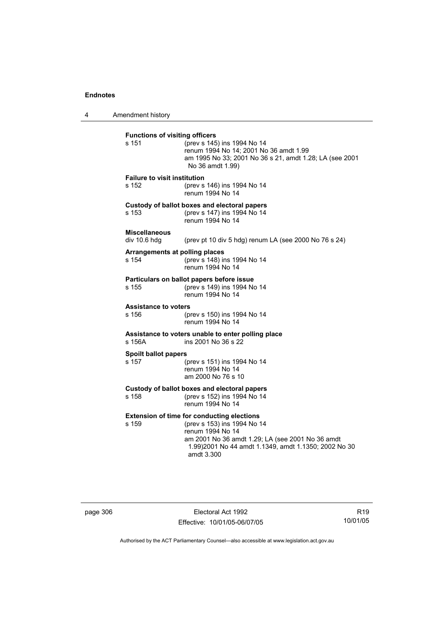4 Amendment history

| <b>Functions of visiting officers</b><br>s 151 | (prev s 145) ins 1994 No 14<br>renum 1994 No 14; 2001 No 36 amdt 1.99<br>am 1995 No 33; 2001 No 36 s 21, amdt 1.28; LA (see 2001<br>No 36 amdt 1.99)                                                                            |
|------------------------------------------------|---------------------------------------------------------------------------------------------------------------------------------------------------------------------------------------------------------------------------------|
| Failure to visit institution<br>s 152          | (prev s 146) ins 1994 No 14<br>renum 1994 No 14                                                                                                                                                                                 |
| s 153                                          | Custody of ballot boxes and electoral papers<br>(prev s 147) ins 1994 No 14<br>renum 1994 No 14                                                                                                                                 |
| <b>Miscellaneous</b><br>div 10.6 hdg           | (prev pt 10 div 5 hdg) renum LA (see 2000 No 76 s 24)                                                                                                                                                                           |
| Arrangements at polling places<br>s 154        | (prev s 148) ins 1994 No 14<br>renum 1994 No 14                                                                                                                                                                                 |
| s 155                                          | Particulars on ballot papers before issue<br>(prev s 149) ins 1994 No 14<br>renum 1994 No 14                                                                                                                                    |
| <b>Assistance to voters</b><br>s 156           | (prev s 150) ins 1994 No 14<br>renum 1994 No 14                                                                                                                                                                                 |
| s 156A                                         | Assistance to voters unable to enter polling place<br>ins 2001 No 36 s 22                                                                                                                                                       |
| <b>Spoilt ballot papers</b><br>s 157           | (prev s 151) ins 1994 No 14<br>renum 1994 No 14<br>am 2000 No 76 s 10                                                                                                                                                           |
| s 158                                          | Custody of ballot boxes and electoral papers<br>(prev s 152) ins 1994 No 14<br>renum 1994 No 14                                                                                                                                 |
| s 159                                          | <b>Extension of time for conducting elections</b><br>(prev s 153) ins 1994 No 14<br>renum 1994 No 14<br>am 2001 No 36 amdt 1.29; LA (see 2001 No 36 amdt<br>1.99) 2001 No 44 amdt 1.1349, amdt 1.1350; 2002 No 30<br>amdt 3.300 |

| page 306 |
|----------|
|----------|

page 306 Electoral Act 1992 Effective: 10/01/05-06/07/05

R19 10/01/05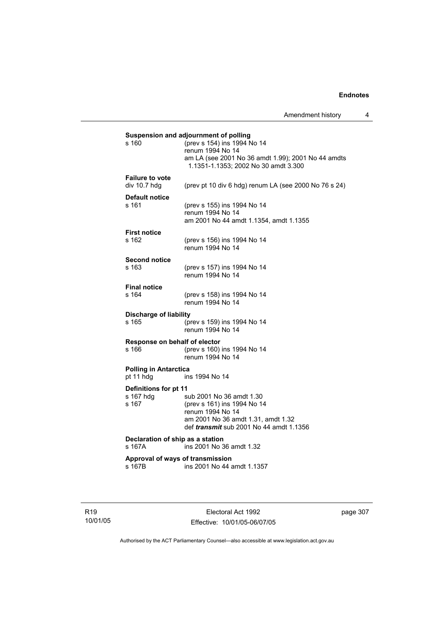|                                        | Suspension and adjournment of polling                 |
|----------------------------------------|-------------------------------------------------------|
| s 160                                  | (prev s 154) ins 1994 No 14                           |
|                                        | renum 1994 No 14                                      |
|                                        | am LA (see 2001 No 36 amdt 1.99); 2001 No 44 amdts    |
|                                        | 1.1351-1.1353; 2002 No 30 amdt 3.300                  |
| <b>Failure to vote</b>                 |                                                       |
| div 10.7 hdg                           | (prev pt 10 div 6 hdg) renum LA (see 2000 No 76 s 24) |
|                                        |                                                       |
| <b>Default notice</b>                  |                                                       |
| s 161                                  | (prev s 155) ins 1994 No 14                           |
|                                        | renum 1994 No 14                                      |
|                                        | am 2001 No 44 amdt 1.1354, amdt 1.1355                |
| <b>First notice</b>                    |                                                       |
| s 162                                  | (prev s 156) ins 1994 No 14                           |
|                                        | renum 1994 No 14                                      |
|                                        |                                                       |
| <b>Second notice</b><br>s 163          |                                                       |
|                                        | (prev s 157) ins 1994 No 14<br>renum 1994 No 14       |
|                                        |                                                       |
| <b>Final notice</b>                    |                                                       |
| s 164                                  | (prev s 158) ins 1994 No 14                           |
|                                        | renum 1994 No 14                                      |
| <b>Discharge of liability</b>          |                                                       |
| s 165                                  | (prev s 159) ins 1994 No 14                           |
|                                        | renum 1994 No 14                                      |
|                                        |                                                       |
| Response on behalf of elector<br>s 166 | (prev s 160) ins 1994 No 14                           |
|                                        | renum 1994 No 14                                      |
|                                        |                                                       |
| <b>Polling in Antarctica</b>           |                                                       |
| pt 11 hdg                              | ins 1994 No 14                                        |
| Definitions for pt 11                  |                                                       |
| s 167 hdg                              | sub 2001 No 36 amdt 1.30                              |
| s 167                                  | (prev s 161) ins 1994 No 14                           |
|                                        | renum 1994 No 14                                      |
|                                        | am 2001 No 36 amdt 1.31, amdt 1.32                    |
|                                        | def <i>transmit</i> sub 2001 No 44 amdt 1.1356        |
| Declaration of ship as a station       |                                                       |
| s 167A                                 | ins 2001 No 36 amdt 1.32                              |
|                                        |                                                       |
| Approval of ways of transmission       |                                                       |
| s 167B                                 | ins 2001 No 44 amdt 1.1357                            |
|                                        |                                                       |

R19 10/01/05

Electoral Act 1992 Effective: 10/01/05-06/07/05 page 307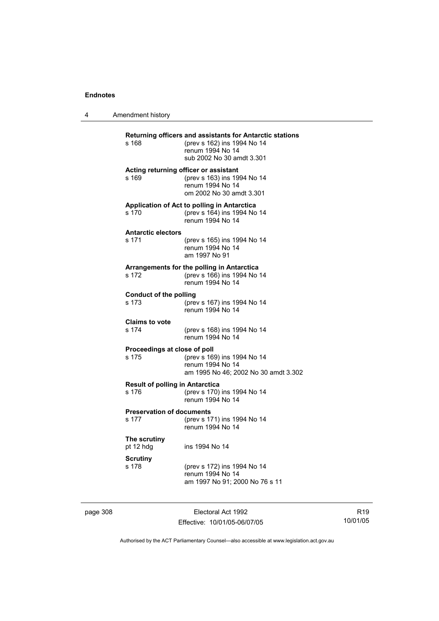| Amendment history |
|-------------------|
|                   |

| s 168                                           | Returning officers and assistants for Antarctic stations<br>(prev s 162) ins 1994 No 14<br>renum 1994 No 14<br>sub 2002 No 30 amdt 3.301 |
|-------------------------------------------------|------------------------------------------------------------------------------------------------------------------------------------------|
| s 169                                           | Acting returning officer or assistant<br>(prev s 163) ins 1994 No 14<br>renum 1994 No 14<br>om 2002 No 30 amdt 3.301                     |
| s 170                                           | Application of Act to polling in Antarctica<br>(prev s 164) ins 1994 No 14<br>renum 1994 No 14                                           |
| <b>Antarctic electors</b><br>s 171              | (prev s 165) ins 1994 No 14<br>renum 1994 No 14<br>am 1997 No 91                                                                         |
| s 172                                           | Arrangements for the polling in Antarctica<br>(prev s 166) ins 1994 No 14<br>renum 1994 No 14                                            |
| <b>Conduct of the polling</b><br>s 173          | (prev s 167) ins 1994 No 14<br>renum 1994 No 14                                                                                          |
| <b>Claims to vote</b><br>s 174                  | (prev s 168) ins 1994 No 14<br>renum 1994 No 14                                                                                          |
| Proceedings at close of poll<br>s 175           | (prev s 169) ins 1994 No 14<br>renum 1994 No 14<br>am 1995 No 46; 2002 No 30 amdt 3.302                                                  |
| <b>Result of polling in Antarctica</b><br>s 176 | (prev s 170) ins 1994 No 14<br>renum 1994 No 14                                                                                          |
| <b>Preservation of documents</b><br>s 177       | (prev s 171) ins 1994 No 14<br>renum 1994 No 14                                                                                          |
| The scrutiny<br>pt 12 hdg                       | ins 1994 No 14                                                                                                                           |
| <b>Scrutiny</b><br>s 178                        | (prev s 172) ins 1994 No 14<br>renum 1994 No 14<br>am 1997 No 91; 2000 No 76 s 11                                                        |

page 308 Electoral Act 1992 Effective: 10/01/05-06/07/05

R19 10/01/05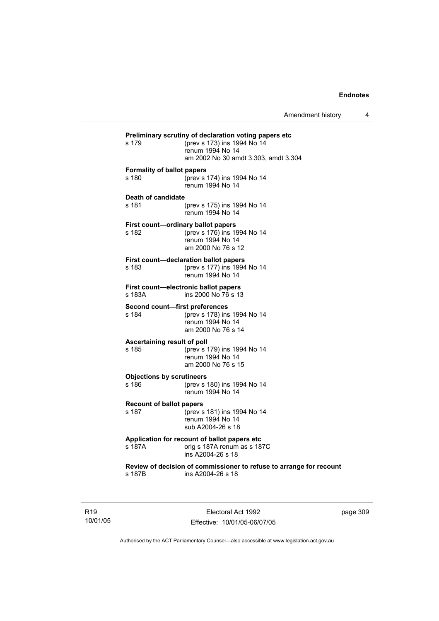| s 179                                       | Preliminary scrutiny of declaration voting papers etc<br>(prev s 173) ins 1994 No 14<br>renum 1994 No 14<br>am 2002 No 30 amdt 3.303, amdt 3.304 |
|---------------------------------------------|--------------------------------------------------------------------------------------------------------------------------------------------------|
| <b>Formality of ballot papers</b><br>s 180  | (prev s 174) ins 1994 No 14<br>renum 1994 No 14                                                                                                  |
| Death of candidate<br>s 181                 | (prev s 175) ins 1994 No 14<br>renum 1994 No 14                                                                                                  |
| First count-ordinary ballot papers<br>s 182 | (prev s 176) ins 1994 No 14<br>renum 1994 No 14<br>am 2000 No 76 s 12                                                                            |
| s 183                                       | First count-declaration ballot papers<br>(prev s 177) ins 1994 No 14<br>renum 1994 No 14                                                         |
| s 183A                                      | First count-electronic ballot papers<br>ins 2000 No 76 s 13                                                                                      |
| Second count-first preferences<br>s 184     | (prev s 178) ins 1994 No 14<br>renum 1994 No 14<br>am 2000 No 76 s 14                                                                            |
| Ascertaining result of poll<br>s 185        | (prev s 179) ins 1994 No 14<br>renum 1994 No 14<br>am 2000 No 76 s 15                                                                            |
| <b>Objections by scrutineers</b><br>s 186   | (prev s 180) ins 1994 No 14<br>renum 1994 No 14                                                                                                  |
| <b>Recount of ballot papers</b><br>s 187    | (prev s 181) ins 1994 No 14<br>renum 1994 No 14<br>sub A2004-26 s 18                                                                             |
| s 187A                                      | Application for recount of ballot papers etc<br>orig s 187A renum as s 187C<br>ins A2004-26 s 18                                                 |
| s 187B                                      | Review of decision of commissioner to refuse to arrange for recount<br>ins A2004-26 s 18                                                         |
|                                             |                                                                                                                                                  |

R19 10/01/05

Electoral Act 1992 Effective: 10/01/05-06/07/05 page 309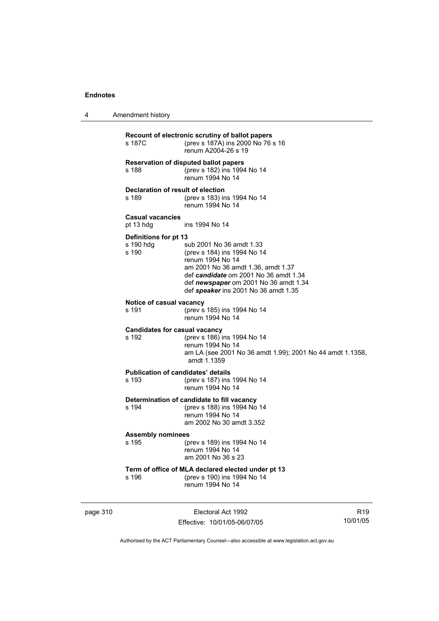4 Amendment history

| s 187C                                             | Recount of electronic scrutiny of ballot papers<br>(prev s 187A) ins 2000 No 76 s 16<br>renum A2004-26 s 19                                                                                                                                 |
|----------------------------------------------------|---------------------------------------------------------------------------------------------------------------------------------------------------------------------------------------------------------------------------------------------|
| s 188                                              | <b>Reservation of disputed ballot papers</b><br>(prev s 182) ins 1994 No 14<br>renum 1994 No 14                                                                                                                                             |
| Declaration of result of election<br>s 189         | (prev s 183) ins 1994 No 14<br>renum 1994 No 14                                                                                                                                                                                             |
| <b>Casual vacancies</b><br>pt 13 hdg               | ins 1994 No 14                                                                                                                                                                                                                              |
| Definitions for pt 13<br>s 190 hdg<br>s 190        | sub 2001 No 36 amdt 1.33<br>(prev s 184) ins 1994 No 14<br>renum 1994 No 14<br>am 2001 No 36 amdt 1.36, amdt 1.37<br>def candidate om 2001 No 36 amdt 1.34<br>def newspaper om 2001 No 36 amdt 1.34<br>def speaker ins 2001 No 36 amdt 1.35 |
| Notice of casual vacancy<br>s 191                  | (prev s 185) ins 1994 No 14<br>renum 1994 No 14                                                                                                                                                                                             |
| <b>Candidates for casual vacancy</b><br>s 192      | (prev s 186) ins 1994 No 14<br>renum 1994 No 14<br>am LA (see 2001 No 36 amdt 1.99); 2001 No 44 amdt 1.1358,<br>amdt 1.1359                                                                                                                 |
| <b>Publication of candidates' details</b><br>s 193 | (prev s 187) ins 1994 No 14<br>renum 1994 No 14                                                                                                                                                                                             |
| s 194                                              | Determination of candidate to fill vacancy<br>(prev s 188) ins 1994 No 14<br>renum 1994 No 14<br>am 2002 No 30 amdt 3.352                                                                                                                   |
| <b>Assembly nominees</b><br>s 195                  | (prev s 189) ins 1994 No 14<br>renum 1994 No 14<br>am 2001 No 36 s 23                                                                                                                                                                       |
| s 196                                              | Term of office of MLA declared elected under pt 13<br>(prev s 190) ins 1994 No 14<br>renum 1994 No 14                                                                                                                                       |

page 310 **Electoral Act 1992** Effective: 10/01/05-06/07/05

R19 10/01/05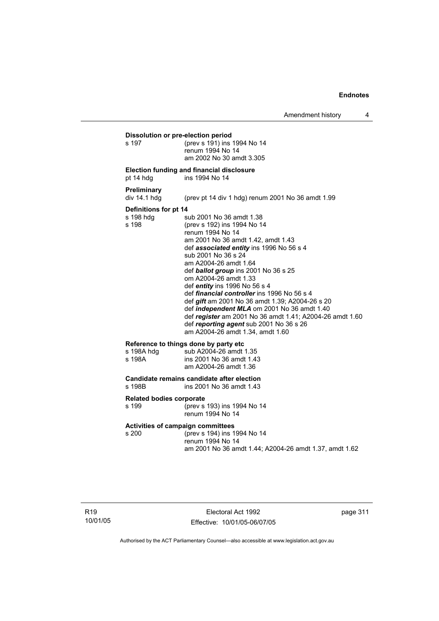**Dissolution or pre-election period**<br>s 197 (prev s 191) ins s 197 (prev s 191) ins 1994 No 14 renum 1994 No 14 am 2002 No 30 amdt 3.305

#### **Election funding and financial disclosure**

pt 14 hdg ins 1994 No 14

#### **Preliminary**

div 14.1 hdg (prev pt 14 div 1 hdg) renum 2001 No 36 amdt 1.99

#### **Definitions for pt 14**

s 198 hdg sub 2001 No 36 amdt 1.38<br>s 198 (prev s 192) ins 1994 No 14 (prev s 192) ins 1994 No 14 renum 1994 No 14 am 2001 No 36 amdt 1.42, amdt 1.43 def *associated entity* ins 1996 No 56 s 4 sub 2001 No 36 s 24 am A2004-26 amdt 1.64 def *ballot group* ins 2001 No 36 s 25 om A2004-26 amdt 1.33 def *entity* ins 1996 No 56 s 4 def *financial controller* ins 1996 No 56 s 4 def *gift* am 2001 No 36 amdt 1.39; A2004-26 s 20 def *independent MLA* om 2001 No 36 amdt 1.40 def *register* am 2001 No 36 amdt 1.41; A2004-26 amdt 1.60 def *reporting agent* sub 2001 No 36 s 26 am A2004-26 amdt 1.34, amdt 1.60

#### **Reference to things done by party etc**

| s 198A hdg | sub A2004-26 amdt 1.35   |
|------------|--------------------------|
| s 198A     | ins 2001 No 36 amdt 1.43 |
|            | am A2004-26 amdt 1.36    |

# **Candidate remains candidate after election**

ins 2001 No 36 amdt 1.43

#### **Related bodies corporate**

s 199 (prev s 193) ins 1994 No 14 renum 1994 No 14

# **Activities of campaign committees**

(prev s 194) ins 1994 No 14 renum 1994 No 14 am 2001 No 36 amdt 1.44; A2004-26 amdt 1.37, amdt 1.62

Electoral Act 1992 Effective: 10/01/05-06/07/05 page 311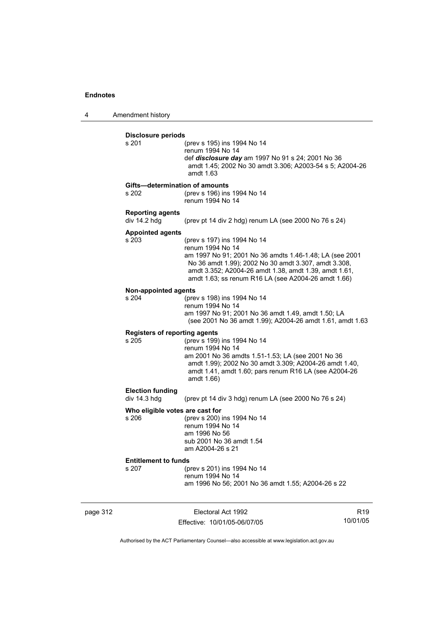4 Amendment history

| <b>Disclosure periods</b><br>s 201      | (prev s 195) ins 1994 No 14                                                                                                                                                                                                     |
|-----------------------------------------|---------------------------------------------------------------------------------------------------------------------------------------------------------------------------------------------------------------------------------|
|                                         | renum 1994 No 14<br>def disclosure day am 1997 No 91 s 24; 2001 No 36<br>amdt 1.45; 2002 No 30 amdt 3.306; A2003-54 s 5; A2004-26                                                                                               |
|                                         | amdt 1.63                                                                                                                                                                                                                       |
|                                         | Gifts-determination of amounts                                                                                                                                                                                                  |
| s 202                                   | (prev s 196) ins 1994 No 14<br>renum 1994 No 14                                                                                                                                                                                 |
| <b>Reporting agents</b><br>div 14.2 hdg | (prev pt 14 div 2 hdg) renum LA (see 2000 No 76 s 24)                                                                                                                                                                           |
| <b>Appointed agents</b>                 |                                                                                                                                                                                                                                 |
| s 203                                   | (prev s 197) ins 1994 No 14<br>renum 1994 No 14                                                                                                                                                                                 |
|                                         | am 1997 No 91; 2001 No 36 amdts 1.46-1.48; LA (see 2001<br>No 36 amdt 1.99); 2002 No 30 amdt 3.307, amdt 3.308,<br>amdt 3.352; A2004-26 amdt 1.38, amdt 1.39, amdt 1.61,<br>amdt 1.63; ss renum R16 LA (see A2004-26 amdt 1.66) |
| <b>Non-appointed agents</b>             |                                                                                                                                                                                                                                 |
| s 204                                   | (prev s 198) ins 1994 No 14<br>renum 1994 No 14                                                                                                                                                                                 |
|                                         | am 1997 No 91; 2001 No 36 amdt 1.49, amdt 1.50; LA<br>(see 2001 No 36 amdt 1.99); A2004-26 amdt 1.61, amdt 1.63                                                                                                                 |
| <b>Registers of reporting agents</b>    |                                                                                                                                                                                                                                 |
| s 205                                   | (prev s 199) ins 1994 No 14<br>renum 1994 No 14                                                                                                                                                                                 |
|                                         | am 2001 No 36 amdts 1.51-1.53; LA (see 2001 No 36<br>amdt 1.99); 2002 No 30 amdt 3.309; A2004-26 amdt 1.40,<br>amdt 1.41, amdt 1.60; pars renum R16 LA (see A2004-26<br>amdt 1.66)                                              |
| <b>Election funding</b>                 |                                                                                                                                                                                                                                 |
| div 14.3 hdg                            | (prev pt 14 div 3 hdg) renum LA (see 2000 No 76 s 24)                                                                                                                                                                           |
|                                         | Who eligible votes are cast for                                                                                                                                                                                                 |
| s 206                                   | (prev s 200) ins 1994 No 14<br>renum 1994 No 14                                                                                                                                                                                 |
|                                         | am 1996 No 56                                                                                                                                                                                                                   |
|                                         | sub 2001 No 36 amdt 1.54<br>am A2004-26 s 21                                                                                                                                                                                    |
| <b>Entitlement to funds</b>             |                                                                                                                                                                                                                                 |
| s 207                                   | (prev s 201) ins 1994 No 14                                                                                                                                                                                                     |
|                                         | renum 1994 No 14<br>am 1996 No 56; 2001 No 36 amdt 1.55; A2004-26 s 22                                                                                                                                                          |

page 312 **Electoral Act 1992** Effective: 10/01/05-06/07/05

R19 10/01/05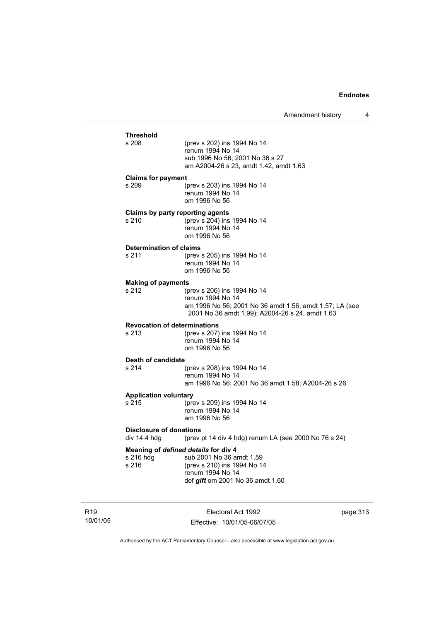### **Threshold** (prev s 202) ins 1994 No 14 renum 1994 No 14 sub 1996 No 56; 2001 No 36 s 27 am A2004-26 s 23, amdt 1.42, amdt 1.63 **Claims for payment**  s 209 (prev s 203) ins 1994 No 14 renum 1994 No 14 om 1996 No 56 **Claims by party reporting agents**  s 210 (prev s 204) ins 1994 No 14 renum 1994 No 14 om 1996 No 56 **Determination of claims**<br>s 211 (prev (prev s 205) ins 1994 No 14 renum 1994 No 14 om 1996 No 56 **Making of payments** s 212 (prev s 206) ins 1994 No 14 renum 1994 No 14 am 1996 No 56; 2001 No 36 amdt 1.56, amdt 1.57; LA (see 2001 No 36 amdt 1.99); A2004-26 s 24, amdt 1.63 **Revocation of determinations**  s 213 (prev s 207) ins 1994 No 14 renum 1994 No 14 om 1996 No 56 **Death of candidate** s 214 (prev s 208) ins 1994 No 14 renum 1994 No 14 am 1996 No 56; 2001 No 36 amdt 1.58; A2004-26 s 26 **Application voluntary** s 215 (prev s 209) ins 1994 No 14 renum 1994 No 14 am 1996 No 56 **Disclosure of donations**  div 14.4 hdg (prev pt 14 div 4 hdg) renum LA (see 2000 No 76 s 24) **Meaning of** *defined details* **for div 4** s 216 hdg sub 2001 No 36 a sub 2001 No 36 amdt 1.59 s 216 (prev s 210) ins 1994 No 14 renum 1994 No 14 def *gift* om 2001 No 36 amdt 1.60

R19 10/01/05

Electoral Act 1992 Effective: 10/01/05-06/07/05 page 313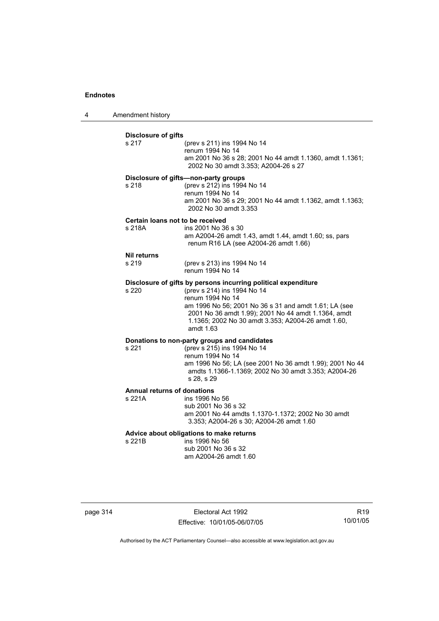4 Amendment history

| s 217                                      | <b>Disclosure of gifts</b><br>(prev s 211) ins 1994 No 14<br>renum 1994 No 14<br>am 2001 No 36 s 28; 2001 No 44 amdt 1.1360, amdt 1.1361;<br>2002 No 30 amdt 3.353; A2004-26 s 27                                                                                                                    |
|--------------------------------------------|------------------------------------------------------------------------------------------------------------------------------------------------------------------------------------------------------------------------------------------------------------------------------------------------------|
| s 218                                      | Disclosure of gifts-non-party groups<br>(prev s 212) ins 1994 No 14<br>renum 1994 No 14<br>am 2001 No 36 s 29; 2001 No 44 amdt 1.1362, amdt 1.1363;<br>2002 No 30 amdt 3.353                                                                                                                         |
| Certain loans not to be received<br>s 218A | ins 2001 No 36 s 30<br>am A2004-26 amdt 1.43, amdt 1.44, amdt 1.60; ss, pars<br>renum R16 LA (see A2004-26 amdt 1.66)                                                                                                                                                                                |
| <b>Nil returns</b><br>s 219                | (prev s 213) ins 1994 No 14<br>renum 1994 No 14                                                                                                                                                                                                                                                      |
| s 220                                      | Disclosure of gifts by persons incurring political expenditure<br>(prev s 214) ins 1994 No 14<br>renum 1994 No 14<br>am 1996 No 56; 2001 No 36 s 31 and amdt 1.61; LA (see<br>2001 No 36 amdt 1.99); 2001 No 44 amdt 1.1364, amdt<br>1.1365; 2002 No 30 amdt 3.353; A2004-26 amdt 1.60,<br>amdt 1.63 |
| s 221                                      | Donations to non-party groups and candidates<br>(prev s 215) ins 1994 No 14<br>renum 1994 No 14<br>am 1996 No 56; LA (see 2001 No 36 amdt 1.99); 2001 No 44<br>amdts 1.1366-1.1369; 2002 No 30 amdt 3.353; A2004-26<br>s 28, s 29                                                                    |
| Annual returns of donations<br>s 221A      | ins 1996 No 56<br>sub 2001 No 36 s 32<br>am 2001 No 44 amdts 1.1370-1.1372; 2002 No 30 amdt                                                                                                                                                                                                          |
|                                            | 3.353; A2004-26 s 30; A2004-26 amdt 1.60                                                                                                                                                                                                                                                             |

page 314 **Electoral Act 1992** Effective: 10/01/05-06/07/05

R19 10/01/05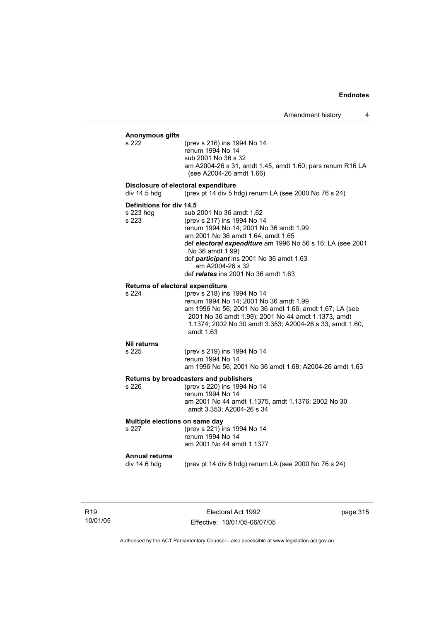### **Anonymous gifts** (prev s 216) ins 1994 No 14 renum 1994 No 14 sub 2001 No 36 s 32 am A2004-26 s 31, amdt 1.45, amdt 1.60; pars renum R16 LA (see A2004-26 amdt 1.66) **Disclosure of electoral expenditure**  div 14.5 hdg (prev pt 14 div 5 hdg) renum LA (see 2000 No 76 s 24) **Definitions for div 14.5** s 223 hdg sub 2001 No 36 amdt 1.62 s 223 (prev s 217) ins 1994 No 14 renum 1994 No 14; 2001 No 36 amdt 1.99 am 2001 No 36 amdt 1.64, amdt 1.65 def *electoral expenditure* am 1996 No 56 s 16; LA (see 2001 No 36 amdt 1.99) def *participant* ins 2001 No 36 amdt 1.63 am A2004-26 s 32 def *relates* ins 2001 No 36 amdt 1.63 **Returns of electoral expenditure** s 224 (prev s 218) ins 1994 No 14 renum 1994 No 14; 2001 No 36 amdt 1.99 am 1996 No 56; 2001 No 36 amdt 1.66, amdt 1.67; LA (see 2001 No 36 amdt 1.99); 2001 No 44 amdt 1.1373, amdt 1.1374; 2002 No 30 amdt 3.353; A2004-26 s 33, amdt 1.60, amdt 1.63 **Nil returns** s 225 (prev s 219) ins 1994 No 14 renum 1994 No 14 am 1996 No 56; 2001 No 36 amdt 1.68; A2004-26 amdt 1.63 **Returns by broadcasters and publishers** s 226 (prev s 220) ins 1994 No 14 renum 1994 No 14 am 2001 No 44 amdt 1.1375, amdt 1.1376; 2002 No 30 amdt 3.353; A2004-26 s 34 **Multiple elections on same day** s 227 (prev s 221) ins 1994 No 14 renum 1994 No 14 am 2001 No 44 amdt 1.1377 **Annual returns**  (prev pt 14 div 6 hdg) renum LA (see 2000 No 76 s  $24$ )

R19 10/01/05

Electoral Act 1992 Effective: 10/01/05-06/07/05 page 315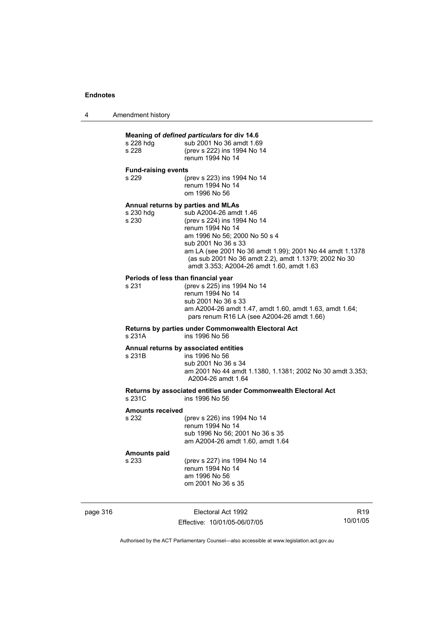| 4 | Amendment history |
|---|-------------------|
|---|-------------------|

### **Meaning of** *defined particulars* **for div 14.6** s 228 hdg sub 2001 No 36 amdt 1.69 s 228 (prev s 222) ins 1994 No 14 renum 1994 No 14 **Fund-raising events**  s 229 (prev s 223) ins 1994 No 14 renum 1994 No 14 om 1996 No 56 **Annual returns by parties and MLAs**  s 230 hdg sub A2004-26 amdt 1.46<br>s 230 (prev s 224) ins 1994 No (prev s 224) ins 1994 No 14 renum 1994 No 14 am 1996 No 56; 2000 No 50 s 4 sub 2001 No 36 s 33 am LA (see 2001 No 36 amdt 1.99); 2001 No 44 amdt 1.1378 (as sub 2001 No 36 amdt 2.2), amdt 1.1379; 2002 No 30 amdt 3.353; A2004-26 amdt 1.60, amdt 1.63 **Periods of less than financial year**<br>s 231 (prev s 225) ins 1 (prev s 225) ins 1994 No 14 renum 1994 No 14 sub 2001 No 36 s 33 am A2004-26 amdt 1.47, amdt 1.60, amdt 1.63, amdt 1.64; pars renum R16 LA (see A2004-26 amdt 1.66) **Returns by parties under Commonwealth Electoral Act** ins 1996 No 56 **Annual returns by associated entities** s 231B ins 1996 No 56 sub 2001 No 36 s 34 am 2001 No 44 amdt 1.1380, 1.1381; 2002 No 30 amdt 3.353; A2004-26 amdt 1.64 **Returns by associated entities under Commonwealth Electoral Act** ins 1996 No 56 **Amounts received**  s 232 (prev s 226) ins 1994 No 14 renum 1994 No 14 sub 1996 No 56; 2001 No 36 s 35 am A2004-26 amdt 1.60, amdt 1.64 **Amounts paid**  s 233 (prev s 227) ins 1994 No 14

 renum 1994 No 14 am 1996 No 56 om 2001 No 36 s 35

page 316 **Electoral Act 1992** Effective: 10/01/05-06/07/05

R19 10/01/05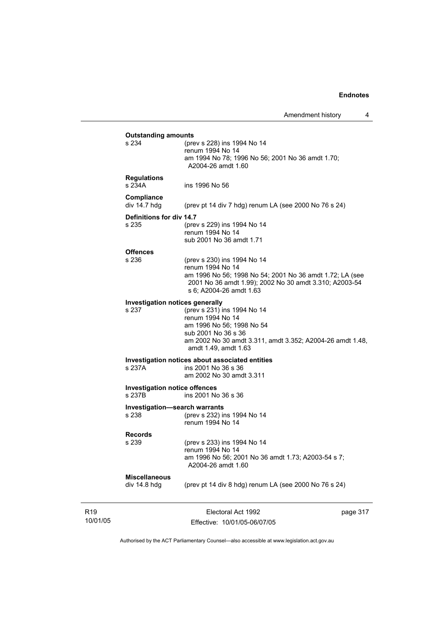| s 234                                          | (prev s 228) ins 1994 No 14                                                                                                                   |  |
|------------------------------------------------|-----------------------------------------------------------------------------------------------------------------------------------------------|--|
|                                                | renum 1994 No 14                                                                                                                              |  |
|                                                | am 1994 No 78; 1996 No 56; 2001 No 36 amdt 1.70;<br>A2004-26 amdt 1.60                                                                        |  |
| <b>Regulations</b><br>s 234A                   | ins 1996 No 56                                                                                                                                |  |
| Compliance<br>div 14.7 hdg                     | (prev pt 14 div 7 hdg) renum LA (see 2000 No 76 s 24)                                                                                         |  |
| Definitions for div 14.7                       |                                                                                                                                               |  |
| s 235                                          | (prev s 229) ins 1994 No 14<br>renum 1994 No 14                                                                                               |  |
|                                                | sub 2001 No 36 amdt 1.71                                                                                                                      |  |
| <b>Offences</b><br>s 236                       | (prev s 230) ins 1994 No 14<br>renum 1994 No 14                                                                                               |  |
|                                                | am 1996 No 56; 1998 No 54; 2001 No 36 amdt 1.72; LA (see<br>2001 No 36 amdt 1.99); 2002 No 30 amdt 3.310; A2003-54<br>s 6; A2004-26 amdt 1.63 |  |
|                                                | <b>Investigation notices generally</b>                                                                                                        |  |
| s 237                                          | (prev s 231) ins 1994 No 14<br>renum 1994 No 14                                                                                               |  |
|                                                | am 1996 No 56; 1998 No 54                                                                                                                     |  |
|                                                | sub 2001 No 36 s 36<br>am 2002 No 30 amdt 3.311, amdt 3.352; A2004-26 amdt 1.48,<br>amdt 1.49, amdt 1.63                                      |  |
|                                                | Investigation notices about associated entities                                                                                               |  |
| s 237A                                         | ins 2001 No 36 s 36<br>am 2002 No 30 amdt 3.311                                                                                               |  |
| <b>Investigation notice offences</b><br>s 237B | ins 2001 No 36 s 36                                                                                                                           |  |
|                                                | Investigation-search warrants                                                                                                                 |  |
| s 238                                          | (prev s 232) ins 1994 No 14<br>renum 1994 No 14                                                                                               |  |
| <b>Records</b>                                 |                                                                                                                                               |  |
| s 239                                          | (prev s 233) ins 1994 No 14                                                                                                                   |  |
|                                                | renum 1994 No 14<br>am 1996 No 56; 2001 No 36 amdt 1.73; A2003-54 s 7;<br>A2004-26 amdt 1.60                                                  |  |
| <b>Miscellaneous</b>                           |                                                                                                                                               |  |
| div 14.8 hdg                                   | (prev pt 14 div 8 hdg) renum LA (see 2000 No 76 s 24)                                                                                         |  |

R19 10/01/05

Effective: 10/01/05-06/07/05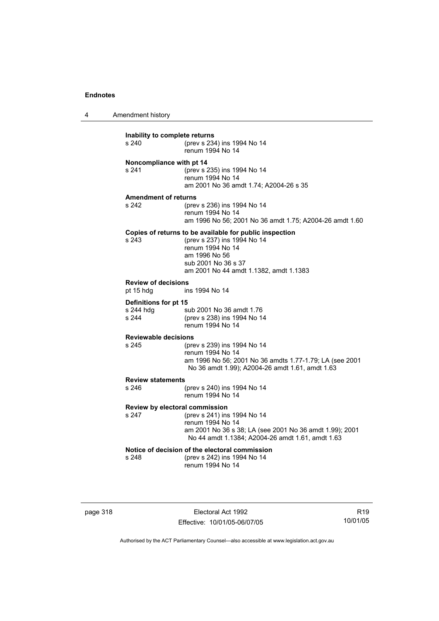4 Amendment history

| Inability to complete returns<br>s 240  | (prev s 234) ins 1994 No 14<br>renum 1994 No 14                                                                                                                                              |
|-----------------------------------------|----------------------------------------------------------------------------------------------------------------------------------------------------------------------------------------------|
| Noncompliance with pt 14<br>s 241       | (prev s 235) ins 1994 No 14<br>renum 1994 No 14<br>am 2001 No 36 amdt 1.74; A2004-26 s 35                                                                                                    |
|                                         |                                                                                                                                                                                              |
| <b>Amendment of returns</b><br>s 242    | (prev s 236) ins 1994 No 14<br>renum 1994 No 14<br>am 1996 No 56; 2001 No 36 amdt 1.75; A2004-26 amdt 1.60                                                                                   |
| s 243                                   | Copies of returns to be available for public inspection<br>(prev s 237) ins 1994 No 14<br>renum 1994 No 14<br>am 1996 No 56<br>sub 2001 No 36 s 37<br>am 2001 No 44 amdt 1.1382, amdt 1.1383 |
| <b>Review of decisions</b><br>pt 15 hdg | ins 1994 No 14                                                                                                                                                                               |
| Definitions for pt 15                   |                                                                                                                                                                                              |
| s 244 hdg<br>s 244                      | sub 2001 No 36 amdt 1.76<br>(prev s 238) ins 1994 No 14<br>renum 1994 No 14                                                                                                                  |
| <b>Reviewable decisions</b>             |                                                                                                                                                                                              |
| s 245                                   | (prev s 239) ins 1994 No 14<br>renum 1994 No 14<br>am 1996 No 56; 2001 No 36 amdts 1.77-1.79; LA (see 2001<br>No 36 amdt 1.99); A2004-26 amdt 1.61, amdt 1.63                                |
| <b>Review statements</b>                |                                                                                                                                                                                              |
| s 246                                   | (prev s 240) ins 1994 No 14<br>renum 1994 No 14                                                                                                                                              |
| Review by electoral commission<br>s 247 | (prev s 241) ins 1994 No 14<br>renum 1994 No 14<br>am 2001 No 36 s 38; LA (see 2001 No 36 amdt 1.99); 2001<br>No 44 amdt 1.1384; A2004-26 amdt 1.61, amdt 1.63                               |
| s 248                                   | Notice of decision of the electoral commission<br>(prev s 242) ins 1994 No 14<br>renum 1994 No 14                                                                                            |

page 318 Electoral Act 1992 Effective: 10/01/05-06/07/05

R19 10/01/05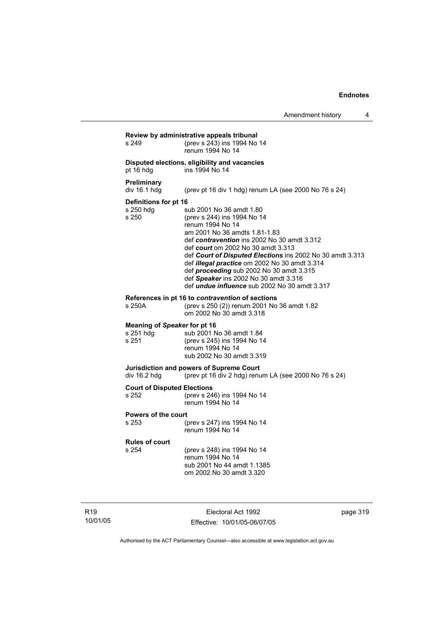| s 249                                              | (prev s 243) ins 1994 No 14<br>renum 1994 No 14                                                                                                                                                                                                                                                                                                                                                                                                                     |
|----------------------------------------------------|---------------------------------------------------------------------------------------------------------------------------------------------------------------------------------------------------------------------------------------------------------------------------------------------------------------------------------------------------------------------------------------------------------------------------------------------------------------------|
| pt 16 hdg                                          | Disputed elections, eligibility and vacancies<br>ins 1994 No 14                                                                                                                                                                                                                                                                                                                                                                                                     |
| Preliminary<br>div 16.1 hdg                        | (prev pt 16 div 1 hdg) renum LA (see 2000 No 76 s 24)                                                                                                                                                                                                                                                                                                                                                                                                               |
| Definitions for pt 16<br>s 250 hdg<br>s 250        | sub 2001 No 36 amdt 1.80<br>(prev s 244) ins 1994 No 14<br>renum 1994 No 14<br>am 2001 No 36 amdts 1.81-1.83<br>def contravention ins 2002 No 30 amdt 3.312<br>def <i>court</i> om 2002 No 30 amdt 3.313<br>def Court of Disputed Elections ins 2002 No 30 amdt 3.313<br>def illegal practice om 2002 No 30 amdt 3.314<br>def proceeding sub 2002 No 30 amdt 3.315<br>def Speaker ins 2002 No 30 amdt 3.316<br>def <i>undue influence</i> sub 2002 No 30 amdt 3.317 |
| s 250A                                             | References in pt 16 to contravention of sections<br>(prev s 250 (2)) renum 2001 No 36 amdt 1.82<br>om 2002 No 30 amdt 3.318                                                                                                                                                                                                                                                                                                                                         |
| Meaning of Speaker for pt 16<br>s 251 hdg<br>s 251 | sub 2001 No 36 amdt 1.84<br>(prev s 245) ins 1994 No 14<br>renum 1994 No 14<br>sub 2002 No 30 amdt 3.319                                                                                                                                                                                                                                                                                                                                                            |
| div 16.2 hdg                                       | Jurisdiction and powers of Supreme Court<br>(prev pt 16 div 2 hdg) renum LA (see 2000 No 76 s 24)                                                                                                                                                                                                                                                                                                                                                                   |
| <b>Court of Disputed Elections</b><br>s 252        | (prev s 246) ins 1994 No 14<br>renum 1994 No 14                                                                                                                                                                                                                                                                                                                                                                                                                     |
| Powers of the court<br>s 253                       | (prev s 247) ins 1994 No 14<br>renum 1994 No 14                                                                                                                                                                                                                                                                                                                                                                                                                     |
| <b>Rules of court</b><br>s 254                     | (prev s 248) ins 1994 No 14<br>renum 1994 No 14<br>sub 2001 No 44 amdt 1.1385<br>om 2002 No 30 amdt 3.320                                                                                                                                                                                                                                                                                                                                                           |

R19 10/01/05

Electoral Act 1992 Effective: 10/01/05-06/07/05 page 319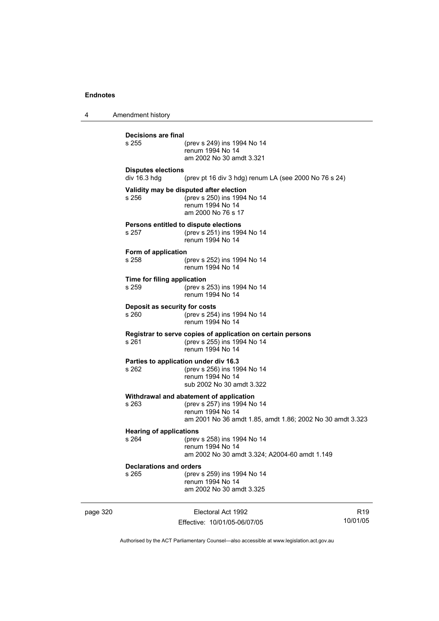4 Amendment history page 320 **Electoral Act 1992** R19 **Decisions are final** (prev s 249) ins 1994 No 14 renum 1994 No 14 am 2002 No 30 amdt 3.321 **Disputes elections**  div 16.3 hdg (prev pt 16 div 3 hdg) renum LA (see 2000 No 76 s 24) **Validity may be disputed after election** s 256 (prev s 250) ins 1994 No 14 renum 1994 No 14 am 2000 No 76 s 17 **Persons entitled to dispute elections**<br>s 257 (prev s 251) ins 199 s 257 (prev s 251) ins 1994 No 14 renum 1994 No 14 **Form of application** s 258 (prev s 252) ins 1994 No 14 renum 1994 No 14 **Time for filing application** s 259 (prev s 253) ins 1994 No 14 renum 1994 No 14 **Deposit as security for costs** s 260 (prev s 254) ins 1994 No 14 renum 1994 No 14 **Registrar to serve copies of application on certain persons** s 261 (prev s 255) ins 1994 No 14 renum 1994 No 14 **Parties to application under div 16.3** (prev s 256) ins 1994 No 14 renum 1994 No 14 sub 2002 No 30 amdt 3.322 **Withdrawal and abatement of application** s 263 (prev s 257) ins 1994 No 14 renum 1994 No 14 am 2001 No 36 amdt 1.85, amdt 1.86; 2002 No 30 amdt 3.323 **Hearing of applications**<br>s 264 (prev s 264 (prev s 258) ins 1994 No 14 renum 1994 No 14 am 2002 No 30 amdt 3.324; A2004-60 amdt 1.149 **Declarations and orders** s 265 (prev s 259) ins 1994 No 14 renum 1994 No 14 am 2002 No 30 amdt 3.325

Authorised by the ACT Parliamentary Counsel—also accessible at www.legislation.act.gov.au

10/01/05

Effective: 10/01/05-06/07/05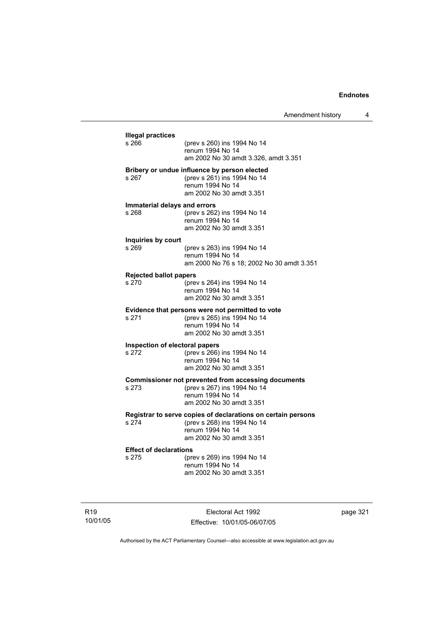|                                         | (prev s 260) ins 1994 No 14                                                                 |
|-----------------------------------------|---------------------------------------------------------------------------------------------|
|                                         | renum 1994 No 14                                                                            |
|                                         | am 2002 No 30 amdt 3.326, amdt 3.351                                                        |
|                                         | Bribery or undue influence by person elected                                                |
| s 267                                   | (prev s 261) ins 1994 No 14<br>renum 1994 No 14                                             |
|                                         | am 2002 No 30 amdt 3.351                                                                    |
| Immaterial delays and errors            |                                                                                             |
| s 268                                   | (prev s 262) ins 1994 No 14                                                                 |
|                                         | renum 1994 No 14                                                                            |
|                                         | am 2002 No 30 amdt 3.351                                                                    |
| Inquiries by court                      |                                                                                             |
| s 269                                   | (prev s 263) ins 1994 No 14<br>renum 1994 No 14                                             |
|                                         | am 2000 No 76 s 18; 2002 No 30 amdt 3.351                                                   |
|                                         |                                                                                             |
| <b>Rejected ballot papers</b><br>s270   | (prev s 264) ins 1994 No 14                                                                 |
|                                         | renum 1994 No 14                                                                            |
|                                         | am 2002 No 30 amdt 3.351                                                                    |
|                                         | Evidence that persons were not permitted to vote                                            |
| s 271                                   | (prev s 265) ins 1994 No 14                                                                 |
|                                         | renum 1994 No 14<br>am 2002 No 30 amdt 3.351                                                |
|                                         |                                                                                             |
| Inspection of electoral papers<br>s 272 | (prev s 266) ins 1994 No 14                                                                 |
|                                         | renum 1994 No 14                                                                            |
|                                         | am 2002 No 30 amdt 3.351                                                                    |
|                                         | <b>Commissioner not prevented from accessing documents</b>                                  |
| s 273                                   | (prev s 267) ins 1994 No 14                                                                 |
|                                         | renum 1994 No 14<br>am 2002 No 30 amdt 3.351                                                |
|                                         |                                                                                             |
| s 274                                   | Registrar to serve copies of declarations on certain persons<br>(prev s 268) ins 1994 No 14 |
|                                         | renum 1994 No 14                                                                            |
|                                         | am 2002 No 30 amdt 3.351                                                                    |
| <b>Effect of declarations</b>           |                                                                                             |
| s 275                                   | (prev s 269) ins 1994 No 14                                                                 |
|                                         | renum 1994 No 14<br>am 2002 No 30 amdt 3.351                                                |

R19 10/01/05

Electoral Act 1992 Effective: 10/01/05-06/07/05 page 321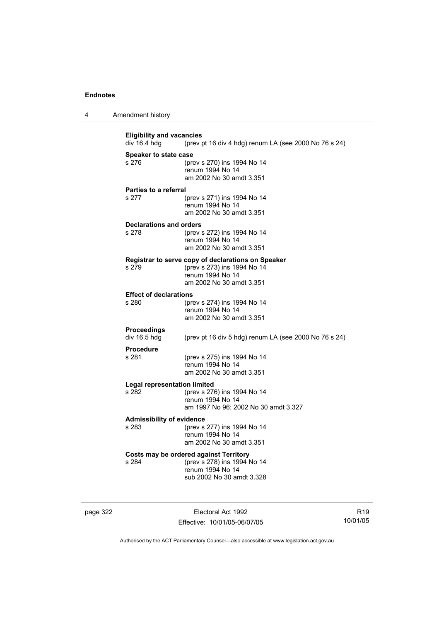| Amendment history<br>4 |  |
|------------------------|--|
|------------------------|--|

**Eligibility and vacancies**<br>div 16.4 hdg (prev) (prev pt 16 div 4 hdg) renum LA (see 2000 No 76 s 24) **Speaker to state case** s 276 (prev s 270) ins 1994 No 14 renum 1994 No 14 am 2002 No 30 amdt 3.351 **Parties to a referral** s 277 (prev s 271) ins 1994 No 14 renum 1994 No 14 am 2002 No 30 amdt 3.351 **Declarations and orders** s 278 (prev s 272) ins 1994 No 14 renum 1994 No 14 am 2002 No 30 amdt 3.351 **Registrar to serve copy of declarations on Speaker** s 279 (prev s 273) ins 1994 No 14 renum 1994 No 14 am 2002 No 30 amdt 3.351 **Effect of declarations**<br>s 280 (pre (prev s 274) ins 1994 No 14 renum 1994 No 14 am 2002 No 30 amdt 3.351 **Proceedings**  div 16.5 hdg (prev pt 16 div 5 hdg) renum LA (see 2000 No 76 s 24) **Procedure** s 281 (prev s 275) ins 1994 No 14 renum 1994 No 14 am 2002 No 30 amdt 3.351 **Legal representation limited** (prev s 276) ins 1994 No 14 renum 1994 No 14 am 1997 No 96; 2002 No 30 amdt 3.327 **Admissibility of evidence** (prev s 277) ins 1994 No 14 renum 1994 No 14 am 2002 No 30 amdt 3.351 **Costs may be ordered against Territory** s 284 (prev s 278) ins 1994 No 14 renum 1994 No 14 sub 2002 No 30 amdt 3.328

page 322 Electoral Act 1992 Effective: 10/01/05-06/07/05

R19 10/01/05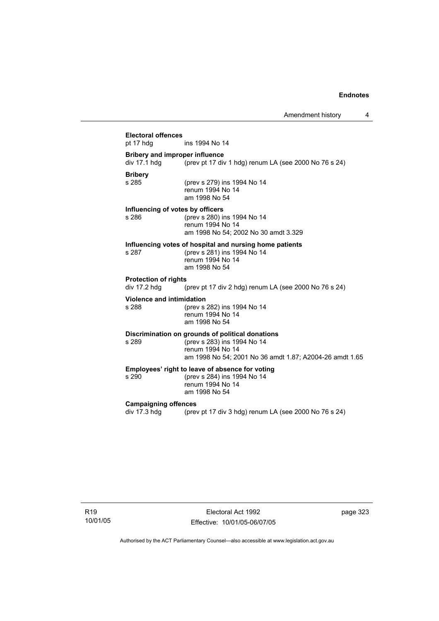## **Electoral offences** ins 1994 No 14 **Bribery and improper influence**  div 17.1 hdg  $\frac{1}{2}$  (prev pt 17 div 1 hdg) renum LA (see 2000 No 76 s 24) **Bribery** (prev s 279) ins 1994 No 14 renum 1994 No 14 am 1998 No 54 **Influencing of votes by officers** s 286 (prev s 280) ins 1994 No 14 renum 1994 No 14 am 1998 No 54; 2002 No 30 amdt 3.329 **Influencing votes of hospital and nursing home patients** s 287 (prev s 281) ins 1994 No 14 renum 1994 No 14 am 1998 No 54 **Protection of rights**  div 17.2 hdg (prev pt 17 div 2 hdg) renum LA (see 2000 No 76 s 24) **Violence and intimidation** s 288 (prev s 282) ins 1994 No 14 renum 1994 No 14 am 1998 No 54 **Discrimination on grounds of political donations** s 289 (prev s 283) ins 1994 No 14 renum 1994 No 14 am 1998 No 54; 2001 No 36 amdt 1.87; A2004-26 amdt 1.65 **Employees' right to leave of absence for voting** (prev s 284) ins 1994 No 14 renum 1994 No 14 am 1998 No 54 **Campaigning offences**  div 17.3 hdg (prev pt 17 div 3 hdg) renum LA (see 2000 No 76 s 24)

R19 10/01/05

Electoral Act 1992 Effective: 10/01/05-06/07/05 page 323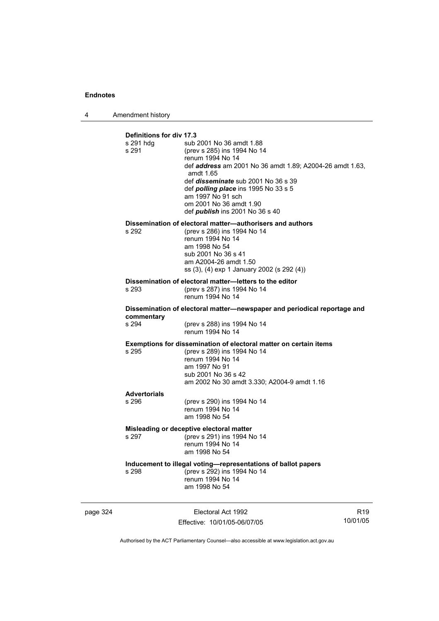4 Amendment history

| Definitions for div 17.3<br>s 291 hdq<br>s 291                                   | sub 2001 No 36 amdt 1.88<br>(prev s 285) ins 1994 No 14<br>renum 1994 No 14<br>def <b>address</b> am 2001 No 36 amdt 1.89; A2004-26 amdt 1.63,<br>amdt 1.65<br>def <i>disseminate</i> sub 2001 No 36 s 39<br>def <i>polling place</i> ins 1995 No 33 s 5<br>am 1997 No 91 sch<br>om 2001 No 36 amdt 1.90<br>def <i>publish</i> ins 2001 No 36 s 40 |  |  |  |
|----------------------------------------------------------------------------------|----------------------------------------------------------------------------------------------------------------------------------------------------------------------------------------------------------------------------------------------------------------------------------------------------------------------------------------------------|--|--|--|
| s 292                                                                            | Dissemination of electoral matter-authorisers and authors<br>(prev s 286) ins 1994 No 14<br>renum 1994 No 14<br>am 1998 No 54<br>sub 2001 No 36 s 41<br>am A2004-26 amdt 1.50<br>ss (3), (4) exp 1 January 2002 (s 292 (4))                                                                                                                        |  |  |  |
| $s$ 293                                                                          | Dissemination of electoral matter-letters to the editor<br>(prev s 287) ins 1994 No 14<br>renum 1994 No 14                                                                                                                                                                                                                                         |  |  |  |
| commentary                                                                       | Dissemination of electoral matter-newspaper and periodical reportage and                                                                                                                                                                                                                                                                           |  |  |  |
| s 294                                                                            | (prev s 288) ins 1994 No 14<br>renum 1994 No 14                                                                                                                                                                                                                                                                                                    |  |  |  |
| s 295                                                                            | <b>Exemptions for dissemination of electoral matter on certain items</b><br>(prev s 289) ins 1994 No 14<br>renum 1994 No 14<br>am 1997 No 91<br>sub 2001 No 36 s 42<br>am 2002 No 30 amdt 3.330; A2004-9 amdt 1.16                                                                                                                                 |  |  |  |
| <b>Advertorials</b><br>$s$ 296                                                   |                                                                                                                                                                                                                                                                                                                                                    |  |  |  |
|                                                                                  | (prev s 290) ins 1994 No 14<br>renum 1994 No 14<br>am 1998 No 54                                                                                                                                                                                                                                                                                   |  |  |  |
| Misleading or deceptive electoral matter<br>s 297<br>(prev s 291) ins 1994 No 14 |                                                                                                                                                                                                                                                                                                                                                    |  |  |  |
|                                                                                  | renum 1994 No 14<br>am 1998 No 54                                                                                                                                                                                                                                                                                                                  |  |  |  |
| s 298                                                                            | Inducement to illegal voting-representations of ballot papers<br>(prev s 292) ins 1994 No 14<br>renum 1994 No 14<br>am 1998 No 54                                                                                                                                                                                                                  |  |  |  |

page 324 Electoral Act 1992 Effective: 10/01/05-06/07/05

R19 10/01/05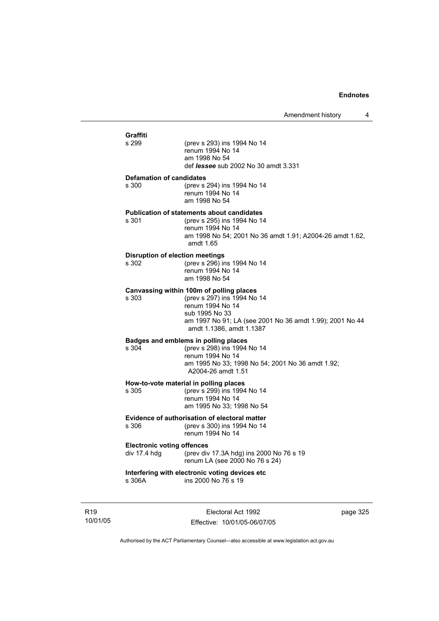| Graffiti                                          |                                                                                                                                                                                                       |
|---------------------------------------------------|-------------------------------------------------------------------------------------------------------------------------------------------------------------------------------------------------------|
| s 299                                             | (prev s 293) ins 1994 No 14<br>renum 1994 No 14<br>am 1998 No 54<br>def <i>lessee</i> sub 2002 No 30 amdt 3.331                                                                                       |
| <b>Defamation of candidates</b><br>s 300          | (prev s 294) ins 1994 No 14<br>renum 1994 No 14<br>am 1998 No 54                                                                                                                                      |
| s 301                                             | <b>Publication of statements about candidates</b><br>(prev s 295) ins 1994 No 14<br>renum 1994 No 14<br>am 1998 No 54; 2001 No 36 amdt 1.91; A2004-26 amdt 1.62,<br>amdt 1.65                         |
| <b>Disruption of election meetings</b><br>s 302   | (prev s 296) ins 1994 No 14<br>renum 1994 No 14<br>am 1998 No 54                                                                                                                                      |
| s 303                                             | Canvassing within 100m of polling places<br>(prev s 297) ins 1994 No 14<br>renum 1994 No 14<br>sub 1995 No 33<br>am 1997 No 91; LA (see 2001 No 36 amdt 1.99); 2001 No 44<br>amdt 1.1386, amdt 1.1387 |
| s 304                                             | Badges and emblems in polling places<br>(prev s 298) ins 1994 No 14<br>renum 1994 No 14<br>am 1995 No 33; 1998 No 54; 2001 No 36 amdt 1.92;<br>A2004-26 amdt 1.51                                     |
| s 305                                             | How-to-vote material in polling places<br>(prev s 299) ins 1994 No 14<br>renum 1994 No 14<br>am 1995 No 33; 1998 No 54                                                                                |
| s 306                                             | Evidence of authorisation of electoral matter<br>(prev s 300) ins 1994 No 14<br>renum 1994 No 14                                                                                                      |
| <b>Electronic voting offences</b><br>div 17.4 hdg | (prev div 17.3A hdg) ins 2000 No 76 s 19<br>renum LA (see 2000 No 76 s 24)                                                                                                                            |
|                                                   | Interfering with electronic voting devices etc                                                                                                                                                        |

R19 10/01/05

Electoral Act 1992 Effective: 10/01/05-06/07/05 page 325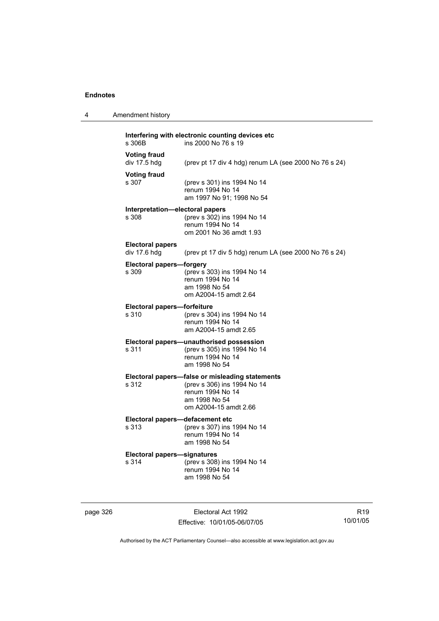4 Amendment history

| s 306B                                   | ins 2000 No 76 s 19                                                                                                                          |
|------------------------------------------|----------------------------------------------------------------------------------------------------------------------------------------------|
| <b>Voting fraud</b><br>div 17.5 hdg      | (prev pt 17 div 4 hdg) renum LA (see 2000 No 76 s 24)                                                                                        |
| <b>Voting fraud</b><br>s 307             | (prev s 301) ins 1994 No 14<br>renum 1994 No 14<br>am 1997 No 91; 1998 No 54                                                                 |
| Interpretation-electoral papers<br>s 308 | (prev s 302) ins 1994 No 14<br>renum 1994 No 14<br>om 2001 No 36 amdt 1.93                                                                   |
| <b>Electoral papers</b><br>div 17.6 hdg  | (prev pt 17 div 5 hdg) renum LA (see 2000 No 76 s 24)                                                                                        |
| <b>Electoral papers-forgery</b><br>s 309 | (prev s 303) ins 1994 No 14<br>renum 1994 No 14<br>am 1998 No 54<br>om A2004-15 amdt 2.64                                                    |
| Electoral papers-forfeiture<br>s 310     | (prev s 304) ins 1994 No 14<br>renum 1994 No 14<br>am A2004-15 amdt 2.65                                                                     |
| s 311                                    | Electoral papers-unauthorised possession<br>(prev s 305) ins 1994 No 14<br>renum 1994 No 14<br>am 1998 No 54                                 |
| s 312                                    | Electoral papers-false or misleading statements<br>(prev s 306) ins 1994 No 14<br>renum 1994 No 14<br>am 1998 No 54<br>om A2004-15 amdt 2.66 |

#### **Electoral papers-**<br>s 313 s 313 (prev s 307) ins 1994 No 14 renum 1994 No 14 am 1998 No 54

**Electoral papers—signatures** s 314 (prev s 308) ins 1994 No 14 renum 1994 No 14

am 1998 No 54

page 326 Electoral Act 1992 Effective: 10/01/05-06/07/05

R19 10/01/05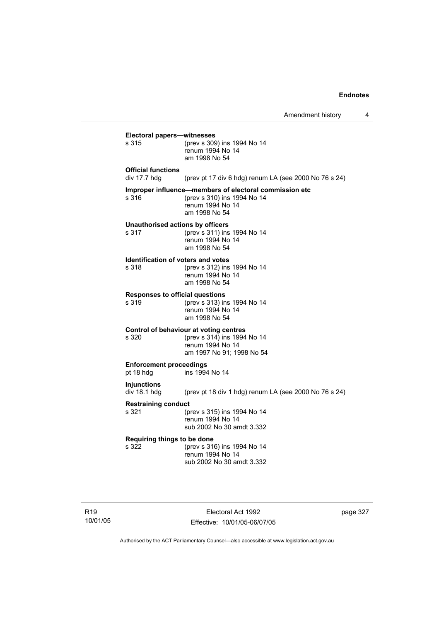$\overline{4}$ 

|                                                    | Amendment history                                                                                                          |
|----------------------------------------------------|----------------------------------------------------------------------------------------------------------------------------|
| Electoral papers-witnesses<br>s 315                | (prev s 309) ins 1994 No 14<br>renum 1994 No 14<br>am 1998 No 54                                                           |
| <b>Official functions</b><br>div $17.7$ hdg        | (prev pt 17 div 6 hdg) renum LA (see 2000 No 76 s 24)                                                                      |
| s 316                                              | Improper influence-members of electoral commission etc<br>(prev s 310) ins 1994 No 14<br>renum 1994 No 14<br>am 1998 No 54 |
| Unauthorised actions by officers<br>s 317          | (prev s 311) ins 1994 No 14<br>renum 1994 No 14<br>am 1998 No 54                                                           |
| <b>Identification of voters and votes</b><br>s 318 | (prev s 312) ins 1994 No 14<br>renum 1994 No 14<br>am 1998 No 54                                                           |
| <b>Responses to official questions</b><br>s 319    | (prev s 313) ins 1994 No 14<br>renum 1994 No 14<br>am 1998 No 54                                                           |
| s 320                                              | Control of behaviour at voting centres<br>(prev s 314) ins 1994 No 14<br>renum 1994 No 14<br>am 1997 No 91; 1998 No 54     |
| <b>Enforcement proceedings</b><br>pt 18 hdg        | ins 1994 No 14                                                                                                             |
| <b>Injunctions</b><br>div 18.1 hdg                 | (prev pt 18 div 1 hdg) renum LA (see 2000 No 76 s 24)                                                                      |
| <b>Restraining conduct</b><br>s 321                | (prev s 315) ins 1994 No 14<br>renum 1994 No 14<br>sub 2002 No 30 amdt 3.332                                               |
| Requiring things to be done<br>s 322               | (prev s 316) ins 1994 No 14<br>renum 1994 No 14<br>sub 2002 No 30 amdt 3.332                                               |
|                                                    |                                                                                                                            |

R19 10/01/05

Electoral Act 1992 Effective: 10/01/05-06/07/05 page 327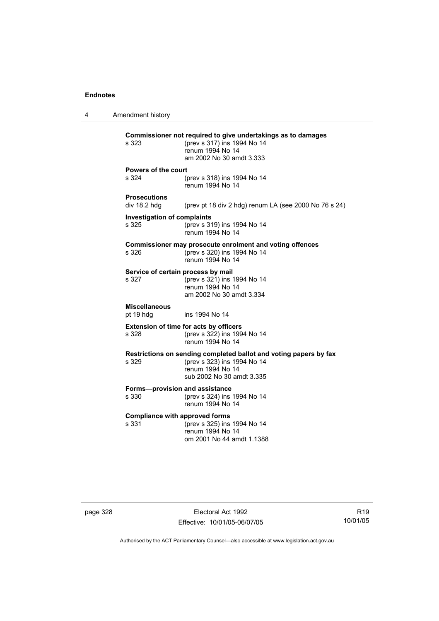4 Amendment history **Commissioner not required to give undertakings as to damages** s 323 (prev s 317) ins 1994 No 14 renum 1994 No 14 am 2002 No 30 amdt 3.333 **Powers of the court** s 324 (prev s 318) ins 1994 No 14 renum 1994 No 14 **Prosecutions**  (prev pt 18 div 2 hdg) renum LA (see 2000 No 76 s 24) **Investigation of complaints** s 325 (prev s 319) ins 1994 No 14 renum 1994 No 14 **Commissioner may prosecute enrolment and voting offences** s 326 (prev s 320) ins 1994 No 14 renum 1994 No 14 **Service of certain process by mail**<br>s 327 (prev s 321) ins 1  $(prev s 321)$  ins 1994 No 14 renum 1994 No 14 am 2002 No 30 amdt 3.334 **Miscellaneous** pt 19 hdg ins 1994 No 14 **Extension of time for acts by officers** s 328 (prev s 322) ins 1994 No 14 renum 1994 No 14 **Restrictions on sending completed ballot and voting papers by fax** s 329 (prev s 323) ins 1994 No 14 renum 1994 No 14 sub 2002 No 30 amdt 3.335 **Forms—provision and assistance** s 330 (prev s 324) ins 1994 No 14 renum 1994 No 14 **Compliance with approved forms**<br>s 331 (prev s 325) ins (prev s 325) ins 1994 No 14 renum 1994 No 14 om 2001 No 44 amdt 1.1388

page 328 Electoral Act 1992 Effective: 10/01/05-06/07/05

R19 10/01/05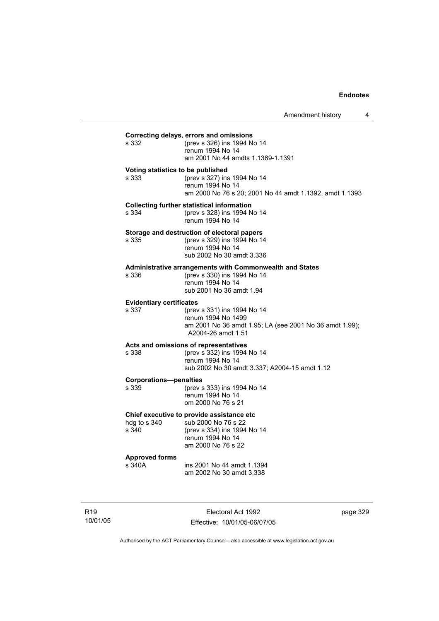### **Correcting delays, errors and omissions** (prev s 326) ins 1994 No 14 renum 1994 No 14 am 2001 No 44 amdts 1.1389-1.1391 **Voting statistics to be published** s 333 (prev s 327) ins 1994 No 14 renum 1994 No 14 am 2000 No 76 s 20; 2001 No 44 amdt 1.1392, amdt 1.1393 **Collecting further statistical information** s 334 (prev s 328) ins 1994 No 14 renum 1994 No 14 **Storage and destruction of electoral papers**<br>s 335 (orev s 329) ins 1994 No 14 (prev s 329) ins 1994 No 14 renum 1994 No 14 sub 2002 No 30 amdt 3.336 **Administrative arrangements with Commonwealth and States** s 336 (prev s 330) ins 1994 No 14 renum 1994 No 14 sub 2001 No 36 amdt 1.94 **Evidentiary certificates** s 337 (prev s 331) ins 1994 No 14 renum 1994 No 1499 am 2001 No 36 amdt 1.95; LA (see 2001 No 36 amdt 1.99); A2004-26 amdt 1.51 **Acts and omissions of representatives** s 338 (prev s 332) ins 1994 No 14 renum 1994 No 14 sub 2002 No 30 amdt 3.337; A2004-15 amdt 1.12 **Corporations—penalties** s 339 (prev s 333) ins 1994 No 14 renum 1994 No 14 om 2000 No 76 s 21 **Chief executive to provide assistance etc** hdg to s 340 sub 2000 No 76 s 22 s 340 (prev s 334) ins 1994 No 14 renum 1994 No 14 am 2000 No 76 s 22 **Approved forms**  s 340A ins 2001 No 44 amdt 1.1394 am 2002 No 30 amdt 3.338

R19 10/01/05

Electoral Act 1992 Effective: 10/01/05-06/07/05 page 329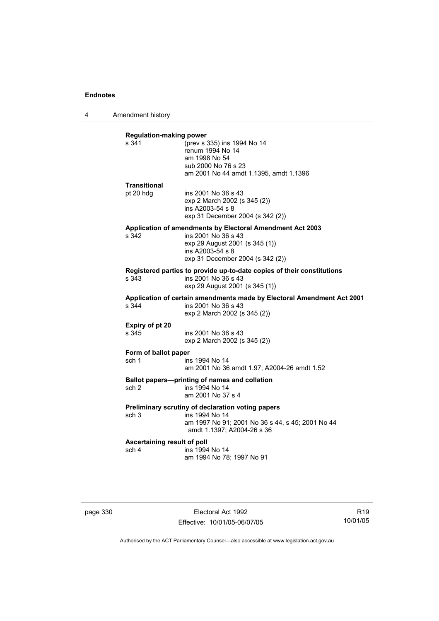4 Amendment history

| s 341                       | (prev s 335) ins 1994 No 14                                            |
|-----------------------------|------------------------------------------------------------------------|
|                             | renum 1994 No 14                                                       |
|                             | am 1998 No 54                                                          |
|                             | sub 2000 No 76 s 23                                                    |
|                             | am 2001 No 44 amdt 1.1395, amdt 1.1396                                 |
| <b>Transitional</b>         |                                                                        |
| pt 20 hdg                   | ins 2001 No 36 s 43                                                    |
|                             | exp 2 March 2002 (s 345 (2))                                           |
|                             | ins A2003-54 s 8                                                       |
|                             | exp 31 December 2004 (s 342 (2))                                       |
|                             | Application of amendments by Electoral Amendment Act 2003              |
| s 342                       | ins 2001 No 36 s 43<br>exp 29 August 2001 (s 345 (1))                  |
|                             | ins A2003-54 s 8                                                       |
|                             | exp 31 December 2004 (s 342 (2))                                       |
|                             | Registered parties to provide up-to-date copies of their constitutions |
| s.343                       | ins 2001 No 36 s 43                                                    |
|                             | exp 29 August 2001 (s 345 (1))                                         |
|                             | Application of certain amendments made by Electoral Amendment Act 2001 |
| s.344                       | ins 2001 No 36 s 43                                                    |
|                             | exp 2 March 2002 (s 345 (2))                                           |
| Expiry of pt 20             |                                                                        |
| s 345                       | ins 2001 No 36 s 43                                                    |
|                             | exp 2 March 2002 (s 345 (2))                                           |
| Form of ballot paper        |                                                                        |
| sch 1                       | ins 1994 No 14                                                         |
|                             | am 2001 No 36 amdt 1.97; A2004-26 amdt 1.52                            |
|                             | Ballot papers-printing of names and collation                          |
| sch <sub>2</sub>            | ins 1994 No 14                                                         |
|                             | am 2001 No 37 s 4                                                      |
|                             | Preliminary scrutiny of declaration voting papers                      |
| sch 3                       | ins 1994 No 14                                                         |
|                             | am 1997 No 91; 2001 No 36 s 44, s 45; 2001 No 44                       |
|                             | amdt 1.1397; A2004-26 s 36                                             |
| Ascertaining result of poll |                                                                        |
| sch 4                       | ins 1994 No 14                                                         |
|                             | am 1994 No 78; 1997 No 91                                              |

page 330 Electoral Act 1992 Effective: 10/01/05-06/07/05

R19 10/01/05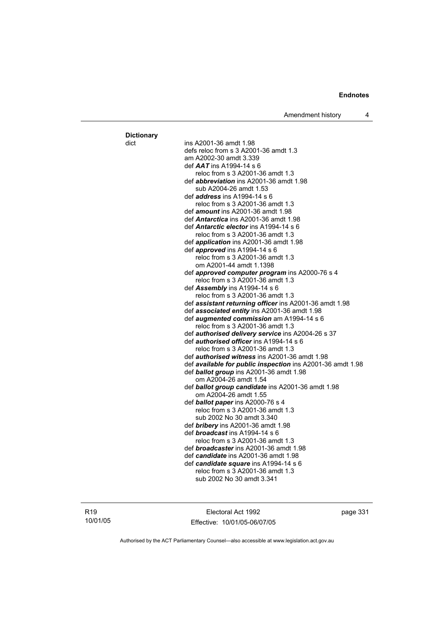Amendment history 4

dict ins A2001-36 amdt 1.98 defs reloc from s 3 A2001-36 amdt 1.3 am A2002-30 amdt 3.339 def *AAT* ins A1994-14 s 6 reloc from s 3 A2001-36 amdt 1.3 def *abbreviation* ins A2001-36 amdt 1.98 sub A2004-26 amdt 1.53 def *address* ins A1994-14 s 6 reloc from s 3 A2001-36 amdt 1.3 def *amount* ins A2001-36 amdt 1.98 def *Antarctica* ins A2001-36 amdt 1.98 def *Antarctic elector* ins A1994-14 s 6 reloc from s 3 A2001-36 amdt 1.3 def *application* ins A2001-36 amdt 1.98 def *approved* ins A1994-14 s 6 reloc from s 3 A2001-36 amdt 1.3 om A2001-44 amdt 1.1398 def *approved computer program* ins A2000-76 s 4 reloc from s 3 A2001-36 amdt 1.3 def *Assembly* ins A1994-14 s 6 reloc from s 3 A2001-36 amdt 1.3 def *assistant returning officer* ins A2001-36 amdt 1.98 def *associated entity* ins A2001-36 amdt 1.98 def *augmented commission* am A1994-14 s 6 reloc from s 3 A2001-36 amdt 1.3 def *authorised delivery service* ins A2004-26 s 37 def *authorised officer* ins A1994-14 s 6 reloc from s 3 A2001-36 amdt 1.3 def *authorised witness* ins A2001-36 amdt 1.98 def *available for public inspection* ins A2001-36 amdt 1.98 def *ballot group* ins A2001-36 amdt 1.98 om A2004-26 amdt 1.54 def *ballot group candidate* ins A2001-36 amdt 1.98 om A2004-26 amdt 1.55 def *ballot paper* ins A2000-76 s 4 reloc from s 3 A2001-36 amdt 1.3 sub 2002 No 30 amdt 3.340 def *bribery* ins A2001-36 amdt 1.98 def *broadcast* ins A1994-14 s 6 reloc from s 3 A2001-36 amdt 1.3 def *broadcaster* ins A2001-36 amdt 1.98 def *candidate* ins A2001-36 amdt 1.98 def *candidate square* ins A1994-14 s 6 reloc from s 3 A2001-36 amdt 1.3 sub 2002 No 30 amdt 3.341

**Dictionary**

Electoral Act 1992 Effective: 10/01/05-06/07/05 page 331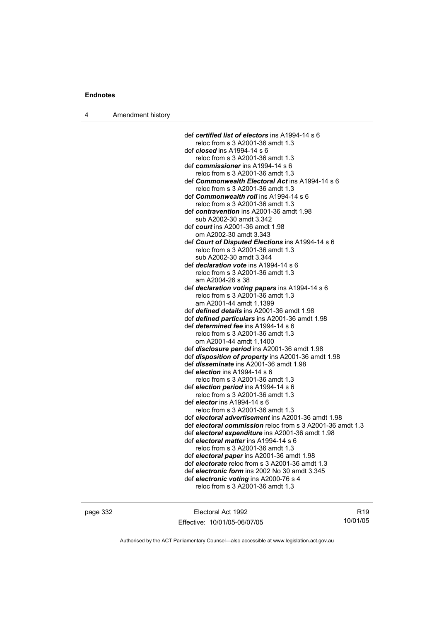4 Amendment history

def *certified list of electors* ins A1994-14 s 6 reloc from s 3 A2001-36 amdt 1.3 def *closed* ins A1994-14 s 6 reloc from s 3 A2001-36 amdt 1.3 def *commissioner* ins A1994-14 s 6 reloc from s 3 A2001-36 amdt 1.3 def *Commonwealth Electoral Act* ins A1994-14 s 6 reloc from s 3 A2001-36 amdt 1.3 def *Commonwealth roll* ins A1994-14 s 6 reloc from s 3 A2001-36 amdt 1.3 def *contravention* ins A2001-36 amdt 1.98 sub A2002-30 amdt 3.342 def *court* ins A2001-36 amdt 1.98 om A2002-30 amdt 3.343 def *Court of Disputed Elections* ins A1994-14 s 6 reloc from s 3 A2001-36 amdt 1.3 sub A2002-30 amdt 3.344 def *declaration vote* ins A1994-14 s 6 reloc from s 3 A2001-36 amdt 1.3 am A2004-26 s 38 def *declaration voting papers* ins A1994-14 s 6 reloc from s 3 A2001-36 amdt 1.3 am A2001-44 amdt 1.1399 def *defined details* ins A2001-36 amdt 1.98 def *defined particulars* ins A2001-36 amdt 1.98 def *determined fee* ins A1994-14 s 6 reloc from s 3 A2001-36 amdt 1.3 om A2001-44 amdt 1.1400 def *disclosure period* ins A2001-36 amdt 1.98 def *disposition of property* ins A2001-36 amdt 1.98 def *disseminate* ins A2001-36 amdt 1.98 def *election* ins A1994-14 s 6 reloc from s 3 A2001-36 amdt 1.3 def *election period* ins A1994-14 s 6 reloc from s 3 A2001-36 amdt 1.3 def *elector* ins A1994-14 s 6 reloc from s 3 A2001-36 amdt 1.3 def *electoral advertisement* ins A2001-36 amdt 1.98 def *electoral commission* reloc from s 3 A2001-36 amdt 1.3 def *electoral expenditure* ins A2001-36 amdt 1.98 def *electoral matter* ins A1994-14 s 6 reloc from s 3 A2001-36 amdt 1.3 def *electoral paper* ins A2001-36 amdt 1.98 def *electorate* reloc from s 3 A2001-36 amdt 1.3 def *electronic form* ins 2002 No 30 amdt 3.345 def *electronic voting* ins A2000-76 s 4 reloc from s 3 A2001-36 amdt 1.3

page 332 Electoral Act 1992 Effective: 10/01/05-06/07/05

R19 10/01/05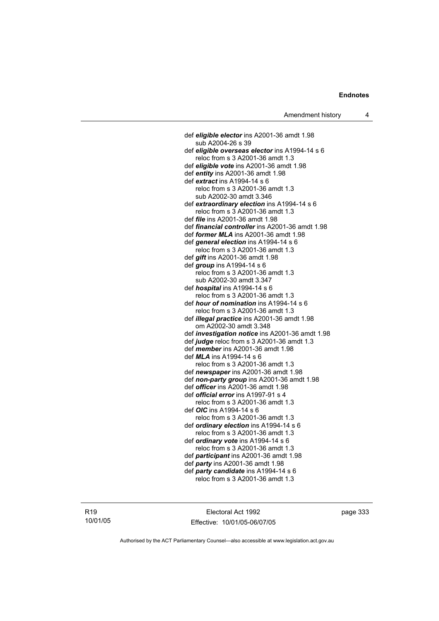def *eligible elector* ins A2001-36 amdt 1.98 sub A2004-26 s 39 def *eligible overseas elector* ins A1994-14 s 6 reloc from s 3 A2001-36 amdt 1.3 def *eligible vote* ins A2001-36 amdt 1.98 def *entity* ins A2001-36 amdt 1.98 def *extract* ins A1994-14 s 6 reloc from s 3 A2001-36 amdt 1.3 sub A2002-30 amdt 3.346 def *extraordinary election* ins A1994-14 s 6 reloc from s 3 A2001-36 amdt 1.3 def *file* ins A2001-36 amdt 1.98 def *financial controller* ins A2001-36 amdt 1.98 def *former MLA* ins A2001-36 amdt 1.98 def *general election* ins A1994-14 s 6 reloc from s 3 A2001-36 amdt 1.3 def *gift* ins A2001-36 amdt 1.98 def *group* ins A1994-14 s 6 reloc from s 3 A2001-36 amdt 1.3 sub A2002-30 amdt 3.347 def *hospital* ins A1994-14 s 6 reloc from s 3 A2001-36 amdt 1.3 def *hour of nomination* ins A1994-14 s 6 reloc from s 3 A2001-36 amdt 1.3 def *illegal practice* ins A2001-36 amdt 1.98 om A2002-30 amdt 3.348 def *investigation notice* ins A2001-36 amdt 1.98 def *judge* reloc from s 3 A2001-36 amdt 1.3 def *member* ins A2001-36 amdt 1.98 def *MLA* ins A1994-14 s 6 reloc from s 3 A2001-36 amdt 1.3 def *newspaper* ins A2001-36 amdt 1.98 def *non-party group* ins A2001-36 amdt 1.98 def *officer* ins A2001-36 amdt 1.98 def *official error* ins A1997-91 s 4 reloc from s 3 A2001-36 amdt 1.3 def *OIC* ins A1994-14 s 6 reloc from s 3 A2001-36 amdt 1.3 def *ordinary election* ins A1994-14 s 6 reloc from s 3 A2001-36 amdt 1.3 def *ordinary vote* ins A1994-14 s 6 reloc from s 3 A2001-36 amdt 1.3 def *participant* ins A2001-36 amdt 1.98 def *party* ins A2001-36 amdt 1.98 def *party candidate* ins A1994-14 s 6 reloc from s 3 A2001-36 amdt 1.3

R19 10/01/05

Electoral Act 1992 Effective: 10/01/05-06/07/05 page 333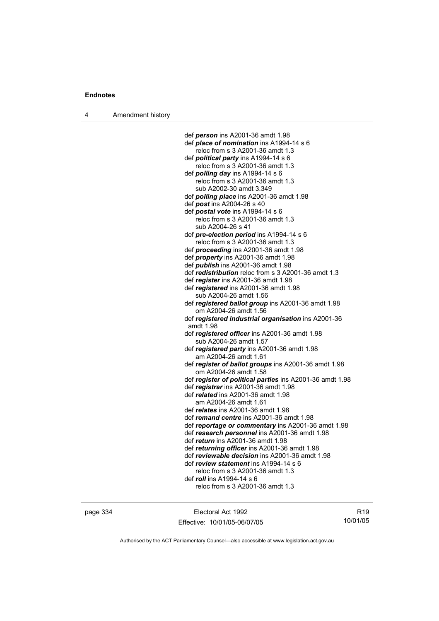4 Amendment history

 def *person* ins A2001-36 amdt 1.98 def *place of nomination* ins A1994-14 s 6 reloc from s 3 A2001-36 amdt 1.3 def *political party* ins A1994-14 s 6 reloc from s 3 A2001-36 amdt 1.3 def *polling day* ins A1994-14 s 6 reloc from s 3 A2001-36 amdt 1.3 sub A2002-30 amdt 3.349 def *polling place* ins A2001-36 amdt 1.98 def *post* ins A2004-26 s 40 def *postal vote* ins A1994-14 s 6 reloc from s 3 A2001-36 amdt 1.3 sub A2004-26 s 41 def *pre-election period* ins A1994-14 s 6 reloc from s 3 A2001-36 amdt 1.3 def *proceeding* ins A2001-36 amdt 1.98 def *property* ins A2001-36 amdt 1.98 def *publish* ins A2001-36 amdt 1.98 def *redistribution* reloc from s 3 A2001-36 amdt 1.3 def *register* ins A2001-36 amdt 1.98 def *registered* ins A2001-36 amdt 1.98 sub A2004-26 amdt 1.56 def *registered ballot group* ins A2001-36 amdt 1.98 om A2004-26 amdt 1.56 def *registered industrial organisation* ins A2001-36 amdt 1.98 def *registered officer* ins A2001-36 amdt 1.98 sub A2004-26 amdt 1.57 def *registered party* ins A2001-36 amdt 1.98 am A2004-26 amdt 1.61 def *register of ballot groups* ins A2001-36 amdt 1.98 om A2004-26 amdt 1.58 def *register of political parties* ins A2001-36 amdt 1.98 def *registrar* ins A2001-36 amdt 1.98 def *related* ins A2001-36 amdt 1.98 am A2004-26 amdt 1.61 def *relates* ins A2001-36 amdt 1.98 def *remand centre* ins A2001-36 amdt 1.98 def *reportage or commentary* ins A2001-36 amdt 1.98 def *research personnel* ins A2001-36 amdt 1.98 def *return* ins A2001-36 amdt 1.98 def *returning officer* ins A2001-36 amdt 1.98 def *reviewable decision* ins A2001-36 amdt 1.98 def *review statement* ins A1994-14 s 6 reloc from s 3 A2001-36 amdt 1.3 def *roll* ins A1994-14 s 6 reloc from s 3 A2001-36 amdt 1.3

page 334 Electoral Act 1992 Effective: 10/01/05-06/07/05

R19 10/01/05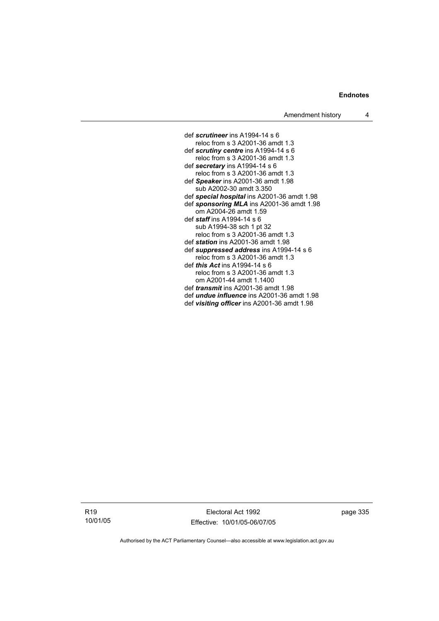def *scrutineer* ins A1994-14 s 6 reloc from s 3 A2001-36 amdt 1.3 def *scrutiny centre* ins A1994-14 s 6 reloc from s 3 A2001-36 amdt 1.3 def *secretary* ins A1994-14 s 6 reloc from s 3 A2001-36 amdt 1.3 def *Speaker* ins A2001-36 amdt 1.98 sub A2002-30 amdt 3.350 def *special hospital* ins A2001-36 amdt 1.98 def *sponsoring MLA* ins A2001-36 amdt 1.98 om A2004-26 amdt 1.59 def *staff* ins A1994-14 s 6 sub A1994-38 sch 1 pt 32 reloc from s 3 A2001-36 amdt 1.3 def *station* ins A2001-36 amdt 1.98 def *suppressed address* ins A1994-14 s 6 reloc from s 3 A2001-36 amdt 1.3 def *this Act* ins A1994-14 s 6 reloc from s 3 A2001-36 amdt 1.3 om A2001-44 amdt 1.1400 def *transmit* ins A2001-36 amdt 1.98 def *undue influence* ins A2001-36 amdt 1.98 def *visiting officer* ins A2001-36 amdt 1.98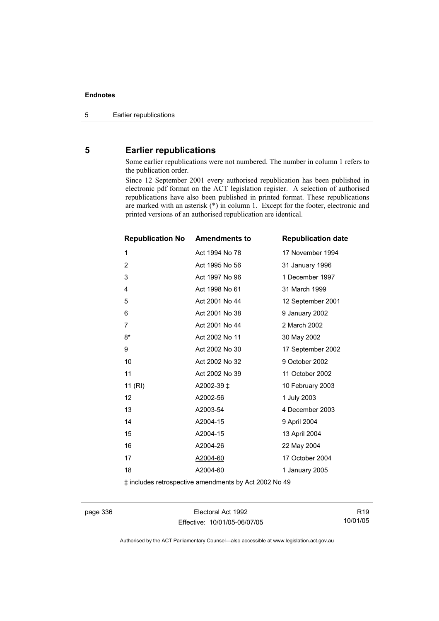### **5 Earlier republications**

Some earlier republications were not numbered. The number in column 1 refers to the publication order.

Since 12 September 2001 every authorised republication has been published in electronic pdf format on the ACT legislation register. A selection of authorised republications have also been published in printed format. These republications are marked with an asterisk (\*) in column 1. Except for the footer, electronic and printed versions of an authorised republication are identical.

| <b>Amendments to</b><br><b>Republication No</b> | <b>Republication date</b> |
|-------------------------------------------------|---------------------------|
| Act 1994 No 78                                  | 17 November 1994          |
| Act 1995 No 56                                  | 31 January 1996           |
| Act 1997 No 96                                  | 1 December 1997           |
| Act 1998 No 61                                  | 31 March 1999             |
| Act 2001 No 44                                  | 12 September 2001         |
| Act 2001 No 38                                  | 9 January 2002            |
| Act 2001 No 44                                  | 2 March 2002              |
| Act 2002 No 11                                  | 30 May 2002               |
| Act 2002 No 30                                  | 17 September 2002         |
| Act 2002 No 32                                  | 9 October 2002            |
| Act 2002 No 39                                  | 11 October 2002           |
| A2002-39 ‡                                      | 10 February 2003          |
| A2002-56                                        | 1 July 2003               |
| A2003-54                                        | 4 December 2003           |
| A2004-15                                        | 9 April 2004              |
| A2004-15                                        | 13 April 2004             |
| A2004-26                                        | 22 May 2004               |
| A2004-60                                        | 17 October 2004           |
| A2004-60                                        | 1 January 2005            |
|                                                 |                           |

‡ includes retrospective amendments by Act 2002 No 49

page 336 Electoral Act 1992 Effective: 10/01/05-06/07/05

R19 10/01/05